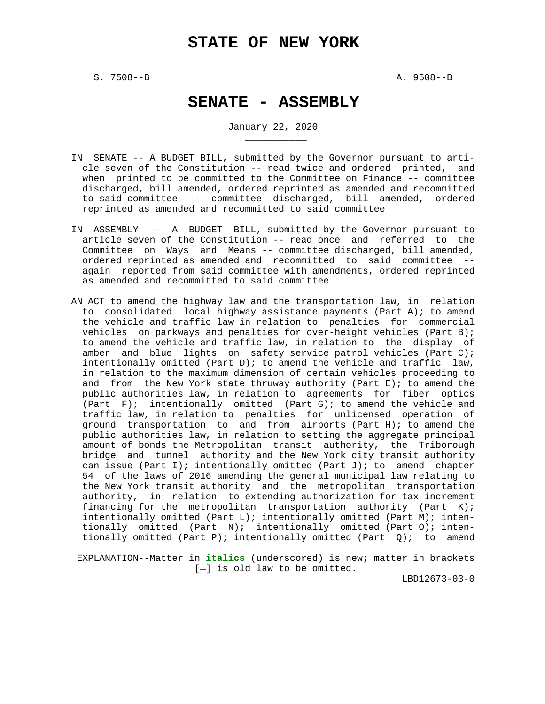$\mathcal{L}_\text{max} = \frac{1}{2} \sum_{i=1}^{n} \frac{1}{2} \sum_{i=1}^{n} \frac{1}{2} \sum_{i=1}^{n} \frac{1}{2} \sum_{i=1}^{n} \frac{1}{2} \sum_{i=1}^{n} \frac{1}{2} \sum_{i=1}^{n} \frac{1}{2} \sum_{i=1}^{n} \frac{1}{2} \sum_{i=1}^{n} \frac{1}{2} \sum_{i=1}^{n} \frac{1}{2} \sum_{i=1}^{n} \frac{1}{2} \sum_{i=1}^{n} \frac{1}{2} \sum_{i=1}^{n} \frac{1$ 

S. 7508--B A. 9508--B

\_\_\_\_\_\_\_\_\_\_\_

# **SENATE - ASSEMBLY**

January 22, 2020

- IN SENATE -- A BUDGET BILL, submitted by the Governor pursuant to arti cle seven of the Constitution -- read twice and ordered printed, and when printed to be committed to the Committee on Finance -- committee discharged, bill amended, ordered reprinted as amended and recommitted to said committee -- committee discharged, bill amended, ordered reprinted as amended and recommitted to said committee
- IN ASSEMBLY -- A BUDGET BILL, submitted by the Governor pursuant to article seven of the Constitution -- read once and referred to the Committee on Ways and Means -- committee discharged, bill amended, ordered reprinted as amended and recommitted to said committee - again reported from said committee with amendments, ordered reprinted as amended and recommitted to said committee
- AN ACT to amend the highway law and the transportation law, in relation to consolidated local highway assistance payments (Part A); to amend the vehicle and traffic law in relation to penalties for commercial vehicles on parkways and penalties for over-height vehicles (Part B); to amend the vehicle and traffic law, in relation to the display of amber and blue lights on safety service patrol vehicles (Part C); intentionally omitted (Part D); to amend the vehicle and traffic law, in relation to the maximum dimension of certain vehicles proceeding to and from the New York state thruway authority (Part E); to amend the public authorities law, in relation to agreements for fiber optics (Part F); intentionally omitted (Part G); to amend the vehicle and traffic law, in relation to penalties for unlicensed operation of ground transportation to and from airports (Part H); to amend the public authorities law, in relation to setting the aggregate principal amount of bonds the Metropolitan transit authority, the Triborough bridge and tunnel authority and the New York city transit authority can issue (Part I); intentionally omitted (Part J); to amend chapter 54 of the laws of 2016 amending the general municipal law relating to the New York transit authority and the metropolitan transportation authority, in relation to extending authorization for tax increment financing for the metropolitan transportation authority (Part K); intentionally omitted (Part L); intentionally omitted (Part M); inten tionally omitted (Part N); intentionally omitted (Part O); inten tionally omitted (Part P); intentionally omitted (Part Q); to amend

 EXPLANATION--Matter in **italics** (underscored) is new; matter in brackets  $[-]$  is old law to be omitted.

LBD12673-03-0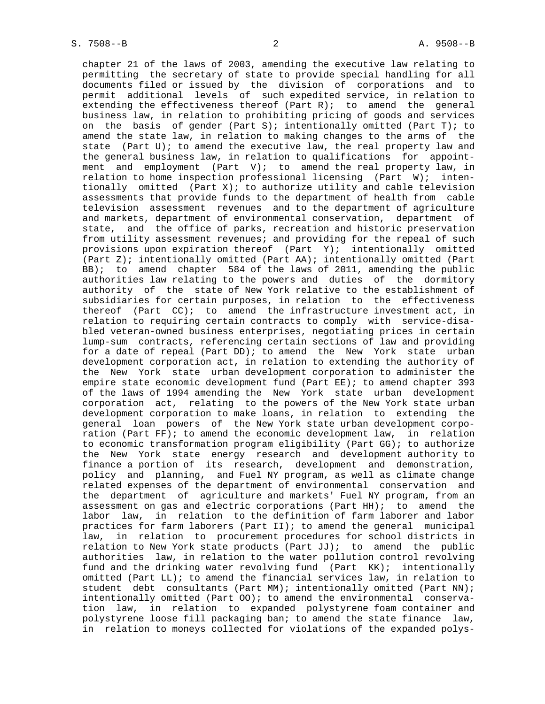chapter 21 of the laws of 2003, amending the executive law relating to permitting the secretary of state to provide special handling for all documents filed or issued by the division of corporations and to permit additional levels of such expedited service, in relation to extending the effectiveness thereof (Part R); to amend the general business law, in relation to prohibiting pricing of goods and services on the basis of gender (Part S); intentionally omitted (Part T); to amend the state law, in relation to making changes to the arms of the state (Part U); to amend the executive law, the real property law and the general business law, in relation to qualifications for appoint ment and employment (Part V); to amend the real property law, in relation to home inspection professional licensing (Part W); inten tionally omitted (Part X); to authorize utility and cable television assessments that provide funds to the department of health from cable television assessment revenues and to the department of agriculture and markets, department of environmental conservation, department of state, and the office of parks, recreation and historic preservation from utility assessment revenues; and providing for the repeal of such provisions upon expiration thereof (Part Y); intentionally omitted (Part Z); intentionally omitted (Part AA); intentionally omitted (Part BB); to amend chapter 584 of the laws of 2011, amending the public authorities law relating to the powers and duties of the dormitory authority of the state of New York relative to the establishment of subsidiaries for certain purposes, in relation to the effectiveness thereof (Part  $CC$ ); to amend the infrastructure investment act, in relation to requiring certain contracts to comply with service-disa bled veteran-owned business enterprises, negotiating prices in certain lump-sum contracts, referencing certain sections of law and providing for a date of repeal (Part DD); to amend the New York state urban development corporation act, in relation to extending the authority of the New York state urban development corporation to administer the empire state economic development fund (Part EE); to amend chapter 393 of the laws of 1994 amending the New York state urban development corporation act, relating to the powers of the New York state urban development corporation to make loans, in relation to extending the general loan powers of the New York state urban development corpo ration (Part FF); to amend the economic development law, in relation to economic transformation program eligibility (Part GG); to authorize the New York state energy research and development authority to finance a portion of its research, development and demonstration, policy and planning, and Fuel NY program, as well as climate change related expenses of the department of environmental conservation and the department of agriculture and markets' Fuel NY program, from an assessment on gas and electric corporations (Part HH); to amend the labor law, in relation to the definition of farm laborer and labor practices for farm laborers (Part II); to amend the general municipal law, in relation to procurement procedures for school districts in relation to New York state products (Part JJ); to amend the public authorities law, in relation to the water pollution control revolving fund and the drinking water revolving fund (Part KK); intentionally omitted (Part LL); to amend the financial services law, in relation to student debt consultants (Part MM); intentionally omitted (Part NN); intentionally omitted (Part OO); to amend the environmental conserva tion law, in relation to expanded polystyrene foam container and polystyrene loose fill packaging ban; to amend the state finance law, in relation to moneys collected for violations of the expanded polys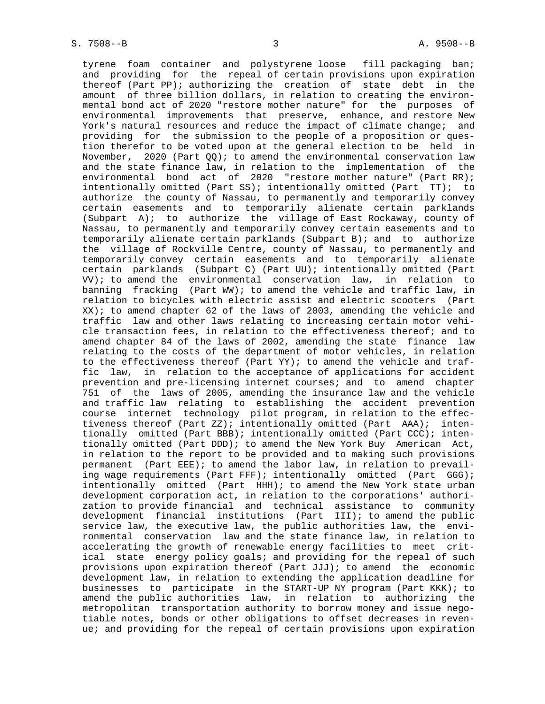tyrene foam container and polystyrene loose fill packaging ban; and providing for the repeal of certain provisions upon expiration thereof (Part PP); authorizing the creation of state debt in the amount of three billion dollars, in relation to creating the environ mental bond act of 2020 "restore mother nature" for the purposes of environmental improvements that preserve, enhance, and restore New York's natural resources and reduce the impact of climate change; and providing for the submission to the people of a proposition or ques tion therefor to be voted upon at the general election to be held in November, 2020 (Part  $QQ$ ); to amend the environmental conservation law and the state finance law, in relation to the implementation of the environmental bond act of 2020 "restore mother nature" (Part RR); intentionally omitted (Part SS); intentionally omitted (Part TT); to authorize the county of Nassau, to permanently and temporarily convey certain easements and to temporarily alienate certain parklands (Subpart A); to authorize the village of East Rockaway, county of Nassau, to permanently and temporarily convey certain easements and to temporarily alienate certain parklands (Subpart B); and to authorize the village of Rockville Centre, county of Nassau, to permanently and temporarily convey certain easements and to temporarily alienate certain parklands (Subpart C) (Part UU); intentionally omitted (Part VV); to amend the environmental conservation law, in relation to banning fracking (Part WW); to amend the vehicle and traffic law, in relation to bicycles with electric assist and electric scooters (Part XX); to amend chapter 62 of the laws of 2003, amending the vehicle and traffic law and other laws relating to increasing certain motor vehi cle transaction fees, in relation to the effectiveness thereof; and to amend chapter 84 of the laws of 2002, amending the state finance law relating to the costs of the department of motor vehicles, in relation to the effectiveness thereof (Part YY); to amend the vehicle and traf fic law, in relation to the acceptance of applications for accident prevention and pre-licensing internet courses; and to amend chapter 751 of the laws of 2005, amending the insurance law and the vehicle and traffic law relating to establishing the accident prevention course internet technology pilot program, in relation to the effec tiveness thereof (Part ZZ); intentionally omitted (Part AAA); inten tionally omitted (Part BBB); intentionally omitted (Part CCC); inten tionally omitted (Part DDD); to amend the New York Buy American Act, in relation to the report to be provided and to making such provisions permanent (Part EEE); to amend the labor law, in relation to prevail ing wage requirements (Part FFF); intentionally omitted (Part GGG); intentionally omitted (Part HHH); to amend the New York state urban development corporation act, in relation to the corporations' authori zation to provide financial and technical assistance to community development financial institutions (Part III); to amend the public service law, the executive law, the public authorities law, the envi ronmental conservation law and the state finance law, in relation to accelerating the growth of renewable energy facilities to meet crit ical state energy policy goals; and providing for the repeal of such provisions upon expiration thereof (Part JJJ); to amend the economic development law, in relation to extending the application deadline for businesses to participate in the START-UP NY program (Part KKK); to amend the public authorities law, in relation to authorizing the metropolitan transportation authority to borrow money and issue nego tiable notes, bonds or other obligations to offset decreases in reven ue; and providing for the repeal of certain provisions upon expiration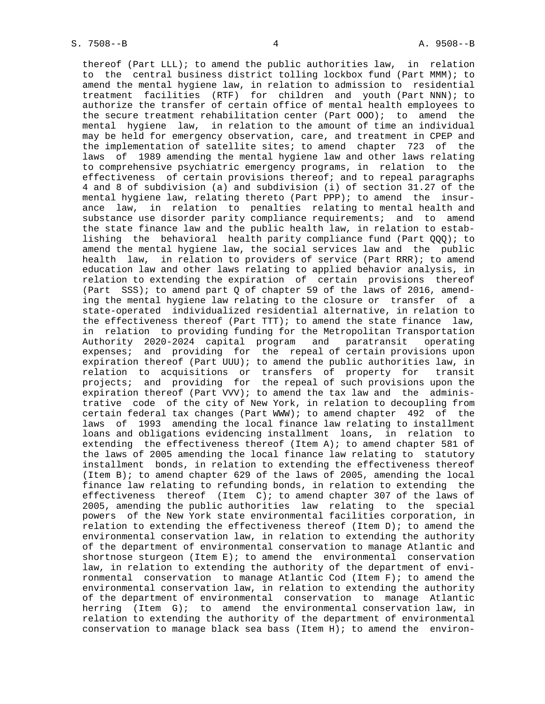thereof (Part LLL); to amend the public authorities law, in relation to the central business district tolling lockbox fund (Part MMM); to amend the mental hygiene law, in relation to admission to residential treatment facilities (RTF) for children and youth (Part NNN); to authorize the transfer of certain office of mental health employees to the secure treatment rehabilitation center (Part OOO); to amend the mental hygiene law, in relation to the amount of time an individual may be held for emergency observation, care, and treatment in CPEP and the implementation of satellite sites; to amend chapter 723 of the laws of 1989 amending the mental hygiene law and other laws relating to comprehensive psychiatric emergency programs, in relation to the effectiveness of certain provisions thereof; and to repeal paragraphs 4 and 8 of subdivision (a) and subdivision (i) of section 31.27 of the mental hygiene law, relating thereto (Part PPP); to amend the insur ance law, in relation to penalties relating to mental health and substance use disorder parity compliance requirements; and to amend the state finance law and the public health law, in relation to estab lishing the behavioral health parity compliance fund (Part QQQ); to amend the mental hygiene law, the social services law and the public health law, in relation to providers of service (Part RRR); to amend education law and other laws relating to applied behavior analysis, in relation to extending the expiration of certain provisions thereof (Part  $SSS$ ); to amend part Q of chapter 59 of the laws of 2016, amend ing the mental hygiene law relating to the closure or transfer of a state-operated individualized residential alternative, in relation to the effectiveness thereof (Part TTT); to amend the state finance law, in relation to providing funding for the Metropolitan Transportation Authority 2020-2024 capital program and paratransit operating expenses; and providing for the repeal of certain provisions upon expiration thereof (Part UUU); to amend the public authorities law, in relation to acquisitions or transfers of property for transit projects; and providing for the repeal of such provisions upon the expiration thereof (Part VVV); to amend the tax law and the adminis trative code of the city of New York, in relation to decoupling from certain federal tax changes (Part WWW); to amend chapter 492 of the laws of 1993 amending the local finance law relating to installment loans and obligations evidencing installment loans, in relation to extending the effectiveness thereof (Item A); to amend chapter 581 of the laws of 2005 amending the local finance law relating to statutory installment bonds, in relation to extending the effectiveness thereof (Item B); to amend chapter 629 of the laws of 2005, amending the local finance law relating to refunding bonds, in relation to extending the effectiveness thereof (Item C); to amend chapter 307 of the laws of 2005, amending the public authorities law relating to the special powers of the New York state environmental facilities corporation, in relation to extending the effectiveness thereof (Item D); to amend the environmental conservation law, in relation to extending the authority of the department of environmental conservation to manage Atlantic and shortnose sturgeon (Item E); to amend the environmental conservation law, in relation to extending the authority of the department of envi ronmental conservation to manage Atlantic Cod (Item F); to amend the environmental conservation law, in relation to extending the authority of the department of environmental conservation to manage Atlantic herring (Item G); to amend the environmental conservation law, in relation to extending the authority of the department of environmental conservation to manage black sea bass (Item H); to amend the environ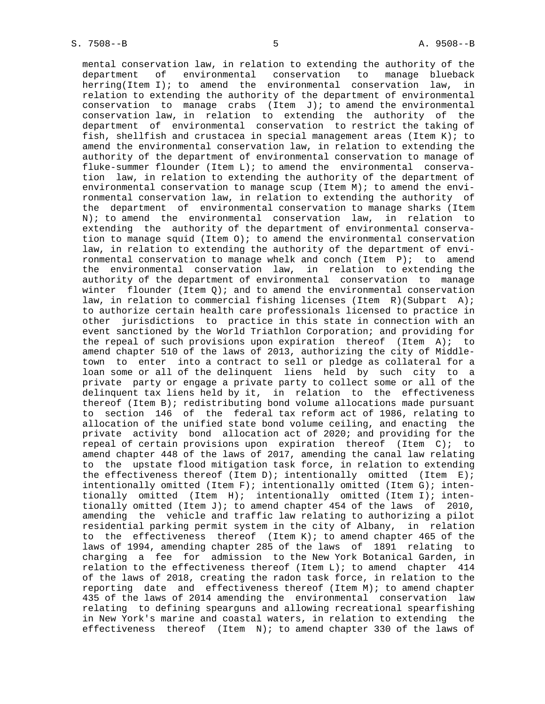mental conservation law, in relation to extending the authority of the department of environmental conservation to manage blueback herring(Item I); to amend the environmental conservation law, in relation to extending the authority of the department of environmental conservation to manage crabs (Item  $J$ ); to amend the environmental conservation law, in relation to extending the authority of the department of environmental conservation to restrict the taking of fish, shellfish and crustacea in special management areas (Item K); to amend the environmental conservation law, in relation to extending the authority of the department of environmental conservation to manage of fluke-summer flounder (Item L); to amend the environmental conserva tion law, in relation to extending the authority of the department of environmental conservation to manage scup (Item M); to amend the envi ronmental conservation law, in relation to extending the authority of the department of environmental conservation to manage sharks (Item N); to amend the environmental conservation law, in relation to extending the authority of the department of environmental conserva tion to manage squid (Item  $0$ ); to amend the environmental conservation law, in relation to extending the authority of the department of envi ronmental conservation to manage whelk and conch (Item P); to amend the environmental conservation law, in relation to extending the authority of the department of environmental conservation to manage winter flounder (Item Q); and to amend the environmental conservation law, in relation to commercial fishing licenses (Item R)(Subpart A); to authorize certain health care professionals licensed to practice in other jurisdictions to practice in this state in connection with an event sanctioned by the World Triathlon Corporation; and providing for the repeal of such provisions upon expiration thereof (Item A); to amend chapter 510 of the laws of 2013, authorizing the city of Middle town to enter into a contract to sell or pledge as collateral for a loan some or all of the delinquent liens held by such city to a private party or engage a private party to collect some or all of the delinquent tax liens held by it, in relation to the effectiveness thereof (Item B); redistributing bond volume allocations made pursuant to section 146 of the federal tax reform act of 1986, relating to allocation of the unified state bond volume ceiling, and enacting the private activity bond allocation act of 2020; and providing for the repeal of certain provisions upon expiration thereof (Item C); to amend chapter 448 of the laws of 2017, amending the canal law relating to the upstate flood mitigation task force, in relation to extending the effectiveness thereof (Item D); intentionally omitted (Item E); intentionally omitted (Item  $F$ ); intentionally omitted (Item G); inten tionally omitted (Item H); intentionally omitted (Item I); inten tionally omitted (Item J); to amend chapter 454 of the laws of 2010, amending the vehicle and traffic law relating to authorizing a pilot residential parking permit system in the city of Albany, in relation to the effectiveness thereof (Item K); to amend chapter 465 of the laws of 1994, amending chapter 285 of the laws of 1891 relating to charging a fee for admission to the New York Botanical Garden, in relation to the effectiveness thereof (Item L); to amend chapter 414 of the laws of 2018, creating the radon task force, in relation to the reporting date and effectiveness thereof (Item M); to amend chapter 435 of the laws of 2014 amending the environmental conservation law relating to defining spearguns and allowing recreational spearfishing in New York's marine and coastal waters, in relation to extending the effectiveness thereof (Item N); to amend chapter 330 of the laws of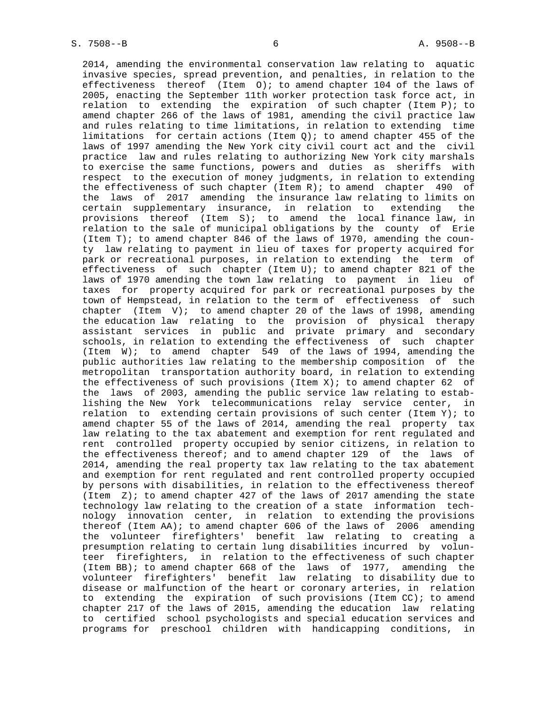2014, amending the environmental conservation law relating to aquatic invasive species, spread prevention, and penalties, in relation to the effectiveness thereof (Item O); to amend chapter 104 of the laws of 2005, enacting the September 11th worker protection task force act, in relation to extending the expiration of such chapter (Item P); to amend chapter 266 of the laws of 1981, amending the civil practice law and rules relating to time limitations, in relation to extending time limitations for certain actions (Item Q); to amend chapter 455 of the laws of 1997 amending the New York city civil court act and the civil practice law and rules relating to authorizing New York city marshals to exercise the same functions, powers and duties as sheriffs with respect to the execution of money judgments, in relation to extending the effectiveness of such chapter (Item R); to amend chapter 490 of the laws of 2017 amending the insurance law relating to limits on certain supplementary insurance, in relation to extending the provisions thereof (Item S); to amend the local finance law, in relation to the sale of municipal obligations by the county of Erie (Item T); to amend chapter 846 of the laws of 1970, amending the coun ty law relating to payment in lieu of taxes for property acquired for park or recreational purposes, in relation to extending the term of effectiveness of such chapter (Item U); to amend chapter 821 of the laws of 1970 amending the town law relating to payment in lieu of taxes for property acquired for park or recreational purposes by the town of Hempstead, in relation to the term of effectiveness of such chapter (Item  $V$ ); to amend chapter 20 of the laws of 1998, amending the education law relating to the provision of physical therapy assistant services in public and private primary and secondary schools, in relation to extending the effectiveness of such chapter (Item W); to amend chapter 549 of the laws of 1994, amending the public authorities law relating to the membership composition of the metropolitan transportation authority board, in relation to extending the effectiveness of such provisions (Item  $X$ ); to amend chapter 62 of the laws of 2003, amending the public service law relating to estab lishing the New York telecommunications relay service center, in relation to extending certain provisions of such center (Item Y); to amend chapter 55 of the laws of 2014, amending the real property tax law relating to the tax abatement and exemption for rent regulated and rent controlled property occupied by senior citizens, in relation to the effectiveness thereof; and to amend chapter 129 of the laws of 2014, amending the real property tax law relating to the tax abatement and exemption for rent regulated and rent controlled property occupied by persons with disabilities, in relation to the effectiveness thereof (Item Z); to amend chapter 427 of the laws of 2017 amending the state technology law relating to the creation of a state information tech nology innovation center, in relation to extending the provisions thereof (Item AA); to amend chapter 606 of the laws of 2006 amending the volunteer firefighters' benefit law relating to creating a presumption relating to certain lung disabilities incurred by volun teer firefighters, in relation to the effectiveness of such chapter (Item BB); to amend chapter 668 of the laws of 1977, amending the volunteer firefighters' benefit law relating to disability due to disease or malfunction of the heart or coronary arteries, in relation to extending the expiration of such provisions (Item CC); to amend chapter 217 of the laws of 2015, amending the education law relating to certified school psychologists and special education services and programs for preschool children with handicapping conditions, in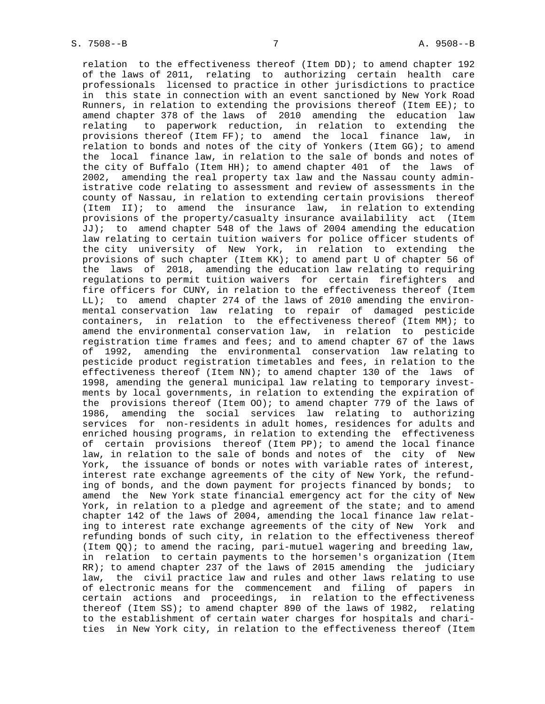relation to the effectiveness thereof (Item DD); to amend chapter 192 of the laws of 2011, relating to authorizing certain health care professionals licensed to practice in other jurisdictions to practice in this state in connection with an event sanctioned by New York Road Runners, in relation to extending the provisions thereof (Item EE); to amend chapter 378 of the laws of 2010 amending the education law relating to paperwork reduction, in relation to extending the provisions thereof (Item FF); to amend the local finance law, in relation to bonds and notes of the city of Yonkers (Item GG); to amend the local finance law, in relation to the sale of bonds and notes of the city of Buffalo (Item HH); to amend chapter 401 of the laws of 2002, amending the real property tax law and the Nassau county admin istrative code relating to assessment and review of assessments in the county of Nassau, in relation to extending certain provisions thereof (Item II); to amend the insurance law, in relation to extending provisions of the property/casualty insurance availability act (Item JJ); to amend chapter 548 of the laws of 2004 amending the education law relating to certain tuition waivers for police officer students of the city university of New York, in relation to extending the provisions of such chapter (Item KK); to amend part U of chapter 56 of the laws of 2018, amending the education law relating to requiring regulations to permit tuition waivers for certain firefighters and fire officers for CUNY, in relation to the effectiveness thereof (Item LL); to amend chapter 274 of the laws of 2010 amending the environ mental conservation law relating to repair of damaged pesticide containers, in relation to the effectiveness thereof (Item MM); to amend the environmental conservation law, in relation to pesticide registration time frames and fees; and to amend chapter 67 of the laws of 1992, amending the environmental conservation law relating to pesticide product registration timetables and fees, in relation to the effectiveness thereof (Item NN); to amend chapter 130 of the laws of 1998, amending the general municipal law relating to temporary invest ments by local governments, in relation to extending the expiration of the provisions thereof (Item OO); to amend chapter 779 of the laws of 1986, amending the social services law relating to authorizing services for non-residents in adult homes, residences for adults and enriched housing programs, in relation to extending the effectiveness of certain provisions thereof (Item PP); to amend the local finance law, in relation to the sale of bonds and notes of the city of New York, the issuance of bonds or notes with variable rates of interest, interest rate exchange agreements of the city of New York, the refund ing of bonds, and the down payment for projects financed by bonds; to amend the New York state financial emergency act for the city of New York, in relation to a pledge and agreement of the state; and to amend chapter 142 of the laws of 2004, amending the local finance law relat ing to interest rate exchange agreements of the city of New York and refunding bonds of such city, in relation to the effectiveness thereof (Item QQ); to amend the racing, pari-mutuel wagering and breeding law, in relation to certain payments to the horsemen's organization (Item RR); to amend chapter 237 of the laws of 2015 amending the judiciary law, the civil practice law and rules and other laws relating to use of electronic means for the commencement and filing of papers in certain actions and proceedings, in relation to the effectiveness thereof (Item SS); to amend chapter 890 of the laws of 1982, relating to the establishment of certain water charges for hospitals and chari ties in New York city, in relation to the effectiveness thereof (Item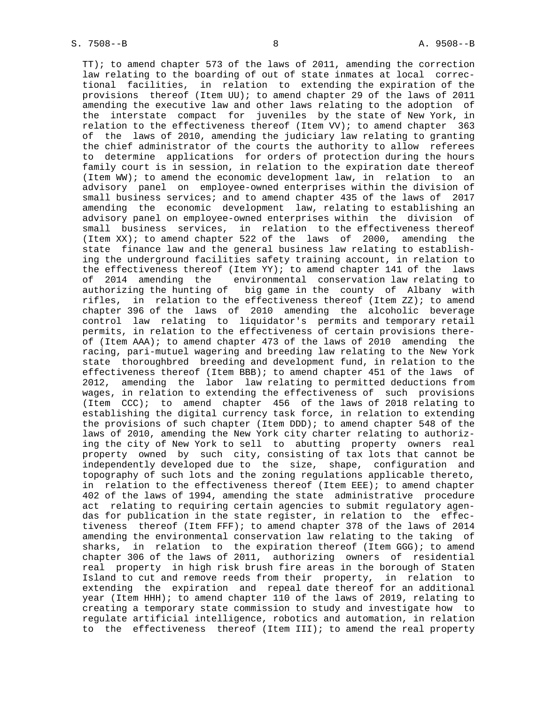TT); to amend chapter 573 of the laws of 2011, amending the correction law relating to the boarding of out of state inmates at local correc tional facilities, in relation to extending the expiration of the provisions thereof (Item UU); to amend chapter 29 of the laws of 2011 amending the executive law and other laws relating to the adoption of the interstate compact for juveniles by the state of New York, in relation to the effectiveness thereof (Item VV); to amend chapter 363 of the laws of 2010, amending the judiciary law relating to granting the chief administrator of the courts the authority to allow referees to determine applications for orders of protection during the hours family court is in session, in relation to the expiration date thereof (Item WW); to amend the economic development law, in relation to an advisory panel on employee-owned enterprises within the division of small business services; and to amend chapter 435 of the laws of 2017 amending the economic development law, relating to establishing an advisory panel on employee-owned enterprises within the division of small business services, in relation to the effectiveness thereof (Item XX); to amend chapter 522 of the laws of 2000, amending the state finance law and the general business law relating to establish ing the underground facilities safety training account, in relation to the effectiveness thereof (Item YY); to amend chapter 141 of the laws of 2014 amending the environmental conservation law relating to authorizing the hunting of big game in the county of Albany with rifles, in relation to the effectiveness thereof (Item ZZ); to amend chapter 396 of the laws of 2010 amending the alcoholic beverage control law relating to liquidator's permits and temporary retail permits, in relation to the effectiveness of certain provisions there of (Item AAA); to amend chapter 473 of the laws of 2010 amending the racing, pari-mutuel wagering and breeding law relating to the New York state thoroughbred breeding and development fund, in relation to the effectiveness thereof (Item BBB); to amend chapter 451 of the laws of 2012, amending the labor law relating to permitted deductions from wages, in relation to extending the effectiveness of such provisions (Item CCC); to amend chapter 456 of the laws of 2018 relating to establishing the digital currency task force, in relation to extending the provisions of such chapter (Item DDD); to amend chapter 548 of the laws of 2010, amending the New York city charter relating to authoriz ing the city of New York to sell to abutting property owners real property owned by such city, consisting of tax lots that cannot be independently developed due to the size, shape, configuration and topography of such lots and the zoning regulations applicable thereto, in relation to the effectiveness thereof (Item EEE); to amend chapter 402 of the laws of 1994, amending the state administrative procedure act relating to requiring certain agencies to submit regulatory agen das for publication in the state register, in relation to the effec tiveness thereof (Item FFF); to amend chapter 378 of the laws of 2014 amending the environmental conservation law relating to the taking of sharks, in relation to the expiration thereof (Item GGG); to amend chapter 306 of the laws of 2011, authorizing owners of residential real property in high risk brush fire areas in the borough of Staten Island to cut and remove reeds from their property, in relation to extending the expiration and repeal date thereof for an additional year (Item HHH); to amend chapter 110 of the laws of 2019, relating to creating a temporary state commission to study and investigate how to regulate artificial intelligence, robotics and automation, in relation to the effectiveness thereof (Item III); to amend the real property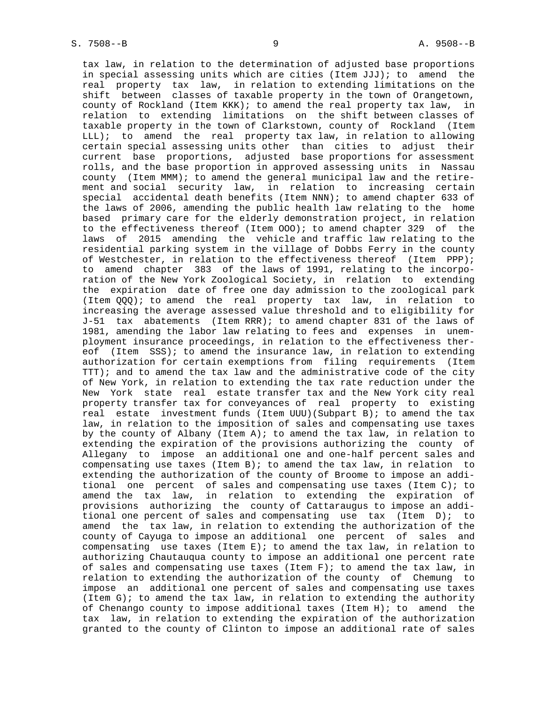tax law, in relation to the determination of adjusted base proportions in special assessing units which are cities (Item JJJ); to amend the real property tax law, in relation to extending limitations on the shift between classes of taxable property in the town of Orangetown, county of Rockland (Item KKK); to amend the real property tax law, in relation to extending limitations on the shift between classes of taxable property in the town of Clarkstown, county of Rockland (Item LLL); to amend the real property tax law, in relation to allowing certain special assessing units other than cities to adjust their current base proportions, adjusted base proportions for assessment rolls, and the base proportion in approved assessing units in Nassau county (Item MMM); to amend the general municipal law and the retire ment and social security law, in relation to increasing certain special accidental death benefits (Item NNN); to amend chapter 633 of the laws of 2006, amending the public health law relating to the home based primary care for the elderly demonstration project, in relation to the effectiveness thereof (Item OOO); to amend chapter 329 of the laws of 2015 amending the vehicle and traffic law relating to the residential parking system in the village of Dobbs Ferry in the county of Westchester, in relation to the effectiveness thereof (Item PPP); to amend chapter 383 of the laws of 1991, relating to the incorpo ration of the New York Zoological Society, in relation to extending the expiration date of free one day admission to the zoological park (Item QQQ); to amend the real property tax law, in relation to increasing the average assessed value threshold and to eligibility for J-51 tax abatements (Item RRR); to amend chapter 831 of the laws of 1981, amending the labor law relating to fees and expenses in unem ployment insurance proceedings, in relation to the effectiveness ther eof (Item SSS); to amend the insurance law, in relation to extending authorization for certain exemptions from filing requirements (Item TTT); and to amend the tax law and the administrative code of the city of New York, in relation to extending the tax rate reduction under the New York state real estate transfer tax and the New York city real property transfer tax for conveyances of real property to existing real estate investment funds (Item UUU)(Subpart B); to amend the tax law, in relation to the imposition of sales and compensating use taxes by the county of Albany (Item A); to amend the tax law, in relation to extending the expiration of the provisions authorizing the county of Allegany to impose an additional one and one-half percent sales and compensating use taxes (Item B); to amend the tax law, in relation to extending the authorization of the county of Broome to impose an addi tional one percent of sales and compensating use taxes (Item C); to amend the tax law, in relation to extending the expiration of provisions authorizing the county of Cattaraugus to impose an addi tional one percent of sales and compensating use tax (Item D); to amend the tax law, in relation to extending the authorization of the county of Cayuga to impose an additional one percent of sales and compensating use taxes (Item E); to amend the tax law, in relation to authorizing Chautauqua county to impose an additional one percent rate of sales and compensating use taxes (Item  $F$ ); to amend the tax law, in relation to extending the authorization of the county of Chemung to impose an additional one percent of sales and compensating use taxes (Item  $G$ ); to amend the tax law, in relation to extending the authority of Chenango county to impose additional taxes (Item H); to amend the tax law, in relation to extending the expiration of the authorization granted to the county of Clinton to impose an additional rate of sales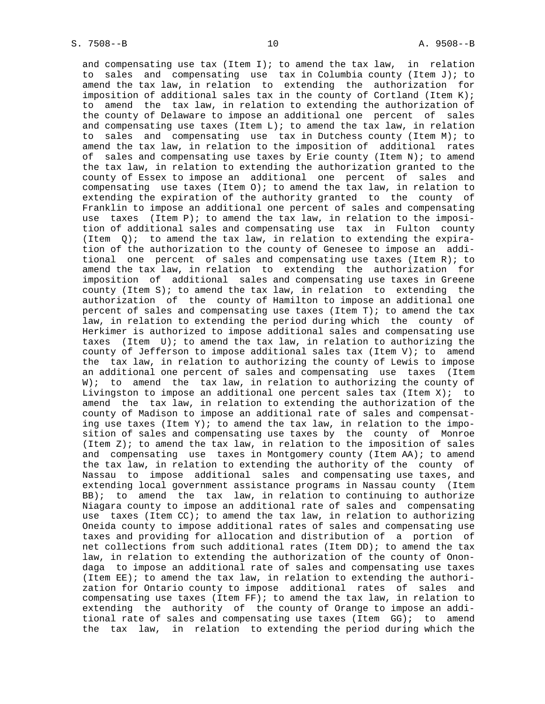and compensating use tax (Item I); to amend the tax law, in relation to sales and compensating use tax in Columbia county (Item J); to amend the tax law, in relation to extending the authorization for imposition of additional sales tax in the county of Cortland (Item K); to amend the tax law, in relation to extending the authorization of the county of Delaware to impose an additional one percent of sales and compensating use taxes (Item  $L$ ); to amend the tax law, in relation to sales and compensating use tax in Dutchess county (Item M); to amend the tax law, in relation to the imposition of additional rates of sales and compensating use taxes by Erie county (Item N); to amend the tax law, in relation to extending the authorization granted to the county of Essex to impose an additional one percent of sales and compensating use taxes (Item O); to amend the tax law, in relation to extending the expiration of the authority granted to the county of Franklin to impose an additional one percent of sales and compensating use taxes (Item P); to amend the tax law, in relation to the imposi tion of additional sales and compensating use tax in Fulton county (Item  $Q$ ); to amend the tax law, in relation to extending the expira tion of the authorization to the county of Genesee to impose an addi tional one percent of sales and compensating use taxes (Item R); to amend the tax law, in relation to extending the authorization for imposition of additional sales and compensating use taxes in Greene county (Item S); to amend the tax law, in relation to extending the authorization of the county of Hamilton to impose an additional one percent of sales and compensating use taxes (Item T); to amend the tax law, in relation to extending the period during which the county of Herkimer is authorized to impose additional sales and compensating use taxes (Item  $U$ ); to amend the tax law, in relation to authorizing the county of Jefferson to impose additional sales tax (Item  $V$ ); to amend the tax law, in relation to authorizing the county of Lewis to impose an additional one percent of sales and compensating use taxes (Item W); to amend the tax law, in relation to authorizing the county of Livingston to impose an additional one percent sales tax (Item X); to amend the tax law, in relation to extending the authorization of the county of Madison to impose an additional rate of sales and compensat ing use taxes (Item Y); to amend the tax law, in relation to the impo sition of sales and compensating use taxes by the county of Monroe (Item  $Z$ ); to amend the tax law, in relation to the imposition of sales and compensating use taxes in Montgomery county (Item AA); to amend the tax law, in relation to extending the authority of the county of Nassau to impose additional sales and compensating use taxes, and extending local government assistance programs in Nassau county (Item  $BB$ ; to amend the tax law, in relation to continuing to authorize Niagara county to impose an additional rate of sales and compensating use taxes (Item  $CC$ ); to amend the tax law, in relation to authorizing Oneida county to impose additional rates of sales and compensating use taxes and providing for allocation and distribution of a portion of net collections from such additional rates (Item DD); to amend the tax law, in relation to extending the authorization of the county of Onon daga to impose an additional rate of sales and compensating use taxes (Item EE); to amend the tax law, in relation to extending the authori zation for Ontario county to impose additional rates of sales and compensating use taxes (Item  $FF$ ); to amend the tax law, in relation to extending the authority of the county of Orange to impose an addi tional rate of sales and compensating use taxes (Item  $GG$ ); to amend the tax law, in relation to extending the period during which the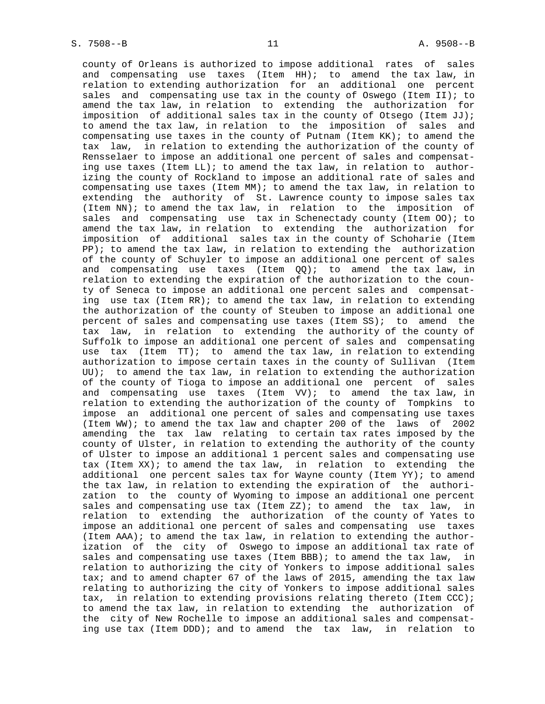county of Orleans is authorized to impose additional rates of sales and compensating use taxes (Item  $HH$ ); to amend the tax law, in relation to extending authorization for an additional one percent sales and compensating use tax in the county of Oswego (Item II); to amend the tax law, in relation to extending the authorization for imposition of additional sales tax in the county of Otsego (Item JJ); to amend the tax law, in relation to the imposition of sales and compensating use taxes in the county of Putnam (Item KK); to amend the tax law, in relation to extending the authorization of the county of Rensselaer to impose an additional one percent of sales and compensat ing use taxes (Item LL); to amend the tax law, in relation to author izing the county of Rockland to impose an additional rate of sales and compensating use taxes (Item MM); to amend the tax law, in relation to extending the authority of St. Lawrence county to impose sales tax (Item NN); to amend the tax law, in relation to the imposition of sales and compensating use tax in Schenectady county (Item OO); to amend the tax law, in relation to extending the authorization for imposition of additional sales tax in the county of Schoharie (Item PP); to amend the tax law, in relation to extending the authorization of the county of Schuyler to impose an additional one percent of sales and compensating use taxes (Item QQ); to amend the tax law, in relation to extending the expiration of the authorization to the coun ty of Seneca to impose an additional one percent sales and compensat ing use tax (Item RR); to amend the tax law, in relation to extending the authorization of the county of Steuben to impose an additional one percent of sales and compensating use taxes (Item SS); to amend the tax law, in relation to extending the authority of the county of Suffolk to impose an additional one percent of sales and compensating use tax (Item TT); to amend the tax law, in relation to extending authorization to impose certain taxes in the county of Sullivan (Item UU); to amend the tax law, in relation to extending the authorization of the county of Tioga to impose an additional one percent of sales and compensating use taxes (Item VV); to amend the tax law, in relation to extending the authorization of the county of Tompkins to impose an additional one percent of sales and compensating use taxes (Item WW); to amend the tax law and chapter 200 of the laws of 2002 amending the tax law relating to certain tax rates imposed by the county of Ulster, in relation to extending the authority of the county of Ulster to impose an additional 1 percent sales and compensating use tax (Item XX); to amend the tax law, in relation to extending the additional one percent sales tax for Wayne county (Item YY); to amend the tax law, in relation to extending the expiration of the authori zation to the county of Wyoming to impose an additional one percent sales and compensating use tax (Item ZZ); to amend the tax law, in relation to extending the authorization of the county of Yates to impose an additional one percent of sales and compensating use taxes (Item AAA); to amend the tax law, in relation to extending the author ization of the city of Oswego to impose an additional tax rate of sales and compensating use taxes (Item BBB); to amend the tax law, in relation to authorizing the city of Yonkers to impose additional sales tax; and to amend chapter 67 of the laws of 2015, amending the tax law relating to authorizing the city of Yonkers to impose additional sales tax, in relation to extending provisions relating thereto (Item CCC); to amend the tax law, in relation to extending the authorization of the city of New Rochelle to impose an additional sales and compensat ing use tax (Item DDD); and to amend the tax law, in relation to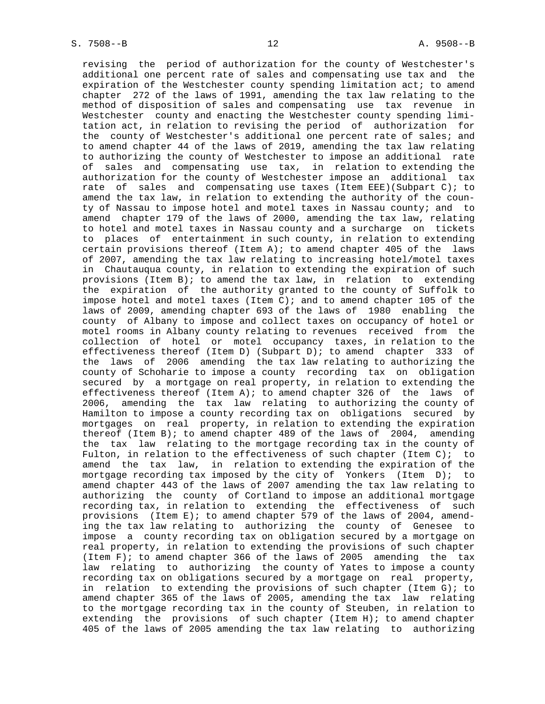revising the period of authorization for the county of Westchester's additional one percent rate of sales and compensating use tax and the expiration of the Westchester county spending limitation act; to amend chapter 272 of the laws of 1991, amending the tax law relating to the method of disposition of sales and compensating use tax revenue in Westchester county and enacting the Westchester county spending limi tation act, in relation to revising the period of authorization for the county of Westchester's additional one percent rate of sales; and to amend chapter 44 of the laws of 2019, amending the tax law relating to authorizing the county of Westchester to impose an additional rate of sales and compensating use tax, in relation to extending the authorization for the county of Westchester impose an additional tax rate of sales and compensating use taxes (Item EEE)(Subpart C); to amend the tax law, in relation to extending the authority of the coun ty of Nassau to impose hotel and motel taxes in Nassau county; and to amend chapter 179 of the laws of 2000, amending the tax law, relating to hotel and motel taxes in Nassau county and a surcharge on tickets to places of entertainment in such county, in relation to extending certain provisions thereof (Item A); to amend chapter 405 of the laws of 2007, amending the tax law relating to increasing hotel/motel taxes in Chautauqua county, in relation to extending the expiration of such provisions (Item B); to amend the tax law, in relation to extending the expiration of the authority granted to the county of Suffolk to impose hotel and motel taxes (Item C); and to amend chapter 105 of the laws of 2009, amending chapter 693 of the laws of 1980 enabling the county of Albany to impose and collect taxes on occupancy of hotel or motel rooms in Albany county relating to revenues received from the collection of hotel or motel occupancy taxes, in relation to the effectiveness thereof (Item D) (Subpart D); to amend chapter 333 of the laws of 2006 amending the tax law relating to authorizing the county of Schoharie to impose a county recording tax on obligation secured by a mortgage on real property, in relation to extending the effectiveness thereof (Item A); to amend chapter 326 of the laws of 2006, amending the tax law relating to authorizing the county of Hamilton to impose a county recording tax on obligations secured by mortgages on real property, in relation to extending the expiration thereof (Item B); to amend chapter 489 of the laws of  $2004$ , amending the tax law relating to the mortgage recording tax in the county of Fulton, in relation to the effectiveness of such chapter (Item C); to amend the tax law, in relation to extending the expiration of the mortgage recording tax imposed by the city of Yonkers (Item D); to amend chapter 443 of the laws of 2007 amending the tax law relating to authorizing the county of Cortland to impose an additional mortgage recording tax, in relation to extending the effectiveness of such provisions (Item E); to amend chapter 579 of the laws of 2004, amend ing the tax law relating to authorizing the county of Genesee to impose a county recording tax on obligation secured by a mortgage on real property, in relation to extending the provisions of such chapter (Item F); to amend chapter 366 of the laws of 2005 amending the tax law relating to authorizing the county of Yates to impose a county recording tax on obligations secured by a mortgage on real property, in relation to extending the provisions of such chapter (Item G); to amend chapter 365 of the laws of 2005, amending the tax law relating to the mortgage recording tax in the county of Steuben, in relation to extending the provisions of such chapter (Item  $H$ ); to amend chapter 405 of the laws of 2005 amending the tax law relating to authorizing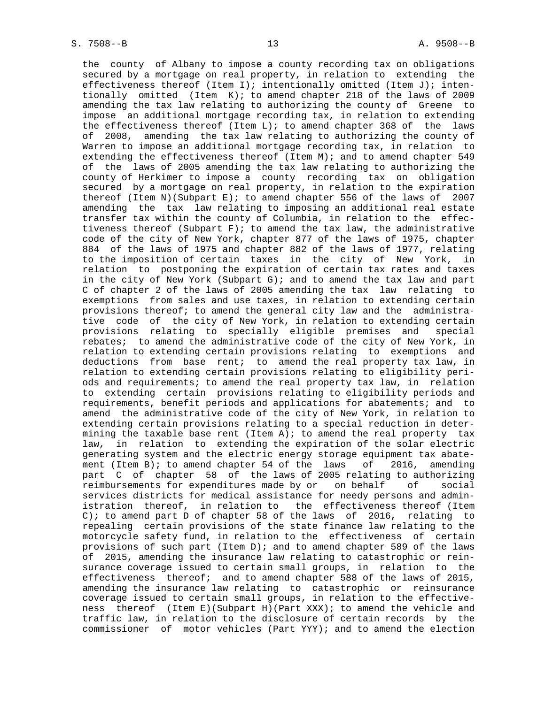the county of Albany to impose a county recording tax on obligations secured by a mortgage on real property, in relation to extending the effectiveness thereof (Item I); intentionally omitted (Item J); inten tionally omitted (Item K); to amend chapter 218 of the laws of 2009 amending the tax law relating to authorizing the county of Greene to impose an additional mortgage recording tax, in relation to extending the effectiveness thereof (Item  $L$ ); to amend chapter 368 of the laws of 2008, amending the tax law relating to authorizing the county of Warren to impose an additional mortgage recording tax, in relation to extending the effectiveness thereof (Item M); and to amend chapter 549 of the laws of 2005 amending the tax law relating to authorizing the county of Herkimer to impose a county recording tax on obligation secured by a mortgage on real property, in relation to the expiration thereof (Item N)(Subpart E); to amend chapter 556 of the laws of 2007 amending the tax law relating to imposing an additional real estate transfer tax within the county of Columbia, in relation to the effec tiveness thereof (Subpart F); to amend the tax law, the administrative code of the city of New York, chapter 877 of the laws of 1975, chapter 884 of the laws of 1975 and chapter 882 of the laws of 1977, relating to the imposition of certain taxes in the city of New York, in relation to postponing the expiration of certain tax rates and taxes in the city of New York (Subpart G); and to amend the tax law and part C of chapter 2 of the laws of 2005 amending the tax law relating to exemptions from sales and use taxes, in relation to extending certain provisions thereof; to amend the general city law and the administra tive code of the city of New York, in relation to extending certain provisions relating to specially eligible premises and special rebates; to amend the administrative code of the city of New York, in relation to extending certain provisions relating to exemptions and deductions from base rent; to amend the real property tax law, in relation to extending certain provisions relating to eligibility peri ods and requirements; to amend the real property tax law, in relation to extending certain provisions relating to eligibility periods and requirements, benefit periods and applications for abatements; and to amend the administrative code of the city of New York, in relation to extending certain provisions relating to a special reduction in deter mining the taxable base rent (Item A); to amend the real property tax law, in relation to extending the expiration of the solar electric generating system and the electric energy storage equipment tax abate ment (Item B); to amend chapter 54 of the laws of 2016, amending part C of chapter 58 of the laws of 2005 relating to authorizing reimbursements for expenditures made by or on behalf of social services districts for medical assistance for needy persons and admin istration thereof, in relation to the effectiveness thereof (Item C); to amend part D of chapter 58 of the laws of 2016, relating to repealing certain provisions of the state finance law relating to the motorcycle safety fund, in relation to the effectiveness of certain provisions of such part (Item D); and to amend chapter 589 of the laws of 2015, amending the insurance law relating to catastrophic or rein surance coverage issued to certain small groups, in relation to the effectiveness thereof; and to amend chapter 588 of the laws of 2015, amending the insurance law relating to catastrophic or reinsurance coverage issued to certain small groups, in relation to the effective ness thereof (Item E)(Subpart H)(Part XXX); to amend the vehicle and traffic law, in relation to the disclosure of certain records by the commissioner of motor vehicles (Part YYY); and to amend the election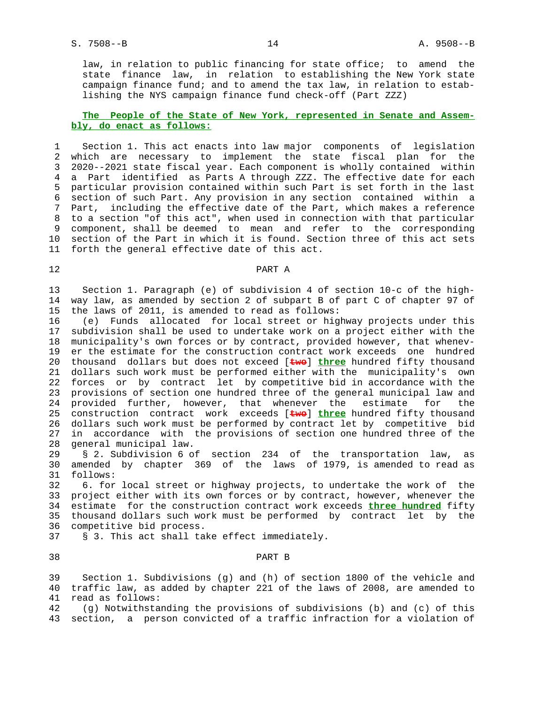law, in relation to public financing for state office; to amend the state finance law, in relation to establishing the New York state campaign finance fund; and to amend the tax law, in relation to estab lishing the NYS campaign finance fund check-off (Part ZZZ)

# **The People of the State of New York, represented in Senate and Assem bly, do enact as follows:**

 1 Section 1. This act enacts into law major components of legislation 2 which are necessary to implement the state fiscal plan for the 3 2020--2021 state fiscal year. Each component is wholly contained within 4 a Part identified as Parts A through ZZZ. The effective date for each 5 particular provision contained within such Part is set forth in the last 6 section of such Part. Any provision in any section contained within a 7 Part, including the effective date of the Part, which makes a reference 8 to a section "of this act", when used in connection with that particular 9 component, shall be deemed to mean and refer to the corresponding 10 section of the Part in which it is found. Section three of this act sets 11 forth the general effective date of this act.

#### 12 PART A

 13 Section 1. Paragraph (e) of subdivision 4 of section 10-c of the high- 14 way law, as amended by section 2 of subpart B of part C of chapter 97 of 15 the laws of 2011, is amended to read as follows:

 16 (e) Funds allocated for local street or highway projects under this 17 subdivision shall be used to undertake work on a project either with the 18 municipality's own forces or by contract, provided however, that whenev- 19 er the estimate for the construction contract work exceeds one hundred 20 thousand dollars but does not exceed [**two**] **three** hundred fifty thousand 21 dollars such work must be performed either with the municipality's own 22 forces or by contract let by competitive bid in accordance with the 23 provisions of section one hundred three of the general municipal law and 24 provided further, however, that whenever the estimate for the 25 construction contract work exceeds [**two**] **three** hundred fifty thousand 26 dollars such work must be performed by contract let by competitive bid 27 in accordance with the provisions of section one hundred three of the 28 general municipal law.

 29 § 2. Subdivision 6 of section 234 of the transportation law, as 30 amended by chapter 369 of the laws of 1979, is amended to read as 31 follows:

 32 6. for local street or highway projects, to undertake the work of the 33 project either with its own forces or by contract, however, whenever the 34 estimate for the construction contract work exceeds **three hundred** fifty 35 thousand dollars such work must be performed by contract let by the 36 competitive bid process.

37 § 3. This act shall take effect immediately.

# 38 PART B

 39 Section 1. Subdivisions (g) and (h) of section 1800 of the vehicle and 40 traffic law, as added by chapter 221 of the laws of 2008, are amended to 41 read as follows:

 42 (g) Notwithstanding the provisions of subdivisions (b) and (c) of this 43 section, a person convicted of a traffic infraction for a violation of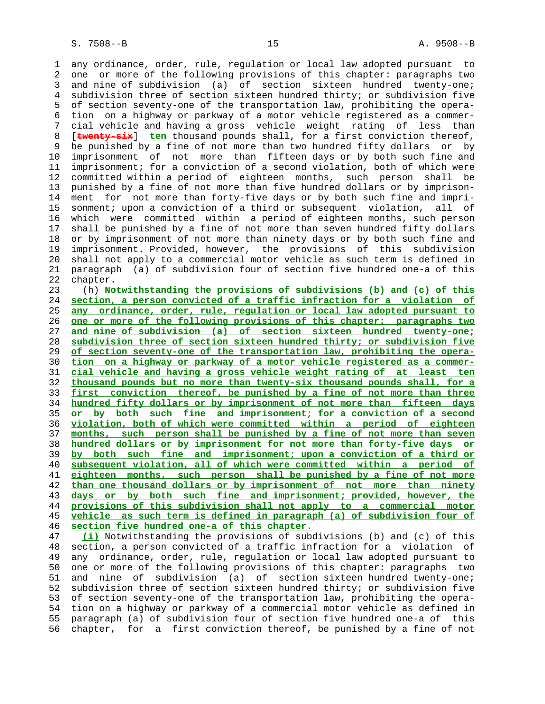1 any ordinance, order, rule, regulation or local law adopted pursuant to 2 one or more of the following provisions of this chapter: paragraphs two 3 and nine of subdivision (a) of section sixteen hundred twenty-one; 4 subdivision three of section sixteen hundred thirty; or subdivision five 5 of section seventy-one of the transportation law, prohibiting the opera- 6 tion on a highway or parkway of a motor vehicle registered as a commer- 7 cial vehicle and having a gross vehicle weight rating of less than 8 [**twenty-six**] **ten** thousand pounds shall, for a first conviction thereof, 9 be punished by a fine of not more than two hundred fifty dollars or by 10 imprisonment of not more than fifteen days or by both such fine and 11 imprisonment; for a conviction of a second violation, both of which were 12 committed within a period of eighteen months, such person shall be 13 punished by a fine of not more than five hundred dollars or by imprison- 14 ment for not more than forty-five days or by both such fine and impri- 15 sonment; upon a conviction of a third or subsequent violation, all of 16 which were committed within a period of eighteen months, such person 17 shall be punished by a fine of not more than seven hundred fifty dollars 18 or by imprisonment of not more than ninety days or by both such fine and 19 imprisonment. Provided, however, the provisions of this subdivision 20 shall not apply to a commercial motor vehicle as such term is defined in 21 paragraph (a) of subdivision four of section five hundred one-a of this 22 chapter.

 23 (h) **Notwithstanding the provisions of subdivisions (b) and (c) of this section, a person convicted of a traffic infraction for a violation of any ordinance, order, rule, regulation or local law adopted pursuant to one or more of the following provisions of this chapter: paragraphs two and nine of subdivision (a) of section sixteen hundred twenty-one; subdivision three of section sixteen hundred thirty; or subdivision five of section seventy-one of the transportation law, prohibiting the opera- tion on a highway or parkway of a motor vehicle registered as a commer- cial vehicle and having a gross vehicle weight rating of at least ten thousand pounds but no more than twenty-six thousand pounds shall, for a first conviction thereof, be punished by a fine of not more than three hundred fifty dollars or by imprisonment of not more than fifteen days or by both such fine and imprisonment; for a conviction of a second violation, both of which were committed within a period of eighteen months, such person shall be punished by a fine of not more than seven hundred dollars or by imprisonment for not more than forty-five days or by both such fine and imprisonment; upon a conviction of a third or subsequent violation, all of which were committed within a period of eighteen months, such person shall be punished by a fine of not more than one thousand dollars or by imprisonment of not more than ninety days or by both such fine and imprisonment; provided, however, the provisions of this subdivision shall not apply to a commercial motor vehicle as such term is defined in paragraph (a) of subdivision four of section five hundred one-a of this chapter.**

 47 **(i)** Notwithstanding the provisions of subdivisions (b) and (c) of this 48 section, a person convicted of a traffic infraction for a violation of 49 any ordinance, order, rule, regulation or local law adopted pursuant to 50 one or more of the following provisions of this chapter: paragraphs two 51 and nine of subdivision (a) of section sixteen hundred twenty-one; 52 subdivision three of section sixteen hundred thirty; or subdivision five 53 of section seventy-one of the transportation law, prohibiting the opera- 54 tion on a highway or parkway of a commercial motor vehicle as defined in 55 paragraph (a) of subdivision four of section five hundred one-a of this 56 chapter, for a first conviction thereof, be punished by a fine of not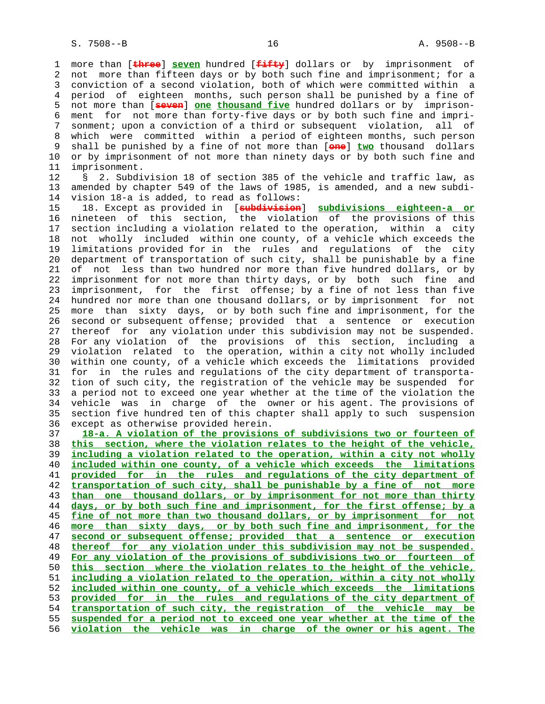1 more than [**three**] **seven** hundred [**fifty**] dollars or by imprisonment of 2 not more than fifteen days or by both such fine and imprisonment; for a 3 conviction of a second violation, both of which were committed within a 4 period of eighteen months, such person shall be punished by a fine of 5 not more than [**seven**] **one thousand five** hundred dollars or by imprison- 6 ment for not more than forty-five days or by both such fine and impri- 7 sonment; upon a conviction of a third or subsequent violation, all of 8 which were committed within a period of eighteen months, such person 9 shall be punished by a fine of not more than [**one**] **two** thousand dollars 10 or by imprisonment of not more than ninety days or by both such fine and 11 imprisonment.

 12 § 2. Subdivision 18 of section 385 of the vehicle and traffic law, as 13 amended by chapter 549 of the laws of 1985, is amended, and a new subdi- 14 vision 18-a is added, to read as follows:

 15 18. Except as provided in [**subdivision**] **subdivisions eighteen-a or** 16 nineteen of this section, the violation of the provisions of this 17 section including a violation related to the operation, within a city 18 not wholly included within one county, of a vehicle which exceeds the 19 limitations provided for in the rules and regulations of the city 20 department of transportation of such city, shall be punishable by a fine 21 of not less than two hundred nor more than five hundred dollars, or by 22 imprisonment for not more than thirty days, or by both such fine and 23 imprisonment, for the first offense; by a fine of not less than five 24 hundred nor more than one thousand dollars, or by imprisonment for not 25 more than sixty days, or by both such fine and imprisonment, for the 26 second or subsequent offense; provided that a sentence or execution 27 thereof for any violation under this subdivision may not be suspended. 28 For any violation of the provisions of this section, including a 29 violation related to the operation, within a city not wholly included 30 within one county, of a vehicle which exceeds the limitations provided 31 for in the rules and regulations of the city department of transporta- 32 tion of such city, the registration of the vehicle may be suspended for 33 a period not to exceed one year whether at the time of the violation the 34 vehicle was in charge of the owner or his agent. The provisions of 35 section five hundred ten of this chapter shall apply to such suspension 36 except as otherwise provided herein.

**18-a. A violation of the provisions of subdivisions two or fourteen of this section, where the violation relates to the height of the vehicle, including a violation related to the operation, within a city not wholly included within one county, of a vehicle which exceeds the limitations provided for in the rules and regulations of the city department of transportation of such city, shall be punishable by a fine of not more than one thousand dollars, or by imprisonment for not more than thirty days, or by both such fine and imprisonment, for the first offense; by a fine of not more than two thousand dollars, or by imprisonment for not more than sixty days, or by both such fine and imprisonment, for the second or subsequent offense; provided that a sentence or execution thereof for any violation under this subdivision may not be suspended. For any violation of the provisions of subdivisions two or fourteen of this section where the violation relates to the height of the vehicle, including a violation related to the operation, within a city not wholly included within one county, of a vehicle which exceeds the limitations provided for in the rules and regulations of the city department of transportation of such city, the registration of the vehicle may be suspended for a period not to exceed one year whether at the time of the violation the vehicle was in charge of the owner or his agent. The**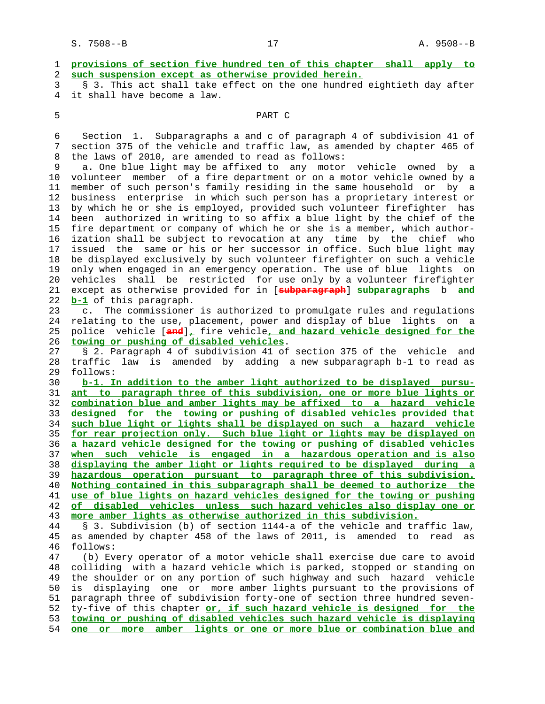|  |  |  |  |  |  |                                                        | 1 provisions of section five hundred ten of this chapter shall apply to |  |
|--|--|--|--|--|--|--------------------------------------------------------|-------------------------------------------------------------------------|--|
|  |  |  |  |  |  | 2 such suspension except as otherwise provided herein. |                                                                         |  |
|  |  |  |  |  |  |                                                        | § 3. This act shall take effect on the one hundred eightieth day after  |  |

on the one hundred eigntieth day afte: 4 it shall have become a law.

### 5 PART C

 6 Section 1. Subparagraphs a and c of paragraph 4 of subdivision 41 of section 375 of the vehicle and traffic law, as amended by chapter 465 of 8 the laws of 2010, are amended to read as follows:

 9 a. One blue light may be affixed to any motor vehicle owned by a 10 volunteer member of a fire department or on a motor vehicle owned by a 11 member of such person's family residing in the same household or by a 12 business enterprise in which such person has a proprietary interest or 13 by which he or she is employed, provided such volunteer firefighter has 14 been authorized in writing to so affix a blue light by the chief of the 15 fire department or company of which he or she is a member, which author- 16 ization shall be subject to revocation at any time by the chief who 17 issued the same or his or her successor in office. Such blue light may 18 be displayed exclusively by such volunteer firefighter on such a vehicle 19 only when engaged in an emergency operation. The use of blue lights on 20 vehicles shall be restricted for use only by a volunteer firefighter 21 except as otherwise provided for in [**subparagraph**] **subparagraphs** b **and** 22 **b-1** of this paragraph.

 23 c. The commissioner is authorized to promulgate rules and regulations 24 relating to the use, placement, power and display of blue lights on a 25 police vehicle [**and**]**,** fire vehicle**, and hazard vehicle designed for the** 26 **towing or pushing of disabled vehicles**.

 27 § 2. Paragraph 4 of subdivision 41 of section 375 of the vehicle and 28 traffic law is amended by adding a new subparagraph b-1 to read as 29 follows:

**b-1. In addition to the amber light authorized to be displayed pursu- ant to paragraph three of this subdivision, one or more blue lights or combination blue and amber lights may be affixed to a hazard vehicle designed for the towing or pushing of disabled vehicles provided that such blue light or lights shall be displayed on such a hazard vehicle for rear projection only. Such blue light or lights may be displayed on a hazard vehicle designed for the towing or pushing of disabled vehicles when such vehicle is engaged in a hazardous operation and is also displaying the amber light or lights required to be displayed during a hazardous operation pursuant to paragraph three of this subdivision. Nothing contained in this subparagraph shall be deemed to authorize the use of blue lights on hazard vehicles designed for the towing or pushing of disabled vehicles unless such hazard vehicles also display one or more amber lights as otherwise authorized in this subdivision.**

 44 § 3. Subdivision (b) of section 1144-a of the vehicle and traffic law, 45 as amended by chapter 458 of the laws of 2011, is amended to read as 46 follows:<br>47 (b) Ev

(b) Every operator of a motor vehicle shall exercise due care to avoid 48 colliding with a hazard vehicle which is parked, stopped or standing on 49 the shoulder or on any portion of such highway and such hazard vehicle 50 is displaying one or more amber lights pursuant to the provisions of 51 paragraph three of subdivision forty-one of section three hundred seven- 52 ty-five of this chapter **or, if such hazard vehicle is designed for the** 53 **towing or pushing of disabled vehicles such hazard vehicle is displaying** 54 **one or more amber lights or one or more blue or combination blue and**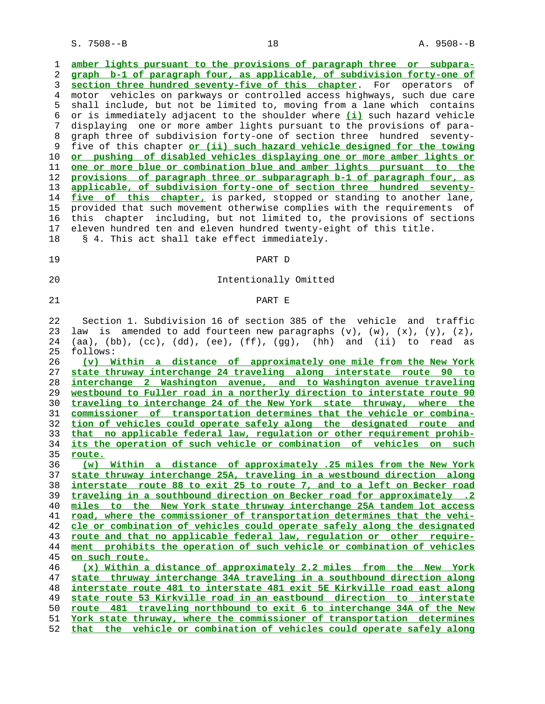S. 7508--B 18 A. 9508--B

**amber lights pursuant to the provisions of paragraph three or subpara- graph b-1 of paragraph four, as applicable, of subdivision forty-one of section three hundred seventy-five of this chapter**. For operators of 4 motor vehicles on parkways or controlled access highways, such due care 5 shall include, but not be limited to, moving from a lane which contains 6 or is immediately adjacent to the shoulder where **(i)** such hazard vehicle 7 displaying one or more amber lights pursuant to the provisions of para- 8 graph three of subdivision forty-one of section three hundred seventy- 9 five of this chapter **or (ii) such hazard vehicle designed for the towing or pushing of disabled vehicles displaying one or more amber lights or one or more blue or combination blue and amber lights pursuant to the provisions of paragraph three or subparagraph b-1 of paragraph four, as applicable, of subdivision forty-one of section three hundred seventy- five of this chapter,** is parked, stopped or standing to another lane, 15 provided that such movement otherwise complies with the requirements of 16 this chapter including, but not limited to, the provisions of sections 17 eleven hundred ten and eleven hundred twenty-eight of this title. 18 § 4. This act shall take effect immediately. 19 PART D 20 Intentionally Omitted 21 PART E 22 Section 1. Subdivision 16 of section 385 of the vehicle and traffic 23 law is amended to add fourteen new paragraphs  $(v)$ ,  $(w)$ ,  $(x)$ ,  $(y)$ ,  $(z)$ , 24 (aa), (bb), (cc), (dd), (ee), (ff), (gg), (hh) and (ii) to read as 25 follows: **(v) Within a distance of approximately one mile from the New York state thruway interchange 24 traveling along interstate route 90 to interchange 2 Washington avenue, and to Washington avenue traveling westbound to Fuller road in a northerly direction to interstate route 90 traveling to interchange 24 of the New York state thruway, where the commissioner of transportation determines that the vehicle or combina- tion of vehicles could operate safely along the designated route and that no applicable federal law, regulation or other requirement prohib- its the operation of such vehicle or combination of vehicles on such route. (w) Within a distance of approximately .25 miles from the New York state thruway interchange 25A, traveling in a westbound direction along interstate route 88 to exit 25 to route 7, and to a left on Becker road traveling in a southbound direction on Becker road for approximately .2 miles to the New York state thruway interchange 25A tandem lot access road, where the commissioner of transportation determines that the vehi- cle or combination of vehicles could operate safely along the designated route and that no applicable federal law, regulation or other require- ment prohibits the operation of such vehicle or combination of vehicles on such route. (x) Within a distance of approximately 2.2 miles from the New York state thruway interchange 34A traveling in a southbound direction along interstate route 481 to interstate 481 exit 5E Kirkville road east along state route 53 Kirkville road in an eastbound direction to interstate route 481 traveling northbound to exit 6 to interchange 34A of the New York state thruway, where the commissioner of transportation determines that the vehicle or combination of vehicles could operate safely along**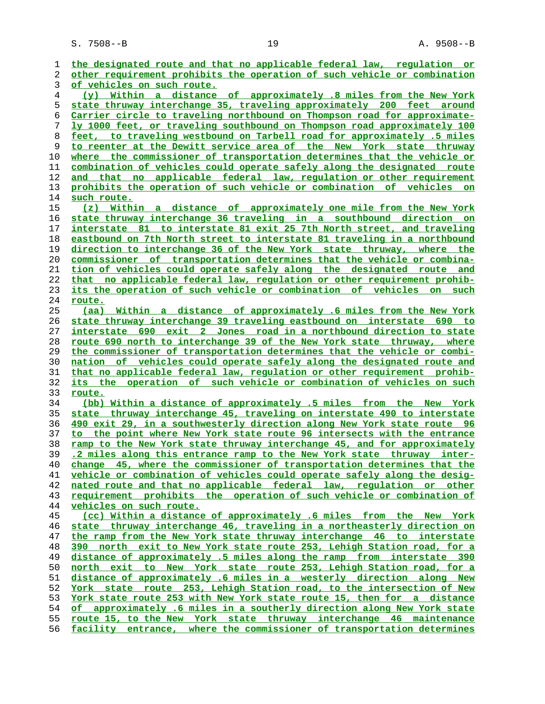S. 7508--B 19 A. 9508--B

**the designated route and that no applicable federal law, regulation or other requirement prohibits the operation of such vehicle or combination of vehicles on such route. (y) Within a distance of approximately .8 miles from the New York state thruway interchange 35, traveling approximately 200 feet around Carrier circle to traveling northbound on Thompson road for approximate- ly 1000 feet, or traveling southbound on Thompson road approximately 100 feet, to traveling westbound on Tarbell road for approximately .5 miles to reenter at the Dewitt service area of the New York state thruway where the commissioner of transportation determines that the vehicle or combination of vehicles could operate safely along the designated route and that no applicable federal law, regulation or other requirement prohibits the operation of such vehicle or combination of vehicles on such route. (z) Within a distance of approximately one mile from the New York state thruway interchange 36 traveling in a southbound direction on interstate 81 to interstate 81 exit 25 7th North street, and traveling eastbound on 7th North street to interstate 81 traveling in a northbound direction to interchange 36 of the New York state thruway, where the commissioner of transportation determines that the vehicle or combina- tion of vehicles could operate safely along the designated route and that no applicable federal law, regulation or other requirement prohib- its the operation of such vehicle or combination of vehicles on such route. (aa) Within a distance of approximately .6 miles from the New York state thruway interchange 39 traveling eastbound on interstate 690 to interstate 690 exit 2 Jones road in a northbound direction to state route 690 north to interchange 39 of the New York state thruway, where the commissioner of transportation determines that the vehicle or combi- nation of vehicles could operate safely along the designated route and that no applicable federal law, regulation or other requirement prohib- its the operation of such vehicle or combination of vehicles on such route. (bb) Within a distance of approximately .5 miles from the New York state thruway interchange 45, traveling on interstate 490 to interstate 490 exit 29, in a southwesterly direction along New York state route 96 to the point where New York state route 96 intersects with the entrance ramp to the New York state thruway interchange 45, and for approximately .2 miles along this entrance ramp to the New York state thruway inter- change 45, where the commissioner of transportation determines that the vehicle or combination of vehicles could operate safely along the desig- nated route and that no applicable federal law, regulation or other requirement prohibits the operation of such vehicle or combination of vehicles on such route. (cc) Within a distance of approximately .6 miles from the New York state thruway interchange 46, traveling in a northeasterly direction on the ramp from the New York state thruway interchange 46 to interstate 390 north exit to New York state route 253, Lehigh Station road, for a distance of approximately .5 miles along the ramp from interstate 390 north exit to New York state route 253, Lehigh Station road, for a distance of approximately .6 miles in a westerly direction along New York state route 253, Lehigh Station road, to the intersection of New York state route 253 with New York state route 15, then for a distance of approximately .6 miles in a southerly direction along New York state route 15, to the New York state thruway interchange 46 maintenance facility entrance, where the commissioner of transportation determines**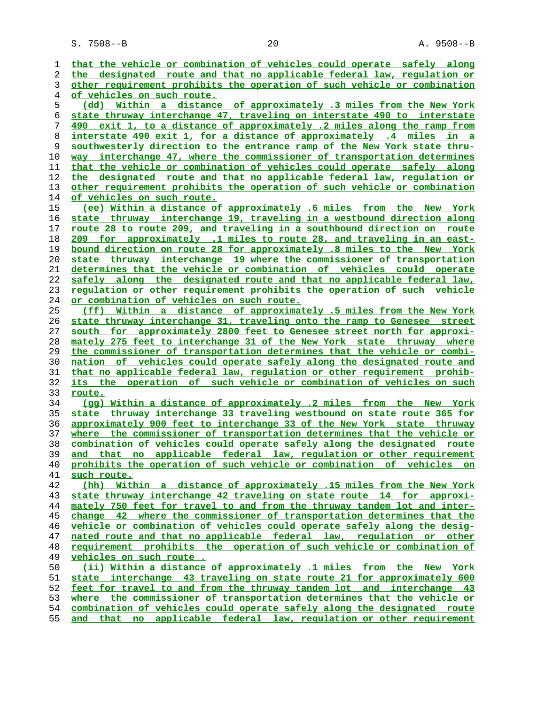S. 7508--B 20 A. 9508--B

**that the vehicle or combination of vehicles could operate safely along the designated route and that no applicable federal law, regulation or other requirement prohibits the operation of such vehicle or combination of vehicles on such route. (dd) Within a distance of approximately .3 miles from the New York state thruway interchange 47, traveling on interstate 490 to interstate 490 exit 1, to a distance of approximately .2 miles along the ramp from interstate 490 exit 1, for a distance of approximately .4 miles in a southwesterly direction to the entrance ramp of the New York state thru- way interchange 47, where the commissioner of transportation determines that the vehicle or combination of vehicles could operate safely along the designated route and that no applicable federal law, regulation or other requirement prohibits the operation of such vehicle or combination** of vehicles on such route. **(ee) Within a distance of approximately .6 miles from the New York state thruway interchange 19, traveling in a westbound direction along route 28 to route 209, and traveling in a southbound direction on route 209 for approximately .1 miles to route 28, and traveling in an east- bound direction on route 28 for approximately .8 miles to the New York state thruway interchange 19 where the commissioner of transportation determines that the vehicle or combination of vehicles could operate safely along the designated route and that no applicable federal law, regulation or other requirement prohibits the operation of such vehicle or combination of vehicles on such route. (ff) Within a distance of approximately .5 miles from the New York state thruway interchange 31, traveling onto the ramp to Genesee street south for approximately 2800 feet to Genesee street north for approxi- mately 275 feet to interchange 31 of the New York state thruway where the commissioner of transportation determines that the vehicle or combi- nation of vehicles could operate safely along the designated route and that no applicable federal law, regulation or other requirement prohib- its the operation of such vehicle or combination of vehicles on such route. (gg) Within a distance of approximately .2 miles from the New York state thruway interchange 33 traveling westbound on state route 365 for approximately 900 feet to interchange 33 of the New York state thruway where the commissioner of transportation determines that the vehicle or combination of vehicles could operate safely along the designated route and that no applicable federal law, regulation or other requirement prohibits the operation of such vehicle or combination of vehicles on such route. (hh) Within a distance of approximately .15 miles from the New York state thruway interchange 42 traveling on state route 14 for approxi- mately 750 feet for travel to and from the thruway tandem lot and inter- change 42 where the commissioner of transportation determines that the vehicle or combination of vehicles could operate safely along the desig- nated route and that no applicable federal law, regulation or other requirement prohibits the operation of such vehicle or combination of vehicles on such route . (ii) Within a distance of approximately .1 miles from the New York state interchange 43 traveling on state route 21 for approximately 600 feet for travel to and from the thruway tandem lot and interchange 43 where the commissioner of transportation determines that the vehicle or combination of vehicles could operate safely along the designated route**

**and that no applicable federal law, regulation or other requirement**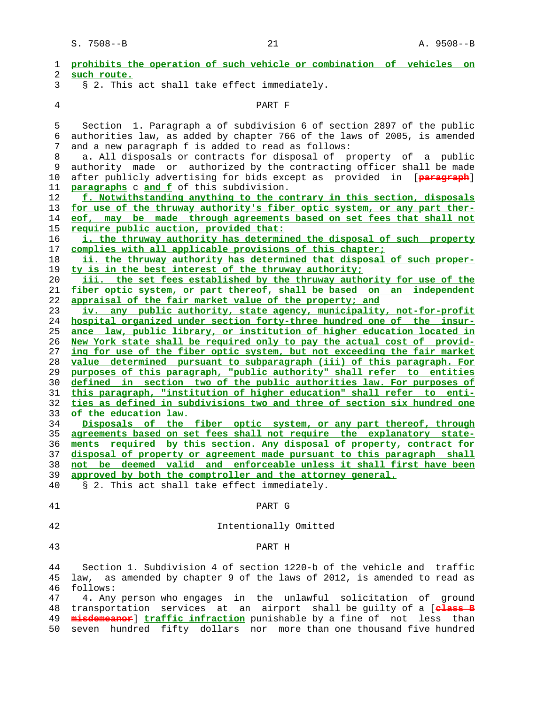| 1<br>2                      | prohibits the operation of such vehicle or combination of vehicles on<br>such route.                                                                                                                                                                                                                                                                                                                                            |
|-----------------------------|---------------------------------------------------------------------------------------------------------------------------------------------------------------------------------------------------------------------------------------------------------------------------------------------------------------------------------------------------------------------------------------------------------------------------------|
| 3                           | § 2. This act shall take effect immediately.                                                                                                                                                                                                                                                                                                                                                                                    |
| 4                           | PART F                                                                                                                                                                                                                                                                                                                                                                                                                          |
| 5<br>6<br>7<br>8<br>9<br>10 | Section 1. Paragraph a of subdivision 6 of section 2897 of the public<br>authorities law, as added by chapter 766 of the laws of 2005, is amended<br>and a new paragraph f is added to read as follows:<br>a. All disposals or contracts for disposal of property of a public<br>authority made or authorized by the contracting officer shall be made<br>after publicly advertising for bids except as provided in [paragraph] |
| 11<br>12                    | paragraphs c and f of this subdivision.<br>f. Notwithstanding anything to the contrary in this section, disposals                                                                                                                                                                                                                                                                                                               |
| 13<br>14                    | for use of the thruway authority's fiber optic system, or any part ther-<br>eof, may be made through agreements based on set fees that shall not                                                                                                                                                                                                                                                                                |
| 15                          | require public auction, provided that:                                                                                                                                                                                                                                                                                                                                                                                          |
| 16<br>17                    | i. the thruway authority has determined the disposal of such property<br>complies with all applicable provisions of this chapter;                                                                                                                                                                                                                                                                                               |
| 18                          | ii. the thruway authority has determined that disposal of such proper-                                                                                                                                                                                                                                                                                                                                                          |
| 19                          | ty is in the best interest of the thruway authority;                                                                                                                                                                                                                                                                                                                                                                            |
| 20                          | iii. the set fees established by the thruway authority for use of the                                                                                                                                                                                                                                                                                                                                                           |
| 21                          | fiber optic system, or part thereof, shall be based on an independent                                                                                                                                                                                                                                                                                                                                                           |
| 22                          | appraisal of the fair market value of the property; and                                                                                                                                                                                                                                                                                                                                                                         |
| 23                          | iv. any public authority, state agency, municipality, not-for-profit                                                                                                                                                                                                                                                                                                                                                            |
| 24                          | hospital organized under section forty-three hundred one of the insur-                                                                                                                                                                                                                                                                                                                                                          |
| 25<br>26                    | ance law, public library, or institution of higher education located in<br>New York state shall be required only to pay the actual cost of provid-                                                                                                                                                                                                                                                                              |
| 27                          | ing for use of the fiber optic system, but not exceeding the fair market                                                                                                                                                                                                                                                                                                                                                        |
| 28                          | value determined pursuant to subparagraph (iii) of this paragraph. For                                                                                                                                                                                                                                                                                                                                                          |
| 29                          | purposes of this paragraph, "public authority" shall refer to entities                                                                                                                                                                                                                                                                                                                                                          |
| 30                          | defined in section two of the public authorities law. For purposes of                                                                                                                                                                                                                                                                                                                                                           |
| 31                          | this paragraph, "institution of higher education" shall refer to enti-                                                                                                                                                                                                                                                                                                                                                          |
| 32                          | ties as defined in subdivisions two and three of section six hundred one                                                                                                                                                                                                                                                                                                                                                        |
| 33<br>34                    | of the education law.<br>Disposals of the fiber optic system, or any part thereof, through                                                                                                                                                                                                                                                                                                                                      |
| 35                          | agreements based on set fees shall not require the explanatory state-                                                                                                                                                                                                                                                                                                                                                           |
| 36                          | ments required by this section. Any disposal of property, contract for                                                                                                                                                                                                                                                                                                                                                          |
| 37                          | disposal of property or agreement made pursuant to this paragraph shall                                                                                                                                                                                                                                                                                                                                                         |
| 38                          | not be deemed valid and enforceable unless it shall first have been                                                                                                                                                                                                                                                                                                                                                             |
| 39                          | approved by both the comptroller and the attorney general.                                                                                                                                                                                                                                                                                                                                                                      |
| 40                          | § 2. This act shall take effect immediately.                                                                                                                                                                                                                                                                                                                                                                                    |
| 41                          | PART G                                                                                                                                                                                                                                                                                                                                                                                                                          |
| 42                          | Intentionally Omitted                                                                                                                                                                                                                                                                                                                                                                                                           |
| 43                          | PART H                                                                                                                                                                                                                                                                                                                                                                                                                          |
| 44<br>45<br>46              | Section 1. Subdivision 4 of section 1220-b of the vehicle and traffic<br>law, as amended by chapter 9 of the laws of 2012, is amended to read as<br>follows:                                                                                                                                                                                                                                                                    |
| 47                          | 4. Any person who engages in the unlawful solicitation of ground                                                                                                                                                                                                                                                                                                                                                                |
| 48                          | transportation services at an airport shall be guilty of a [dlass B                                                                                                                                                                                                                                                                                                                                                             |
| 49                          | misdemeanor] traffic infraction punishable by a fine of not less than                                                                                                                                                                                                                                                                                                                                                           |
| 50                          | hundred fifty dollars nor more than one thousand five hundred<br>seven                                                                                                                                                                                                                                                                                                                                                          |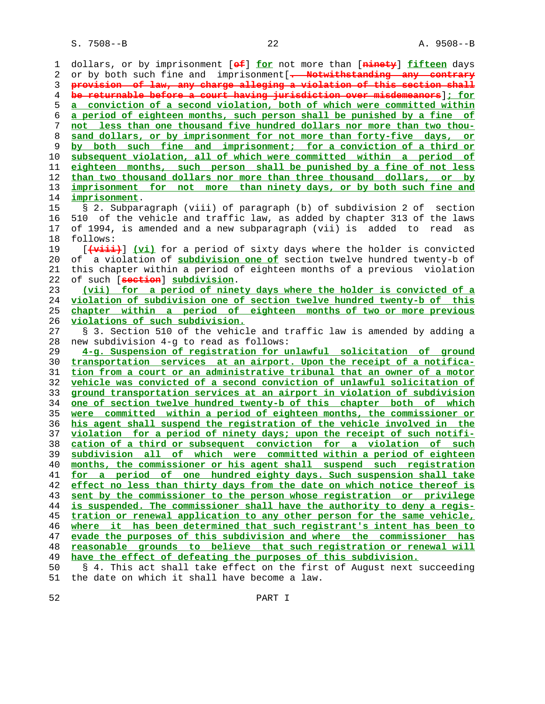S. 7508--B 22 A. 9508--B

 1 dollars, or by imprisonment [**of**] **for** not more than [**ninety**] **fifteen** days 2 or by both such fine and imprisonment[**. Notwithstanding any contrary provision of law, any charge alleging a violation of this section shall be returnable before a court having jurisdiction over misdemeanors**]**; for a conviction of a second violation, both of which were committed within a period of eighteen months, such person shall be punished by a fine of not less than one thousand five hundred dollars nor more than two thou- sand dollars, or by imprisonment for not more than forty-five days, or by both such fine and imprisonment; for a conviction of a third or subsequent violation, all of which were committed within a period of eighteen months, such person shall be punished by a fine of not less than two thousand dollars nor more than three thousand dollars, or by imprisonment for not more than ninety days, or by both such fine and imprisonment**. 15 § 2. Subparagraph (viii) of paragraph (b) of subdivision 2 of section 16 510 of the vehicle and traffic law, as added by chapter 313 of the laws 17 of 1994, is amended and a new subparagraph (vii) is added to read as 18 follows: 19 [**(viii)**] **(vi)** for a period of sixty days where the holder is convicted 20 of a violation of **subdivision one of** section twelve hundred twenty-b of 21 this chapter within a period of eighteen months of a previous violation 22 of such [**section**] **subdivision**. **(vii) for a period of ninety days where the holder is convicted of a violation of subdivision one of section twelve hundred twenty-b of this chapter within a period of eighteen months of two or more previous violations of such subdivision.** 27 § 3. Section 510 of the vehicle and traffic law is amended by adding a 28 new subdivision 4-g to read as follows: **4-g. Suspension of registration for unlawful solicitation of ground transportation services at an airport. Upon the receipt of a notifica- tion from a court or an administrative tribunal that an owner of a motor vehicle was convicted of a second conviction of unlawful solicitation of ground transportation services at an airport in violation of subdivision one of section twelve hundred twenty-b of this chapter both of which were committed within a period of eighteen months, the commissioner or his agent shall suspend the registration of the vehicle involved in the violation for a period of ninety days; upon the receipt of such notifi- cation of a third or subsequent conviction for a violation of such subdivision all of which were committed within a period of eighteen months, the commissioner or his agent shall suspend such registration for a period of one hundred eighty days. Such suspension shall take effect no less than thirty days from the date on which notice thereof is sent by the commissioner to the person whose registration or privilege is suspended. The commissioner shall have the authority to deny a regis- tration or renewal application to any other person for the same vehicle, where it has been determined that such registrant's intent has been to evade the purposes of this subdivision and where the commissioner has reasonable grounds to believe that such registration or renewal will have the effect of defeating the purposes of this subdivision.** 50 § 4. This act shall take effect on the first of August next succeeding

51 the date on which it shall have become a law.

52 PART I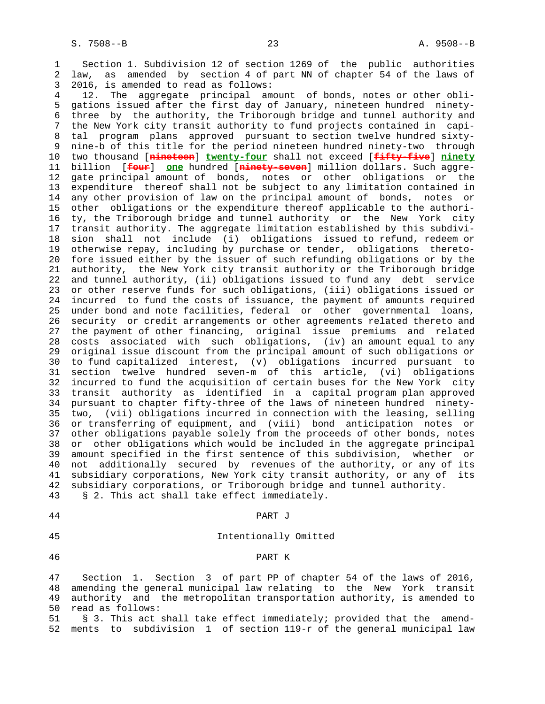1 Section 1. Subdivision 12 of section 1269 of the public authorities 2 law, as amended by section 4 of part NN of chapter 54 of the laws of 3 2016, is amended to read as follows:

 4 12. The aggregate principal amount of bonds, notes or other obli- 5 gations issued after the first day of January, nineteen hundred ninety- 6 three by the authority, the Triborough bridge and tunnel authority and 7 the New York city transit authority to fund projects contained in capi- 8 tal program plans approved pursuant to section twelve hundred sixty- 9 nine-b of this title for the period nineteen hundred ninety-two through 10 two thousand [**nineteen**] **twenty-four** shall not exceed [**fifty-five**] **ninety** 11 billion [**four**] **one** hundred [**ninety-seven**] million dollars. Such aggre- 12 gate principal amount of bonds, notes or other obligations or the 13 expenditure thereof shall not be subject to any limitation contained in 14 any other provision of law on the principal amount of bonds, notes or 15 other obligations or the expenditure thereof applicable to the authori- 16 ty, the Triborough bridge and tunnel authority or the New York city 17 transit authority. The aggregate limitation established by this subdivi- 18 sion shall not include (i) obligations issued to refund, redeem or 19 otherwise repay, including by purchase or tender, obligations thereto- 20 fore issued either by the issuer of such refunding obligations or by the 21 authority, the New York city transit authority or the Triborough bridge 22 and tunnel authority, (ii) obligations issued to fund any debt service 23 or other reserve funds for such obligations, (iii) obligations issued or 24 incurred to fund the costs of issuance, the payment of amounts required 25 under bond and note facilities, federal or other governmental loans, 26 security or credit arrangements or other agreements related thereto and 27 the payment of other financing, original issue premiums and related 28 costs associated with such obligations, (iv) an amount equal to any 29 original issue discount from the principal amount of such obligations or 30 to fund capitalized interest, (v) obligations incurred pursuant to 31 section twelve hundred seven-m of this article, (vi) obligations 32 incurred to fund the acquisition of certain buses for the New York city 33 transit authority as identified in a capital program plan approved 34 pursuant to chapter fifty-three of the laws of nineteen hundred ninety- 35 two, (vii) obligations incurred in connection with the leasing, selling 36 or transferring of equipment, and (viii) bond anticipation notes or 37 other obligations payable solely from the proceeds of other bonds, notes 38 or other obligations which would be included in the aggregate principal 39 amount specified in the first sentence of this subdivision, whether or 40 not additionally secured by revenues of the authority, or any of its 41 subsidiary corporations, New York city transit authority, or any of its 42 subsidiary corporations, or Triborough bridge and tunnel authority.

43 § 2. This act shall take effect immediately.

44 PART J

## 45 Intentionally Omitted

#### 46 PART K

 47 Section 1. Section 3 of part PP of chapter 54 of the laws of 2016, 48 amending the general municipal law relating to the New York transit 49 authority and the metropolitan transportation authority, is amended to 50 read as follows:

 51 § 3. This act shall take effect immediately; provided that the amend- 52 ments to subdivision 1 of section 119-r of the general municipal law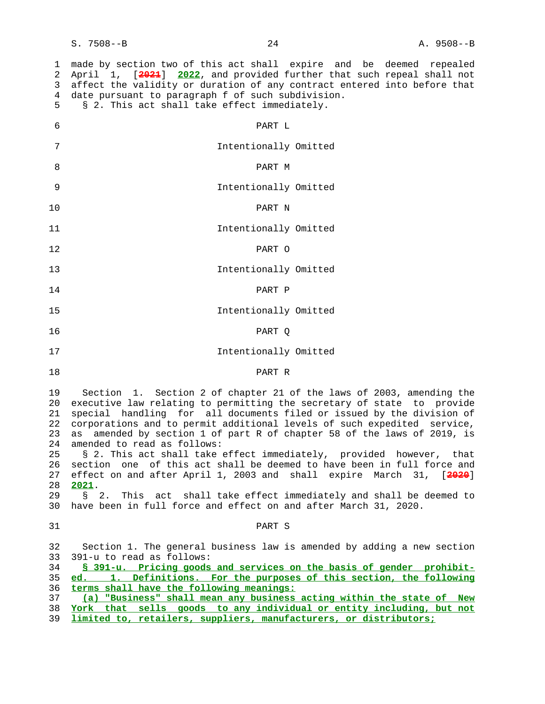1 made by section two of this act shall expire and be deemed repealed 2 April 1, [**2021**] **2022**, and provided further that such repeal shall not 3 affect the validity or duration of any contract entered into before that 4 date pursuant to paragraph f of such subdivision. 5 § 2. This act shall take effect immediately.

 6 PART L 7 Intentionally Omitted 8 PART M 9 Intentionally Omitted 10 PART N 11 11 Intentionally Omitted 12 PART O 13 Intentionally Omitted 14 PART P 15 Intentionally Omitted 16 PART Q

17 Intentionally Omitted

18 PART R

 19 Section 1. Section 2 of chapter 21 of the laws of 2003, amending the 20 executive law relating to permitting the secretary of state to provide 21 special handling for all documents filed or issued by the division of 22 corporations and to permit additional levels of such expedited service, 23 as amended by section 1 of part R of chapter 58 of the laws of 2019, is 24 amended to read as follows:<br>25 § 2. This act shall take

§ 2. This act shall take effect immediately, provided however, that 26 section one of this act shall be deemed to have been in full force and 27 effect on and after April 1, 2003 and shall expire March 31, [**2020**] 28 **2021**.

 29 § 2. This act shall take effect immediately and shall be deemed to 30 have been in full force and effect on and after March 31, 2020.

31 PART S

 32 Section 1. The general business law is amended by adding a new section 33 391-u to read as follows:

 34 **§ 391-u. Pricing goods and services on the basis of gender prohibit-** 35 **ed. 1. Definitions. For the purposes of this section, the following** 36 **terms shall have the following meanings:**

|  |  |  | (a) "Business" shall mean any business acting within the state of New   |  |  |  |
|--|--|--|-------------------------------------------------------------------------|--|--|--|
|  |  |  | 38 York that sells goods to any individual or entity including, but not |  |  |  |
|  |  |  | 39 limited to, retailers, suppliers, manufacturers, or distributors;    |  |  |  |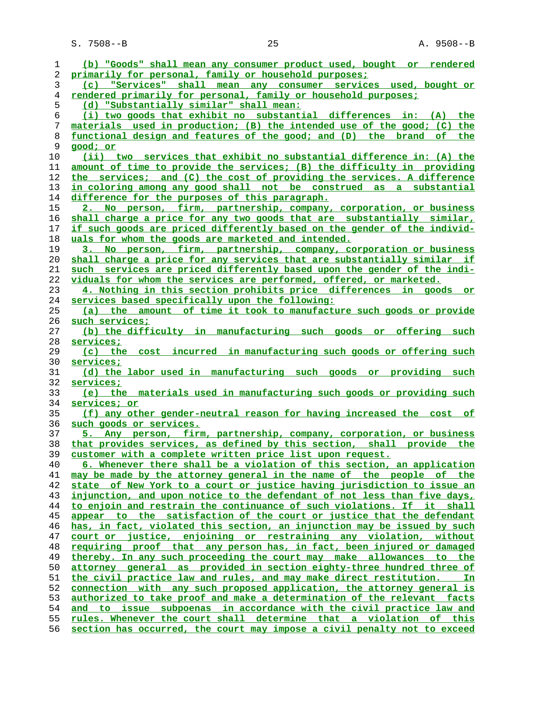S. 7508--B 25 A. 9508--B

| 1  | (b) "Goods" shall mean any consumer product used, bought or rendered             |
|----|----------------------------------------------------------------------------------|
| 2  | primarily for personal, family or household purposes;                            |
| 3  | (c) "Services" shall mean any consumer services used, bought or                  |
| 4  | rendered primarily for personal, family or household purposes;                   |
| 5  | (d) "Substantially similar" shall mean:                                          |
| 6  | (i) two goods that exhibit no substantial differences in: (A) the                |
| 7  | materials used in production; (B) the intended use of the good; (C) the          |
| 8  | functional design and features of the good; and (D) the brand of the             |
| 9  | good; or                                                                         |
| 10 | (ii) two services that exhibit no substantial difference in: (A) the             |
| 11 | amount of time to provide the services; (B) the difficulty in providing          |
| 12 | the services; and (C) the cost of providing the services. A difference           |
| 13 | in coloring among any good shall not be construed as a substantial               |
| 14 | difference for the purposes of this paragraph.                                   |
| 15 | 2. No person, firm, partnership, company, corporation, or business               |
| 16 | shall charge a price for any two goods that are substantially similar,           |
| 17 | if such goods are priced differently based on the gender of the individ-         |
| 18 | uals for whom the goods are marketed and intended.                               |
| 19 | 3. No person, firm, partnership, company, corporation or business                |
| 20 | shall charge a price for any services that are substantially similar if          |
| 21 | such services are priced differently based upon the gender of the indi-          |
| 22 | viduals for whom the services are performed, offered, or marketed.               |
| 23 | 4. Nothing in this section prohibits price differences in goods or               |
| 24 | services based specifically upon the following:                                  |
| 25 | (a) the amount of time it took to manufacture such goods or provide              |
| 26 | such services;                                                                   |
| 27 | (b) the difficulty in manufacturing such goods or offering such                  |
| 28 | services;                                                                        |
| 29 | (c) the cost incurred in manufacturing such goods or offering such               |
| 30 | services;                                                                        |
| 31 | (d) the labor used in manufacturing such goods or providing such                 |
| 32 | services;                                                                        |
| 33 | (e) the materials used in manufacturing such goods or providing such             |
| 34 | services; or                                                                     |
| 35 | (f) any other gender-neutral reason for having increased the cost of             |
| 36 | such goods or services.                                                          |
| 37 | 5. Any person, firm, partnership, company, corporation, or business              |
| 38 | that provides services, as defined by this section, shall provide the            |
| 39 | customer with a complete written price list upon request.                        |
| 40 | 6. Whenever there shall be a violation of this section, an application           |
| 41 | may be made by the attorney general in the name of the people of the             |
| 42 | state of New York to a court or justice having jurisdiction to issue an          |
| 43 | injunction, and upon notice to the defendant of not less than five days,         |
| 44 | to enjoin and restrain the continuance of such violations. If it shall           |
| 45 | appear to the satisfaction of the court or justice that the defendant            |
| 46 | has, in fact, violated this section, an injunction may be issued by such         |
| 47 | court or justice, enjoining or restraining any violation, without                |
| 48 | requiring proof that any person has, in fact, been injured or damaged            |
| 49 | thereby. In any such proceeding the court may make allowances to the             |
| 50 | attorney general as provided in section eighty-three hundred three of            |
| 51 | the civil practice law and rules, and may make direct restitution.<br><u> In</u> |
| 52 | connection with any such proposed application, the attorney general is           |
| 53 | authorized to take proof and make a determination of the relevant facts          |
| 54 | and to issue subpoenas in accordance with the civil practice law and             |
|    | rules. Whenever the court shall determine that a violation of this               |
| 55 |                                                                                  |
| 56 | section has occurred, the court may impose a civil penalty not to exceed         |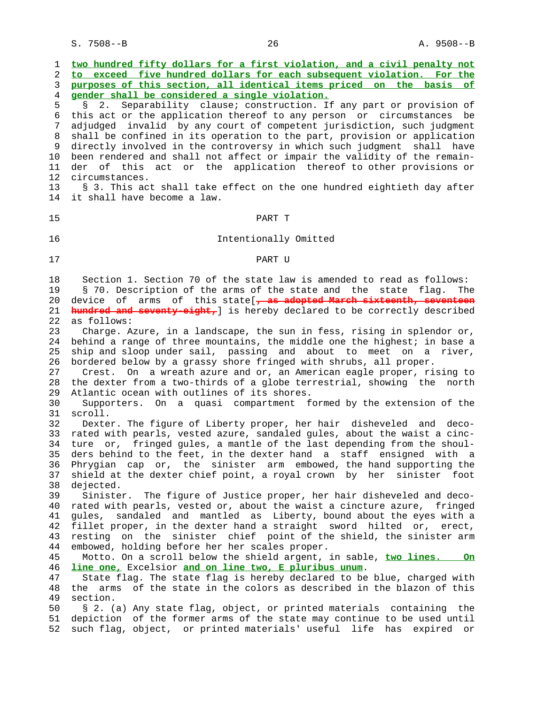S. 7508--B 26 26 A. 9508--B

| 1               | two hundred fifty dollars for a first violation, and a civil penalty not                                                                       |
|-----------------|------------------------------------------------------------------------------------------------------------------------------------------------|
| 2               | to exceed five hundred dollars for each subsequent violation. For the                                                                          |
| 3               | purposes of this section, all identical items priced on the basis of                                                                           |
| 4               | gender shall be considered a single violation.                                                                                                 |
| 5               | Separability clause; construction. If any part or provision of<br>2.<br>S                                                                      |
| 6               | this act or the application thereof to any person or circumstances be                                                                          |
| 7               | adjudged invalid by any court of competent jurisdiction, such judgment                                                                         |
| 8               | shall be confined in its operation to the part, provision or application                                                                       |
| 9               | directly involved in the controversy in which such judgment shall have                                                                         |
| 10              | been rendered and shall not affect or impair the validity of the remain-                                                                       |
| 11              | der of this act or the application thereof to other provisions or                                                                              |
| 12              | circumstances.                                                                                                                                 |
| 13              | § 3. This act shall take effect on the one hundred eightieth day after                                                                         |
| 14              | it shall have become a law.                                                                                                                    |
| 15              | PART T                                                                                                                                         |
|                 |                                                                                                                                                |
| 16              | Intentionally Omitted                                                                                                                          |
| 17              | PART U                                                                                                                                         |
| 18              | Section 1. Section 70 of the state law is amended to read as follows:                                                                          |
| 19              | § 70. Description of the arms of the state and the state flag.<br>The                                                                          |
| 20 <sub>o</sub> | device of arms of this state [, as adopted March sixteenth, seventeen                                                                          |
| 21              | hundred and seventy-eight, is hereby declared to be correctly described                                                                        |
| 22              | as follows:                                                                                                                                    |
| 23              | Charge. Azure, in a landscape, the sun in fess, rising in splendor or,                                                                         |
| 24              | behind a range of three mountains, the middle one the highest; in base a                                                                       |
| 25              | ship and sloop under sail, passing and about to meet on a<br>river,                                                                            |
| 26              | bordered below by a grassy shore fringed with shrubs, all proper.                                                                              |
| 27              | Crest. On a wreath azure and or, an American eagle proper, rising to                                                                           |
| 28              | the dexter from a two-thirds of a globe terrestrial, showing the north                                                                         |
| 29              | Atlantic ocean with outlines of its shores.                                                                                                    |
| 30              | Supporters. On a quasi compartment formed by the extension of the                                                                              |
| 31              | scroll.                                                                                                                                        |
| 32              | Dexter. The figure of Liberty proper, her hair disheveled and deco-                                                                            |
| 33              | rated with pearls, vested azure, sandaled gules, about the waist a cinc-                                                                       |
| 34              | ture or, fringed gules, a mantle of the last depending from the shoul-                                                                         |
| 35              | ders behind to the feet, in the dexter hand a staff ensigned with a                                                                            |
| 36              | Phrygian cap or, the sinister arm embowed, the hand supporting the                                                                             |
| 37              | shield at the dexter chief point, a royal crown by her sinister foot                                                                           |
| 38              | dejected.                                                                                                                                      |
| 39              | Sinister. The figure of Justice proper, her hair disheveled and deco-                                                                          |
| 40              | rated with pearls, vested or, about the waist a cincture azure, fringed                                                                        |
| 41              | gules, sandaled and mantled as Liberty, bound about the eyes with a                                                                            |
| 42              | fillet proper, in the dexter hand a straight sword hilted or, erect,                                                                           |
|                 |                                                                                                                                                |
| 43              | resting on the sinister chief point of the shield, the sinister arm                                                                            |
| 44              | embowed, holding before her her scales proper.                                                                                                 |
| 45              | Motto. On a scroll below the shield argent, in sable, two lines. On                                                                            |
| 46              | line one, Excelsior and on line two, E pluribus unum.                                                                                          |
| 47              | State flag. The state flag is hereby declared to be blue, charged with                                                                         |
| 48              | the arms of the state in the colors as described in the blazon of this                                                                         |
| 49              | section.                                                                                                                                       |
| 50              | § 2. (a) Any state flag, object, or printed materials containing the                                                                           |
| 51<br>52        | depiction of the former arms of the state may continue to be used until<br>such flag, object, or printed materials' useful life has expired or |
|                 |                                                                                                                                                |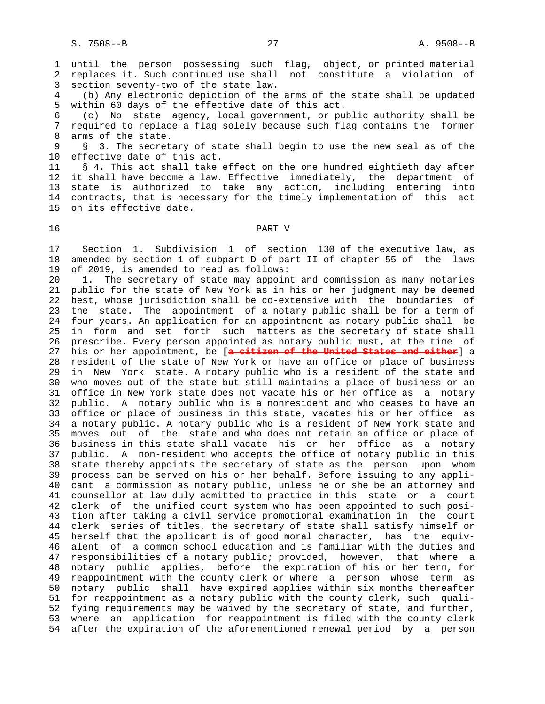1 until the person possessing such flag, object, or printed material 2 replaces it. Such continued use shall not constitute a violation of 3 section seventy-two of the state law.

 4 (b) Any electronic depiction of the arms of the state shall be updated 5 within 60 days of the effective date of this act.

 6 (c) No state agency, local government, or public authority shall be 7 required to replace a flag solely because such flag contains the former 8 arms of the state.<br>9 8 3. The secret

§ 3. The secretary of state shall begin to use the new seal as of the 10 effective date of this act.

11 § 4. This act shall take effect on the one hundred eightieth day after 12 it shall have become a law. Effective immediately, the department of 13 state is authorized to take any action, including entering into 14 contracts, that is necessary for the timely implementation of this act 15 on its effective date.

#### 16 PART V

 17 Section 1. Subdivision 1 of section 130 of the executive law, as 18 amended by section 1 of subpart D of part II of chapter 55 of the laws 19 of 2019, is amended to read as follows:

 20 1. The secretary of state may appoint and commission as many notaries 21 public for the state of New York as in his or her judgment may be deemed 22 best, whose jurisdiction shall be co-extensive with the boundaries of 23 the state. The appointment of a notary public shall be for a term of 24 four years. An application for an appointment as notary public shall be 25 in form and set forth such matters as the secretary of state shall 26 prescribe. Every person appointed as notary public must, at the time of 27 his or her appointment, be [**a citizen of the United States and either**] a 28 resident of the state of New York or have an office or place of business 29 in New York state. A notary public who is a resident of the state and 30 who moves out of the state but still maintains a place of business or an 31 office in New York state does not vacate his or her office as a notary 32 public. A notary public who is a nonresident and who ceases to have an 33 office or place of business in this state, vacates his or her office as 34 a notary public. A notary public who is a resident of New York state and 35 moves out of the state and who does not retain an office or place of 36 business in this state shall vacate his or her office as a notary 37 public. A non-resident who accepts the office of notary public in this 38 state thereby appoints the secretary of state as the person upon whom 39 process can be served on his or her behalf. Before issuing to any appli- 40 cant a commission as notary public, unless he or she be an attorney and 41 counsellor at law duly admitted to practice in this state or a court 42 clerk of the unified court system who has been appointed to such posi- 43 tion after taking a civil service promotional examination in the court 44 clerk series of titles, the secretary of state shall satisfy himself or 45 herself that the applicant is of good moral character, has the equiv- 46 alent of a common school education and is familiar with the duties and 47 responsibilities of a notary public; provided, however, that where a 48 notary public applies, before the expiration of his or her term, for 49 reappointment with the county clerk or where a person whose term as 50 notary public shall have expired applies within six months thereafter 51 for reappointment as a notary public with the county clerk, such quali- 52 fying requirements may be waived by the secretary of state, and further, 53 where an application for reappointment is filed with the county clerk 54 after the expiration of the aforementioned renewal period by a person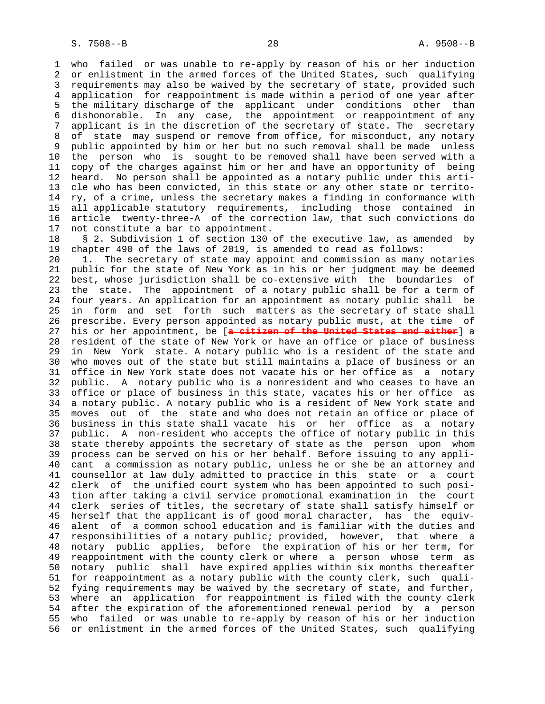1 who failed or was unable to re-apply by reason of his or her induction 2 or enlistment in the armed forces of the United States, such qualifying 3 requirements may also be waived by the secretary of state, provided such 4 application for reappointment is made within a period of one year after 5 the military discharge of the applicant under conditions other than 6 dishonorable. In any case, the appointment or reappointment of any 7 applicant is in the discretion of the secretary of state. The secretary 8 of state may suspend or remove from office, for misconduct, any notary<br>9 public appointed by him or her but no such removal shall be made unless public appointed by him or her but no such removal shall be made unless 10 the person who is sought to be removed shall have been served with a 11 copy of the charges against him or her and have an opportunity of being 12 heard. No person shall be appointed as a notary public under this arti- 13 cle who has been convicted, in this state or any other state or territo-<br>14 ry, of a crime, unless the secretary makes a finding in conformance with ry, of a crime, unless the secretary makes a finding in conformance with 15 all applicable statutory requirements, including those contained in 16 article twenty-three-A of the correction law, that such convictions do 17 not constitute a bar to appointment.

 18 § 2. Subdivision 1 of section 130 of the executive law, as amended by 19 chapter 490 of the laws of 2019, is amended to read as follows:

 20 1. The secretary of state may appoint and commission as many notaries 21 public for the state of New York as in his or her judgment may be deemed 22 best, whose jurisdiction shall be co-extensive with the boundaries of 23 the state. The appointment of a notary public shall be for a term of 24 four years. An application for an appointment as notary public shall be 25 in form and set forth such matters as the secretary of state shall 26 prescribe. Every person appointed as notary public must, at the time of 27 his or her appointment, be [**a citizen of the United States and either**] a 28 resident of the state of New York or have an office or place of business 29 in New York state. A notary public who is a resident of the state and 30 who moves out of the state but still maintains a place of business or an 31 office in New York state does not vacate his or her office as a notary 32 public. A notary public who is a nonresident and who ceases to have an 33 office or place of business in this state, vacates his or her office as 34 a notary public. A notary public who is a resident of New York state and 35 moves out of the state and who does not retain an office or place of 36 business in this state shall vacate his or her office as a notary 37 public. A non-resident who accepts the office of notary public in this 38 state thereby appoints the secretary of state as the person upon whom 39 process can be served on his or her behalf. Before issuing to any appli- 40 cant a commission as notary public, unless he or she be an attorney and 41 counsellor at law duly admitted to practice in this state or a court 42 clerk of the unified court system who has been appointed to such posi- 43 tion after taking a civil service promotional examination in the court 44 clerk series of titles, the secretary of state shall satisfy himself or 45 herself that the applicant is of good moral character, has the equiv- 46 alent of a common school education and is familiar with the duties and 47 responsibilities of a notary public; provided, however, that where a 48 notary public applies, before the expiration of his or her term, for 49 reappointment with the county clerk or where a person whose term as 50 notary public shall have expired applies within six months thereafter 51 for reappointment as a notary public with the county clerk, such quali- 52 fying requirements may be waived by the secretary of state, and further, 53 where an application for reappointment is filed with the county clerk 54 after the expiration of the aforementioned renewal period by a person 55 who failed or was unable to re-apply by reason of his or her induction 56 or enlistment in the armed forces of the United States, such qualifying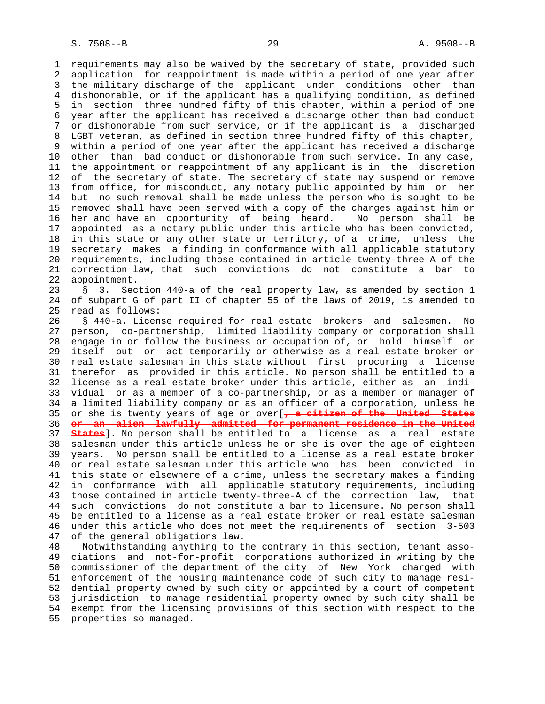1 requirements may also be waived by the secretary of state, provided such 2 application for reappointment is made within a period of one year after 3 the military discharge of the applicant under conditions other than 4 dishonorable, or if the applicant has a qualifying condition, as defined 5 in section three hundred fifty of this chapter, within a period of one 6 year after the applicant has received a discharge other than bad conduct 7 or dishonorable from such service, or if the applicant is a discharged 8 LGBT veteran, as defined in section three hundred fifty of this chapter, 9 within a period of one year after the applicant has received a discharge 10 other than bad conduct or dishonorable from such service. In any case, 11 the appointment or reappointment of any applicant is in the discretion 12 of the secretary of state. The secretary of state may suspend or remove 13 from office, for misconduct, any notary public appointed by him or her 14 but no such removal shall be made unless the person who is sought to be 15 removed shall have been served with a copy of the charges against him or 16 her and have an opportunity of being heard. No person shall be 17 appointed as a notary public under this article who has been convicted, 18 in this state or any other state or territory, of a crime, unless the 19 secretary makes a finding in conformance with all applicable statutory 20 requirements, including those contained in article twenty-three-A of the 21 correction law, that such convictions do not constitute a bar to 22 appointment.

 23 § 3. Section 440-a of the real property law, as amended by section 1 24 of subpart G of part II of chapter 55 of the laws of 2019, is amended to 25 read as follows:

 26 § 440-a. License required for real estate brokers and salesmen. No 27 person, co-partnership, limited liability company or corporation shall 28 engage in or follow the business or occupation of, or hold himself or 29 itself out or act temporarily or otherwise as a real estate broker or 30 real estate salesman in this state without first procuring a license 31 therefor as provided in this article. No person shall be entitled to a 32 license as a real estate broker under this article, either as an indi- 33 vidual or as a member of a co-partnership, or as a member or manager of 34 a limited liability company or as an officer of a corporation, unless he 35 or she is twenty years of age or over[**, a citizen of the United States** 36 **or an alien lawfully admitted for permanent residence in the United** 37 **States**]. No person shall be entitled to a license as a real estate 38 salesman under this article unless he or she is over the age of eighteen 39 years. No person shall be entitled to a license as a real estate broker 40 or real estate salesman under this article who has been convicted in 41 this state or elsewhere of a crime, unless the secretary makes a finding 42 in conformance with all applicable statutory requirements, including 43 those contained in article twenty-three-A of the correction law, that 44 such convictions do not constitute a bar to licensure. No person shall 45 be entitled to a license as a real estate broker or real estate salesman 46 under this article who does not meet the requirements of section 3-503 47 of the general obligations law.

 48 Notwithstanding anything to the contrary in this section, tenant asso- 49 ciations and not-for-profit corporations authorized in writing by the 50 commissioner of the department of the city of New York charged with 51 enforcement of the housing maintenance code of such city to manage resi- 52 dential property owned by such city or appointed by a court of competent 53 jurisdiction to manage residential property owned by such city shall be 54 exempt from the licensing provisions of this section with respect to the 55 properties so managed.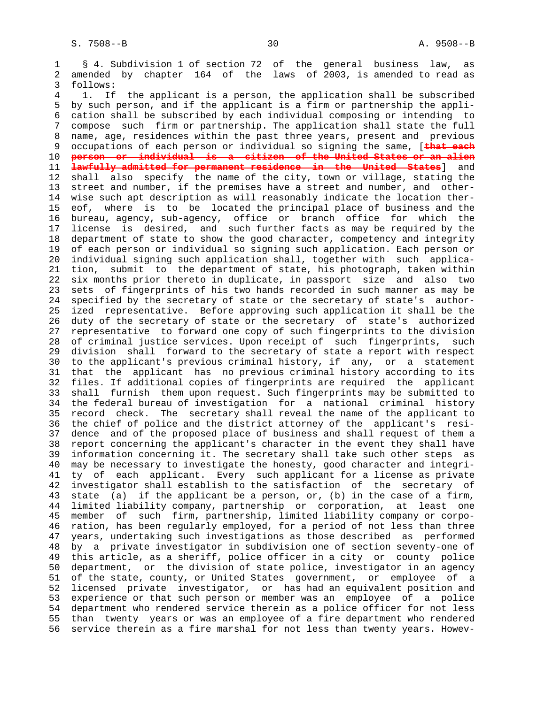1 § 4. Subdivision 1 of section 72 of the general business law, as 2 amended by chapter 164 of the laws of 2003, is amended to read as 3 follows:

 4 1. If the applicant is a person, the application shall be subscribed 5 by such person, and if the applicant is a firm or partnership the appli- 6 cation shall be subscribed by each individual composing or intending to 7 compose such firm or partnership. The application shall state the full 8 name, age, residences within the past three years, present and previous<br>9 occupations of each person or individual so signing the same, [that each 9 occupations of each person or individual so signing the same, [**that each** 10 **person or individual is a citizen of the United States or an alien** 11 **lawfully admitted for permanent residence in the United States**] and 12 shall also specify the name of the city, town or village, stating the 13 street and number, if the premises have a street and number, and other- 14 wise such apt description as will reasonably indicate the location ther- 15 eof, where is to be located the principal place of business and the 16 bureau, agency, sub-agency, office or branch office for which the 17 license is desired, and such further facts as may be required by the 18 department of state to show the good character, competency and integrity 19 of each person or individual so signing such application. Each person or 20 individual signing such application shall, together with such applica- 21 tion, submit to the department of state, his photograph, taken within 22 six months prior thereto in duplicate, in passport size and also two 23 sets of fingerprints of his two hands recorded in such manner as may be 24 specified by the secretary of state or the secretary of state's author- 25 ized representative. Before approving such application it shall be the 26 duty of the secretary of state or the secretary of state's authorized 27 representative to forward one copy of such fingerprints to the division 28 of criminal justice services. Upon receipt of such fingerprints, such 29 division shall forward to the secretary of state a report with respect 30 to the applicant's previous criminal history, if any, or a statement 31 that the applicant has no previous criminal history according to its 32 files. If additional copies of fingerprints are required the applicant 33 shall furnish them upon request. Such fingerprints may be submitted to 34 the federal bureau of investigation for a national criminal history 35 record check. The secretary shall reveal the name of the applicant to 36 the chief of police and the district attorney of the applicant's resi- 37 dence and of the proposed place of business and shall request of them a 38 report concerning the applicant's character in the event they shall have 39 information concerning it. The secretary shall take such other steps as 40 may be necessary to investigate the honesty, good character and integri- 41 ty of each applicant. Every such applicant for a license as private 42 investigator shall establish to the satisfaction of the secretary of 43 state (a) if the applicant be a person, or, (b) in the case of a firm, 44 limited liability company, partnership or corporation, at least one 45 member of such firm, partnership, limited liability company or corpo- 46 ration, has been regularly employed, for a period of not less than three 47 years, undertaking such investigations as those described as performed 48 by a private investigator in subdivision one of section seventy-one of 49 this article, as a sheriff, police officer in a city or county police 50 department, or the division of state police, investigator in an agency 51 of the state, county, or United States government, or employee of a 52 licensed private investigator, or has had an equivalent position and 53 experience or that such person or member was an employee of a police 54 department who rendered service therein as a police officer for not less 55 than twenty years or was an employee of a fire department who rendered 56 service therein as a fire marshal for not less than twenty years. Howev-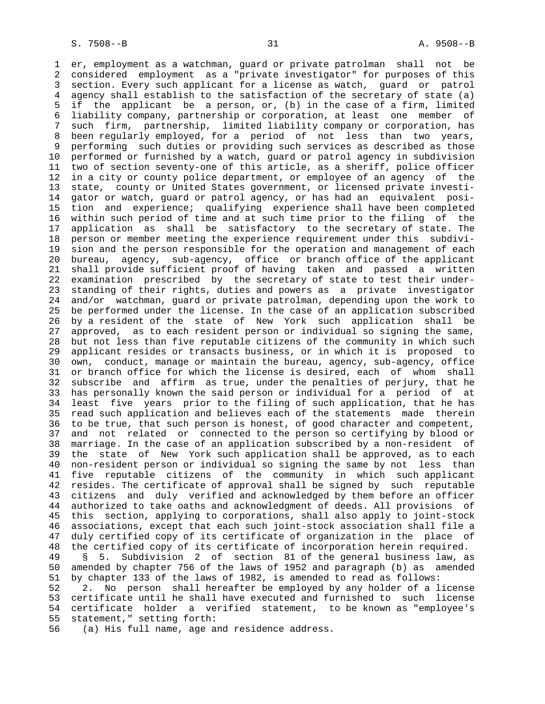1 er, employment as a watchman, guard or private patrolman shall not be 2 considered employment as a "private investigator" for purposes of this 3 section. Every such applicant for a license as watch, guard or patrol 4 agency shall establish to the satisfaction of the secretary of state (a) 5 if the applicant be a person, or, (b) in the case of a firm, limited 6 liability company, partnership or corporation, at least one member of 7 such firm, partnership, limited liability company or corporation, has 8 been regularly employed, for a period of not less than two years, 9 performing such duties or providing such services as described as those 10 performed or furnished by a watch, guard or patrol agency in subdivision 11 two of section seventy-one of this article, as a sheriff, police officer 12 in a city or county police department, or employee of an agency of the 13 state, county or United States government, or licensed private investi- 14 gator or watch, guard or patrol agency, or has had an equivalent posi- 15 tion and experience; qualifying experience shall have been completed 16 within such period of time and at such time prior to the filing of the 17 application as shall be satisfactory to the secretary of state. The 18 person or member meeting the experience requirement under this subdivi- 19 sion and the person responsible for the operation and management of each 20 bureau, agency, sub-agency, office or branch office of the applicant 21 shall provide sufficient proof of having taken and passed a written 22 examination prescribed by the secretary of state to test their under- 23 standing of their rights, duties and powers as a private investigator 24 and/or watchman, guard or private patrolman, depending upon the work to 25 be performed under the license. In the case of an application subscribed 26 by a resident of the state of New York such application shall be 27 approved, as to each resident person or individual so signing the same, 28 but not less than five reputable citizens of the community in which such 29 applicant resides or transacts business, or in which it is proposed to 30 own, conduct, manage or maintain the bureau, agency, sub-agency, office 31 or branch office for which the license is desired, each of whom shall 32 subscribe and affirm as true, under the penalties of perjury, that he 33 has personally known the said person or individual for a period of at 34 least five years prior to the filing of such application, that he has 35 read such application and believes each of the statements made therein 36 to be true, that such person is honest, of good character and competent, 37 and not related or connected to the person so certifying by blood or 38 marriage. In the case of an application subscribed by a non-resident of 39 the state of New York such application shall be approved, as to each 40 non-resident person or individual so signing the same by not less than 41 five reputable citizens of the community in which such applicant 42 resides. The certificate of approval shall be signed by such reputable 43 citizens and duly verified and acknowledged by them before an officer 44 authorized to take oaths and acknowledgment of deeds. All provisions of 45 this section, applying to corporations, shall also apply to joint-stock 46 associations, except that each such joint-stock association shall file a 47 duly certified copy of its certificate of organization in the place of 48 the certified copy of its certificate of incorporation herein required. 49 § 5. Subdivision 2 of section 81 of the general business law, as 50 amended by chapter 756 of the laws of 1952 and paragraph (b) as amended 51 by chapter 133 of the laws of 1982, is amended to read as follows: 52 2. No person shall hereafter be employed by any holder of a license 53 certificate until he shall have executed and furnished to such license 54 certificate holder a verified statement, to be known as "employee's

55 statement," setting forth:

56 (a) His full name, age and residence address.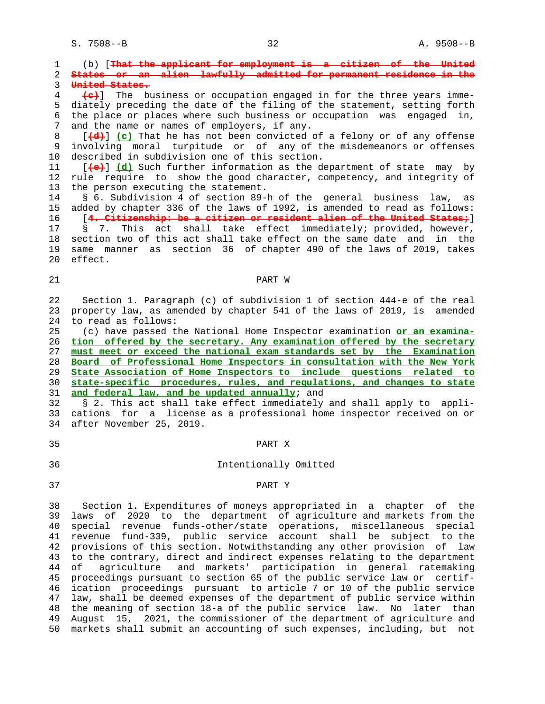S. 7508--B 32 A. 9508--B

 1 (b) [**That the applicant for employment is a citizen of the United** 2 **States or an alien lawfully admitted for permanent residence in the** 3 **United States.** 4 **(c)**] The business or occupation engaged in for the three years imme- 5 diately preceding the date of the filing of the statement, setting forth 6 the place or places where such business or occupation was engaged in, 7 and the name or names of employers, if any. 8 [**(d)**] **(c)** That he has not been convicted of a felony or of any offense involving moral turpitude or of any of the misdemeanors or offenses 10 described in subdivision one of this section. 11 [**(e)**] **(d)** Such further information as the department of state may by 12 rule require to show the good character, competency, and integrity of 13 the person executing the statement. 14 § 6. Subdivision 4 of section 89-h of the general business law, as 15 added by chapter 336 of the laws of 1992, is amended to read as follows: 16 [**4. Citizenship: be a citizen or resident alien of the United States;**] 17 § 7. This act shall take effect immediately; provided, however, 18 section two of this act shall take effect on the same date and in the 19 same manner as section 36 of chapter 490 of the laws of 2019, takes 20 effect. 21 PART W 22 Section 1. Paragraph (c) of subdivision 1 of section 444-e of the real 23 property law, as amended by chapter 541 of the laws of 2019, is amended 24 to read as follows: 25 (c) have passed the National Home Inspector examination **or an examina-** 26 **tion offered by the secretary. Any examination offered by the secretary** 27 **must meet or exceed the national exam standards set by the Examination** 28 **Board of Professional Home Inspectors in consultation with the New York** 29 **State Association of Home Inspectors to include questions related to** 30 **state-specific procedures, rules, and regulations, and changes to state** 31 **and federal law, and be updated annually**; and 32 § 2. This act shall take effect immediately and shall apply to appli- 33 cations for a license as a professional home inspector received on or 34 after November 25, 2019. 35 PART X 36 Intentionally Omitted 37 PART Y 38 Section 1. Expenditures of moneys appropriated in a chapter of the 39 laws of 2020 to the department of agriculture and markets from the 40 special revenue funds-other/state operations, miscellaneous special 41 revenue fund-339, public service account shall be subject to the 42 provisions of this section. Notwithstanding any other provision of law 43 to the contrary, direct and indirect expenses relating to the department 44 of agriculture and markets' participation in general ratemaking 45 proceedings pursuant to section 65 of the public service law or certif- 46 ication proceedings pursuant to article 7 or 10 of the public service 47 law, shall be deemed expenses of the department of public service within 48 the meaning of section 18-a of the public service law. No later than 49 August 15, 2021, the commissioner of the department of agriculture and 50 markets shall submit an accounting of such expenses, including, but not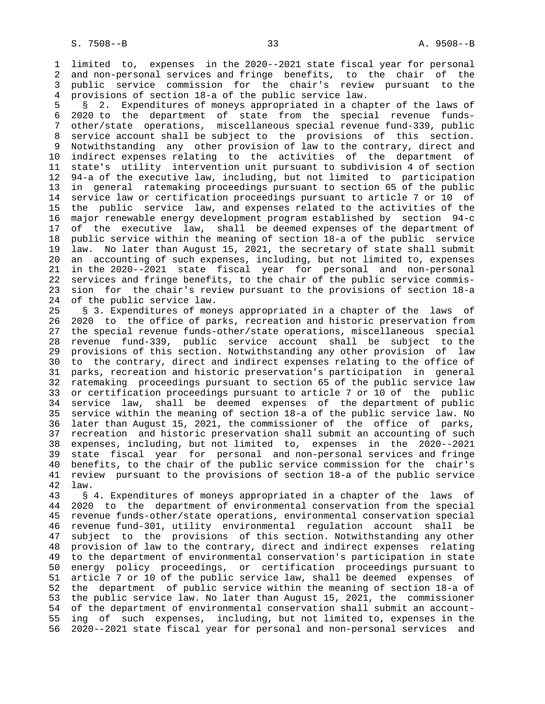1 limited to, expenses in the 2020--2021 state fiscal year for personal 2 and non-personal services and fringe benefits, to the chair of the 3 public service commission for the chair's review pursuant to the 4 provisions of section 18-a of the public service law.

 5 § 2. Expenditures of moneys appropriated in a chapter of the laws of 6 2020 to the department of state from the special revenue funds- 7 other/state operations, miscellaneous special revenue fund-339, public 8 service account shall be subject to the provisions of this section.<br>9 Notwithstanding any other provision of law to the contrary, direct and Notwithstanding any other provision of law to the contrary, direct and 10 indirect expenses relating to the activities of the department of 11 state's utility intervention unit pursuant to subdivision 4 of section 12 94-a of the executive law, including, but not limited to participation 13 in general ratemaking proceedings pursuant to section 65 of the public 14 service law or certification proceedings pursuant to article 7 or 10 of 15 the public service law, and expenses related to the activities of the 16 major renewable energy development program established by section 94-c 17 of the executive law, shall be deemed expenses of the department of 18 public service within the meaning of section 18-a of the public service 19 law. No later than August 15, 2021, the secretary of state shall submit 20 an accounting of such expenses, including, but not limited to, expenses 21 in the 2020--2021 state fiscal year for personal and non-personal 22 services and fringe benefits, to the chair of the public service commis- 23 sion for the chair's review pursuant to the provisions of section 18-a 24 of the public service law.

 25 § 3. Expenditures of moneys appropriated in a chapter of the laws of 26 2020 to the office of parks, recreation and historic preservation from 27 the special revenue funds-other/state operations, miscellaneous special 28 revenue fund-339, public service account shall be subject to the 29 provisions of this section. Notwithstanding any other provision of law 30 to the contrary, direct and indirect expenses relating to the office of 31 parks, recreation and historic preservation's participation in general 32 ratemaking proceedings pursuant to section 65 of the public service law 33 or certification proceedings pursuant to article 7 or 10 of the public 34 service law, shall be deemed expenses of the department of public 35 service within the meaning of section 18-a of the public service law. No 36 later than August 15, 2021, the commissioner of the office of parks, 37 recreation and historic preservation shall submit an accounting of such 38 expenses, including, but not limited to, expenses in the 2020--2021 39 state fiscal year for personal and non-personal services and fringe 40 benefits, to the chair of the public service commission for the chair's 41 review pursuant to the provisions of section 18-a of the public service 42 law.

 43 § 4. Expenditures of moneys appropriated in a chapter of the laws of 44 2020 to the department of environmental conservation from the special 45 revenue funds-other/state operations, environmental conservation special 46 revenue fund-301, utility environmental regulation account shall be 47 subject to the provisions of this section. Notwithstanding any other 48 provision of law to the contrary, direct and indirect expenses relating 49 to the department of environmental conservation's participation in state 50 energy policy proceedings, or certification proceedings pursuant to 51 article 7 or 10 of the public service law, shall be deemed expenses of 52 the department of public service within the meaning of section 18-a of 53 the public service law. No later than August 15, 2021, the commissioner 54 of the department of environmental conservation shall submit an account- 55 ing of such expenses, including, but not limited to, expenses in the 56 2020--2021 state fiscal year for personal and non-personal services and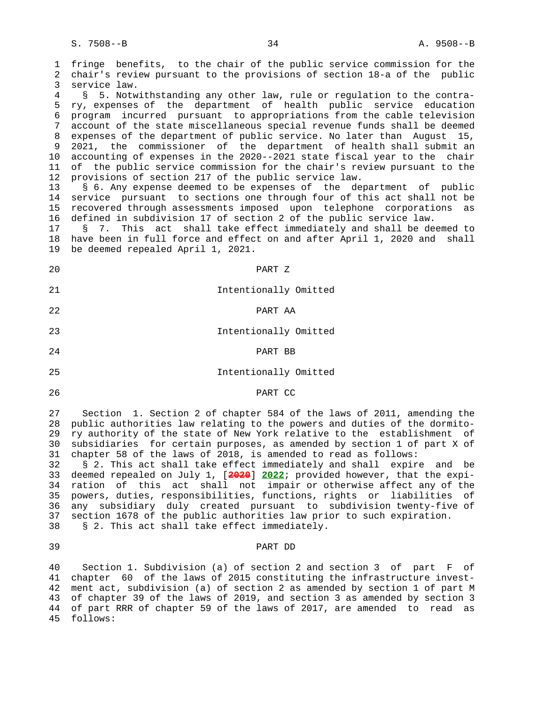1 fringe benefits, to the chair of the public service commission for the 2 chair's review pursuant to the provisions of section 18-a of the public 3 service law.

 4 § 5. Notwithstanding any other law, rule or regulation to the contra- 5 ry, expenses of the department of health public service education 6 program incurred pursuant to appropriations from the cable television 7 account of the state miscellaneous special revenue funds shall be deemed 8 expenses of the department of public service. No later than August 15, 9 2021, the commissioner of the department of health shall submit an 10 accounting of expenses in the 2020--2021 state fiscal year to the chair 11 of the public service commission for the chair's review pursuant to the 12 provisions of section 217 of the public service law.

 13 § 6. Any expense deemed to be expenses of the department of public 14 service pursuant to sections one through four of this act shall not be 15 recovered through assessments imposed upon telephone corporations as 16 defined in subdivision 17 of section 2 of the public service law.

 17 § 7. This act shall take effect immediately and shall be deemed to 18 have been in full force and effect on and after April 1, 2020 and shall 19 be deemed repealed April 1, 2021.

- 20 PART Z
- 21 Intentionally Omitted
- 22 PART AA

### 23 Intentionally Omitted

- 24 PART BB
- 25 Intentionally Omitted
- 26 PART CC

 27 Section 1. Section 2 of chapter 584 of the laws of 2011, amending the 28 public authorities law relating to the powers and duties of the dormito- 29 ry authority of the state of New York relative to the establishment of 30 subsidiaries for certain purposes, as amended by section 1 of part X of 31 chapter 58 of the laws of 2018, is amended to read as follows:

32 § 2. This act shall take effect immediately and shall expire and be<br>33 deemed repealed on July 1, [2020] 2022; provided however, that the expi- 33 deemed repealed on July 1, [**2020**] **2022**; provided however, that the expi- 34 ration of this act shall not impair or otherwise affect any of the 35 powers, duties, responsibilities, functions, rights or liabilities of 36 any subsidiary duly created pursuant to subdivision twenty-five of 37 section 1678 of the public authorities law prior to such expiration. 38 § 2. This act shall take effect immediately.

#### 39 PART DD

 40 Section 1. Subdivision (a) of section 2 and section 3 of part F of 41 chapter 60 of the laws of 2015 constituting the infrastructure invest- 42 ment act, subdivision (a) of section 2 as amended by section 1 of part M 43 of chapter 39 of the laws of 2019, and section 3 as amended by section 3 44 of part RRR of chapter 59 of the laws of 2017, are amended to read as 45 follows: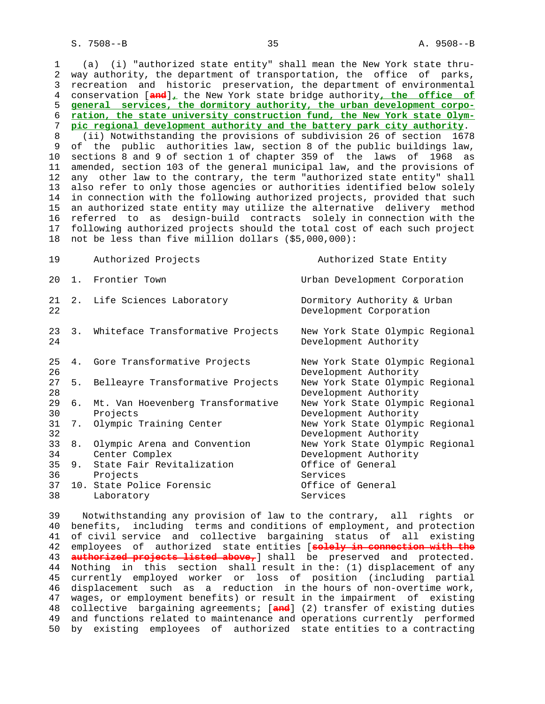1 (a) (i) "authorized state entity" shall mean the New York state thru- 2 way authority, the department of transportation, the office of parks, 3 recreation and historic preservation, the department of environmental 4 conservation [**and**]**,** the New York state bridge authority**, the office of** 5 **general services, the dormitory authority, the urban development corpo-** 6 **ration, the state university construction fund, the New York state Olym-** 7 **pic regional development authority and the battery park city authority**.

 8 (ii) Notwithstanding the provisions of subdivision 26 of section 1678 of the public authorities law, section 8 of the public buildings law, 10 sections 8 and 9 of section 1 of chapter 359 of the laws of 1968 as 11 amended, section 103 of the general municipal law, and the provisions of 12 any other law to the contrary, the term "authorized state entity" shall 13 also refer to only those agencies or authorities identified below solely 14 in connection with the following authorized projects, provided that such 15 an authorized state entity may utilize the alternative delivery method 16 referred to as design-build contracts solely in connection with the 17 following authorized projects should the total cost of each such project 18 not be less than five million dollars (\$5,000,000):

| 19       |    | Authorized Projects                              | Authorized State Entity                                  |
|----------|----|--------------------------------------------------|----------------------------------------------------------|
| 20       |    | 1. Frontier Town                                 | Urban Development Corporation                            |
| 21<br>22 |    | 2. Life Sciences Laboratory                      | Dormitory Authority & Urban<br>Development Corporation   |
| 23<br>24 |    | 3. Whiteface Transformative Projects             | New York State Olympic Regional<br>Development Authority |
| 25<br>26 |    | 4. Gore Transformative Projects                  | New York State Olympic Regional<br>Development Authority |
| 27<br>28 | 5. | Belleayre Transformative Projects                | New York State Olympic Regional<br>Development Authority |
| 29<br>30 |    | 6. Mt. Van Hoevenberg Transformative<br>Projects | New York State Olympic Regional<br>Development Authority |
| 31<br>32 | 7. | Olympic Training Center                          | New York State Olympic Regional<br>Development Authority |
| 33<br>34 | 8. | Olympic Arena and Convention<br>Center Complex   | New York State Olympic Regional<br>Development Authority |
| 35<br>36 | 9. | State Fair Revitalization<br>Projects            | Office of General<br>Services                            |
| 37<br>38 |    | 10. State Police Forensic<br>Laboratory          | Office of General<br>Services                            |
|          |    |                                                  |                                                          |

 39 Notwithstanding any provision of law to the contrary, all rights or 40 benefits, including terms and conditions of employment, and protection 41 of civil service and collective bargaining status of all existing 42 employees of authorized state entities [**solely in connection with the** 43 **authorized projects listed above,**] shall be preserved and protected. 44 Nothing in this section shall result in the: (1) displacement of any 45 currently employed worker or loss of position (including partial 46 displacement such as a reduction in the hours of non-overtime work, 47 wages, or employment benefits) or result in the impairment of existing 48 collective bargaining agreements; [**and**] (2) transfer of existing duties 49 and functions related to maintenance and operations currently performed 50 by existing employees of authorized state entities to a contracting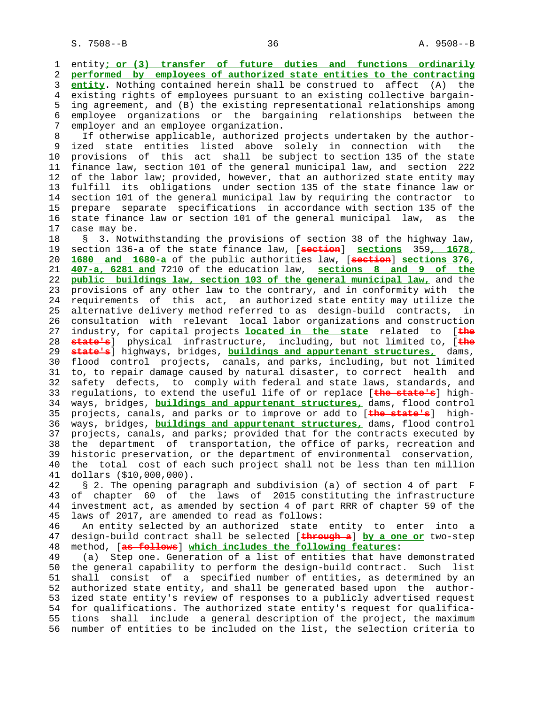1 entity**; or (3) transfer of future duties and functions ordinarily** 2 **performed by employees of authorized state entities to the contracting** 3 **entity**. Nothing contained herein shall be construed to affect (A) the 4 existing rights of employees pursuant to an existing collective bargain- 5 ing agreement, and (B) the existing representational relationships among 6 employee organizations or the bargaining relationships between the 7 employer and an employee organization. 8 If otherwise applicable, authorized projects undertaken by the author ized state entities listed above solely in connection with the 10 provisions of this act shall be subject to section 135 of the state 11 finance law, section 101 of the general municipal law, and section 222 12 of the labor law; provided, however, that an authorized state entity may 13 fulfill its obligations under section 135 of the state finance law or 14 section 101 of the general municipal law by requiring the contractor to 15 prepare separate specifications in accordance with section 135 of the 16 state finance law or section 101 of the general municipal law, as the 17 case may be. 18 § 3. Notwithstanding the provisions of section 38 of the highway law, 19 section 136-a of the state finance law, [**section**] **sections** 359**, 1678,** 20 **1680 and 1680-a** of the public authorities law, [**section**] **sections 376,** 21 **407-a, 6281 and** 7210 of the education law, **sections 8 and 9 of the** 22 **public buildings law, section 103 of the general municipal law,** and the 23 provisions of any other law to the contrary, and in conformity with the 24 requirements of this act, an authorized state entity may utilize the 25 alternative delivery method referred to as design-build contracts, in 26 consultation with relevant local labor organizations and construction 27 industry, for capital projects **located in the state** related to [**the** 28 **state's**] physical infrastructure, including, but not limited to, [**the** 29 **state's**] highways, bridges, **buildings and appurtenant structures,** dams, 30 flood control projects, canals, and parks, including, but not limited 31 to, to repair damage caused by natural disaster, to correct health and 32 safety defects, to comply with federal and state laws, standards, and 33 regulations, to extend the useful life of or replace [**the state's**] high- 34 ways, bridges, **buildings and appurtenant structures,** dams, flood control 35 projects, canals, and parks or to improve or add to [**the state's**] high- 36 ways, bridges, **buildings and appurtenant structures,** dams, flood control 37 projects, canals, and parks; provided that for the contracts executed by 38 the department of transportation, the office of parks, recreation and 39 historic preservation, or the department of environmental conservation, 40 the total cost of each such project shall not be less than ten million 41 dollars (\$10,000,000). 42 § 2. The opening paragraph and subdivision (a) of section 4 of part F 43 of chapter 60 of the laws of 2015 constituting the infrastructure 44 investment act, as amended by section 4 of part RRR of chapter 59 of the 45 laws of 2017, are amended to read as follows: 46 An entity selected by an authorized state entity to enter into a 47 design-build contract shall be selected [**through a**] **by a one or** two-step 48 method, [**as follows**] **which includes the following features**: 49 (a) Step one. Generation of a list of entities that have demonstrated 50 the general capability to perform the design-build contract. Such list 51 shall consist of a specified number of entities, as determined by an 52 authorized state entity, and shall be generated based upon the author- 53 ized state entity's review of responses to a publicly advertised request 54 for qualifications. The authorized state entity's request for qualifica- 55 tions shall include a general description of the project, the maximum 56 number of entities to be included on the list, the selection criteria to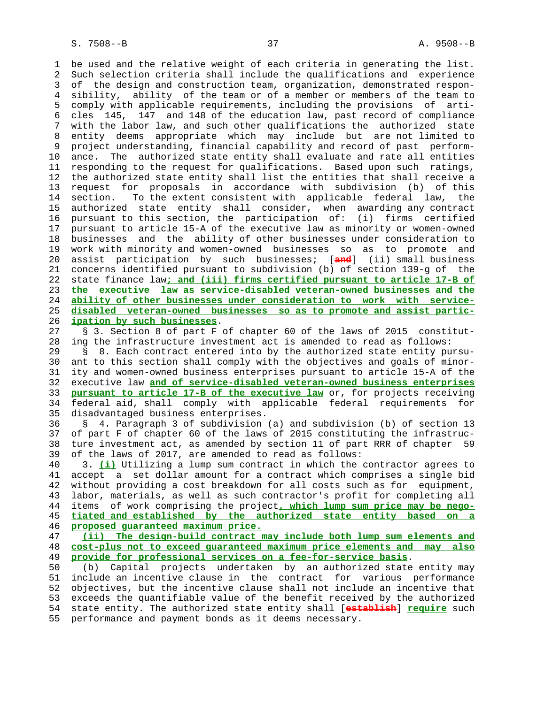1 be used and the relative weight of each criteria in generating the list. 2 Such selection criteria shall include the qualifications and experience 3 of the design and construction team, organization, demonstrated respon- 4 sibility, ability of the team or of a member or members of the team to 5 comply with applicable requirements, including the provisions of arti- 6 cles 145, 147 and 148 of the education law, past record of compliance 7 with the labor law, and such other qualifications the authorized state 8 entity deems appropriate which may include but are not limited to 9 project understanding, financial capability and record of past perform- 10 ance. The authorized state entity shall evaluate and rate all entities 11 responding to the request for qualifications. Based upon such ratings, 12 the authorized state entity shall list the entities that shall receive a 13 request for proposals in accordance with subdivision (b) of this 14 section. To the extent consistent with applicable federal law, the 15 authorized state entity shall consider, when awarding any contract 16 pursuant to this section, the participation of: (i) firms certified 17 pursuant to article 15-A of the executive law as minority or women-owned 18 businesses and the ability of other businesses under consideration to 19 work with minority and women-owned businesses so as to promote and 20 assist participation by such businesses; [**and**] (ii) small business 21 concerns identified pursuant to subdivision (b) of section 139-g of the 22 state finance law**; and (iii) firms certified pursuant to article 17-B of** 23 **the executive law as service-disabled veteran-owned businesses and the** 24 **ability of other businesses under consideration to work with service-** 25 **disabled veteran-owned businesses so as to promote and assist partic-** 26 **ipation by such businesses**. 27 § 3. Section 8 of part F of chapter 60 of the laws of 2015 constitut- 28 ing the infrastructure investment act is amended to read as follows: 29 § 8. Each contract entered into by the authorized state entity pursu- 30 ant to this section shall comply with the objectives and goals of minor- 31 ity and women-owned business enterprises pursuant to article 15-A of the 32 executive law **and of service-disabled veteran-owned business enterprises** 33 **pursuant to article 17-B of the executive law** or, for projects receiving 34 federal aid, shall comply with applicable federal requirements for 35 disadvantaged business enterprises. 36 § 4. Paragraph 3 of subdivision (a) and subdivision (b) of section 13 37 of part F of chapter 60 of the laws of 2015 constituting the infrastruc- 38 ture investment act, as amended by section 11 of part RRR of chapter 59 39 of the laws of 2017, are amended to read as follows: 40 3. **(i)** Utilizing a lump sum contract in which the contractor agrees to 41 accept a set dollar amount for a contract which comprises a single bid 42 without providing a cost breakdown for all costs such as for equipment, 43 labor, materials, as well as such contractor's profit for completing all 44 items of work comprising the project**, which lump sum price may be nego-** 45 **tiated and established by the authorized state entity based on a** 46 **proposed guaranteed maximum price.** 47 **(ii) The design-build contract may include both lump sum elements and** 48 **cost-plus not to exceed guaranteed maximum price elements and may also** 49 **provide for professional services on a fee-for-service basis**. 50 (b) Capital projects undertaken by an authorized state entity may 51 include an incentive clause in the contract for various performance 52 objectives, but the incentive clause shall not include an incentive that

 53 exceeds the quantifiable value of the benefit received by the authorized 54 state entity. The authorized state entity shall [**establish**] **require** such 55 performance and payment bonds as it deems necessary.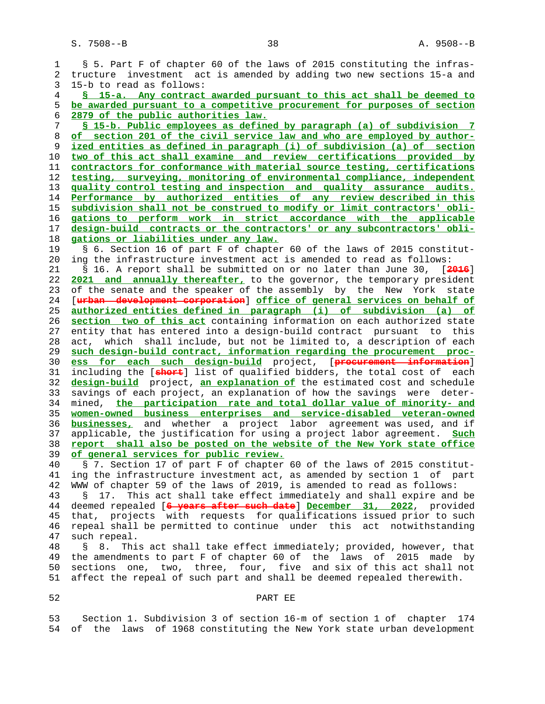1 § 5. Part F of chapter 60 of the laws of 2015 constituting the infras- 2 tructure investment act is amended by adding two new sections 15-a and 3 15-b to read as follows: 4 **§ 15-a. Any contract awarded pursuant to this act shall be deemed to** 5 **be awarded pursuant to a competitive procurement for purposes of section** 6 **2879 of the public authorities law.** 7 **§ 15-b. Public employees as defined by paragraph (a) of subdivision 7** 8 **of section 201 of the civil service law and who are employed by author-** 9 **ized entities as defined in paragraph (i) of subdivision (a) of section** 10 **two of this act shall examine and review certifications provided by** 11 **contractors for conformance with material source testing, certifications** 12 **testing, surveying, monitoring of environmental compliance, independent** 13 **quality control testing and inspection and quality assurance audits.** 14 **Performance by authorized entities of any review described in this** 15 **subdivision shall not be construed to modify or limit contractors' obli-** 16 **gations to perform work in strict accordance with the applicable** 17 **design-build contracts or the contractors' or any subcontractors' obli-** 18 **gations or liabilities under any law.** 19 § 6. Section 16 of part F of chapter 60 of the laws of 2015 constitut- 20 ing the infrastructure investment act is amended to read as follows: 21 § 16. A report shall be submitted on or no later than June 30, [**2016**] 22 **2021 and annually thereafter,** to the governor, the temporary president 23 of the senate and the speaker of the assembly by the New York state 24 [**urban development corporation**] **office of general services on behalf of** 25 **authorized entities defined in paragraph (i) of subdivision (a) of** 26 **section two of this act** containing information on each authorized state 27 entity that has entered into a design-build contract pursuant to this 28 act, which shall include, but not be limited to, a description of each 29 **such design-build contract, information regarding the procurement proc-** 30 **ess for each such design-build** project, [**procurement information**] 31 including the [**short**] list of qualified bidders, the total cost of each 32 **design-build** project, **an explanation of** the estimated cost and schedule 33 savings of each project, an explanation of how the savings were deter- 34 mined, **the participation rate and total dollar value of minority- and** 35 **women-owned business enterprises and service-disabled veteran-owned** 36 **businesses,** and whether a project labor agreement was used, and if 37 applicable, the justification for using a project labor agreement. **Such** 38 **report shall also be posted on the website of the New York state office** 39 **of general services for public review.** 40 § 7. Section 17 of part F of chapter 60 of the laws of 2015 constitut- 41 ing the infrastructure investment act, as amended by section 1 of part 42 WWW of chapter 59 of the laws of 2019, is amended to read as follows: 43 § 17. This act shall take effect immediately and shall expire and be 44 deemed repealed [**6 years after such date**] **December 31, 2022**, provided 45 that, projects with requests for qualifications issued prior to such 46 repeal shall be permitted to continue under this act notwithstanding 47 such repeal. 48 § 8. This act shall take effect immediately; provided, however, that 49 the amendments to part F of chapter 60 of the laws of 2015 made by 50 sections one, two, three, four, five and six of this act shall not 51 affect the repeal of such part and shall be deemed repealed therewith. 52 PART EE

 53 Section 1. Subdivision 3 of section 16-m of section 1 of chapter 174 54 of the laws of 1968 constituting the New York state urban development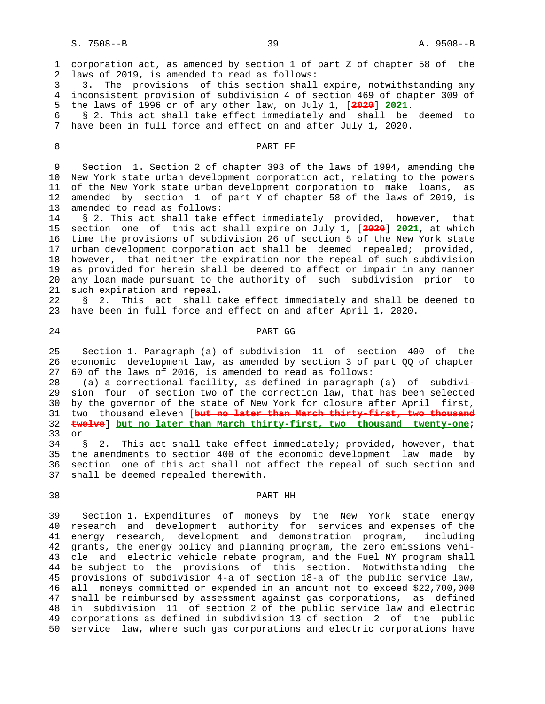1 corporation act, as amended by section 1 of part Z of chapter 58 of the 2 laws of 2019, is amended to read as follows: 3 3. The provisions of this section shall expire, notwithstanding any 4 inconsistent provision of subdivision 4 of section 469 of chapter 309 of 5 the laws of 1996 or of any other law, on July 1, [**2020**] **2021**. 6 § 2. This act shall take effect immediately and shall be deemed to 7 have been in full force and effect on and after July 1, 2020. 8 PART FF

 9 Section 1. Section 2 of chapter 393 of the laws of 1994, amending the 10 New York state urban development corporation act, relating to the powers 11 of the New York state urban development corporation to make loans, as 12 amended by section 1 of part Y of chapter 58 of the laws of 2019, is 13 amended to read as follows:

 14 § 2. This act shall take effect immediately provided, however, that 15 section one of this act shall expire on July 1, [**2020**] **2021**, at which 16 time the provisions of subdivision 26 of section 5 of the New York state 17 urban development corporation act shall be deemed repealed; provided, 18 however, that neither the expiration nor the repeal of such subdivision 19 as provided for herein shall be deemed to affect or impair in any manner 20 any loan made pursuant to the authority of such subdivision prior to 21 such expiration and repeal.

 22 § 2. This act shall take effect immediately and shall be deemed to 23 have been in full force and effect on and after April 1, 2020.

#### 24 PART GG

 25 Section 1. Paragraph (a) of subdivision 11 of section 400 of the 26 economic development law, as amended by section 3 of part QQ of chapter 27 60 of the laws of 2016, is amended to read as follows:

 28 (a) a correctional facility, as defined in paragraph (a) of subdivi- 29 sion four of section two of the correction law, that has been selected 30 by the governor of the state of New York for closure after April first, 31 two thousand eleven [**but no later than March thirty-first, two thousand** 32 **twelve**] **but no later than March thirty-first, two thousand twenty-one**; 33 or

 34 § 2. This act shall take effect immediately; provided, however, that 35 the amendments to section 400 of the economic development law made by 36 section one of this act shall not affect the repeal of such section and 37 shall be deemed repealed therewith.

### 38 PART HH

 39 Section 1. Expenditures of moneys by the New York state energy 40 research and development authority for services and expenses of the 41 energy research, development and demonstration program, including 42 grants, the energy policy and planning program, the zero emissions vehi- 43 cle and electric vehicle rebate program, and the Fuel NY program shall 44 be subject to the provisions of this section. Notwithstanding the 45 provisions of subdivision 4-a of section 18-a of the public service law, 46 all moneys committed or expended in an amount not to exceed \$22,700,000 47 shall be reimbursed by assessment against gas corporations, as defined 48 in subdivision 11 of section 2 of the public service law and electric 49 corporations as defined in subdivision 13 of section 2 of the public 50 service law, where such gas corporations and electric corporations have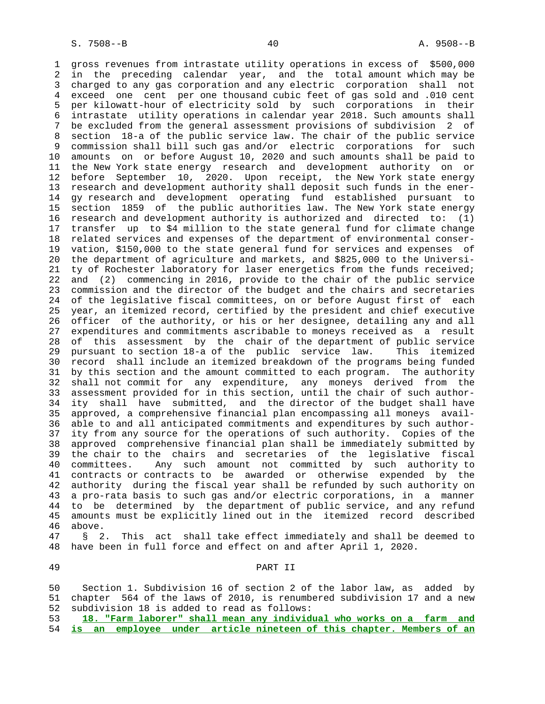1 gross revenues from intrastate utility operations in excess of \$500,000 2 in the preceding calendar year, and the total amount which may be 3 charged to any gas corporation and any electric corporation shall not 4 exceed one cent per one thousand cubic feet of gas sold and .010 cent 5 per kilowatt-hour of electricity sold by such corporations in their 6 intrastate utility operations in calendar year 2018. Such amounts shall 7 be excluded from the general assessment provisions of subdivision 2 of 8 section 18-a of the public service law. The chair of the public service 9 commission shall bill such gas and/or electric corporations for such 10 amounts on or before August 10, 2020 and such amounts shall be paid to 11 the New York state energy research and development authority on or 12 before September 10, 2020. Upon receipt, the New York state energy 13 research and development authority shall deposit such funds in the ener- 14 gy research and development operating fund established pursuant to 15 section 1859 of the public authorities law. The New York state energy 16 research and development authority is authorized and directed to: (1) 17 transfer up to \$4 million to the state general fund for climate change 18 related services and expenses of the department of environmental conser- 19 vation, \$150,000 to the state general fund for services and expenses of 20 the department of agriculture and markets, and \$825,000 to the Universi- 21 ty of Rochester laboratory for laser energetics from the funds received; 22 and (2) commencing in 2016, provide to the chair of the public service 23 commission and the director of the budget and the chairs and secretaries 24 of the legislative fiscal committees, on or before August first of each 25 year, an itemized record, certified by the president and chief executive 26 officer of the authority, or his or her designee, detailing any and all 27 expenditures and commitments ascribable to moneys received as a result 28 of this assessment by the chair of the department of public service 29 pursuant to section 18-a of the public service law. This itemized 30 record shall include an itemized breakdown of the programs being funded 31 by this section and the amount committed to each program. The authority 32 shall not commit for any expenditure, any moneys derived from the 33 assessment provided for in this section, until the chair of such author- 34 ity shall have submitted, and the director of the budget shall have 35 approved, a comprehensive financial plan encompassing all moneys avail- 36 able to and all anticipated commitments and expenditures by such author- 37 ity from any source for the operations of such authority. Copies of the 38 approved comprehensive financial plan shall be immediately submitted by 39 the chair to the chairs and secretaries of the legislative fiscal 40 committees. Any such amount not committed by such authority to 41 contracts or contracts to be awarded or otherwise expended by the 42 authority during the fiscal year shall be refunded by such authority on 43 a pro-rata basis to such gas and/or electric corporations, in a manner 44 to be determined by the department of public service, and any refund 45 amounts must be explicitly lined out in the itemized record described 46 above.

 47 § 2. This act shall take effect immediately and shall be deemed to 48 have been in full force and effect on and after April 1, 2020.

#### 49 PART II

 50 Section 1. Subdivision 16 of section 2 of the labor law, as added by 51 chapter 564 of the laws of 2010, is renumbered subdivision 17 and a new 52 subdivision 18 is added to read as follows:

 53 **18. "Farm laborer" shall mean any individual who works on a farm and** 54 **is an employee under article nineteen of this chapter. Members of an**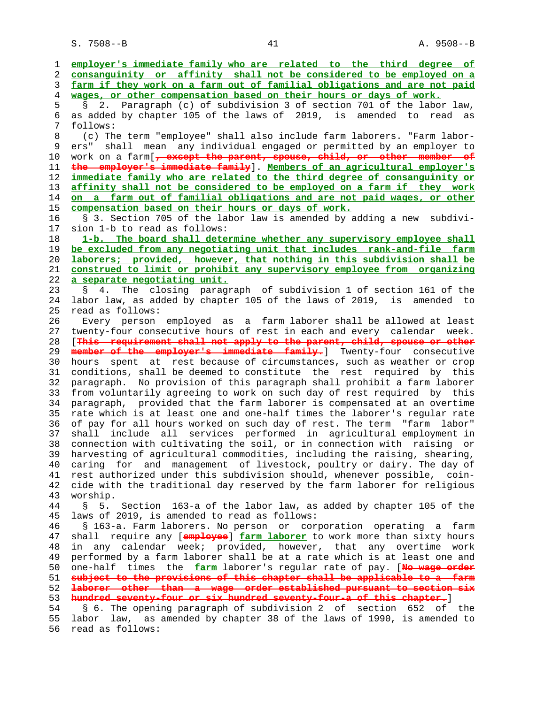S. 7508--B 41 A. 9508--B

 1 **employer's immediate family who are related to the third degree of** 2 **consanguinity or affinity shall not be considered to be employed on a** 3 **farm if they work on a farm out of familial obligations and are not paid** 4 **wages, or other compensation based on their hours or days of work.** 5 § 2. Paragraph (c) of subdivision 3 of section 701 of the labor law, 6 as added by chapter 105 of the laws of 2019, is amended to read as follows: 8 (c) The term "employee" shall also include farm laborers. "Farm labor-<br>9 ers" shall mean any individual engaged or permitted by an employer to ers" shall mean any individual engaged or permitted by an employer to 10 work on a farm[**, except the parent, spouse, child, or other member of** 11 **the employer's immediate family**]. **Members of an agricultural employer's** 12 **immediate family who are related to the third degree of consanguinity or** 13 **affinity shall not be considered to be employed on a farm if they work** 14 **on a farm out of familial obligations and are not paid wages, or other** 15 **compensation based on their hours or days of work.** 16 § 3. Section 705 of the labor law is amended by adding a new subdivi- 17 sion 1-b to read as follows: 18 **1-b. The board shall determine whether any supervisory employee shall** 19 **be excluded from any negotiating unit that includes rank-and-file farm** 20 **laborers; provided, however, that nothing in this subdivision shall be** 21 **construed to limit or prohibit any supervisory employee from organizing** 22 **a separate negotiating unit.** 23 § 4. The closing paragraph of subdivision 1 of section 161 of the 24 labor law, as added by chapter 105 of the laws of 2019, is amended to 25 read as follows: 26 Every person employed as a farm laborer shall be allowed at least 27 twenty-four consecutive hours of rest in each and every calendar week. 28 [**This requirement shall not apply to the parent, child, spouse or other** 29 **member of the employer's immediate family.**] Twenty-four consecutive 30 hours spent at rest because of circumstances, such as weather or crop 31 conditions, shall be deemed to constitute the rest required by this 32 paragraph. No provision of this paragraph shall prohibit a farm laborer 33 from voluntarily agreeing to work on such day of rest required by this 34 paragraph, provided that the farm laborer is compensated at an overtime 35 rate which is at least one and one-half times the laborer's regular rate 36 of pay for all hours worked on such day of rest. The term "farm labor" 37 shall include all services performed in agricultural employment in 38 connection with cultivating the soil, or in connection with raising or 39 harvesting of agricultural commodities, including the raising, shearing, 40 caring for and management of livestock, poultry or dairy. The day of 41 rest authorized under this subdivision should, whenever possible, coin- 42 cide with the traditional day reserved by the farm laborer for religious 43 worship. 44 § 5. Section 163-a of the labor law, as added by chapter 105 of the 45 laws of 2019, is amended to read as follows: 46 § 163-a. Farm laborers. No person or corporation operating a farm 47 shall require any [**employee**] **farm laborer** to work more than sixty hours 48 in any calendar week; provided, however, that any overtime work 49 performed by a farm laborer shall be at a rate which is at least one and 50 one-half times the **farm** laborer's regular rate of pay. [**No wage order** 51 **subject to the provisions of this chapter shall be applicable to a farm** 52 **laborer other than a wage order established pursuant to section six** 53 **hundred seventy-four or six hundred seventy-four-a of this chapter.**] 54 § 6. The opening paragraph of subdivision 2 of section 652 of the 55 labor law, as amended by chapter 38 of the laws of 1990, is amended to 56 read as follows: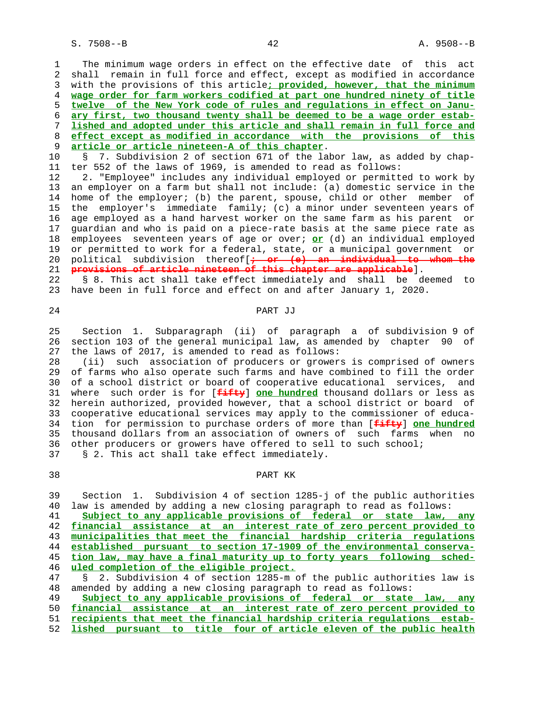1 The minimum wage orders in effect on the effective date of this act 2 shall remain in full force and effect, except as modified in accordance 3 with the provisions of this article**; provided, however, that the minimum wage order for farm workers codified at part one hundred ninety of title twelve of the New York code of rules and regulations in effect on Janu- ary first, two thousand twenty shall be deemed to be a wage order estab- lished and adopted under this article and shall remain in full force and effect except as modified in accordance with the provisions of this article or article nineteen-A of this chapter**.

 10 § 7. Subdivision 2 of section 671 of the labor law, as added by chap- 11 ter 552 of the laws of 1969, is amended to read as follows:

 12 2. "Employee" includes any individual employed or permitted to work by 13 an employer on a farm but shall not include: (a) domestic service in the 14 home of the employer; (b) the parent, spouse, child or other member of 15 the employer's immediate family; (c) a minor under seventeen years of 16 age employed as a hand harvest worker on the same farm as his parent or 17 guardian and who is paid on a piece-rate basis at the same piece rate as 18 employees seventeen years of age or over; **or** (d) an individual employed 19 or permitted to work for a federal, state, or a municipal government or 20 political subdivision thereof[**; or (e) an individual to whom the** 21 **provisions of article nineteen of this chapter are applicable**].

 22 § 8. This act shall take effect immediately and shall be deemed to 23 have been in full force and effect on and after January 1, 2020.

### 24 PART JJ

 25 Section 1. Subparagraph (ii) of paragraph a of subdivision 9 of 26 section 103 of the general municipal law, as amended by chapter 90 of 27 the laws of 2017, is amended to read as follows:

 28 (ii) such association of producers or growers is comprised of owners 29 of farms who also operate such farms and have combined to fill the order 30 of a school district or board of cooperative educational services, and 31 where such order is for [**fifty**] **one hundred** thousand dollars or less as 32 herein authorized, provided however, that a school district or board of 33 cooperative educational services may apply to the commissioner of educa- 34 tion for permission to purchase orders of more than [**fifty**] **one hundred** 35 thousand dollars from an association of owners of such farms when no 36 other producers or growers have offered to sell to such school; 37 § 2. This act shall take effect immediately.

#### 38 PART KK

 39 Section 1. Subdivision 4 of section 1285-j of the public authorities 40 law is amended by adding a new closing paragraph to read as follows:

**Subject to any applicable provisions of federal or state law, any financial assistance at an interest rate of zero percent provided to municipalities that meet the financial hardship criteria regulations established pursuant to section 17-1909 of the environmental conserva- tion law, may have a final maturity up to forty years following sched- uled completion of the eligible project.**

 47 § 2. Subdivision 4 of section 1285-m of the public authorities law is 48 amended by adding a new closing paragraph to read as follows:

**Subject to any applicable provisions of federal or state law, any financial assistance at an interest rate of zero percent provided to recipients that meet the financial hardship criteria regulations estab- lished pursuant to title four of article eleven of the public health**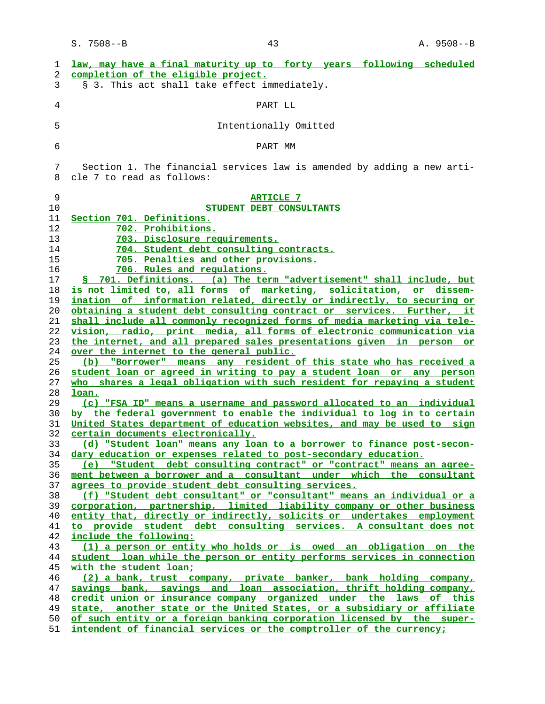| 2              | completion of the eligible project.                                                                                                           |
|----------------|-----------------------------------------------------------------------------------------------------------------------------------------------|
| 3              | § 3. This act shall take effect immediately.                                                                                                  |
| 4              | PART LL                                                                                                                                       |
|                | Intentionally Omitted                                                                                                                         |
|                | PART MM                                                                                                                                       |
|                | Section 1. The financial services law is amended by adding a new arti-                                                                        |
| 7<br>8         | cle 7 to read as follows:                                                                                                                     |
|                | <b>ARTICLE 7</b>                                                                                                                              |
|                | STUDENT DEBT CONSULTANTS                                                                                                                      |
|                | Section 701. Definitions.                                                                                                                     |
| 11<br>12       | 702. Prohibitions.                                                                                                                            |
|                | 703. Disclosure requirements.                                                                                                                 |
|                | 704. Student debt consulting contracts.                                                                                                       |
|                |                                                                                                                                               |
|                | 705. Penalties and other provisions.                                                                                                          |
|                | 706. Rules and requlations.                                                                                                                   |
|                | § 701. Definitions. (a) The term "advertisement" shall include, but                                                                           |
|                | is not limited to, all forms of marketing, solicitation, or dissem-                                                                           |
|                | ination of information related, directly or indirectly, to securing or                                                                        |
|                | obtaining a student debt consulting contract or services. Further, it                                                                         |
|                | shall include all commonly recognized forms of media marketing via tele-                                                                      |
|                | vision, radio, print media, all forms of electronic communication via                                                                         |
|                | the internet, and all prepared sales presentations given in person or                                                                         |
|                | over the internet to the general public.                                                                                                      |
|                | (b) "Borrower" means any resident of this state who has received a                                                                            |
|                | student loan or agreed in writing to pay a student loan or any person                                                                         |
|                | who shares a legal obligation with such resident for repaying a student                                                                       |
|                | loan.                                                                                                                                         |
|                | (c) "FSA ID" means a username and password allocated to an individual                                                                         |
|                | by the federal government to enable the individual to log in to certain                                                                       |
|                | United States department of education websites, and may be used to sign                                                                       |
|                | certain documents electronically.                                                                                                             |
|                | (d) "Student loan" means any loan to a borrower to finance post-secon-                                                                        |
|                | 34 dary education or expenses related to post-secondary education.                                                                            |
|                |                                                                                                                                               |
|                | (e) "Student debt consulting contract" or "contract" means an agree-                                                                          |
|                | ment between a borrower and a consultant under which the consultant                                                                           |
| 37<br>38       | agrees to provide student debt consulting services.                                                                                           |
|                | (f) "Student debt consultant" or "consultant" means an individual or a                                                                        |
|                | corporation, partnership, limited liability company or other business                                                                         |
|                | entity that, directly or indirectly, solicits or undertakes employment                                                                        |
|                | to provide student debt consulting services. A consultant does not                                                                            |
|                | include the following:                                                                                                                        |
|                | (1) a person or entity who holds or is owed an obligation on the                                                                              |
|                | student loan while the person or entity performs services in connection                                                                       |
| 44             | with the student loan;                                                                                                                        |
|                | (2) a bank, trust company, private banker, bank holding company,                                                                              |
|                |                                                                                                                                               |
| 45<br>46<br>47 |                                                                                                                                               |
|                | savings bank, savings and loan association, thrift holding company,                                                                           |
|                | credit union or insurance company organized under the laws of this                                                                            |
|                | state, another state or the United States, or a subsidiary or affiliate                                                                       |
|                | of such entity or a foreign banking corporation licensed by the super-<br>intendent of financial services or the comptroller of the currency; |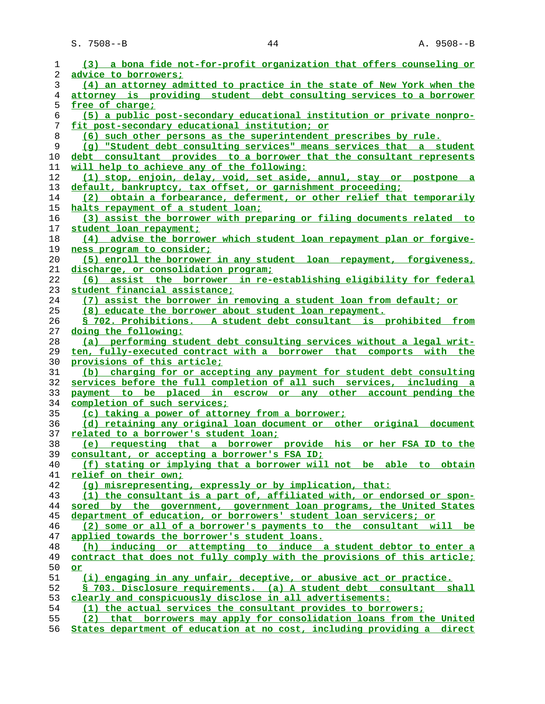S. 7508--B 44 A. 9508--B

| 1        | (3) a bona fide not-for-profit organization that offers counseling or    |
|----------|--------------------------------------------------------------------------|
| 2        | advice to borrowers;                                                     |
| 3        | (4) an attorney admitted to practice in the state of New York when the   |
| 4        | attorney is providing student debt consulting services to a borrower     |
| 5        | free of charge;                                                          |
| 6        | (5) a public post-secondary educational institution or private nonpro-   |
| 7        | fit post-secondary educational institution; or                           |
| 8        | (6) such other persons as the superintendent prescribes by rule.         |
| 9        | (q) "Student debt consulting services" means services that a student     |
| 10       | debt consultant provides to a borrower that the consultant represents    |
| 11       | will help to achieve any of the following:                               |
| 12       | (1) stop, enjoin, delay, void, set aside, annul, stay or postpone a      |
| 13       | default, bankruptcy, tax offset, or garnishment proceeding;              |
| 14       | (2) obtain a forbearance, deferment, or other relief that temporarily    |
|          |                                                                          |
| 15       | halts repayment of a student loan;                                       |
| 16       | (3) assist the borrower with preparing or filing documents related to    |
| 17       | student loan repayment;                                                  |
| 18       | (4) advise the borrower which student loan repayment plan or forgive-    |
| 19       | ness program to consider;                                                |
| 20       | (5) enroll the borrower in any student loan repayment, forgiveness,      |
| 21       | discharge, or consolidation program;                                     |
| 22       | (6) assist the borrower in re-establishing eligibility for federal       |
| 23       | student financial assistance;                                            |
| 24       | (7) assist the borrower in removing a student loan from default; or      |
| 25       | (8) educate the borrower about student loan repayment.                   |
| 26       | § 702. Prohibitions. A student debt consultant is prohibited from        |
| 27       | doing the following:                                                     |
| 28       | (a) performing student debt consulting services without a legal writ-    |
| 29       | ten, fully-executed contract with a borrower that comports with the      |
| 30       | provisions of this article;                                              |
| 31       | (b) charging for or accepting any payment for student debt consulting    |
| 32       | services before the full completion of all such services, including a    |
| 33       | payment to be placed in escrow or any other account pending the          |
| 34       | completion of such services;                                             |
| 35       | (c) taking a power of attorney from a borrower;                          |
| 36       | (d) retaining any original loan document or other original document      |
|          | related to a borrower's student loan;                                    |
| 37<br>38 | (e) requesting that a borrower provide his or her FSA ID to the          |
| 39       |                                                                          |
|          | consultant, or accepting a borrower's FSA ID;                            |
| 40       | (f) stating or implying that a borrower will not be able to obtain       |
| 41       | relief on their own;                                                     |
| 42       | (q) misrepresenting, expressly or by implication, that:                  |
| 43       | (1) the consultant is a part of, affiliated with, or endorsed or spon-   |
| 44       | sored by the government, government loan programs, the United States     |
| 45       | department of education, or borrowers' student loan servicers; or        |
| 46       | (2) some or all of a borrower's payments to the consultant will be       |
| 47       | applied towards the borrower's student loans.                            |
| 48       | (h) inducing or attempting to induce a student debtor to enter a         |
| 49       | contract that does not fully comply with the provisions of this article; |
| 50       | or                                                                       |
| 51       | (i) engaging in any unfair, deceptive, or abusive act or practice.       |
| 52       | § 703. Disclosure requirements. (a) A student debt consultant shall      |
| 53       | clearly and conspicuously disclose in all advertisements:                |
| 54       | (1) the actual services the consultant provides to borrowers;            |
| 55       | that borrowers may apply for consolidation loans from the United<br>(2)  |
|          |                                                                          |

**States department of education at no cost, including providing a direct**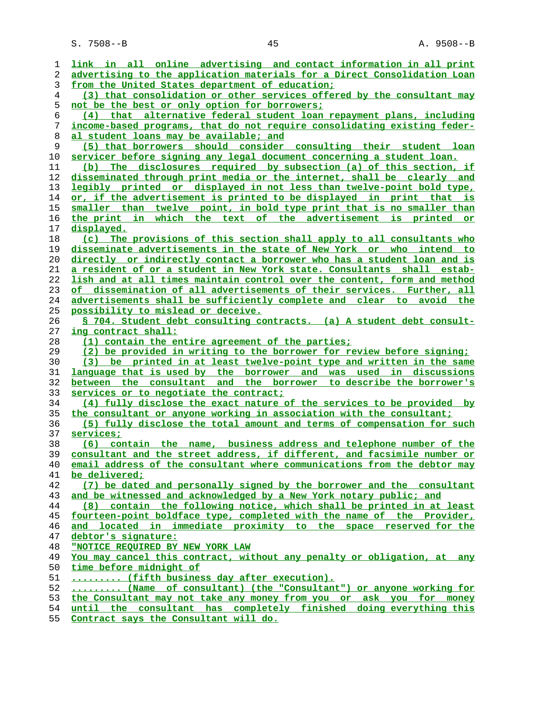| 1        | link in all online advertising and contact information in all print                                                                  |
|----------|--------------------------------------------------------------------------------------------------------------------------------------|
| 2        | advertising to the application materials for a Direct Consolidation Loan                                                             |
| 3        | from the United States department of education;                                                                                      |
| 4        | (3) that consolidation or other services offered by the consultant may                                                               |
| 5        | not be the best or only option for borrowers;                                                                                        |
| 6        | (4) that alternative federal student loan repayment plans, including                                                                 |
| 7        | income-based programs, that do not require consolidating existing feder-                                                             |
| 8        | al student loans may be available; and                                                                                               |
| 9        | (5) that borrowers should consider consulting their student loan                                                                     |
| 10       | servicer before signing any legal document concerning a student loan.                                                                |
| 11       | (b) The disclosures required by subsection (a) of this section, if                                                                   |
| 12       | disseminated through print media or the internet, shall be clearly and                                                               |
| 13       | legibly printed or displayed in not less than twelve-point bold type,                                                                |
| 14       | or, if the advertisement is printed to be displayed in print that is                                                                 |
| 15       | smaller than twelve point, in bold type print that is no smaller than                                                                |
| 16       | the print in which the text of the advertisement is printed or                                                                       |
| 17       | displayed.                                                                                                                           |
| 18       | The provisions of this section shall apply to all consultants who<br>(c)                                                             |
| 19       | disseminate advertisements in the state of New York or who intend to                                                                 |
| 20       | directly or indirectly contact a borrower who has a student loan and is                                                              |
| 21       | a resident of or a student in New York state. Consultants shall estab-                                                               |
| 22       | lish and at all times maintain control over the content, form and method                                                             |
| 23       | of dissemination of all advertisements of their services. Further, all                                                               |
| 24       | advertisements shall be sufficiently complete and clear to avoid the                                                                 |
| 25       | possibility to mislead or deceive.                                                                                                   |
| 26       | § 704. Student debt consulting contracts. (a) A student debt consult-                                                                |
|          |                                                                                                                                      |
|          |                                                                                                                                      |
| 27       | ing contract shall:                                                                                                                  |
| 28       | (1) contain the entire agreement of the parties;                                                                                     |
| 29       | (2) be provided in writing to the borrower for review before signing;                                                                |
| 30       | (3) be printed in at least twelve-point type and written in the same                                                                 |
| 31       | language that is used by the borrower and was used in discussions                                                                    |
| 32       | between the consultant and the borrower to describe the borrower's                                                                   |
| 33       | services or to negotiate the contract;                                                                                               |
| 34       | (4) fully disclose the exact nature of the services to be provided by                                                                |
| 35       | the consultant or anyone working in association with the consultant;                                                                 |
| 36       | (5) fully disclose the total amount and terms of compensation for such                                                               |
| 37       | services;                                                                                                                            |
| 38       | (6) contain the name, business address and telephone number of the                                                                   |
| 39<br>40 | consultant and the street address, if different, and facsimile number or                                                             |
|          | email address of the consultant where communications from the debtor may                                                             |
| 41<br>42 | be delivered;                                                                                                                        |
|          | (7) be dated and personally signed by the borrower and the consultant                                                                |
| 43       | and be witnessed and acknowledged by a New York notary public; and                                                                   |
| 44       | (8) contain the following notice, which shall be printed in at least                                                                 |
| 45       | fourteen-point boldface type, completed with the name of the Provider,                                                               |
| 46       | and located in immediate proximity to the space reserved for the                                                                     |
| 47       | debtor's signature:                                                                                                                  |
| 48<br>49 | "NOTICE REQUIRED BY NEW YORK LAW                                                                                                     |
| 50       | You may cancel this contract, without any penalty or obligation, at any<br>time before midnight of                                   |
|          |                                                                                                                                      |
| 51       | (fifth business day after execution).                                                                                                |
| 52<br>53 | (Name of consultant) (the "Consultant") or anyone working for<br>the Consultant may not take any money from you or ask you for money |

**until the consultant has completely finished doing everything this**

**Contract says the Consultant will do.**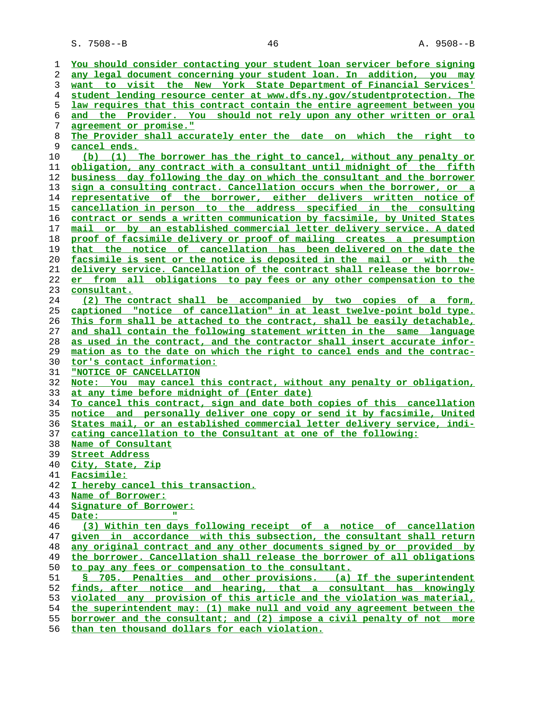S. 7508--B 46 A. 9508--B

| 1  | You should consider contacting your student loan servicer before signing |
|----|--------------------------------------------------------------------------|
| 2  | any legal document concerning your student loan. In addition, you may    |
| 3  | want to visit the New York State Department of Financial Services'       |
| 4  | student lending resource center at www.dfs.ny.gov/studentprotection. The |
| 5  | law requires that this contract contain the entire agreement between you |
| 6  | and the Provider. You should not rely upon any other written or oral     |
| 7  | agreement or promise."                                                   |
| 8  | The Provider shall accurately enter the date on which the right to       |
| 9  | cancel ends.                                                             |
| 10 | (b) (1) The borrower has the right to cancel, without any penalty or     |
| 11 | obligation, any contract with a consultant until midnight of the fifth   |
|    |                                                                          |
| 12 | business day following the day on which the consultant and the borrower  |
| 13 | sign a consulting contract. Cancellation occurs when the borrower, or a  |
| 14 | representative of the borrower, either delivers written notice of        |
| 15 | cancellation in person to the address specified in the consulting        |
| 16 | contract or sends a written communication by facsimile, by United States |
| 17 | mail or by an established commercial letter delivery service. A dated    |
| 18 | proof of facsimile delivery or proof of mailing creates a presumption    |
| 19 | that the notice of cancellation has been delivered on the date the       |
| 20 | facsimile is sent or the notice is deposited in the mail or with the     |
| 21 | delivery service. Cancellation of the contract shall release the borrow- |
| 22 | er from all obligations to pay fees or any other compensation to the     |
| 23 | consultant.                                                              |
| 24 | (2) The contract shall be accompanied by two copies of a form,           |
| 25 | captioned "notice of cancellation" in at least twelve-point bold type.   |
| 26 | This form shall be attached to the contract, shall be easily detachable, |
| 27 | and shall contain the following statement written in the same language   |
| 28 | as used in the contract, and the contractor shall insert accurate infor- |
| 29 | mation as to the date on which the right to cancel ends and the contrac- |
| 30 | tor's contact information:                                               |
| 31 | "NOTICE OF CANCELLATION                                                  |
| 32 | Note: You may cancel this contract, without any penalty or obligation,   |
| 33 | at any time before midnight of (Enter date)                              |
| 34 | To cancel this contract, sign and date both copies of this cancellation  |
| 35 | notice and personally deliver one copy or send it by facsimile, United   |
| 36 | States mail, or an established commercial letter delivery service, indi- |
| 37 | cating cancellation to the Consultant at one of the following:           |
| 38 | Name of Consultant                                                       |
| 39 | <b>Street Address</b>                                                    |
| 40 | City, State, Zip                                                         |
| 41 | Facsimile:                                                               |
| 42 | I hereby cancel this transaction.                                        |
| 43 | Name of Borrower:                                                        |
| 44 | Signature of Borrower:                                                   |
| 45 | H.<br>Date:                                                              |
| 46 | (3) Within ten days following receipt of a notice of cancellation        |
| 47 | given in accordance with this subsection, the consultant shall return    |
| 48 | any original contract and any other documents signed by or provided by   |
| 49 | the borrower. Cancellation shall release the borrower of all obligations |
| 50 | to pay any fees or compensation to the consultant.                       |
| 51 | § 705. Penalties and other provisions. (a) If the superintendent         |
| 52 | finds, after notice and hearing, that a consultant has knowingly         |
| 53 | violated any provision of this article and the violation was material,   |
| 54 | the superintendent may: (1) make null and void any agreement between the |
| 55 | borrower and the consultant; and (2) impose a civil penalty of not more  |
|    |                                                                          |

**than ten thousand dollars for each violation.**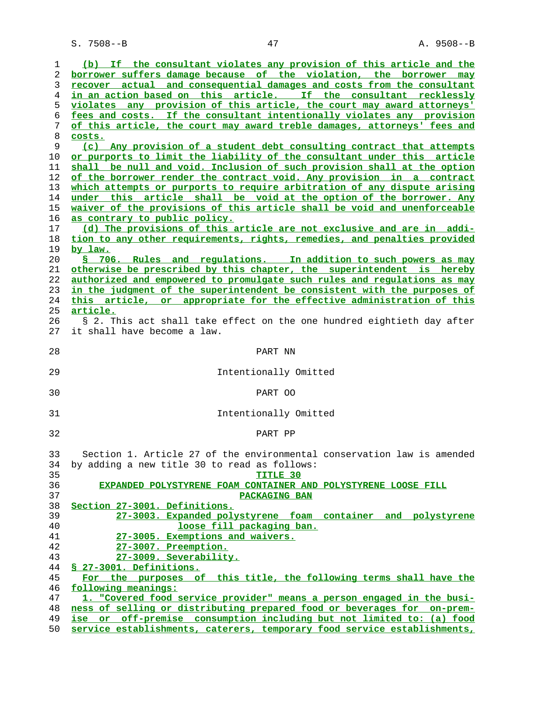| 1        | (b) If the consultant violates any provision of this article and the     |
|----------|--------------------------------------------------------------------------|
| 2        | borrower suffers damage because of the violation, the borrower may       |
| 3        | recover actual and consequential damages and costs from the consultant   |
|          | in an action based on this article. If the consultant recklessly         |
| 4        |                                                                          |
| 5        | violates any provision of this article, the court may award attorneys'   |
| 6        | fees and costs. If the consultant intentionally violates any provision   |
| 7        | of this article, the court may award treble damages, attorneys' fees and |
| 8        | costs.                                                                   |
| 9        | (c) Any provision of a student debt consulting contract that attempts    |
| 10       | or purports to limit the liability of the consultant under this article  |
| 11       | shall be null and void. Inclusion of such provision shall at the option  |
| 12       | of the borrower render the contract void. Any provision in a contract    |
| 13       | which attempts or purports to require arbitration of any dispute arising |
| 14       | under this article shall be void at the option of the borrower. Any      |
|          |                                                                          |
| 15       | waiver of the provisions of this article shall be void and unenforceable |
| 16       | as contrary to public policy.                                            |
| 17       | (d) The provisions of this article are not exclusive and are in addi-    |
| 18       | tion to any other requirements, rights, remedies, and penalties provided |
| 19       | by law.                                                                  |
| 20       | § 706. Rules and requlations. In addition to such powers as may          |
| 21       | otherwise be prescribed by this chapter, the superintendent is hereby    |
| 22       | authorized and empowered to promulgate such rules and requlations as may |
| 23       | in the judgment of the superintendent be consistent with the purposes of |
| 24       | this article, or appropriate for the effective administration of this    |
|          | <u>article.</u>                                                          |
| 25<br>26 |                                                                          |
|          | § 2. This act shall take effect on the one hundred eightieth day after   |
| 27       | it shall have become a law.                                              |
|          |                                                                          |
|          | PART NN                                                                  |
|          |                                                                          |
| 29       | Intentionally Omitted                                                    |
| 30       |                                                                          |
|          | PART 00                                                                  |
|          |                                                                          |
|          | Intentionally Omitted                                                    |
|          |                                                                          |
|          | PART PP                                                                  |
|          |                                                                          |
|          | Section 1. Article 27 of the environmental conservation law is amended   |
| 33<br>34 | by adding a new title 30 to read as follows:                             |
|          | TITLE 30                                                                 |
| 35<br>36 |                                                                          |
|          | EXPANDED POLYSTYRENE FOAM CONTAINER AND POLYSTYRENE LOOSE FILL           |
|          | <b>PACKAGING BAN</b>                                                     |
|          | Section 27-3001. Definitions.                                            |
|          | 27-3003. Expanded polystyrene foam container and polystyrene             |
| 40       | loose fill packaging ban.                                                |
| 41       | 27-3005. Exemptions and waivers.                                         |
| 42       | 27-3007. Preemption.                                                     |
| 43       | 27-3009. Severability.                                                   |
|          |                                                                          |
| 44       | § 27-3001. Definitions.                                                  |
| 45       | For the purposes of this title, the following terms shall have the       |
| 46       | following meanings:                                                      |
| 47       | 1. "Covered food service provider" means a person engaged in the busi-   |
| 48       | ness of selling or distributing prepared food or beverages for on-prem-  |
| 49       | ise or off-premise consumption including but not limited to: (a) food    |
| 50       | service establishments, caterers, temporary food service establishments, |
|          |                                                                          |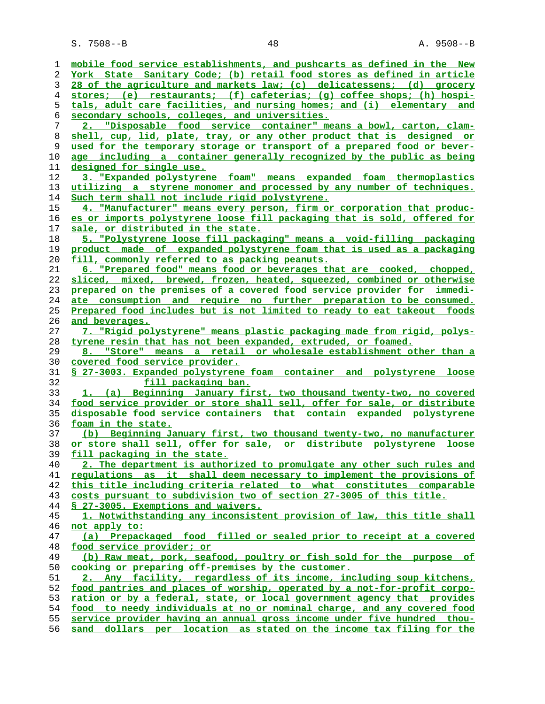S. 7508--B 48 48 A. 9508--B

| 1  | mobile food service establishments, and pushcarts as defined in the New                                                                           |
|----|---------------------------------------------------------------------------------------------------------------------------------------------------|
| 2  | York State Sanitary Code; (b) retail food stores as defined in article                                                                            |
| 3  | 28 of the agriculture and markets law; (c) delicatessens; (d) grocery                                                                             |
| 4  | stores; (e) restaurants; (f) cafeterias; (g) coffee shops; (h) hospi-                                                                             |
| 5  | tals, adult care facilities, and nursing homes; and (i) elementary and                                                                            |
| 6  | secondary schools, colleges, and universities.                                                                                                    |
| 7  | 2. "Disposable food service container" means a bowl, carton, clam-                                                                                |
| 8  | shell, cup, lid, plate, tray, or any other product that is designed or                                                                            |
| 9  |                                                                                                                                                   |
|    | used for the temporary storage or transport of a prepared food or bever-<br>age including a container generally recognized by the public as being |
| 10 |                                                                                                                                                   |
| 11 | designed for single use.                                                                                                                          |
| 12 | 3. "Expanded polystyrene foam" means expanded foam thermoplastics                                                                                 |
| 13 | utilizing a styrene monomer and processed by any number of techniques.                                                                            |
| 14 | Such term shall not include rigid polystyrene.                                                                                                    |
| 15 | 4. "Manufacturer" means every person, firm or corporation that produc-                                                                            |
| 16 | es or imports polystyrene loose fill packaging that is sold, offered for                                                                          |
| 17 | sale, or distributed in the state.                                                                                                                |
| 18 | 5. "Polystyrene loose fill packaging" means a void-filling packaging                                                                              |
| 19 | product made of expanded polystyrene foam that is used as a packaging                                                                             |
| 20 | fill, commonly referred to as packing peanuts.                                                                                                    |
| 21 | 6. "Prepared food" means food or beverages that are cooked, chopped,                                                                              |
| 22 | sliced, mixed, brewed, frozen, heated, squeezed, combined or otherwise                                                                            |
| 23 | prepared on the premises of a covered food service provider for immedi-                                                                           |
| 24 | ate consumption and require no further preparation to be consumed.                                                                                |
| 25 | Prepared food includes but is not limited to ready to eat takeout foods                                                                           |
| 26 | and beverages.                                                                                                                                    |
| 27 | 7. "Rigid polystyrene" means plastic packaging made from rigid, polys-                                                                            |
| 28 | tyrene resin that has not been expanded, extruded, or foamed.                                                                                     |
| 29 | 8. "Store" means a retail or wholesale establishment other than a                                                                                 |
| 30 | <u>covered food service provider.</u>                                                                                                             |
| 31 | <u>S 27-3003. Expanded polystyrene foam container and polystyrene loose</u>                                                                       |
| 32 | fill packaging ban.                                                                                                                               |
| 33 | 1. (a) Beginning January first, two thousand twenty-two, no covered                                                                               |
| 34 | food service provider or store shall sell, offer for sale, or distribute                                                                          |
| 35 | disposable food service containers that contain expanded polystyrene                                                                              |
|    | foam in the state.                                                                                                                                |
| 36 |                                                                                                                                                   |
| 37 | (b) Beginning January first, two thousand twenty-two, no manufacturer                                                                             |
| 38 | or store shall sell, offer for sale, or distribute polystyrene loose                                                                              |
| 39 | fill packaging in the state.                                                                                                                      |
| 40 | 2. The department is authorized to promulgate any other such rules and                                                                            |
| 41 | requlations as it shall deem necessary to implement the provisions of                                                                             |
| 42 | this title including criteria related to what constitutes comparable                                                                              |
| 43 | costs pursuant to subdivision two of section 27-3005 of this title.                                                                               |
| 44 | § 27-3005. Exemptions and waivers.                                                                                                                |
| 45 | 1. Notwithstanding any inconsistent provision of law, this title shall                                                                            |
| 46 | not apply to:                                                                                                                                     |
| 47 | (a) Prepackaged food filled or sealed prior to receipt at a covered                                                                               |
| 48 | food service provider; or                                                                                                                         |
| 49 | (b) Raw meat, pork, seafood, poultry or fish sold for the purpose of                                                                              |
| 50 | cooking or preparing off-premises by the customer.                                                                                                |
| 51 | 2. Any facility, regardless of its income, including soup kitchens,                                                                               |
| 52 | food pantries and places of worship, operated by a not-for-profit corpo-                                                                          |
| 53 | ration or by a federal, state, or local government agency that provides                                                                           |
| 54 | food to needy individuals at no or nominal charge, and any covered food                                                                           |
| 55 | service provider having an annual gross income under five hundred thou-                                                                           |
|    |                                                                                                                                                   |

**sand dollars per location as stated on the income tax filing for the**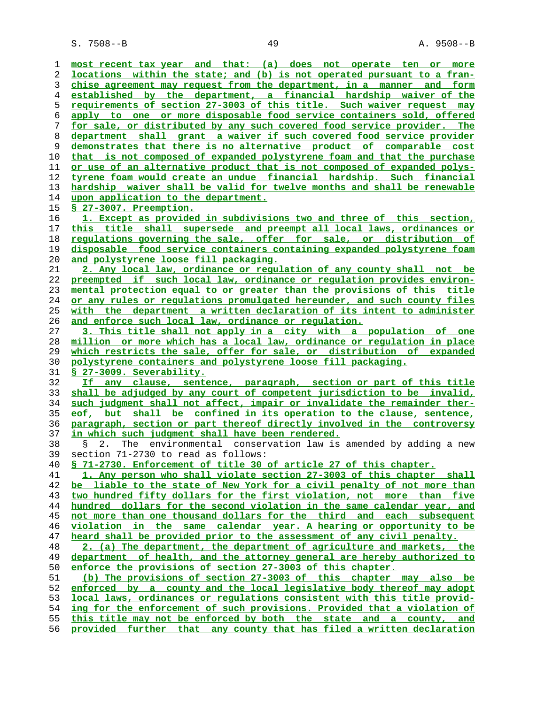S. 7508--B 49 A. 9508--B

**most recent tax year and that: (a) does not operate ten or more locations within the state; and (b) is not operated pursuant to a fran- chise agreement may request from the department, in a manner and form established by the department, a financial hardship waiver of the requirements of section 27-3003 of this title. Such waiver request may apply to one or more disposable food service containers sold, offered for sale, or distributed by any such covered food service provider. The department shall grant a waiver if such covered food service provider demonstrates that there is no alternative product of comparable cost that is not composed of expanded polystyrene foam and that the purchase or use of an alternative product that is not composed of expanded polys- tyrene foam would create an undue financial hardship. Such financial hardship waiver shall be valid for twelve months and shall be renewable upon application to the department. § 27-3007. Preemption. 1. Except as provided in subdivisions two and three of this section, this title shall supersede and preempt all local laws, ordinances or regulations governing the sale, offer for sale, or distribution of disposable food service containers containing expanded polystyrene foam and polystyrene loose fill packaging. 2. Any local law, ordinance or regulation of any county shall not be preempted if such local law, ordinance or regulation provides environ- mental protection equal to or greater than the provisions of this title or any rules or regulations promulgated hereunder, and such county files with the department a written declaration of its intent to administer and enforce such local law, ordinance or regulation. 3. This title shall not apply in a city with a population of one million or more which has a local law, ordinance or regulation in place which restricts the sale, offer for sale, or distribution of expanded polystyrene containers and polystyrene loose fill packaging. § 27-3009. Severability. If any clause, sentence, paragraph, section or part of this title shall be adjudged by any court of competent jurisdiction to be invalid, such judgment shall not affect, impair or invalidate the remainder ther- eof, but shall be confined in its operation to the clause, sentence, paragraph, section or part thereof directly involved in the controversy in which such judgment shall have been rendered.** 38 § 2. The environmental conservation law is amended by adding a new 39 section 71-2730 to read as follows: **§ 71-2730. Enforcement of title 30 of article 27 of this chapter. 1. Any person who shall violate section 27-3003 of this chapter shall be liable to the state of New York for a civil penalty of not more than two hundred fifty dollars for the first violation, not more than five hundred dollars for the second violation in the same calendar year, and not more than one thousand dollars for the third and each subsequent violation in the same calendar year. A hearing or opportunity to be heard shall be provided prior to the assessment of any civil penalty. 2. (a) The department, the department of agriculture and markets, the department of health, and the attorney general are hereby authorized to enforce the provisions of section 27-3003 of this chapter. (b) The provisions of section 27-3003 of this chapter may also be enforced by a county and the local legislative body thereof may adopt local laws, ordinances or regulations consistent with this title provid- ing for the enforcement of such provisions. Provided that a violation of this title may not be enforced by both the state and a county, and provided further that any county that has filed a written declaration**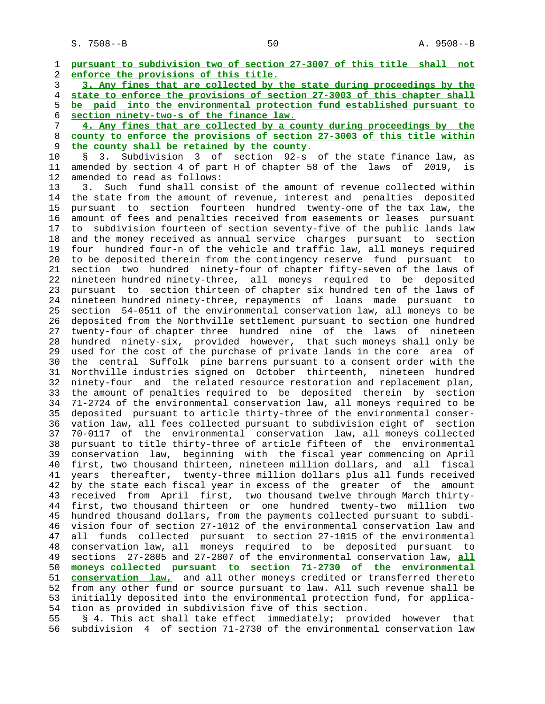S. 7508--B 50 A. 9508--B

 1 **pursuant to subdivision two of section 27-3007 of this title shall not** 2 **enforce the provisions of this title.** 3 **3. Any fines that are collected by the state during proceedings by the** 4 **state to enforce the provisions of section 27-3003 of this chapter shall** 5 **be paid into the environmental protection fund established pursuant to** 6 **section ninety-two-s of the finance law.** 7 **4. Any fines that are collected by a county during proceedings by the** 8 **county to enforce the provisions of section 27-3003 of this title within** 9 **the county shall be retained by the county.** 10 § 3. Subdivision 3 of section 92-s of the state finance law, as 11 amended by section 4 of part H of chapter 58 of the laws of 2019, is 12 amended to read as follows: 13 3. Such fund shall consist of the amount of revenue collected within 14 the state from the amount of revenue, interest and penalties deposited 15 pursuant to section fourteen hundred twenty-one of the tax law, the 16 amount of fees and penalties received from easements or leases pursuant 17 to subdivision fourteen of section seventy-five of the public lands law 18 and the money received as annual service charges pursuant to section 19 four hundred four-n of the vehicle and traffic law, all moneys required 20 to be deposited therein from the contingency reserve fund pursuant to 21 section two hundred ninety-four of chapter fifty-seven of the laws of 22 nineteen hundred ninety-three, all moneys required to be deposited 23 pursuant to section thirteen of chapter six hundred ten of the laws of 24 nineteen hundred ninety-three, repayments of loans made pursuant to 25 section 54-0511 of the environmental conservation law, all moneys to be 26 deposited from the Northville settlement pursuant to section one hundred 27 twenty-four of chapter three hundred nine of the laws of nineteen 28 hundred ninety-six, provided however, that such moneys shall only be 29 used for the cost of the purchase of private lands in the core area of 30 the central Suffolk pine barrens pursuant to a consent order with the 31 Northville industries signed on October thirteenth, nineteen hundred 32 ninety-four and the related resource restoration and replacement plan, 33 the amount of penalties required to be deposited therein by section 34 71-2724 of the environmental conservation law, all moneys required to be 35 deposited pursuant to article thirty-three of the environmental conser- 36 vation law, all fees collected pursuant to subdivision eight of section 37 70-0117 of the environmental conservation law, all moneys collected 38 pursuant to title thirty-three of article fifteen of the environmental 39 conservation law, beginning with the fiscal year commencing on April 40 first, two thousand thirteen, nineteen million dollars, and all fiscal 41 years thereafter, twenty-three million dollars plus all funds received 42 by the state each fiscal year in excess of the greater of the amount 43 received from April first, two thousand twelve through March thirty- 44 first, two thousand thirteen or one hundred twenty-two million two 45 hundred thousand dollars, from the payments collected pursuant to subdi- 46 vision four of section 27-1012 of the environmental conservation law and 47 all funds collected pursuant to section 27-1015 of the environmental 48 conservation law, all moneys required to be deposited pursuant to 49 sections 27-2805 and 27-2807 of the environmental conservation law, **all** 50 **moneys collected pursuant to section 71-2730 of the environmental** 51 **conservation law,** and all other moneys credited or transferred thereto 52 from any other fund or source pursuant to law. All such revenue shall be 53 initially deposited into the environmental protection fund, for applica- 54 tion as provided in subdivision five of this section. 55 § 4. This act shall take effect immediately; provided however that

56 subdivision 4 of section 71-2730 of the environmental conservation law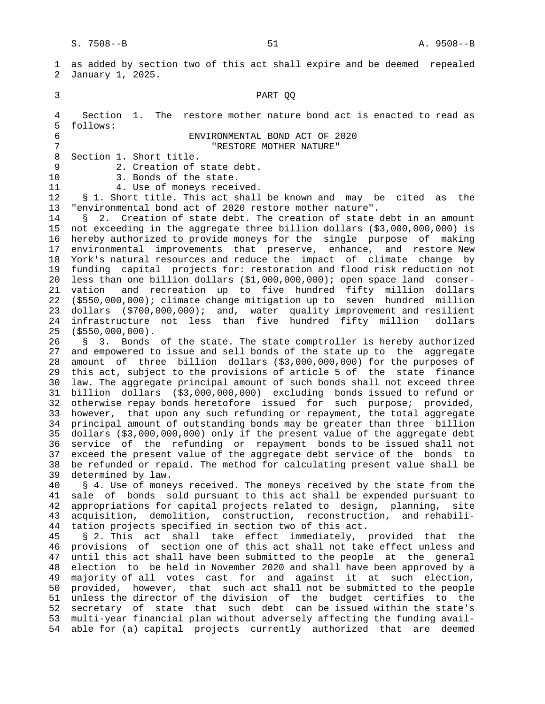1 as added by section two of this act shall expire and be deemed repealed 2 January 1, 2025.

#### 3 PART QQ

 4 Section 1. The restore mother nature bond act is enacted to read as 5 follows: 6 ENVIRONMENTAL BOND ACT OF 2020

"RESTORE MOTHER NATURE"

8 Section 1. Short title.

9 2. Creation of state debt.

10 3. Bonds of the state.

11 4. Use of moneys received.

12 § 1. Short title. This act shall be known and may be cited as the 13 "environmental bond act of 2020 restore mother nature".

 14 § 2. Creation of state debt. The creation of state debt in an amount 15 not exceeding in the aggregate three billion dollars (\$3,000,000,000) is 16 hereby authorized to provide moneys for the single purpose of making 17 environmental improvements that preserve, enhance, and restore New 18 York's natural resources and reduce the impact of climate change by 19 funding capital projects for: restoration and flood risk reduction not 20 less than one billion dollars (\$1,000,000,000); open space land conser- 21 vation and recreation up to five hundred fifty million dollars 22 (\$550,000,000); climate change mitigation up to seven hundred million 23 dollars (\$700,000,000); and, water quality improvement and resilient 24 infrastructure not less than five hundred fifty million dollars 25 (\$550,000,000).

 26 § 3. Bonds of the state. The state comptroller is hereby authorized 27 and empowered to issue and sell bonds of the state up to the aggregate 28 amount of three billion dollars (\$3,000,000,000) for the purposes of 29 this act, subject to the provisions of article 5 of the state finance 30 law. The aggregate principal amount of such bonds shall not exceed three 31 billion dollars (\$3,000,000,000) excluding bonds issued to refund or 32 otherwise repay bonds heretofore issued for such purpose; provided, 33 however, that upon any such refunding or repayment, the total aggregate 34 principal amount of outstanding bonds may be greater than three billion 35 dollars (\$3,000,000,000) only if the present value of the aggregate debt 36 service of the refunding or repayment bonds to be issued shall not 37 exceed the present value of the aggregate debt service of the bonds to 38 be refunded or repaid. The method for calculating present value shall be 39 determined by law.

 40 § 4. Use of moneys received. The moneys received by the state from the 41 sale of bonds sold pursuant to this act shall be expended pursuant to 42 appropriations for capital projects related to design, planning, site 43 acquisition, demolition, construction, reconstruction, and rehabili- 44 tation projects specified in section two of this act.

 45 § 2. This act shall take effect immediately, provided that the 46 provisions of section one of this act shall not take effect unless and 47 until this act shall have been submitted to the people at the general 48 election to be held in November 2020 and shall have been approved by a 49 majority of all votes cast for and against it at such election, 50 provided, however, that such act shall not be submitted to the people 51 unless the director of the division of the budget certifies to the 52 secretary of state that such debt can be issued within the state's 53 multi-year financial plan without adversely affecting the funding avail- 54 able for (a) capital projects currently authorized that are deemed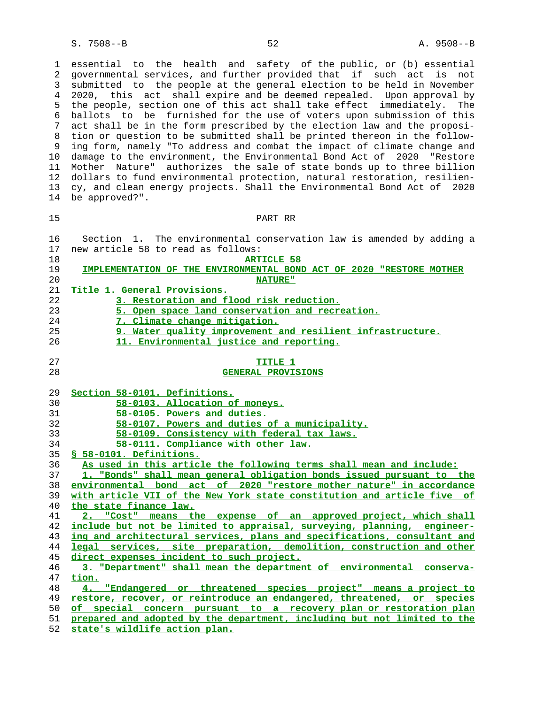1 essential to the health and safety of the public, or (b) essential 2 governmental services, and further provided that if such act is not 3 submitted to the people at the general election to be held in November 4 2020, this act shall expire and be deemed repealed. Upon approval by 5 the people, section one of this act shall take effect immediately. The 6 ballots to be furnished for the use of voters upon submission of this 7 act shall be in the form prescribed by the election law and the proposi- 8 tion or question to be submitted shall be printed thereon in the follow- 9 ing form, namely "To address and combat the impact of climate change and 10 damage to the environment, the Environmental Bond Act of 2020 "Restore 11 Mother Nature" authorizes the sale of state bonds up to three billion 12 dollars to fund environmental protection, natural restoration, resilien- 13 cy, and clean energy projects. Shall the Environmental Bond Act of 2020 14 be approved?".

#### 15 PART RR

 16 Section 1. The environmental conservation law is amended by adding a 17 new article 58 to read as follows: **ARTICLE 58 IMPLEMENTATION OF THE ENVIRONMENTAL BOND ACT OF 2020 "RESTORE MOTHER NATURE"**

- **Title 1. General Provisions. 3. Restoration and flood risk reduction.**
- **5. Open space land conservation and recreation.**
- **7. Climate change mitigation.**
- **9. Water quality improvement and resilient infrastructure.**
- **11. Environmental justice and reporting.**

# **TITLE 1**

# **GENERAL PROVISIONS**

**Section 58-0101. Definitions.**

|  |  |  | 58-0103. Allocation of moneys. |  |  |
|--|--|--|--------------------------------|--|--|
|--|--|--|--------------------------------|--|--|

- **58-0105. Powers and duties.**
- **58-0107. Powers and duties of a municipality.**
- **58-0109. Consistency with federal tax laws.**
- **58-0111. Compliance with other law.**

**§ 58-0101. Definitions.**

**As used in this article the following terms shall mean and include:**

### **1. "Bonds" shall mean general obligation bonds issued pursuant to the environmental bond act of 2020 "restore mother nature" in accordance**

**with article VII of the New York state constitution and article five of the state finance law.**

**2. "Cost" means the expense of an approved project, which shall include but not be limited to appraisal, surveying, planning, engineer- ing and architectural services, plans and specifications, consultant and legal services, site preparation, demolition, construction and other direct expenses incident to such project.**

## **3. "Department" shall mean the department of environmental conserva- tion.**

**4. "Endangered or threatened species project" means a project to restore, recover, or reintroduce an endangered, threatened, or species of special concern pursuant to a recovery plan or restoration plan prepared and adopted by the department, including but not limited to the**

**state's wildlife action plan.**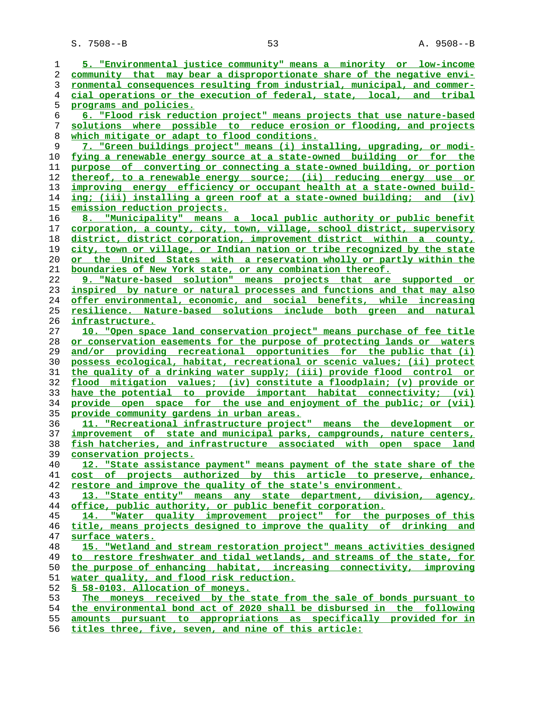| 1        | 5. "Environmental justice community" means a minority or low-income                                                                             |
|----------|-------------------------------------------------------------------------------------------------------------------------------------------------|
| 2        | community that may bear a disproportionate share of the negative envi-                                                                          |
| 3        | ronmental consequences resulting from industrial, municipal, and commer-                                                                        |
| 4        | cial operations or the execution of federal, state, local, and tribal                                                                           |
| 5        | programs and policies.                                                                                                                          |
| 6        | 6. "Flood risk reduction project" means projects that use nature-based                                                                          |
| 7        | solutions where possible to reduce erosion or flooding, and projects                                                                            |
| 8        | which mitigate or adapt to flood conditions.                                                                                                    |
| 9        | 7. "Green buildings project" means (i) installing, upgrading, or modi-                                                                          |
| 10       | fying a renewable energy source at a state-owned building or for the                                                                            |
| 11       | purpose of converting or connecting a state-owned building, or portion                                                                          |
| 12       | thereof, to a renewable energy source; (ii) reducing energy use or                                                                              |
| 13       | improving energy efficiency or occupant health at a state-owned build-                                                                          |
| 14       | ing; (iii) installing a green roof at a state-owned building; and (iv)                                                                          |
| 15       | emission reduction projects.                                                                                                                    |
| 16       | 8. "Municipality" means a local public authority or public benefit                                                                              |
| 17       | corporation, a county, city, town, village, school district, supervisory                                                                        |
| 18       | district, district corporation, improvement district within a county,                                                                           |
| 19       | city, town or village, or Indian nation or tribe recognized by the state                                                                        |
| 20       | or the United States with a reservation wholly or partly within the                                                                             |
| 21       | boundaries of New York state, or any combination thereof.                                                                                       |
| 22       | 9. "Nature-based solution" means projects that are supported or                                                                                 |
| 23       | inspired by nature or natural processes and functions and that may also<br>offer environmental, economic, and social benefits, while increasing |
| 24<br>25 | resilience. Nature-based solutions include both green and natural                                                                               |
| 26       | infrastructure.                                                                                                                                 |
| 27       | 10. "Open space land conservation project" means purchase of fee title                                                                          |
| 28       | or conservation easements for the purpose of protecting lands or waters                                                                         |
| 29       | and/or providing recreational opportunities for the public that (i)                                                                             |
| 30       | possess ecological, habitat, recreational or scenic values; (ii) protect                                                                        |
| 31       | the quality of a drinking water supply; (iii) provide flood control or                                                                          |
| 32       | flood mitigation values; (iv) constitute a floodplain; (v) provide or                                                                           |
| 33       | have the potential to provide important habitat connectivity; (vi)                                                                              |
| 34       | provide open space for the use and enjoyment of the public; or (vii)                                                                            |
| 35       | provide community gardens in urban areas.                                                                                                       |
| 36       | 11. "Recreational infrastructure project" means the development or                                                                              |
| 37       | improvement of state and municipal parks, campgrounds, nature centers,                                                                          |
| 38       | fish hatcheries, and infrastructure associated with open space land                                                                             |
| 39       | conservation projects.                                                                                                                          |
| 40       | 12. "State assistance payment" means payment of the state share of the                                                                          |
| 41       | cost of projects authorized by this article to preserve, enhance,                                                                               |
| 42       | restore and improve the quality of the state's environment.                                                                                     |
| 43       | 13. "State entity" means any state department, division, agency,                                                                                |
| 44       | office, public authority, or public benefit corporation.                                                                                        |
| 45       | 14. "Water quality improvement project" for the purposes of this                                                                                |
| 46       | title, means projects designed to improve the quality of drinking and                                                                           |
| 47       | surface waters.                                                                                                                                 |
| 48       | 15. "Wetland and stream restoration project" means activities designed                                                                          |
| 49       | to restore freshwater and tidal wetlands, and streams of the state, for                                                                         |
| 50       | the purpose of enhancing habitat, increasing connectivity, improving                                                                            |
| 51<br>52 | water quality, and flood risk reduction.<br>§ 58-0103. Allocation of moneys.                                                                    |
| 53       | The moneys received by the state from the sale of bonds pursuant to                                                                             |
| 54       | the environmental bond act of 2020 shall be disbursed in the following                                                                          |
| 55       | amounts pursuant to appropriations as specifically provided for in                                                                              |
| 56       | titles three, five, seven, and nine of this article:                                                                                            |
|          |                                                                                                                                                 |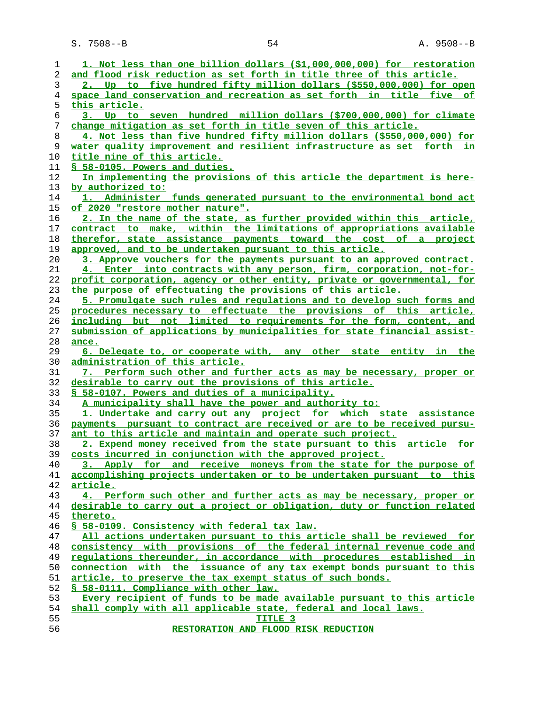S. 7508--B 54 54 A. 9508--B

| 1        | 1. Not less than one billion dollars (\$1,000,000,000) for restoration               |
|----------|--------------------------------------------------------------------------------------|
| 2        | and flood risk reduction as set forth in title three of this article.                |
| 3        | 2. Up to five hundred fifty million dollars (\$550,000,000) for open                 |
| 4        | space land conservation and recreation as set forth in title five of                 |
| 5        | <u>this article.</u>                                                                 |
| 6        | 3. Up to seven hundred million dollars (\$700,000,000) for climate                   |
| 7        | change mitigation as set forth in title seven of this article.                       |
| 8        | 4. Not less than five hundred fifty million dollars (\$550,000,000) for              |
| 9        | water quality improvement and resilient infrastructure as set forth in               |
| 10       | <u>title nine of this article.</u>                                                   |
| 11       | § 58-0105. Powers and duties.                                                        |
| 12       | In implementing the provisions of this article the department is here-               |
| 13       | by authorized to:                                                                    |
| 14       | 1. Administer funds generated pursuant to the environmental bond act                 |
| 15       | of 2020 "restore mother nature".                                                     |
| 16       | 2. In the name of the state, as further provided within this article,                |
| 17       | contract to make, within the limitations of appropriations available                 |
| 18       | therefor, state assistance payments toward the cost of a project                     |
| 19       | approved, and to be undertaken pursuant to this article.                             |
| 20       | 3. Approve vouchers for the payments pursuant to an approved contract.               |
| 21       | 4. Enter into contracts with any person, firm, corporation, not-for-                 |
| 22       | profit corporation, agency or other entity, private or governmental, for             |
| 23       | the purpose of effectuating the provisions of this article.                          |
| 24       | 5. Promulgate such rules and regulations and to develop such forms and               |
| 25       | procedures necessary to effectuate the provisions of this article,                   |
| 26       | including but not limited to requirements for the form, content, and                 |
| 27       | submission of applications by municipalities for state financial assist-             |
| 28       | ance.                                                                                |
| 29       | 6. Delegate to, or cooperate with, any other state entity in the                     |
| 30       | <u>administration of this article.</u>                                               |
| 31       | 7. Perform such other and further acts as may be necessary, proper or                |
| 32       | desirable to carry out the provisions of this article.                               |
| 33       | § 58-0107. Powers and duties of a municipality.                                      |
| 34       | A municipality shall have the power and authority to:                                |
| 35       | 1. Undertake and carry out any project for which state assistance                    |
| 36       | payments pursuant to contract are received or are to be received pursu-              |
| 37       | <u>ant to this article and maintain and operate such project.</u>                    |
| 38       | 2. Expend money received from the state pursuant to this article for                 |
| 39       | costs incurred in conjunction with the approved project.                             |
| 40       | 3. Apply for and receive moneys from the state for the purpose of                    |
| 41       | accomplishing projects undertaken or to be undertaken pursuant to this               |
| 42       | article.                                                                             |
| 43       | 4. Perform such other and further acts as may be necessary, proper or                |
| 44<br>45 | desirable to carry out a project or obligation, duty or function related<br>thereto. |
| 46       | § 58-0109. Consistency with federal tax law.                                         |
| 47       | All actions undertaken pursuant to this article shall be reviewed for                |
| 48       | consistency with provisions of the federal internal revenue code and                 |
| 49       | regulations thereunder, in accordance with procedures established in                 |
| 50       | <u>connection with the issuance of any tax exempt bonds pursuant to this</u>         |
| 51       | article, to preserve the tax exempt status of such bonds.                            |
| 52       | § 58-0111. Compliance with other law.                                                |
| 53       | Every recipient of funds to be made available pursuant to this article               |
| 54       | shall comply with all applicable state, federal and local laws.                      |
| 55       | TITLE 3                                                                              |
| 56       | RESTORATION AND FLOOD RISK REDUCTION                                                 |
|          |                                                                                      |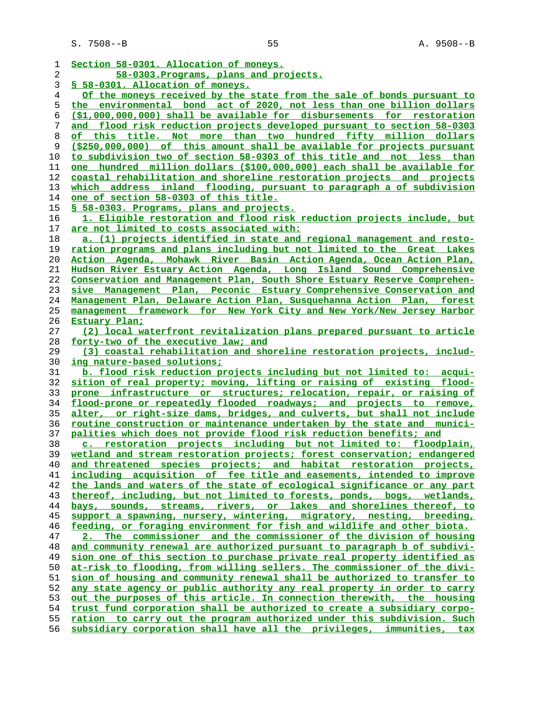| 1              | Section 58-0301. Allocation of moneys.                                         |
|----------------|--------------------------------------------------------------------------------|
| 2              | 58-0303. Programs, plans and projects.                                         |
| 3              | § 58-0301. Allocation of moneys.                                               |
| $\overline{4}$ | Of the moneys received by the state from the sale of bonds pursuant to         |
| 5              | the environmental bond act of 2020, not less than one billion dollars          |
| 6              | (\$1,000,000,000) shall be available for disbursements for restoration         |
| 7              | and flood risk reduction projects developed pursuant to section 58-0303        |
| 8              | of this title. Not more than two hundred fifty million dollars                 |
| 9              | (\$250,000,000) of this amount shall be available for projects pursuant        |
| 10             | to subdivision two of section 58-0303 of this title and not less than          |
| 11             | one hundred million dollars (\$100,000,000) each shall be available for        |
| 12             | coastal rehabilitation and shoreline restoration projects and projects         |
| 13             | which address inland flooding, pursuant to paragraph a of subdivision          |
| 14             | one of section 58-0303 of this title.                                          |
| 15             | § 58-0303. Programs, plans and projects.                                       |
| 16             | 1. Eligible restoration and flood risk reduction projects include, but         |
| 17             | <u>are not limited to costs associated with:</u>                               |
| 18             | a. (1) projects identified in state and regional management and resto-         |
| 19             | ration programs and plans including but not limited to the Great Lakes         |
| 20             | Action Agenda, Mohawk River Basin Action Agenda, Ocean Action Plan,            |
| 21             | Hudson River Estuary Action Agenda, Long Island Sound Comprehensive            |
| 22             | Conservation and Management Plan, South Shore Estuary Reserve Comprehen-       |
| 23             | sive Management Plan, Peconic Estuary Comprehensive Conservation and           |
| 24             | <u>Management Plan, Delaware Action Plan, Susquehanna Action Plan, forest</u>  |
| 25             | management framework for New York City and New York/New Jersey Harbor          |
| 26             | Estuary Plan;                                                                  |
| 27             | (2) local waterfront revitalization plans prepared pursuant to article         |
| 28             | forty-two of the executive law; and                                            |
| 29             | (3) coastal rehabilitation and shoreline restoration projects, includ-         |
| 30             | <u>ing nature-based solutions;</u>                                             |
| 31             | b. flood risk reduction projects including but not limited to: acqui-          |
| 32             | sition of real property; moving, lifting or raising of existing flood-         |
| 33             | infrastructure or structures; relocation, repair, or raising of<br>prone       |
| 34             | flood-prone or repeatedly flooded roadways; and projects to remove,            |
| 35             | alter, or right-size dams, bridges, and culverts, but shall not include        |
| 36             | <u>routine construction or maintenance undertaken by the state and munici-</u> |
| 37             | palities which does not provide flood risk reduction benefits; and             |
| 38             | c. restoration projects including but not limited to: floodplain,              |
| 39             | wetland and stream restoration projects; forest conservation; endangered       |
| 40             | and threatened species projects; and habitat restoration projects,             |
| 41             | including acquisition of fee title and easements, intended to improve          |
| 42             | the lands and waters of the state of ecological significance or any part       |
| 43             | thereof, including, but not limited to forests, ponds, bogs, wetlands,         |
| 44             | bays, sounds, streams, rivers, or lakes and shorelines thereof, to             |
| 45             | support a spawning, nursery, wintering, migratory, nesting, breeding,          |
| 46             | feeding, or foraging environment for fish and wildlife and other biota.        |
| 47             | The commissioner and the commissioner of the division of housing<br>2.         |
| 48             | and community renewal are authorized pursuant to paragraph b of subdivi-       |
| 49             | sion one of this section to purchase private real property identified as       |
| 50             | at-risk to flooding, from willing sellers. The commissioner of the divi-       |
| 51             | sion of housing and community renewal shall be authorized to transfer to       |
| 52             | any state agency or public authority any real property in order to carry       |
| 53             | out the purposes of this article. In connection therewith, the housing         |
| 54             | trust fund corporation shall be authorized to create a subsidiary corpo-       |
| 55             | ration to carry out the program authorized under this subdivision. Such        |
| 56             | subsidiary corporation shall have all the privileges, immunities, tax          |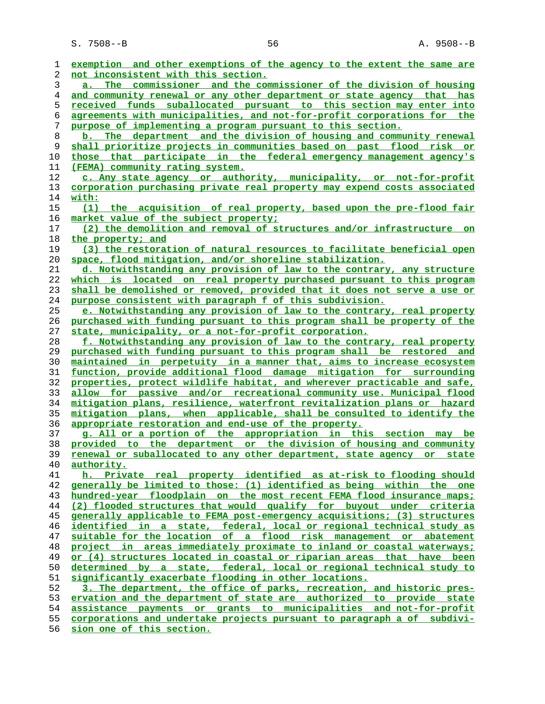S. 7508--B 56 A. 9508--B

**exemption and other exemptions of the agency to the extent the same are not inconsistent with this section. a. The commissioner and the commissioner of the division of housing and community renewal or any other department or state agency that has received funds suballocated pursuant to this section may enter into agreements with municipalities, and not-for-profit corporations for the purpose of implementing a program pursuant to this section. b. The department and the division of housing and community renewal shall prioritize projects in communities based on past flood risk or those that participate in the federal emergency management agency's (FEMA) community rating system. c. Any state agency or authority, municipality, or not-for-profit corporation purchasing private real property may expend costs associated with: (1) the acquisition of real property, based upon the pre-flood fair market value of the subject property; (2) the demolition and removal of structures and/or infrastructure on the property; and (3) the restoration of natural resources to facilitate beneficial open space, flood mitigation, and/or shoreline stabilization. d. Notwithstanding any provision of law to the contrary, any structure which is located on real property purchased pursuant to this program shall be demolished or removed, provided that it does not serve a use or purpose consistent with paragraph f of this subdivision. e. Notwithstanding any provision of law to the contrary, real property purchased with funding pursuant to this program shall be property of the state, municipality, or a not-for-profit corporation. f. Notwithstanding any provision of law to the contrary, real property purchased with funding pursuant to this program shall be restored and maintained in perpetuity in a manner that, aims to increase ecosystem function, provide additional flood damage mitigation for surrounding properties, protect wildlife habitat, and wherever practicable and safe, allow for passive and/or recreational community use. Municipal flood mitigation plans, resilience, waterfront revitalization plans or hazard mitigation plans, when applicable, shall be consulted to identify the appropriate restoration and end-use of the property. g. All or a portion of the appropriation in this section may be provided to the department or the division of housing and community renewal or suballocated to any other department, state agency or state authority. h. Private real property identified as at-risk to flooding should generally be limited to those: (1) identified as being within the one hundred-year floodplain on the most recent FEMA flood insurance maps; (2) flooded structures that would qualify for buyout under criteria generally applicable to FEMA post-emergency acquisitions; (3) structures identified in a state, federal, local or regional technical study as suitable for the location of a flood risk management or abatement project in areas immediately proximate to inland or coastal waterways; or (4) structures located in coastal or riparian areas that have been determined by a state, federal, local or regional technical study to significantly exacerbate flooding in other locations. 3. The department, the office of parks, recreation, and historic pres- ervation and the department of state are authorized to provide state assistance payments or grants to municipalities and not-for-profit corporations and undertake projects pursuant to paragraph a of subdivi-**

**sion one of this section.**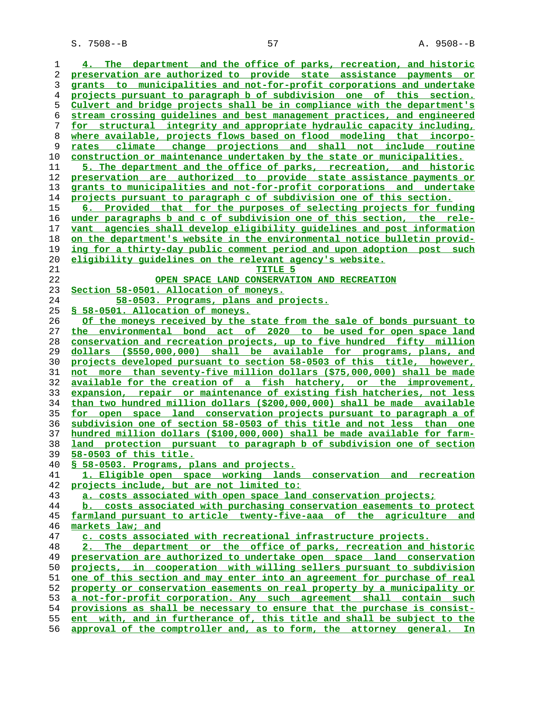| 1  | 4. The department and the office of parks, recreation, and historic           |
|----|-------------------------------------------------------------------------------|
| 2  | preservation are authorized to provide state assistance payments or           |
| 3  | grants to municipalities and not-for-profit corporations and undertake        |
| 4  | projects pursuant to paragraph b of subdivision one of this section.          |
| 5  | Culvert and bridge projects shall be in compliance with the department's      |
| 6  | stream crossing quidelines and best management practices, and engineered      |
| 7  | for structural integrity and appropriate hydraulic capacity including,        |
|    |                                                                               |
| 8  | where available, projects flows based on flood modeling that incorpo-         |
| 9  | change projections and shall not include routine<br>climate<br>rates          |
| 10 | construction or maintenance undertaken by the state or municipalities.        |
| 11 | 5. The department and the office of parks, recreation, and historic           |
| 12 | preservation are authorized to provide state assistance payments or           |
| 13 | grants to municipalities and not-for-profit corporations and undertake        |
| 14 | projects pursuant to paragraph c of subdivision one of this section.          |
| 15 | <u>Provided that for the purposes of selecting projects for funding</u><br>б. |
| 16 | under paragraphs b and c of subdivision one of this section, the rele-        |
| 17 | vant agencies shall develop eligibility quidelines and post information       |
| 18 | on the department's website in the environmental notice bulletin provid-      |
| 19 | ing for a thirty-day public comment period and upon adoption post such        |
| 20 | eligibility quidelines on the relevant agency's website.                      |
| 21 | TITLE 5                                                                       |
| 22 | OPEN SPACE LAND CONSERVATION AND RECREATION                                   |
| 23 | Section 58-0501. Allocation of moneys.                                        |
| 24 | 58-0503. Programs, plans and projects.                                        |
| 25 | § 58-0501. Allocation of moneys.                                              |
| 26 | Of the moneys received by the state from the sale of bonds pursuant to        |
| 27 | environmental bond act of 2020 to be used for open space land<br>the          |
| 28 | conservation and recreation projects, up to five hundred fifty million        |
| 29 | dollars (\$550,000,000) shall be available for programs, plans, and           |
| 30 | projects developed pursuant to section 58-0503 of this title, however,        |
| 31 | not more than seventy-five million dollars (\$75,000,000) shall be made       |
| 32 | available for the creation of a fish hatchery, or the improvement,            |
| 33 | expansion, repair or maintenance of existing fish hatcheries, not less        |
|    |                                                                               |
| 34 | than two hundred million dollars (\$200,000,000) shall be made available      |
| 35 | for open space land conservation projects pursuant to paragraph a of          |
| 36 | subdivision one of section 58-0503 of this title and not less than one        |
| 37 | hundred million dollars (\$100,000,000) shall be made available for farm-     |
| 38 | land protection pursuant to paragraph b of subdivision one of section         |
| 39 | 58-0503 of this title.                                                        |
| 40 | § 58-0503. Programs, plans and projects.                                      |
| 41 | 1. Eligible open space working lands conservation and recreation              |
| 42 | projects include, but are not limited to:                                     |
| 43 | a. costs associated with open space land conservation projects;               |
| 44 | b. costs associated with purchasing conservation easements to protect         |
| 45 | farmland pursuant to article twenty-five-aaa of the agriculture and           |
| 46 | markets law; and                                                              |
| 47 | c. costs associated with recreational infrastructure projects.                |
| 48 | 2. The department or the office of parks, recreation and historic             |
| 49 | preservation are authorized to undertake open space land conservation         |
| 50 | projects, in cooperation with willing sellers pursuant to subdivision         |
| 51 | one of this section and may enter into an agreement for purchase of real      |
| 52 | property or conservation easements on real property by a municipality or      |
| 53 | a not-for-profit corporation. Any such agreement shall contain such           |
| 54 | provisions as shall be necessary to ensure that the purchase is consist-      |
| 55 | ent with, and in furtherance of, this title and shall be subject to the       |
| 56 | approval of the comptroller and, as to form, the attorney general. In         |
|    |                                                                               |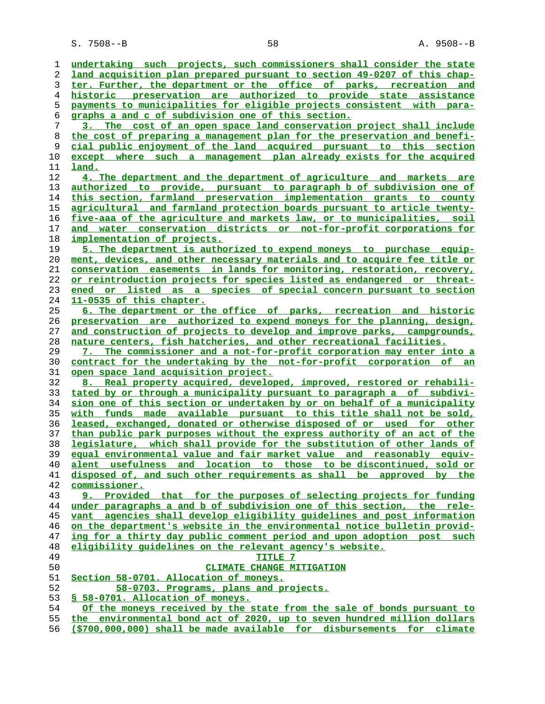S. 7508--B 58 58 A. 9508--B

| 1  | undertaking such projects, such commissioners shall consider the state         |
|----|--------------------------------------------------------------------------------|
|    |                                                                                |
| 2  | land acquisition plan prepared pursuant to section 49-0207 of this chap-       |
| 3  | ter. Further, the department or the office of parks, recreation and            |
| 4  | historic preservation are authorized to provide state assistance               |
| 5  | payments to municipalities for eligible projects consistent with para-         |
| 6  | graphs a and c of subdivision one of this section.                             |
| 7  | 3. The cost of an open space land conservation project shall include           |
| 8  | the cost of preparing a management plan for the preservation and benefi-       |
| 9  | cial public enjoyment of the land acquired pursuant to this section            |
| 10 | except where such a management plan already exists for the acquired            |
| 11 | land.                                                                          |
|    |                                                                                |
| 12 | 4. The department and the department of agriculture and markets are            |
| 13 | authorized to provide, pursuant to paragraph b of subdivision one of           |
| 14 | this section, farmland preservation implementation grants to county            |
| 15 | <u>agricultural and farmland protection boards pursuant to article twenty-</u> |
| 16 | <u>five-aaa of the agriculture and markets law, or to municipalities, soil</u> |
| 17 | <u>and water conservation districts or not-for-profit-corporations-for</u>     |
| 18 | implementation of projects.                                                    |
| 19 | 5. The department is authorized to expend moneys to purchase equip-            |
| 20 | ment, devices, and other necessary materials and to acquire fee title or       |
| 21 | conservation easements in lands for monitoring, restoration, recovery,         |
| 22 | or reintroduction projects for species listed as endangered or threat-         |
| 23 | ened or listed as a species of special concern pursuant to section             |
| 24 | <u>11-0535 of this chapter.</u>                                                |
| 25 | 6. The department or the office of parks, recreation and historic              |
| 26 | preservation are authorized to expend moneys for the planning, design,         |
|    | and construction of projects to develop and improve parks, campgrounds,        |
| 27 |                                                                                |
| 28 | nature centers, fish hatcheries, and other recreational facilities.            |
| 29 | 7. The commissioner and a not-for-profit corporation may enter into a          |
| 30 | <u>contract for the undertaking by the not-for-profit corporation of an</u>    |
| 31 | open space land acquisition project.                                           |
| 32 | 8. Real property acquired, developed, improved, restored or rehabili-          |
| 33 | tated by or through a municipality pursuant to paragraph a of subdivi-         |
| 34 | sion one of this section or undertaken by or on behalf of a municipality       |
| 35 | with funds made available pursuant to this title shall not be sold,            |
| 36 | leased, exchanged, donated or otherwise disposed of or used for other          |
| 37 | than public park purposes without the express authority of an act of the       |
| 38 | legislature, which shall provide for the substitution of other lands of        |
| 39 | equal environmental value and fair market value and reasonably equiv-          |
| 40 | alent usefulness and location to those to be discontinued, sold or             |
| 41 | disposed of, and such other requirements as shall be approved by the           |
| 42 | commissioner.                                                                  |
| 43 | 9. Provided that for the purposes of selecting projects for funding            |
| 44 | under paragraphs a and b of subdivision one of this section, the rele-         |
| 45 | yant agencies shall develop eligibility quidelines and post information        |
| 46 | on the department's website in the environmental notice bulletin provid-       |
| 47 | ing for a thirty day public comment period and upon adoption post such         |
| 48 | eligibility guidelines on the relevant agency's website.                       |
| 49 | TITLE 7                                                                        |
| 50 | CLIMATE CHANGE MITIGATION                                                      |
| 51 | Section 58-0701. Allocation of moneys.                                         |
| 52 | 58-0703. Programs, plans and projects.                                         |
| 53 | § 58-0701. Allocation of moneys.                                               |
| 54 | Of the moneys received by the state from the sale of bonds pursuant to         |
| 55 | the environmental bond act of 2020, up to seven hundred million dollars        |
|    |                                                                                |
| 56 | (\$700,000,000) shall be made available for disbursements for climate          |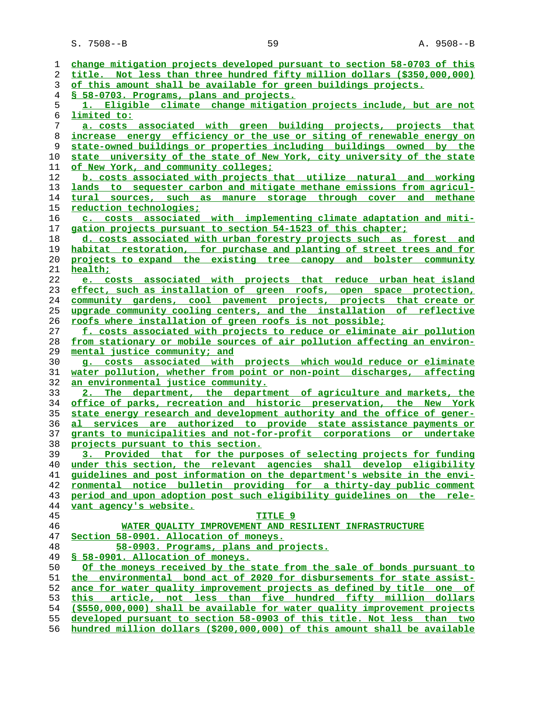S. 7508--B 59 59 A. 9508--B

| 1        |                                                                                                                                                     |  |  |
|----------|-----------------------------------------------------------------------------------------------------------------------------------------------------|--|--|
|          | change mitigation projects developed pursuant to section 58-0703 of this                                                                            |  |  |
| 2        | title. Not less than three hundred fifty million dollars (\$350,000,000)                                                                            |  |  |
|          |                                                                                                                                                     |  |  |
| 3        | of this amount shall be available for green buildings projects.                                                                                     |  |  |
| 4        | § 58-0703. Programs, plans and projects.                                                                                                            |  |  |
| 5        | 1. Eligible climate change mitigation projects include, but are not                                                                                 |  |  |
|          |                                                                                                                                                     |  |  |
| 6        | <u>limited to:</u>                                                                                                                                  |  |  |
| 7        | a. costs associated with green building projects, projects that                                                                                     |  |  |
|          |                                                                                                                                                     |  |  |
| 8        | increase energy efficiency or the use or siting of renewable energy on                                                                              |  |  |
| 9        | state-owned buildings or properties including buildings owned by the                                                                                |  |  |
| 10       | state university of the state of New York, city university of the state                                                                             |  |  |
|          |                                                                                                                                                     |  |  |
| 11       | of New York, and community colleges;                                                                                                                |  |  |
| 12       | b. costs associated with projects that utilize natural and working                                                                                  |  |  |
| 13       | lands to sequester carbon and mitigate methane emissions from agricul-                                                                              |  |  |
|          |                                                                                                                                                     |  |  |
| 14       | tural sources, such as manure storage through cover and methane                                                                                     |  |  |
| 15       | <u>reduction technologies;</u>                                                                                                                      |  |  |
| 16       | c. costs associated with implementing climate adaptation and miti-                                                                                  |  |  |
|          |                                                                                                                                                     |  |  |
| 17       | gation projects pursuant to section 54-1523 of this chapter;                                                                                        |  |  |
| 18       | d. costs associated with urban forestry projects such as forest and                                                                                 |  |  |
|          |                                                                                                                                                     |  |  |
| 19       | habitat restoration, for purchase and planting of street trees and for                                                                              |  |  |
| 20       | projects to expand the existing tree canopy and bolster community                                                                                   |  |  |
| 21       | health;                                                                                                                                             |  |  |
|          |                                                                                                                                                     |  |  |
| 22       | e. costs associated with projects that reduce urban heat island                                                                                     |  |  |
| 23       | effect, such as installation of green roofs, open space protection,                                                                                 |  |  |
| 24       | community gardens, cool pavement projects, projects that create or                                                                                  |  |  |
|          |                                                                                                                                                     |  |  |
| 25       | upgrade community cooling centers, and the installation of reflective                                                                               |  |  |
| 26       | roofs where installation of green roofs is not possible;                                                                                            |  |  |
| 27       | f. costs associated with projects to reduce or eliminate air pollution                                                                              |  |  |
|          |                                                                                                                                                     |  |  |
| 28       | from stationary or mobile sources of air pollution affecting an environ-                                                                            |  |  |
| 29       | mental justice community; and                                                                                                                       |  |  |
| 30       | g. costs associated with projects which would reduce or eliminate                                                                                   |  |  |
|          |                                                                                                                                                     |  |  |
| 31       | water pollution, whether from point or non-point discharges, affecting                                                                              |  |  |
| 32       | an environmental justice community.                                                                                                                 |  |  |
| 33       | 2. The department, the department of agriculture and markets, the                                                                                   |  |  |
|          |                                                                                                                                                     |  |  |
| 34       | office of parks, recreation and historic preservation, the New York                                                                                 |  |  |
| 35       | state energy research and development authority and the office of gener-                                                                            |  |  |
|          |                                                                                                                                                     |  |  |
|          |                                                                                                                                                     |  |  |
| 36       | al services are authorized to provide state assistance payments or                                                                                  |  |  |
| 37       | grants to municipalities and not-for-profit corporations or undertake                                                                               |  |  |
| 38       | projects pursuant to this section.                                                                                                                  |  |  |
|          |                                                                                                                                                     |  |  |
| 39       | Provided that for the purposes of selecting projects for funding<br>3. _                                                                            |  |  |
| 40       | under this section, the relevant agencies shall develop eligibility                                                                                 |  |  |
| 41       | guidelines and post information on the department's website in the envi-                                                                            |  |  |
|          |                                                                                                                                                     |  |  |
| 42       | ronmental notice bulletin providing for a thirty-day public comment                                                                                 |  |  |
| 43       | period and upon adoption post such eligibility guidelines on the rele-                                                                              |  |  |
| 44       | vant agency's website.                                                                                                                              |  |  |
|          |                                                                                                                                                     |  |  |
| 45       | <b>TITLE 9</b>                                                                                                                                      |  |  |
| 46       | WATER QUALITY IMPROVEMENT AND RESILIENT INFRASTRUCTURE                                                                                              |  |  |
| 47       | Section 58-0901. Allocation of moneys.                                                                                                              |  |  |
|          |                                                                                                                                                     |  |  |
| 48       | 58-0903. Programs, plans and projects.                                                                                                              |  |  |
| 49       | § 58-0901. Allocation of moneys.                                                                                                                    |  |  |
| 50       | Of the moneys received by the state from the sale of bonds pursuant to                                                                              |  |  |
|          |                                                                                                                                                     |  |  |
| 51       | the environmental bond act of 2020 for disbursements for state assist-                                                                              |  |  |
| 52       | ance for water quality improvement projects as defined by title one of                                                                              |  |  |
| 53       | this                                                                                                                                                |  |  |
|          | article, not less than five hundred fifty million dollars                                                                                           |  |  |
| 54       | (\$550,000,000) shall be available for water quality improvement projects                                                                           |  |  |
| 55<br>56 | developed pursuant to section 58-0903 of this title. Not less than two<br>hundred million dollars (\$200,000,000) of this amount shall be available |  |  |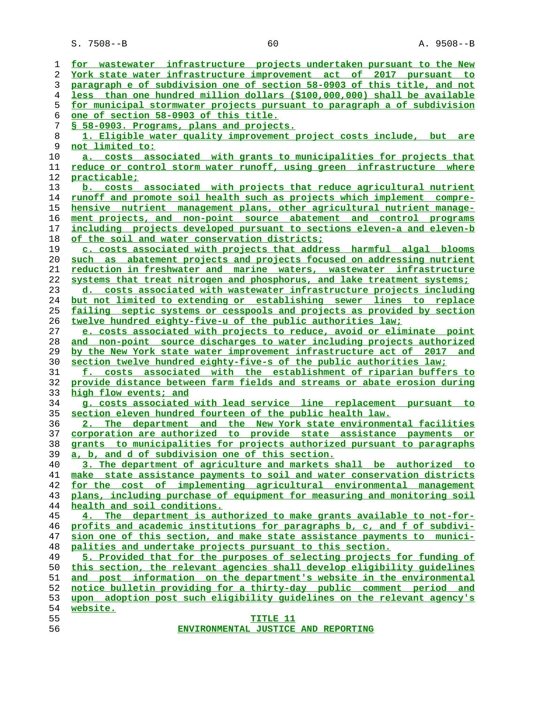| 1        | for wastewater infrastructure projects undertaken pursuant to the New                                                                           |  |  |  |
|----------|-------------------------------------------------------------------------------------------------------------------------------------------------|--|--|--|
| 2        | York state water infrastructure improvement act of 2017 pursuant to                                                                             |  |  |  |
| 3        | paragraph e of subdivision one of section 58-0903 of this title, and not                                                                        |  |  |  |
| 4        | less than one hundred million dollars (\$100,000,000) shall be available                                                                        |  |  |  |
| 5        | for municipal stormwater projects pursuant to paragraph a of subdivision                                                                        |  |  |  |
| 6        | <u>one of section 58-0903 of this title.</u>                                                                                                    |  |  |  |
| 7        | § 58-0903. Programs, plans and projects.                                                                                                        |  |  |  |
| 8        | 1. Eligible water quality improvement project costs include, but<br>are                                                                         |  |  |  |
| 9        | <u>not limited to:</u>                                                                                                                          |  |  |  |
| 10       | a. costs associated with grants to municipalities for projects that                                                                             |  |  |  |
| 11       | reduce or control storm water runoff, using green infrastructure where                                                                          |  |  |  |
| 12       | practicable;                                                                                                                                    |  |  |  |
| 13       | b. costs associated with projects that reduce agricultural nutrient                                                                             |  |  |  |
| 14       | runoff and promote soil health such as projects which implement compre-                                                                         |  |  |  |
| 15       | hensive nutrient management plans, other agricultural nutrient manage-                                                                          |  |  |  |
| 16       | ment projects, and non-point source abatement and control programs                                                                              |  |  |  |
| 17       | including projects developed pursuant to sections eleven-a and eleven-b                                                                         |  |  |  |
| 18       |                                                                                                                                                 |  |  |  |
| 19       | of the soil and water conservation districts;<br>c. costs associated with projects that address harmful algal blooms                            |  |  |  |
| 20       | such as abatement projects and projects focused on addressing nutrient                                                                          |  |  |  |
| 21       | reduction in freshwater and marine waters, wastewater infrastructure                                                                            |  |  |  |
| 22       | systems that treat nitrogen and phosphorus, and lake treatment systems;                                                                         |  |  |  |
| 23       | d. costs associated with wastewater infrastructure projects including                                                                           |  |  |  |
| 24       | but not limited to extending or establishing sewer lines to replace                                                                             |  |  |  |
| 25       | failing septic systems or cesspools and projects as provided by section                                                                         |  |  |  |
| 26       | twelve hundred eighty-five-u of the public authorities law;                                                                                     |  |  |  |
| 27       | e. costs associated with projects to reduce, avoid or eliminate point                                                                           |  |  |  |
| 28       | and non-point source discharges to water including projects authorized                                                                          |  |  |  |
|          |                                                                                                                                                 |  |  |  |
|          |                                                                                                                                                 |  |  |  |
| 29       | by the New York state water improvement infrastructure act of 2017<br>and                                                                       |  |  |  |
| 30       | section twelve hundred eighty-five-s of the public authorities law;                                                                             |  |  |  |
| 31       | f. costs associated with the establishment of riparian buffers to                                                                               |  |  |  |
| 32       | provide distance between farm fields and streams or abate erosion during                                                                        |  |  |  |
| 33       | high flow events; and                                                                                                                           |  |  |  |
| 34       | g. costs associated with lead service line replacement pursuant to                                                                              |  |  |  |
| 35       | section eleven hundred fourteen of the public health law.                                                                                       |  |  |  |
| 36       | 2. The department and the New York state environmental facilities                                                                               |  |  |  |
| 37       | corporation are authorized to provide state assistance payments or                                                                              |  |  |  |
| 38       | grants to municipalities for projects authorized pursuant to paragraphs                                                                         |  |  |  |
| 39       | a, b, and d of subdivision one of this section.                                                                                                 |  |  |  |
| 40       | 3. The department of agriculture and markets shall be authorized to                                                                             |  |  |  |
| 41       | make state assistance payments to soil and water conservation districts                                                                         |  |  |  |
| 42       | for the cost of implementing agricultural environmental management                                                                              |  |  |  |
| 43       | plans, including purchase of equipment for measuring and monitoring soil                                                                        |  |  |  |
| 44       | health and soil conditions.                                                                                                                     |  |  |  |
| 45       | 4. The department is authorized to make grants available to not-for-                                                                            |  |  |  |
| 46       | profits and academic institutions for paragraphs b, c, and f of subdivi-                                                                        |  |  |  |
| 47       | sion one of this section, and make state assistance payments to munici-                                                                         |  |  |  |
| 48       | palities and undertake projects pursuant to this section.                                                                                       |  |  |  |
| 49       | 5. Provided that for the purposes of selecting projects for funding of                                                                          |  |  |  |
| 50       | this section, the relevant agencies shall develop eligibility quidelines                                                                        |  |  |  |
| 51<br>52 | and post information on the department's website in the environmental                                                                           |  |  |  |
| 53       | notice bulletin providing for a thirty-day public comment period and<br>upon adoption post such eligibility guidelines on the relevant agency's |  |  |  |
| 54       | website.                                                                                                                                        |  |  |  |
| 55       | <b>TITLE 11</b>                                                                                                                                 |  |  |  |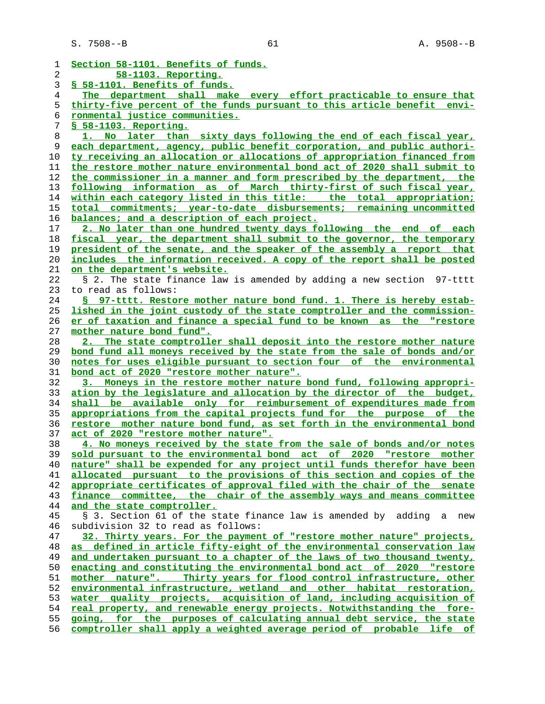S. 7508--B 61 A. 9508--B

| 1              | Section 58-1101. Benefits of funds.                                                                                                               |  |  |
|----------------|---------------------------------------------------------------------------------------------------------------------------------------------------|--|--|
| 2              | 58-1103. Reporting.                                                                                                                               |  |  |
| 3              | § 58-1101. Benefits of funds.                                                                                                                     |  |  |
| $\overline{4}$ | The department shall make every effort practicable to ensure that                                                                                 |  |  |
| 5              | thirty-five percent of the funds pursuant to this article benefit envi-                                                                           |  |  |
| 6              | <u>ronmental justice communities.</u>                                                                                                             |  |  |
| 7              | § 58-1103. Reporting.                                                                                                                             |  |  |
| 8              | 1. No later than sixty days following the end of each fiscal year,                                                                                |  |  |
| 9              | each department, agency, public benefit corporation, and public authori-                                                                          |  |  |
| 10             | ty receiving an allocation or allocations of appropriation financed from                                                                          |  |  |
| 11             | the restore mother nature environmental bond act of 2020 shall submit to                                                                          |  |  |
| 12             | the commissioner in a manner and form prescribed by the department, the                                                                           |  |  |
| 13             | following information as of March thirty-first of such fiscal year,                                                                               |  |  |
| 14             | within each category listed in this title: the total appropriation;                                                                               |  |  |
| 15             | total commitments; year-to-date disbursements; remaining uncommitted                                                                              |  |  |
| 16             | balances; and a description of each project.                                                                                                      |  |  |
| 17             | 2. No later than one hundred twenty days following the end of each                                                                                |  |  |
| 18             | fiscal year, the department shall submit to the governor, the temporary                                                                           |  |  |
| 19             |                                                                                                                                                   |  |  |
| 20             | president of the senate, and the speaker of the assembly a report that<br>includes the information received. A copy of the report shall be posted |  |  |
| 21             | on the department's website.                                                                                                                      |  |  |
| 22             | § 2. The state finance law is amended by adding a new section<br>$97$ -tttt                                                                       |  |  |
| 23             | to read as follows:                                                                                                                               |  |  |
| 24             | § 97-tttt. Restore mother nature bond fund. 1. There is hereby estab-                                                                             |  |  |
| 25             | lished in the joint custody of the state comptroller and the commission-                                                                          |  |  |
| 26             | er of taxation and finance a special fund to be known as the "restore                                                                             |  |  |
| 27             | mother nature bond fund".                                                                                                                         |  |  |
| 28             | 2. The state comptroller shall deposit into the restore mother nature                                                                             |  |  |
| 29             | bond fund all moneys received by the state from the sale of bonds and/or                                                                          |  |  |
| 30             | notes for uses eligible pursuant to section four of the environmental                                                                             |  |  |
| 31             | bond act of 2020 "restore mother nature".                                                                                                         |  |  |
| 32             | 3. Moneys in the restore mother nature bond fund, following appropri-                                                                             |  |  |
| 33             | ation by the legislature and allocation by the director of the budget,                                                                            |  |  |
| 34             | shall be available only for reimbursement of expenditures made from                                                                               |  |  |
| 35             | appropriations from the capital projects fund for the purpose of the                                                                              |  |  |
| 36             | restore mother nature bond fund, as set forth in the environmental bond                                                                           |  |  |
| 37             | act of 2020 "restore mother nature".                                                                                                              |  |  |
| 38             | 4. No moneys received by the state from the sale of bonds and/or notes                                                                            |  |  |
| 39             | sold pursuant to the environmental bond act of 2020 "restore mother                                                                               |  |  |
| 40             | nature" shall be expended for any project until funds therefor have been                                                                          |  |  |
| 41             | allocated pursuant to the provisions of this section and copies of the                                                                            |  |  |
| 42             | appropriate certificates of approval filed with the chair of the senate                                                                           |  |  |
| 43             | finance committee, the chair of the assembly ways and means committee                                                                             |  |  |
| 44             | and the state comptroller.                                                                                                                        |  |  |
| 45             | § 3. Section 61 of the state finance law is amended by adding<br>a<br>new                                                                         |  |  |
| 46             | subdivision 32 to read as follows:                                                                                                                |  |  |
| 47             | 32. Thirty years. For the payment of "restore mother nature" projects,                                                                            |  |  |
| 48             | defined in article fifty-eight of the environmental conservation law<br>as                                                                        |  |  |
| 49             | and undertaken pursuant to a chapter of the laws of two thousand twenty,                                                                          |  |  |
| 50             | enacting and constituting the environmental bond act of 2020 "restore                                                                             |  |  |
| 51             | mother nature". Thirty years for flood control infrastructure, other                                                                              |  |  |
| 52             | environmental infrastructure, wetland and other habitat restoration,                                                                              |  |  |
| 53             | water quality projects, acquisition of land, including acquisition of                                                                             |  |  |
| 54             | real property, and renewable energy projects. Notwithstanding the fore-                                                                           |  |  |
| 55             | going, for the purposes of calculating annual debt service, the state                                                                             |  |  |
| 56             | comptroller shall apply a weighted average period of probable life of                                                                             |  |  |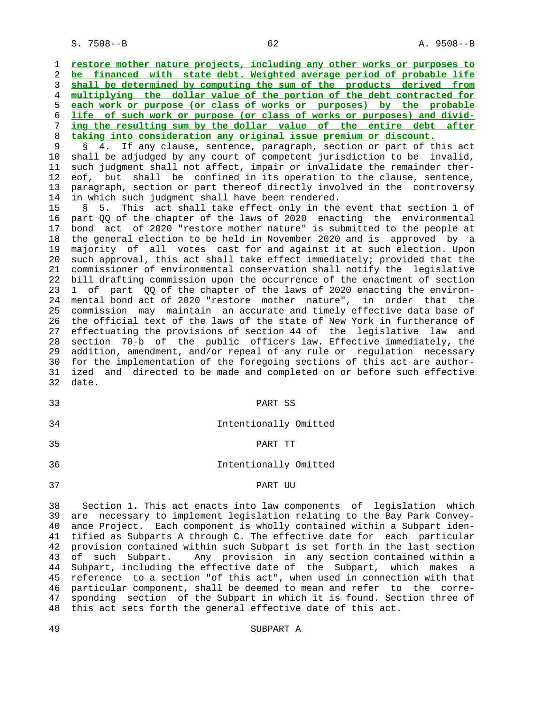**restore mother nature projects, including any other works or purposes to be financed with state debt. Weighted average period of probable life shall be determined by computing the sum of the products derived from multiplying the dollar value of the portion of the debt contracted for each work or purpose (or class of works or purposes) by the probable life of such work or purpose (or class of works or purposes) and divid- ing the resulting sum by the dollar value of the entire debt after taking into consideration any original issue premium or discount.**

 9 § 4. If any clause, sentence, paragraph, section or part of this act 10 shall be adjudged by any court of competent jurisdiction to be invalid, 11 such judgment shall not affect, impair or invalidate the remainder ther- 12 eof, but shall be confined in its operation to the clause, sentence, 13 paragraph, section or part thereof directly involved in the controversy 14 in which such judgment shall have been rendered.

 15 § 5. This act shall take effect only in the event that section 1 of 16 part QQ of the chapter of the laws of 2020 enacting the environmental 17 bond act of 2020 "restore mother nature" is submitted to the people at 18 the general election to be held in November 2020 and is approved by a 19 majority of all votes cast for and against it at such election. Upon 20 such approval, this act shall take effect immediately; provided that the 21 commissioner of environmental conservation shall notify the legislative 22 bill drafting commission upon the occurrence of the enactment of section 23 1 of part QQ of the chapter of the laws of 2020 enacting the environ- 24 mental bond act of 2020 "restore mother nature", in order that the 25 commission may maintain an accurate and timely effective data base of 26 the official text of the laws of the state of New York in furtherance of 27 effectuating the provisions of section 44 of the legislative law and 28 section 70-b of the public officers law. Effective immediately, the 29 addition, amendment, and/or repeal of any rule or regulation necessary 30 for the implementation of the foregoing sections of this act are author- 31 ized and directed to be made and completed on or before such effective 32 date.

| 33 | PART SS               |
|----|-----------------------|
| 34 | Intentionally Omitted |
| 35 | PART TT               |
| 36 | Intentionally Omitted |
| 37 | PART UU               |

 38 Section 1. This act enacts into law components of legislation which 39 are necessary to implement legislation relating to the Bay Park Convey- 40 ance Project. Each component is wholly contained within a Subpart iden- 41 tified as Subparts A through C. The effective date for each particular 42 provision contained within such Subpart is set forth in the last section 43 of such Subpart. Any provision in any section contained within a 44 Subpart, including the effective date of the Subpart, which makes a 45 reference to a section "of this act", when used in connection with that 46 particular component, shall be deemed to mean and refer to the corre- 47 sponding section of the Subpart in which it is found. Section three of 48 this act sets forth the general effective date of this act.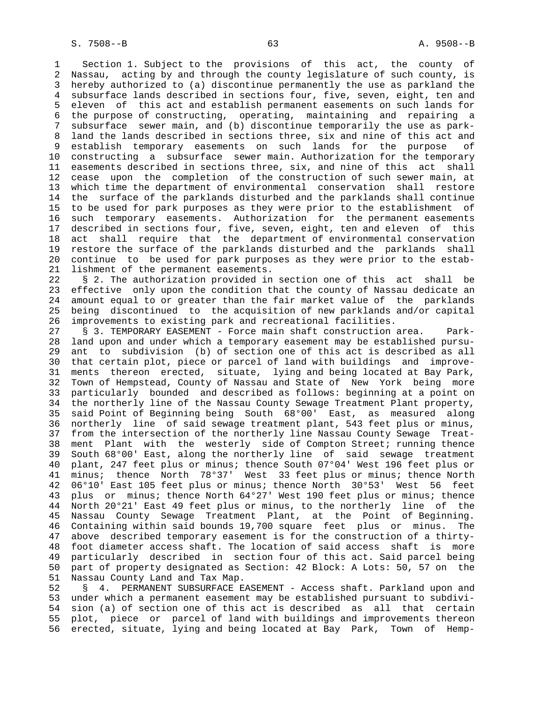1 Section 1. Subject to the provisions of this act, the county of 2 Nassau, acting by and through the county legislature of such county, is 3 hereby authorized to (a) discontinue permanently the use as parkland the 4 subsurface lands described in sections four, five, seven, eight, ten and 5 eleven of this act and establish permanent easements on such lands for 6 the purpose of constructing, operating, maintaining and repairing a 7 subsurface sewer main, and (b) discontinue temporarily the use as park- 8 land the lands described in sections three, six and nine of this act and establish temporary easements on such lands for the purpose of 10 constructing a subsurface sewer main. Authorization for the temporary 11 easements described in sections three, six, and nine of this act shall 12 cease upon the completion of the construction of such sewer main, at 13 which time the department of environmental conservation shall restore 14 the surface of the parklands disturbed and the parklands shall continue 15 to be used for park purposes as they were prior to the establishment of 16 such temporary easements. Authorization for the permanent easements 17 described in sections four, five, seven, eight, ten and eleven of this 18 act shall require that the department of environmental conservation 19 restore the surface of the parklands disturbed and the parklands shall 20 continue to be used for park purposes as they were prior to the estab- 21 lishment of the permanent easements.

 22 § 2. The authorization provided in section one of this act shall be 23 effective only upon the condition that the county of Nassau dedicate an 24 amount equal to or greater than the fair market value of the parklands 25 being discontinued to the acquisition of new parklands and/or capital 26 improvements to existing park and recreational facilities.

 27 § 3. TEMPORARY EASEMENT - Force main shaft construction area. Park- 28 land upon and under which a temporary easement may be established pursu- 29 ant to subdivision (b) of section one of this act is described as all 30 that certain plot, piece or parcel of land with buildings and improve- 31 ments thereon erected, situate, lying and being located at Bay Park, 32 Town of Hempstead, County of Nassau and State of New York being more 33 particularly bounded and described as follows: beginning at a point on 34 the northerly line of the Nassau County Sewage Treatment Plant property, 35 said Point of Beginning being South 68°00' East, as measured along 36 northerly line of said sewage treatment plant, 543 feet plus or minus, 37 from the intersection of the northerly line Nassau County Sewage Treat- 38 ment Plant with the westerly side of Compton Street; running thence 39 South 68°00' East, along the northerly line of said sewage treatment 40 plant, 247 feet plus or minus; thence South 07°04' West 196 feet plus or 41 minus; thence North 78°37' West 33 feet plus or minus; thence North 42 06°10' East 105 feet plus or minus; thence North 30°53' West 56 feet 43 plus or minus; thence North 64°27' West 190 feet plus or minus; thence 44 North 20°21' East 49 feet plus or minus, to the northerly line of the 45 Nassau County Sewage Treatment Plant, at the Point of Beginning. 46 Containing within said bounds 19,700 square feet plus or minus. The 47 above described temporary easement is for the construction of a thirty- 48 foot diameter access shaft. The location of said access shaft is more 49 particularly described in section four of this act. Said parcel being 50 part of property designated as Section: 42 Block: A Lots: 50, 57 on the 51 Nassau County Land and Tax Map.

 52 § 4. PERMANENT SUBSURFACE EASEMENT - Access shaft. Parkland upon and 53 under which a permanent easement may be established pursuant to subdivi- 54 sion (a) of section one of this act is described as all that certain 55 plot, piece or parcel of land with buildings and improvements thereon 56 erected, situate, lying and being located at Bay Park, Town of Hemp-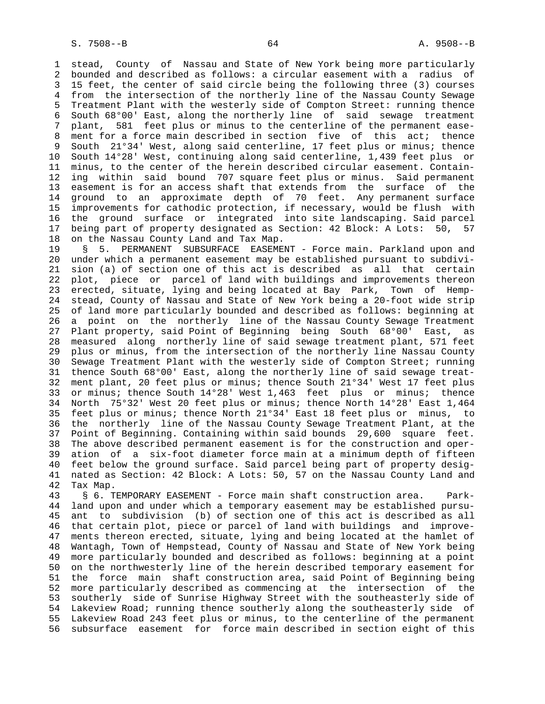1 stead, County of Nassau and State of New York being more particularly 2 bounded and described as follows: a circular easement with a radius of 3 15 feet, the center of said circle being the following three (3) courses 4 from the intersection of the northerly line of the Nassau County Sewage 5 Treatment Plant with the westerly side of Compton Street: running thence 6 South 68°00' East, along the northerly line of said sewage treatment 7 plant, 581 feet plus or minus to the centerline of the permanent ease- 8 ment for a force main described in section five of this act; thence 9 South 21°34' West, along said centerline, 17 feet plus or minus; thence 10 South 14°28' West, continuing along said centerline, 1,439 feet plus or 11 minus, to the center of the herein described circular easement. Contain- 12 ing within said bound 707 square feet plus or minus. Said permanent 13 easement is for an access shaft that extends from the surface of the 14 ground to an approximate depth of 70 feet. Any permanent surface 15 improvements for cathodic protection, if necessary, would be flush with 16 the ground surface or integrated into site landscaping. Said parcel 17 being part of property designated as Section: 42 Block: A Lots: 50, 57 18 on the Nassau County Land and Tax Map.

 19 § 5. PERMANENT SUBSURFACE EASEMENT - Force main. Parkland upon and 20 under which a permanent easement may be established pursuant to subdivi- 21 sion (a) of section one of this act is described as all that certain 22 plot, piece or parcel of land with buildings and improvements thereon 23 erected, situate, lying and being located at Bay Park, Town of Hemp- 24 stead, County of Nassau and State of New York being a 20-foot wide strip 25 of land more particularly bounded and described as follows: beginning at 26 a point on the northerly line of the Nassau County Sewage Treatment 27 Plant property, said Point of Beginning being South 68°00' East, as 28 measured along northerly line of said sewage treatment plant, 571 feet 29 plus or minus, from the intersection of the northerly line Nassau County 30 Sewage Treatment Plant with the westerly side of Compton Street; running 31 thence South 68°00' East, along the northerly line of said sewage treat- 32 ment plant, 20 feet plus or minus; thence South 21°34' West 17 feet plus 33 or minus; thence South 14°28' West 1,463 feet plus or minus; thence 34 North 75°32' West 20 feet plus or minus; thence North 14°28' East 1,464 35 feet plus or minus; thence North 21°34' East 18 feet plus or minus, to 36 the northerly line of the Nassau County Sewage Treatment Plant, at the 37 Point of Beginning. Containing within said bounds 29,600 square feet. 38 The above described permanent easement is for the construction and oper- 39 ation of a six-foot diameter force main at a minimum depth of fifteen 40 feet below the ground surface. Said parcel being part of property desig- 41 nated as Section: 42 Block: A Lots: 50, 57 on the Nassau County Land and 42 Tax Map.

 43 § 6. TEMPORARY EASEMENT - Force main shaft construction area. Park- 44 land upon and under which a temporary easement may be established pursu- 45 ant to subdivision (b) of section one of this act is described as all 46 that certain plot, piece or parcel of land with buildings and improve- 47 ments thereon erected, situate, lying and being located at the hamlet of 48 Wantagh, Town of Hempstead, County of Nassau and State of New York being 49 more particularly bounded and described as follows: beginning at a point 50 on the northwesterly line of the herein described temporary easement for 51 the force main shaft construction area, said Point of Beginning being 52 more particularly described as commencing at the intersection of the 53 southerly side of Sunrise Highway Street with the southeasterly side of 54 Lakeview Road; running thence southerly along the southeasterly side of 55 Lakeview Road 243 feet plus or minus, to the centerline of the permanent 56 subsurface easement for force main described in section eight of this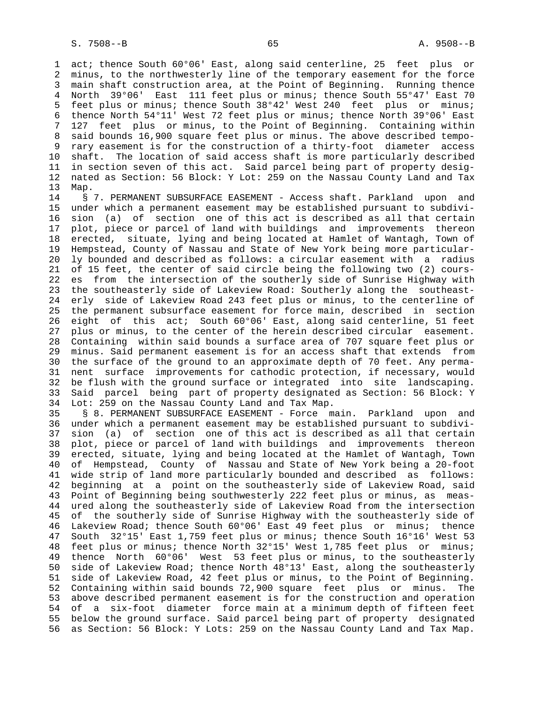1 act; thence South 60°06' East, along said centerline, 25 feet plus or 2 minus, to the northwesterly line of the temporary easement for the force 3 main shaft construction area, at the Point of Beginning. Running thence 4 North 39°06' East 111 feet plus or minus; thence South 55°47' East 70 5 feet plus or minus; thence South 38°42' West 240 feet plus or minus; 6 thence North 54°11' West 72 feet plus or minus; thence North 39°06' East 7 127 feet plus or minus, to the Point of Beginning. Containing within 8 said bounds 16,900 square feet plus or minus. The above described tempo rary easement is for the construction of a thirty-foot diameter access 10 shaft. The location of said access shaft is more particularly described 11 in section seven of this act. Said parcel being part of property desig- 12 nated as Section: 56 Block: Y Lot: 259 on the Nassau County Land and Tax 13 Map.

 14 § 7. PERMANENT SUBSURFACE EASEMENT - Access shaft. Parkland upon and 15 under which a permanent easement may be established pursuant to subdivi- 16 sion (a) of section one of this act is described as all that certain 17 plot, piece or parcel of land with buildings and improvements thereon 18 erected, situate, lying and being located at Hamlet of Wantagh, Town of 19 Hempstead, County of Nassau and State of New York being more particular- 20 ly bounded and described as follows: a circular easement with a radius 21 of 15 feet, the center of said circle being the following two (2) cours- 22 es from the intersection of the southerly side of Sunrise Highway with 23 the southeasterly side of Lakeview Road: Southerly along the southeast- 24 erly side of Lakeview Road 243 feet plus or minus, to the centerline of 25 the permanent subsurface easement for force main, described in section 26 eight of this act; South 60°06' East, along said centerline, 51 feet 27 plus or minus, to the center of the herein described circular easement. 28 Containing within said bounds a surface area of 707 square feet plus or 29 minus. Said permanent easement is for an access shaft that extends from 30 the surface of the ground to an approximate depth of 70 feet. Any perma- 31 nent surface improvements for cathodic protection, if necessary, would 32 be flush with the ground surface or integrated into site landscaping. 33 Said parcel being part of property designated as Section: 56 Block: Y 34 Lot: 259 on the Nassau County Land and Tax Map.

 35 § 8. PERMANENT SUBSURFACE EASEMENT - Force main. Parkland upon and 36 under which a permanent easement may be established pursuant to subdivi- 37 sion (a) of section one of this act is described as all that certain 38 plot, piece or parcel of land with buildings and improvements thereon 39 erected, situate, lying and being located at the Hamlet of Wantagh, Town 40 of Hempstead, County of Nassau and State of New York being a 20-foot 41 wide strip of land more particularly bounded and described as follows: 42 beginning at a point on the southeasterly side of Lakeview Road, said 43 Point of Beginning being southwesterly 222 feet plus or minus, as meas- 44 ured along the southeasterly side of Lakeview Road from the intersection 45 of the southerly side of Sunrise Highway with the southeasterly side of 46 Lakeview Road; thence South 60°06' East 49 feet plus or minus; thence 47 South 32°15' East 1,759 feet plus or minus; thence South 16°16' West 53 48 feet plus or minus; thence North 32°15' West 1,785 feet plus or minus; 49 thence North 60°06' West 53 feet plus or minus, to the southeasterly 50 side of Lakeview Road; thence North 48°13' East, along the southeasterly 51 side of Lakeview Road, 42 feet plus or minus, to the Point of Beginning. 52 Containing within said bounds 72,900 square feet plus or minus. The 53 above described permanent easement is for the construction and operation 54 of a six-foot diameter force main at a minimum depth of fifteen feet 55 below the ground surface. Said parcel being part of property designated 56 as Section: 56 Block: Y Lots: 259 on the Nassau County Land and Tax Map.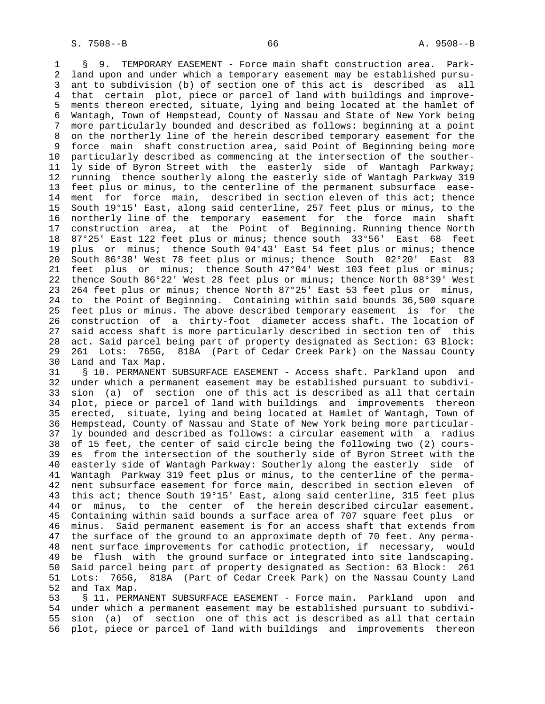1 § 9. TEMPORARY EASEMENT - Force main shaft construction area. Park- 2 land upon and under which a temporary easement may be established pursu- 3 ant to subdivision (b) of section one of this act is described as all 4 that certain plot, piece or parcel of land with buildings and improve- 5 ments thereon erected, situate, lying and being located at the hamlet of 6 Wantagh, Town of Hempstead, County of Nassau and State of New York being 7 more particularly bounded and described as follows: beginning at a point 8 on the northerly line of the herein described temporary easement for the<br>9 force main shaft construction area, said Point of Beginning being more force main shaft construction area, said Point of Beginning being more 10 particularly described as commencing at the intersection of the souther- 11 ly side of Byron Street with the easterly side of Wantagh Parkway; 12 running thence southerly along the easterly side of Wantagh Parkway 319 13 feet plus or minus, to the centerline of the permanent subsurface ease- 14 ment for force main, described in section eleven of this act; thence 15 South 19°15' East, along said centerline, 257 feet plus or minus, to the 16 northerly line of the temporary easement for the force main shaft 17 construction area, at the Point of Beginning. Running thence North 18 87°25' East 122 feet plus or minus; thence south 33°56' East 68 feet 19 plus or minus; thence South 04°43' East 54 feet plus or minus; thence 20 South 86°38' West 78 feet plus or minus; thence South 02°20' East 83 21 feet plus or minus; thence South 47°04' West 103 feet plus or minus; 22 thence South 86°22' West 28 feet plus or minus; thence North 08°39' West 23 264 feet plus or minus; thence North 87°25' East 53 feet plus or minus, 24 to the Point of Beginning. Containing within said bounds 36,500 square 25 feet plus or minus. The above described temporary easement is for the 26 construction of a thirty-foot diameter access shaft. The location of 27 said access shaft is more particularly described in section ten of this 28 act. Said parcel being part of property designated as Section: 63 Block: 29 261 Lots: 765G, 818A (Part of Cedar Creek Park) on the Nassau County 30 Land and Tax Map.

 31 § 10. PERMANENT SUBSURFACE EASEMENT - Access shaft. Parkland upon and 32 under which a permanent easement may be established pursuant to subdivi- 33 sion (a) of section one of this act is described as all that certain 34 plot, piece or parcel of land with buildings and improvements thereon 35 erected, situate, lying and being located at Hamlet of Wantagh, Town of 36 Hempstead, County of Nassau and State of New York being more particular- 37 ly bounded and described as follows: a circular easement with a radius 38 of 15 feet, the center of said circle being the following two (2) cours- 39 es from the intersection of the southerly side of Byron Street with the 40 easterly side of Wantagh Parkway: Southerly along the easterly side of 41 Wantagh Parkway 319 feet plus or minus, to the centerline of the perma- 42 nent subsurface easement for force main, described in section eleven of 43 this act; thence South 19°15' East, along said centerline, 315 feet plus 44 or minus, to the center of the herein described circular easement. 45 Containing within said bounds a surface area of 707 square feet plus or 46 minus. Said permanent easement is for an access shaft that extends from 47 the surface of the ground to an approximate depth of 70 feet. Any perma- 48 nent surface improvements for cathodic protection, if necessary, would 49 be flush with the ground surface or integrated into site landscaping. 50 Said parcel being part of property designated as Section: 63 Block: 261 51 Lots: 765G, 818A (Part of Cedar Creek Park) on the Nassau County Land 52 and Tax Map.

 53 § 11. PERMANENT SUBSURFACE EASEMENT - Force main. Parkland upon and 54 under which a permanent easement may be established pursuant to subdivi- 55 sion (a) of section one of this act is described as all that certain 56 plot, piece or parcel of land with buildings and improvements thereon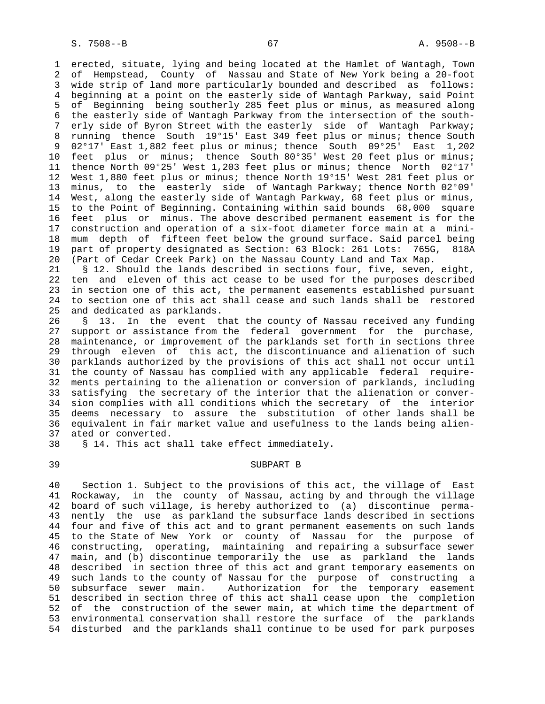1 erected, situate, lying and being located at the Hamlet of Wantagh, Town 2 of Hempstead, County of Nassau and State of New York being a 20-foot 3 wide strip of land more particularly bounded and described as follows: 4 beginning at a point on the easterly side of Wantagh Parkway, said Point 5 of Beginning being southerly 285 feet plus or minus, as measured along 6 the easterly side of Wantagh Parkway from the intersection of the south- 7 erly side of Byron Street with the easterly side of Wantagh Parkway; 8 running thence South 19°15' East 349 feet plus or minus; thence South<br>9 02°17' East 1,882 feet plus or minus; thence South 09°25' East 1,202 9 02°17' East 1,882 feet plus or minus; thence South 09°25' East 1,202 10 feet plus or minus; thence South 80°35' West 20 feet plus or minus; 11 thence North 09°25' West 1,203 feet plus or minus; thence North 02°17' 12 West 1,880 feet plus or minus; thence North 19°15' West 281 feet plus or 13 minus, to the easterly side of Wantagh Parkway; thence North 02°09' 14 West, along the easterly side of Wantagh Parkway, 68 feet plus or minus, 15 to the Point of Beginning. Containing within said bounds 68,000 square 16 feet plus or minus. The above described permanent easement is for the 17 construction and operation of a six-foot diameter force main at a mini- 18 mum depth of fifteen feet below the ground surface. Said parcel being 19 part of property designated as Section: 63 Block: 261 Lots: 765G, 818A 20 (Part of Cedar Creek Park) on the Nassau County Land and Tax Map.

 21 § 12. Should the lands described in sections four, five, seven, eight, 22 ten and eleven of this act cease to be used for the purposes described 23 in section one of this act, the permanent easements established pursuant 24 to section one of this act shall cease and such lands shall be restored 25 and dedicated as parklands.

 26 § 13. In the event that the county of Nassau received any funding 27 support or assistance from the federal government for the purchase, 28 maintenance, or improvement of the parklands set forth in sections three 29 through eleven of this act, the discontinuance and alienation of such 30 parklands authorized by the provisions of this act shall not occur until 31 the county of Nassau has complied with any applicable federal require- 32 ments pertaining to the alienation or conversion of parklands, including 33 satisfying the secretary of the interior that the alienation or conver- 34 sion complies with all conditions which the secretary of the interior 35 deems necessary to assure the substitution of other lands shall be 36 equivalent in fair market value and usefulness to the lands being alien- 37 ated or converted.

38 § 14. This act shall take effect immediately.

#### 39 SUBPART B

 40 Section 1. Subject to the provisions of this act, the village of East 41 Rockaway, in the county of Nassau, acting by and through the village 42 board of such village, is hereby authorized to (a) discontinue perma- 43 nently the use as parkland the subsurface lands described in sections 44 four and five of this act and to grant permanent easements on such lands 45 to the State of New York or county of Nassau for the purpose of 46 constructing, operating, maintaining and repairing a subsurface sewer 47 main, and (b) discontinue temporarily the use as parkland the lands 48 described in section three of this act and grant temporary easements on 49 such lands to the county of Nassau for the purpose of constructing a 50 subsurface sewer main. Authorization for the temporary easement 51 described in section three of this act shall cease upon the completion 52 of the construction of the sewer main, at which time the department of 53 environmental conservation shall restore the surface of the parklands 54 disturbed and the parklands shall continue to be used for park purposes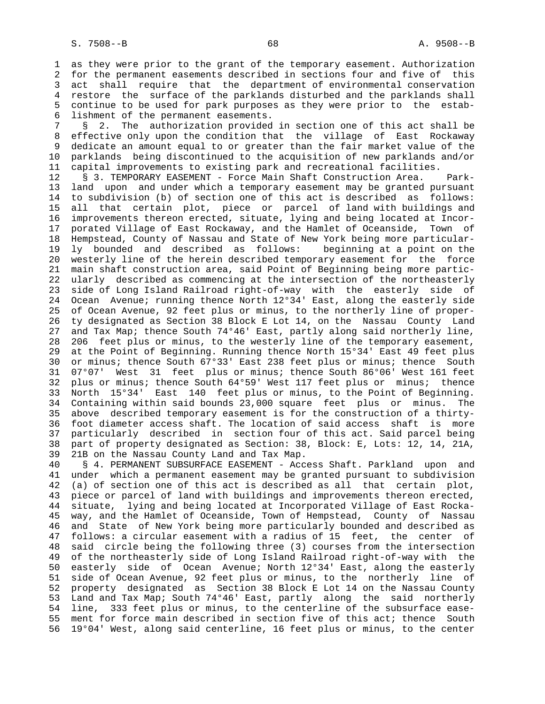1 as they were prior to the grant of the temporary easement. Authorization 2 for the permanent easements described in sections four and five of this 3 act shall require that the department of environmental conservation 4 restore the surface of the parklands disturbed and the parklands shall 5 continue to be used for park purposes as they were prior to the estab- 6 lishment of the permanent easements.

 7 § 2. The authorization provided in section one of this act shall be 8 effective only upon the condition that the village of East Rockaway<br>9 dedicate an amount equal to or greater than the fair market value of the dedicate an amount equal to or greater than the fair market value of the 10 parklands being discontinued to the acquisition of new parklands and/or 11 capital improvements to existing park and recreational facilities.

 12 § 3. TEMPORARY EASEMENT - Force Main Shaft Construction Area. Park- 13 land upon and under which a temporary easement may be granted pursuant 14 to subdivision (b) of section one of this act is described as follows: 15 all that certain plot, piece or parcel of land with buildings and 16 improvements thereon erected, situate, lying and being located at Incor- 17 porated Village of East Rockaway, and the Hamlet of Oceanside, Town of 18 Hempstead, County of Nassau and State of New York being more particular- 19 ly bounded and described as follows: beginning at a point on the 20 westerly line of the herein described temporary easement for the force 21 main shaft construction area, said Point of Beginning being more partic- 22 ularly described as commencing at the intersection of the northeasterly 23 side of Long Island Railroad right-of-way with the easterly side of 24 Ocean Avenue; running thence North 12°34' East, along the easterly side 25 of Ocean Avenue, 92 feet plus or minus, to the northerly line of proper- 26 ty designated as Section 38 Block E Lot 14, on the Nassau County Land 27 and Tax Map; thence South 74°46' East, partly along said northerly line, 28 206 feet plus or minus, to the westerly line of the temporary easement, 29 at the Point of Beginning. Running thence North 15°34' East 49 feet plus 30 or minus; thence South 67°33' East 238 feet plus or minus; thence South 31 07°07' West 31 feet plus or minus; thence South 86°06' West 161 feet 32 plus or minus; thence South 64°59' West 117 feet plus or minus; thence 33 North 15°34' East 140 feet plus or minus, to the Point of Beginning. 34 Containing within said bounds 23,000 square feet plus or minus. The 35 above described temporary easement is for the construction of a thirty- 36 foot diameter access shaft. The location of said access shaft is more 37 particularly described in section four of this act. Said parcel being 38 part of property designated as Section: 38, Block: E, Lots: 12, 14, 21A, 39 21B on the Nassau County Land and Tax Map.

 40 § 4. PERMANENT SUBSURFACE EASEMENT - Access Shaft. Parkland upon and 41 under which a permanent easement may be granted pursuant to subdivision 42 (a) of section one of this act is described as all that certain plot, 43 piece or parcel of land with buildings and improvements thereon erected, 44 situate, lying and being located at Incorporated Village of East Rocka- 45 way, and the Hamlet of Oceanside, Town of Hempstead, County of Nassau 46 and State of New York being more particularly bounded and described as 47 follows: a circular easement with a radius of 15 feet, the center of 48 said circle being the following three (3) courses from the intersection 49 of the northeasterly side of Long Island Railroad right-of-way with the 50 easterly side of Ocean Avenue; North 12°34' East, along the easterly 51 side of Ocean Avenue, 92 feet plus or minus, to the northerly line of 52 property designated as Section 38 Block E Lot 14 on the Nassau County 53 Land and Tax Map; South 74°46' East, partly along the said northerly 54 line, 333 feet plus or minus, to the centerline of the subsurface ease- 55 ment for force main described in section five of this act; thence South 56 19°04' West, along said centerline, 16 feet plus or minus, to the center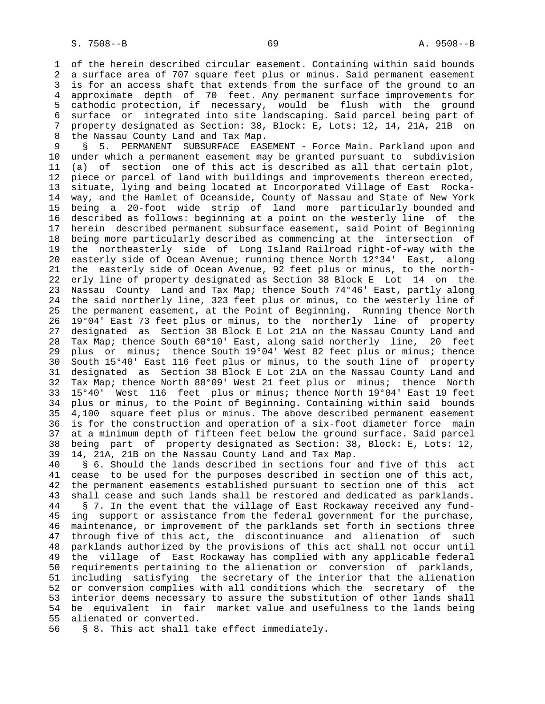1 of the herein described circular easement. Containing within said bounds 2 a surface area of 707 square feet plus or minus. Said permanent easement 3 is for an access shaft that extends from the surface of the ground to an 4 approximate depth of 70 feet. Any permanent surface improvements for 5 cathodic protection, if necessary, would be flush with the ground 6 surface or integrated into site landscaping. Said parcel being part of 7 property designated as Section: 38, Block: E, Lots: 12, 14, 21A, 21B on 8 the Nassau County Land and Tax Map.<br>9 § 5. PERMANENT SUBSURFACE EAS

§ 5. PERMANENT SUBSURFACE EASEMENT - Force Main. Parkland upon and 10 under which a permanent easement may be granted pursuant to subdivision 11 (a) of section one of this act is described as all that certain plot, 12 piece or parcel of land with buildings and improvements thereon erected, 13 situate, lying and being located at Incorporated Village of East Rocka- 14 way, and the Hamlet of Oceanside, County of Nassau and State of New York 15 being a 20-foot wide strip of land more particularly bounded and 16 described as follows: beginning at a point on the westerly line of the 17 herein described permanent subsurface easement, said Point of Beginning 18 being more particularly described as commencing at the intersection of 19 the northeasterly side of Long Island Railroad right-of-way with the 20 easterly side of Ocean Avenue; running thence North 12°34' East, along 21 the easterly side of Ocean Avenue, 92 feet plus or minus, to the north- 22 erly line of property designated as Section 38 Block E Lot 14 on the 23 Nassau County Land and Tax Map; thence South 74°46' East, partly along 24 the said northerly line, 323 feet plus or minus, to the westerly line of 25 the permanent easement, at the Point of Beginning. Running thence North 26 19°04' East 73 feet plus or minus, to the northerly line of property 27 designated as Section 38 Block E Lot 21A on the Nassau County Land and 28 Tax Map; thence South 60°10' East, along said northerly line, 20 feet 29 plus or minus; thence South 19°04' West 82 feet plus or minus; thence 30 South 15°40' East 116 feet plus or minus, to the south line of property 31 designated as Section 38 Block E Lot 21A on the Nassau County Land and 32 Tax Map; thence North 88°09' West 21 feet plus or minus; thence North 33 15°40' West 116 feet plus or minus; thence North 19°04' East 19 feet 34 plus or minus, to the Point of Beginning. Containing within said bounds 35 4,100 square feet plus or minus. The above described permanent easement 36 is for the construction and operation of a six-foot diameter force main 37 at a minimum depth of fifteen feet below the ground surface. Said parcel 38 being part of property designated as Section: 38, Block: E, Lots: 12, 39 14, 21A, 21B on the Nassau County Land and Tax Map.

 40 § 6. Should the lands described in sections four and five of this act 41 cease to be used for the purposes described in section one of this act, 42 the permanent easements established pursuant to section one of this act 43 shall cease and such lands shall be restored and dedicated as parklands. 44 § 7. In the event that the village of East Rockaway received any fund- 45 ing support or assistance from the federal government for the purchase, 46 maintenance, or improvement of the parklands set forth in sections three 47 through five of this act, the discontinuance and alienation of such 48 parklands authorized by the provisions of this act shall not occur until 49 the village of East Rockaway has complied with any applicable federal 50 requirements pertaining to the alienation or conversion of parklands, 51 including satisfying the secretary of the interior that the alienation 52 or conversion complies with all conditions which the secretary of the 53 interior deems necessary to assure the substitution of other lands shall 54 be equivalent in fair market value and usefulness to the lands being 55 alienated or converted.

56 § 8. This act shall take effect immediately.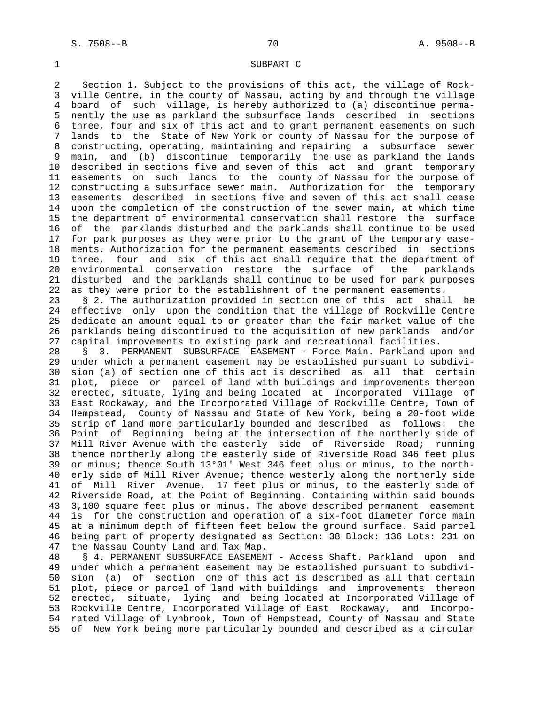# 1 SUBPART C

 2 Section 1. Subject to the provisions of this act, the village of Rock- 3 ville Centre, in the county of Nassau, acting by and through the village 4 board of such village, is hereby authorized to (a) discontinue perma- 5 nently the use as parkland the subsurface lands described in sections 6 three, four and six of this act and to grant permanent easements on such 7 lands to the State of New York or county of Nassau for the purpose of 8 constructing, operating, maintaining and repairing a subsurface sewer 9 main, and (b) discontinue temporarily the use as parkland the lands 10 described in sections five and seven of this act and grant temporary 11 easements on such lands to the county of Nassau for the purpose of 12 constructing a subsurface sewer main. Authorization for the temporary 13 easements described in sections five and seven of this act shall cease 14 upon the completion of the construction of the sewer main, at which time 15 the department of environmental conservation shall restore the surface 16 of the parklands disturbed and the parklands shall continue to be used 17 for park purposes as they were prior to the grant of the temporary ease- 18 ments. Authorization for the permanent easements described in sections 19 three, four and six of this act shall require that the department of 20 environmental conservation restore the surface of the parklands 21 disturbed and the parklands shall continue to be used for park purposes 22 as they were prior to the establishment of the permanent easements. 23 § 2. The authorization provided in section one of this act shall be

 24 effective only upon the condition that the village of Rockville Centre 25 dedicate an amount equal to or greater than the fair market value of the 26 parklands being discontinued to the acquisition of new parklands and/or 27 capital improvements to existing park and recreational facilities.

 28 § 3. PERMANENT SUBSURFACE EASEMENT - Force Main. Parkland upon and 29 under which a permanent easement may be established pursuant to subdivi- 30 sion (a) of section one of this act is described as all that certain 31 plot, piece or parcel of land with buildings and improvements thereon 32 erected, situate, lying and being located at Incorporated Village of 33 East Rockaway, and the Incorporated Village of Rockville Centre, Town of 34 Hempstead, County of Nassau and State of New York, being a 20-foot wide 35 strip of land more particularly bounded and described as follows: the 36 Point of Beginning being at the intersection of the northerly side of 37 Mill River Avenue with the easterly side of Riverside Road; running 38 thence northerly along the easterly side of Riverside Road 346 feet plus 39 or minus; thence South 13°01' West 346 feet plus or minus, to the north- 40 erly side of Mill River Avenue; thence westerly along the northerly side 41 of Mill River Avenue, 17 feet plus or minus, to the easterly side of 42 Riverside Road, at the Point of Beginning. Containing within said bounds 43 3,100 square feet plus or minus. The above described permanent easement 44 is for the construction and operation of a six-foot diameter force main 45 at a minimum depth of fifteen feet below the ground surface. Said parcel 46 being part of property designated as Section: 38 Block: 136 Lots: 231 on 47 the Nassau County Land and Tax Map.

 48 § 4. PERMANENT SUBSURFACE EASEMENT - Access Shaft. Parkland upon and 49 under which a permanent easement may be established pursuant to subdivi- 50 sion (a) of section one of this act is described as all that certain 51 plot, piece or parcel of land with buildings and improvements thereon 52 erected, situate, lying and being located at Incorporated Village of 53 Rockville Centre, Incorporated Village of East Rockaway, and Incorpo- 54 rated Village of Lynbrook, Town of Hempstead, County of Nassau and State 55 of New York being more particularly bounded and described as a circular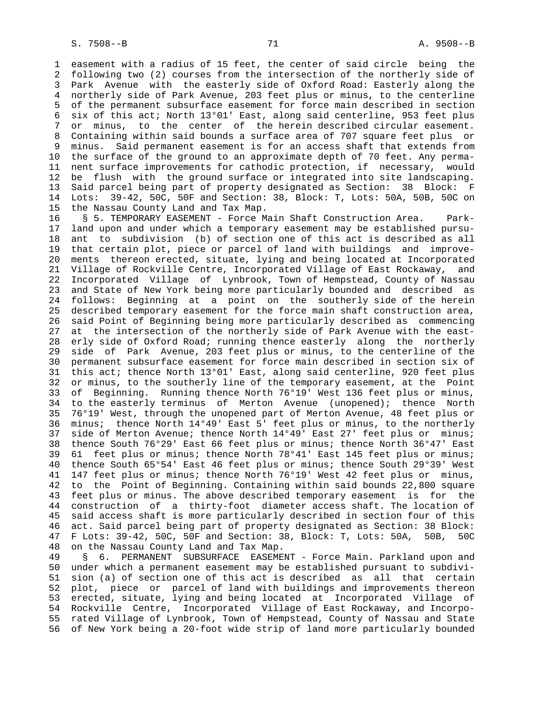1 easement with a radius of 15 feet, the center of said circle being the 2 following two (2) courses from the intersection of the northerly side of 3 Park Avenue with the easterly side of Oxford Road: Easterly along the 4 northerly side of Park Avenue, 203 feet plus or minus, to the centerline 5 of the permanent subsurface easement for force main described in section 6 six of this act; North 13°01' East, along said centerline, 953 feet plus 7 or minus, to the center of the herein described circular easement. 8 Containing within said bounds a surface area of 707 square feet plus or 9 minus. Said permanent easement is for an access shaft that extends from 10 the surface of the ground to an approximate depth of 70 feet. Any perma- 11 nent surface improvements for cathodic protection, if necessary, would 12 be flush with the ground surface or integrated into site landscaping. 13 Said parcel being part of property designated as Section: 38 Block: F 14 Lots: 39-42, 50C, 50F and Section: 38, Block: T, Lots: 50A, 50B, 50C on 15 the Nassau County Land and Tax Map.

 16 § 5. TEMPORARY EASEMENT - Force Main Shaft Construction Area. Park- 17 land upon and under which a temporary easement may be established pursu- 18 ant to subdivision (b) of section one of this act is described as all 19 that certain plot, piece or parcel of land with buildings and improve- 20 ments thereon erected, situate, lying and being located at Incorporated 21 Village of Rockville Centre, Incorporated Village of East Rockaway, and 22 Incorporated Village of Lynbrook, Town of Hempstead, County of Nassau 23 and State of New York being more particularly bounded and described as 24 follows: Beginning at a point on the southerly side of the herein 25 described temporary easement for the force main shaft construction area, 26 said Point of Beginning being more particularly described as commencing 27 at the intersection of the northerly side of Park Avenue with the east- 28 erly side of Oxford Road; running thence easterly along the northerly 29 side of Park Avenue, 203 feet plus or minus, to the centerline of the 30 permanent subsurface easement for force main described in section six of 31 this act; thence North 13°01' East, along said centerline, 920 feet plus 32 or minus, to the southerly line of the temporary easement, at the Point 33 of Beginning. Running thence North 76°19' West 136 feet plus or minus, 34 to the easterly terminus of Merton Avenue (unopened); thence North 35 76°19' West, through the unopened part of Merton Avenue, 48 feet plus or 36 minus; thence North 14°49' East 5' feet plus or minus, to the northerly 37 side of Merton Avenue; thence North 14°49' East 27' feet plus or minus; 38 thence South 76°29' East 66 feet plus or minus; thence North 36°47' East 39 61 feet plus or minus; thence North 78°41' East 145 feet plus or minus; 40 thence South 65°54' East 46 feet plus or minus; thence South 29°39' West 41 147 feet plus or minus; thence North 76°19' West 42 feet plus or minus, 42 to the Point of Beginning. Containing within said bounds 22,800 square 43 feet plus or minus. The above described temporary easement is for the 44 construction of a thirty-foot diameter access shaft. The location of 45 said access shaft is more particularly described in section four of this 46 act. Said parcel being part of property designated as Section: 38 Block: 47 F Lots: 39-42, 50C, 50F and Section: 38, Block: T, Lots: 50A, 50B, 50C 48 on the Nassau County Land and Tax Map.

 49 § 6. PERMANENT SUBSURFACE EASEMENT - Force Main. Parkland upon and 50 under which a permanent easement may be established pursuant to subdivi- 51 sion (a) of section one of this act is described as all that certain 52 plot, piece or parcel of land with buildings and improvements thereon 53 erected, situate, lying and being located at Incorporated Village of 54 Rockville Centre, Incorporated Village of East Rockaway, and Incorpo- 55 rated Village of Lynbrook, Town of Hempstead, County of Nassau and State 56 of New York being a 20-foot wide strip of land more particularly bounded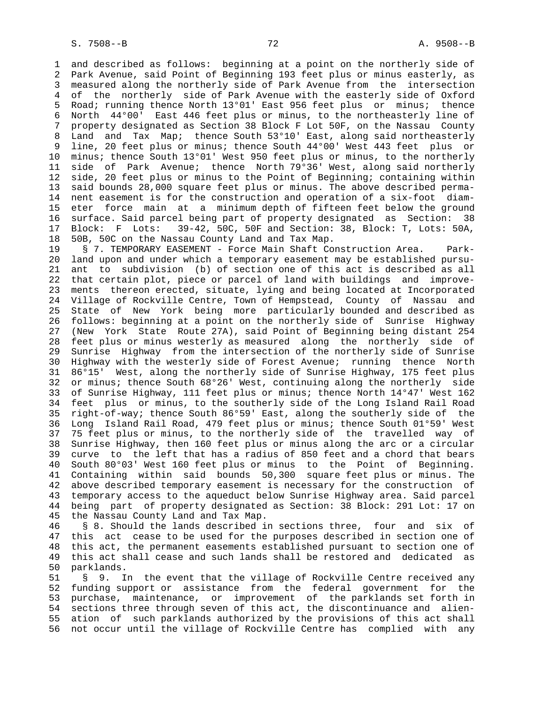1 and described as follows: beginning at a point on the northerly side of 2 Park Avenue, said Point of Beginning 193 feet plus or minus easterly, as 3 measured along the northerly side of Park Avenue from the intersection 4 of the northerly side of Park Avenue with the easterly side of Oxford 5 Road; running thence North 13°01' East 956 feet plus or minus; thence 6 North 44°00' East 446 feet plus or minus, to the northeasterly line of 7 property designated as Section 38 Block F Lot 50F, on the Nassau County 8 Land and Tax Map; thence South 53°10' East, along said northeasterly 9 line, 20 feet plus or minus; thence South 44°00' West 443 feet plus or 10 minus; thence South 13°01' West 950 feet plus or minus, to the northerly 11 side of Park Avenue; thence North 79°36' West, along said northerly 12 side, 20 feet plus or minus to the Point of Beginning; containing within 13 said bounds 28,000 square feet plus or minus. The above described perma- 14 nent easement is for the construction and operation of a six-foot diam- 15 eter force main at a minimum depth of fifteen feet below the ground 16 surface. Said parcel being part of property designated as Section: 38 17 Block: F Lots: 39-42, 50C, 50F and Section: 38, Block: T, Lots: 50A, 18 50B, 50C on the Nassau County Land and Tax Map.

 19 § 7. TEMPORARY EASEMENT - Force Main Shaft Construction Area. Park- 20 land upon and under which a temporary easement may be established pursu- 21 ant to subdivision (b) of section one of this act is described as all 22 that certain plot, piece or parcel of land with buildings and improve- 23 ments thereon erected, situate, lying and being located at Incorporated 24 Village of Rockville Centre, Town of Hempstead, County of Nassau and 25 State of New York being more particularly bounded and described as 26 follows: beginning at a point on the northerly side of Sunrise Highway 27 (New York State Route 27A), said Point of Beginning being distant 254 28 feet plus or minus westerly as measured along the northerly side of 29 Sunrise Highway from the intersection of the northerly side of Sunrise 30 Highway with the westerly side of Forest Avenue; running thence North 31 86°15' West, along the northerly side of Sunrise Highway, 175 feet plus 32 or minus; thence South 68°26' West, continuing along the northerly side 33 of Sunrise Highway, 111 feet plus or minus; thence North 14°47' West 162 34 feet plus or minus, to the southerly side of the Long Island Rail Road 35 right-of-way; thence South 86°59' East, along the southerly side of the 36 Long Island Rail Road, 479 feet plus or minus; thence South 01°59' West 37 75 feet plus or minus, to the northerly side of the travelled way of 38 Sunrise Highway, then 160 feet plus or minus along the arc or a circular 39 curve to the left that has a radius of 850 feet and a chord that bears 40 South 80°03' West 160 feet plus or minus to the Point of Beginning. 41 Containing within said bounds 50,300 square feet plus or minus. The 42 above described temporary easement is necessary for the construction of 43 temporary access to the aqueduct below Sunrise Highway area. Said parcel 44 being part of property designated as Section: 38 Block: 291 Lot: 17 on 45 the Nassau County Land and Tax Map.

 46 § 8. Should the lands described in sections three, four and six of 47 this act cease to be used for the purposes described in section one of 48 this act, the permanent easements established pursuant to section one of 49 this act shall cease and such lands shall be restored and dedicated as 50 parklands.

 51 § 9. In the event that the village of Rockville Centre received any 52 funding support or assistance from the federal government for the 53 purchase, maintenance, or improvement of the parklands set forth in 54 sections three through seven of this act, the discontinuance and alien- 55 ation of such parklands authorized by the provisions of this act shall 56 not occur until the village of Rockville Centre has complied with any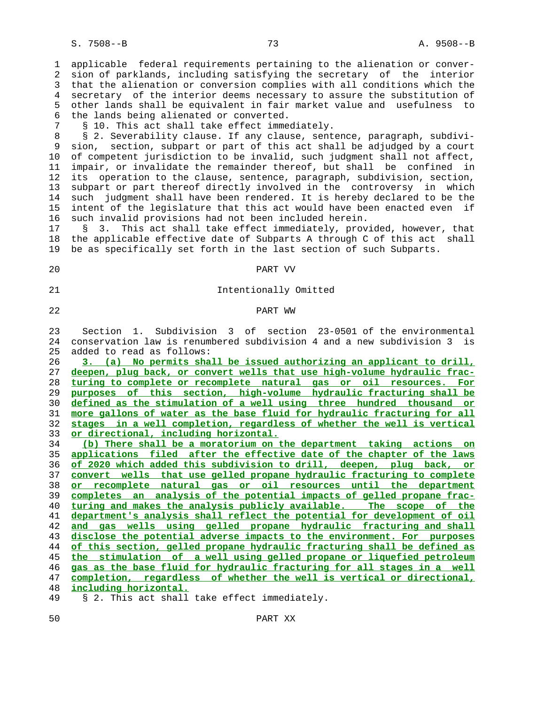1 applicable federal requirements pertaining to the alienation or conver- 2 sion of parklands, including satisfying the secretary of the interior 3 that the alienation or conversion complies with all conditions which the 4 secretary of the interior deems necessary to assure the substitution of 5 other lands shall be equivalent in fair market value and usefulness to 6 the lands being alienated or converted.

7 § 10. This act shall take effect immediately.

8 § 2. Severability clause. If any clause, sentence, paragraph, subdivi-<br>9 sion, section, subpart or part of this act shall be adjudged by a court sion, section, subpart or part of this act shall be adjudged by a court 10 of competent jurisdiction to be invalid, such judgment shall not affect, 11 impair, or invalidate the remainder thereof, but shall be confined in 12 its operation to the clause, sentence, paragraph, subdivision, section, 13 subpart or part thereof directly involved in the controversy in which 14 such judgment shall have been rendered. It is hereby declared to be the 15 intent of the legislature that this act would have been enacted even if 16 such invalid provisions had not been included herein.

 17 § 3. This act shall take effect immediately, provided, however, that 18 the applicable effective date of Subparts A through C of this act shall 19 be as specifically set forth in the last section of such Subparts.

# 20 PART VV

# 21 Intentionally Omitted

# 22 PART WW

 23 Section 1. Subdivision 3 of section 23-0501 of the environmental 24 conservation law is renumbered subdivision 4 and a new subdivision 3 is 25 added to read as follows:

**3. (a) No permits shall be issued authorizing an applicant to drill, deepen, plug back, or convert wells that use high-volume hydraulic frac- turing to complete or recomplete natural gas or oil resources. For purposes of this section, high-volume hydraulic fracturing shall be defined as the stimulation of a well using three hundred thousand or more gallons of water as the base fluid for hydraulic fracturing for all stages in a well completion, regardless of whether the well is vertical or directional, including horizontal.**

**(b) There shall be a moratorium on the department taking actions on applications filed after the effective date of the chapter of the laws of 2020 which added this subdivision to drill, deepen, plug back, or convert wells that use gelled propane hydraulic fracturing to complete or recomplete natural gas or oil resources until the department completes an analysis of the potential impacts of gelled propane frac- turing and makes the analysis publicly available. The scope of the department's analysis shall reflect the potential for development of oil and gas wells using gelled propane hydraulic fracturing and shall disclose the potential adverse impacts to the environment. For purposes of this section, gelled propane hydraulic fracturing shall be defined as the stimulation of a well using gelled propane or liquefied petroleum gas as the base fluid for hydraulic fracturing for all stages in a well completion, regardless of whether the well is vertical or directional, including horizontal.**

49 § 2. This act shall take effect immediately.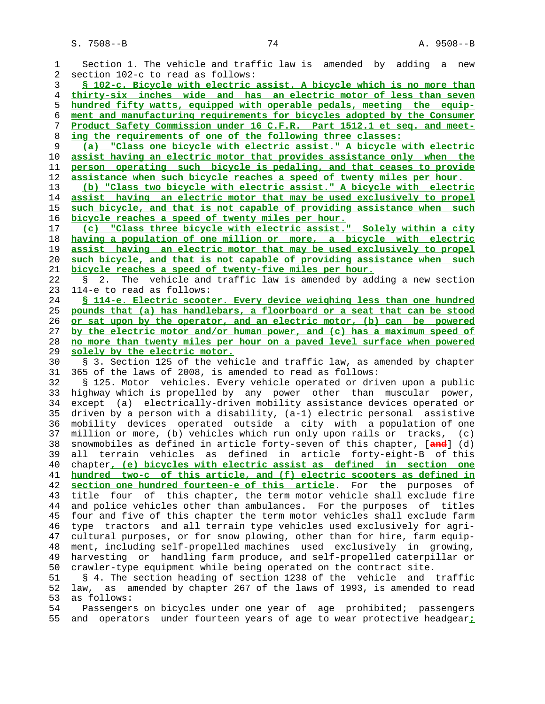1 Section 1. The vehicle and traffic law is amended by adding a new 2 section 102-c to read as follows: 3 **§ 102-c. Bicycle with electric assist. A bicycle which is no more than** 4 **thirty-six inches wide and has an electric motor of less than seven** 5 **hundred fifty watts, equipped with operable pedals, meeting the equip-** 6 **ment and manufacturing requirements for bicycles adopted by the Consumer** 7 **Product Safety Commission under 16 C.F.R. Part 1512.1 et seq. and meet-** 8 **ing the requirements of one of the following three classes:** 9 **(a) "Class one bicycle with electric assist." A bicycle with electric** 10 **assist having an electric motor that provides assistance only when the** 11 **person operating such bicycle is pedaling, and that ceases to provide** 12 **assistance when such bicycle reaches a speed of twenty miles per hour.** 13 **(b) "Class two bicycle with electric assist." A bicycle with electric** 14 **assist having an electric motor that may be used exclusively to propel** 15 **such bicycle, and that is not capable of providing assistance when such** 16 **bicycle reaches a speed of twenty miles per hour.** 17 **(c) "Class three bicycle with electric assist." Solely within a city** 18 **having a population of one million or more, a bicycle with electric** 19 **assist having an electric motor that may be used exclusively to propel** 20 **such bicycle, and that is not capable of providing assistance when such** 21 **bicycle reaches a speed of twenty-five miles per hour.** 22 § 2. The vehicle and traffic law is amended by adding a new section 23 114-e to read as follows: 24 **§ 114-e. Electric scooter. Every device weighing less than one hundred** 25 **pounds that (a) has handlebars, a floorboard or a seat that can be stood** 26 **or sat upon by the operator, and an electric motor, (b) can be powered** 27 **by the electric motor and/or human power, and (c) has a maximum speed of** 28 **no more than twenty miles per hour on a paved level surface when powered** 29 **solely by the electric motor.** 30 § 3. Section 125 of the vehicle and traffic law, as amended by chapter 31 365 of the laws of 2008, is amended to read as follows: 32 § 125. Motor vehicles. Every vehicle operated or driven upon a public 33 highway which is propelled by any power other than muscular power, 34 except (a) electrically-driven mobility assistance devices operated or 35 driven by a person with a disability, (a-1) electric personal assistive 36 mobility devices operated outside a city with a population of one 37 million or more, (b) vehicles which run only upon rails or tracks, (c) 38 snowmobiles as defined in article forty-seven of this chapter, [**and**] (d) 39 all terrain vehicles as defined in article forty-eight-B of this 40 chapter**, (e) bicycles with electric assist as defined in section one** 41 **hundred two-c of this article, and (f) electric scooters as defined in** 42 **section one hundred fourteen-e of this article**. For the purposes of 43 title four of this chapter, the term motor vehicle shall exclude fire 44 and police vehicles other than ambulances. For the purposes of titles 45 four and five of this chapter the term motor vehicles shall exclude farm 46 type tractors and all terrain type vehicles used exclusively for agri- 47 cultural purposes, or for snow plowing, other than for hire, farm equip- 48 ment, including self-propelled machines used exclusively in growing, 49 harvesting or handling farm produce, and self-propelled caterpillar or 50 crawler-type equipment while being operated on the contract site. 51 § 4. The section heading of section 1238 of the vehicle and traffic 52 law, as amended by chapter 267 of the laws of 1993, is amended to read 53 as follows:

 54 Passengers on bicycles under one year of age prohibited; passengers 55 and operators under fourteen years of age to wear protective headgear**;**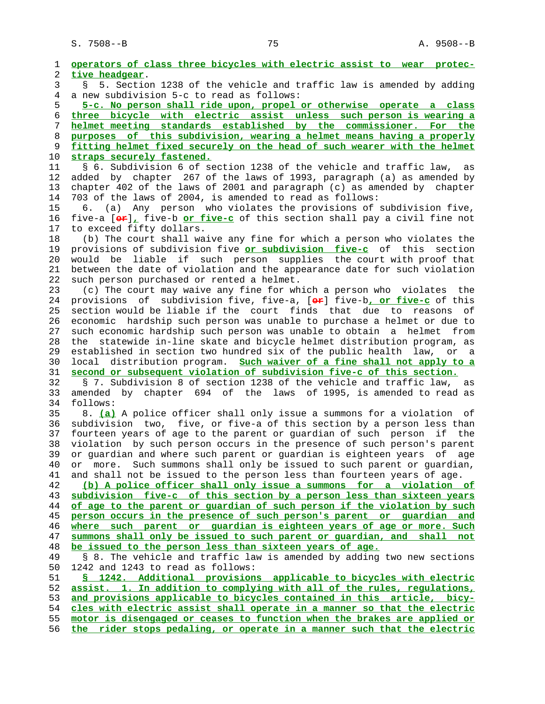| ı.<br>2 | operators of class three bicycles with electric assist to wear protec-<br>tive headgear.                                                            |
|---------|-----------------------------------------------------------------------------------------------------------------------------------------------------|
| 3       | 5. Section 1238 of the vehicle and traffic law is amended by adding<br>S.                                                                           |
| 4       | a new subdivision 5-c to read as follows:                                                                                                           |
| 5       | 5-c. No person shall ride upon, propel or otherwise operate a class                                                                                 |
|         | three bicycle with electric assist unless such person is wearing a                                                                                  |
|         |                                                                                                                                                     |
|         | helmet meeting standards established by the commissioner. For the                                                                                   |
|         | purposes of this subdivision, wearing a helmet means having a properly                                                                              |
|         | fitting helmet fixed securely on the head of such wearer with the helmet                                                                            |
|         | straps securely fastened.                                                                                                                           |
|         | § 6. Subdivision 6 of section 1238 of the vehicle and traffic law, as                                                                               |
|         | added by chapter 267 of the laws of 1993, paragraph (a) as amended by                                                                               |
|         | chapter 402 of the laws of 2001 and paragraph (c) as amended by chapter                                                                             |
|         | 703 of the laws of 2004, is amended to read as follows:                                                                                             |
|         | 6. (a) Any person who violates the provisions of subdivision five,                                                                                  |
|         | five-a [or], five-b or five-c of this section shall pay a civil fine not                                                                            |
|         | to exceed fifty dollars.                                                                                                                            |
|         | (b) The court shall waive any fine for which a person who violates the                                                                              |
|         | provisions of subdivision five or subdivision five-c of this section                                                                                |
|         | would be liable if such person supplies the court with proof that                                                                                   |
|         | between the date of violation and the appearance date for such violation                                                                            |
|         | such person purchased or rented a helmet.                                                                                                           |
|         | (c) The court may waive any fine for which a person who violates<br>the                                                                             |
|         | provisions of subdivision five, five-a, [or] five-b, or five-c of this                                                                              |
|         | section would be liable if the court finds that due to reasons<br>of                                                                                |
|         | economic hardship such person was unable to purchase a helmet or due to                                                                             |
|         | such economic hardship such person was unable to obtain a helmet from                                                                               |
|         | statewide in-line skate and bicycle helmet distribution program, as<br>the                                                                          |
|         | established in section two hundred six of the public health law, or a                                                                               |
|         | local distribution program. Such waiver of a fine shall not apply to a                                                                              |
|         | second or subsequent violation of subdivision five-c of this section.                                                                               |
|         | § 7. Subdivision 8 of section 1238 of the vehicle and traffic law, as                                                                               |
|         | amended by chapter 694 of the laws of 1995, is amended to read as                                                                                   |
|         | follows:                                                                                                                                            |
|         | 8. (a) A police officer shall only issue a summons for a violation of                                                                               |
|         | subdivision two, five, or five-a of this section by a person less than                                                                              |
|         | fourteen years of age to the parent or guardian of such person if the                                                                               |
|         | violation by such person occurs in the presence of such person's parent                                                                             |
|         | or guardian and where such parent or guardian is eighteen years of<br>age                                                                           |
|         | Such summons shall only be issued to such parent or guardian,<br>or<br>more.                                                                        |
|         | and shall not be issued to the person less than fourteen years of age.                                                                              |
|         | (b) A police officer shall only issue a summons for a violation of                                                                                  |
|         | subdivision five-c of this section by a person less than sixteen years                                                                              |
|         | of age to the parent or quardian of such person if the violation by such                                                                            |
|         | person occurs in the presence of such person's parent or quardian and                                                                               |
|         | where such parent or quardian is eighteen years of age or more. Such                                                                                |
|         | summons shall only be issued to such parent or quardian, and shall not                                                                              |
|         | be issued to the person less than sixteen years of age.                                                                                             |
|         | § 8. The vehicle and traffic law is amended by adding two new sections                                                                              |
|         | 1242 and 1243 to read as follows:                                                                                                                   |
|         | § 1242. Additional provisions applicable to bicycles with electric                                                                                  |
|         | assist. 1. In addition to complying with all of the rules, regulations,                                                                             |
|         | and provisions applicable to bicycles contained in this article, bicy-                                                                              |
|         | cles with electric assist shall operate in a manner so that the electric                                                                            |
|         |                                                                                                                                                     |
|         | motor is disengaged or ceases to function when the brakes are applied or<br>the rider stops pedaling, or operate in a manner such that the electric |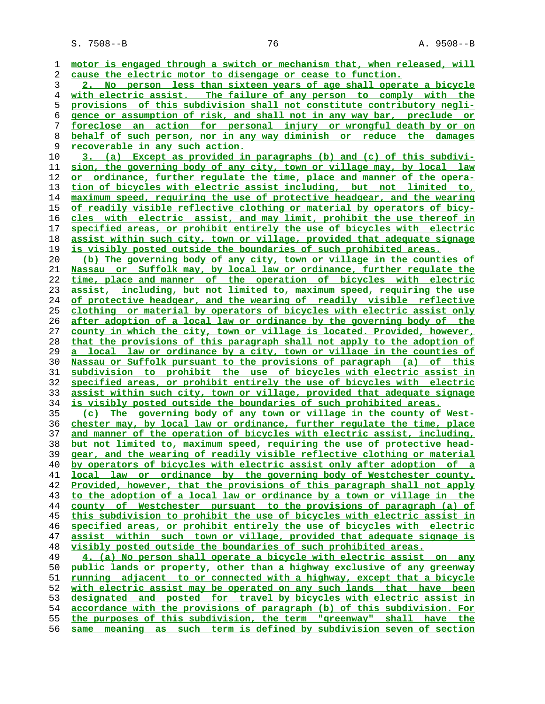S. 7508--B 76 A. 9508--B

**motor is engaged through a switch or mechanism that, when released, will cause the electric motor to disengage or cease to function. 2. No person less than sixteen years of age shall operate a bicycle with electric assist. The failure of any person to comply with the provisions of this subdivision shall not constitute contributory negli- gence or assumption of risk, and shall not in any way bar, preclude or foreclose an action for personal injury or wrongful death by or on behalf of such person, nor in any way diminish or reduce the damages recoverable in any such action. 3. (a) Except as provided in paragraphs (b) and (c) of this subdivi- sion, the governing body of any city, town or village may, by local law**<br>12 <u>or ordinance, further regulate the time, place and ma</u>nner of the opera-**or ordinance, further regulate the time, place and manner of the opera- tion of bicycles with electric assist including, but not limited to, maximum speed, requiring the use of protective headgear, and the wearing of readily visible reflective clothing or material by operators of bicy- cles with electric assist, and may limit, prohibit the use thereof in specified areas, or prohibit entirely the use of bicycles with electric assist within such city, town or village, provided that adequate signage is visibly posted outside the boundaries of such prohibited areas. (b) The governing body of any city, town or village in the counties of Nassau or Suffolk may, by local law or ordinance, further regulate the time, place and manner of the operation of bicycles with electric assist, including, but not limited to, maximum speed, requiring the use of protective headgear, and the wearing of readily visible reflective clothing or material by operators of bicycles with electric assist only after adoption of a local law or ordinance by the governing body of the county in which the city, town or village is located. Provided, however, that the provisions of this paragraph shall not apply to the adoption of a local law or ordinance by a city, town or village in the counties of Nassau or Suffolk pursuant to the provisions of paragraph (a) of this subdivision to prohibit the use of bicycles with electric assist in specified areas, or prohibit entirely the use of bicycles with electric assist within such city, town or village, provided that adequate signage is visibly posted outside the boundaries of such prohibited areas. (c) The governing body of any town or village in the county of West- chester may, by local law or ordinance, further regulate the time, place and manner of the operation of bicycles with electric assist, including, but not limited to, maximum speed, requiring the use of protective head- gear, and the wearing of readily visible reflective clothing or material by operators of bicycles with electric assist only after adoption of a local law or ordinance by the governing body of Westchester county. Provided, however, that the provisions of this paragraph shall not apply to the adoption of a local law or ordinance by a town or village in the county of Westchester pursuant to the provisions of paragraph (a) of this subdivision to prohibit the use of bicycles with electric assist in specified areas, or prohibit entirely the use of bicycles with electric assist within such town or village, provided that adequate signage is visibly posted outside the boundaries of such prohibited areas. 4. (a) No person shall operate a bicycle with electric assist on any public lands or property, other than a highway exclusive of any greenway running adjacent to or connected with a highway, except that a bicycle with electric assist may be operated on any such lands that have been designated and posted for travel by bicycles with electric assist in accordance with the provisions of paragraph (b) of this subdivision. For the purposes of this subdivision, the term "greenway" shall have the same meaning as such term is defined by subdivision seven of section**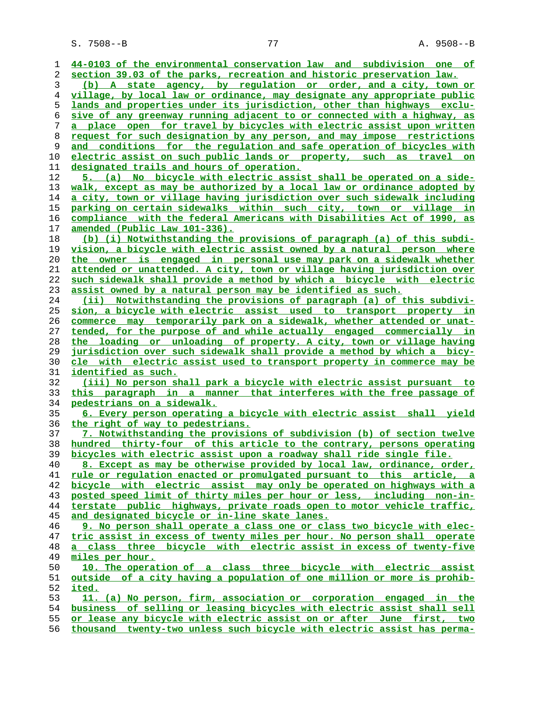S. 7508--B 77 A. 9508--B

**44-0103 of the environmental conservation law and subdivision one of section 39.03 of the parks, recreation and historic preservation law. (b) A state agency, by regulation or order, and a city, town or village, by local law or ordinance, may designate any appropriate public lands and properties under its jurisdiction, other than highways exclu- sive of any greenway running adjacent to or connected with a highway, as a place open for travel by bicycles with electric assist upon written request for such designation by any person, and may impose restrictions and conditions for the regulation and safe operation of bicycles with electric assist on such public lands or property, such as travel on designated trails and hours of operation. 5. (a) No bicycle with electric assist shall be operated on a side- walk, except as may be authorized by a local law or ordinance adopted by a city, town or village having jurisdiction over such sidewalk including parking on certain sidewalks within such city, town or village in compliance with the federal Americans with Disabilities Act of 1990, as amended (Public Law 101-336). (b) (i) Notwithstanding the provisions of paragraph (a) of this subdi- vision, a bicycle with electric assist owned by a natural person where the owner is engaged in personal use may park on a sidewalk whether attended or unattended. A city, town or village having jurisdiction over such sidewalk shall provide a method by which a bicycle with electric assist owned by a natural person may be identified as such. (ii) Notwithstanding the provisions of paragraph (a) of this subdivi- sion, a bicycle with electric assist used to transport property in commerce may temporarily park on a sidewalk, whether attended or unat- tended, for the purpose of and while actually engaged commercially in the loading or unloading of property. A city, town or village having jurisdiction over such sidewalk shall provide a method by which a bicy- cle with electric assist used to transport property in commerce may be identified as such. (iii) No person shall park a bicycle with electric assist pursuant to this paragraph in a manner that interferes with the free passage of pedestrians on a sidewalk. 6. Every person operating a bicycle with electric assist shall yield the right of way to pedestrians. 7. Notwithstanding the provisions of subdivision (b) of section twelve hundred thirty-four of this article to the contrary, persons operating bicycles with electric assist upon a roadway shall ride single file. 8. Except as may be otherwise provided by local law, ordinance, order, rule or regulation enacted or promulgated pursuant to this article, a bicycle with electric assist may only be operated on highways with a posted speed limit of thirty miles per hour or less, including non-in- terstate public highways, private roads open to motor vehicle traffic, and designated bicycle or in-line skate lanes. 9. No person shall operate a class one or class two bicycle with elec- tric assist in excess of twenty miles per hour. No person shall operate a class three bicycle with electric assist in excess of twenty-five miles per hour. 10. The operation of a class three bicycle with electric assist outside of a city having a population of one million or more is prohib- ited. 11. (a) No person, firm, association or corporation engaged in the business of selling or leasing bicycles with electric assist shall sell or lease any bicycle with electric assist on or after June first, two**

**thousand twenty-two unless such bicycle with electric assist has perma-**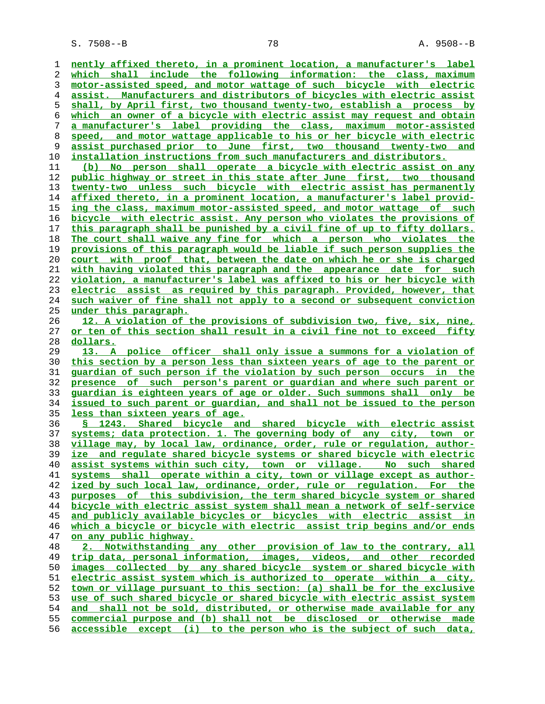S. 7508--B 78 A. 9508--B

**nently affixed thereto, in a prominent location, a manufacturer's label which shall include the following information: the class, maximum motor-assisted speed, and motor wattage of such bicycle with electric assist. Manufacturers and distributors of bicycles with electric assist shall, by April first, two thousand twenty-two, establish a process by which an owner of a bicycle with electric assist may request and obtain a manufacturer's label providing the class, maximum motor-assisted speed, and motor wattage applicable to his or her bicycle with electric assist purchased prior to June first, two thousand twenty-two and installation instructions from such manufacturers and distributors. (b) No person shall operate a bicycle with electric assist on any public highway or street in this state after June first, two thousand twenty-two unless such bicycle with electric assist has permanently affixed thereto, in a prominent location, a manufacturer's label provid- ing the class, maximum motor-assisted speed, and motor wattage of such bicycle with electric assist. Any person who violates the provisions of this paragraph shall be punished by a civil fine of up to fifty dollars. The court shall waive any fine for which a person who violates the provisions of this paragraph would be liable if such person supplies the court with proof that, between the date on which he or she is charged with having violated this paragraph and the appearance date for such violation, a manufacturer's label was affixed to his or her bicycle with electric assist as required by this paragraph. Provided, however, that such waiver of fine shall not apply to a second or subsequent conviction under this paragraph. 12. A violation of the provisions of subdivision two, five, six, nine, or ten of this section shall result in a civil fine not to exceed fifty dollars. 13. A police officer shall only issue a summons for a violation of this section by a person less than sixteen years of age to the parent or guardian of such person if the violation by such person occurs in the presence of such person's parent or guardian and where such parent or guardian is eighteen years of age or older. Such summons shall only be issued to such parent or guardian, and shall not be issued to the person less than sixteen years of age. § 1243. Shared bicycle and shared bicycle with electric assist systems; data protection. 1. The governing body of any city, town or village may, by local law, ordinance, order, rule or regulation, author- ize and regulate shared bicycle systems or shared bicycle with electric assist systems within such city, town or village. No such shared systems shall operate within a city, town or village except as author- ized by such local law, ordinance, order, rule or regulation. For the purposes of this subdivision, the term shared bicycle system or shared bicycle with electric assist system shall mean a network of self-service and publicly available bicycles or bicycles with electric assist in which a bicycle or bicycle with electric assist trip begins and/or ends on any public highway. 2. Notwithstanding any other provision of law to the contrary, all trip data, personal information, images, videos, and other recorded images collected by any shared bicycle system or shared bicycle with electric assist system which is authorized to operate within a city, town or village pursuant to this section: (a) shall be for the exclusive use of such shared bicycle or shared bicycle with electric assist system and shall not be sold, distributed, or otherwise made available for any commercial purpose and (b) shall not be disclosed or otherwise made accessible except (i) to the person who is the subject of such data,**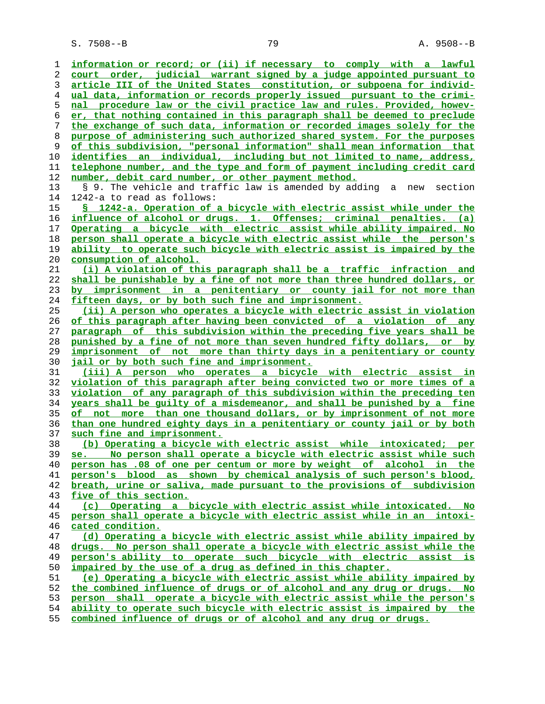S. 7508--B 79 A. 9508--B

**information or record; or (ii) if necessary to comply with a lawful court order, judicial warrant signed by a judge appointed pursuant to article III of the United States constitution, or subpoena for individ- ual data, information or records properly issued pursuant to the crimi- nal procedure law or the civil practice law and rules. Provided, howev- er, that nothing contained in this paragraph shall be deemed to preclude the exchange of such data, information or recorded images solely for the purpose of administering such authorized shared system. For the purposes of this subdivision, "personal information" shall mean information that identifies an individual, including but not limited to name, address, telephone number, and the type and form of payment including credit card number, debit card number, or other payment method.** 13 § 9. The vehicle and traffic law is amended by adding a new section 14 1242-a to read as follows: **§ 1242-a. Operation of a bicycle with electric assist while under the influence of alcohol or drugs. 1. Offenses; criminal penalties. (a) Operating a bicycle with electric assist while ability impaired. No person shall operate a bicycle with electric assist while the person's ability to operate such bicycle with electric assist is impaired by the consumption of alcohol. (i) A violation of this paragraph shall be a traffic infraction and shall be punishable by a fine of not more than three hundred dollars, or by imprisonment in a penitentiary or county jail for not more than fifteen days, or by both such fine and imprisonment. (ii) A person who operates a bicycle with electric assist in violation of this paragraph after having been convicted of a violation of any paragraph of this subdivision within the preceding five years shall be punished by a fine of not more than seven hundred fifty dollars, or by imprisonment of not more than thirty days in a penitentiary or county jail or by both such fine and imprisonment. (iii) A person who operates a bicycle with electric assist in violation of this paragraph after being convicted two or more times of a violation of any paragraph of this subdivision within the preceding ten years shall be guilty of a misdemeanor, and shall be punished by a fine of not more than one thousand dollars, or by imprisonment of not more than one hundred eighty days in a penitentiary or county jail or by both such fine and imprisonment. (b) Operating a bicycle with electric assist while intoxicated; per se. No person shall operate a bicycle with electric assist while such person has .08 of one per centum or more by weight of alcohol in the person's blood as shown by chemical analysis of such person's blood, breath, urine or saliva, made pursuant to the provisions of subdivision five of this section. (c) Operating a bicycle with electric assist while intoxicated. No person shall operate a bicycle with electric assist while in an intoxi- cated condition. (d) Operating a bicycle with electric assist while ability impaired by drugs. No person shall operate a bicycle with electric assist while the person's ability to operate such bicycle with electric assist is impaired by the use of a drug as defined in this chapter. (e) Operating a bicycle with electric assist while ability impaired by the combined influence of drugs or of alcohol and any drug or drugs. No person shall operate a bicycle with electric assist while the person's ability to operate such bicycle with electric assist is impaired by the**

**combined influence of drugs or of alcohol and any drug or drugs.**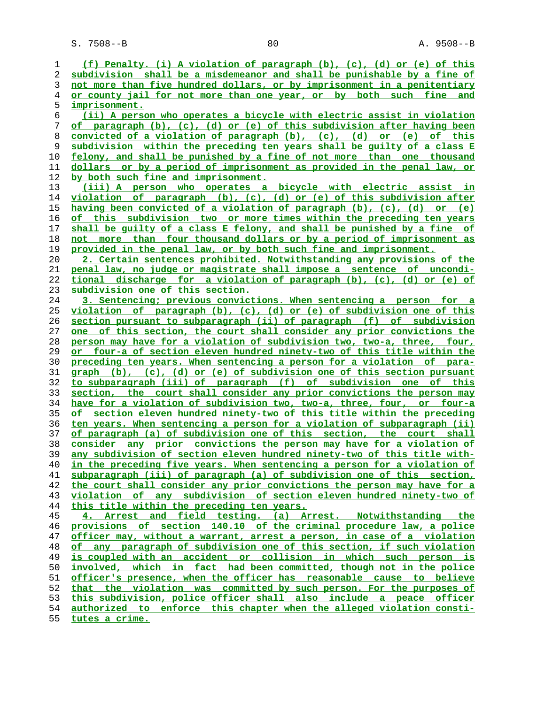**(f) Penalty. (i) A violation of paragraph (b), (c), (d) or (e) of this subdivision shall be a misdemeanor and shall be punishable by a fine of not more than five hundred dollars, or by imprisonment in a penitentiary or county jail for not more than one year, or by both such fine and imprisonment. (ii) A person who operates a bicycle with electric assist in violation of paragraph (b), (c), (d) or (e) of this subdivision after having been convicted of a violation of paragraph (b), (c), (d) or (e) of this subdivision within the preceding ten years shall be guilty of a class E felony, and shall be punished by a fine of not more than one thousand dollars or by a period of imprisonment as provided in the penal law, or by both such fine and imprisonment. (iii) A person who operates a bicycle with electric assist in** violation of paragraph (b), (c), (d) or (e) of this subdivision after **having been convicted of a violation of paragraph (b), (c), (d) or (e) of this subdivision two or more times within the preceding ten years shall be guilty of a class E felony, and shall be punished by a fine of not more than four thousand dollars or by a period of imprisonment as provided in the penal law, or by both such fine and imprisonment. 2. Certain sentences prohibited. Notwithstanding any provisions of the penal law, no judge or magistrate shall impose a sentence of uncondi- tional discharge for a violation of paragraph (b), (c), (d) or (e) of subdivision one of this section. 3. Sentencing; previous convictions. When sentencing a person for a violation of paragraph (b), (c), (d) or (e) of subdivision one of this section pursuant to subparagraph (ii) of paragraph (f) of subdivision one of this section, the court shall consider any prior convictions the person may have for a violation of subdivision two, two-a, three, four, or four-a of section eleven hundred ninety-two of this title within the preceding ten years. When sentencing a person for a violation of para- graph (b), (c), (d) or (e) of subdivision one of this section pursuant to subparagraph (iii) of paragraph (f) of subdivision one of this section, the court shall consider any prior convictions the person may have for a violation of subdivision two, two-a, three, four, or four-a of section eleven hundred ninety-two of this title within the preceding ten years. When sentencing a person for a violation of subparagraph (ii) of paragraph (a) of subdivision one of this section, the court shall consider any prior convictions the person may have for a violation of any subdivision of section eleven hundred ninety-two of this title with- in the preceding five years. When sentencing a person for a violation of subparagraph (iii) of paragraph (a) of subdivision one of this section, the court shall consider any prior convictions the person may have for a violation of any subdivision of section eleven hundred ninety-two of this title within the preceding ten years. 4. Arrest and field testing. (a) Arrest. Notwithstanding the provisions of section 140.10 of the criminal procedure law, a police officer may, without a warrant, arrest a person, in case of a violation of any paragraph of subdivision one of this section, if such violation is coupled with an accident or collision in which such person is involved, which in fact had been committed, though not in the police officer's presence, when the officer has reasonable cause to believe that the violation was committed by such person. For the purposes of this subdivision, police officer shall also include a peace officer authorized to enforce this chapter when the alleged violation consti- tutes a crime.**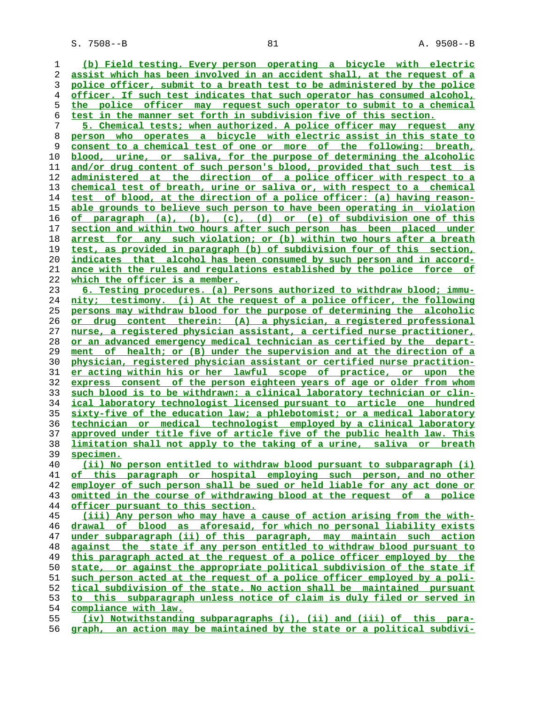S. 7508--B 81 A. 9508--B

**(b) Field testing. Every person operating a bicycle with electric assist which has been involved in an accident shall, at the request of a police officer, submit to a breath test to be administered by the police officer. If such test indicates that such operator has consumed alcohol, the police officer may request such operator to submit to a chemical test in the manner set forth in subdivision five of this section.**

**5. Chemical tests; when authorized. A police officer may request any person who operates a bicycle with electric assist in this state to consent to a chemical test of one or more of the following: breath, blood, urine, or saliva, for the purpose of determining the alcoholic and/or drug content of such person's blood, provided that such test is administered at the direction of a police officer with respect to a chemical test of breath, urine or saliva or, with respect to a chemical test of blood, at the direction of a police officer: (a) having reason- able grounds to believe such person to have been operating in violation of paragraph (a), (b), (c), (d) or (e) of subdivision one of this section and within two hours after such person has been placed under arrest for any such violation; or (b) within two hours after a breath test, as provided in paragraph (b) of subdivision four of this section, indicates that alcohol has been consumed by such person and in accord- ance with the rules and regulations established by the police force of which the officer is a member.**

**6. Testing procedures. (a) Persons authorized to withdraw blood; immu- nity; testimony. (i) At the request of a police officer, the following persons may withdraw blood for the purpose of determining the alcoholic or drug content therein: (A) a physician, a registered professional nurse, a registered physician assistant, a certified nurse practitioner, or an advanced emergency medical technician as certified by the depart- ment of health; or (B) under the supervision and at the direction of a physician, registered physician assistant or certified nurse practition- er acting within his or her lawful scope of practice, or upon the express consent of the person eighteen years of age or older from whom such blood is to be withdrawn: a clinical laboratory technician or clin- ical laboratory technologist licensed pursuant to article one hundred sixty-five of the education law; a phlebotomist; or a medical laboratory technician or medical technologist employed by a clinical laboratory approved under title five of article five of the public health law. This limitation shall not apply to the taking of a urine, saliva or breath specimen. (ii) No person entitled to withdraw blood pursuant to subparagraph (i)**

**of this paragraph or hospital employing such person, and no other employer of such person shall be sued or held liable for any act done or omitted in the course of withdrawing blood at the request of a police officer pursuant to this section.**

**(iii) Any person who may have a cause of action arising from the with- drawal of blood as aforesaid, for which no personal liability exists under subparagraph (ii) of this paragraph, may maintain such action against the state if any person entitled to withdraw blood pursuant to this paragraph acted at the request of a police officer employed by the state, or against the appropriate political subdivision of the state if such person acted at the request of a police officer employed by a poli- tical subdivision of the state. No action shall be maintained pursuant to this subparagraph unless notice of claim is duly filed or served in compliance with law. (iv) Notwithstanding subparagraphs (i), (ii) and (iii) of this para-**

**graph, an action may be maintained by the state or a political subdivi-**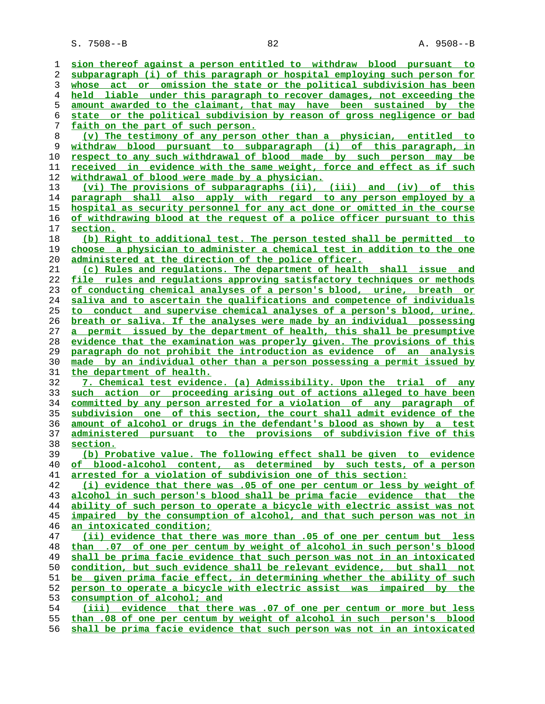S. 7508--B 82 A. 9508--B

| 1  | sion thereof against a person entitled to withdraw blood pursuant to                                                                             |
|----|--------------------------------------------------------------------------------------------------------------------------------------------------|
| 2  | subparagraph (i) of this paragraph or hospital employing such person for                                                                         |
| 3  | whose act or omission the state or the political subdivision has been                                                                            |
| 4  | held liable under this paragraph to recover damages, not exceeding the                                                                           |
| 5  | amount awarded to the claimant, that may have been sustained by the                                                                              |
| 6  | state or the political subdivision by reason of gross negligence or bad                                                                          |
| 7  | faith on the part of such person.                                                                                                                |
| 8  | (v) The testimony of any person other than a physician, entitled to                                                                              |
| 9  | withdraw blood pursuant to subparagraph (i) of this paragraph, in                                                                                |
| 10 | respect to any such withdrawal of blood made by such person may be                                                                               |
| 11 | received in evidence with the same weight, force and effect as if such                                                                           |
| 12 | withdrawal of blood were made by a physician.                                                                                                    |
| 13 | (vi) The provisions of subparagraphs (ii), (iii) and (iv) of this                                                                                |
| 14 | paragraph shall also apply with regard to any person employed by a                                                                               |
| 15 | hospital as security personnel for any act done or omitted in the course                                                                         |
| 16 | of withdrawing blood at the request of a police officer pursuant to this                                                                         |
| 17 | section.                                                                                                                                         |
| 18 | (b) Right to additional test. The person tested shall be permitted to                                                                            |
| 19 | choose a physician to administer a chemical test in addition to the one                                                                          |
| 20 | administered at the direction of the police officer.                                                                                             |
| 21 | (c) Rules and requiations. The department of health shall issue<br>and                                                                           |
| 22 | file rules and requlations approving satisfactory techniques or methods                                                                          |
| 23 | of conducting chemical analyses of a person's blood, urine, breath or                                                                            |
| 24 | saliva and to ascertain the qualifications and competence of individuals                                                                         |
| 25 | to conduct and supervise chemical analyses of a person's blood, urine,                                                                           |
| 26 | breath or saliva. If the analyses were made by an individual possessing                                                                          |
| 27 | a permit issued by the department of health, this shall be presumptive                                                                           |
| 28 | evidence that the examination was properly given. The provisions of this                                                                         |
| 29 |                                                                                                                                                  |
| 30 | paragraph do not prohibit the introduction as evidence of an analysis<br>made by an individual other than a person possessing a permit issued by |
| 31 | the department of health.                                                                                                                        |
| 32 | 7. Chemical test evidence. (a) Admissibility. Upon the trial of any                                                                              |
| 33 | such action or proceeding arising out of actions alleged to have been                                                                            |
| 34 | committed by any person arrested for a violation of any paragraph of                                                                             |
| 35 | subdivision one of this section, the court shall admit evidence of the                                                                           |
| 36 | amount of alcohol or drugs in the defendant's blood as shown by a test                                                                           |
| 37 | administered pursuant to the provisions of subdivision five of this                                                                              |
| 38 | section.                                                                                                                                         |
| 39 | (b) Probative value. The following effect shall be given to evidence                                                                             |
| 40 | of blood-alcohol content, as determined by such tests, of a person                                                                               |
| 41 | arrested for a violation of subdivision one of this section:                                                                                     |
| 42 | (i) evidence that there was .05 of one per centum or less by weight of                                                                           |
| 43 | alcohol in such person's blood shall be prima facie evidence that the                                                                            |
| 44 | ability of such person to operate a bicycle with electric assist was not                                                                         |
| 45 | impaired by the consumption of alcohol, and that such person was not in                                                                          |
| 46 | an intoxicated condition;                                                                                                                        |
| 47 | (ii) evidence that there was more than .05 of one per centum but less                                                                            |
| 48 | than .07 of one per centum by weight of alcohol in such person's blood                                                                           |
| 49 | shall be prima facie evidence that such person was not in an intoxicated                                                                         |
| 50 | condition, but such evidence shall be relevant evidence, but shall not                                                                           |
| 51 | given prima facie effect, in determining whether the ability of such<br>be                                                                       |
| 52 | person to operate a bicycle with electric assist was impaired by the                                                                             |
| 53 | consumption of alcohol; and                                                                                                                      |
| 54 | (iii) evidence that there was .07 of one per centum or more but less                                                                             |
| 55 | than .08 of one per centum by weight of alcohol in such person's blood                                                                           |
|    |                                                                                                                                                  |

**shall be prima facie evidence that such person was not in an intoxicated**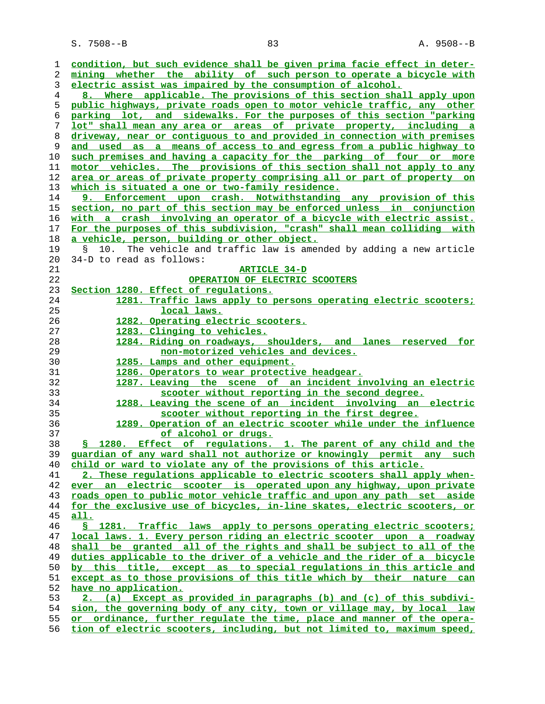| 1  | condition, but such evidence shall be given prima facie effect in deter-           |
|----|------------------------------------------------------------------------------------|
| 2  | mining whether the ability of such person to operate a bicycle with                |
| 3  | electric assist was impaired by the consumption of alcohol.                        |
| 4  | 8. Where applicable. The provisions of this section shall apply upon               |
| 5  | public highways, private roads open to motor vehicle traffic, any other            |
| 6  | parking lot, and sidewalks. For the purposes of this section "parking              |
|    |                                                                                    |
| 7  | lot" shall mean any area or areas of private property, including a                 |
| 8  | driveway, near or contiguous to and provided in connection with premises           |
| 9  | and used as a means of access to and egress from a public highway to               |
| 10 | such premises and having a capacity for the parking of four or more                |
| 11 | motor vehicles. The provisions of this section shall not apply to any              |
| 12 | area or areas of private property comprising all or part of property on            |
| 13 | which is situated a one or two-family residence.                                   |
| 14 | 9. Enforcement upon crash. Notwithstanding any provision of this                   |
| 15 | section, no part of this section may be enforced unless in conjunction             |
| 16 | with a crash involving an operator of a bicycle with electric assist.              |
| 17 | For the purposes of this subdivision, "crash" shall mean colliding with            |
| 18 | a vehicle, person, building or other object.                                       |
|    |                                                                                    |
| 19 | 10. The vehicle and traffic law is amended by adding a new article<br>$\mathbb{S}$ |
| 20 | 34-D to read as follows:                                                           |
| 21 | <b>ARTICLE 34-D</b>                                                                |
| 22 | OPERATION OF ELECTRIC SCOOTERS                                                     |
| 23 | Section 1280. Effect of regulations.                                               |
| 24 | 1281. Traffic laws apply to persons operating electric scooters;                   |
| 25 | local laws.                                                                        |
| 26 | 1282. Operating electric scooters.                                                 |
| 27 | 1283. Clinging to vehicles.                                                        |
| 28 | 1284. Riding on roadways, shoulders, and lanes reserved for                        |
| 29 | non-motorized vehicles and devices.                                                |
| 30 | 1285. Lamps and other equipment.                                                   |
| 31 | 1286. Operators to wear protective headgear.                                       |
| 32 | 1287. Leaving the scene of an incident involving an electric                       |
| 33 | scooter without reporting in the second degree.                                    |
| 34 | 1288. Leaving the scene of an incident involving an electric                       |
| 35 | scooter without reporting in the first degree.                                     |
| 36 | 1289. Operation of an electric scooter while under the influence                   |
| 37 | of alcohol or drugs.                                                               |
| 38 | § 1280. Effect of regulations. 1. The parent of any child and the                  |
| 39 | guardian of any ward shall not authorize or knowingly permit any such              |
| 40 | child or ward to violate any of the provisions of this article.                    |
| 41 | 2. These requlations applicable to electric scooters shall apply when-             |
| 42 | ever an electric scooter is operated upon any highway, upon private                |
| 43 | roads open to public motor vehicle traffic and upon any path set aside             |
| 44 | for the exclusive use of bicycles, in-line skates, electric scooters, or           |
|    |                                                                                    |
| 45 | <u>all.</u>                                                                        |
| 46 | \$ 1281. Traffic laws apply to persons operating electric scooters;                |
| 47 | local laws. 1. Every person riding an electric scooter upon a roadway              |
| 48 | shall be granted all of the rights and shall be subject to all of the              |
| 49 | duties applicable to the driver of a vehicle and the rider of a bicycle            |
| 50 | by this title, except as to special requlations in this article and                |
| 51 | except as to those provisions of this title which by their nature can              |
| 52 | have no application.                                                               |
| 53 | 2. (a) Except as provided in paragraphs (b) and (c) of this subdivi-               |
| 54 | sion, the governing body of any city, town or village may, by local law            |
| 55 | or ordinance, further requlate the time, place and manner of the opera-            |
| 56 | tion of electric scooters, including, but not limited to, maximum speed,           |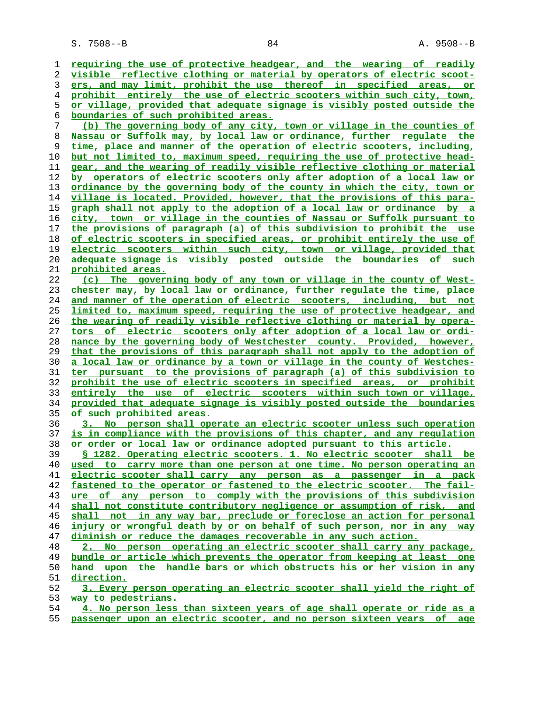S. 7508--B 84 A. 9508--B

**requiring the use of protective headgear, and the wearing of readily visible reflective clothing or material by operators of electric scoot- ers, and may limit, prohibit the use thereof in specified areas, or prohibit entirely the use of electric scooters within such city, town, or village, provided that adequate signage is visibly posted outside the boundaries of such prohibited areas. (b) The governing body of any city, town or village in the counties of Nassau or Suffolk may, by local law or ordinance, further regulate the time, place and manner of the operation of electric scooters, including, but not limited to, maximum speed, requiring the use of protective head- gear, and the wearing of readily visible reflective clothing or material by operators of electric scooters only after adoption of a local law or ordinance by the governing body of the county in which the city, town or village is located. Provided, however, that the provisions of this para- graph shall not apply to the adoption of a local law or ordinance by a city, town or village in the counties of Nassau or Suffolk pursuant to the provisions of paragraph (a) of this subdivision to prohibit the use of electric scooters in specified areas, or prohibit entirely the use of electric scooters within such city, town or village, provided that adequate signage is visibly posted outside the boundaries of such prohibited areas. (c) The governing body of any town or village in the county of West- chester may, by local law or ordinance, further regulate the time, place and manner of the operation of electric scooters, including, but not limited to, maximum speed, requiring the use of protective headgear, and the wearing of readily visible reflective clothing or material by opera- tors of electric scooters only after adoption of a local law or ordi- nance by the governing body of Westchester county. Provided, however, that the provisions of this paragraph shall not apply to the adoption of a local law or ordinance by a town or village in the county of Westches- ter pursuant to the provisions of paragraph (a) of this subdivision to prohibit the use of electric scooters in specified areas, or prohibit entirely the use of electric scooters within such town or village, provided that adequate signage is visibly posted outside the boundaries of such prohibited areas. 3. No person shall operate an electric scooter unless such operation is in compliance with the provisions of this chapter, and any regulation or order or local law or ordinance adopted pursuant to this article. § 1282. Operating electric scooters. 1. No electric scooter shall be used to carry more than one person at one time. No person operating an electric scooter shall carry any person as a passenger in a pack fastened to the operator or fastened to the electric scooter. The fail- ure of any person to comply with the provisions of this subdivision shall not constitute contributory negligence or assumption of risk, and shall not in any way bar, preclude or foreclose an action for personal injury or wrongful death by or on behalf of such person, nor in any way diminish or reduce the damages recoverable in any such action. 2. No person operating an electric scooter shall carry any package, bundle or article which prevents the operator from keeping at least one hand upon the handle bars or which obstructs his or her vision in any direction. 3. Every person operating an electric scooter shall yield the right of way to pedestrians. 4. No person less than sixteen years of age shall operate or ride as a**

**passenger upon an electric scooter, and no person sixteen years of age**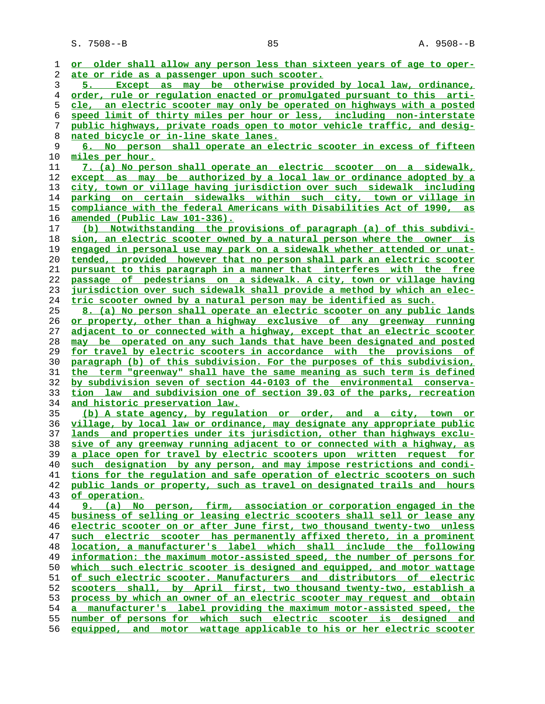S. 7508--B 85 A. 9508--B

**or older shall allow any person less than sixteen years of age to oper- ate or ride as a passenger upon such scooter. 5. Except as may be otherwise provided by local law, ordinance, order, rule or regulation enacted or promulgated pursuant to this arti- cle, an electric scooter may only be operated on highways with a posted speed limit of thirty miles per hour or less, including non-interstate public highways, private roads open to motor vehicle traffic, and desig- nated bicycle or in-line skate lanes. 6. No person shall operate an electric scooter in excess of fifteen miles per hour. 7. (a) No person shall operate an electric scooter on a sidewalk, except as may be authorized by a local law or ordinance adopted by a city, town or village having jurisdiction over such sidewalk including parking on certain sidewalks within such city, town or village in compliance with the federal Americans with Disabilities Act of 1990, as amended (Public Law 101-336). (b) Notwithstanding the provisions of paragraph (a) of this subdivi- sion, an electric scooter owned by a natural person where the owner is engaged in personal use may park on a sidewalk whether attended or unat- tended, provided however that no person shall park an electric scooter pursuant to this paragraph in a manner that interferes with the free passage of pedestrians on a sidewalk. A city, town or village having jurisdiction over such sidewalk shall provide a method by which an elec- tric scooter owned by a natural person may be identified as such. 8. (a) No person shall operate an electric scooter on any public lands or property, other than a highway exclusive of any greenway running adjacent to or connected with a highway, except that an electric scooter may be operated on any such lands that have been designated and posted for travel by electric scooters in accordance with the provisions of paragraph (b) of this subdivision. For the purposes of this subdivision, the term "greenway" shall have the same meaning as such term is defined by subdivision seven of section 44-0103 of the environmental conserva- tion law and subdivision one of section 39.03 of the parks, recreation and historic preservation law. (b) A state agency, by regulation or order, and a city, town or village, by local law or ordinance, may designate any appropriate public lands and properties under its jurisdiction, other than highways exclu- sive of any greenway running adjacent to or connected with a highway, as a place open for travel by electric scooters upon written request for such designation by any person, and may impose restrictions and condi- tions for the regulation and safe operation of electric scooters on such public lands or property, such as travel on designated trails and hours of operation. 9. (a) No person, firm, association or corporation engaged in the business of selling or leasing electric scooters shall sell or lease any electric scooter on or after June first, two thousand twenty-two unless such electric scooter has permanently affixed thereto, in a prominent location, a manufacturer's label which shall include the following information: the maximum motor-assisted speed, the number of persons for which such electric scooter is designed and equipped, and motor wattage of such electric scooter. Manufacturers and distributors of electric scooters shall, by April first, two thousand twenty-two, establish a process by which an owner of an electric scooter may request and obtain a manufacturer's label providing the maximum motor-assisted speed, the number of persons for which such electric scooter is designed and equipped, and motor wattage applicable to his or her electric scooter**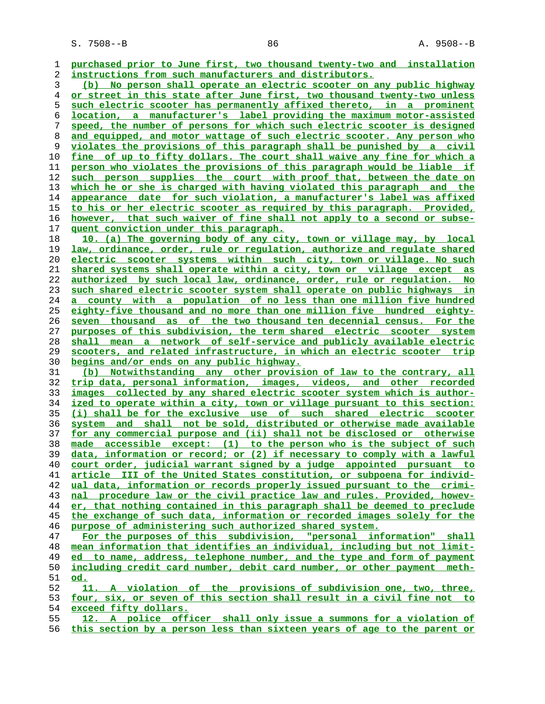S. 7508--B 86 A. 9508--B

**purchased prior to June first, two thousand twenty-two and installation instructions from such manufacturers and distributors. (b) No person shall operate an electric scooter on any public highway or street in this state after June first, two thousand twenty-two unless such electric scooter has permanently affixed thereto, in a prominent location, a manufacturer's label providing the maximum motor-assisted speed, the number of persons for which such electric scooter is designed and equipped, and motor wattage of such electric scooter. Any person who violates the provisions of this paragraph shall be punished by a civil fine of up to fifty dollars. The court shall waive any fine for which a person who violates the provisions of this paragraph would be liable if such person supplies the court with proof that, between the date on which he or she is charged with having violated this paragraph and the appearance date for such violation, a manufacturer's label was affixed to his or her electric scooter as required by this paragraph. Provided, however, that such waiver of fine shall not apply to a second or subse- quent conviction under this paragraph. 10. (a) The governing body of any city, town or village may, by local law, ordinance, order, rule or regulation, authorize and regulate shared electric scooter systems within such city, town or village. No such shared systems shall operate within a city, town or village except as authorized by such local law, ordinance, order, rule or regulation. No such shared electric scooter system shall operate on public highways in a county with a population of no less than one million five hundred eighty-five thousand and no more than one million five hundred eighty- seven thousand as of the two thousand ten decennial census. For the purposes of this subdivision, the term shared electric scooter system shall mean a network of self-service and publicly available electric scooters, and related infrastructure, in which an electric scooter trip begins and/or ends on any public highway. (b) Notwithstanding any other provision of law to the contrary, all trip data, personal information, images, videos, and other recorded images collected by any shared electric scooter system which is author- ized to operate within a city, town or village pursuant to this section: (i) shall be for the exclusive use of such shared electric scooter system and shall not be sold, distributed or otherwise made available for any commercial purpose and (ii) shall not be disclosed or otherwise made accessible except: (1) to the person who is the subject of such data, information or record; or (2) if necessary to comply with a lawful court order, judicial warrant signed by a judge appointed pursuant to article III of the United States constitution, or subpoena for individ- ual data, information or records properly issued pursuant to the crimi- nal procedure law or the civil practice law and rules. Provided, howev- er, that nothing contained in this paragraph shall be deemed to preclude the exchange of such data, information or recorded images solely for the purpose of administering such authorized shared system. For the purposes of this subdivision, "personal information" shall mean information that identifies an individual, including but not limit- ed to name, address, telephone number, and the type and form of payment including credit card number, debit card number, or other payment meth- od. 11. A violation of the provisions of subdivision one, two, three, four, six, or seven of this section shall result in a civil fine not to exceed fifty dollars. 12. A police officer shall only issue a summons for a violation of**

**this section by a person less than sixteen years of age to the parent or**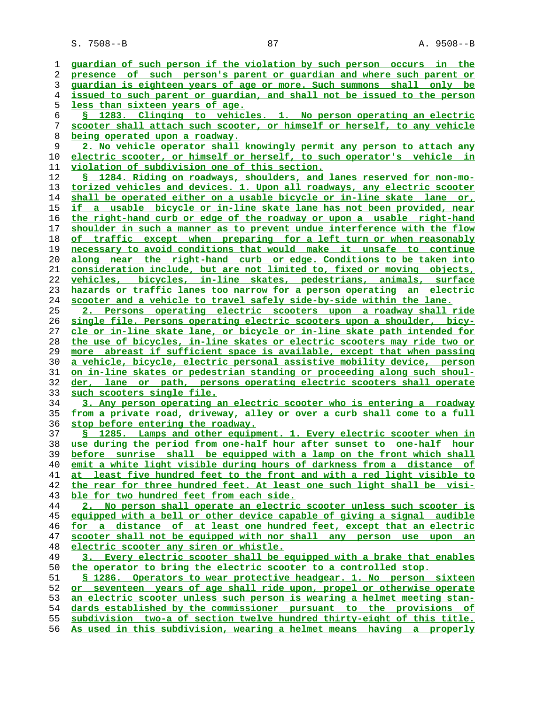S. 7508--B 87 A. 9508--B

**guardian of such person if the violation by such person occurs in the presence of such person's parent or guardian and where such parent or guardian is eighteen years of age or more. Such summons shall only be issued to such parent or guardian, and shall not be issued to the person less than sixteen years of age. § 1283. Clinging to vehicles. 1. No person operating an electric scooter shall attach such scooter, or himself or herself, to any vehicle being operated upon a roadway. 2. No vehicle operator shall knowingly permit any person to attach any electric scooter, or himself or herself, to such operator's vehicle in violation of subdivision one of this section. § 1284. Riding on roadways, shoulders, and lanes reserved for non-mo- torized vehicles and devices. 1. Upon all roadways, any electric scooter shall be operated either on a usable bicycle or in-line skate lane or, if a usable bicycle or in-line skate lane has not been provided, near the right-hand curb or edge of the roadway or upon a usable right-hand shoulder in such a manner as to prevent undue interference with the flow of traffic except when preparing for a left turn or when reasonably necessary to avoid conditions that would make it unsafe to continue along near the right-hand curb or edge. Conditions to be taken into consideration include, but are not limited to, fixed or moving objects, vehicles, bicycles, in-line skates, pedestrians, animals, surface hazards or traffic lanes too narrow for a person operating an electric scooter and a vehicle to travel safely side-by-side within the lane. 2. Persons operating electric scooters upon a roadway shall ride single file. Persons operating electric scooters upon a shoulder, bicy- cle or in-line skate lane, or bicycle or in-line skate path intended for the use of bicycles, in-line skates or electric scooters may ride two or more abreast if sufficient space is available, except that when passing a vehicle, bicycle, electric personal assistive mobility device, person on in-line skates or pedestrian standing or proceeding along such shoul- der, lane or path, persons operating electric scooters shall operate such scooters single file. 3. Any person operating an electric scooter who is entering a roadway from a private road, driveway, alley or over a curb shall come to a full stop before entering the roadway. § 1285. Lamps and other equipment. 1. Every electric scooter when in use during the period from one-half hour after sunset to one-half hour before sunrise shall be equipped with a lamp on the front which shall emit a white light visible during hours of darkness from a distance of at least five hundred feet to the front and with a red light visible to the rear for three hundred feet. At least one such light shall be visi- ble for two hundred feet from each side. 2. No person shall operate an electric scooter unless such scooter is equipped with a bell or other device capable of giving a signal audible for a distance of at least one hundred feet, except that an electric scooter shall not be equipped with nor shall any person use upon an electric scooter any siren or whistle. 3. Every electric scooter shall be equipped with a brake that enables the operator to bring the electric scooter to a controlled stop. § 1286. Operators to wear protective headgear. 1. No person sixteen or seventeen years of age shall ride upon, propel or otherwise operate an electric scooter unless such person is wearing a helmet meeting stan- dards established by the commissioner pursuant to the provisions of subdivision two-a of section twelve hundred thirty-eight of this title. As used in this subdivision, wearing a helmet means having a properly**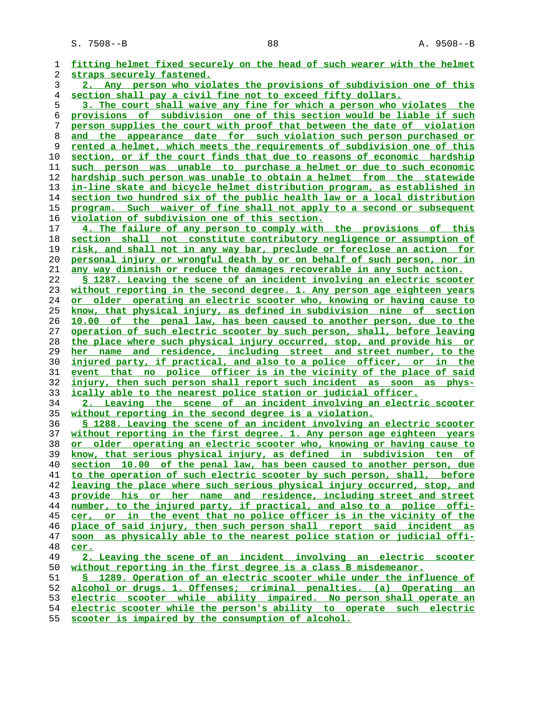**fitting helmet fixed securely on the head of such wearer with the helmet straps securely fastened. 2. Any person who violates the provisions of subdivision one of this section shall pay a civil fine not to exceed fifty dollars. 3. The court shall waive any fine for which a person who violates the provisions of subdivision one of this section would be liable if such person supplies the court with proof that between the date of violation and the appearance date for such violation such person purchased or rented a helmet, which meets the requirements of subdivision one of this section, or if the court finds that due to reasons of economic hardship such person was unable to purchase a helmet or due to such economic hardship such person was unable to obtain a helmet from the statewide in-line skate and bicycle helmet distribution program, as established in section two hundred six of the public health law or a local distribution program. Such waiver of fine shall not apply to a second or subsequent violation of subdivision one of this section. 4. The failure of any person to comply with the provisions of this section shall not constitute contributory negligence or assumption of risk, and shall not in any way bar, preclude or foreclose an action for personal injury or wrongful death by or on behalf of such person, nor in any way diminish or reduce the damages recoverable in any such action. § 1287. Leaving the scene of an incident involving an electric scooter without reporting in the second degree. 1. Any person age eighteen years or older operating an electric scooter who, knowing or having cause to know, that physical injury, as defined in subdivision nine of section 10.00 of the penal law, has been caused to another person, due to the operation of such electric scooter by such person, shall, before leaving the place where such physical injury occurred, stop, and provide his or her name and residence, including street and street number, to the injured party, if practical, and also to a police officer, or in the event that no police officer is in the vicinity of the place of said injury, then such person shall report such incident as soon as phys- ically able to the nearest police station or judicial officer. 2. Leaving the scene of an incident involving an electric scooter without reporting in the second degree is a violation. § 1288. Leaving the scene of an incident involving an electric scooter without reporting in the first degree. 1. Any person age eighteen years or older operating an electric scooter who, knowing or having cause to know, that serious physical injury, as defined in subdivision ten of section 10.00 of the penal law, has been caused to another person, due to the operation of such electric scooter by such person, shall, before leaving the place where such serious physical injury occurred, stop, and provide his or her name and residence, including street and street number, to the injured party, if practical, and also to a police offi- cer, or in the event that no police officer is in the vicinity of the place of said injury, then such person shall report said incident as soon as physically able to the nearest police station or judicial offi- cer. 2. Leaving the scene of an incident involving an electric scooter without reporting in the first degree is a class B misdemeanor. § 1289. Operation of an electric scooter while under the influence of alcohol or drugs. 1. Offenses; criminal penalties. (a) Operating an electric scooter while ability impaired. No person shall operate an electric scooter while the person's ability to operate such electric**

**scooter is impaired by the consumption of alcohol.**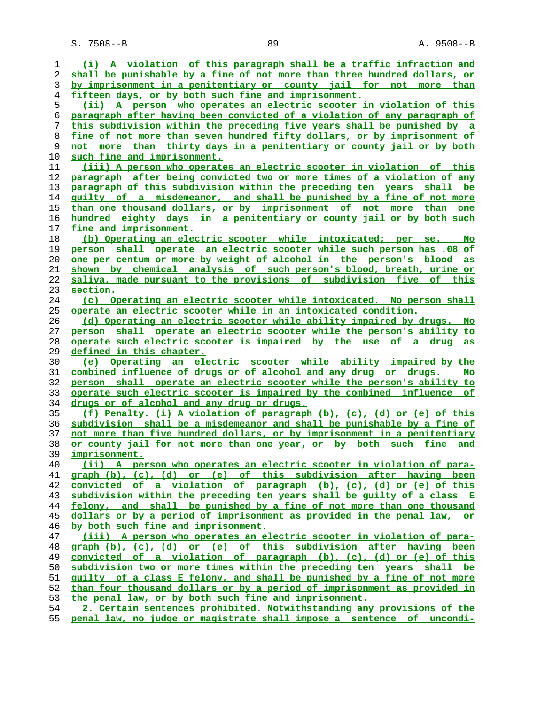| 1        |                                                                                                                                 |
|----------|---------------------------------------------------------------------------------------------------------------------------------|
|          | (i) A violation of this paragraph shall be a traffic infraction and                                                             |
| 2        | shall be punishable by a fine of not more than three hundred dollars, or                                                        |
| 3        | by imprisonment in a penitentiary or county jail for not more than                                                              |
| 4        | fifteen days, or by both such fine and imprisonment.                                                                            |
| 5        | (ii) A person who operates an electric scooter in violation of this                                                             |
| 6        | paragraph after having been convicted of a violation of any paragraph of                                                        |
| 7        | this subdivision within the preceding five years shall be punished by a                                                         |
| 8        | fine of not more than seven hundred fifty dollars, or by imprisonment of                                                        |
| 9        | not more than thirty days in a penitentiary or county jail or by both                                                           |
| 10       | such fine and imprisonment.                                                                                                     |
| 11       | (iii) A person who operates an electric scooter in violation of this                                                            |
| 12       | paragraph after being convicted two or more times of a violation of any                                                         |
| 13       | paragraph of this subdivision within the preceding ten years shall be                                                           |
| 14       | guilty of a misdemeanor, and shall be punished by a fine of not more                                                            |
| 15       | than one thousand dollars, or by imprisonment of not more than one                                                              |
| 16       | <u>hundred eighty days in a penitentiary or county jail or by both such </u>                                                    |
| 17       | fine and imprisonment.                                                                                                          |
| 18       | (b) Operating an electric scooter while intoxicated; per se. No                                                                 |
| 19       | person shall operate an electric scooter while such person has .08 of                                                           |
| 20       | one per centum or more by weight of alcohol in the person's blood as                                                            |
| 21       | shown by chemical analysis of such person's blood, breath, urine or                                                             |
| 22       | saliva, made pursuant to the provisions of subdivision five of this                                                             |
| 23       | section.                                                                                                                        |
| 24       | (c) Operating an electric scooter while intoxicated. No person shall                                                            |
| 25       | operate an electric scooter while in an intoxicated condition.                                                                  |
| 26       | (d) Operating an electric scooter while ability impaired by drugs. No                                                           |
| 27       | person shall operate an electric scooter while the person's ability to                                                          |
| 28       | operate such electric scooter is impaired by the use of a drug as                                                               |
| 29       | <u>defined in this chapter.</u>                                                                                                 |
| 30       | (e) Operating an electric scooter while ability impaired by the                                                                 |
|          |                                                                                                                                 |
| 31       | <u>combined influence of drugs or of alcohol and any drug or drugs. No</u>                                                      |
| 32       | person shall operate an electric scooter while the person's ability to                                                          |
| 33       | operate such electric scooter is impaired by the combined influence of                                                          |
| 34       | drugs or of alcohol and any drug or drugs.                                                                                      |
| 35       | (f) Penalty. (i) A violation of paragraph (b), (c), (d) or (e) of this                                                          |
| 36       | subdivision shall be a misdemeanor and shall be punishable by a fine of                                                         |
| 37       | not more than five hundred dollars, or by imprisonment in a penitentiary                                                        |
| 38       | or county jail for not more than one year, or by both such fine and                                                             |
| 39       | imprisonment.                                                                                                                   |
| 40       | (ii) A person who operates an electric scooter in violation of para-                                                            |
| 41       | graph (b), (c), (d) or (e) of this subdivision after having been                                                                |
| 42       | convicted of a violation of paragraph (b), (c), (d) or (e) of this                                                              |
| 43       | subdivision within the preceding ten years shall be guilty of a class E                                                         |
| 44       | felony, and shall be punished by a fine of not more than one thousand                                                           |
| 45       | dollars or by a period of imprisonment as provided in the penal law, or                                                         |
| 46       | by both such fine and imprisonment.                                                                                             |
| 47       | (iii) A person who operates an electric scooter in violation of para-                                                           |
| 48       | graph (b), (c), (d) or (e) of this subdivision after having been                                                                |
| 49       | convicted of a violation of paragraph (b), (c), (d) or (e) of this                                                              |
| 50       | subdivision two or more times within the preceding ten years shall be                                                           |
| 51       | guilty of a class E felony, and shall be punished by a fine of not more                                                         |
| 52       | than four thousand dollars or by a period of imprisonment as provided in                                                        |
| 53<br>54 | the penal law, or by both such fine and imprisonment.<br>2. Certain sentences prohibited. Notwithstanding any provisions of the |

**penal law, no judge or magistrate shall impose a sentence of uncondi-**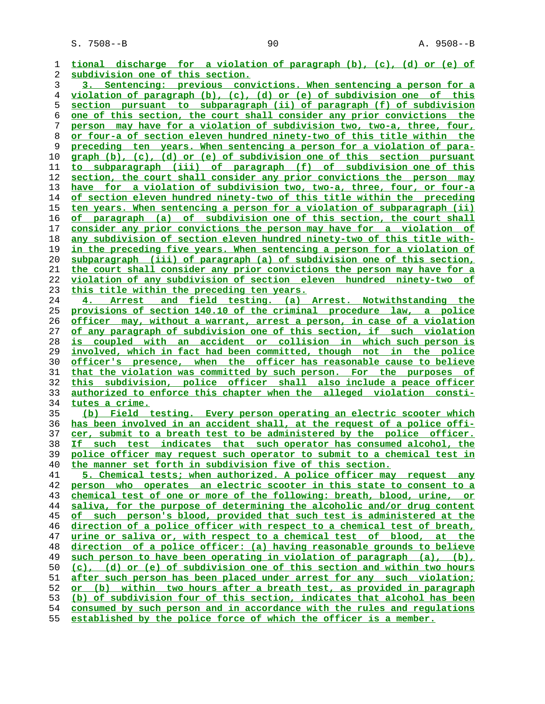S. 7508--B 90 A. 9508--B

**tional discharge for a violation of paragraph (b), (c), (d) or (e) of subdivision one of this section. 3. Sentencing: previous convictions. When sentencing a person for a violation of paragraph (b), (c), (d) or (e) of subdivision one of this section pursuant to subparagraph (ii) of paragraph (f) of subdivision one of this section, the court shall consider any prior convictions the person may have for a violation of subdivision two, two-a, three, four, or four-a of section eleven hundred ninety-two of this title within the preceding ten years. When sentencing a person for a violation of para- graph (b), (c), (d) or (e) of subdivision one of this section pursuant to subparagraph (iii) of paragraph (f) of subdivision one of this section, the court shall consider any prior convictions the person may have for a violation of subdivision two, two-a, three, four, or four-a of section eleven hundred ninety-two of this title within the preceding ten years. When sentencing a person for a violation of subparagraph (ii) of paragraph (a) of subdivision one of this section, the court shall consider any prior convictions the person may have for a violation of any subdivision of section eleven hundred ninety-two of this title with- in the preceding five years. When sentencing a person for a violation of subparagraph (iii) of paragraph (a) of subdivision one of this section, the court shall consider any prior convictions the person may have for a violation of any subdivision of section eleven hundred ninety-two of this title within the preceding ten years. 4. Arrest and field testing. (a) Arrest. Notwithstanding the provisions of section 140.10 of the criminal procedure law, a police officer may, without a warrant, arrest a person, in case of a violation of any paragraph of subdivision one of this section, if such violation is coupled with an accident or collision in which such person is involved, which in fact had been committed, though not in the police officer's presence, when the officer has reasonable cause to believe that the violation was committed by such person. For the purposes of this subdivision, police officer shall also include a peace officer authorized to enforce this chapter when the alleged violation consti- tutes a crime. (b) Field testing. Every person operating an electric scooter which has been involved in an accident shall, at the request of a police offi- cer, submit to a breath test to be administered by the police officer. If such test indicates that such operator has consumed alcohol, the police officer may request such operator to submit to a chemical test in the manner set forth in subdivision five of this section. 5. Chemical tests; when authorized. A police officer may request any person who operates an electric scooter in this state to consent to a chemical test of one or more of the following: breath, blood, urine, or saliva, for the purpose of determining the alcoholic and/or drug content of such person's blood, provided that such test is administered at the direction of a police officer with respect to a chemical test of breath, urine or saliva or, with respect to a chemical test of blood, at the direction of a police officer: (a) having reasonable grounds to believe such person to have been operating in violation of paragraph (a), (b), (c), (d) or (e) of subdivision one of this section and within two hours after such person has been placed under arrest for any such violation; or (b) within two hours after a breath test, as provided in paragraph (b) of subdivision four of this section, indicates that alcohol has been consumed by such person and in accordance with the rules and regulations established by the police force of which the officer is a member.**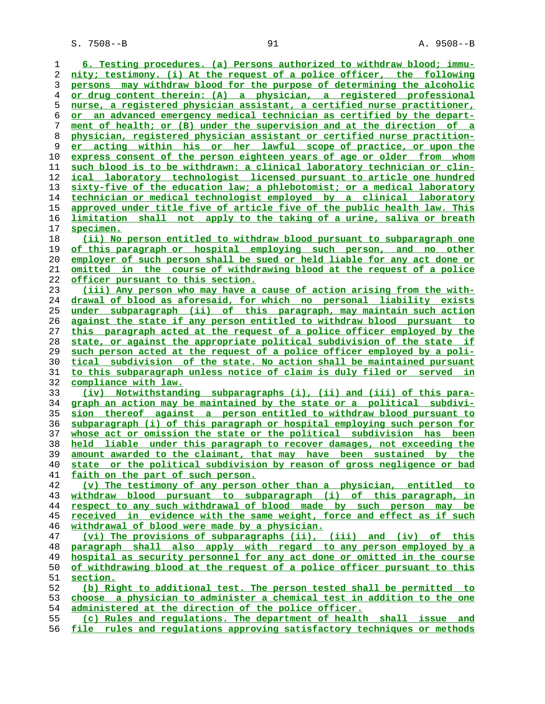S. 7508--B 31 A. 9508--B

**6. Testing procedures. (a) Persons authorized to withdraw blood; immu- nity; testimony. (i) At the request of a police officer, the following persons may withdraw blood for the purpose of determining the alcoholic or drug content therein: (A) a physician, a registered professional nurse, a registered physician assistant, a certified nurse practitioner, or an advanced emergency medical technician as certified by the depart- ment of health; or (B) under the supervision and at the direction of a physician, registered physician assistant or certified nurse practition- er acting within his or her lawful scope of practice, or upon the express consent of the person eighteen years of age or older from whom such blood is to be withdrawn: a clinical laboratory technician or clin- ical laboratory technologist licensed pursuant to article one hundred sixty-five of the education law; a phlebotomist; or a medical laboratory technician or medical technologist employed by a clinical laboratory approved under title five of article five of the public health law. This limitation shall not apply to the taking of a urine, saliva or breath specimen. (ii) No person entitled to withdraw blood pursuant to subparagraph one of this paragraph or hospital employing such person, and no other employer of such person shall be sued or held liable for any act done or omitted in the course of withdrawing blood at the request of a police officer pursuant to this section. (iii) Any person who may have a cause of action arising from the with- drawal of blood as aforesaid, for which no personal liability exists under subparagraph (ii) of this paragraph, may maintain such action against the state if any person entitled to withdraw blood pursuant to this paragraph acted at the request of a police officer employed by the state, or against the appropriate political subdivision of the state if such person acted at the request of a police officer employed by a poli- tical subdivision of the state. No action shall be maintained pursuant to this subparagraph unless notice of claim is duly filed or served in compliance with law. (iv) Notwithstanding subparagraphs (i), (ii) and (iii) of this para- graph an action may be maintained by the state or a political subdivi- sion thereof against a person entitled to withdraw blood pursuant to subparagraph (i) of this paragraph or hospital employing such person for whose act or omission the state or the political subdivision has been held liable under this paragraph to recover damages, not exceeding the amount awarded to the claimant, that may have been sustained by the state or the political subdivision by reason of gross negligence or bad faith on the part of such person. (v) The testimony of any person other than a physician, entitled to withdraw blood pursuant to subparagraph (i) of this paragraph, in respect to any such withdrawal of blood made by such person may be received in evidence with the same weight, force and effect as if such withdrawal of blood were made by a physician. (vi) The provisions of subparagraphs (ii), (iii) and (iv) of this paragraph shall also apply with regard to any person employed by a hospital as security personnel for any act done or omitted in the course of withdrawing blood at the request of a police officer pursuant to this section. (b) Right to additional test. The person tested shall be permitted to choose a physician to administer a chemical test in addition to the one administered at the direction of the police officer. (c) Rules and regulations. The department of health shall issue and**

**file rules and regulations approving satisfactory techniques or methods**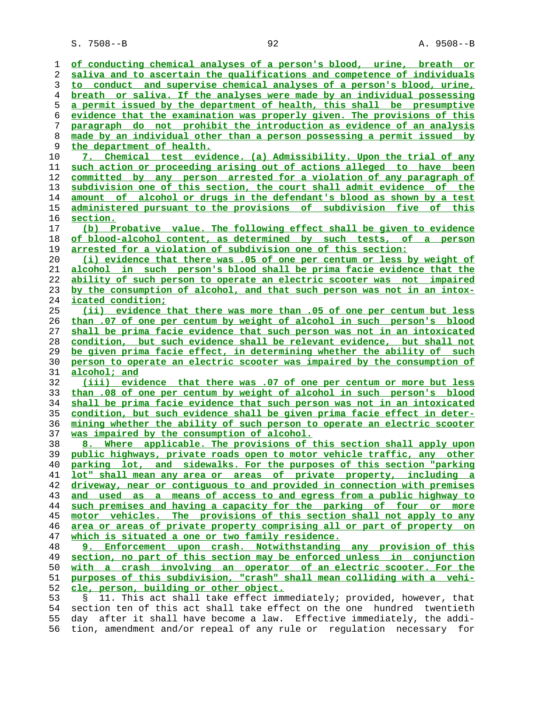S. 7508--B 92 A. 9508--B

**of conducting chemical analyses of a person's blood, urine, breath or saliva and to ascertain the qualifications and competence of individuals to conduct and supervise chemical analyses of a person's blood, urine, breath or saliva. If the analyses were made by an individual possessing a permit issued by the department of health, this shall be presumptive evidence that the examination was properly given. The provisions of this paragraph do not prohibit the introduction as evidence of an analysis made by an individual other than a person possessing a permit issued by the department of health. 7. Chemical test evidence. (a) Admissibility. Upon the trial of any such action or proceeding arising out of actions alleged to have been committed by any person arrested for a violation of any paragraph of subdivision one of this section, the court shall admit evidence of the amount of alcohol or drugs in the defendant's blood as shown by a test administered pursuant to the provisions of subdivision five of this section. (b) Probative value. The following effect shall be given to evidence of blood-alcohol content, as determined by such tests, of a person arrested for a violation of subdivision one of this section: (i) evidence that there was .05 of one per centum or less by weight of alcohol in such person's blood shall be prima facie evidence that the ability of such person to operate an electric scooter was not impaired by the consumption of alcohol, and that such person was not in an intox- icated condition; (ii) evidence that there was more than .05 of one per centum but less than .07 of one per centum by weight of alcohol in such person's blood shall be prima facie evidence that such person was not in an intoxicated condition, but such evidence shall be relevant evidence, but shall not be given prima facie effect, in determining whether the ability of such person to operate an electric scooter was impaired by the consumption of alcohol; and (iii) evidence that there was .07 of one per centum or more but less than .08 of one per centum by weight of alcohol in such person's blood shall be prima facie evidence that such person was not in an intoxicated condition, but such evidence shall be given prima facie effect in deter- mining whether the ability of such person to operate an electric scooter was impaired by the consumption of alcohol. 8. Where applicable. The provisions of this section shall apply upon public highways, private roads open to motor vehicle traffic, any other parking lot, and sidewalks. For the purposes of this section "parking lot" shall mean any area or areas of private property, including a driveway, near or contiguous to and provided in connection with premises and used as a means of access to and egress from a public highway to such premises and having a capacity for the parking of four or more motor vehicles. The provisions of this section shall not apply to any area or areas of private property comprising all or part of property on which is situated a one or two family residence. 9. Enforcement upon crash. Notwithstanding any provision of this section, no part of this section may be enforced unless in conjunction with a crash involving an operator of an electric scooter. For the purposes of this subdivision, "crash" shall mean colliding with a vehi- cle, person, building or other object.** 53 § 11. This act shall take effect immediately; provided, however, that 54 section ten of this act shall take effect on the one hundred twentieth 55 day after it shall have become a law. Effective immediately, the addi-

56 tion, amendment and/or repeal of any rule or regulation necessary for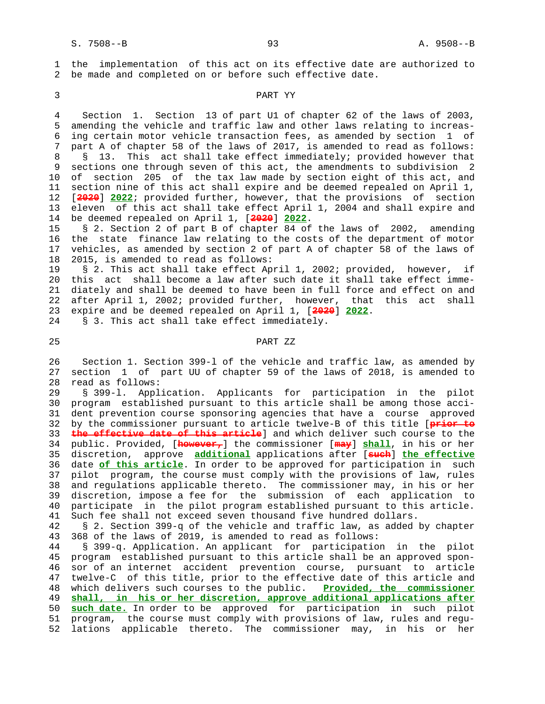1 the implementation of this act on its effective date are authorized to 2 be made and completed on or before such effective date.

### 3 PART YY

 4 Section 1. Section 13 of part U1 of chapter 62 of the laws of 2003, 5 amending the vehicle and traffic law and other laws relating to increas- 6 ing certain motor vehicle transaction fees, as amended by section 1 of<br>7 part A of chapter 58 of the laws of 2017, is amended to read as follows: part A of chapter 58 of the laws of 2017, is amended to read as follows: 8 § 13. This act shall take effect immediately; provided however that 9 sections one through seven of this act, the amendments to subdivision 2 10 of section 205 of the tax law made by section eight of this act, and 11 section nine of this act shall expire and be deemed repealed on April 1, 12 [**2020**] **2022**; provided further, however, that the provisions of section 13 eleven of this act shall take effect April 1, 2004 and shall expire and 14 be deemed repealed on April 1, [**2020**] **2022**.

 15 § 2. Section 2 of part B of chapter 84 of the laws of 2002, amending 16 the state finance law relating to the costs of the department of motor 17 vehicles, as amended by section 2 of part A of chapter 58 of the laws of 18 2015, is amended to read as follows:

 19 § 2. This act shall take effect April 1, 2002; provided, however, if 20 this act shall become a law after such date it shall take effect imme- 21 diately and shall be deemed to have been in full force and effect on and 22 after April 1, 2002; provided further, however, that this act shall 23 expire and be deemed repealed on April 1, [**2020**] **2022**.

24 § 3. This act shall take effect immediately.

# 25 PART ZZ

 26 Section 1. Section 399-l of the vehicle and traffic law, as amended by 27 section 1 of part UU of chapter 59 of the laws of 2018, is amended to 28 read as follows:

 29 § 399-l. Application. Applicants for participation in the pilot 30 program established pursuant to this article shall be among those acci- 31 dent prevention course sponsoring agencies that have a course approved 32 by the commissioner pursuant to article twelve-B of this title [**prior to** 33 **the effective date of this article**] and which deliver such course to the 34 public. Provided, [**however,**] the commissioner [**may**] **shall**, in his or her 35 discretion, approve **additional** applications after [**such**] **the effective** 36 date **of this article**. In order to be approved for participation in such 37 pilot program, the course must comply with the provisions of law, rules 38 and regulations applicable thereto. The commissioner may, in his or her 39 discretion, impose a fee for the submission of each application to 40 participate in the pilot program established pursuant to this article. 41 Such fee shall not exceed seven thousand five hundred dollars.

 42 § 2. Section 399-q of the vehicle and traffic law, as added by chapter 43 368 of the laws of 2019, is amended to read as follows:

 44 § 399-q. Application. An applicant for participation in the pilot 45 program established pursuant to this article shall be an approved spon- 46 sor of an internet accident prevention course, pursuant to article 47 twelve-C of this title, prior to the effective date of this article and 48 which delivers such courses to the public. **Provided, the commissioner** 49 **shall, in his or her discretion, approve additional applications after** 50 **such date.** In order to be approved for participation in such pilot 51 program, the course must comply with provisions of law, rules and regu- 52 lations applicable thereto. The commissioner may, in his or her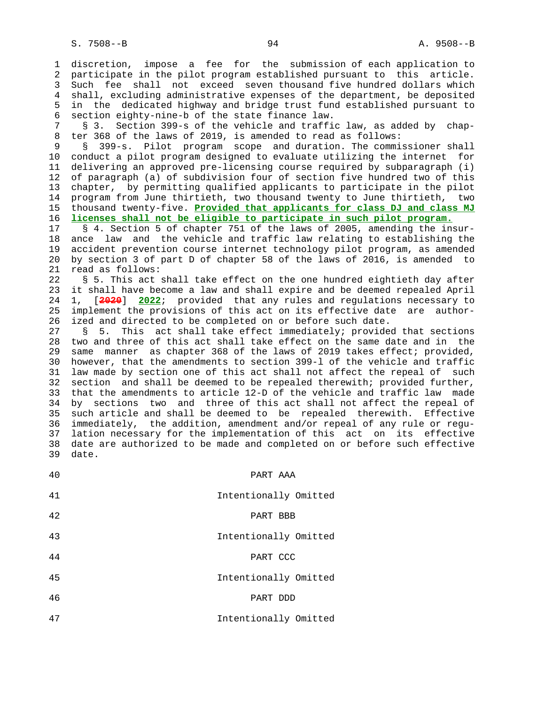1 discretion, impose a fee for the submission of each application to 2 participate in the pilot program established pursuant to this article. 3 Such fee shall not exceed seven thousand five hundred dollars which 4 shall, excluding administrative expenses of the department, be deposited 5 in the dedicated highway and bridge trust fund established pursuant to 6 section eighty-nine-b of the state finance law.

 7 § 3. Section 399-s of the vehicle and traffic law, as added by chap- 8 ter 368 of the laws of 2019, is amended to read as follows:<br>9 8 399-s. Pilot program scope and duration. The commi

 9 § 399-s. Pilot program scope and duration. The commissioner shall 10 conduct a pilot program designed to evaluate utilizing the internet for 11 delivering an approved pre-licensing course required by subparagraph (i) 12 of paragraph (a) of subdivision four of section five hundred two of this 13 chapter, by permitting qualified applicants to participate in the pilot 14 program from June thirtieth, two thousand twenty to June thirtieth, two 15 thousand twenty-five. **Provided that applicants for class DJ and class MJ** 16 **licenses shall not be eligible to participate in such pilot program.**

 17 § 4. Section 5 of chapter 751 of the laws of 2005, amending the insur- 18 ance law and the vehicle and traffic law relating to establishing the 19 accident prevention course internet technology pilot program, as amended 20 by section 3 of part D of chapter 58 of the laws of 2016, is amended to 21 read as follows:

 22 § 5. This act shall take effect on the one hundred eightieth day after 23 it shall have become a law and shall expire and be deemed repealed April 24 1, [**2020**] **2022**; provided that any rules and regulations necessary to 25 implement the provisions of this act on its effective date are author- 26 ized and directed to be completed on or before such date.

 27 § 5. This act shall take effect immediately; provided that sections 28 two and three of this act shall take effect on the same date and in the 29 same manner as chapter 368 of the laws of 2019 takes effect; provided, 30 however, that the amendments to section 399-l of the vehicle and traffic 31 law made by section one of this act shall not affect the repeal of such 32 section and shall be deemed to be repealed therewith; provided further, 33 that the amendments to article 12-D of the vehicle and traffic law made 34 by sections two and three of this act shall not affect the repeal of 35 such article and shall be deemed to be repealed therewith. Effective 36 immediately, the addition, amendment and/or repeal of any rule or regu- 37 lation necessary for the implementation of this act on its effective 38 date are authorized to be made and completed on or before such effective 39 date.

| 40 | PART AAA              |
|----|-----------------------|
| 41 | Intentionally Omitted |
| 42 | PART BBB              |
| 43 | Intentionally Omitted |
| 44 | PART CCC              |
| 45 | Intentionally Omitted |
| 46 | PART DDD              |
| 47 | Intentionally Omitted |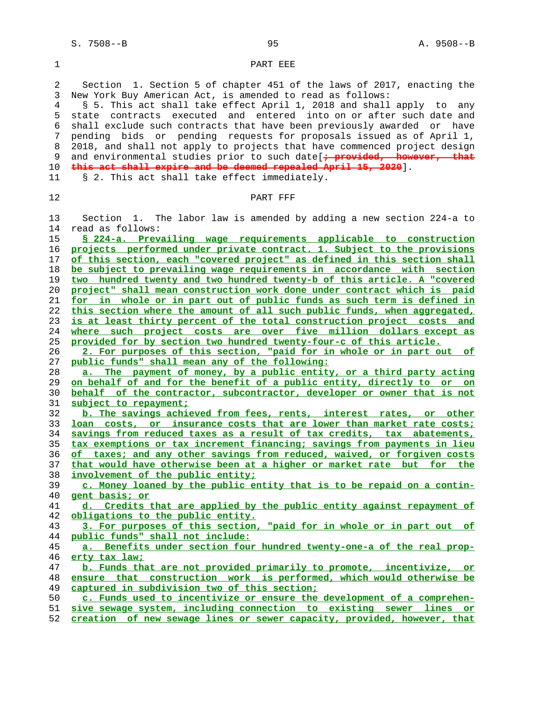1 PART EEE

 2 Section 1. Section 5 of chapter 451 of the laws of 2017, enacting the 3 New York Buy American Act, is amended to read as follows:

 4 § 5. This act shall take effect April 1, 2018 and shall apply to any 5 state contracts executed and entered into on or after such date and 6 shall exclude such contracts that have been previously awarded or have 7 pending bids or pending requests for proposals issued as of April 1, 8 2018, and shall not apply to projects that have commenced project design 9 and environmental studies prior to such date[**; provided, however, that this act shall expire and be deemed repealed April 15, 2020**].

11 § 2. This act shall take effect immediately.

12 PART FFF

 13 Section 1. The labor law is amended by adding a new section 224-a to 14 read as follows:

**§ 224-a. Prevailing wage requirements applicable to construction projects performed under private contract. 1. Subject to the provisions of this section, each "covered project" as defined in this section shall be subject to prevailing wage requirements in accordance with section two hundred twenty and two hundred twenty-b of this article. A "covered project" shall mean construction work done under contract which is paid for in whole or in part out of public funds as such term is defined in this section where the amount of all such public funds, when aggregated, is at least thirty percent of the total construction project costs and where such project costs are over five million dollars except as provided for by section two hundred twenty-four-c of this article.**

**2. For purposes of this section, "paid for in whole or in part out of public funds" shall mean any of the following:**

**a. The payment of money, by a public entity, or a third party acting on behalf of and for the benefit of a public entity, directly to or on behalf of the contractor, subcontractor, developer or owner that is not subject to repayment;**

**b. The savings achieved from fees, rents, interest rates, or other loan costs, or insurance costs that are lower than market rate costs; savings from reduced taxes as a result of tax credits, tax abatements, tax exemptions or tax increment financing; savings from payments in lieu of taxes; and any other savings from reduced, waived, or forgiven costs that would have otherwise been at a higher or market rate but for the involvement of the public entity;**

**c. Money loaned by the public entity that is to be repaid on a contin- gent basis; or**

**d. Credits that are applied by the public entity against repayment of obligations to the public entity.**

**3. For purposes of this section, "paid for in whole or in part out of public funds" shall not include:**

**a. Benefits under section four hundred twenty-one-a of the real prop- erty tax law;**

**b. Funds that are not provided primarily to promote, incentivize, or ensure that construction work is performed, which would otherwise be captured in subdivision two of this section;**

**c. Funds used to incentivize or ensure the development of a comprehen-**

**sive sewage system, including connection to existing sewer lines or**

**creation of new sewage lines or sewer capacity, provided, however, that**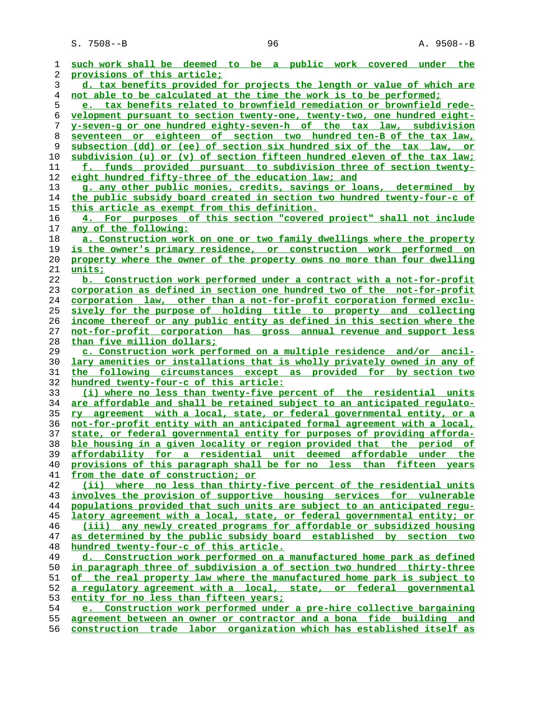| 1  | such work shall be deemed to be a public work covered under the               |
|----|-------------------------------------------------------------------------------|
| 2  | provisions of this article;                                                   |
| 3  | d. tax benefits provided for projects the length or value of which are        |
| 4  | not able to be calculated at the time the work is to be performed;            |
| 5  | e. tax benefits related to brownfield remediation or brownfield rede-         |
| 6  | velopment pursuant to section twenty-one, twenty-two, one hundred eight-      |
| 7  | y-seven-q or one hundred eighty-seven-h of the tax law, subdivision           |
| 8  | seventeen or eighteen of section two hundred ten-B of the tax law,            |
|    |                                                                               |
| 9  | subsection (dd) or (ee) of section six hundred six of the tax law, or         |
| 10 | subdivision (u) or (v) of section fifteen hundred eleven of the tax law;      |
| 11 | f. funds provided pursuant to subdivision three of section twenty-            |
| 12 | eight hundred fifty-three of the education law; and                           |
| 13 | g. any other public monies, credits, savings or loans, determined by          |
| 14 | the public subsidy board created in section two hundred twenty-four-c of      |
| 15 | this article as exempt from this definition.                                  |
| 16 | 4. For purposes of this section "covered project" shall not include           |
| 17 | <u>any of the following:</u>                                                  |
| 18 | a. Construction work on one or two family dwellings where the property        |
| 19 | is the owner's primary residence, or construction work performed on           |
| 20 | property where the owner of the property owns no more than four dwelling      |
| 21 | units;                                                                        |
| 22 | b. Construction work performed under a contract with a not-for-profit         |
| 23 | corporation as defined in section one hundred two of the not-for-profit       |
| 24 | corporation law, other than a not-for-profit corporation formed exclu-        |
| 25 | sively for the purpose of holding title to property and collecting            |
|    |                                                                               |
| 26 | income thereof or any public entity as defined in this section where the      |
| 27 | not-for-profit corporation has gross annual revenue and support less          |
| 28 | <u>than five million dollars;</u>                                             |
| 29 | c. Construction work performed on a multiple residence and/or ancil-          |
| 30 | lary amenities or installations that is wholly privately owned in any of      |
| 31 | the following circumstances except as provided for by section two             |
| 32 | hundred twenty-four-c of this article:                                        |
| 33 | (i) where no less than twenty-five percent of the residential units           |
| 34 | are affordable and shall be retained subject to an anticipated regulato-      |
| 35 | <u>ry agreement with a local, state, or federal governmental entity, or a</u> |
| 36 | not-for-profit entity with an anticipated formal agreement with a local,      |
| 37 | state, or federal governmental entity for purposes of providing afforda-      |
| 38 | ble housing in a given locality or region provided that the period of         |
| 39 | affordability for a residential unit deemed affordable under the              |
| 40 | provisions of this paragraph shall be for no less than fifteen years          |
| 41 | from the date of construction; or                                             |
| 42 | (ii) where no less than thirty-five percent of the residential units          |
| 43 | involves the provision of supportive housing services for vulnerable          |
| 44 | populations provided that such units are subject to an anticipated requ-      |
| 45 | latory agreement with a local, state, or federal governmental entity; or      |
| 46 | (iii) any newly created programs for affordable or subsidized housing         |
| 47 | as determined by the public subsidy board established by section two          |
| 48 | hundred twenty-four-c of this article.                                        |
|    |                                                                               |
| 49 | d. Construction work performed on a manufactured home park as defined         |
| 50 | in paragraph three of subdivision a of section two hundred thirty-three       |
| 51 | of the real property law where the manufactured home park is subject to       |
| 52 | a requlatory agreement with a local, state, or federal governmental           |
| 53 | entity for no less than fifteen years;                                        |
| 54 | e. Construction work performed under a pre-hire collective bargaining         |
| 55 | agreement between an owner or contractor and a bona fide building and         |

**construction trade labor organization which has established itself as**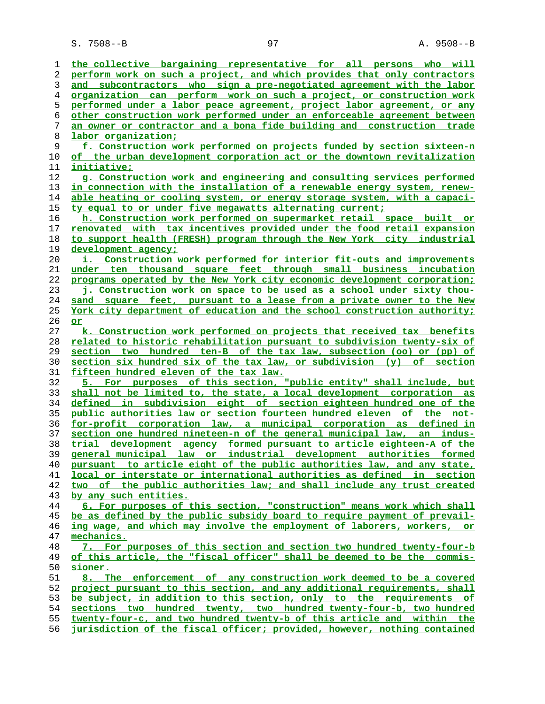| 1              | the collective bargaining representative for all persons who will             |
|----------------|-------------------------------------------------------------------------------|
| 2              | perform work on such a project, and which provides that only contractors      |
| 3              | and subcontractors who sign a pre-negotiated agreement with the labor         |
| $\overline{4}$ | organization can perform work on such a project, or construction work         |
| 5              | performed under a labor peace agreement, project labor agreement, or any      |
| 6              | other construction work performed under an enforceable agreement between      |
| 7              | an owner or contractor and a bona fide building and construction trade        |
| 8              | labor organization;                                                           |
| 9              | f. Construction work performed on projects funded by section sixteen-n        |
| 10             | of the urban development corporation act or the downtown revitalization       |
| 11             | <u>initiative;</u>                                                            |
| 12             | g. Construction work and engineering and consulting services performed        |
| 13             | in connection with the installation of a renewable energy system, renew-      |
| 14             | able heating or cooling system, or energy storage system, with a capaci-      |
| 15             | ty equal to or under five megawatts alternating current;                      |
| 16             | h. Construction work performed on supermarket retail space built or           |
| 17             | <u>renovated with tax incentives provided under the food retail expansion</u> |
| 18             | to support health (FRESH) program through the New York city industrial        |
| 19             | development agency;                                                           |
| 20             | i. Construction work performed for interior fit-outs and improvements         |
|                |                                                                               |
| 21             | under ten thousand square feet through small business incubation              |
| 22             | programs operated by the New York city economic development corporation;      |
| 23             | j. Construction work on space to be used as a school under sixty thou-        |
| 24             | sand square feet, pursuant to a lease from a private owner to the New         |
| 25             | York city department of education and the school construction authority;      |
| 26             | or                                                                            |
| 27             | k. Construction work performed on projects that received tax benefits         |
| 28             | related to historic rehabilitation pursuant to subdivision twenty-six of      |
| 29             | section two hundred ten-B of the tax law, subsection (oo) or (pp) of          |
| 30             | section six hundred six of the tax law, or subdivision (y) of section         |
| 31             | fifteen hundred eleven of the tax law.                                        |
| 32             | 5. For purposes of this section, "public entity" shall include, but           |
| 33             | shall not be limited to, the state, a local development corporation as        |
| 34             | defined in subdivision eight of section eighteen hundred one of the           |
| 35             | public authorities law or section fourteen hundred eleven of the not-         |
| 36             | for-profit corporation law, a municipal corporation as defined in             |
| 37             | section one hundred nineteen-n of the general municipal law, an indus-        |
| 38             | trial development agency formed pursuant to article eighteen-A of the         |
| 39             | general municipal law or industrial development authorities formed            |
| 40             | pursuant to article eight of the public authorities law, and any state,       |
| 41             | local or interstate or international authorities as defined in section        |
| 42             | two of the public authorities law; and shall include any trust created        |
| 43             | by any such entities.                                                         |
| 44             | 6. For purposes of this section, "construction" means work which shall        |
| 45             | be as defined by the public subsidy board to require payment of prevail-      |
| 46             | ing wage, and which may involve the employment of laborers, workers, or       |
| 47             | mechanics.                                                                    |
| 48             | 7. For purposes of this section and section two hundred twenty-four-b         |
| 49             | of this article, the "fiscal officer" shall be deemed to be the commis-       |
| 50             | sioner.                                                                       |
| 51             | 8. The enforcement of any construction work deemed to be a covered            |
| 52             | project pursuant to this section, and any additional requirements, shall      |
| 53             | be subject, in addition to this section, only to the requirements of          |
| 54             | sections two hundred twenty, two hundred twenty-four-b, two hundred           |
| 55             | twenty-four-c, and two hundred twenty-b of this article and within the        |
| 56             | jurisdiction of the fiscal officer; provided, however, nothing contained      |
|                |                                                                               |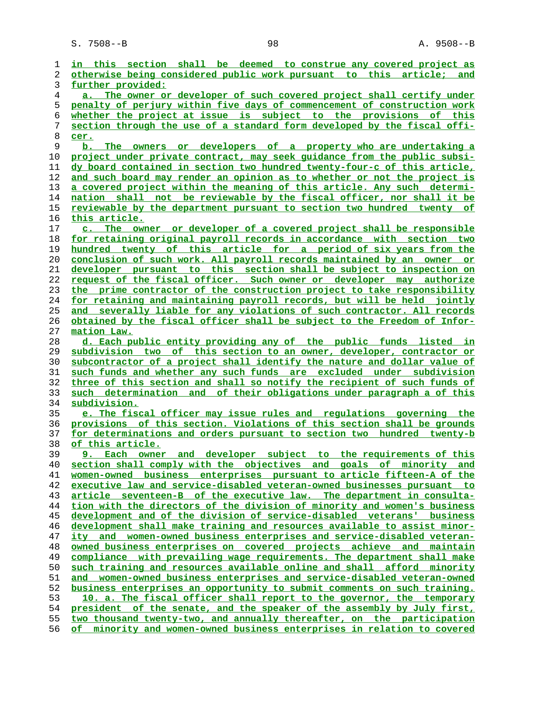| 1              | in this section shall be deemed to construe any covered project as             |
|----------------|--------------------------------------------------------------------------------|
| 2              | otherwise being considered public work pursuant to this article; and           |
| 3              | further provided:                                                              |
| $\overline{4}$ | a. The owner or developer of such covered project shall certify under          |
| 5              | penalty of perjury within five days of commencement of construction work       |
| 6              | whether the project at issue is subject to the provisions of this              |
| 7              | section through the use of a standard form developed by the fiscal offi-       |
| 8              | cer.                                                                           |
| 9              | b. The owners or developers of a property who are undertaking a                |
| 10             | project under private contract, may seek quidance from the public subsi-       |
| 11             | dy board contained in section two hundred twenty-four-c of this article,       |
| 12             | and such board may render an opinion as to whether or not the project is       |
| 13             | a covered project within the meaning of this article. Any such determi-        |
| 14             | <u>nation shall not be reviewable by the fiscal officer, nor shall it be</u>   |
| 15             | reviewable by the department pursuant to section two hundred twenty of         |
| 16             | this article.                                                                  |
| 17             | c. The owner or developer of a covered project shall be responsible            |
| 18             | for retaining original payroll records in accordance with section two          |
| 19             | hundred twenty of this article for a period of six years from the              |
| 20             | conclusion of such work. All payroll records maintained by an owner or         |
| 21             | developer pursuant to this section shall be subject to inspection on           |
| 22             | request of the fiscal officer. Such owner or developer may authorize           |
| 23             | the prime contractor of the construction project to take responsibility        |
| 24             | for retaining and maintaining payroll records, but will be held jointly        |
| 25             | and severally liable for any violations of such contractor. All records        |
| 26             | obtained by the fiscal officer shall be subject to the Freedom of Infor-       |
| 27             | mation Law.                                                                    |
| 28             | d. Each public entity providing any of the public funds listed in              |
| 29             | subdivision two of this section to an owner, developer, contractor or          |
| 30             | subcontractor of a project shall identify the nature and dollar value of       |
| 31             | such funds and whether any such funds are excluded under subdivision           |
| 32             | three of this section and shall so notify the recipient of such funds of       |
| 33             | such determination and of their obligations under paragraph a of this          |
| 34             | subdivision.                                                                   |
| 35             | e. The fiscal officer may issue rules and requlations governing the            |
| 36             | provisions of this section. Violations of this section shall be grounds        |
| 37             | for determinations and orders pursuant to section two hundred twenty-b         |
| 38             | of this article.                                                               |
| 39             | Each owner and developer subject to the requirements of this                   |
| 40             | section shall comply with the objectives and goals of minority and             |
| 41             | women-owned business enterprises pursuant to article fifteen-A of the          |
| 42             | executive law and service-disabled veteran-owned businesses pursuant to        |
| 43             | article seventeen-B of the executive law. The department in consulta-          |
| 44             | tion with the directors of the division of minority and women's business       |
| 45             | development and of the division of service-disabled veterans' business         |
| 46             | development shall make training and resources available to assist minor-       |
| 47             | ity and women-owned business enterprises and service-disabled veteran-         |
| 48             | owned business enterprises on covered projects achieve and maintain            |
| 49             | compliance with prevailing wage requirements. The department shall make        |
| 50             | such training and resources available online and shall afford minority         |
| 51             | <u>and women-owned business enterprises and service-disabled veteran-owned</u> |
| 52             | business enterprises an opportunity to submit comments on such training.       |
| 53             | 10. a. The fiscal officer shall report to the governor, the temporary          |
| 54             | president of the senate, and the speaker of the assembly by July first,        |
| 55             | two thousand twenty-two, and annually thereafter, on the participation         |
| 56             | of minority and women-owned business enterprises in relation to covered        |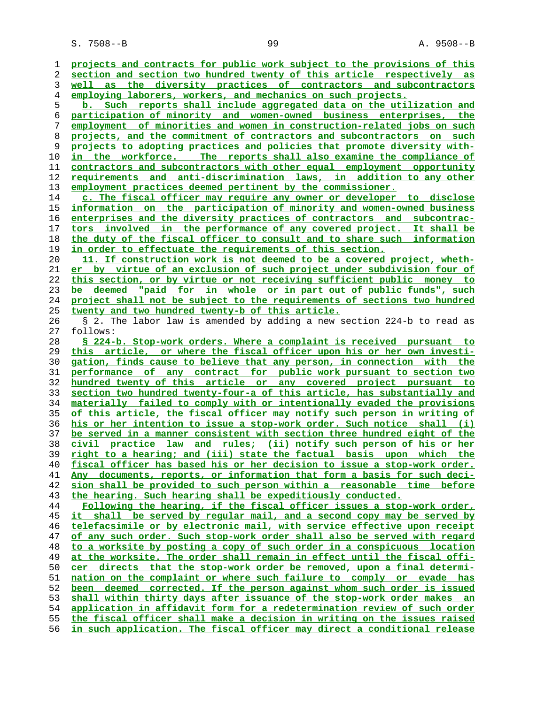S. 7508--B 99 A. 9508--B

**projects and contracts for public work subject to the provisions of this section and section two hundred twenty of this article respectively as well as the diversity practices of contractors and subcontractors employing laborers, workers, and mechanics on such projects. b. Such reports shall include aggregated data on the utilization and participation of minority and women-owned business enterprises, the employment of minorities and women in construction-related jobs on such projects, and the commitment of contractors and subcontractors on such projects to adopting practices and policies that promote diversity with- in the workforce. The reports shall also examine the compliance of contractors and subcontractors with other equal employment opportunity requirements and anti-discrimination laws, in addition to any other employment practices deemed pertinent by the commissioner. c. The fiscal officer may require any owner or developer to disclose information on the participation of minority and women-owned business enterprises and the diversity practices of contractors and subcontrac- tors involved in the performance of any covered project. It shall be the duty of the fiscal officer to consult and to share such information in order to effectuate the requirements of this section. 11. If construction work is not deemed to be a covered project, wheth- er by virtue of an exclusion of such project under subdivision four of this section, or by virtue or not receiving sufficient public money to be deemed "paid for in whole or in part out of public funds", such project shall not be subject to the requirements of sections two hundred twenty and two hundred twenty-b of this article.** 26 § 2. The labor law is amended by adding a new section 224-b to read as 27 follows: **§ 224-b. Stop-work orders. Where a complaint is received pursuant to this article, or where the fiscal officer upon his or her own investi- gation, finds cause to believe that any person, in connection with the performance of any contract for public work pursuant to section two hundred twenty of this article or any covered project pursuant to section two hundred twenty-four-a of this article, has substantially and materially failed to comply with or intentionally evaded the provisions of this article, the fiscal officer may notify such person in writing of his or her intention to issue a stop-work order. Such notice shall (i) be served in a manner consistent with section three hundred eight of the civil practice law and rules; (ii) notify such person of his or her right to a hearing; and (iii) state the factual basis upon which the fiscal officer has based his or her decision to issue a stop-work order. Any documents, reports, or information that form a basis for such deci- sion shall be provided to such person within a reasonable time before the hearing. Such hearing shall be expeditiously conducted. Following the hearing, if the fiscal officer issues a stop-work order, it shall be served by regular mail, and a second copy may be served by telefacsimile or by electronic mail, with service effective upon receipt of any such order. Such stop-work order shall also be served with regard to a worksite by posting a copy of such order in a conspicuous location at the worksite. The order shall remain in effect until the fiscal offi- cer directs that the stop-work order be removed, upon a final determi- nation on the complaint or where such failure to comply or evade has been deemed corrected. If the person against whom such order is issued shall within thirty days after issuance of the stop-work order makes an application in affidavit form for a redetermination review of such order the fiscal officer shall make a decision in writing on the issues raised in such application. The fiscal officer may direct a conditional release**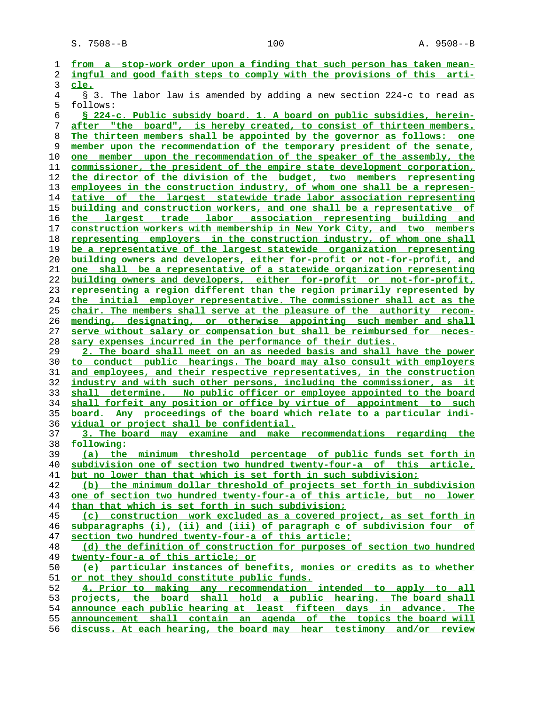**from a stop-work order upon a finding that such person has taken mean- ingful and good faith steps to comply with the provisions of this arti- cle.** 4 § 3. The labor law is amended by adding a new section 224-c to read as 5 follows: **§ 224-c. Public subsidy board. 1. A board on public subsidies, herein- after "the board", is hereby created, to consist of thirteen members. The thirteen members shall be appointed by the governor as follows: one member upon the recommendation of the temporary president of the senate, one member upon the recommendation of the speaker of the assembly, the commissioner, the president of the empire state development corporation, the director of the division of the budget, two members representing employees in the construction industry, of whom one shall be a represen- tative of the largest statewide trade labor association representing building and construction workers, and one shall be a representative of the largest trade labor association representing building and construction workers with membership in New York City, and two members representing employers in the construction industry, of whom one shall be a representative of the largest statewide organization representing building owners and developers, either for-profit or not-for-profit, and one shall be a representative of a statewide organization representing building owners and developers, either for-profit or not-for-profit, representing a region different than the region primarily represented by the initial employer representative. The commissioner shall act as the chair. The members shall serve at the pleasure of the authority recom- mending, designating, or otherwise appointing such member and shall serve without salary or compensation but shall be reimbursed for neces- sary expenses incurred in the performance of their duties. 2. The board shall meet on an as needed basis and shall have the power to conduct public hearings. The board may also consult with employers and employees, and their respective representatives, in the construction industry and with such other persons, including the commissioner, as it shall determine. No public officer or employee appointed to the board shall forfeit any position or office by virtue of appointment to such board. Any proceedings of the board which relate to a particular indi- vidual or project shall be confidential. 3. The board may examine and make recommendations regarding the following: (a) the minimum threshold percentage of public funds set forth in subdivision one of section two hundred twenty-four-a of this article, but no lower than that which is set forth in such subdivision; (b) the minimum dollar threshold of projects set forth in subdivision one of section two hundred twenty-four-a of this article, but no lower than that which is set forth in such subdivision; (c) construction work excluded as a covered project, as set forth in subparagraphs (i), (ii) and (iii) of paragraph c of subdivision four of section two hundred twenty-four-a of this article; (d) the definition of construction for purposes of section two hundred twenty-four-a of this article; or (e) particular instances of benefits, monies or credits as to whether or not they should constitute public funds. 4. Prior to making any recommendation intended to apply to all projects, the board shall hold a public hearing. The board shall announce each public hearing at least fifteen days in advance. The announcement shall contain an agenda of the topics the board will discuss. At each hearing, the board may hear testimony and/or review**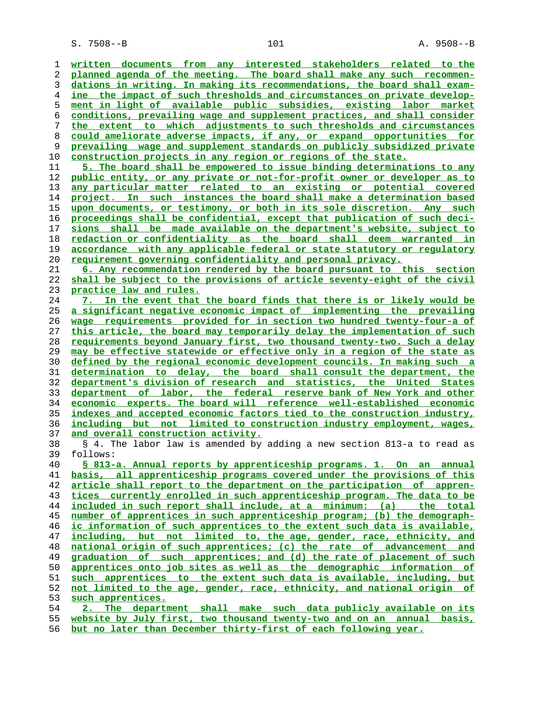**written documents from any interested stakeholders related to the planned agenda of the meeting. The board shall make any such recommen- dations in writing. In making its recommendations, the board shall exam- ine the impact of such thresholds and circumstances on private develop- ment in light of available public subsidies, existing labor market conditions, prevailing wage and supplement practices, and shall consider the extent to which adjustments to such thresholds and circumstances could ameliorate adverse impacts, if any, or expand opportunities for prevailing wage and supplement standards on publicly subsidized private construction projects in any region or regions of the state. 5. The board shall be empowered to issue binding determinations to any public entity, or any private or not-for-profit owner or developer as to any particular matter related to an existing or potential covered project. In such instances the board shall make a determination based upon documents, or testimony, or both in its sole discretion. Any such proceedings shall be confidential, except that publication of such deci- sions shall be made available on the department's website, subject to redaction or confidentiality as the board shall deem warranted in accordance with any applicable federal or state statutory or regulatory requirement governing confidentiality and personal privacy. 6. Any recommendation rendered by the board pursuant to this section shall be subject to the provisions of article seventy-eight of the civil practice law and rules. 7. In the event that the board finds that there is or likely would be a significant negative economic impact of implementing the prevailing wage requirements provided for in section two hundred twenty-four-a of this article, the board may temporarily delay the implementation of such requirements beyond January first, two thousand twenty-two. Such a delay may be effective statewide or effective only in a region of the state as defined by the regional economic development councils. In making such a determination to delay, the board shall consult the department, the department's division of research and statistics, the United States department of labor, the federal reserve bank of New York and other economic experts. The board will reference well-established economic indexes and accepted economic factors tied to the construction industry, including but not limited to construction industry employment, wages, and overall construction activity.** 38 § 4. The labor law is amended by adding a new section 813-a to read as 39 follows: **§ 813-a. Annual reports by apprenticeship programs. 1. On an annual basis, all apprenticeship programs covered under the provisions of this article shall report to the department on the participation of appren- tices currently enrolled in such apprenticeship program. The data to be included in such report shall include, at a minimum: (a) the total number of apprentices in such apprenticeship program; (b) the demograph- ic information of such apprentices to the extent such data is available, including, but not limited to, the age, gender, race, ethnicity, and national origin of such apprentices; (c) the rate of advancement and graduation of such apprentices; and (d) the rate of placement of such apprentices onto job sites as well as the demographic information of such apprentices to the extent such data is available, including, but not limited to the age, gender, race, ethnicity, and national origin of such apprentices. 2. The department shall make such data publicly available on its website by July first, two thousand twenty-two and on an annual basis,**

**but no later than December thirty-first of each following year.**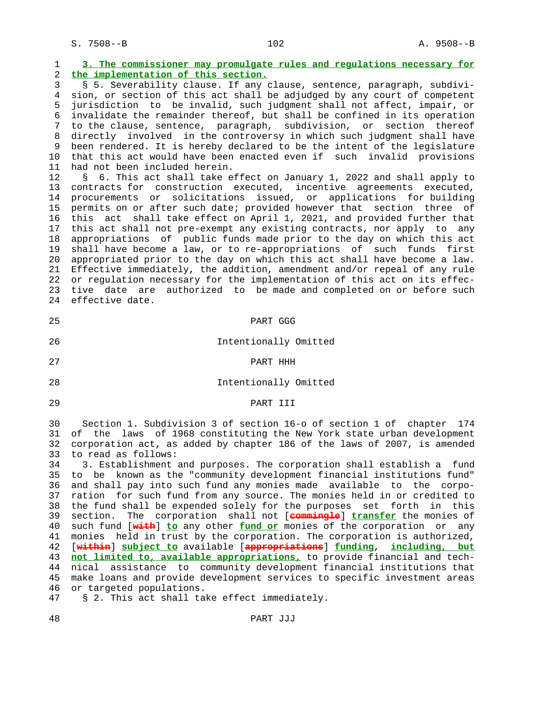1 **3. The commissioner may promulgate rules and regulations necessary for** 2 **the implementation of this section.** 3 § 5. Severability clause. If any clause, sentence, paragraph, subdivi- 4 sion, or section of this act shall be adjudged by any court of competent 5 jurisdiction to be invalid, such judgment shall not affect, impair, or 6 invalidate the remainder thereof, but shall be confined in its operation 7 to the clause, sentence, paragraph, subdivision, or section thereof 8 directly involved in the controversy in which such judgment shall have 9 been rendered. It is hereby declared to be the intent of the legislature 10 that this act would have been enacted even if such invalid provisions 11 had not been included herein. 12 § 6. This act shall take effect on January 1, 2022 and shall apply to 13 contracts for construction executed, incentive agreements executed, 14 procurements or solicitations issued, or applications for building 15 permits on or after such date; provided however that section three of 16 this act shall take effect on April 1, 2021, and provided further that 17 this act shall not pre-exempt any existing contracts, nor apply to any 18 appropriations of public funds made prior to the day on which this act 19 shall have become a law, or to re-appropriations of such funds first 20 appropriated prior to the day on which this act shall have become a law. 21 Effective immediately, the addition, amendment and/or repeal of any rule 22 or regulation necessary for the implementation of this act on its effec- 23 tive date are authorized to be made and completed on or before such 24 effective date. 25 PART GGG 26 Intentionally Omitted 27 PART HHH 28 Intentionally Omitted 29 PART III 30 Section 1. Subdivision 3 of section 16-o of section 1 of chapter 174 31 of the laws of 1968 constituting the New York state urban development 32 corporation act, as added by chapter 186 of the laws of 2007, is amended 33 to read as follows: 34 3. Establishment and purposes. The corporation shall establish a fund<br>35 to be known as the "community development financial institutions fund" to be known as the "community development financial institutions fund" 36 and shall pay into such fund any monies made available to the corpo-

 37 ration for such fund from any source. The monies held in or credited to 38 the fund shall be expended solely for the purposes set forth in this 39 section. The corporation shall not [**commingle**] **transfer** the monies of 40 such fund [**with**] **to** any other **fund or** monies of the corporation or any 41 monies held in trust by the corporation. The corporation is authorized, 42 [**within**] **subject to** available [**appropriations**] **funding**, **including, but** 43 **not limited to, available appropriations,** to provide financial and tech- 44 nical assistance to community development financial institutions that 45 make loans and provide development services to specific investment areas 46 or targeted populations.

47 § 2. This act shall take effect immediately.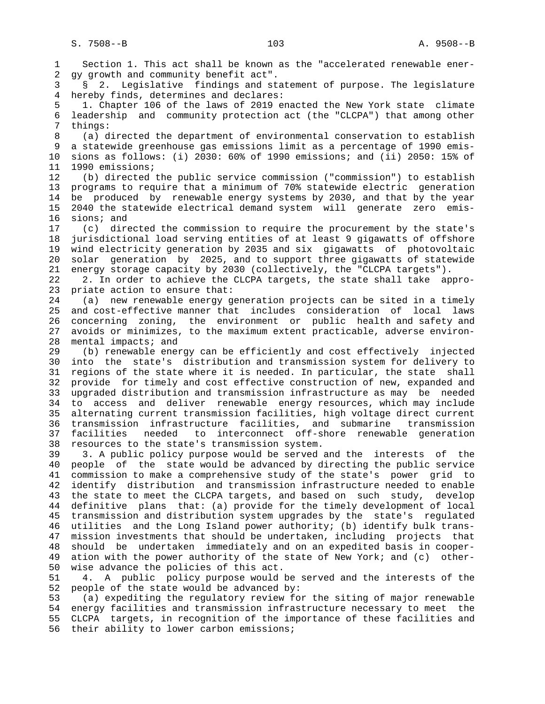1 Section 1. This act shall be known as the "accelerated renewable ener- 2 gy growth and community benefit act". 3 § 2. Legislative findings and statement of purpose. The legislature 4 hereby finds, determines and declares: 5 1. Chapter 106 of the laws of 2019 enacted the New York state climate 6 leadership and community protection act (the "CLCPA") that among other 7 things: 8 (a) directed the department of environmental conservation to establish 9 a statewide greenhouse gas emissions limit as a percentage of 1990 emis- 10 sions as follows: (i) 2030: 60% of 1990 emissions; and (ii) 2050: 15% of 11 1990 emissions; 12 (b) directed the public service commission ("commission") to establish 13 programs to require that a minimum of 70% statewide electric generation 14 be produced by renewable energy systems by 2030, and that by the year 15 2040 the statewide electrical demand system will generate zero emis- 16 sions; and 17 (c) directed the commission to require the procurement by the state's 18 jurisdictional load serving entities of at least 9 gigawatts of offshore 19 wind electricity generation by 2035 and six gigawatts of photovoltaic 20 solar generation by 2025, and to support three gigawatts of statewide 21 energy storage capacity by 2030 (collectively, the "CLCPA targets"). 22 2. In order to achieve the CLCPA targets, the state shall take appro- 23 priate action to ensure that: 24 (a) new renewable energy generation projects can be sited in a timely 25 and cost-effective manner that includes consideration of local laws 26 concerning zoning, the environment or public health and safety and 27 avoids or minimizes, to the maximum extent practicable, adverse environ- 28 mental impacts; and 29 (b) renewable energy can be efficiently and cost effectively injected 30 into the state's distribution and transmission system for delivery to 31 regions of the state where it is needed. In particular, the state shall 32 provide for timely and cost effective construction of new, expanded and 33 upgraded distribution and transmission infrastructure as may be needed 34 to access and deliver renewable energy resources, which may include 35 alternating current transmission facilities, high voltage direct current 36 transmission infrastructure facilities, and submarine transmission 37 facilities needed to interconnect off-shore renewable generation 38 resources to the state's transmission system. 39 3. A public policy purpose would be served and the interests of the 40 people of the state would be advanced by directing the public service 41 commission to make a comprehensive study of the state's power grid to 42 identify distribution and transmission infrastructure needed to enable 43 the state to meet the CLCPA targets, and based on such study, develop 44 definitive plans that: (a) provide for the timely development of local 45 transmission and distribution system upgrades by the state's regulated 46 utilities and the Long Island power authority; (b) identify bulk trans- 47 mission investments that should be undertaken, including projects that 48 should be undertaken immediately and on an expedited basis in cooper- 49 ation with the power authority of the state of New York; and (c) other- 50 wise advance the policies of this act. 51 4. A public policy purpose would be served and the interests of the 52 people of the state would be advanced by: 53 (a) expediting the regulatory review for the siting of major renewable 54 energy facilities and transmission infrastructure necessary to meet the

 55 CLCPA targets, in recognition of the importance of these facilities and 56 their ability to lower carbon emissions;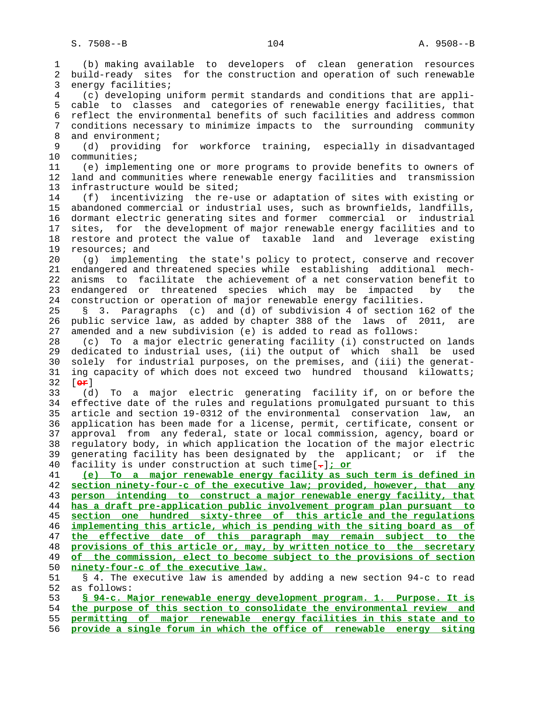1 (b) making available to developers of clean generation resources 2 build-ready sites for the construction and operation of such renewable 3 energy facilities; 4 (c) developing uniform permit standards and conditions that are appli- 5 cable to classes and categories of renewable energy facilities, that 6 reflect the environmental benefits of such facilities and address common 7 conditions necessary to minimize impacts to the surrounding community 8 and environment;<br>9 (d) providing 9 (d) providing for workforce training, especially in disadvantaged 10 communities; 11 (e) implementing one or more programs to provide benefits to owners of 12 land and communities where renewable energy facilities and transmission 13 infrastructure would be sited; 14 (f) incentivizing the re-use or adaptation of sites with existing or 15 abandoned commercial or industrial uses, such as brownfields, landfills, 16 dormant electric generating sites and former commercial or industrial 17 sites, for the development of major renewable energy facilities and to 18 restore and protect the value of taxable land and leverage existing 19 resources; and 20 (g) implementing the state's policy to protect, conserve and recover 21 endangered and threatened species while establishing additional mech- 22 anisms to facilitate the achievement of a net conservation benefit to 23 endangered or threatened species which may be impacted by the 24 construction or operation of major renewable energy facilities. 25 § 3. Paragraphs (c) and (d) of subdivision 4 of section 162 of the 26 public service law, as added by chapter 388 of the laws of 2011, are 27 amended and a new subdivision (e) is added to read as follows: 28 (c) To a major electric generating facility (i) constructed on lands 29 dedicated to industrial uses, (ii) the output of which shall be used 30 solely for industrial purposes, on the premises, and (iii) the generat- 31 ing capacity of which does not exceed two hundred thousand kilowatts; 32 [**or**] 33 (d) To a major electric generating facility if, on or before the 34 effective date of the rules and regulations promulgated pursuant to this 35 article and section 19-0312 of the environmental conservation law, an 36 application has been made for a license, permit, certificate, consent or 37 approval from any federal, state or local commission, agency, board or 38 regulatory body, in which application the location of the major electric 39 generating facility has been designated by the applicant; or if the 40 facility is under construction at such time[**.**]**; or** 41 **(e) To a major renewable energy facility as such term is defined in** 42 **section ninety-four-c of the executive law; provided, however, that any** 43 **person intending to construct a major renewable energy facility, that** 44 **has a draft pre-application public involvement program plan pursuant to** 45 **section one hundred sixty-three of this article and the regulations** 46 **implementing this article, which is pending with the siting board as of** 47 **the effective date of this paragraph may remain subject to the** 48 **provisions of this article or, may, by written notice to the secretary** 49 **of the commission, elect to become subject to the provisions of section** 50 **ninety-four-c of the executive law.** 51 § 4. The executive law is amended by adding a new section 94-c to read 52 as follows: 53 **§ 94-c. Major renewable energy development program. 1. Purpose. It is** 54 **the purpose of this section to consolidate the environmental review and** 55 **permitting of major renewable energy facilities in this state and to**

56 **provide a single forum in which the office of renewable energy siting**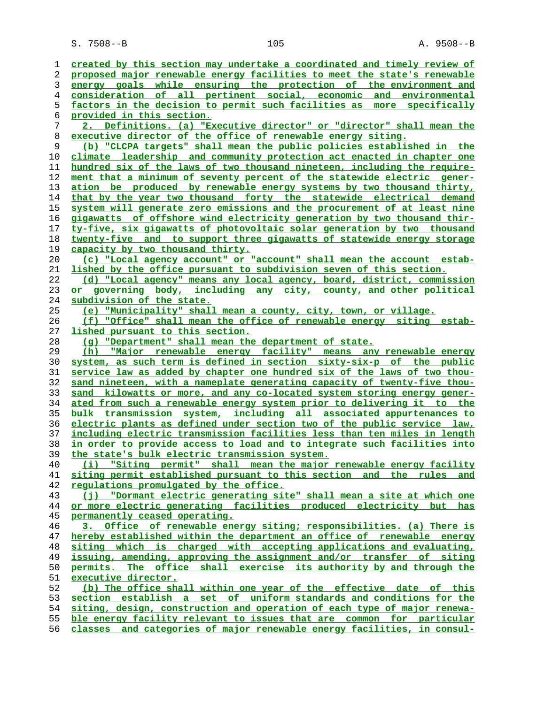S. 7508--B 105 A. 9508--B

| 1        | created by this section may undertake a coordinated and timely review of                                                                  |
|----------|-------------------------------------------------------------------------------------------------------------------------------------------|
| 2        | proposed major renewable energy facilities to meet the state's renewable                                                                  |
| 3        | energy goals while ensuring the protection of the environment and                                                                         |
| 4        | consideration of all pertinent social, economic and environmental                                                                         |
| 5        | factors in the decision to permit such facilities as more specifically                                                                    |
| 6        | provided in this section.                                                                                                                 |
| 7        | 2. Definitions. (a) "Executive director" or "director" shall mean the                                                                     |
| 8        | executive director of the office of renewable energy siting.                                                                              |
| 9        | (b) "CLCPA targets" shall mean the public policies established in the                                                                     |
| 10       | climate leadership and community protection act enacted in chapter one                                                                    |
| 11       | hundred six of the laws of two thousand nineteen, including the require-                                                                  |
| 12       | ment that a minimum of seventy percent of the statewide electric gener-                                                                   |
| 13       | ation be produced by renewable energy systems by two thousand thirty,                                                                     |
| 14       | that by the year two thousand forty the statewide electrical demand                                                                       |
| 15       | system will generate zero emissions and the procurement of at least nine                                                                  |
| 16       | <u>gigawatts of offshore wind electricity generation by two thousand thir-</u>                                                            |
| 17       | ty-five, six gigawatts of photovoltaic solar generation by two thousand                                                                   |
| 18       | twenty-five and to support three gigawatts of statewide energy storage                                                                    |
| 19       | capacity by two thousand thirty.                                                                                                          |
| 20       | (c) "Local agency account" or "account" shall mean the account estab-                                                                     |
| 21       | lished by the office pursuant to subdivision seven of this section.                                                                       |
| 22       | (d) "Local agency" means any local agency, board, district, commission                                                                    |
| 23       | or governing body, including any city, county, and other political                                                                        |
| 24       | subdivision of the state.                                                                                                                 |
| 25       | (e) "Municipality" shall mean a county, city, town, or village.                                                                           |
| 26       | (f) "Office" shall mean the office of renewable energy siting estab-                                                                      |
| 27       | <u>lished pursuant to this section.</u>                                                                                                   |
| 28       | (g) "Department" shall mean the department of state.                                                                                      |
|          |                                                                                                                                           |
| 29       | "Major renewable energy facility" means any renewable energy<br>(h)                                                                       |
| 30       | system, as such term is defined in section sixty-six-p of the public                                                                      |
| 31       | service law as added by chapter one hundred six of the laws of two thou-                                                                  |
| 32       | sand nineteen, with a nameplate generating capacity of twenty-five thou-                                                                  |
| 33       | kilowatts or more, and any co-located system storing energy gener-<br>sand                                                                |
| 34       | ated from such a renewable energy system prior to delivering it to the                                                                    |
| 35       | bulk transmission system, including all associated appurtenances to                                                                       |
| 36       | <u>electric plants as defined under section two of the public service law,</u>                                                            |
| 37       | <u>including electric transmission facilities less than ten miles in length</u>                                                           |
| 38       | in order to provide access to load and to integrate such facilities into                                                                  |
| 39       | the state's bulk electric transmission system.                                                                                            |
| 40       | (i) "Siting permit" shall mean the major renewable energy facility                                                                        |
| 41       | siting permit established pursuant to this section and the rules and                                                                      |
| 42       | requlations promulgated by the office.                                                                                                    |
| 43       | (j) "Dormant electric generating site" shall mean a site at which one                                                                     |
| 44       | or more electric generating facilities produced electricity but has                                                                       |
| 45       | permanently ceased operating.                                                                                                             |
| 46       | 3. Office of renewable energy siting; responsibilities. (a) There is                                                                      |
| 47       | hereby established within the department an office of renewable energy                                                                    |
| 48       | siting which is charged with accepting applications and evaluating,                                                                       |
| 49       | issuing, amending, approving the assignment and/or transfer of siting                                                                     |
| 50       | permits. The office shall exercise its authority by and through the                                                                       |
| 51<br>52 | executive director.                                                                                                                       |
| 53       | (b) The office shall within one year of the effective date of this<br>section establish a set of uniform standards and conditions for the |
| 54       | siting, design, construction and operation of each type of major renewa-                                                                  |
| 55       | ble energy facility relevant to issues that are common for particular                                                                     |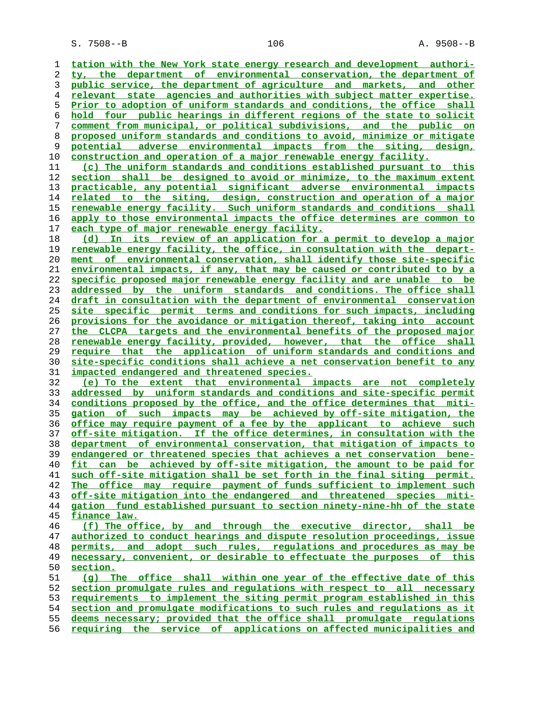S. 7508--B 106 A. 9508--B

**tation with the New York state energy research and development authori- ty, the department of environmental conservation, the department of public service, the department of agriculture and markets, and other relevant state agencies and authorities with subject matter expertise. Prior to adoption of uniform standards and conditions, the office shall hold four public hearings in different regions of the state to solicit comment from municipal, or political subdivisions, and the public on proposed uniform standards and conditions to avoid, minimize or mitigate potential adverse environmental impacts from the siting, design, construction and operation of a major renewable energy facility. (c) The uniform standards and conditions established pursuant to this section shall be designed to avoid or minimize, to the maximum extent practicable, any potential significant adverse environmental impacts related to the siting, design, construction and operation of a major renewable energy facility. Such uniform standards and conditions shall apply to those environmental impacts the office determines are common to each type of major renewable energy facility. (d) In its review of an application for a permit to develop a major renewable energy facility, the office, in consultation with the depart- ment of environmental conservation, shall identify those site-specific environmental impacts, if any, that may be caused or contributed to by a specific proposed major renewable energy facility and are unable to be addressed by the uniform standards and conditions. The office shall draft in consultation with the department of environmental conservation site specific permit terms and conditions for such impacts, including provisions for the avoidance or mitigation thereof, taking into account the CLCPA targets and the environmental benefits of the proposed major renewable energy facility, provided, however, that the office shall require that the application of uniform standards and conditions and site-specific conditions shall achieve a net conservation benefit to any impacted endangered and threatened species. (e) To the extent that environmental impacts are not completely addressed by uniform standards and conditions and site-specific permit conditions proposed by the office, and the office determines that miti- gation of such impacts may be achieved by off-site mitigation, the office may require payment of a fee by the applicant to achieve such off-site mitigation. If the office determines, in consultation with the department of environmental conservation, that mitigation of impacts to endangered or threatened species that achieves a net conservation bene- fit can be achieved by off-site mitigation, the amount to be paid for such off-site mitigation shall be set forth in the final siting permit. The office may require payment of funds sufficient to implement such off-site mitigation into the endangered and threatened species miti- gation fund established pursuant to section ninety-nine-hh of the state finance law. (f) The office, by and through the executive director, shall be authorized to conduct hearings and dispute resolution proceedings, issue permits, and adopt such rules, regulations and procedures as may be necessary, convenient, or desirable to effectuate the purposes of this section. (g) The office shall within one year of the effective date of this section promulgate rules and regulations with respect to all necessary requirements to implement the siting permit program established in this section and promulgate modifications to such rules and regulations as it deems necessary; provided that the office shall promulgate regulations requiring the service of applications on affected municipalities and**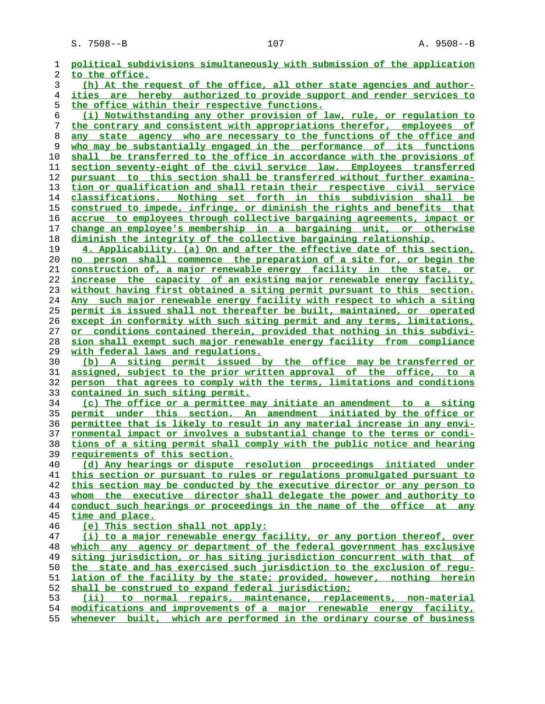S. 7508--B 107 107 A. 9508--B

| 1        | political subdivisions simultaneously with submission of the application                                                                          |
|----------|---------------------------------------------------------------------------------------------------------------------------------------------------|
| 2        | to the office.                                                                                                                                    |
| 3        | (h) At the request of the office, all other state agencies and author-                                                                            |
| 4        | <u>ities are hereby authorized to provide support and render services to</u>                                                                      |
| 5        | the office within their respective functions.                                                                                                     |
| 6        | (i) Notwithstanding any other provision of law, rule, or regulation to                                                                            |
| 7        | the contrary and consistent with appropriations therefor, employees of                                                                            |
| 8        | any state agency who are necessary to the functions of the office and                                                                             |
| 9        | who may be substantially engaged in the performance of its functions                                                                              |
| 10       | shall be transferred to the office in accordance with the provisions of                                                                           |
| 11       | section seventy-eight of the civil service law. Employees transferred                                                                             |
| 12       | pursuant to this section shall be transferred without further examina-                                                                            |
| 13       | tion or qualification and shall retain their respective civil service                                                                             |
| 14       | classifications. Nothing set forth in this subdivision shall be                                                                                   |
| 15       | construed to impede, infringe, or diminish the rights and benefits that                                                                           |
| 16       | accrue to employees through collective bargaining agreements, impact or                                                                           |
| 17       | change an employee's membership in a bargaining unit, or otherwise                                                                                |
| 18       | diminish the integrity of the collective bargaining relationship.                                                                                 |
| 19       | 4. Applicability. (a) On and after the effective date of this section,                                                                            |
| 20       | no person shall commence the preparation of a site for, or begin the                                                                              |
| 21       | construction of, a major renewable energy facility in the state, or                                                                               |
| 22       | increase the capacity of an existing major renewable energy facility,                                                                             |
| 23       | without having first obtained a siting permit pursuant to this section.                                                                           |
| 24       | Any such major renewable energy facility with respect to which a siting                                                                           |
| 25       | permit is issued shall not thereafter be built, maintained, or operated                                                                           |
| 26       | except in conformity with such siting permit and any terms, limitations,                                                                          |
| 27       | or conditions contained therein, provided that nothing in this subdivi-<br>sion shall exempt such major renewable energy facility from compliance |
| 28       |                                                                                                                                                   |
| 29<br>30 | <u>with federal laws and regulations.</u><br>(b) A siting permit issued by the office may be transferred or                                       |
| 31       | assigned, subject to the prior written approval of the office, to a                                                                               |
| 32       | person that agrees to comply with the terms, limitations and conditions                                                                           |
| 33       | contained in such siting permit.                                                                                                                  |
| 34       | (c) The office or a permittee may initiate an amendment to a siting                                                                               |
| 35       | permit under this section. An amendment initiated by the office or                                                                                |
| 36       | permittee that is likely to result in any material increase in any envi-                                                                          |
| 37       | ronmental impact or involves a substantial change to the terms or condi-                                                                          |
| 38       | tions of a siting permit shall comply with the public notice and hearing                                                                          |
| 39       | requirements of this section.                                                                                                                     |
| 40       | (d) Any hearings or dispute resolution proceedings initiated under                                                                                |
| 41       | this section or pursuant to rules or regulations promulgated pursuant to                                                                          |
| 42       | this section may be conducted by the executive director or any person to                                                                          |
| 43       | whom the executive director shall delegate the power and authority to                                                                             |
| 44       | conduct such hearings or proceedings in the name of the office at any                                                                             |
| 45       | time and place.                                                                                                                                   |
| 46       | (e) This section shall not apply:                                                                                                                 |
| 47       | (i) to a major renewable energy facility, or any portion thereof, over                                                                            |
| 48       | which any agency or department of the federal government has exclusive                                                                            |
| 49       | siting jurisdiction, or has siting jurisdiction concurrent with that of                                                                           |
| 50       | the state and has exercised such jurisdiction to the exclusion of requ-                                                                           |
| 51       | lation of the facility by the state; provided, however, nothing herein                                                                            |
| 52       | shall be construed to expand federal jurisdiction;                                                                                                |
| 53       | (ii) to normal repairs, maintenance, replacements, non-material                                                                                   |
| 54       | modifications and improvements of a major renewable energy facility,                                                                              |
| 55       | whenever built, which are performed in the ordinary course of business                                                                            |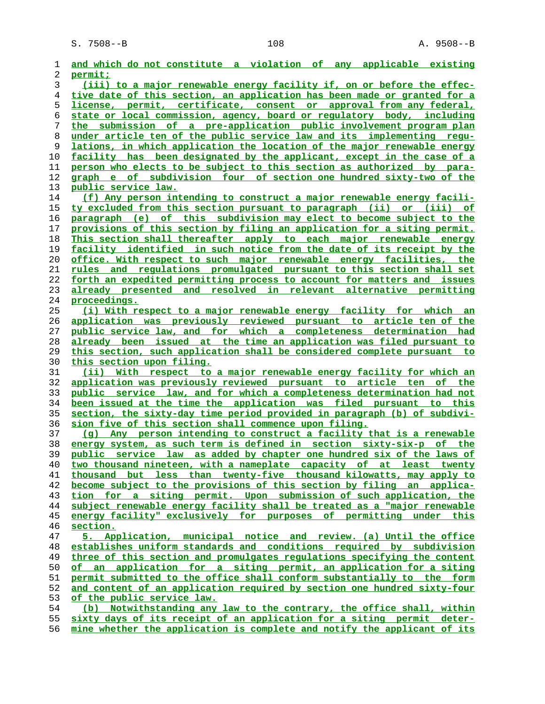**and which do not constitute a violation of any applicable existing permit; (iii) to a major renewable energy facility if, on or before the effec- tive date of this section, an application has been made or granted for a license, permit, certificate, consent or approval from any federal, state or local commission, agency, board or regulatory body, including the submission of a pre-application public involvement program plan under article ten of the public service law and its implementing regu- lations, in which application the location of the major renewable energy facility has been designated by the applicant, except in the case of a person who elects to be subject to this section as authorized by para- graph e of subdivision four of section one hundred sixty-two of the public service law. (f) Any person intending to construct a major renewable energy facili- ty excluded from this section pursuant to paragraph (ii) or (iii) of paragraph (e) of this subdivision may elect to become subject to the provisions of this section by filing an application for a siting permit. This section shall thereafter apply to each major renewable energy facility identified in such notice from the date of its receipt by the office. With respect to such major renewable energy facilities, the rules and regulations promulgated pursuant to this section shall set forth an expedited permitting process to account for matters and issues already presented and resolved in relevant alternative permitting proceedings. (i) With respect to a major renewable energy facility for which an application was previously reviewed pursuant to article ten of the public service law, and for which a completeness determination had already been issued at the time an application was filed pursuant to this section, such application shall be considered complete pursuant to this section upon filing. (ii) With respect to a major renewable energy facility for which an application was previously reviewed pursuant to article ten of the public service law, and for which a completeness determination had not been issued at the time the application was filed pursuant to this section, the sixty-day time period provided in paragraph (b) of subdivi- sion five of this section shall commence upon filing. (g) Any person intending to construct a facility that is a renewable energy system, as such term is defined in section sixty-six-p of the public service law as added by chapter one hundred six of the laws of two thousand nineteen, with a nameplate capacity of at least twenty thousand but less than twenty-five thousand kilowatts, may apply to become subject to the provisions of this section by filing an applica- tion for a siting permit. Upon submission of such application, the subject renewable energy facility shall be treated as a "major renewable energy facility" exclusively for purposes of permitting under this section. 5. Application, municipal notice and review. (a) Until the office establishes uniform standards and conditions required by subdivision three of this section and promulgates regulations specifying the content of an application for a siting permit, an application for a siting permit submitted to the office shall conform substantially to the form and content of an application required by section one hundred sixty-four of the public service law. (b) Notwithstanding any law to the contrary, the office shall, within sixty days of its receipt of an application for a siting permit deter-**

**mine whether the application is complete and notify the applicant of its**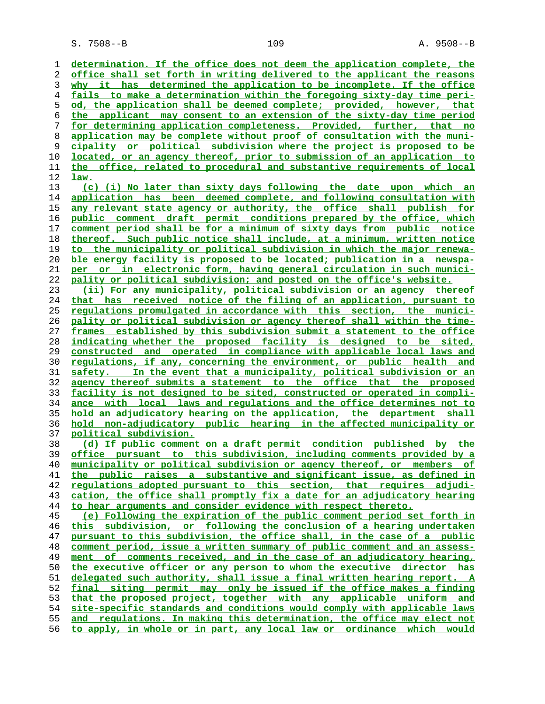S. 7508--B 109 A. 9508--B

**determination. If the office does not deem the application complete, the office shall set forth in writing delivered to the applicant the reasons why it has determined the application to be incomplete. If the office fails to make a determination within the foregoing sixty-day time peri- od, the application shall be deemed complete; provided, however, that the applicant may consent to an extension of the sixty-day time period for determining application completeness. Provided, further, that no application may be complete without proof of consultation with the muni- cipality or political subdivision where the project is proposed to be located, or an agency thereof, prior to submission of an application to the office, related to procedural and substantive requirements of local law. (c) (i) No later than sixty days following the date upon which an application has been deemed complete, and following consultation with any relevant state agency or authority, the office shall publish for public comment draft permit conditions prepared by the office, which comment period shall be for a minimum of sixty days from public notice thereof. Such public notice shall include, at a minimum, written notice to the municipality or political subdivision in which the major renewa- ble energy facility is proposed to be located; publication in a newspa- per or in electronic form, having general circulation in such munici- pality or political subdivision; and posted on the office's website. (ii) For any municipality, political subdivision or an agency thereof that has received notice of the filing of an application, pursuant to regulations promulgated in accordance with this section, the munici- pality or political subdivision or agency thereof shall within the time- frames established by this subdivision submit a statement to the office indicating whether the proposed facility is designed to be sited, constructed and operated in compliance with applicable local laws and regulations, if any, concerning the environment, or public health and safety. In the event that a municipality, political subdivision or an agency thereof submits a statement to the office that the proposed facility is not designed to be sited, constructed or operated in compli- ance with local laws and regulations and the office determines not to hold an adjudicatory hearing on the application, the department shall hold non-adjudicatory public hearing in the affected municipality or political subdivision. (d) If public comment on a draft permit condition published by the office pursuant to this subdivision, including comments provided by a municipality or political subdivision or agency thereof, or members of the public raises a substantive and significant issue, as defined in regulations adopted pursuant to this section, that requires adjudi- cation, the office shall promptly fix a date for an adjudicatory hearing to hear arguments and consider evidence with respect thereto. (e) Following the expiration of the public comment period set forth in this subdivision, or following the conclusion of a hearing undertaken pursuant to this subdivision, the office shall, in the case of a public comment period, issue a written summary of public comment and an assess- ment of comments received, and in the case of an adjudicatory hearing, the executive officer or any person to whom the executive director has delegated such authority, shall issue a final written hearing report. A final siting permit may only be issued if the office makes a finding that the proposed project, together with any applicable uniform and site-specific standards and conditions would comply with applicable laws and regulations. In making this determination, the office may elect not to apply, in whole or in part, any local law or ordinance which would**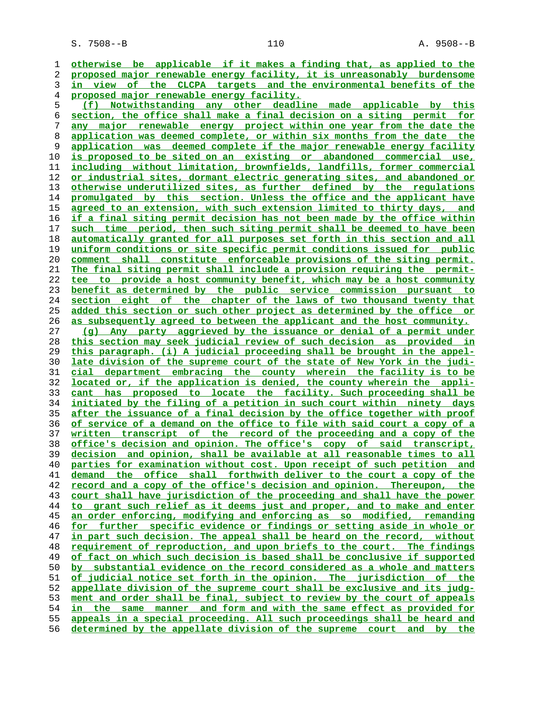S. 7508--B 110 A. 9508--B

**otherwise be applicable if it makes a finding that, as applied to the proposed major renewable energy facility, it is unreasonably burdensome in view of the CLCPA targets and the environmental benefits of the proposed major renewable energy facility. (f) Notwithstanding any other deadline made applicable by this section, the office shall make a final decision on a siting permit for any major renewable energy project within one year from the date the application was deemed complete, or within six months from the date the application was deemed complete if the major renewable energy facility is proposed to be sited on an existing or abandoned commercial use, including without limitation, brownfields, landfills, former commercial or industrial sites, dormant electric generating sites, and abandoned or otherwise underutilized sites, as further defined by the regulations promulgated by this section. Unless the office and the applicant have agreed to an extension, with such extension limited to thirty days, and if a final siting permit decision has not been made by the office within such time period, then such siting permit shall be deemed to have been automatically granted for all purposes set forth in this section and all uniform conditions or site specific permit conditions issued for public comment shall constitute enforceable provisions of the siting permit. The final siting permit shall include a provision requiring the permit- tee to provide a host community benefit, which may be a host community benefit as determined by the public service commission pursuant to section eight of the chapter of the laws of two thousand twenty that added this section or such other project as determined by the office or as subsequently agreed to between the applicant and the host community. (g) Any party aggrieved by the issuance or denial of a permit under this section may seek judicial review of such decision as provided in this paragraph. (i) A judicial proceeding shall be brought in the appel- late division of the supreme court of the state of New York in the judi- cial department embracing the county wherein the facility is to be located or, if the application is denied, the county wherein the appli- cant has proposed to locate the facility. Such proceeding shall be initiated by the filing of a petition in such court within ninety days after the issuance of a final decision by the office together with proof of service of a demand on the office to file with said court a copy of a written transcript of the record of the proceeding and a copy of the office's decision and opinion. The office's copy of said transcript, decision and opinion, shall be available at all reasonable times to all parties for examination without cost. Upon receipt of such petition and demand the office shall forthwith deliver to the court a copy of the record and a copy of the office's decision and opinion. Thereupon, the court shall have jurisdiction of the proceeding and shall have the power to grant such relief as it deems just and proper, and to make and enter an order enforcing, modifying and enforcing as so modified, remanding**

**for further specific evidence or findings or setting aside in whole or in part such decision. The appeal shall be heard on the record, without requirement of reproduction, and upon briefs to the court. The findings of fact on which such decision is based shall be conclusive if supported by substantial evidence on the record considered as a whole and matters of judicial notice set forth in the opinion. The jurisdiction of the appellate division of the supreme court shall be exclusive and its judg- ment and order shall be final, subject to review by the court of appeals in the same manner and form and with the same effect as provided for appeals in a special proceeding. All such proceedings shall be heard and determined by the appellate division of the supreme court and by the**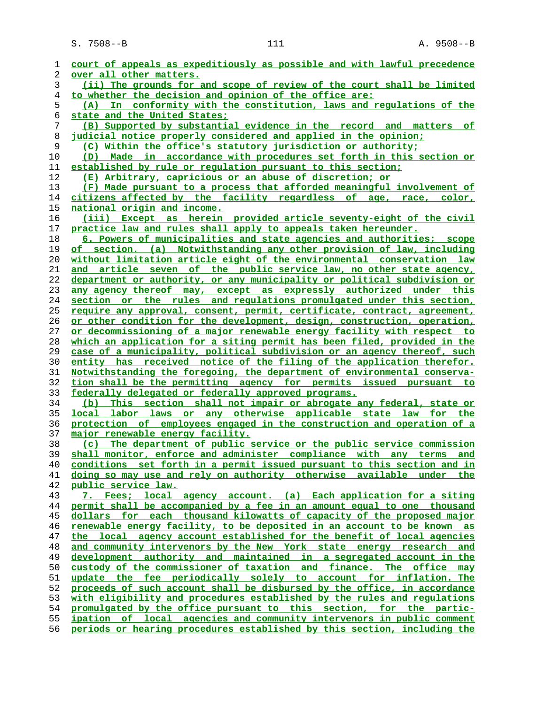S. 7508--B 111 2008 111

| 1  | court of appeals as expeditiously as possible and with lawful precedence |
|----|--------------------------------------------------------------------------|
| 2  | over all other matters.                                                  |
| 3  | (ii) The grounds for and scope of review of the court shall be limited   |
| 4  | to whether the decision and opinion of the office are:                   |
| 5  | (A) In conformity with the constitution, laws and regulations of the     |
| 6  | state and the United States;                                             |
| 7  | (B) Supported by substantial evidence in the record and matters of       |
| 8  | judicial notice properly considered and applied in the opinion;          |
| 9  | (C) Within the office's statutory jurisdiction or authority;             |
| 10 | (D) Made in accordance with procedures set forth in this section or      |
| 11 | established by rule or regulation pursuant to this section;              |
| 12 | (E) Arbitrary, capricious or an abuse of discretion; or                  |
| 13 | (F) Made pursuant to a process that afforded meaningful involvement of   |
| 14 | citizens affected by the facility regardless of age, race, color,        |
| 15 | <u>national origin and income.</u>                                       |
| 16 | (iii) Except as herein provided article seventy-eight of the civil       |
| 17 | practice law and rules shall apply to appeals taken hereunder.           |
| 18 | 6. Powers of municipalities and state agencies and authorities; scope    |
| 19 | of section. (a) Notwithstanding any other provision of law, including    |
| 20 | without limitation article eight of the environmental conservation law   |
| 21 | and article seven of the public service law, no other state agency,      |
| 22 | department or authority, or any municipality or political subdivision or |
| 23 | any agency thereof may, except as expressly authorized under this        |
| 24 | section or the rules and regulations promulgated under this section,     |
| 25 | require any approval, consent, permit, certificate, contract, agreement, |
| 26 | or other condition for the development, design, construction, operation, |
| 27 | or decommissioning of a major renewable energy facility with respect to  |
| 28 | which an application for a siting permit has been filed, provided in the |
| 29 | case of a municipality, political subdivision or an agency thereof, such |
| 30 | entity has received notice of the filing of the application therefor.    |
| 31 | Notwithstanding the foregoing, the department of environmental conserva- |
| 32 | tion shall be the permitting agency for permits issued pursuant to       |
| 33 | federally delegated or federally approved programs.                      |
| 34 | (b) This section shall not impair or abrogate any federal, state or      |
| 35 | local labor laws or any otherwise applicable state law for the           |
| 36 | protection of employees engaged in the construction and operation of a   |
| 37 | major renewable energy facility.                                         |
| 38 | The department of public service or the public service commission<br>(c) |
| 39 | shall monitor, enforce and administer compliance with any terms<br>and   |
| 40 | conditions set forth in a permit issued pursuant to this section and in  |
| 41 | doing so may use and rely on authority otherwise available under the     |
| 42 | public service law.                                                      |
| 43 | 7. Fees; local agency account. (a) Each application for a siting         |
| 44 | permit shall be accompanied by a fee in an amount equal to one thousand  |
| 45 | dollars for each thousand kilowatts of capacity of the proposed major    |
| 46 | renewable energy facility, to be deposited in an account to be known as  |
| 47 | the local agency account established for the benefit of local agencies   |
| 48 | and community intervenors by the New York state energy research and      |
| 49 | development authority and maintained in a segregated account in the      |
| 50 | custody of the commissioner of taxation and finance. The office may      |
| 51 | update the fee periodically solely to account for inflation. The         |
| 52 | proceeds of such account shall be disbursed by the office, in accordance |
| 53 | with eligibility and procedures established by the rules and regulations |
| 54 | promulgated by the office pursuant to this section, for the partic-      |
| 55 | ipation of local agencies and community intervenors in public comment    |
| 56 | periods or hearing procedures established by this section, including the |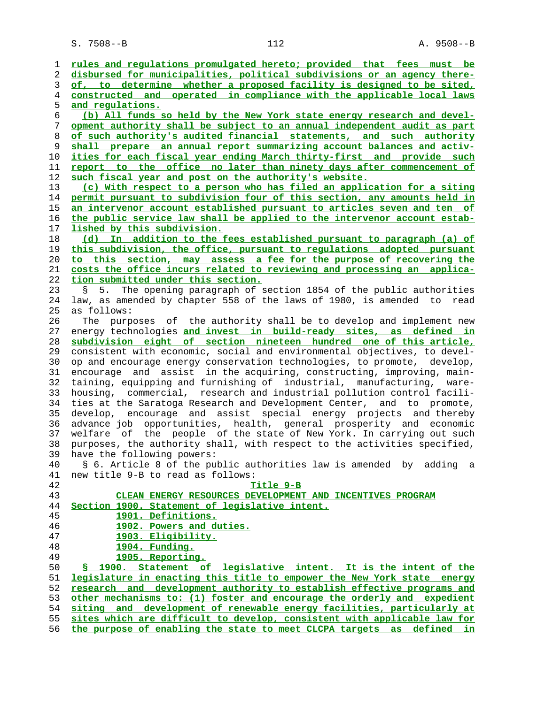S. 7508--B 112 A. 9508--B

**rules and regulations promulgated hereto; provided that fees must be disbursed for municipalities, political subdivisions or an agency there- of, to determine whether a proposed facility is designed to be sited, constructed and operated in compliance with the applicable local laws and regulations. (b) All funds so held by the New York state energy research and devel- opment authority shall be subject to an annual independent audit as part of such authority's audited financial statements, and such authority shall prepare an annual report summarizing account balances and activ- ities for each fiscal year ending March thirty-first and provide such report to the office no later than ninety days after commencement of such fiscal year and post on the authority's website. (c) With respect to a person who has filed an application for a siting permit pursuant to subdivision four of this section, any amounts held in an intervenor account established pursuant to articles seven and ten of the public service law shall be applied to the intervenor account estab- lished by this subdivision. (d) In addition to the fees established pursuant to paragraph (a) of this subdivision, the office, pursuant to regulations adopted pursuant to this section, may assess a fee for the purpose of recovering the costs the office incurs related to reviewing and processing an applica- tion submitted under this section.** 23 § 5. The opening paragraph of section 1854 of the public authorities 24 law, as amended by chapter 558 of the laws of 1980, is amended to read 25 as follows: 26 The purposes of the authority shall be to develop and implement new 27 energy technologies **and invest in build-ready sites, as defined in subdivision eight of section nineteen hundred one of this article,** 29 consistent with economic, social and environmental objectives, to devel- 30 op and encourage energy conservation technologies, to promote, develop, 31 encourage and assist in the acquiring, constructing, improving, main- 32 taining, equipping and furnishing of industrial, manufacturing, ware- 33 housing, commercial, research and industrial pollution control facili- 34 ties at the Saratoga Research and Development Center, and to promote, 35 develop, encourage and assist special energy projects and thereby 36 advance job opportunities, health, general prosperity and economic 37 welfare of the people of the state of New York. In carrying out such 38 purposes, the authority shall, with respect to the activities specified, 39 have the following powers: 40 § 6. Article 8 of the public authorities law is amended by adding a 41 new title 9-B to read as follows: **Title 9-B CLEAN ENERGY RESOURCES DEVELOPMENT AND INCENTIVES PROGRAM Section 1900. Statement of legislative intent. 1901. Definitions. 1902. Powers and duties. 1903. Eligibility. 1904. Funding. 1905. Reporting. § 1900. Statement of legislative intent. It is the intent of the legislature in enacting this title to empower the New York state energy research and development authority to establish effective programs and other mechanisms to: (1) foster and encourage the orderly and expedient siting and development of renewable energy facilities, particularly at sites which are difficult to develop, consistent with applicable law for the purpose of enabling the state to meet CLCPA targets as defined in**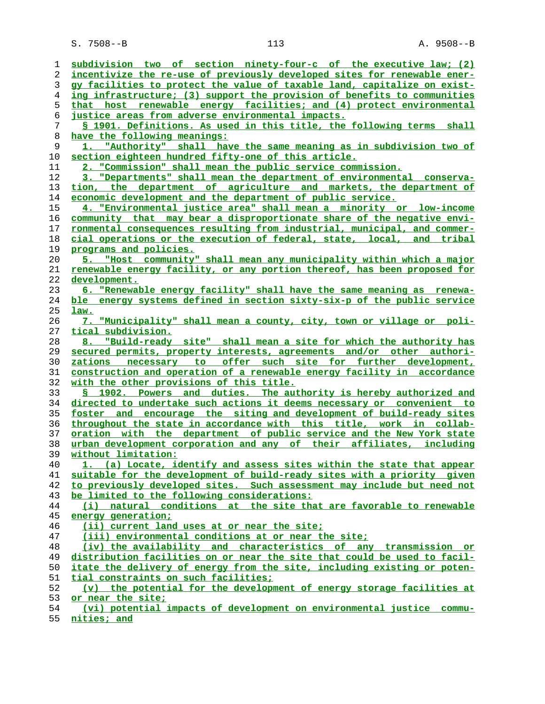S. 7508--B 113 113 A. 9508--B

| 1              | subdivision two of section ninety-four-c of the executive law; (2)                         |
|----------------|--------------------------------------------------------------------------------------------|
| 2              | incentivize the re-use of previously developed sites for renewable ener-                   |
| 3              | gy facilities to protect the value of taxable land, capitalize on exist-                   |
| $\overline{4}$ | ing infrastructure; (3) support the provision of benefits to communities                   |
| 5              | that host renewable energy facilities; and (4) protect environmental                       |
| 6              | justice areas from adverse environmental impacts.                                          |
| 7              | § 1901. Definitions. As used in this title, the following terms shall                      |
| 8              | have the following meanings:                                                               |
| 9              | 1. "Authority" shall have the same meaning as in subdivision two of                        |
| 10             | section eighteen hundred fifty-one of this article.                                        |
| 11             | 2. "Commission" shall mean the public service commission.                                  |
| 12             | 3. "Departments" shall mean the department of environmental conserva-                      |
| 13             | tion, the department of agriculture and markets, the department of                         |
| 14             |                                                                                            |
|                | economic development and the department of public service.                                 |
| 15             | 4. "Environmental justice area" shall mean a minority or low-income                        |
| 16             | community that may bear a disproportionate share of the negative envi-                     |
| 17             | ronmental consequences resulting from industrial, municipal, and commer-                   |
| 18             | cial operations or the execution of federal, state, local, and tribal                      |
| 19             | programs and policies.                                                                     |
| 20             | 5. "Host community" shall mean any municipality within which a major                       |
| 21             | renewable energy facility, or any portion thereof, has been proposed for                   |
| 22             | development.                                                                               |
| 23             | 6. "Renewable energy facility" shall have the same meaning as renewa-                      |
| 24             | ble energy systems defined in section sixty-six-p of the public service                    |
| 25             | <u>law.</u>                                                                                |
| 26             | 7. "Municipality" shall mean a county, city, town or village or poli-                      |
| 27             | tical subdivision.                                                                         |
| 28             | 8. "Build-ready site" shall mean a site for which the authority has                        |
| 29             | secured permits, property interests, agreements and/or other authori-                      |
| 30             | necessary to offer such site for further development,<br>zations                           |
| 31             | construction and operation of a renewable energy facility in accordance                    |
| 32             | with the other provisions of this title.                                                   |
| 33             | \$ 1902. Powers and duties. The authority is hereby authorized and                         |
| 34             | directed to undertake such actions it deems necessary or convenient to                     |
| 35             | foster and encourage the siting and development of build-ready sites                       |
| 36             | throughout the state in accordance with this title, work in collab-                        |
| 37             | oration with the department of public service and the New York state                       |
| 38             | urban development corporation and any of their affiliates, including                       |
| 39             | without limitation:                                                                        |
| 40             | 1. (a) Locate, identify and assess sites within the state that appear                      |
| 41             | suitable for the development of build-ready sites with a priority given                    |
| 42             | to previously developed sites. Such assessment may include but need not                    |
| 43             | be limited to the following considerations:                                                |
| 44             | (i) natural conditions at the site that are favorable to renewable                         |
| 45             | energy generation;                                                                         |
| 46             | (ii) current land uses at or near the site;                                                |
| 47             | (iii) environmental conditions at or near the site;                                        |
| 48             | (iv) the availability and characteristics of any transmission or                           |
| 49             | distribution facilities on or near the site that could be used to facil-                   |
|                | itate the delivery of energy from the site, including existing or poten-                   |
| 50<br>51       | tial constraints on such facilities;                                                       |
| 52             | (v) the potential for the development of energy storage facilities at                      |
|                |                                                                                            |
| 53             | or near the site;<br>(vi) potential impacts of development on environmental justice commu- |
| 54             |                                                                                            |

**nities; and**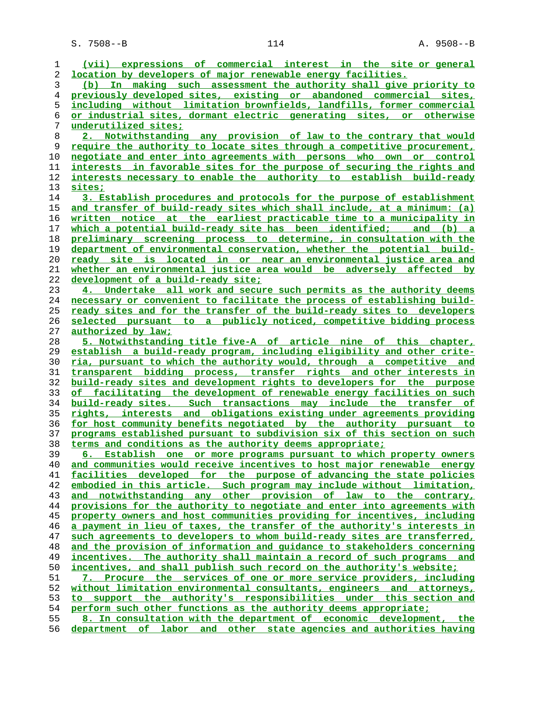**(vii) expressions of commercial interest in the site or general location by developers of major renewable energy facilities. (b) In making such assessment the authority shall give priority to previously developed sites, existing or abandoned commercial sites, including without limitation brownfields, landfills, former commercial or industrial sites, dormant electric generating sites, or otherwise underutilized sites; 2. Notwithstanding any provision of law to the contrary that would require the authority to locate sites through a competitive procurement, negotiate and enter into agreements with persons who own or control interests in favorable sites for the purpose of securing the rights and interests necessary to enable the authority to establish build-ready sites; 3. Establish procedures and protocols for the purpose of establishment and transfer of build-ready sites which shall include, at a minimum: (a) written notice at the earliest practicable time to a municipality in which a potential build-ready site has been identified; and (b) a preliminary screening process to determine, in consultation with the department of environmental conservation, whether the potential build- ready site is located in or near an environmental justice area and whether an environmental justice area would be adversely affected by development of a build-ready site; 4. Undertake all work and secure such permits as the authority deems necessary or convenient to facilitate the process of establishing build- ready sites and for the transfer of the build-ready sites to developers selected pursuant to a publicly noticed, competitive bidding process authorized by law; 5. Notwithstanding title five-A of article nine of this chapter, establish a build-ready program, including eligibility and other crite- ria, pursuant to which the authority would, through a competitive and transparent bidding process, transfer rights and other interests in build-ready sites and development rights to developers for the purpose of facilitating the development of renewable energy facilities on such build-ready sites. Such transactions may include the transfer of rights, interests and obligations existing under agreements providing for host community benefits negotiated by the authority pursuant to programs established pursuant to subdivision six of this section on such terms and conditions as the authority deems appropriate; 6. Establish one or more programs pursuant to which property owners and communities would receive incentives to host major renewable energy facilities developed for the purpose of advancing the state policies embodied in this article. Such program may include without limitation, and notwithstanding any other provision of law to the contrary, provisions for the authority to negotiate and enter into agreements with property owners and host communities providing for incentives, including a payment in lieu of taxes, the transfer of the authority's interests in such agreements to developers to whom build-ready sites are transferred, and the provision of information and guidance to stakeholders concerning** incentives. The authority shall maintain a record of such programs and **incentives, and shall publish such record on the authority's website; 7. Procure the services of one or more service providers, including without limitation environmental consultants, engineers and attorneys, to support the authority's responsibilities under this section and perform such other functions as the authority deems appropriate; 8. In consultation with the department of economic development, the department of labor and other state agencies and authorities having**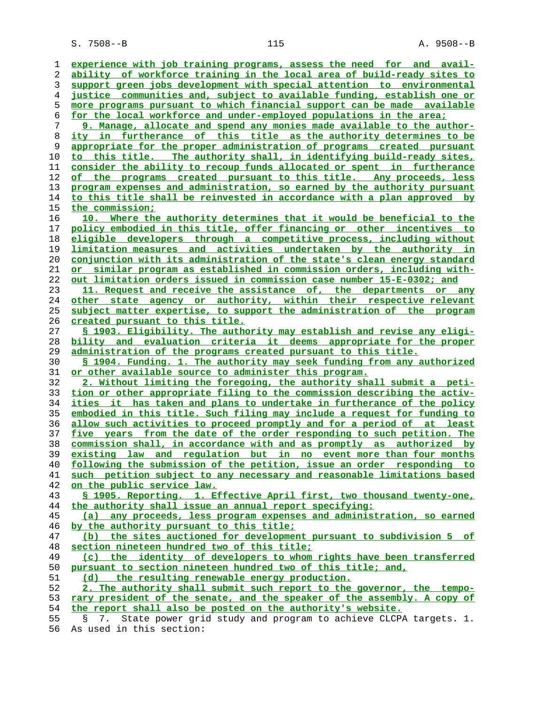S. 7508--B 115 A. 9508--B

**experience with job training programs, assess the need for and avail- ability of workforce training in the local area of build-ready sites to support green jobs development with special attention to environmental justice communities and, subject to available funding, establish one or more programs pursuant to which financial support can be made available for the local workforce and under-employed populations in the area; 9. Manage, allocate and spend any monies made available to the author- ity in furtherance of this title as the authority determines to be appropriate for the proper administration of programs created pursuant to this title. The authority shall, in identifying build-ready sites, consider the ability to recoup funds allocated or spent in furtherance of the programs created pursuant to this title. Any proceeds, less program expenses and administration, so earned by the authority pursuant to this title shall be reinvested in accordance with a plan approved by the commission; 10. Where the authority determines that it would be beneficial to the policy embodied in this title, offer financing or other incentives to eligible developers through a competitive process, including without limitation measures and activities undertaken by the authority in conjunction with its administration of the state's clean energy standard or similar program as established in commission orders, including with- out limitation orders issued in commission case number 15-E-0302; and 11. Request and receive the assistance of, the departments or any other state agency or authority, within their respective relevant subject matter expertise, to support the administration of the program created pursuant to this title. § 1903. Eligibility. The authority may establish and revise any eligi- bility and evaluation criteria it deems appropriate for the proper administration of the programs created pursuant to this title. § 1904. Funding. 1. The authority may seek funding from any authorized or other available source to administer this program. 2. Without limiting the foregoing, the authority shall submit a peti- tion or other appropriate filing to the commission describing the activ- ities it has taken and plans to undertake in furtherance of the policy embodied in this title. Such filing may include a request for funding to allow such activities to proceed promptly and for a period of at least five years from the date of the order responding to such petition. The commission shall, in accordance with and as promptly as authorized by existing law and regulation but in no event more than four months following the submission of the petition, issue an order responding to such petition subject to any necessary and reasonable limitations based on the public service law. § 1905. Reporting. 1. Effective April first, two thousand twenty-one, the authority shall issue an annual report specifying: (a) any proceeds, less program expenses and administration, so earned by the authority pursuant to this title; (b) the sites auctioned for development pursuant to subdivision 5 of section nineteen hundred two of this title;**<br>49 (c) the identity of developers to whom **(c) the identity of developers to whom rights have been transferred pursuant to section nineteen hundred two of this title; and, (d) the resulting renewable energy production. 2. The authority shall submit such report to the governor, the tempo- rary president of the senate, and the speaker of the assembly. A copy of the report shall also be posted on the authority's website.**

 55 § 7. State power grid study and program to achieve CLCPA targets. 1. 56 As used in this section: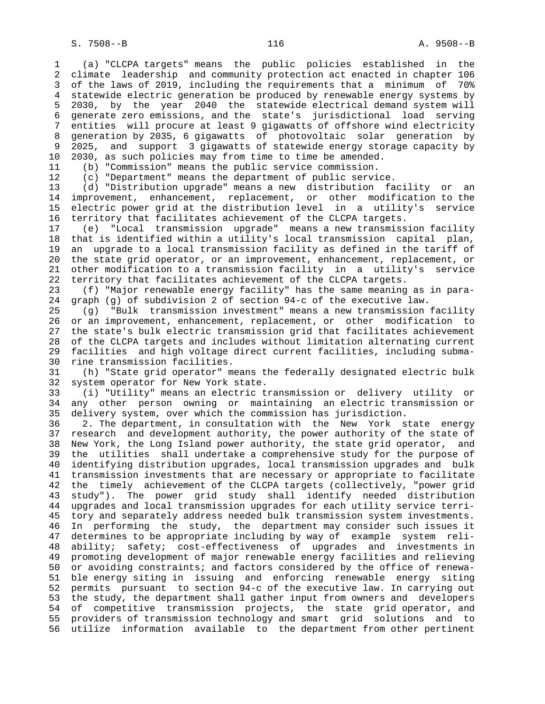1 (a) "CLCPA targets" means the public policies established in the 2 climate leadership and community protection act enacted in chapter 106 3 of the laws of 2019, including the requirements that a minimum of 70% 4 statewide electric generation be produced by renewable energy systems by 5 2030, by the year 2040 the statewide electrical demand system will 6 generate zero emissions, and the state's jurisdictional load serving 7 entities will procure at least 9 gigawatts of offshore wind electricity 8 generation by 2035, 6 gigawatts of photovoltaic solar generation by 9 2025, and support 3 gigawatts of statewide energy storage capacity by

 10 2030, as such policies may from time to time be amended. 11 (b) "Commission" means the public service commission.

12 (c) "Department" means the department of public service.

 13 (d) "Distribution upgrade" means a new distribution facility or an 14 improvement, enhancement, replacement, or other modification to the 15 electric power grid at the distribution level in a utility's service 16 territory that facilitates achievement of the CLCPA targets.

 17 (e) "Local transmission upgrade" means a new transmission facility 18 that is identified within a utility's local transmission capital plan, 19 an upgrade to a local transmission facility as defined in the tariff of 20 the state grid operator, or an improvement, enhancement, replacement, or 21 other modification to a transmission facility in a utility's service 22 territory that facilitates achievement of the CLCPA targets.

 23 (f) "Major renewable energy facility" has the same meaning as in para- 24 graph (g) of subdivision 2 of section 94-c of the executive law.

 25 (g) "Bulk transmission investment" means a new transmission facility 26 or an improvement, enhancement, replacement, or other modification to 27 the state's bulk electric transmission grid that facilitates achievement 28 of the CLCPA targets and includes without limitation alternating current 29 facilities and high voltage direct current facilities, including subma- 30 rine transmission facilities.

 31 (h) "State grid operator" means the federally designated electric bulk 32 system operator for New York state.

 33 (i) "Utility" means an electric transmission or delivery utility or 34 any other person owning or maintaining an electric transmission or 35 delivery system, over which the commission has jurisdiction.

 36 2. The department, in consultation with the New York state energy 37 research and development authority, the power authority of the state of 38 New York, the Long Island power authority, the state grid operator, and 39 the utilities shall undertake a comprehensive study for the purpose of 40 identifying distribution upgrades, local transmission upgrades and bulk 41 transmission investments that are necessary or appropriate to facilitate 42 the timely achievement of the CLCPA targets (collectively, "power grid 43 study"). The power grid study shall identify needed distribution 44 upgrades and local transmission upgrades for each utility service terri- 45 tory and separately address needed bulk transmission system investments. 46 In performing the study, the department may consider such issues it 47 determines to be appropriate including by way of example system reli- 48 ability; safety; cost-effectiveness of upgrades and investments in 49 promoting development of major renewable energy facilities and relieving 50 or avoiding constraints; and factors considered by the office of renewa- 51 ble energy siting in issuing and enforcing renewable energy siting 52 permits pursuant to section 94-c of the executive law. In carrying out 53 the study, the department shall gather input from owners and developers 54 of competitive transmission projects, the state grid operator, and 55 providers of transmission technology and smart grid solutions and to 56 utilize information available to the department from other pertinent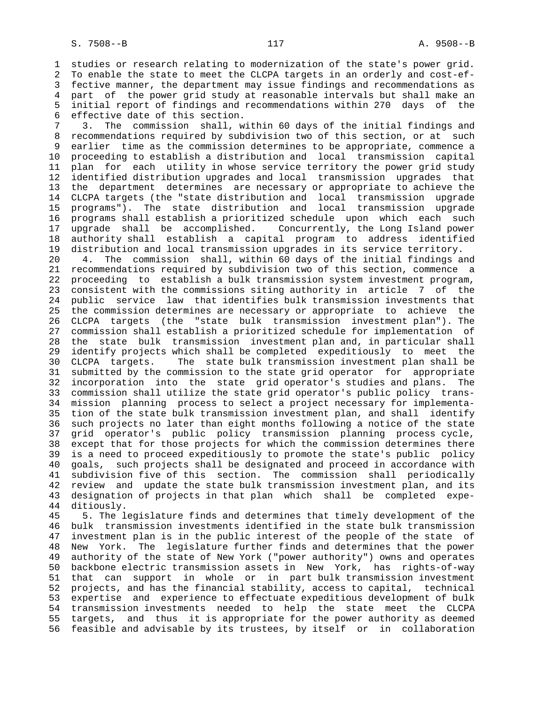1 studies or research relating to modernization of the state's power grid. 2 To enable the state to meet the CLCPA targets in an orderly and cost-ef- 3 fective manner, the department may issue findings and recommendations as 4 part of the power grid study at reasonable intervals but shall make an 5 initial report of findings and recommendations within 270 days of the 6 effective date of this section.

 7 3. The commission shall, within 60 days of the initial findings and 8 recommendations required by subdivision two of this section, or at such<br>9 earlier time as the commission determines to be appropriate, commence a earlier time as the commission determines to be appropriate, commence a 10 proceeding to establish a distribution and local transmission capital 11 plan for each utility in whose service territory the power grid study 12 identified distribution upgrades and local transmission upgrades that 13 the department determines are necessary or appropriate to achieve the 14 CLCPA targets (the "state distribution and local transmission upgrade 15 programs"). The state distribution and local transmission upgrade 16 programs shall establish a prioritized schedule upon which each such 17 upgrade shall be accomplished. Concurrently, the Long Island power 18 authority shall establish a capital program to address identified 19 distribution and local transmission upgrades in its service territory.

 20 4. The commission shall, within 60 days of the initial findings and 21 recommendations required by subdivision two of this section, commence a 22 proceeding to establish a bulk transmission system investment program, 23 consistent with the commissions siting authority in article 7 of the 24 public service law that identifies bulk transmission investments that 25 the commission determines are necessary or appropriate to achieve the 26 CLCPA targets (the "state bulk transmission investment plan"). The 27 commission shall establish a prioritized schedule for implementation of 28 the state bulk transmission investment plan and, in particular shall 29 identify projects which shall be completed expeditiously to meet the 30 CLCPA targets. The state bulk transmission investment plan shall be 31 submitted by the commission to the state grid operator for appropriate 32 incorporation into the state grid operator's studies and plans. The 33 commission shall utilize the state grid operator's public policy trans- 34 mission planning process to select a project necessary for implementa- 35 tion of the state bulk transmission investment plan, and shall identify 36 such projects no later than eight months following a notice of the state 37 grid operator's public policy transmission planning process cycle, 38 except that for those projects for which the commission determines there 39 is a need to proceed expeditiously to promote the state's public policy 40 goals, such projects shall be designated and proceed in accordance with 41 subdivision five of this section. The commission shall periodically 42 review and update the state bulk transmission investment plan, and its 43 designation of projects in that plan which shall be completed expe- 44 ditiously.

 45 5. The legislature finds and determines that timely development of the 46 bulk transmission investments identified in the state bulk transmission 47 investment plan is in the public interest of the people of the state of 48 New York. The legislature further finds and determines that the power 49 authority of the state of New York ("power authority") owns and operates 50 backbone electric transmission assets in New York, has rights-of-way 51 that can support in whole or in part bulk transmission investment 52 projects, and has the financial stability, access to capital, technical 53 expertise and experience to effectuate expeditious development of bulk 54 transmission investments needed to help the state meet the CLCPA 55 targets, and thus it is appropriate for the power authority as deemed 56 feasible and advisable by its trustees, by itself or in collaboration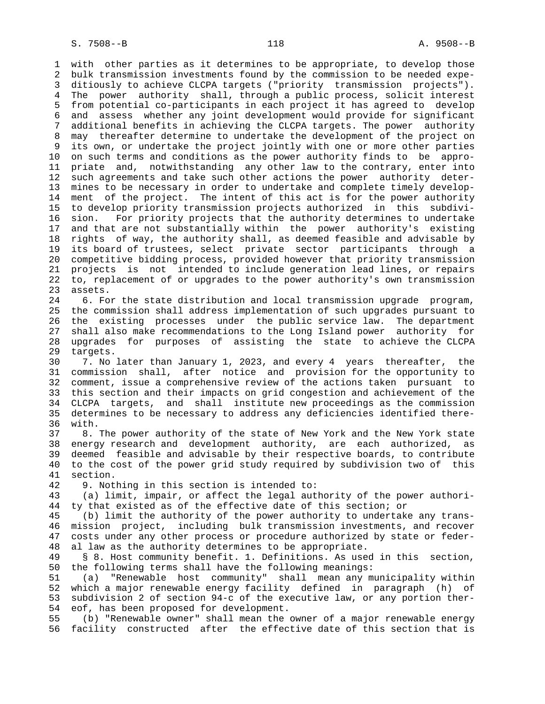1 with other parties as it determines to be appropriate, to develop those 2 bulk transmission investments found by the commission to be needed expe- 3 ditiously to achieve CLCPA targets ("priority transmission projects"). 4 The power authority shall, through a public process, solicit interest 5 from potential co-participants in each project it has agreed to develop 6 and assess whether any joint development would provide for significant 7 additional benefits in achieving the CLCPA targets. The power authority 8 may thereafter determine to undertake the development of the project on 9 its own, or undertake the project jointly with one or more other parties 10 on such terms and conditions as the power authority finds to be appro- 11 priate and, notwithstanding any other law to the contrary, enter into 12 such agreements and take such other actions the power authority deter- 13 mines to be necessary in order to undertake and complete timely develop- 14 ment of the project. The intent of this act is for the power authority 15 to develop priority transmission projects authorized in this subdivi- 16 sion. For priority projects that the authority determines to undertake 17 and that are not substantially within the power authority's existing 18 rights of way, the authority shall, as deemed feasible and advisable by 19 its board of trustees, select private sector participants through a 20 competitive bidding process, provided however that priority transmission 21 projects is not intended to include generation lead lines, or repairs 22 to, replacement of or upgrades to the power authority's own transmission 23 assets. 24 6. For the state distribution and local transmission upgrade program, 25 the commission shall address implementation of such upgrades pursuant to 26 the existing processes under the public service law. The department 27 shall also make recommendations to the Long Island power authority for 28 upgrades for purposes of assisting the state to achieve the CLCPA 29 targets. 30 7. No later than January 1, 2023, and every 4 years thereafter, the 31 commission shall, after notice and provision for the opportunity to 32 comment, issue a comprehensive review of the actions taken pursuant to 33 this section and their impacts on grid congestion and achievement of the 34 CLCPA targets, and shall institute new proceedings as the commission 35 determines to be necessary to address any deficiencies identified there- 36 with.

 37 8. The power authority of the state of New York and the New York state 38 energy research and development authority, are each authorized, as 39 deemed feasible and advisable by their respective boards, to contribute 40 to the cost of the power grid study required by subdivision two of this 41 section.

42 9. Nothing in this section is intended to:

 43 (a) limit, impair, or affect the legal authority of the power authori- 44 ty that existed as of the effective date of this section; or

 45 (b) limit the authority of the power authority to undertake any trans- 46 mission project, including bulk transmission investments, and recover 47 costs under any other process or procedure authorized by state or feder- 48 al law as the authority determines to be appropriate.

 49 § 8. Host community benefit. 1. Definitions. As used in this section, 50 the following terms shall have the following meanings:

 51 (a) "Renewable host community" shall mean any municipality within 52 which a major renewable energy facility defined in paragraph (h) of 53 subdivision 2 of section 94-c of the executive law, or any portion ther- 54 eof, has been proposed for development.

 55 (b) "Renewable owner" shall mean the owner of a major renewable energy 56 facility constructed after the effective date of this section that is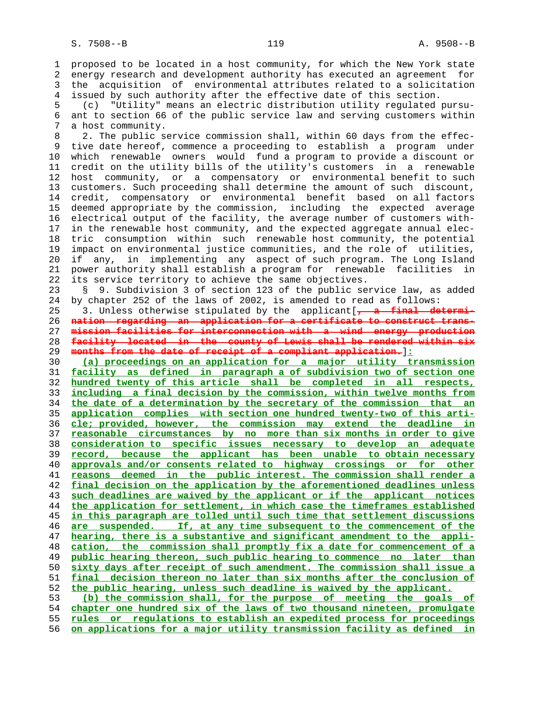1 proposed to be located in a host community, for which the New York state 2 energy research and development authority has executed an agreement for 3 the acquisition of environmental attributes related to a solicitation 4 issued by such authority after the effective date of this section.

 5 (c) "Utility" means an electric distribution utility regulated pursu- 6 ant to section 66 of the public service law and serving customers within 7 a host community.

 8 2. The public service commission shall, within 60 days from the effec tive date hereof, commence a proceeding to establish a program under 10 which renewable owners would fund a program to provide a discount or 11 credit on the utility bills of the utility's customers in a renewable 12 host community, or a compensatory or environmental benefit to such 13 customers. Such proceeding shall determine the amount of such discount, 14 credit, compensatory or environmental benefit based on all factors 15 deemed appropriate by the commission, including the expected average 16 electrical output of the facility, the average number of customers with- 17 in the renewable host community, and the expected aggregate annual elec- 18 tric consumption within such renewable host community, the potential 19 impact on environmental justice communities, and the role of utilities, 20 if any, in implementing any aspect of such program. The Long Island 21 power authority shall establish a program for renewable facilities in 22 its service territory to achieve the same objectives.

 23 § 9. Subdivision 3 of section 123 of the public service law, as added 24 by chapter 252 of the laws of 2002, is amended to read as follows:

 25 3. Unless otherwise stipulated by the applicant[**, a final determi- nation regarding an application for a certificate to construct trans- mission facilities for interconnection with a wind energy production facility located in the county of Lewis shall be rendered within six months from the date of receipt of a compliant application.**]**:**

**(a) proceedings on an application for a major utility transmission facility as defined in paragraph a of subdivision two of section one hundred twenty of this article shall be completed in all respects, including a final decision by the commission, within twelve months from the date of a determination by the secretary of the commission that an application complies with section one hundred twenty-two of this arti- cle; provided, however, the commission may extend the deadline in reasonable circumstances by no more than six months in order to give consideration to specific issues necessary to develop an adequate record, because the applicant has been unable to obtain necessary approvals and/or consents related to highway crossings or for other reasons deemed in the public interest. The commission shall render a final decision on the application by the aforementioned deadlines unless such deadlines are waived by the applicant or if the applicant notices the application for settlement, in which case the timeframes established in this paragraph are tolled until such time that settlement discussions are suspended. If, at any time subsequent to the commencement of the hearing, there is a substantive and significant amendment to the appli- cation, the commission shall promptly fix a date for commencement of a public hearing thereon, such public hearing to commence no later than sixty days after receipt of such amendment. The commission shall issue a final decision thereon no later than six months after the conclusion of the public hearing, unless such deadline is waived by the applicant. (b) the commission shall, for the purpose of meeting the goals of chapter one hundred six of the laws of two thousand nineteen, promulgate rules or regulations to establish an expedited process for proceedings**

56 **on applications for a major utility transmission facility as defined in**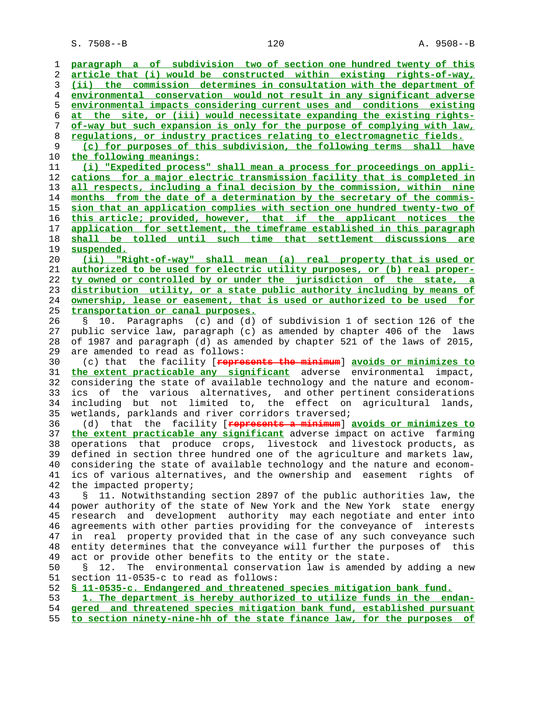1 **paragraph a of subdivision two of section one hundred twenty of this** 2 **article that (i) would be constructed within existing rights-of-way,** 3 **(ii) the commission determines in consultation with the department of** 4 **environmental conservation would not result in any significant adverse** 5 **environmental impacts considering current uses and conditions existing** 6 **at the site, or (iii) would necessitate expanding the existing rights-** 7 **of-way but such expansion is only for the purpose of complying with law,** 8 **regulations, or industry practices relating to electromagnetic fields.** 9 **(c) for purposes of this subdivision, the following terms shall have** 10 **the following meanings:** 11 **(i) "Expedited process" shall mean a process for proceedings on appli-** 12 **cations for a major electric transmission facility that is completed in** 13 **all respects, including a final decision by the commission, within nine** 14 **months from the date of a determination by the secretary of the commis-** 15 **sion that an application complies with section one hundred twenty-two of** 16 **this article; provided, however, that if the applicant notices the** 17 **application for settlement, the timeframe established in this paragraph** 18 **shall be tolled until such time that settlement discussions are** 19 **suspended.** 20 **(ii) "Right-of-way" shall mean (a) real property that is used or** 21 **authorized to be used for electric utility purposes, or (b) real proper-** 22 **ty owned or controlled by or under the jurisdiction of the state, a** 23 **distribution utility, or a state public authority including by means of** 24 **ownership, lease or easement, that is used or authorized to be used for** 25 **transportation or canal purposes.** 26 § 10. Paragraphs (c) and (d) of subdivision 1 of section 126 of the 27 public service law, paragraph (c) as amended by chapter 406 of the laws 28 of 1987 and paragraph (d) as amended by chapter 521 of the laws of 2015, 29 are amended to read as follows: 30 (c) that the facility [**represents the minimum**] **avoids or minimizes to** 31 **the extent practicable any significant** adverse environmental impact, 32 considering the state of available technology and the nature and econom- 33 ics of the various alternatives, and other pertinent considerations 34 including but not limited to, the effect on agricultural lands, 35 wetlands, parklands and river corridors traversed; 36 (d) that the facility [**represents a minimum**] **avoids or minimizes to** 37 **the extent practicable any significant** adverse impact on active farming 38 operations that produce crops, livestock and livestock products, as 39 defined in section three hundred one of the agriculture and markets law, 40 considering the state of available technology and the nature and econom- 41 ics of various alternatives, and the ownership and easement rights of 42 the impacted property; 43 § 11. Notwithstanding section 2897 of the public authorities law, the 44 power authority of the state of New York and the New York state energy 45 research and development authority may each negotiate and enter into 46 agreements with other parties providing for the conveyance of interests 47 in real property provided that in the case of any such conveyance such 48 entity determines that the conveyance will further the purposes of this 49 act or provide other benefits to the entity or the state. 50 § 12. The environmental conservation law is amended by adding a new 51 section 11-0535-c to read as follows: 52 **§ 11-0535-c. Endangered and threatened species mitigation bank fund.** 53 **1. The department is hereby authorized to utilize funds in the endan-** 54 **gered and threatened species mitigation bank fund, established pursuant**

55 **to section ninety-nine-hh of the state finance law, for the purposes of**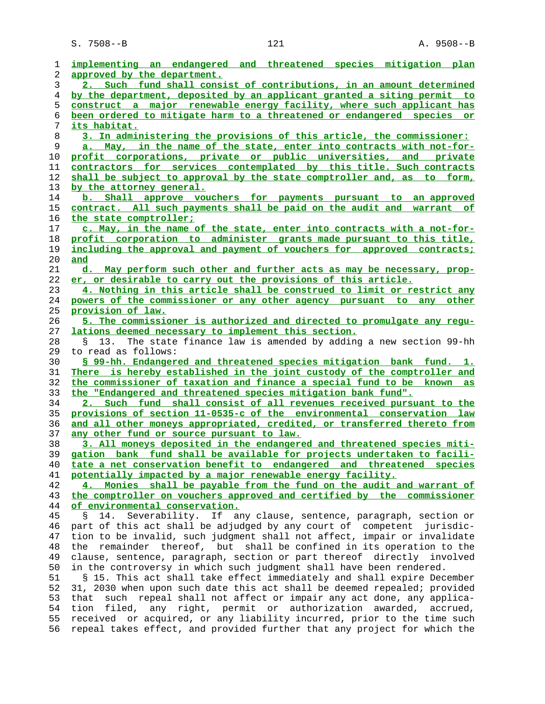S. 7508--B 121 A. 9508--B

| 1              | implementing an endangered and threatened species mitigation plan         |
|----------------|---------------------------------------------------------------------------|
| 2              | approved by the department.                                               |
| 3              | 2. Such fund shall consist of contributions, in an amount determined      |
| $\overline{4}$ | by the department, deposited by an applicant granted a siting permit to   |
| 5              | construct a major renewable energy facility, where such applicant has     |
| 6              | been ordered to mitigate harm to a threatened or endangered species or    |
| 7              | its habitat.                                                              |
| 8              | 3. In administering the provisions of this article, the commissioner:     |
| 9              | a. May, in the name of the state, enter into contracts with not-for-      |
| 10             | profit corporations, private or public universities, and private          |
| 11             | contractors for services contemplated by this title. Such contracts       |
| 12             | shall be subject to approval by the state comptroller and, as to form,    |
| 13             | by the attorney general.                                                  |
| 14             | b. Shall approve vouchers for payments pursuant to an approved            |
| 15             | contract. All such payments shall be paid on the audit and warrant of     |
| 16             | the state comptroller;                                                    |
| 17             | c. May, in the name of the state, enter into contracts with a not-for-    |
| 18             | profit corporation to administer grants made pursuant to this title,      |
| 19             | including the approval and payment of vouchers for approved contracts;    |
| 20             | and                                                                       |
| 21             | d. May perform such other and further acts as may be necessary, prop-     |
| 22             | er, or desirable to carry out the provisions of this article.             |
| 23             | 4. Nothing in this article shall be construed to limit or restrict any    |
| 24             | powers of the commissioner or any other agency pursuant to any other      |
| 25             | provision of law.                                                         |
| 26             | 5. The commissioner is authorized and directed to promulgate any requ-    |
| 27             | lations deemed necessary to implement this section.                       |
| 28             | 13. The state finance law is amended by adding a new section 99-hh<br>Ş.  |
| 29             | to read as follows:                                                       |
| 30             | S 99-hh. Endangered and threatened species mitigation bank fund. 1.       |
| 31             | There is hereby established in the joint custody of the comptroller and   |
| 32             | the commissioner of taxation and finance a special fund to be known as    |
| 33             | the "Endangered and threatened species mitigation bank fund".             |
| 34             | 2. Such fund shall consist of all revenues received pursuant to the       |
| 35             | provisions of section 11-0535-c of the environmental conservation law     |
| 36             | and all other moneys appropriated, credited, or transferred thereto from  |
| 37             | any other fund or source pursuant to law.                                 |
| 38             | 3. All moneys deposited in the endangered and threatened species miti-    |
| 39             | gation bank fund shall be available for projects undertaken to facili-    |
| 40             | tate a net conservation benefit to endangered and threatened species      |
| 41             | potentially impacted by a major renewable energy facility.                |
| 42             | 4. Monies shall be payable from the fund on the audit and warrant of      |
| 43             | the comptroller on vouchers approved and certified by the commissioner    |
| 44             | of environmental conservation.                                            |
| 45             | Severability. If any clause, sentence, paragraph, section or<br>14.<br>S  |
| 46             | part of this act shall be adjudged by any court of competent jurisdic-    |
| 47             | tion to be invalid, such judgment shall not affect, impair or invalidate  |
| 48             | remainder thereof, but shall be confined in its operation to the<br>the   |
| 49             | clause, sentence, paragraph, section or part thereof directly involved    |
| 50             | in the controversy in which such judgment shall have been rendered.       |
| 51             | § 15. This act shall take effect immediately and shall expire December    |
| 52             | 31, 2030 when upon such date this act shall be deemed repealed; provided  |
| 53             | such repeal shall not affect or impair any act done, any applica-<br>that |
| 54             | any right, permit or authorization awarded, accrued,<br>tion<br>filed,    |
| 55             | received or acquired, or any liability incurred, prior to the time such   |
| 56             | repeal takes effect, and provided further that any project for which the  |
|                |                                                                           |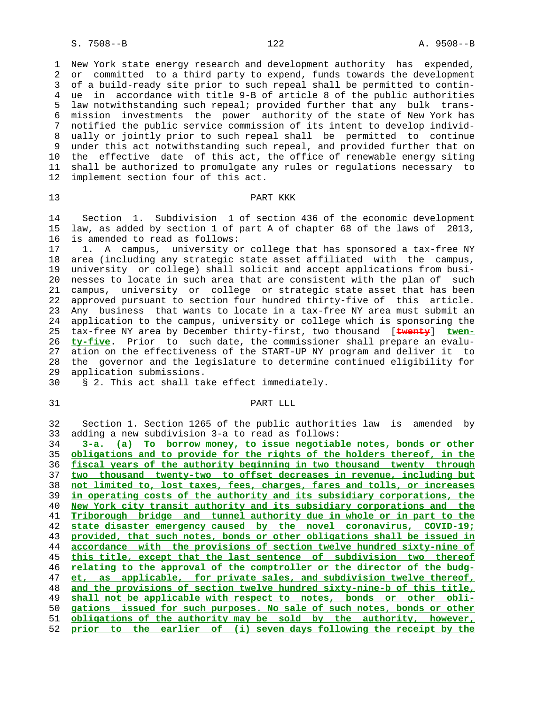1 New York state energy research and development authority has expended, 2 or committed to a third party to expend, funds towards the development 3 of a build-ready site prior to such repeal shall be permitted to contin- 4 ue in accordance with title 9-B of article 8 of the public authorities 5 law notwithstanding such repeal; provided further that any bulk trans- 6 mission investments the power authority of the state of New York has 7 notified the public service commission of its intent to develop individ- 8 ually or jointly prior to such repeal shall be permitted to continue 9 under this act notwithstanding such repeal, and provided further that on 10 the effective date of this act, the office of renewable energy siting 11 shall be authorized to promulgate any rules or regulations necessary to 12 implement section four of this act.

## 13 PART KKK

 14 Section 1. Subdivision 1 of section 436 of the economic development 15 law, as added by section 1 of part A of chapter 68 of the laws of 2013, 16 is amended to read as follows:

 17 1. A campus, university or college that has sponsored a tax-free NY 18 area (including any strategic state asset affiliated with the campus, 19 university or college) shall solicit and accept applications from busi- 20 nesses to locate in such area that are consistent with the plan of such 21 campus, university or college or strategic state asset that has been 22 approved pursuant to section four hundred thirty-five of this article. 23 Any business that wants to locate in a tax-free NY area must submit an 24 application to the campus, university or college which is sponsoring the 25 tax-free NY area by December thirty-first, two thousand [**twenty**] **twen-** 26 **ty-five**. Prior to such date, the commissioner shall prepare an evalu- 27 ation on the effectiveness of the START-UP NY program and deliver it to 28 the governor and the legislature to determine continued eligibility for 29 application submissions.

30 § 2. This act shall take effect immediately.

### 31 PART LLL

 32 Section 1. Section 1265 of the public authorities law is amended by 33 adding a new subdivision 3-a to read as follows:

**3-a. (a) To borrow money, to issue negotiable notes, bonds or other obligations and to provide for the rights of the holders thereof, in the fiscal years of the authority beginning in two thousand twenty through two thousand twenty-two to offset decreases in revenue, including but not limited to, lost taxes, fees, charges, fares and tolls, or increases in operating costs of the authority and its subsidiary corporations, the New York city transit authority and its subsidiary corporations and the Triborough bridge and tunnel authority due in whole or in part to the state disaster emergency caused by the novel coronavirus, COVID-19; provided, that such notes, bonds or other obligations shall be issued in accordance with the provisions of section twelve hundred sixty-nine of this title, except that the last sentence of subdivision two thereof relating to the approval of the comptroller or the director of the budg- et, as applicable, for private sales, and subdivision twelve thereof, and the provisions of section twelve hundred sixty-nine-b of this title, shall not be applicable with respect to notes, bonds or other obli-**<br>50 gations issued for such purposes. No sale of such notes, bonds or other **gations issued for such purposes. No sale of such notes, bonds or other obligations of the authority may be sold by the authority, however, prior to the earlier of (i) seven days following the receipt by the**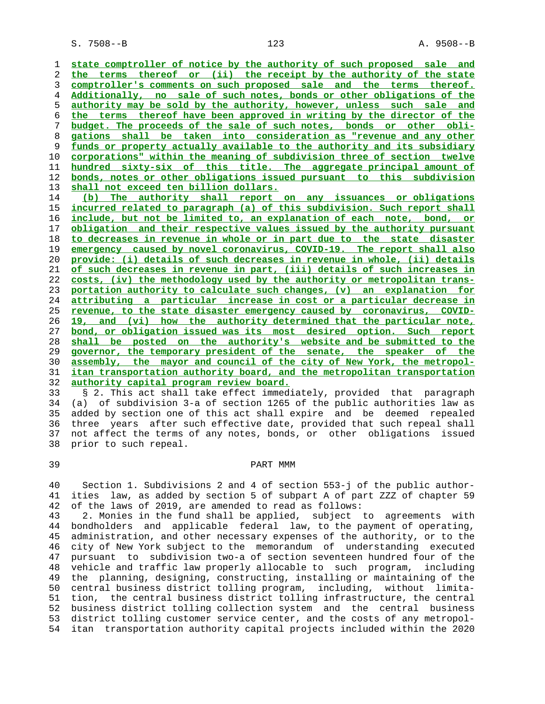**state comptroller of notice by the authority of such proposed sale and the terms thereof or (ii) the receipt by the authority of the state comptroller's comments on such proposed sale and the terms thereof. Additionally, no sale of such notes, bonds or other obligations of the authority may be sold by the authority, however, unless such sale and the terms thereof have been approved in writing by the director of the budget. The proceeds of the sale of such notes, bonds or other obli- gations shall be taken into consideration as "revenue and any other funds or property actually available to the authority and its subsidiary corporations" within the meaning of subdivision three of section twelve hundred sixty-six of this title. The aggregate principal amount of bonds, notes or other obligations issued pursuant to this subdivision shall not exceed ten billion dollars.**

**(b) The authority shall report on any issuances or obligations incurred related to paragraph (a) of this subdivision. Such report shall include, but not be limited to, an explanation of each note, bond, or obligation and their respective values issued by the authority pursuant to decreases in revenue in whole or in part due to the state disaster emergency caused by novel coronavirus, COVID-19. The report shall also provide: (i) details of such decreases in revenue in whole, (ii) details of such decreases in revenue in part, (iii) details of such increases in costs, (iv) the methodology used by the authority or metropolitan trans- portation authority to calculate such changes, (v) an explanation for attributing a particular increase in cost or a particular decrease in revenue, to the state disaster emergency caused by coronavirus, COVID- 19, and (vi) how the authority determined that the particular note, bond, or obligation issued was its most desired option. Such report shall be posted on the authority's website and be submitted to the governor, the temporary president of the senate, the speaker of the assembly, the mayor and council of the city of New York, the metropol- itan transportation authority board, and the metropolitan transportation authority capital program review board.**

 33 § 2. This act shall take effect immediately, provided that paragraph 34 (a) of subdivision 3-a of section 1265 of the public authorities law as 35 added by section one of this act shall expire and be deemed repealed 36 three years after such effective date, provided that such repeal shall 37 not affect the terms of any notes, bonds, or other obligations issued 38 prior to such repeal.

### 39 PART MMM

 40 Section 1. Subdivisions 2 and 4 of section 553-j of the public author- 41 ities law, as added by section 5 of subpart A of part ZZZ of chapter 59 42 of the laws of 2019, are amended to read as follows:

 43 2. Monies in the fund shall be applied, subject to agreements with 44 bondholders and applicable federal law, to the payment of operating, 45 administration, and other necessary expenses of the authority, or to the 46 city of New York subject to the memorandum of understanding executed 47 pursuant to subdivision two-a of section seventeen hundred four of the 48 vehicle and traffic law properly allocable to such program, including 49 the planning, designing, constructing, installing or maintaining of the 50 central business district tolling program, including, without limita- 51 tion, the central business district tolling infrastructure, the central 52 business district tolling collection system and the central business 53 district tolling customer service center, and the costs of any metropol- 54 itan transportation authority capital projects included within the 2020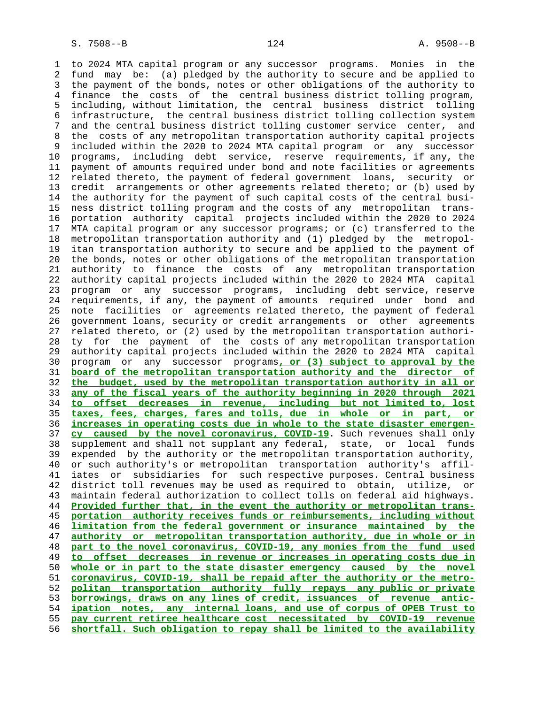1 to 2024 MTA capital program or any successor programs. Monies in the 2 fund may be: (a) pledged by the authority to secure and be applied to 3 the payment of the bonds, notes or other obligations of the authority to 4 finance the costs of the central business district tolling program, 5 including, without limitation, the central business district tolling 6 infrastructure, the central business district tolling collection system 7 and the central business district tolling customer service center, and 8 the costs of any metropolitan transportation authority capital projects included within the 2020 to 2024 MTA capital program or any successor 10 programs, including debt service, reserve requirements, if any, the 11 payment of amounts required under bond and note facilities or agreements 12 related thereto, the payment of federal government loans, security or 13 credit arrangements or other agreements related thereto; or (b) used by 14 the authority for the payment of such capital costs of the central busi- 15 ness district tolling program and the costs of any metropolitan trans- 16 portation authority capital projects included within the 2020 to 2024 17 MTA capital program or any successor programs; or (c) transferred to the 18 metropolitan transportation authority and (1) pledged by the metropol- 19 itan transportation authority to secure and be applied to the payment of 20 the bonds, notes or other obligations of the metropolitan transportation 21 authority to finance the costs of any metropolitan transportation 22 authority capital projects included within the 2020 to 2024 MTA capital 23 program or any successor programs, including debt service, reserve 24 requirements, if any, the payment of amounts required under bond and 25 note facilities or agreements related thereto, the payment of federal 26 government loans, security or credit arrangements or other agreements 27 related thereto, or (2) used by the metropolitan transportation authori- 28 ty for the payment of the costs of any metropolitan transportation 29 authority capital projects included within the 2020 to 2024 MTA capital 30 program or any successor programs**, or (3) subject to approval by the** 31 **board of the metropolitan transportation authority and the director of** 32 **the budget, used by the metropolitan transportation authority in all or** 33 **any of the fiscal years of the authority beginning in 2020 through 2021** 34 **to offset decreases in revenue, including but not limited to, lost** 35 **taxes, fees, charges, fares and tolls, due in whole or in part, or** 36 **increases in operating costs due in whole to the state disaster emergen-** 37 **cy caused by the novel coronavirus, COVID-19**. Such revenues shall only 38 supplement and shall not supplant any federal, state, or local funds 39 expended by the authority or the metropolitan transportation authority, 40 or such authority's or metropolitan transportation authority's affil- 41 iates or subsidiaries for such respective purposes. Central business 42 district toll revenues may be used as required to obtain, utilize, or 43 maintain federal authorization to collect tolls on federal aid highways. 44 **Provided further that, in the event the authority or metropolitan trans-** 45 **portation authority receives funds or reimbursements, including without** 46 **limitation from the federal government or insurance maintained by the** 47 **authority or metropolitan transportation authority, due in whole or in** 48 **part to the novel coronavirus, COVID-19, any monies from the fund used** 49 **to offset decreases in revenue or increases in operating costs due in** 50 **whole or in part to the state disaster emergency caused by the novel** 51 **coronavirus, COVID-19, shall be repaid after the authority or the metro-** 52 **politan transportation authority fully repays any public or private** 53 **borrowings, draws on any lines of credit, issuances of revenue antic-** 54 **ipation notes, any internal loans, and use of corpus of OPEB Trust to** 55 **pay current retiree healthcare cost necessitated by COVID-19 revenue** 56 **shortfall. Such obligation to repay shall be limited to the availability**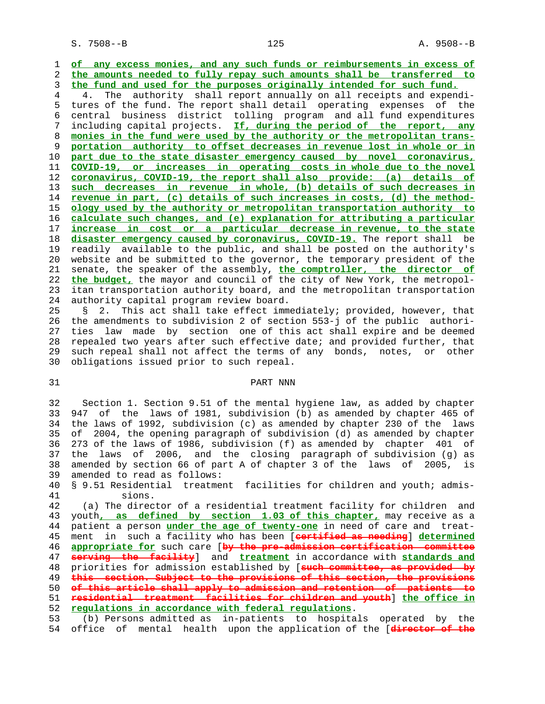**of any excess monies, and any such funds or reimbursements in excess of the amounts needed to fully repay such amounts shall be transferred to the fund and used for the purposes originally intended for such fund.** 4 4. The authority shall report annually on all receipts and expendi- 5 tures of the fund. The report shall detail operating expenses of the 6 central business district tolling program and all fund expenditures 7 including capital projects. **If, during the period of the report, any monies in the fund were used by the authority or the metropolitan trans- portation authority to offset decreases in revenue lost in whole or in part due to the state disaster emergency caused by novel coronavirus, COVID-19, or increases in operating costs in whole due to the novel coronavirus, COVID-19, the report shall also provide: (a) details of such decreases in revenue in whole, (b) details of such decreases in revenue in part, (c) details of such increases in costs, (d) the method- ology used by the authority or metropolitan transportation authority to calculate such changes, and (e) explanation for attributing a particular increase in cost or a particular decrease in revenue, to the state disaster emergency caused by coronavirus, COVID-19.** The report shall be 19 readily available to the public, and shall be posted on the authority's 20 website and be submitted to the governor, the temporary president of the 21 senate, the speaker of the assembly, **the comptroller, the director of the budget,** the mayor and council of the city of New York, the metropol- 23 itan transportation authority board, and the metropolitan transportation 24 authority capital program review board.

 25 § 2. This act shall take effect immediately; provided, however, that 26 the amendments to subdivision 2 of section 553-j of the public authori- 27 ties law made by section one of this act shall expire and be deemed 28 repealed two years after such effective date; and provided further, that 29 such repeal shall not affect the terms of any bonds, notes, or other 30 obligations issued prior to such repeal.

# 31 PART NNN

 32 Section 1. Section 9.51 of the mental hygiene law, as added by chapter 33 947 of the laws of 1981, subdivision (b) as amended by chapter 465 of 34 the laws of 1992, subdivision (c) as amended by chapter 230 of the laws 35 of 2004, the opening paragraph of subdivision (d) as amended by chapter 36 273 of the laws of 1986, subdivision (f) as amended by chapter 401 of 37 the laws of 2006, and the closing paragraph of subdivision (g) as 38 amended by section 66 of part A of chapter 3 of the laws of 2005, is 39 amended to read as follows:

 40 § 9.51 Residential treatment facilities for children and youth; admis- 41 sions.

 42 (a) The director of a residential treatment facility for children and 43 youth**, as defined by section 1.03 of this chapter,** may receive as a 44 patient a person **under the age of twenty-one** in need of care and treat- 45 ment in such a facility who has been [**certified as needing**] **determined** 46 **appropriate for** such care [**by the pre-admission certification committee** 47 **serving the facility**] and **treatment** in accordance with **standards and** 48 priorities for admission established by [**such committee, as provided by** 49 **this section. Subject to the provisions of this section, the provisions** 50 **of this article shall apply to admission and retention of patients to** 51 **residential treatment facilities for children and youth**] **the office in** 52 **regulations in accordance with federal regulations**.

 53 (b) Persons admitted as in-patients to hospitals operated by the 54 office of mental health upon the application of the [**director of the**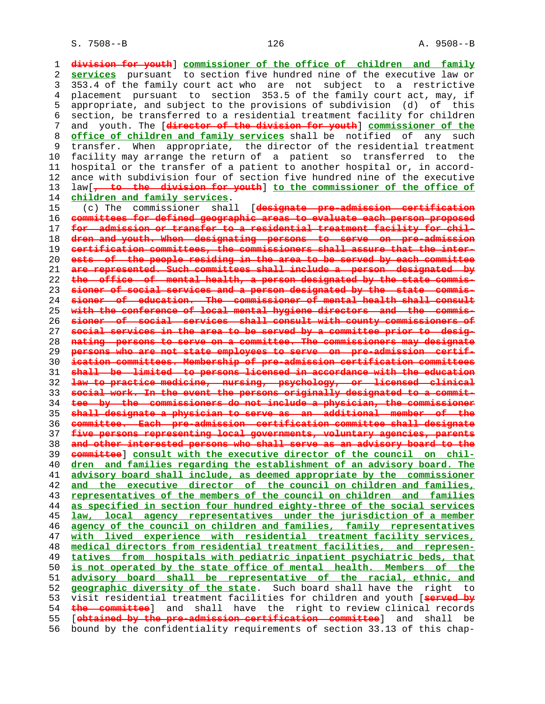**division for youth**] **commissioner of the office of children and family services** pursuant to section five hundred nine of the executive law or 3 353.4 of the family court act who are not subject to a restrictive 4 placement pursuant to section 353.5 of the family court act, may, if 5 appropriate, and subject to the provisions of subdivision (d) of this 6 section, be transferred to a residential treatment facility for children 7 and youth. The [**director of the division for youth**] **commissioner of the office of children and family services** shall be notified of any such 9 transfer. When appropriate, the director of the residential treatment 10 facility may arrange the return of a patient so transferred to the 11 hospital or the transfer of a patient to another hospital or, in accord- 12 ance with subdivision four of section five hundred nine of the executive 13 law[**, to the division for youth**] **to the commissioner of the office of children and family services**. 15 (c) The commissioner shall [**designate pre-admission certification committees for defined geographic areas to evaluate each person proposed for admission or transfer to a residential treatment facility for chil- dren and youth. When designating persons to serve on pre-admission certification committees, the commissioners shall assure that the inter- ests of the people residing in the area to be served by each committee are represented. Such committees shall include a person designated by the office of mental health, a person designated by the state commis- sioner of social services and a person designated by the state commis- sioner of education. The commissioner of mental health shall consult with the conference of local mental hygiene directors and the commis- sioner of social services shall consult with county commissioners of social services in the area to be served by a committee prior to desig- nating persons to serve on a committee. The commissioners may designate persons who are not state employees to serve on pre-admission certif- ication committees. Membership of pre-admission certification committees shall be limited to persons licensed in accordance with the education law to practice medicine, nursing, psychology, or licensed clinical social work. In the event the persons originally designated to a commit- tee by the commissioners do not include a physician, the commissioner shall designate a physician to serve as an additional member of the committee. Each pre-admission certification committee shall designate five persons representing local governments, voluntary agencies, parents and other interested persons who shall serve as an advisory board to the committee**] **consult with the executive director of the council on chil- dren and families regarding the establishment of an advisory board. The advisory board shall include, as deemed appropriate by the commissioner and the executive director of the council on children and families, representatives of the members of the council on children and families as specified in section four hundred eighty-three of the social services law, local agency representatives under the jurisdiction of a member agency of the council on children and families, family representatives with lived experience with residential treatment facility services, medical directors from residential treatment facilities, and represen- tatives from hospitals with pediatric inpatient psychiatric beds, that is not operated by the state office of mental health. Members of the advisory board shall be representative of the racial, ethnic, and geographic diversity of the state**. Such board shall have the right to 53 visit residential treatment facilities for children and youth [**served by the committee**] and shall have the right to review clinical records 55 [**obtained by the pre-admission certification committee**] and shall be 56 bound by the confidentiality requirements of section 33.13 of this chap-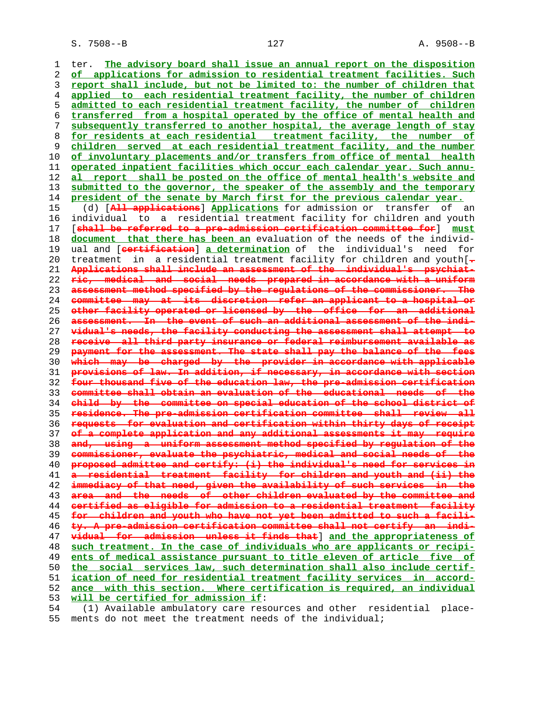1 ter. **The advisory board shall issue an annual report on the disposition of applications for admission to residential treatment facilities. Such report shall include, but not be limited to: the number of children that applied to each residential treatment facility, the number of children admitted to each residential treatment facility, the number of children transferred from a hospital operated by the office of mental health and subsequently transferred to another hospital, the average length of stay for residents at each residential treatment facility, the number of children served at each residential treatment facility, and the number of involuntary placements and/or transfers from office of mental health operated inpatient facilities which occur each calendar year. Such annu- al report shall be posted on the office of mental health's website and submitted to the governor, the speaker of the assembly and the temporary president of the senate by March first for the previous calendar year.** 15 (d) [**All applications**] **Applications** for admission or transfer of an 16 individual to a residential treatment facility for children and youth 17 [**shall be referred to a pre-admission certification committee for**] **must document that there has been an** evaluation of the needs of the individ- 19 ual and [**certification**] **a determination** of the individual's need for 20 treatment in a residential treatment facility for children and youth[**. Applications shall include an assessment of the individual's psychiat- ric, medical and social needs prepared in accordance with a uniform assessment method specified by the regulations of the commissioner. The committee may at its discretion refer an applicant to a hospital or other facility operated or licensed by the office for an additional assessment. In the event of such an additional assessment of the indi- vidual's needs, the facility conducting the assessment shall attempt to receive all third party insurance or federal reimbursement available as payment for the assessment. The state shall pay the balance of the fees which may be charged by the provider in accordance with applicable provisions of law. In addition, if necessary, in accordance with section four thousand five of the education law, the pre-admission certification committee shall obtain an evaluation of the educational needs of the child by the committee on special education of the school district of residence. The pre-admission certification committee shall review all requests for evaluation and certification within thirty days of receipt of a complete application and any additional assessments it may require and, using a uniform assessment method specified by regulation of the commissioner, evaluate the psychiatric, medical and social needs of the proposed admittee and certify: (i) the individual's need for services in a residential treatment facility for children and youth and (ii) the immediacy of that need, given the availability of such services in the area and the needs of other children evaluated by the committee and certified as eligible for admission to a residential treatment facility for children and youth who have not yet been admitted to such a facili- ty. A pre-admission certification committee shall not certify an indi- vidual for admission unless it finds that**] **and the appropriateness of such treatment. In the case of individuals who are applicants or recipi- ents of medical assistance pursuant to title eleven of article five of the social services law, such determination shall also include certif- ication of need for residential treatment facility services in accord- ance with this section. Where certification is required, an individual will be certified for admission if**:

 54 (1) Available ambulatory care resources and other residential place- 55 ments do not meet the treatment needs of the individual;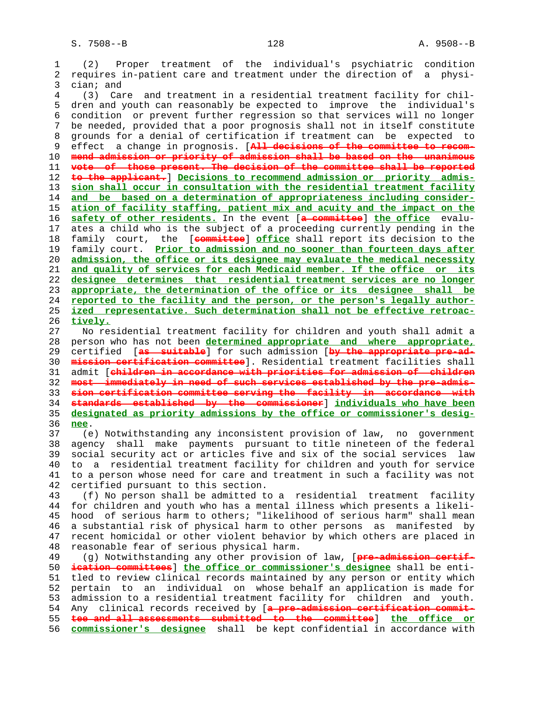1 (2) Proper treatment of the individual's psychiatric condition 2 requires in-patient care and treatment under the direction of a physi- 3 cian; and

 4 (3) Care and treatment in a residential treatment facility for chil- 5 dren and youth can reasonably be expected to improve the individual's 6 condition or prevent further regression so that services will no longer 7 be needed, provided that a poor prognosis shall not in itself constitute 8 grounds for a denial of certification if treatment can be expected to<br>9 effect a change in prognosis. [All decisions of the committee to recom- 9 effect a change in prognosis. [**All decisions of the committee to recom-** 10 **mend admission or priority of admission shall be based on the unanimous** 11 **vote of those present. The decision of the committee shall be reported** 12 **to the applicant.**] **Decisions to recommend admission or priority admis-** 13 **sion shall occur in consultation with the residential treatment facility** 14 **and be based on a determination of appropriateness including consider-** 15 **ation of facility staffing, patient mix and acuity and the impact on the** 16 **safety of other residents.** In the event [**a committee**] **the office** evalu- 17 ates a child who is the subject of a proceeding currently pending in the 18 family court, the [**committee**] **office** shall report its decision to the 19 family court. **Prior to admission and no sooner than fourteen days after** 20 **admission, the office or its designee may evaluate the medical necessity** 21 **and quality of services for each Medicaid member. If the office or its** 22 **designee determines that residential treatment services are no longer** 23 **appropriate, the determination of the office or its designee shall be** 24 **reported to the facility and the person, or the person's legally author-** 25 **ized representative. Such determination shall not be effective retroac-** 26 **tively.**

 27 No residential treatment facility for children and youth shall admit a 28 person who has not been **determined appropriate and where appropriate,** 29 certified [**as suitable**] for such admission [**by the appropriate pre-ad-** 30 **mission certification committee**]. Residential treatment facilities shall 31 admit [**children in accordance with priorities for admission of children** 32 **most immediately in need of such services established by the pre-admis-** 33 **sion certification committee serving the facility in accordance with** 34 **standards established by the commissioner**] **individuals who have been** 35 **designated as priority admissions by the office or commissioner's desig-** 36 **nee**. 37 (e) Notwithstanding any inconsistent provision of law, no government

 38 agency shall make payments pursuant to title nineteen of the federal 39 social security act or articles five and six of the social services law 40 to a residential treatment facility for children and youth for service 41 to a person whose need for care and treatment in such a facility was not 42 certified pursuant to this section.

 43 (f) No person shall be admitted to a residential treatment facility 44 for children and youth who has a mental illness which presents a likeli- 45 hood of serious harm to others; "likelihood of serious harm" shall mean 46 a substantial risk of physical harm to other persons as manifested by 47 recent homicidal or other violent behavior by which others are placed in 48 reasonable fear of serious physical harm.

 49 (g) Notwithstanding any other provision of law, [**pre-admission certif-** 50 **ication committees**] **the office or commissioner's designee** shall be enti- 51 tled to review clinical records maintained by any person or entity which 52 pertain to an individual on whose behalf an application is made for 53 admission to a residential treatment facility for children and youth. 54 Any clinical records received by [**a pre-admission certification commit-** 55 **tee and all assessments submitted to the committee**] **the office or** 56 **commissioner's designee** shall be kept confidential in accordance with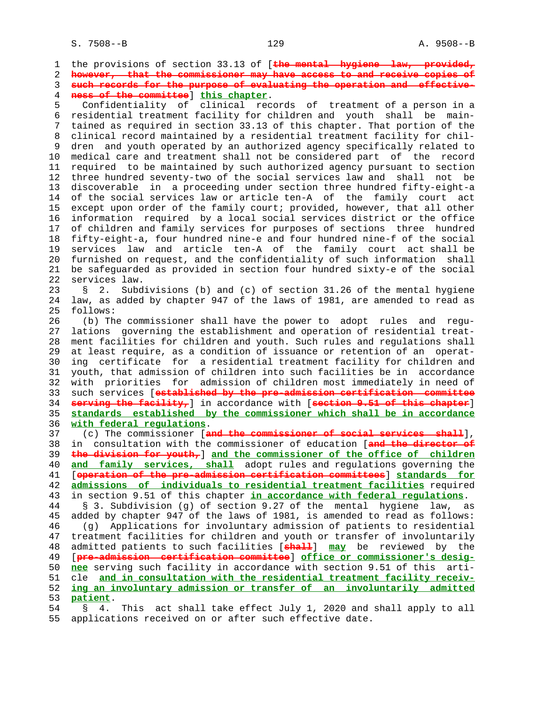1 the provisions of section 33.13 of [**the mental hygiene law, provided,** 2 **however, that the commissioner may have access to and receive copies of** 3 **such records for the purpose of evaluating the operation and effective-** 4 **ness of the committee**] **this chapter**. 5 Confidentiality of clinical records of treatment of a person in a 6 residential treatment facility for children and youth shall be main- 7 tained as required in section 33.13 of this chapter. That portion of the 8 clinical record maintained by a residential treatment facility for chil- 9 dren and youth operated by an authorized agency specifically related to 10 medical care and treatment shall not be considered part of the record 11 required to be maintained by such authorized agency pursuant to section 12 three hundred seventy-two of the social services law and shall not be 13 discoverable in a proceeding under section three hundred fifty-eight-a 14 of the social services law or article ten-A of the family court act 15 except upon order of the family court; provided, however, that all other 16 information required by a local social services district or the office 17 of children and family services for purposes of sections three hundred 18 fifty-eight-a, four hundred nine-e and four hundred nine-f of the social 19 services law and article ten-A of the family court act shall be 20 furnished on request, and the confidentiality of such information shall 21 be safeguarded as provided in section four hundred sixty-e of the social 22 services law. 23 § 2. Subdivisions (b) and (c) of section 31.26 of the mental hygiene 24 law, as added by chapter 947 of the laws of 1981, are amended to read as 25 follows: 26 (b) The commissioner shall have the power to adopt rules and regu- 27 lations governing the establishment and operation of residential treat- 28 ment facilities for children and youth. Such rules and regulations shall 29 at least require, as a condition of issuance or retention of an operat- 30 ing certificate for a residential treatment facility for children and 31 youth, that admission of children into such facilities be in accordance 32 with priorities for admission of children most immediately in need of 33 such services [**established by the pre-admission certification committee** 34 **serving the facility,**] in accordance with [**section 9.51 of this chapter**] 35 **standards established by the commissioner which shall be in accordance** 36 **with federal regulations**. 37 (c) The commissioner [**and the commissioner of social services shall**], 38 in consultation with the commissioner of education [**and the director of** 39 **the division for youth,**] **and the commissioner of the office of children** 40 **and family services, shall** adopt rules and regulations governing the 41 [**operation of the pre-admission certification committees**] **standards for** 42 **admissions of individuals to residential treatment facilities** required 43 in section 9.51 of this chapter **in accordance with federal regulations**. 44 § 3. Subdivision (g) of section 9.27 of the mental hygiene law, as 45 added by chapter 947 of the laws of 1981, is amended to read as follows: 46 (g) Applications for involuntary admission of patients to residential 47 treatment facilities for children and youth or transfer of involuntarily 48 admitted patients to such facilities [**shall**] **may** be reviewed by the 49 [**pre-admission certification committee**] **office or commissioner's desig-** 50 **nee** serving such facility in accordance with section 9.51 of this arti- 51 cle **and in consultation with the residential treatment facility receiv-** 52 **ing an involuntary admission or transfer of an involuntarily admitted** 53 **patient**. 54 § 4. This act shall take effect July 1, 2020 and shall apply to all

55 applications received on or after such effective date.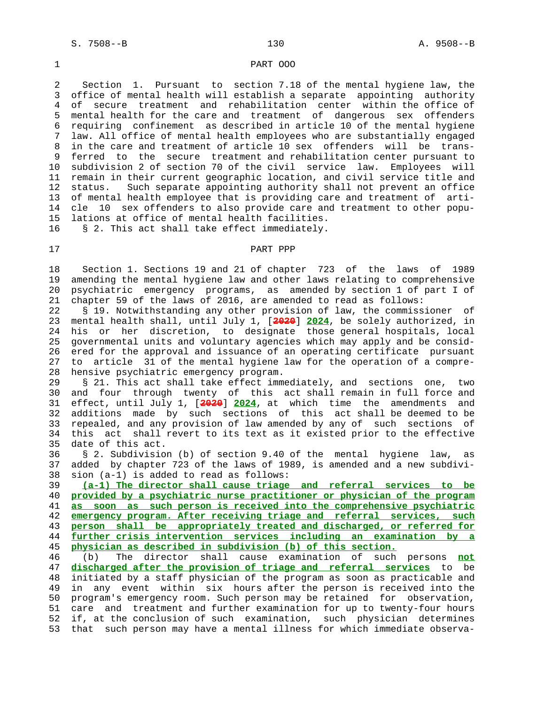# 1 PART OOO

 2 Section 1. Pursuant to section 7.18 of the mental hygiene law, the 3 office of mental health will establish a separate appointing authority 4 of secure treatment and rehabilitation center within the office of 5 mental health for the care and treatment of dangerous sex offenders 6 requiring confinement as described in article 10 of the mental hygiene 7 law. All office of mental health employees who are substantially engaged 8 in the care and treatment of article 10 sex offenders will be trans- 9 ferred to the secure treatment and rehabilitation center pursuant to 10 subdivision 2 of section 70 of the civil service law. Employees will 11 remain in their current geographic location, and civil service title and 12 status. Such separate appointing authority shall not prevent an office 13 of mental health employee that is providing care and treatment of arti- 14 cle 10 sex offenders to also provide care and treatment to other popu- 15 lations at office of mental health facilities.

16 § 2. This act shall take effect immediately.

## 17 PART PPP

 18 Section 1. Sections 19 and 21 of chapter 723 of the laws of 1989 19 amending the mental hygiene law and other laws relating to comprehensive 20 psychiatric emergency programs, as amended by section 1 of part I of 21 chapter 59 of the laws of 2016, are amended to read as follows:

 22 § 19. Notwithstanding any other provision of law, the commissioner of 23 mental health shall, until July 1, [**2020**] **2024**, be solely authorized, in 24 his or her discretion, to designate those general hospitals, local 25 governmental units and voluntary agencies which may apply and be consid- 26 ered for the approval and issuance of an operating certificate pursuant 27 to article 31 of the mental hygiene law for the operation of a compre- 28 hensive psychiatric emergency program.

 29 § 21. This act shall take effect immediately, and sections one, two 30 and four through twenty of this act shall remain in full force and 31 effect, until July 1, [**2020**] **2024**, at which time the amendments and 32 additions made by such sections of this act shall be deemed to be 33 repealed, and any provision of law amended by any of such sections of 34 this act shall revert to its text as it existed prior to the effective 35 date of this act.

 36 § 2. Subdivision (b) of section 9.40 of the mental hygiene law, as 37 added by chapter 723 of the laws of 1989, is amended and a new subdivi- 38 sion (a-1) is added to read as follows:

**(a-1) The director shall cause triage and referral services to be provided by a psychiatric nurse practitioner or physician of the program as soon as such person is received into the comprehensive psychiatric emergency program. After receiving triage and referral services, such person shall be appropriately treated and discharged, or referred for further crisis intervention services including an examination by a physician as described in subdivision (b) of this section.**

 46 (b) The director shall cause examination of such persons **not** 47 **discharged after the provision of triage and referral services** to be 48 initiated by a staff physician of the program as soon as practicable and 49 in any event within six hours after the person is received into the 50 program's emergency room. Such person may be retained for observation, 51 care and treatment and further examination for up to twenty-four hours 52 if, at the conclusion of such examination, such physician determines 53 that such person may have a mental illness for which immediate observa-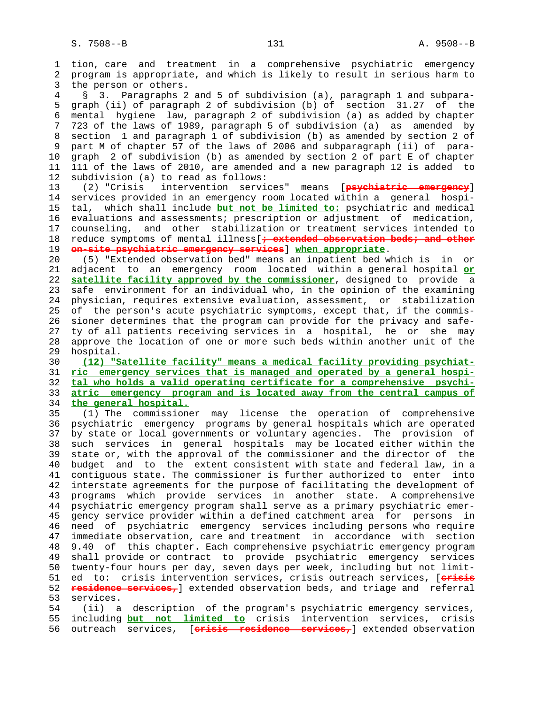1 tion, care and treatment in a comprehensive psychiatric emergency 2 program is appropriate, and which is likely to result in serious harm to 3 the person or others. 4 § 3. Paragraphs 2 and 5 of subdivision (a), paragraph 1 and subpara- 5 graph (ii) of paragraph 2 of subdivision (b) of section 31.27 of the 6 mental hygiene law, paragraph 2 of subdivision (a) as added by chapter 7 723 of the laws of 1989, paragraph 5 of subdivision (a) as amended by 8 section 1 and paragraph 1 of subdivision (b) as amended by section 2 of 9 part M of chapter 57 of the laws of 2006 and subparagraph (ii) of para- 10 graph 2 of subdivision (b) as amended by section 2 of part E of chapter 11 111 of the laws of 2010, are amended and a new paragraph 12 is added to 12 subdivision (a) to read as follows: 13 (2) "Crisis intervention services" means [**psychiatric emergency**] 14 services provided in an emergency room located within a general hospi- 15 tal, which shall include **but not be limited to:** psychiatric and medical 16 evaluations and assessments; prescription or adjustment of medication, 17 counseling, and other stabilization or treatment services intended to 18 reduce symptoms of mental illness[**; extended observation beds; and other** 19 **on-site psychiatric emergency services**] **when appropriate**. 20 (5) "Extended observation bed" means an inpatient bed which is in or 21 adjacent to an emergency room located within a general hospital **or** 22 **satellite facility approved by the commissioner**, designed to provide a 23 safe environment for an individual who, in the opinion of the examining 24 physician, requires extensive evaluation, assessment, or stabilization 25 of the person's acute psychiatric symptoms, except that, if the commis- 26 sioner determines that the program can provide for the privacy and safe- 27 ty of all patients receiving services in a hospital, he or she may 28 approve the location of one or more such beds within another unit of the 29 hospital. 30 **(12) "Satellite facility" means a medical facility providing psychiat-** 31 **ric emergency services that is managed and operated by a general hospi-** 32 **tal who holds a valid operating certificate for a comprehensive psychi-** 33 **atric emergency program and is located away from the central campus of** 34 **the general hospital.** 35 (1) The commissioner may license the operation of comprehensive 36 psychiatric emergency programs by general hospitals which are operated 37 by state or local governments or voluntary agencies. The provision of 38 such services in general hospitals may be located either within the 39 state or, with the approval of the commissioner and the director of the 40 budget and to the extent consistent with state and federal law, in a 41 contiguous state. The commissioner is further authorized to enter into 42 interstate agreements for the purpose of facilitating the development of 43 programs which provide services in another state. A comprehensive 44 psychiatric emergency program shall serve as a primary psychiatric emer- 45 gency service provider within a defined catchment area for persons in 46 need of psychiatric emergency services including persons who require 47 immediate observation, care and treatment in accordance with section 48 9.40 of this chapter. Each comprehensive psychiatric emergency program 49 shall provide or contract to provide psychiatric emergency services 50 twenty-four hours per day, seven days per week, including but not limit- 51 ed to: crisis intervention services, crisis outreach services, [**crisis** 52 **residence services,**] extended observation beds, and triage and referral 53 services. 54 (ii) a description of the program's psychiatric emergency services, 55 including **but not limited to** crisis intervention services, crisis 56 outreach services, [**crisis residence services,**] extended observation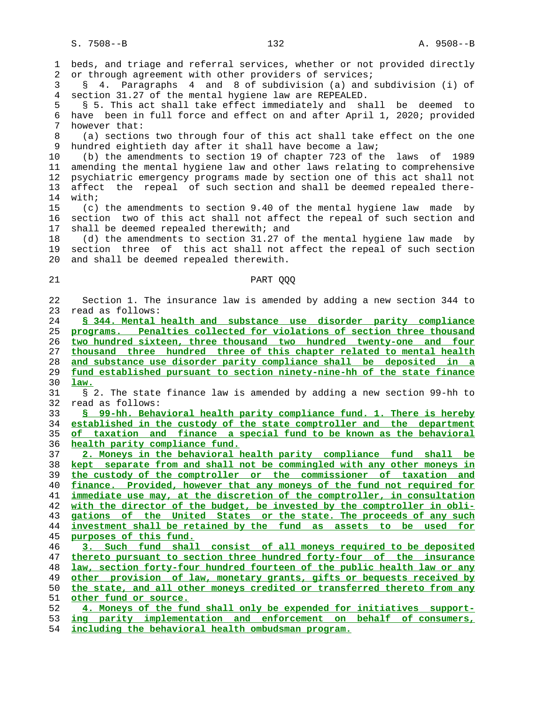1 beds, and triage and referral services, whether or not provided directly 2 or through agreement with other providers of services; 3 § 4. Paragraphs 4 and 8 of subdivision (a) and subdivision (i) of 4 section 31.27 of the mental hygiene law are REPEALED. 5 § 5. This act shall take effect immediately and shall be deemed to 6 have been in full force and effect on and after April 1, 2020; provided 7 however that: 8 (a) sections two through four of this act shall take effect on the one<br>9 hundred eightieth day after it shall have become a law; hundred eightieth day after it shall have become a law; 10 (b) the amendments to section 19 of chapter 723 of the laws of 1989 11 amending the mental hygiene law and other laws relating to comprehensive 12 psychiatric emergency programs made by section one of this act shall not 13 affect the repeal of such section and shall be deemed repealed there- 14 with; 15 (c) the amendments to section 9.40 of the mental hygiene law made by 16 section two of this act shall not affect the repeal of such section and 17 shall be deemed repealed therewith; and 18 (d) the amendments to section 31.27 of the mental hygiene law made by 19 section three of this act shall not affect the repeal of such section 20 and shall be deemed repealed therewith. 21 PART QQQ 22 Section 1. The insurance law is amended by adding a new section 344 to 23 read as follows: 24 **§ 344. Mental health and substance use disorder parity compliance** 25 **programs. Penalties collected for violations of section three thousand** 26 **two hundred sixteen, three thousand two hundred twenty-one and four** 27 **thousand three hundred three of this chapter related to mental health** 28 **and substance use disorder parity compliance shall be deposited in a** 29 **fund established pursuant to section ninety-nine-hh of the state finance** 30 **law.** 31 § 2. The state finance law is amended by adding a new section 99-hh to 32 read as follows: 33 **§ 99-hh. Behavioral health parity compliance fund. 1. There is hereby** 34 **established in the custody of the state comptroller and the department** 35 **of taxation and finance a special fund to be known as the behavioral** 36 **health parity compliance fund.** 37 **2. Moneys in the behavioral health parity compliance fund shall be** 38 **kept separate from and shall not be commingled with any other moneys in** 39 **the custody of the comptroller or the commissioner of taxation and** 40 **finance. Provided, however that any moneys of the fund not required for** 41 **immediate use may, at the discretion of the comptroller, in consultation** 42 **with the director of the budget, be invested by the comptroller in obli-** 43 **gations of the United States or the state. The proceeds of any such** 44 **investment shall be retained by the fund as assets to be used for** 45 **purposes of this fund.** 46 **3. Such fund shall consist of all moneys required to be deposited** 47 **thereto pursuant to section three hundred forty-four of the insurance** 48 **law, section forty-four hundred fourteen of the public health law or any** 49 **other provision of law, monetary grants, gifts or bequests received by** 50 **the state, and all other moneys credited or transferred thereto from any** 51 **other fund or source.** 52 **4. Moneys of the fund shall only be expended for initiatives support-** 53 **ing parity implementation and enforcement on behalf of consumers,**

54 **including the behavioral health ombudsman program.**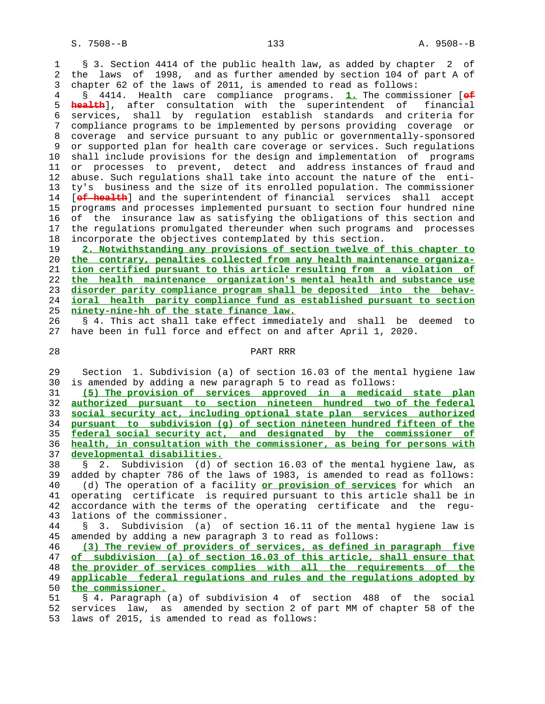1 § 3. Section 4414 of the public health law, as added by chapter 2 of 2 the laws of 1998, and as further amended by section 104 of part A of 3 chapter 62 of the laws of 2011, is amended to read as follows:

 4 § 4414. Health care compliance programs. **1.** The commissioner [**of** 5 **health**], after consultation with the superintendent of financial 6 services, shall by regulation establish standards and criteria for 7 compliance programs to be implemented by persons providing coverage or 8 coverage and service pursuant to any public or governmentally-sponsored 9 or supported plan for health care coverage or services. Such regulations 10 shall include provisions for the design and implementation of programs 11 or processes to prevent, detect and address instances of fraud and 12 abuse. Such regulations shall take into account the nature of the enti- 13 ty's business and the size of its enrolled population. The commissioner 14 [**of health**] and the superintendent of financial services shall accept 15 programs and processes implemented pursuant to section four hundred nine 16 of the insurance law as satisfying the obligations of this section and 17 the regulations promulgated thereunder when such programs and processes 18 incorporate the objectives contemplated by this section.

**2. Notwithstanding any provisions of section twelve of this chapter to the contrary, penalties collected from any health maintenance organiza- tion certified pursuant to this article resulting from a violation of the health maintenance organization's mental health and substance use disorder parity compliance program shall be deposited into the behav- ioral health parity compliance fund as established pursuant to section ninety-nine-hh of the state finance law.**

 26 § 4. This act shall take effect immediately and shall be deemed to 27 have been in full force and effect on and after April 1, 2020.

### 28 PART RRR

 29 Section 1. Subdivision (a) of section 16.03 of the mental hygiene law 30 is amended by adding a new paragraph 5 to read as follows:

**(5) The provision of services approved in a medicaid state plan authorized pursuant to section nineteen hundred two of the federal social security act, including optional state plan services authorized pursuant to subdivision (g) of section nineteen hundred fifteen of the federal social security act, and designated by the commissioner of health, in consultation with the commissioner, as being for persons with developmental disabilities.**

 38 § 2. Subdivision (d) of section 16.03 of the mental hygiene law, as 39 added by chapter 786 of the laws of 1983, is amended to read as follows: 40 (d) The operation of a facility **or provision of services** for which an 41 operating certificate is required pursuant to this article shall be in 42 accordance with the terms of the operating certificate and the regu- 43 lations of the commissioner.

 44 § 3. Subdivision (a) of section 16.11 of the mental hygiene law is 45 amended by adding a new paragraph 3 to read as follows:

**(3) The review of providers of services, as defined in paragraph five of subdivision (a) of section 16.03 of this article, shall ensure that the provider of services complies with all the requirements of the applicable federal regulations and rules and the regulations adopted by the commissioner.**

 51 § 4. Paragraph (a) of subdivision 4 of section 488 of the social 52 services law, as amended by section 2 of part MM of chapter 58 of the 53 laws of 2015, is amended to read as follows: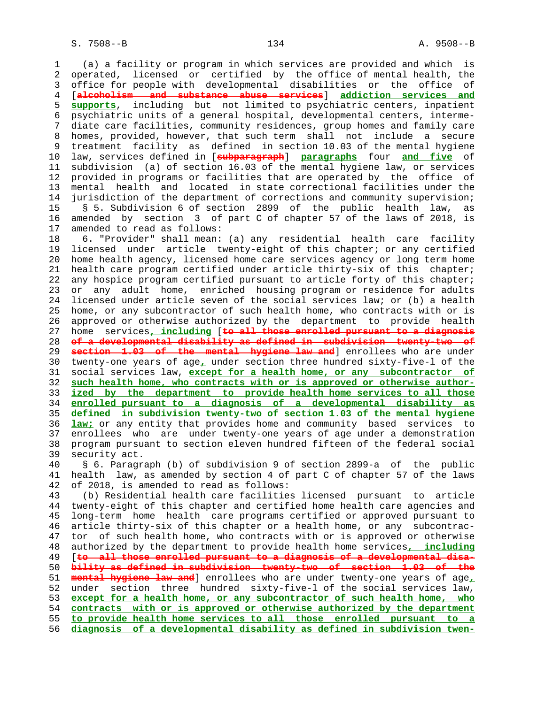1 (a) a facility or program in which services are provided and which is 2 operated, licensed or certified by the office of mental health, the 3 office for people with developmental disabilities or the office of 4 [**alcoholism and substance abuse services**] **addiction services and** 5 **supports**, including but not limited to psychiatric centers, inpatient 6 psychiatric units of a general hospital, developmental centers, interme- 7 diate care facilities, community residences, group homes and family care 8 homes, provided, however, that such term shall not include a secure 9 treatment facility as defined in section 10.03 of the mental hygiene 10 law, services defined in [**subparagraph**] **paragraphs** four **and five** of 11 subdivision (a) of section 16.03 of the mental hygiene law, or services 12 provided in programs or facilities that are operated by the office of 13 mental health and located in state correctional facilities under the 14 jurisdiction of the department of corrections and community supervision; 15 § 5. Subdivision 6 of section 2899 of the public health law, as 16 amended by section 3 of part C of chapter 57 of the laws of 2018, is 17 amended to read as follows: 18 6. "Provider" shall mean: (a) any residential health care facility 19 licensed under article twenty-eight of this chapter; or any certified 20 home health agency, licensed home care services agency or long term home 21 health care program certified under article thirty-six of this chapter; 22 any hospice program certified pursuant to article forty of this chapter; 23 or any adult home, enriched housing program or residence for adults 24 licensed under article seven of the social services law; or (b) a health 25 home, or any subcontractor of such health home, who contracts with or is 26 approved or otherwise authorized by the department to provide health 27 home services**, including** [**to all those enrolled pursuant to a diagnosis** 28 **of a developmental disability as defined in subdivision twenty-two of** 29 **section 1.03 of the mental hygiene law and**] enrollees who are under 30 twenty-one years of age**,** under section three hundred sixty-five-l of the 31 social services law, **except for a health home, or any subcontractor of** 32 **such health home, who contracts with or is approved or otherwise author-** 33 **ized by the department to provide health home services to all those** 34 **enrolled pursuant to a diagnosis of a developmental disability as** 35 **defined in subdivision twenty-two of section 1.03 of the mental hygiene** 36 **law;** or any entity that provides home and community based services to 37 enrollees who are under twenty-one years of age under a demonstration 38 program pursuant to section eleven hundred fifteen of the federal social 39 security act. 40 § 6. Paragraph (b) of subdivision 9 of section 2899-a of the public 41 health law, as amended by section 4 of part C of chapter 57 of the laws 42 of 2018, is amended to read as follows: 43 (b) Residential health care facilities licensed pursuant to article 44 twenty-eight of this chapter and certified home health care agencies and 45 long-term home health care programs certified or approved pursuant to 46 article thirty-six of this chapter or a health home, or any subcontrac- 47 tor of such health home, who contracts with or is approved or otherwise 48 authorized by the department to provide health home services**, including** 49 [**to all those enrolled pursuant to a diagnosis of a developmental disa-** 50 **bility as defined in subdivision twenty-two of section 1.03 of the** 51 **mental hygiene law and**] enrollees who are under twenty-one years of age**,** 52 under section three hundred sixty-five-l of the social services law, 53 **except for a health home, or any subcontractor of such health home, who** 54 **contracts with or is approved or otherwise authorized by the department** 55 **to provide health home services to all those enrolled pursuant to a** 56 **diagnosis of a developmental disability as defined in subdivision twen-**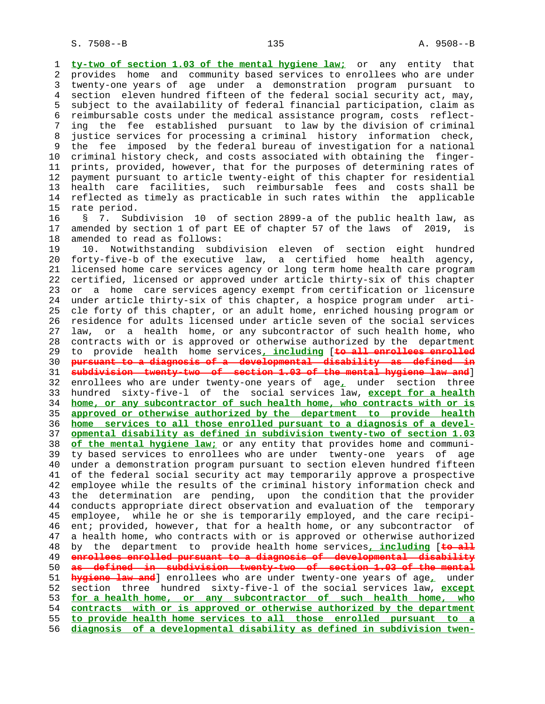1 **ty-two of section 1.03 of the mental hygiene law;** or any entity that 2 provides home and community based services to enrollees who are under 3 twenty-one years of age under a demonstration program pursuant to 4 section eleven hundred fifteen of the federal social security act, may, 5 subject to the availability of federal financial participation, claim as 6 reimbursable costs under the medical assistance program, costs reflect- 7 ing the fee established pursuant to law by the division of criminal 8 justice services for processing a criminal history information check, 9 the fee imposed by the federal bureau of investigation for a national 10 criminal history check, and costs associated with obtaining the finger- 11 prints, provided, however, that for the purposes of determining rates of 12 payment pursuant to article twenty-eight of this chapter for residential 13 health care facilities, such reimbursable fees and costs shall be 14 reflected as timely as practicable in such rates within the applicable 15 rate period.

 16 § 7. Subdivision 10 of section 2899-a of the public health law, as 17 amended by section 1 of part EE of chapter 57 of the laws of 2019, is 18 amended to read as follows:

 19 10. Notwithstanding subdivision eleven of section eight hundred 20 forty-five-b of the executive law, a certified home health agency, 21 licensed home care services agency or long term home health care program 22 certified, licensed or approved under article thirty-six of this chapter 23 or a home care services agency exempt from certification or licensure 24 under article thirty-six of this chapter, a hospice program under arti- 25 cle forty of this chapter, or an adult home, enriched housing program or 26 residence for adults licensed under article seven of the social services 27 law, or a health home, or any subcontractor of such health home, who 28 contracts with or is approved or otherwise authorized by the department 29 to provide health home services**, including** [**to all enrollees enrolled** 30 **pursuant to a diagnosis of a developmental disability as defined in** 31 **subdivision twenty-two of section 1.03 of the mental hygiene law and**] 32 enrollees who are under twenty-one years of age**,** under section three 33 hundred sixty-five-l of the social services law, **except for a health** 34 **home, or any subcontractor of such health home, who contracts with or is** 35 **approved or otherwise authorized by the department to provide health** 36 **home services to all those enrolled pursuant to a diagnosis of a devel-** 37 **opmental disability as defined in subdivision twenty-two of section 1.03** 38 **of the mental hygiene law;** or any entity that provides home and communi- 39 ty based services to enrollees who are under twenty-one years of age 40 under a demonstration program pursuant to section eleven hundred fifteen 41 of the federal social security act may temporarily approve a prospective 42 employee while the results of the criminal history information check and 43 the determination are pending, upon the condition that the provider 44 conducts appropriate direct observation and evaluation of the temporary 45 employee, while he or she is temporarily employed, and the care recipi- 46 ent; provided, however, that for a health home, or any subcontractor of 47 a health home, who contracts with or is approved or otherwise authorized 48 by the department to provide health home services**, including** [**to all** 49 **enrollees enrolled pursuant to a diagnosis of developmental disability** 50 **as defined in subdivision twenty-two of section 1.03 of the mental** 51 **hygiene law and**] enrollees who are under twenty-one years of age**,** under 52 section three hundred sixty-five-l of the social services law, **except** 53 **for a health home, or any subcontractor of such health home, who** 54 **contracts with or is approved or otherwise authorized by the department** 55 **to provide health home services to all those enrolled pursuant to a** 56 **diagnosis of a developmental disability as defined in subdivision twen-**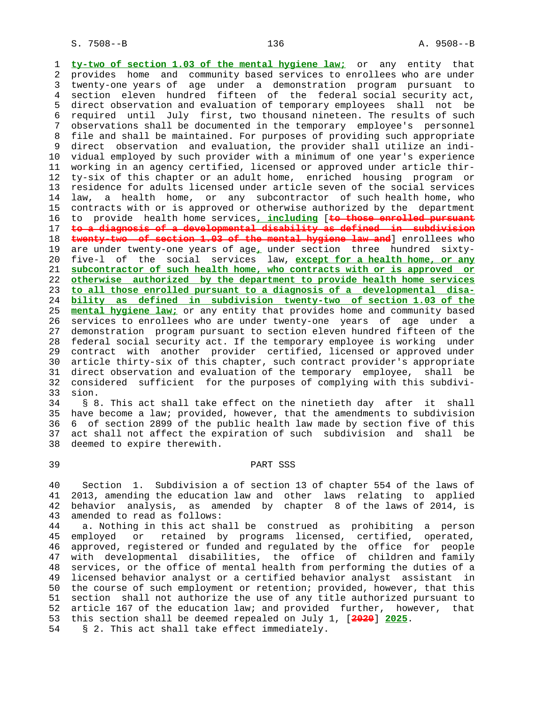1 **ty-two of section 1.03 of the mental hygiene law;** or any entity that 2 provides home and community based services to enrollees who are under 3 twenty-one years of age under a demonstration program pursuant to 4 section eleven hundred fifteen of the federal social security act, 5 direct observation and evaluation of temporary employees shall not be 6 required until July first, two thousand nineteen. The results of such 7 observations shall be documented in the temporary employee's personnel 8 file and shall be maintained. For purposes of providing such appropriate<br>9 direct observation and evaluation, the provider shall utilize an indidirect observation and evaluation, the provider shall utilize an indi- 10 vidual employed by such provider with a minimum of one year's experience 11 working in an agency certified, licensed or approved under article thir- 12 ty-six of this chapter or an adult home, enriched housing program or 13 residence for adults licensed under article seven of the social services 14 law, a health home, or any subcontractor of such health home, who 15 contracts with or is approved or otherwise authorized by the department 16 to provide health home services**, including** [**to those enrolled pursuant** 17 **to a diagnosis of a developmental disability as defined in subdivision** 18 **twenty-two of section 1.03 of the mental hygiene law and**] enrollees who 19 are under twenty-one years of age**,** under section three hundred sixty- 20 five-l of the social services law, **except for a health home, or any** 21 **subcontractor of such health home, who contracts with or is approved or** 22 **otherwise authorized by the department to provide health home services** 23 **to all those enrolled pursuant to a diagnosis of a developmental disa-** 24 **bility as defined in subdivision twenty-two of section 1.03 of the** 25 **mental hygiene law;** or any entity that provides home and community based 26 services to enrollees who are under twenty-one years of age under a 27 demonstration program pursuant to section eleven hundred fifteen of the 28 federal social security act. If the temporary employee is working under 29 contract with another provider certified, licensed or approved under 30 article thirty-six of this chapter, such contract provider's appropriate 31 direct observation and evaluation of the temporary employee, shall be 32 considered sufficient for the purposes of complying with this subdivi- 33 sion.

 34 § 8. This act shall take effect on the ninetieth day after it shall 35 have become a law; provided, however, that the amendments to subdivision 36 6 of section 2899 of the public health law made by section five of this 37 act shall not affect the expiration of such subdivision and shall be 38 deemed to expire therewith.

### 39 PART SSS

 40 Section 1. Subdivision a of section 13 of chapter 554 of the laws of 41 2013, amending the education law and other laws relating to applied 42 behavior analysis, as amended by chapter 8 of the laws of 2014, is 43 amended to read as follows:

 44 a. Nothing in this act shall be construed as prohibiting a person 45 employed or retained by programs licensed, certified, operated, 46 approved, registered or funded and regulated by the office for people 47 with developmental disabilities, the office of children and family 48 services, or the office of mental health from performing the duties of a 49 licensed behavior analyst or a certified behavior analyst assistant in 50 the course of such employment or retention; provided, however, that this 51 section shall not authorize the use of any title authorized pursuant to 52 article 167 of the education law; and provided further, however, that 53 this section shall be deemed repealed on July 1, [**2020**] **2025**. 54 § 2. This act shall take effect immediately.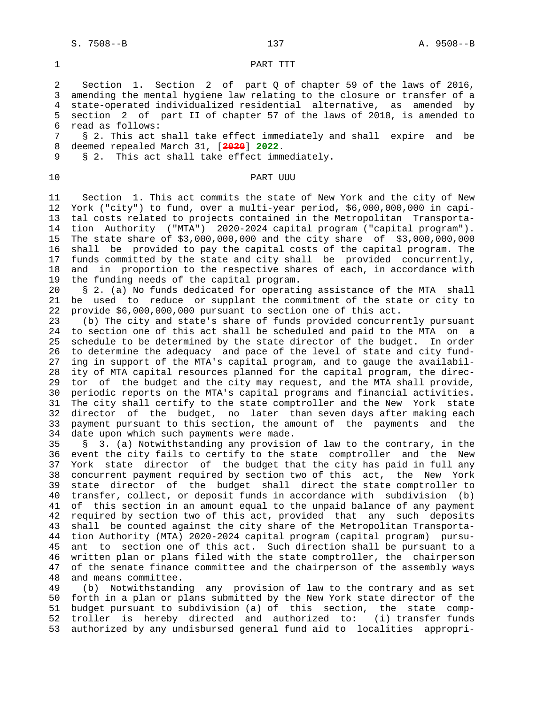1 PART TTT

 2 Section 1. Section 2 of part Q of chapter 59 of the laws of 2016, 3 amending the mental hygiene law relating to the closure or transfer of a 4 state-operated individualized residential alternative, as amended by 5 section 2 of part II of chapter 57 of the laws of 2018, is amended to 6 read as follows:

 7 § 2. This act shall take effect immediately and shall expire and be 8 deemed repealed March 31, [**2020**] **2022**.

9 § 2. This act shall take effect immediately.

10 PART UUU

 11 Section 1. This act commits the state of New York and the city of New 12 York ("city") to fund, over a multi-year period, \$6,000,000,000 in capi- 13 tal costs related to projects contained in the Metropolitan Transporta- 14 tion Authority ("MTA") 2020-2024 capital program ("capital program"). 15 The state share of \$3,000,000,000 and the city share of \$3,000,000,000 16 shall be provided to pay the capital costs of the capital program. The 17 funds committed by the state and city shall be provided concurrently, 18 and in proportion to the respective shares of each, in accordance with 19 the funding needs of the capital program.

 20 § 2. (a) No funds dedicated for operating assistance of the MTA shall 21 be used to reduce or supplant the commitment of the state or city to 22 provide \$6,000,000,000 pursuant to section one of this act.

 23 (b) The city and state's share of funds provided concurrently pursuant 24 to section one of this act shall be scheduled and paid to the MTA on a 25 schedule to be determined by the state director of the budget. In order 26 to determine the adequacy and pace of the level of state and city fund- 27 ing in support of the MTA's capital program, and to gauge the availabil- 28 ity of MTA capital resources planned for the capital program, the direc- 29 tor of the budget and the city may request, and the MTA shall provide, 30 periodic reports on the MTA's capital programs and financial activities. 31 The city shall certify to the state comptroller and the New York state 32 director of the budget, no later than seven days after making each 33 payment pursuant to this section, the amount of the payments and the 34 date upon which such payments were made.

 35 § 3. (a) Notwithstanding any provision of law to the contrary, in the 36 event the city fails to certify to the state comptroller and the New 37 York state director of the budget that the city has paid in full any 38 concurrent payment required by section two of this act, the New York 39 state director of the budget shall direct the state comptroller to 40 transfer, collect, or deposit funds in accordance with subdivision (b) 41 of this section in an amount equal to the unpaid balance of any payment 42 required by section two of this act, provided that any such deposits 43 shall be counted against the city share of the Metropolitan Transporta- 44 tion Authority (MTA) 2020-2024 capital program (capital program) pursu- 45 ant to section one of this act. Such direction shall be pursuant to a 46 written plan or plans filed with the state comptroller, the chairperson 47 of the senate finance committee and the chairperson of the assembly ways 48 and means committee.

 49 (b) Notwithstanding any provision of law to the contrary and as set 50 forth in a plan or plans submitted by the New York state director of the 51 budget pursuant to subdivision (a) of this section, the state comp- 52 troller is hereby directed and authorized to: (i) transfer funds 53 authorized by any undisbursed general fund aid to localities appropri-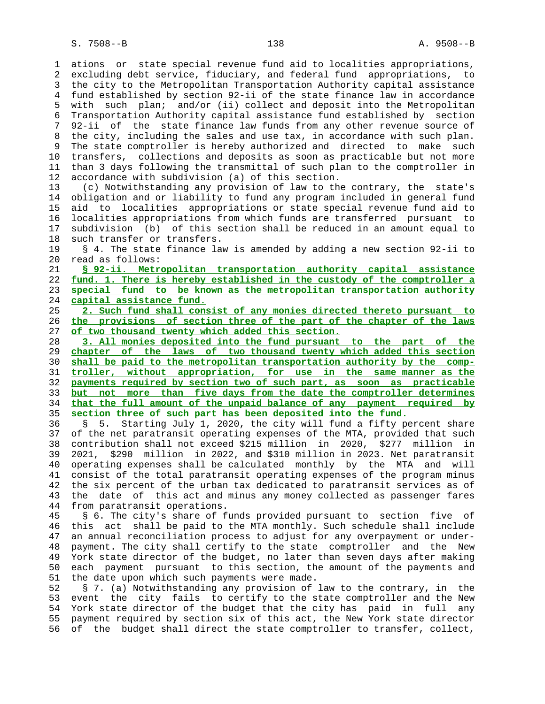1 ations or state special revenue fund aid to localities appropriations, 2 excluding debt service, fiduciary, and federal fund appropriations, to 3 the city to the Metropolitan Transportation Authority capital assistance 4 fund established by section 92-ii of the state finance law in accordance 5 with such plan; and/or (ii) collect and deposit into the Metropolitan 6 Transportation Authority capital assistance fund established by section 7 92-ii of the state finance law funds from any other revenue source of 8 the city, including the sales and use tax, in accordance with such plan. 9 The state comptroller is hereby authorized and directed to make such 10 transfers, collections and deposits as soon as practicable but not more 11 than 3 days following the transmittal of such plan to the comptroller in 12 accordance with subdivision (a) of this section. 13 (c) Notwithstanding any provision of law to the contrary, the state's 14 obligation and or liability to fund any program included in general fund 15 aid to localities appropriations or state special revenue fund aid to 16 localities appropriations from which funds are transferred pursuant to 17 subdivision (b) of this section shall be reduced in an amount equal to 18 such transfer or transfers. 19 § 4. The state finance law is amended by adding a new section 92-ii to 20 read as follows: 21 **§ 92-ii. Metropolitan transportation authority capital assistance** 22 **fund. 1. There is hereby established in the custody of the comptroller a** 23 **special fund to be known as the metropolitan transportation authority** 24 **capital assistance fund.** 25 **2. Such fund shall consist of any monies directed thereto pursuant to** 26 **the provisions of section three of the part of the chapter of the laws** 27 **of two thousand twenty which added this section.** 28 **3. All monies deposited into the fund pursuant to the part of the** 29 **chapter of the laws of two thousand twenty which added this section** 30 **shall be paid to the metropolitan transportation authority by the comp-** 31 **troller, without appropriation, for use in the same manner as the** 32 **payments required by section two of such part, as soon as practicable** 33 **but not more than five days from the date the comptroller determines** 34 **that the full amount of the unpaid balance of any payment required by** 35 **section three of such part has been deposited into the fund.** 36 § 5. Starting July 1, 2020, the city will fund a fifty percent share 37 of the net paratransit operating expenses of the MTA, provided that such 38 contribution shall not exceed \$215 million in 2020, \$277 million in 39 2021, \$290 million in 2022, and \$310 million in 2023. Net paratransit 40 operating expenses shall be calculated monthly by the MTA and will 41 consist of the total paratransit operating expenses of the program minus 42 the six percent of the urban tax dedicated to paratransit services as of 43 the date of this act and minus any money collected as passenger fares 44 from paratransit operations. 45 § 6. The city's share of funds provided pursuant to section five of 46 this act shall be paid to the MTA monthly. Such schedule shall include 47 an annual reconciliation process to adjust for any overpayment or under- 48 payment. The city shall certify to the state comptroller and the New 49 York state director of the budget, no later than seven days after making 50 each payment pursuant to this section, the amount of the payments and

51 the date upon which such payments were made.

 52 § 7. (a) Notwithstanding any provision of law to the contrary, in the 53 event the city fails to certify to the state comptroller and the New 54 York state director of the budget that the city has paid in full any 55 payment required by section six of this act, the New York state director 56 of the budget shall direct the state comptroller to transfer, collect,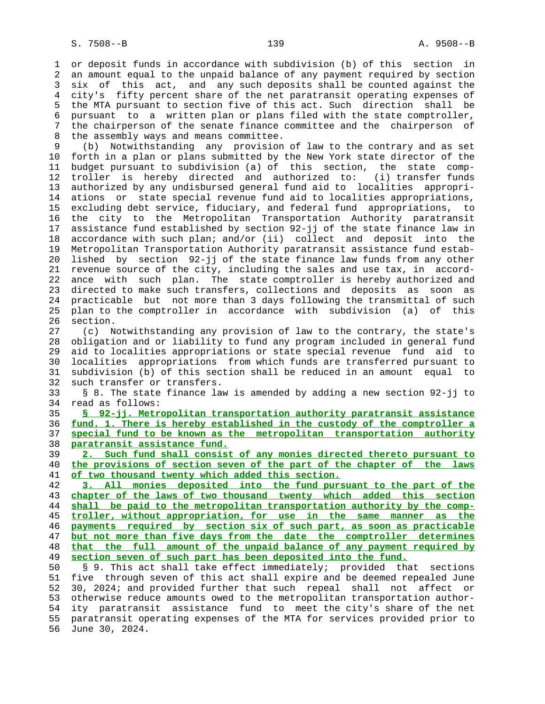1 or deposit funds in accordance with subdivision (b) of this section in 2 an amount equal to the unpaid balance of any payment required by section 3 six of this act, and any such deposits shall be counted against the 4 city's fifty percent share of the net paratransit operating expenses of 5 the MTA pursuant to section five of this act. Such direction shall be 6 pursuant to a written plan or plans filed with the state comptroller, 7 the chairperson of the senate finance committee and the chairperson of 8 the assembly ways and means committee.<br>9 (b) Notwithstanding any provision

 9 (b) Notwithstanding any provision of law to the contrary and as set 10 forth in a plan or plans submitted by the New York state director of the 11 budget pursuant to subdivision (a) of this section, the state comp- 12 troller is hereby directed and authorized to: (i) transfer funds 13 authorized by any undisbursed general fund aid to localities appropri- 14 ations or state special revenue fund aid to localities appropriations, 15 excluding debt service, fiduciary, and federal fund appropriations, to 16 the city to the Metropolitan Transportation Authority paratransit 17 assistance fund established by section 92-jj of the state finance law in 18 accordance with such plan; and/or (ii) collect and deposit into the 19 Metropolitan Transportation Authority paratransit assistance fund estab- 20 lished by section 92-jj of the state finance law funds from any other 21 revenue source of the city, including the sales and use tax, in accord- 22 ance with such plan. The state comptroller is hereby authorized and 23 directed to make such transfers, collections and deposits as soon as 24 practicable but not more than 3 days following the transmittal of such 25 plan to the comptroller in accordance with subdivision (a) of this 26 section.

 27 (c) Notwithstanding any provision of law to the contrary, the state's 28 obligation and or liability to fund any program included in general fund 29 aid to localities appropriations or state special revenue fund aid to 30 localities appropriations from which funds are transferred pursuant to 31 subdivision (b) of this section shall be reduced in an amount equal to 32 such transfer or transfers.

 33 § 8. The state finance law is amended by adding a new section 92-jj to 34 read as follows:

**§ 92-jj. Metropolitan transportation authority paratransit assistance fund. 1. There is hereby established in the custody of the comptroller a special fund to be known as the metropolitan transportation authority paratransit assistance fund.**

 39 **2. Such fund shall consist of any monies directed thereto pursuant to** 40 **the provisions of section seven of the part of the chapter of the laws** 41 **of two thousand twenty which added this section.**

**3. All monies deposited into the fund pursuant to the part of the chapter of the laws of two thousand twenty which added this section shall be paid to the metropolitan transportation authority by the comp- troller, without appropriation, for use in the same manner as the payments required by section six of such part, as soon as practicable but not more than five days from the date the comptroller determines that the full amount of the unpaid balance of any payment required by section seven of such part has been deposited into the fund.**

 50 § 9. This act shall take effect immediately; provided that sections 51 five through seven of this act shall expire and be deemed repealed June 52 30, 2024; and provided further that such repeal shall not affect or 53 otherwise reduce amounts owed to the metropolitan transportation author- 54 ity paratransit assistance fund to meet the city's share of the net 55 paratransit operating expenses of the MTA for services provided prior to 56 June 30, 2024.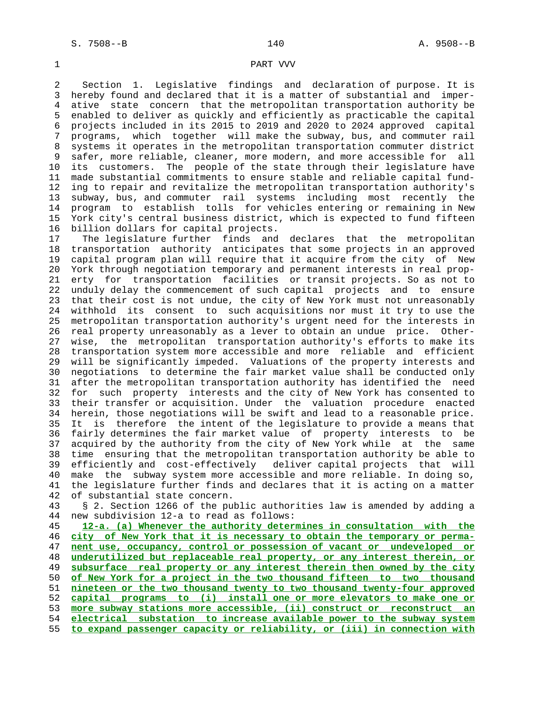# 1 PART VVV

 2 Section 1. Legislative findings and declaration of purpose. It is 3 hereby found and declared that it is a matter of substantial and imper- 4 ative state concern that the metropolitan transportation authority be 5 enabled to deliver as quickly and efficiently as practicable the capital 6 projects included in its 2015 to 2019 and 2020 to 2024 approved capital 7 programs, which together will make the subway, bus, and commuter rail 8 systems it operates in the metropolitan transportation commuter district 9 safer, more reliable, cleaner, more modern, and more accessible for all 10 its customers. The people of the state through their legislature have 11 made substantial commitments to ensure stable and reliable capital fund- 12 ing to repair and revitalize the metropolitan transportation authority's 13 subway, bus, and commuter rail systems including most recently the 14 program to establish tolls for vehicles entering or remaining in New 15 York city's central business district, which is expected to fund fifteen 16 billion dollars for capital projects.

 17 The legislature further finds and declares that the metropolitan 18 transportation authority anticipates that some projects in an approved 19 capital program plan will require that it acquire from the city of New 20 York through negotiation temporary and permanent interests in real prop- 21 erty for transportation facilities or transit projects. So as not to 22 unduly delay the commencement of such capital projects and to ensure 23 that their cost is not undue, the city of New York must not unreasonably 24 withhold its consent to such acquisitions nor must it try to use the 25 metropolitan transportation authority's urgent need for the interests in 26 real property unreasonably as a lever to obtain an undue price. Other- 27 wise, the metropolitan transportation authority's efforts to make its 28 transportation system more accessible and more reliable and efficient 29 will be significantly impeded. Valuations of the property interests and 30 negotiations to determine the fair market value shall be conducted only 31 after the metropolitan transportation authority has identified the need 32 for such property interests and the city of New York has consented to 33 their transfer or acquisition. Under the valuation procedure enacted 34 herein, those negotiations will be swift and lead to a reasonable price. 35 It is therefore the intent of the legislature to provide a means that 36 fairly determines the fair market value of property interests to be 37 acquired by the authority from the city of New York while at the same 38 time ensuring that the metropolitan transportation authority be able to 39 efficiently and cost-effectively deliver capital projects that will 40 make the subway system more accessible and more reliable. In doing so, 41 the legislature further finds and declares that it is acting on a matter 42 of substantial state concern.

 43 § 2. Section 1266 of the public authorities law is amended by adding a 44 new subdivision 12-a to read as follows:

**12-a. (a) Whenever the authority determines in consultation with the city of New York that it is necessary to obtain the temporary or perma- nent use, occupancy, control or possession of vacant or undeveloped or underutilized but replaceable real property, or any interest therein, or subsurface real property or any interest therein then owned by the city of New York for a project in the two thousand fifteen to two thousand nineteen or the two thousand twenty to two thousand twenty-four approved capital programs to (i) install one or more elevators to make one or more subway stations more accessible, (ii) construct or reconstruct an electrical substation to increase available power to the subway system to expand passenger capacity or reliability, or (iii) in connection with**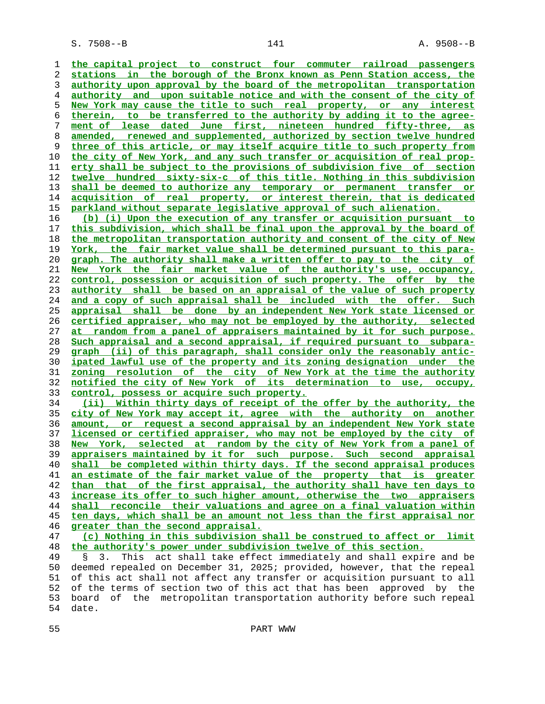**the capital project to construct four commuter railroad passengers stations in the borough of the Bronx known as Penn Station access, the authority upon approval by the board of the metropolitan transportation authority and upon suitable notice and with the consent of the city of New York may cause the title to such real property, or any interest therein, to be transferred to the authority by adding it to the agree- ment of lease dated June first, nineteen hundred fifty-three, as amended, renewed and supplemented, authorized by section twelve hundred three of this article, or may itself acquire title to such property from the city of New York, and any such transfer or acquisition of real prop- erty shall be subject to the provisions of subdivision five of section twelve hundred sixty-six-c of this title. Nothing in this subdivision shall be deemed to authorize any temporary or permanent transfer or acquisition of real property, or interest therein, that is dedicated parkland without separate legislative approval of such alienation.**

**(b) (i) Upon the execution of any transfer or acquisition pursuant to this subdivision, which shall be final upon the approval by the board of the metropolitan transportation authority and consent of the city of New York, the fair market value shall be determined pursuant to this para- graph. The authority shall make a written offer to pay to the city of New York the fair market value of the authority's use, occupancy, control, possession or acquisition of such property. The offer by the authority shall be based on an appraisal of the value of such property and a copy of such appraisal shall be included with the offer. Such appraisal shall be done by an independent New York state licensed or certified appraiser, who may not be employed by the authority, selected at random from a panel of appraisers maintained by it for such purpose. Such appraisal and a second appraisal, if required pursuant to subpara- graph (ii) of this paragraph, shall consider only the reasonably antic- ipated lawful use of the property and its zoning designation under the zoning resolution of the city of New York at the time the authority notified the city of New York of its determination to use, occupy, control, possess or acquire such property.**

**(ii) Within thirty days of receipt of the offer by the authority, the city of New York may accept it, agree with the authority on another amount, or request a second appraisal by an independent New York state licensed or certified appraiser, who may not be employed by the city of New York, selected at random by the city of New York from a panel of appraisers maintained by it for such purpose. Such second appraisal shall be completed within thirty days. If the second appraisal produces an estimate of the fair market value of the property that is greater than that of the first appraisal, the authority shall have ten days to increase its offer to such higher amount, otherwise the two appraisers shall reconcile their valuations and agree on a final valuation within ten days, which shall be an amount not less than the first appraisal nor greater than the second appraisal.**

**(c) Nothing in this subdivision shall be construed to affect or limit the authority's power under subdivision twelve of this section.**

§ 3. This act shall take effect immediately and shall expire and be 50 deemed repealed on December 31, 2025; provided, however, that the repeal 51 of this act shall not affect any transfer or acquisition pursuant to all 52 of the terms of section two of this act that has been approved by the 53 board of the metropolitan transportation authority before such repeal 54 date.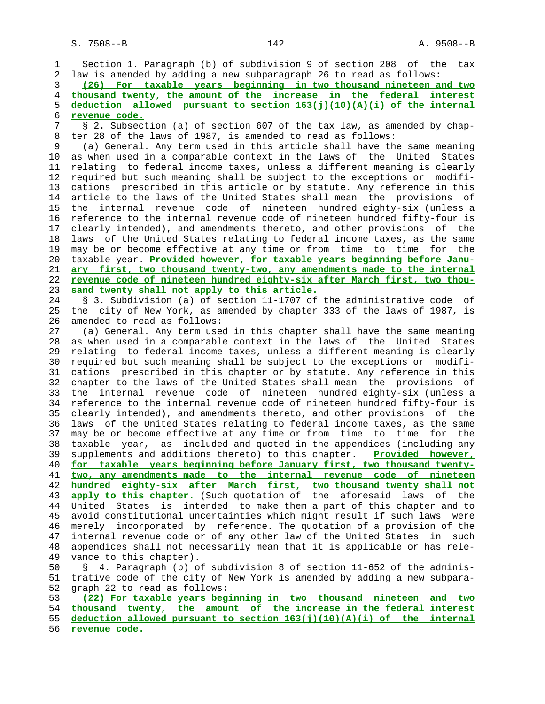1 Section 1. Paragraph (b) of subdivision 9 of section 208 of the tax 2 law is amended by adding a new subparagraph 26 to read as follows: 3 **(26) For taxable years beginning in two thousand nineteen and two** 4 **thousand twenty, the amount of the increase in the federal interest** 5 **deduction allowed pursuant to section 163(j)(10)(A)(i) of the internal** 6 **revenue code.** 7 § 2. Subsection (a) of section 607 of the tax law, as amended by chap- 8 ter 28 of the laws of 1987, is amended to read as follows: (a) General. Any term used in this article shall have the same meaning 10 as when used in a comparable context in the laws of the United States 11 relating to federal income taxes, unless a different meaning is clearly 12 required but such meaning shall be subject to the exceptions or modifi- 13 cations prescribed in this article or by statute. Any reference in this 14 article to the laws of the United States shall mean the provisions of 15 the internal revenue code of nineteen hundred eighty-six (unless a 16 reference to the internal revenue code of nineteen hundred fifty-four is 17 clearly intended), and amendments thereto, and other provisions of the 18 laws of the United States relating to federal income taxes, as the same 19 may be or become effective at any time or from time to time for the 20 taxable year. **Provided however, for taxable years beginning before Janu-** 21 **ary first, two thousand twenty-two, any amendments made to the internal** 22 **revenue code of nineteen hundred eighty-six after March first, two thou-** 23 **sand twenty shall not apply to this article.** 24 § 3. Subdivision (a) of section 11-1707 of the administrative code of 25 the city of New York, as amended by chapter 333 of the laws of 1987, is 26 amended to read as follows: 27 (a) General. Any term used in this chapter shall have the same meaning 28 as when used in a comparable context in the laws of the United States 29 relating to federal income taxes, unless a different meaning is clearly 30 required but such meaning shall be subject to the exceptions or modifi- 31 cations prescribed in this chapter or by statute. Any reference in this 32 chapter to the laws of the United States shall mean the provisions of 33 the internal revenue code of nineteen hundred eighty-six (unless a 34 reference to the internal revenue code of nineteen hundred fifty-four is 35 clearly intended), and amendments thereto, and other provisions of the 36 laws of the United States relating to federal income taxes, as the same 37 may be or become effective at any time or from time to time for the 38 taxable year, as included and quoted in the appendices (including any 39 supplements and additions thereto) to this chapter. **Provided however,** 40 **for taxable years beginning before January first, two thousand twenty-** 41 **two, any amendments made to the internal revenue code of nineteen** 42 **hundred eighty-six after March first, two thousand twenty shall not** 43 **apply to this chapter.** (Such quotation of the aforesaid laws of the 44 United States is intended to make them a part of this chapter and to 45 avoid constitutional uncertainties which might result if such laws were 46 merely incorporated by reference. The quotation of a provision of the 47 internal revenue code or of any other law of the United States in such 48 appendices shall not necessarily mean that it is applicable or has rele- 49 vance to this chapter). 50 § 4. Paragraph (b) of subdivision 8 of section 11-652 of the adminis- 51 trative code of the city of New York is amended by adding a new subpara- 52 graph 22 to read as follows: 53 **(22) For taxable years beginning in two thousand nineteen and two** 54 **thousand twenty, the amount of the increase in the federal interest** 55 **deduction allowed pursuant to section 163(j)(10)(A)(i) of the internal** 56 **revenue code.**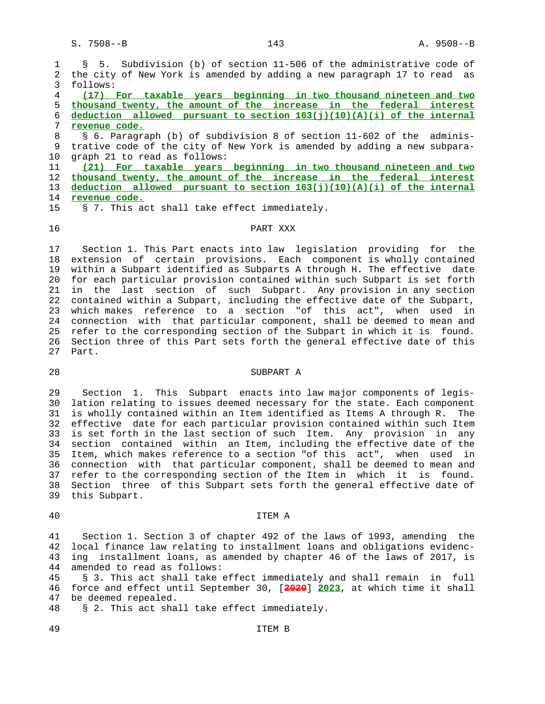1 § 5. Subdivision (b) of section 11-506 of the administrative code of 2 the city of New York is amended by adding a new paragraph 17 to read as 3 follows: 4 **(17) For taxable years beginning in two thousand nineteen and two** 5 **thousand twenty, the amount of the increase in the federal interest** 6 **deduction allowed pursuant to section 163(j)(10)(A)(i) of the internal** 7 **revenue code.** 8 § 6. Paragraph (b) of subdivision 8 of section 11-602 of the adminis-<br>9 trative code of the city of New York is amended by adding a new subparatrative code of the city of New York is amended by adding a new subpara- 10 graph 21 to read as follows: 11 **(21) For taxable years beginning in two thousand nineteen and two** 12 **thousand twenty, the amount of the increase in the federal interest** 13 **deduction allowed pursuant to section 163(j)(10)(A)(i) of the internal** 14 **revenue code.** 15 § 7. This act shall take effect immediately.

# 16 PART XXX

 17 Section 1. This Part enacts into law legislation providing for the 18 extension of certain provisions. Each component is wholly contained 19 within a Subpart identified as Subparts A through H. The effective date 20 for each particular provision contained within such Subpart is set forth 21 in the last section of such Subpart. Any provision in any section 22 contained within a Subpart, including the effective date of the Subpart, 23 which makes reference to a section "of this act", when used in 24 connection with that particular component, shall be deemed to mean and 25 refer to the corresponding section of the Subpart in which it is found. 26 Section three of this Part sets forth the general effective date of this 27 Part.

### 28 SUBPART A

 29 Section 1. This Subpart enacts into law major components of legis- 30 lation relating to issues deemed necessary for the state. Each component 31 is wholly contained within an Item identified as Items A through R. The 32 effective date for each particular provision contained within such Item 33 is set forth in the last section of such Item. Any provision in any 34 section contained within an Item, including the effective date of the 35 Item, which makes reference to a section "of this act", when used in 36 connection with that particular component, shall be deemed to mean and 37 refer to the corresponding section of the Item in which it is found. 38 Section three of this Subpart sets forth the general effective date of 39 this Subpart.

# 40 **ITEM A**

 41 Section 1. Section 3 of chapter 492 of the laws of 1993, amending the 42 local finance law relating to installment loans and obligations evidenc- 43 ing installment loans, as amended by chapter 46 of the laws of 2017, is 44 amended to read as follows:

 45 § 3. This act shall take effect immediately and shall remain in full 46 force and effect until September 30, [**2020**] **2023**, at which time it shall 47 be deemed repealed.

48 § 2. This act shall take effect immediately.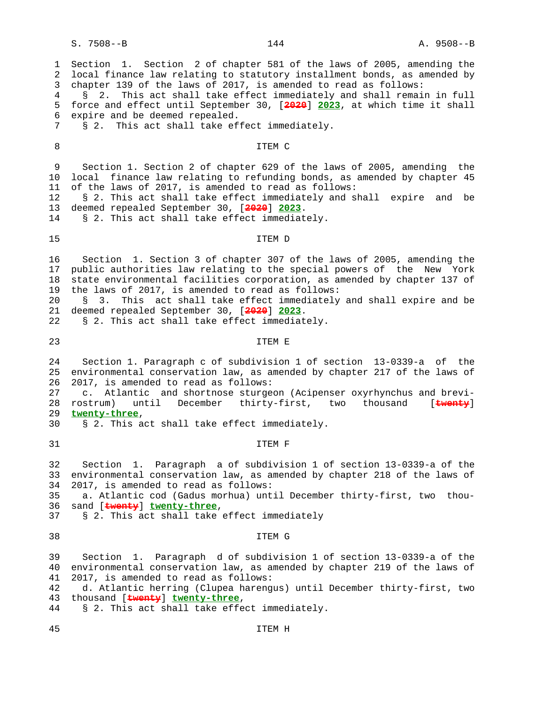1 Section 1. Section 2 of chapter 581 of the laws of 2005, amending the 2 local finance law relating to statutory installment bonds, as amended by 3 chapter 139 of the laws of 2017, is amended to read as follows: 4 § 2. This act shall take effect immediately and shall remain in full 5 force and effect until September 30, [**2020**] **2023**, at which time it shall 6 expire and be deemed repealed. 7 § 2. This act shall take effect immediately. 8 ITEM C 9 Section 1. Section 2 of chapter 629 of the laws of 2005, amending the 10 local finance law relating to refunding bonds, as amended by chapter 45 11 of the laws of 2017, is amended to read as follows: 12 § 2. This act shall take effect immediately and shall expire and be 13 deemed repealed September 30, [**2020**] **2023**. 14 § 2. This act shall take effect immediately. 15 ITEM D 16 Section 1. Section 3 of chapter 307 of the laws of 2005, amending the 17 public authorities law relating to the special powers of the New York 18 state environmental facilities corporation, as amended by chapter 137 of 19 the laws of 2017, is amended to read as follows: 20 § 3. This act shall take effect immediately and shall expire and be 21 deemed repealed September 30, [**2020**] **2023**. 22 § 2. This act shall take effect immediately. 23 ITEM E 24 Section 1. Paragraph c of subdivision 1 of section 13-0339-a of the 25 environmental conservation law, as amended by chapter 217 of the laws of 26 2017, is amended to read as follows: 27 c. Atlantic and shortnose sturgeon (Acipenser oxyrhynchus and brevi- 28 rostrum) until December thirty-first, two thousand [**twenty**] 29 **twenty-three**, 30 § 2. This act shall take effect immediately. 31 ITEM F 32 Section 1. Paragraph a of subdivision 1 of section 13-0339-a of the 33 environmental conservation law, as amended by chapter 218 of the laws of 34 2017, is amended to read as follows: 35 a. Atlantic cod (Gadus morhua) until December thirty-first, two thou- 36 sand [**twenty**] **twenty-three**, 37 § 2. This act shall take effect immediately 38 ITEM G 39 Section 1. Paragraph d of subdivision 1 of section 13-0339-a of the 40 environmental conservation law, as amended by chapter 219 of the laws of 41 2017, is amended to read as follows: 42 d. Atlantic herring (Clupea harengus) until December thirty-first, two 43 thousand [**twenty**] **twenty-three**, 44 § 2. This act shall take effect immediately. 45 ITEM H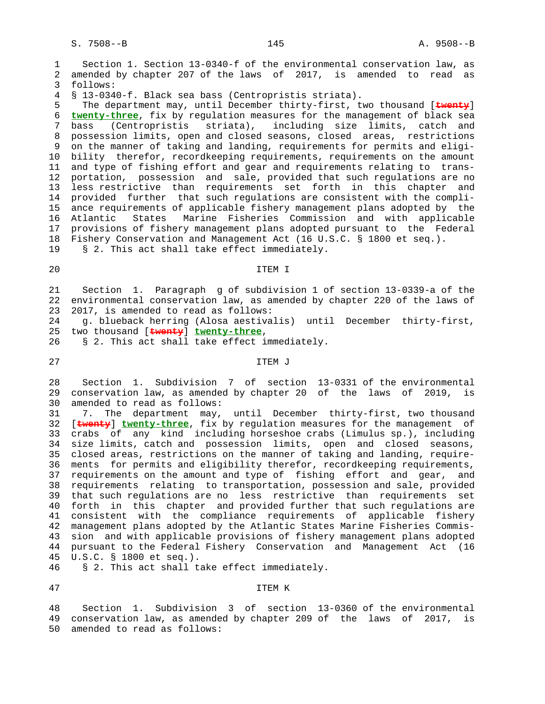1 Section 1. Section 13-0340-f of the environmental conservation law, as 2 amended by chapter 207 of the laws of 2017, is amended to read as 3 follows:

4 § 13-0340-f. Black sea bass (Centropristis striata).

 5 The department may, until December thirty-first, two thousand [**twenty**] 6 **twenty-three**, fix by regulation measures for the management of black sea 7 bass (Centropristis striata), including size limits, catch and 8 possession limits, open and closed seasons, closed areas, restrictions 9 on the manner of taking and landing, requirements for permits and eligi- 10 bility therefor, recordkeeping requirements, requirements on the amount 11 and type of fishing effort and gear and requirements relating to trans- 12 portation, possession and sale, provided that such regulations are no 13 less restrictive than requirements set forth in this chapter and 14 provided further that such regulations are consistent with the compli- 15 ance requirements of applicable fishery management plans adopted by the 16 Atlantic States Marine Fisheries Commission and with applicable 17 provisions of fishery management plans adopted pursuant to the Federal 18 Fishery Conservation and Management Act (16 U.S.C. § 1800 et seq.). 19 § 2. This act shall take effect immediately.

20 ITEM I

 21 Section 1. Paragraph g of subdivision 1 of section 13-0339-a of the 22 environmental conservation law, as amended by chapter 220 of the laws of 23 2017, is amended to read as follows:

 24 g. blueback herring (Alosa aestivalis) until December thirty-first, 25 two thousand [**twenty**] **twenty-three**,

26 § 2. This act shall take effect immediately.

# 27 **ITEM J**

 28 Section 1. Subdivision 7 of section 13-0331 of the environmental 29 conservation law, as amended by chapter 20 of the laws of 2019, is 30 amended to read as follows:

 31 7. The department may, until December thirty-first, two thousand 32 [**twenty**] **twenty-three**, fix by regulation measures for the management of 33 crabs of any kind including horseshoe crabs (Limulus sp.), including 34 size limits, catch and possession limits, open and closed seasons, 35 closed areas, restrictions on the manner of taking and landing, require- 36 ments for permits and eligibility therefor, recordkeeping requirements, 37 requirements on the amount and type of fishing effort and gear, and 38 requirements relating to transportation, possession and sale, provided 39 that such regulations are no less restrictive than requirements set 40 forth in this chapter and provided further that such regulations are 41 consistent with the compliance requirements of applicable fishery 42 management plans adopted by the Atlantic States Marine Fisheries Commis- 43 sion and with applicable provisions of fishery management plans adopted 44 pursuant to the Federal Fishery Conservation and Management Act (16 45 U.S.C. § 1800 et seq.).

46 § 2. This act shall take effect immediately.

### 47 ITEM K

 48 Section 1. Subdivision 3 of section 13-0360 of the environmental 49 conservation law, as amended by chapter 209 of the laws of 2017, is 50 amended to read as follows: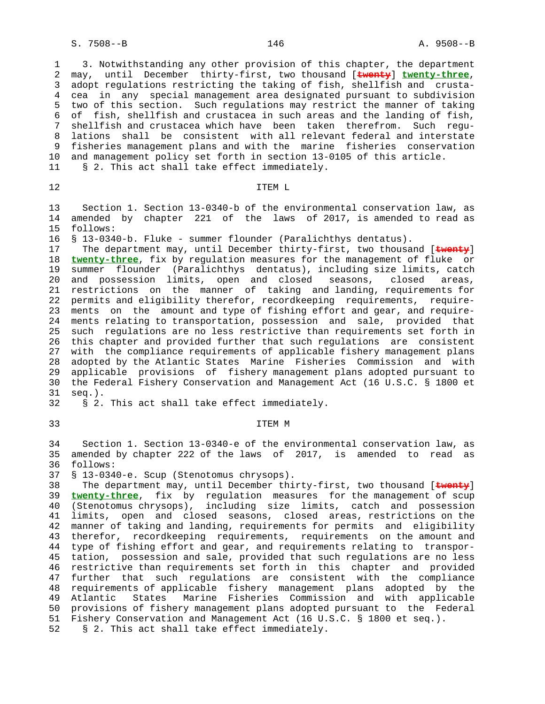1 3. Notwithstanding any other provision of this chapter, the department 2 may, until December thirty-first, two thousand [**twenty**] **twenty-three**, 3 adopt regulations restricting the taking of fish, shellfish and crusta- 4 cea in any special management area designated pursuant to subdivision 5 two of this section. Such regulations may restrict the manner of taking 6 of fish, shellfish and crustacea in such areas and the landing of fish, 7 shellfish and crustacea which have been taken therefrom. Such regu- 8 lations shall be consistent with all relevant federal and interstate 9 fisheries management plans and with the marine fisheries conservation 10 and management policy set forth in section 13-0105 of this article. 11 § 2. This act shall take effect immediately.

## 12 **ITEM L**

 13 Section 1. Section 13-0340-b of the environmental conservation law, as 14 amended by chapter 221 of the laws of 2017, is amended to read as 15 follows:

16 § 13-0340-b. Fluke - summer flounder (Paralichthys dentatus).

 17 The department may, until December thirty-first, two thousand [**twenty**] 18 **twenty-three**, fix by regulation measures for the management of fluke or 19 summer flounder (Paralichthys dentatus), including size limits, catch 20 and possession limits, open and closed seasons, closed areas, 21 restrictions on the manner of taking and landing, requirements for 22 permits and eligibility therefor, recordkeeping requirements, require- 23 ments on the amount and type of fishing effort and gear, and require- 24 ments relating to transportation, possession and sale, provided that 25 such regulations are no less restrictive than requirements set forth in 26 this chapter and provided further that such regulations are consistent 27 with the compliance requirements of applicable fishery management plans 28 adopted by the Atlantic States Marine Fisheries Commission and with 29 applicable provisions of fishery management plans adopted pursuant to 30 the Federal Fishery Conservation and Management Act (16 U.S.C. § 1800 et 31 seq.).

- 32 § 2. This act shall take effect immediately.
- 

## 33 ITEM M

 34 Section 1. Section 13-0340-e of the environmental conservation law, as 35 amended by chapter 222 of the laws of 2017, is amended to read as 36 follows:

37 § 13-0340-e. Scup (Stenotomus chrysops).

 38 The department may, until December thirty-first, two thousand [**twenty**] 39 **twenty-three**, fix by regulation measures for the management of scup 40 (Stenotomus chrysops), including size limits, catch and possession 41 limits, open and closed seasons, closed areas, restrictions on the 42 manner of taking and landing, requirements for permits and eligibility 43 therefor, recordkeeping requirements, requirements on the amount and 44 type of fishing effort and gear, and requirements relating to transpor- 45 tation, possession and sale, provided that such regulations are no less 46 restrictive than requirements set forth in this chapter and provided 47 further that such regulations are consistent with the compliance 48 requirements of applicable fishery management plans adopted by the 49 Atlantic States Marine Fisheries Commission and with applicable 50 provisions of fishery management plans adopted pursuant to the Federal 51 Fishery Conservation and Management Act (16 U.S.C. § 1800 et seq.). 52 § 2. This act shall take effect immediately.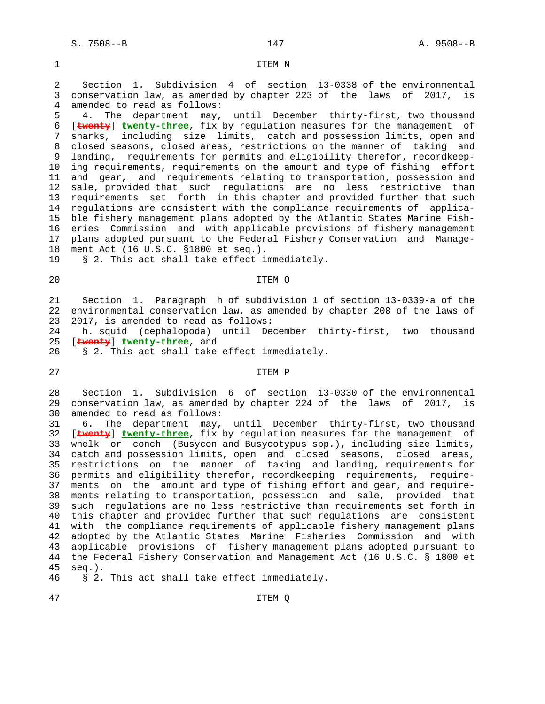1 ITEM N

 2 Section 1. Subdivision 4 of section 13-0338 of the environmental 3 conservation law, as amended by chapter 223 of the laws of 2017, is 4 amended to read as follows: 5 4. The department may, until December thirty-first, two thousand 6 [**twenty**] **twenty-three**, fix by regulation measures for the management of 7 sharks, including size limits, catch and possession limits, open and 8 closed seasons, closed areas, restrictions on the manner of taking and 9 landing, requirements for permits and eligibility therefor, recordkeep- 10 ing requirements, requirements on the amount and type of fishing effort 11 and gear, and requirements relating to transportation, possession and 12 sale, provided that such regulations are no less restrictive than 13 requirements set forth in this chapter and provided further that such 14 regulations are consistent with the compliance requirements of applica-

 16 eries Commission and with applicable provisions of fishery management 17 plans adopted pursuant to the Federal Fishery Conservation and Manage- 18 ment Act (16 U.S.C. §1800 et seq.).

15 ble fishery management plans adopted by the Atlantic States Marine Fish-

19 § 2. This act shall take effect immediately.

20 ITEM O

 21 Section 1. Paragraph h of subdivision 1 of section 13-0339-a of the 22 environmental conservation law, as amended by chapter 208 of the laws of 23 2017, is amended to read as follows:

 24 h. squid (cephalopoda) until December thirty-first, two thousand 25 [**twenty**] **twenty-three**, and

26 § 2. This act shall take effect immediately.

27 ITEM P

 28 Section 1. Subdivision 6 of section 13-0330 of the environmental 29 conservation law, as amended by chapter 224 of the laws of 2017, is 30 amended to read as follows:

 31 6. The department may, until December thirty-first, two thousand 32 [**twenty**] **twenty-three**, fix by regulation measures for the management of 33 whelk or conch (Busycon and Busycotypus spp.), including size limits, 34 catch and possession limits, open and closed seasons, closed areas, 35 restrictions on the manner of taking and landing, requirements for 36 permits and eligibility therefor, recordkeeping requirements, require- 37 ments on the amount and type of fishing effort and gear, and require- 38 ments relating to transportation, possession and sale, provided that 39 such regulations are no less restrictive than requirements set forth in 40 this chapter and provided further that such regulations are consistent 41 with the compliance requirements of applicable fishery management plans 42 adopted by the Atlantic States Marine Fisheries Commission and with 43 applicable provisions of fishery management plans adopted pursuant to 44 the Federal Fishery Conservation and Management Act (16 U.S.C. § 1800 et 45 seq.).

46 § 2. This act shall take effect immediately.

47 ITEM Q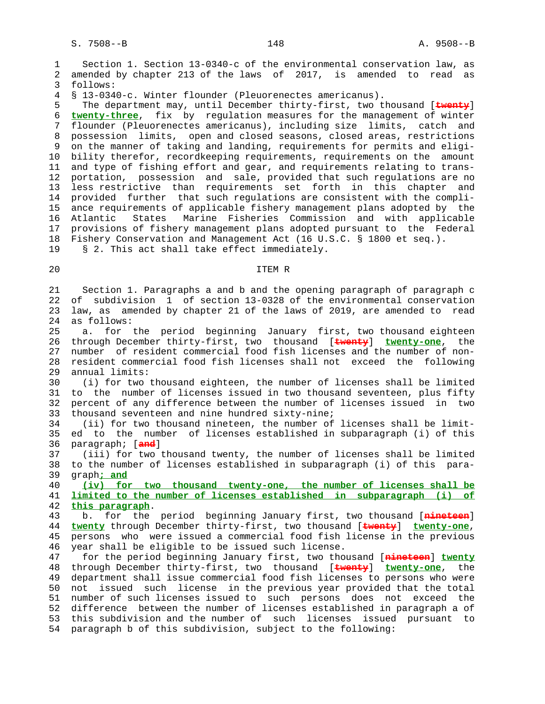1 Section 1. Section 13-0340-c of the environmental conservation law, as 2 amended by chapter 213 of the laws of 2017, is amended to read as 3 follows:

4 § 13-0340-c. Winter flounder (Pleuorenectes americanus).

 5 The department may, until December thirty-first, two thousand [**twenty**] 6 **twenty-three**, fix by regulation measures for the management of winter 7 flounder (Pleuorenectes americanus), including size limits, catch and 8 possession limits, open and closed seasons, closed areas, restrictions 9 on the manner of taking and landing, requirements for permits and eligi- 10 bility therefor, recordkeeping requirements, requirements on the amount 11 and type of fishing effort and gear, and requirements relating to trans- 12 portation, possession and sale, provided that such regulations are no 13 less restrictive than requirements set forth in this chapter and 14 provided further that such regulations are consistent with the compli- 15 ance requirements of applicable fishery management plans adopted by the 16 Atlantic States Marine Fisheries Commission and with applicable 17 provisions of fishery management plans adopted pursuant to the Federal 18 Fishery Conservation and Management Act (16 U.S.C. § 1800 et seq.).

19 § 2. This act shall take effect immediately.

### 20 ITEM R

 21 Section 1. Paragraphs a and b and the opening paragraph of paragraph c 22 of subdivision 1 of section 13-0328 of the environmental conservation 23 law, as amended by chapter 21 of the laws of 2019, are amended to read 24 as follows:

 25 a. for the period beginning January first, two thousand eighteen 26 through December thirty-first, two thousand [**twenty**] **twenty-one**, the 27 number of resident commercial food fish licenses and the number of non- 28 resident commercial food fish licenses shall not exceed the following 29 annual limits:

 30 (i) for two thousand eighteen, the number of licenses shall be limited 31 to the number of licenses issued in two thousand seventeen, plus fifty 32 percent of any difference between the number of licenses issued in two 33 thousand seventeen and nine hundred sixty-nine;

 34 (ii) for two thousand nineteen, the number of licenses shall be limit- 35 ed to the number of licenses established in subparagraph (i) of this 36 paragraph; [**and**]

 37 (iii) for two thousand twenty, the number of licenses shall be limited 38 to the number of licenses established in subparagraph (i) of this para- 39 graph**; and**

 40 **(iv) for two thousand twenty-one, the number of licenses shall be** 41 **limited to the number of licenses established in subparagraph (i) of** 42 **this paragraph**.

 43 b. for the period beginning January first, two thousand [**nineteen**] 44 **twenty** through December thirty-first, two thousand [**twenty**] **twenty-one**, 45 persons who were issued a commercial food fish license in the previous 46 year shall be eligible to be issued such license.<br>47 for the period beginning January first, two tho

 47 for the period beginning January first, two thousand [**nineteen**] **twenty** 48 through December thirty-first, two thousand [**twenty**] **twenty-one**, the 49 department shall issue commercial food fish licenses to persons who were 50 not issued such license in the previous year provided that the total 51 number of such licenses issued to such persons does not exceed the 52 difference between the number of licenses established in paragraph a of 53 this subdivision and the number of such licenses issued pursuant to 54 paragraph b of this subdivision, subject to the following: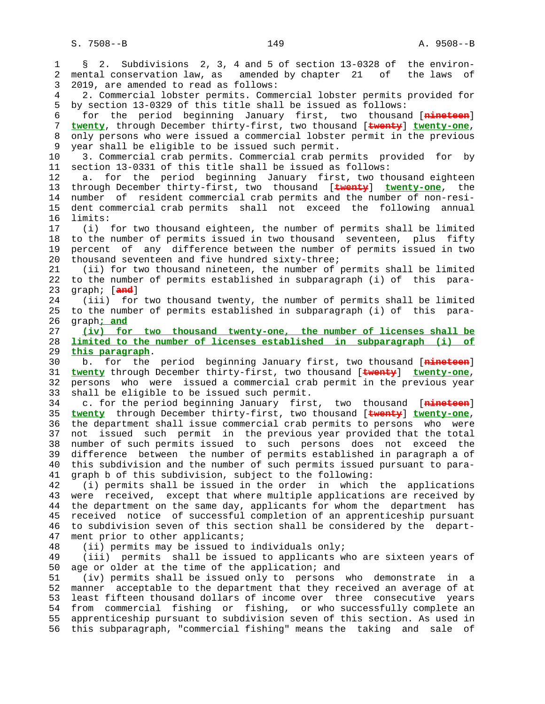1 § 2. Subdivisions 2, 3, 4 and 5 of section 13-0328 of the environ- 2 mental conservation law, as amended by chapter 21 of the laws of 3 2019, are amended to read as follows: 4 2. Commercial lobster permits. Commercial lobster permits provided for 5 by section 13-0329 of this title shall be issued as follows: 6 for the period beginning January first, two thousand [**nineteen**] 7 **twenty**, through December thirty-first, two thousand [**twenty**] **twenty-one**, 8 only persons who were issued a commercial lobster permit in the previous 9 year shall be eligible to be issued such permit. 10 3. Commercial crab permits. Commercial crab permits provided for by 11 section 13-0331 of this title shall be issued as follows: 12 a. for the period beginning January first, two thousand eighteen 13 through December thirty-first, two thousand [**twenty**] **twenty-one**, the 14 number of resident commercial crab permits and the number of non-resi- 15 dent commercial crab permits shall not exceed the following annual 16 limits: 17 (i) for two thousand eighteen, the number of permits shall be limited 18 to the number of permits issued in two thousand seventeen, plus fifty 19 percent of any difference between the number of permits issued in two 20 thousand seventeen and five hundred sixty-three; 21 (ii) for two thousand nineteen, the number of permits shall be limited 22 to the number of permits established in subparagraph (i) of this para- 23 graph; [**and**] 24 (iii) for two thousand twenty, the number of permits shall be limited 25 to the number of permits established in subparagraph (i) of this para- 26 graph**; and** 27 **(iv) for two thousand twenty-one, the number of licenses shall be** 28 **limited to the number of licenses established in subparagraph (i) of** 29 **this paragraph**. 30 b. for the period beginning January first, two thousand [**nineteen**] 31 **twenty** through December thirty-first, two thousand [**twenty**] **twenty-one**, 32 persons who were issued a commercial crab permit in the previous year 33 shall be eligible to be issued such permit. 34 c. for the period beginning January first, two thousand [**nineteen**] 35 **twenty** through December thirty-first, two thousand [**twenty**] **twenty-one**, 36 the department shall issue commercial crab permits to persons who were 37 not issued such permit in the previous year provided that the total 38 number of such permits issued to such persons does not exceed the 39 difference between the number of permits established in paragraph a of 40 this subdivision and the number of such permits issued pursuant to para- 41 graph b of this subdivision, subject to the following: 42 (i) permits shall be issued in the order in which the applications 43 were received, except that where multiple applications are received by 44 the department on the same day, applicants for whom the department has 45 received notice of successful completion of an apprenticeship pursuant 46 to subdivision seven of this section shall be considered by the depart- 47 ment prior to other applicants; 48 (ii) permits may be issued to individuals only; 49 (iii) permits shall be issued to applicants who are sixteen years of 50 age or older at the time of the application; and 51 (iv) permits shall be issued only to persons who demonstrate in a 52 manner acceptable to the department that they received an average of at 53 least fifteen thousand dollars of income over three consecutive years 54 from commercial fishing or fishing, or who successfully complete an 55 apprenticeship pursuant to subdivision seven of this section. As used in 56 this subparagraph, "commercial fishing" means the taking and sale of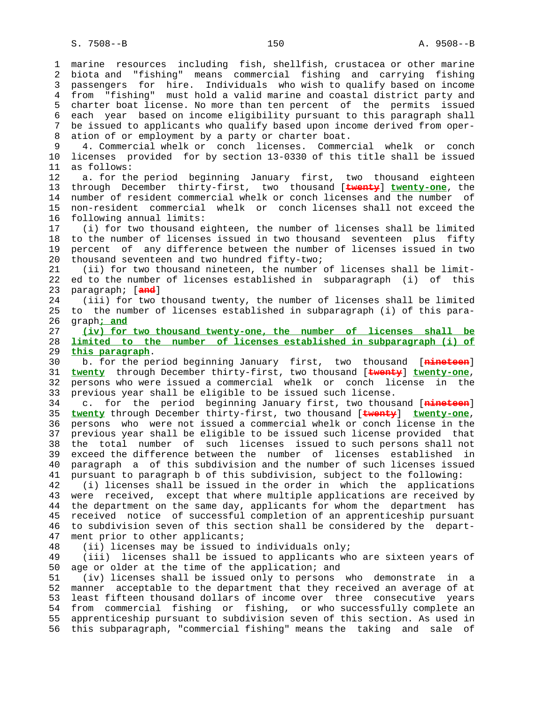1 marine resources including fish, shellfish, crustacea or other marine 2 biota and "fishing" means commercial fishing and carrying fishing 3 passengers for hire. Individuals who wish to qualify based on income 4 from "fishing" must hold a valid marine and coastal district party and 5 charter boat license. No more than ten percent of the permits issued 6 each year based on income eligibility pursuant to this paragraph shall 7 be issued to applicants who qualify based upon income derived from oper- 8 ation of or employment by a party or charter boat.<br>9 4. Commercial whelk or conch licenses. Commer 9 4. Commercial whelk or conch licenses. Commercial whelk or conch 10 licenses provided for by section 13-0330 of this title shall be issued 11 as follows: 12 a. for the period beginning January first, two thousand eighteen 13 through December thirty-first, two thousand [**twenty**] **twenty-one**, the 14 number of resident commercial whelk or conch licenses and the number of 15 non-resident commercial whelk or conch licenses shall not exceed the 16 following annual limits: 17 (i) for two thousand eighteen, the number of licenses shall be limited 18 to the number of licenses issued in two thousand seventeen plus fifty 19 percent of any difference between the number of licenses issued in two 20 thousand seventeen and two hundred fifty-two; 21 (ii) for two thousand nineteen, the number of licenses shall be limit- 22 ed to the number of licenses established in subparagraph (i) of this 23 paragraph; [**and**] 24 (iii) for two thousand twenty, the number of licenses shall be limited 25 to the number of licenses established in subparagraph (i) of this para- 26 graph**; and** 27 **(iv) for two thousand twenty-one, the number of licenses shall be** 28 **limited to the number of licenses established in subparagraph (i) of** 29 **this paragraph**. 30 b. for the period beginning January first, two thousand [**nineteen**] 31 **twenty** through December thirty-first, two thousand [**twenty**] **twenty-one**, 32 persons who were issued a commercial whelk or conch license in the 33 previous year shall be eligible to be issued such license. 34 c. for the period beginning January first, two thousand [**nineteen**] 35 **twenty** through December thirty-first, two thousand [**twenty**] **twenty-one**, 36 persons who were not issued a commercial whelk or conch license in the 37 previous year shall be eligible to be issued such license provided that 38 the total number of such licenses issued to such persons shall not 39 exceed the difference between the number of licenses established in 40 paragraph a of this subdivision and the number of such licenses issued 41 pursuant to paragraph b of this subdivision, subject to the following: 42 (i) licenses shall be issued in the order in which the applications 43 were received, except that where multiple applications are received by 44 the department on the same day, applicants for whom the department has 45 received notice of successful completion of an apprenticeship pursuant 46 to subdivision seven of this section shall be considered by the depart- 47 ment prior to other applicants; 48 (ii) licenses may be issued to individuals only; 49 (iii) licenses shall be issued to applicants who are sixteen years of 50 age or older at the time of the application; and 51 (iv) licenses shall be issued only to persons who demonstrate in a 52 manner acceptable to the department that they received an average of at 53 least fifteen thousand dollars of income over three consecutive years 54 from commercial fishing or fishing, or who successfully complete an 55 apprenticeship pursuant to subdivision seven of this section. As used in 56 this subparagraph, "commercial fishing" means the taking and sale of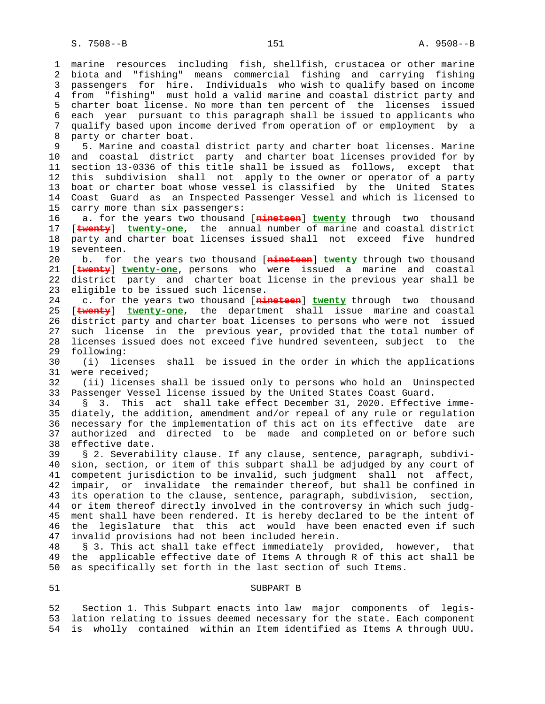1 marine resources including fish, shellfish, crustacea or other marine 2 biota and "fishing" means commercial fishing and carrying fishing 3 passengers for hire. Individuals who wish to qualify based on income 4 from "fishing" must hold a valid marine and coastal district party and 5 charter boat license. No more than ten percent of the licenses issued 6 each year pursuant to this paragraph shall be issued to applicants who 7 qualify based upon income derived from operation of or employment by a 8 party or charter boat.<br>9 5. Marine and coasta 5. Marine and coastal district party and charter boat licenses. Marine 10 and coastal district party and charter boat licenses provided for by 11 section 13-0336 of this title shall be issued as follows, except that 12 this subdivision shall not apply to the owner or operator of a party 13 boat or charter boat whose vessel is classified by the United States 14 Coast Guard as an Inspected Passenger Vessel and which is licensed to 15 carry more than six passengers: 16 a. for the years two thousand [**nineteen**] **twenty** through two thousand 17 [**twenty**] **twenty-one**, the annual number of marine and coastal district 18 party and charter boat licenses issued shall not exceed five hundred 19 seventeen. 20 b. for the years two thousand [**nineteen**] **twenty** through two thousand 21 [**twenty**] **twenty-one**, persons who were issued a marine and coastal 22 district party and charter boat license in the previous year shall be 23 eligible to be issued such license. 24 c. for the years two thousand [**nineteen**] **twenty** through two thousand 25 [**twenty**] **twenty-one**, the department shall issue marine and coastal 26 district party and charter boat licenses to persons who were not issued 27 such license in the previous year, provided that the total number of 28 licenses issued does not exceed five hundred seventeen, subject to the 29 following: 30 (i) licenses shall be issued in the order in which the applications 31 were received; 32 (ii) licenses shall be issued only to persons who hold an Uninspected 33 Passenger Vessel license issued by the United States Coast Guard. 34 § 3. This act shall take effect December 31, 2020. Effective imme- 35 diately, the addition, amendment and/or repeal of any rule or regulation 36 necessary for the implementation of this act on its effective date are 37 authorized and directed to be made and completed on or before such 38 effective date. 39 § 2. Severability clause. If any clause, sentence, paragraph, subdivi- 40 sion, section, or item of this subpart shall be adjudged by any court of 41 competent jurisdiction to be invalid, such judgment shall not affect, 42 impair, or invalidate the remainder thereof, but shall be confined in 43 its operation to the clause, sentence, paragraph, subdivision, section, 44 or item thereof directly involved in the controversy in which such judg- 45 ment shall have been rendered. It is hereby declared to be the intent of 46 the legislature that this act would have been enacted even if such 47 invalid provisions had not been included herein. 48 § 3. This act shall take effect immediately provided, however, that 49 the applicable effective date of Items A through R of this act shall be 50 as specifically set forth in the last section of such Items.

# 51 SUBPART B

 52 Section 1. This Subpart enacts into law major components of legis- 53 lation relating to issues deemed necessary for the state. Each component 54 is wholly contained within an Item identified as Items A through UUU.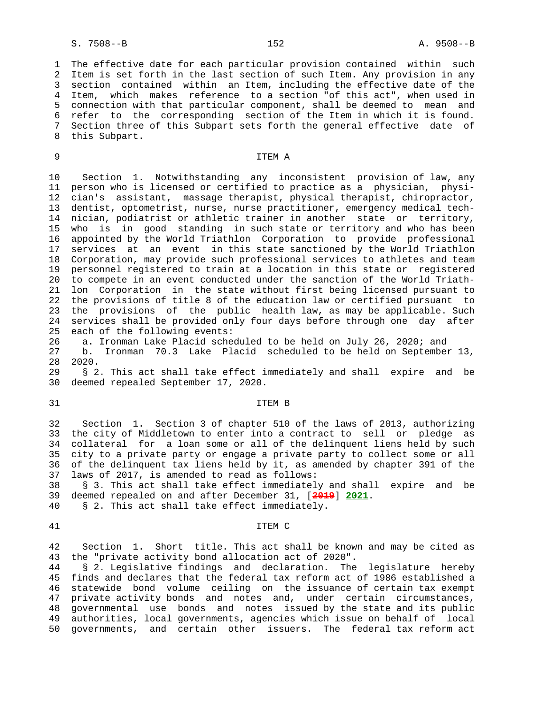# S. 7508--B 152 A. 9508--B

 1 The effective date for each particular provision contained within such 2 Item is set forth in the last section of such Item. Any provision in any 3 section contained within an Item, including the effective date of the 4 Item, which makes reference to a section "of this act", when used in 5 connection with that particular component, shall be deemed to mean and 6 refer to the corresponding section of the Item in which it is found. 7 Section three of this Subpart sets forth the general effective date of 8 this Subpart.

## 9 ITEM A

 10 Section 1. Notwithstanding any inconsistent provision of law, any 11 person who is licensed or certified to practice as a physician, physi- 12 cian's assistant, massage therapist, physical therapist, chiropractor, 13 dentist, optometrist, nurse, nurse practitioner, emergency medical tech- 14 nician, podiatrist or athletic trainer in another state or territory, 15 who is in good standing in such state or territory and who has been 16 appointed by the World Triathlon Corporation to provide professional 17 services at an event in this state sanctioned by the World Triathlon 18 Corporation, may provide such professional services to athletes and team 19 personnel registered to train at a location in this state or registered 20 to compete in an event conducted under the sanction of the World Triath- 21 lon Corporation in the state without first being licensed pursuant to 22 the provisions of title 8 of the education law or certified pursuant to 23 the provisions of the public health law, as may be applicable. Such 24 services shall be provided only four days before through one day after 25 each of the following events:

 26 a. Ironman Lake Placid scheduled to be held on July 26, 2020; and 27 b. Ironman 70.3 Lake Placid scheduled to be held on September 13, 28 2020.

 29 § 2. This act shall take effect immediately and shall expire and be 30 deemed repealed September 17, 2020.

# 31 **ITEM B**

 32 Section 1. Section 3 of chapter 510 of the laws of 2013, authorizing 33 the city of Middletown to enter into a contract to sell or pledge as 34 collateral for a loan some or all of the delinquent liens held by such 35 city to a private party or engage a private party to collect some or all 36 of the delinquent tax liens held by it, as amended by chapter 391 of the 37 laws of 2017, is amended to read as follows:

 38 § 3. This act shall take effect immediately and shall expire and be 39 deemed repealed on and after December 31, [**2019**] **2021**.

40 § 2. This act shall take effect immediately.

## 41 ITEM C

 42 Section 1. Short title. This act shall be known and may be cited as 43 the "private activity bond allocation act of 2020".

 44 § 2. Legislative findings and declaration. The legislature hereby 45 finds and declares that the federal tax reform act of 1986 established a 46 statewide bond volume ceiling on the issuance of certain tax exempt 47 private activity bonds and notes and, under certain circumstances, 48 governmental use bonds and notes issued by the state and its public 49 authorities, local governments, agencies which issue on behalf of local 50 governments, and certain other issuers. The federal tax reform act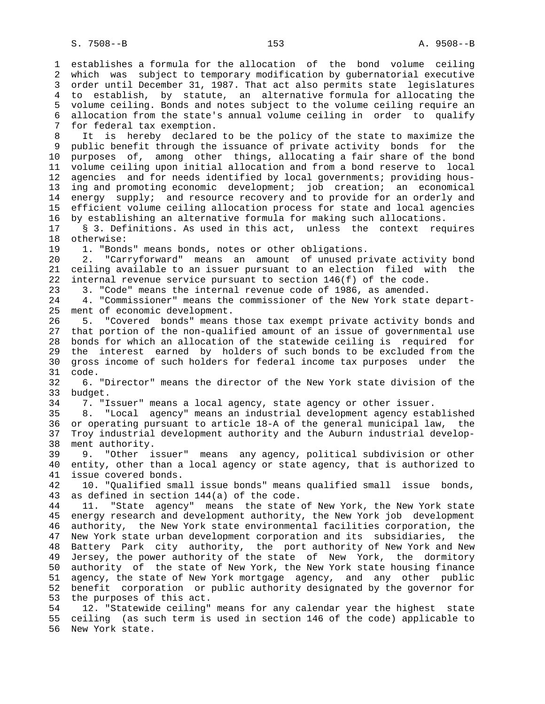1 establishes a formula for the allocation of the bond volume ceiling 2 which was subject to temporary modification by gubernatorial executive 3 order until December 31, 1987. That act also permits state legislatures 4 to establish, by statute, an alternative formula for allocating the 5 volume ceiling. Bonds and notes subject to the volume ceiling require an 6 allocation from the state's annual volume ceiling in order to qualify 7 for federal tax exemption. 8 It is hereby declared to be the policy of the state to maximize the<br>9 public benefit through the issuance of private activity bonds for the public benefit through the issuance of private activity bonds for the 10 purposes of, among other things, allocating a fair share of the bond 11 volume ceiling upon initial allocation and from a bond reserve to local 12 agencies and for needs identified by local governments; providing hous- 13 ing and promoting economic development; job creation; an economical 14 energy supply; and resource recovery and to provide for an orderly and 15 efficient volume ceiling allocation process for state and local agencies 16 by establishing an alternative formula for making such allocations. 17 § 3. Definitions. As used in this act, unless the context requires 18 otherwise: 19 1. "Bonds" means bonds, notes or other obligations. 20 2. "Carryforward" means an amount of unused private activity bond 21 ceiling available to an issuer pursuant to an election filed with the 22 internal revenue service pursuant to section 146(f) of the code. 23 3. "Code" means the internal revenue code of 1986, as amended. 24 4. "Commissioner" means the commissioner of the New York state depart- 25 ment of economic development. 26 5. "Covered bonds" means those tax exempt private activity bonds and 27 that portion of the non-qualified amount of an issue of governmental use 28 bonds for which an allocation of the statewide ceiling is required for 29 the interest earned by holders of such bonds to be excluded from the 30 gross income of such holders for federal income tax purposes under the 31 code. 32 6. "Director" means the director of the New York state division of the 33 budget. 34 7. "Issuer" means a local agency, state agency or other issuer. 35 8. "Local agency" means an industrial development agency established 36 or operating pursuant to article 18-A of the general municipal law, the 37 Troy industrial development authority and the Auburn industrial develop- 38 ment authority. 39 9. "Other issuer" means any agency, political subdivision or other 40 entity, other than a local agency or state agency, that is authorized to 41 issue covered bonds. 42 10. "Qualified small issue bonds" means qualified small issue bonds, 43 as defined in section 144(a) of the code. 44 11. "State agency" means the state of New York, the New York state 45 energy research and development authority, the New York job development 46 authority, the New York state environmental facilities corporation, the 47 New York state urban development corporation and its subsidiaries, the 48 Battery Park city authority, the port authority of New York and New 49 Jersey, the power authority of the state of New York, the dormitory 50 authority of the state of New York, the New York state housing finance 51 agency, the state of New York mortgage agency, and any other public 52 benefit corporation or public authority designated by the governor for 53 the purposes of this act. 54 12. "Statewide ceiling" means for any calendar year the highest state 55 ceiling (as such term is used in section 146 of the code) applicable to

56 New York state.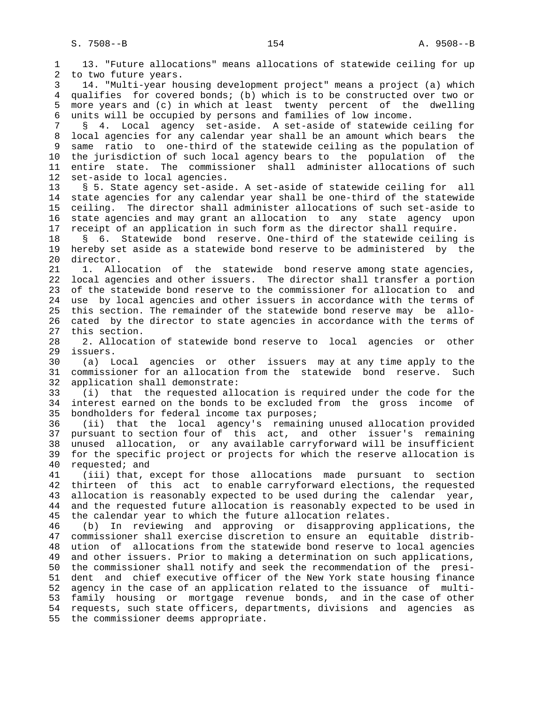1 13. "Future allocations" means allocations of statewide ceiling for up 2 to two future years. 3 14. "Multi-year housing development project" means a project (a) which 4 qualifies for covered bonds; (b) which is to be constructed over two or 5 more years and (c) in which at least twenty percent of the dwelling 6 units will be occupied by persons and families of low income. 7 § 4. Local agency set-aside. A set-aside of statewide ceiling for 8 local agencies for any calendar year shall be an amount which bears the<br>9 same ratio to one-third of the statewide ceiling as the population of same ratio to one-third of the statewide ceiling as the population of 10 the jurisdiction of such local agency bears to the population of the 11 entire state. The commissioner shall administer allocations of such 12 set-aside to local agencies. 13 § 5. State agency set-aside. A set-aside of statewide ceiling for all 14 state agencies for any calendar year shall be one-third of the statewide 15 ceiling. The director shall administer allocations of such set-aside to 16 state agencies and may grant an allocation to any state agency upon 17 receipt of an application in such form as the director shall require. 18 § 6. Statewide bond reserve. One-third of the statewide ceiling is 19 hereby set aside as a statewide bond reserve to be administered by the 20 director. 21 1. Allocation of the statewide bond reserve among state agencies, 22 local agencies and other issuers. The director shall transfer a portion 23 of the statewide bond reserve to the commissioner for allocation to and 24 use by local agencies and other issuers in accordance with the terms of 25 this section. The remainder of the statewide bond reserve may be allo- 26 cated by the director to state agencies in accordance with the terms of 27 this section. 28 2. Allocation of statewide bond reserve to local agencies or other 29 issuers. 30 (a) Local agencies or other issuers may at any time apply to the 31 commissioner for an allocation from the statewide bond reserve. Such 32 application shall demonstrate: 33 (i) that the requested allocation is required under the code for the 34 interest earned on the bonds to be excluded from the gross income of 35 bondholders for federal income tax purposes; 36 (ii) that the local agency's remaining unused allocation provided 37 pursuant to section four of this act, and other issuer's remaining 38 unused allocation, or any available carryforward will be insufficient 39 for the specific project or projects for which the reserve allocation is 40 requested; and 41 (iii) that, except for those allocations made pursuant to section 42 thirteen of this act to enable carryforward elections, the requested 43 allocation is reasonably expected to be used during the calendar year, 44 and the requested future allocation is reasonably expected to be used in 45 the calendar year to which the future allocation relates. 46 (b) In reviewing and approving or disapproving applications, the 47 commissioner shall exercise discretion to ensure an equitable distrib- 48 ution of allocations from the statewide bond reserve to local agencies 49 and other issuers. Prior to making a determination on such applications, 50 the commissioner shall notify and seek the recommendation of the presi- 51 dent and chief executive officer of the New York state housing finance 52 agency in the case of an application related to the issuance of multi- 53 family housing or mortgage revenue bonds, and in the case of other 54 requests, such state officers, departments, divisions and agencies as 55 the commissioner deems appropriate.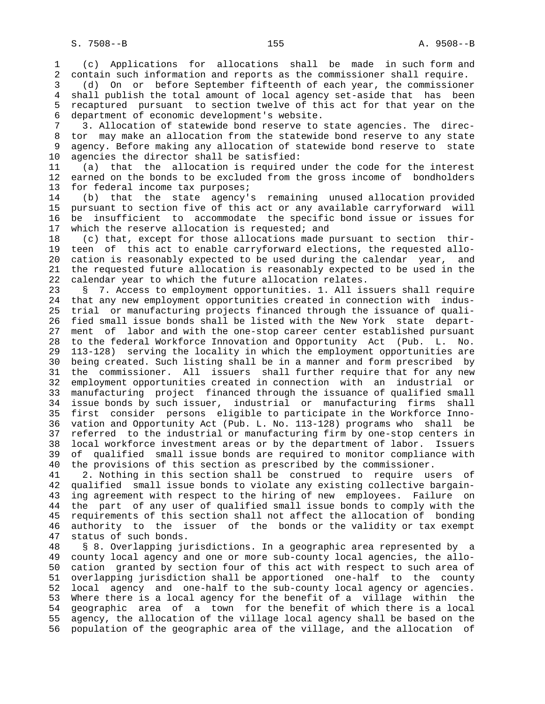1 (c) Applications for allocations shall be made in such form and 2 contain such information and reports as the commissioner shall require.

 3 (d) On or before September fifteenth of each year, the commissioner 4 shall publish the total amount of local agency set-aside that has been 5 recaptured pursuant to section twelve of this act for that year on the 6 department of economic development's website.

 7 3. Allocation of statewide bond reserve to state agencies. The direc- 8 tor may make an allocation from the statewide bond reserve to any state agency. Before making any allocation of statewide bond reserve to state 10 agencies the director shall be satisfied:

 11 (a) that the allocation is required under the code for the interest 12 earned on the bonds to be excluded from the gross income of bondholders 13 for federal income tax purposes;

 14 (b) that the state agency's remaining unused allocation provided 15 pursuant to section five of this act or any available carryforward will 16 be insufficient to accommodate the specific bond issue or issues for 17 which the reserve allocation is requested; and

 18 (c) that, except for those allocations made pursuant to section thir- 19 teen of this act to enable carryforward elections, the requested allo- 20 cation is reasonably expected to be used during the calendar year, and 21 the requested future allocation is reasonably expected to be used in the 22 calendar year to which the future allocation relates.

 23 § 7. Access to employment opportunities. 1. All issuers shall require 24 that any new employment opportunities created in connection with indus- 25 trial or manufacturing projects financed through the issuance of quali- 26 fied small issue bonds shall be listed with the New York state depart- 27 ment of labor and with the one-stop career center established pursuant 28 to the federal Workforce Innovation and Opportunity Act (Pub. L. No. 29 113-128) serving the locality in which the employment opportunities are 30 being created. Such listing shall be in a manner and form prescribed by 31 the commissioner. All issuers shall further require that for any new 32 employment opportunities created in connection with an industrial or 33 manufacturing project financed through the issuance of qualified small 34 issue bonds by such issuer, industrial or manufacturing firms shall 35 first consider persons eligible to participate in the Workforce Inno- 36 vation and Opportunity Act (Pub. L. No. 113-128) programs who shall be 37 referred to the industrial or manufacturing firm by one-stop centers in 38 local workforce investment areas or by the department of labor. Issuers 39 of qualified small issue bonds are required to monitor compliance with 40 the provisions of this section as prescribed by the commissioner.

 41 2. Nothing in this section shall be construed to require users of 42 qualified small issue bonds to violate any existing collective bargain- 43 ing agreement with respect to the hiring of new employees. Failure on 44 the part of any user of qualified small issue bonds to comply with the 45 requirements of this section shall not affect the allocation of bonding 46 authority to the issuer of the bonds or the validity or tax exempt 47 status of such bonds.

 48 § 8. Overlapping jurisdictions. In a geographic area represented by a 49 county local agency and one or more sub-county local agencies, the allo- 50 cation granted by section four of this act with respect to such area of 51 overlapping jurisdiction shall be apportioned one-half to the county 52 local agency and one-half to the sub-county local agency or agencies. 53 Where there is a local agency for the benefit of a village within the 54 geographic area of a town for the benefit of which there is a local 55 agency, the allocation of the village local agency shall be based on the 56 population of the geographic area of the village, and the allocation of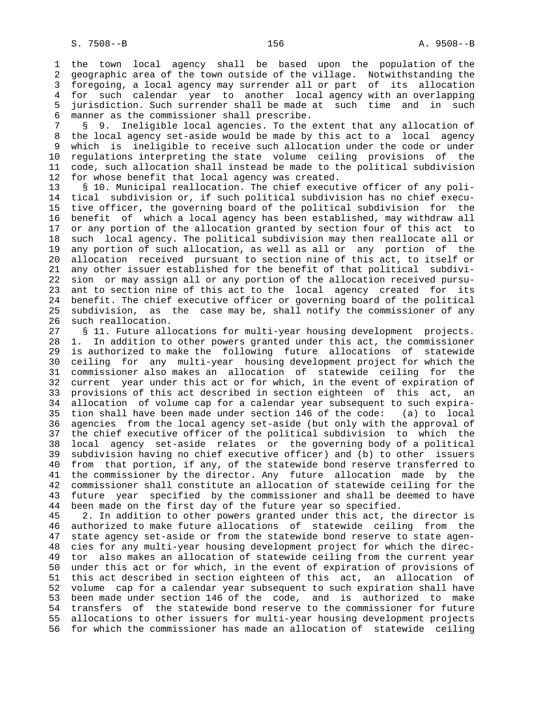1 the town local agency shall be based upon the population of the 2 geographic area of the town outside of the village. Notwithstanding the 3 foregoing, a local agency may surrender all or part of its allocation 4 for such calendar year to another local agency with an overlapping 5 jurisdiction. Such surrender shall be made at such time and in such 6 manner as the commissioner shall prescribe.

 7 § 9. Ineligible local agencies. To the extent that any allocation of 8 the local agency set-aside would be made by this act to a local agency<br>9 which is ineligible to receive such allocation under the code or under which is ineligible to receive such allocation under the code or under 10 regulations interpreting the state volume ceiling provisions of the 11 code, such allocation shall instead be made to the political subdivision 12 for whose benefit that local agency was created.

 13 § 10. Municipal reallocation. The chief executive officer of any poli- 14 tical subdivision or, if such political subdivision has no chief execu- 15 tive officer, the governing board of the political subdivision for the 16 benefit of which a local agency has been established, may withdraw all 17 or any portion of the allocation granted by section four of this act to 18 such local agency. The political subdivision may then reallocate all or 19 any portion of such allocation, as well as all or any portion of the 20 allocation received pursuant to section nine of this act, to itself or 21 any other issuer established for the benefit of that political subdivi- 22 sion or may assign all or any portion of the allocation received pursu- 23 ant to section nine of this act to the local agency created for its 24 benefit. The chief executive officer or governing board of the political 25 subdivision, as the case may be, shall notify the commissioner of any 26 such reallocation.

 27 § 11. Future allocations for multi-year housing development projects. 28 1. In addition to other powers granted under this act, the commissioner 29 is authorized to make the following future allocations of statewide 30 ceiling for any multi-year housing development project for which the 31 commissioner also makes an allocation of statewide ceiling for the 32 current year under this act or for which, in the event of expiration of 33 provisions of this act described in section eighteen of this act, an 34 allocation of volume cap for a calendar year subsequent to such expira- 35 tion shall have been made under section 146 of the code: (a) to local 36 agencies from the local agency set-aside (but only with the approval of 37 the chief executive officer of the political subdivision to which the 38 local agency set-aside relates or the governing body of a political 39 subdivision having no chief executive officer) and (b) to other issuers 40 from that portion, if any, of the statewide bond reserve transferred to 41 the commissioner by the director. Any future allocation made by the 42 commissioner shall constitute an allocation of statewide ceiling for the 43 future year specified by the commissioner and shall be deemed to have 44 been made on the first day of the future year so specified.

 45 2. In addition to other powers granted under this act, the director is 46 authorized to make future allocations of statewide ceiling from the 47 state agency set-aside or from the statewide bond reserve to state agen- 48 cies for any multi-year housing development project for which the direc- 49 tor also makes an allocation of statewide ceiling from the current year 50 under this act or for which, in the event of expiration of provisions of 51 this act described in section eighteen of this act, an allocation of 52 volume cap for a calendar year subsequent to such expiration shall have 53 been made under section 146 of the code, and is authorized to make 54 transfers of the statewide bond reserve to the commissioner for future 55 allocations to other issuers for multi-year housing development projects 56 for which the commissioner has made an allocation of statewide ceiling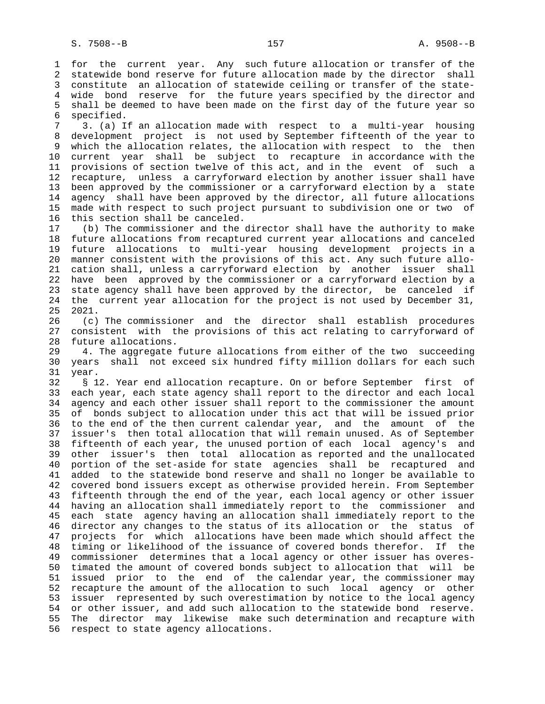1 for the current year. Any such future allocation or transfer of the 2 statewide bond reserve for future allocation made by the director shall 3 constitute an allocation of statewide ceiling or transfer of the state- 4 wide bond reserve for the future years specified by the director and 5 shall be deemed to have been made on the first day of the future year so 6 specified.

 7 3. (a) If an allocation made with respect to a multi-year housing 8 development project is not used by September fifteenth of the year to<br>9 which the allocation relates, the allocation with respect to the then which the allocation relates, the allocation with respect to the then 10 current year shall be subject to recapture in accordance with the 11 provisions of section twelve of this act, and in the event of such a 12 recapture, unless a carryforward election by another issuer shall have 13 been approved by the commissioner or a carryforward election by a state 14 agency shall have been approved by the director, all future allocations 15 made with respect to such project pursuant to subdivision one or two of 16 this section shall be canceled.

 17 (b) The commissioner and the director shall have the authority to make 18 future allocations from recaptured current year allocations and canceled 19 future allocations to multi-year housing development projects in a 20 manner consistent with the provisions of this act. Any such future allo- 21 cation shall, unless a carryforward election by another issuer shall 22 have been approved by the commissioner or a carryforward election by a 23 state agency shall have been approved by the director, be canceled if 24 the current year allocation for the project is not used by December 31, 25 2021.

 26 (c) The commissioner and the director shall establish procedures 27 consistent with the provisions of this act relating to carryforward of 28 future allocations.

 29 4. The aggregate future allocations from either of the two succeeding 30 years shall not exceed six hundred fifty million dollars for each such 31 year.

 32 § 12. Year end allocation recapture. On or before September first of 33 each year, each state agency shall report to the director and each local 34 agency and each other issuer shall report to the commissioner the amount 35 of bonds subject to allocation under this act that will be issued prior 36 to the end of the then current calendar year, and the amount of the 37 issuer's then total allocation that will remain unused. As of September 38 fifteenth of each year, the unused portion of each local agency's and 39 other issuer's then total allocation as reported and the unallocated 40 portion of the set-aside for state agencies shall be recaptured and 41 added to the statewide bond reserve and shall no longer be available to 42 covered bond issuers except as otherwise provided herein. From September 43 fifteenth through the end of the year, each local agency or other issuer 44 having an allocation shall immediately report to the commissioner and 45 each state agency having an allocation shall immediately report to the 46 director any changes to the status of its allocation or the status of 47 projects for which allocations have been made which should affect the 48 timing or likelihood of the issuance of covered bonds therefor. If the 49 commissioner determines that a local agency or other issuer has overes- 50 timated the amount of covered bonds subject to allocation that will be 51 issued prior to the end of the calendar year, the commissioner may 52 recapture the amount of the allocation to such local agency or other 53 issuer represented by such overestimation by notice to the local agency 54 or other issuer, and add such allocation to the statewide bond reserve. 55 The director may likewise make such determination and recapture with 56 respect to state agency allocations.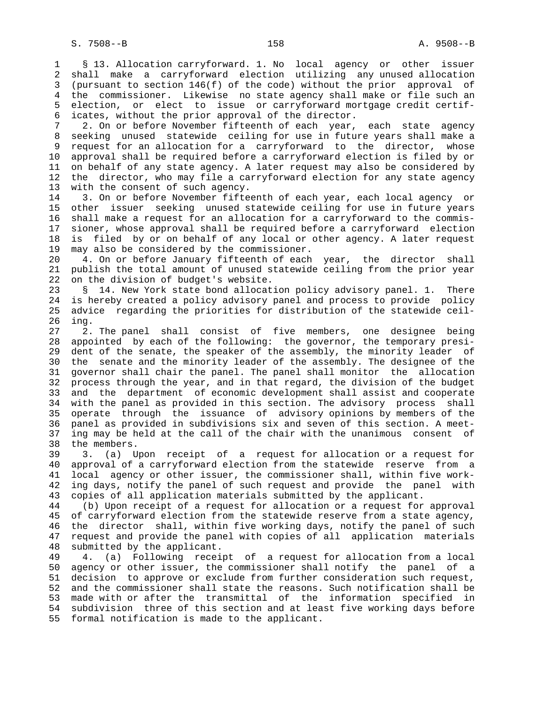1 § 13. Allocation carryforward. 1. No local agency or other issuer 2 shall make a carryforward election utilizing any unused allocation 3 (pursuant to section 146(f) of the code) without the prior approval of 4 the commissioner. Likewise no state agency shall make or file such an 5 election, or elect to issue or carryforward mortgage credit certif- 6 icates, without the prior approval of the director.

 7 2. On or before November fifteenth of each year, each state agency 8 seeking unused statewide ceiling for use in future years shall make a<br>9 request for an allocation for a carryforward to the director, whose request for an allocation for a carryforward to the director, whose 10 approval shall be required before a carryforward election is filed by or 11 on behalf of any state agency. A later request may also be considered by 12 the director, who may file a carryforward election for any state agency 13 with the consent of such agency.

 14 3. On or before November fifteenth of each year, each local agency or 15 other issuer seeking unused statewide ceiling for use in future years 16 shall make a request for an allocation for a carryforward to the commis- 17 sioner, whose approval shall be required before a carryforward election 18 is filed by or on behalf of any local or other agency. A later request 19 may also be considered by the commissioner.

 20 4. On or before January fifteenth of each year, the director shall 21 publish the total amount of unused statewide ceiling from the prior year 22 on the division of budget's website.

 23 § 14. New York state bond allocation policy advisory panel. 1. There 24 is hereby created a policy advisory panel and process to provide policy 25 advice regarding the priorities for distribution of the statewide ceil- 26 ing.

 27 2. The panel shall consist of five members, one designee being 28 appointed by each of the following: the governor, the temporary presi- 29 dent of the senate, the speaker of the assembly, the minority leader of 30 the senate and the minority leader of the assembly. The designee of the 31 governor shall chair the panel. The panel shall monitor the allocation 32 process through the year, and in that regard, the division of the budget 33 and the department of economic development shall assist and cooperate 34 with the panel as provided in this section. The advisory process shall 35 operate through the issuance of advisory opinions by members of the 36 panel as provided in subdivisions six and seven of this section. A meet- 37 ing may be held at the call of the chair with the unanimous consent of 38 the members.

 39 3. (a) Upon receipt of a request for allocation or a request for 40 approval of a carryforward election from the statewide reserve from a 41 local agency or other issuer, the commissioner shall, within five work- 42 ing days, notify the panel of such request and provide the panel with 43 copies of all application materials submitted by the applicant.

 44 (b) Upon receipt of a request for allocation or a request for approval 45 of carryforward election from the statewide reserve from a state agency, 46 the director shall, within five working days, notify the panel of such 47 request and provide the panel with copies of all application materials 48 submitted by the applicant.

 49 4. (a) Following receipt of a request for allocation from a local 50 agency or other issuer, the commissioner shall notify the panel of a 51 decision to approve or exclude from further consideration such request, 52 and the commissioner shall state the reasons. Such notification shall be 53 made with or after the transmittal of the information specified in 54 subdivision three of this section and at least five working days before 55 formal notification is made to the applicant.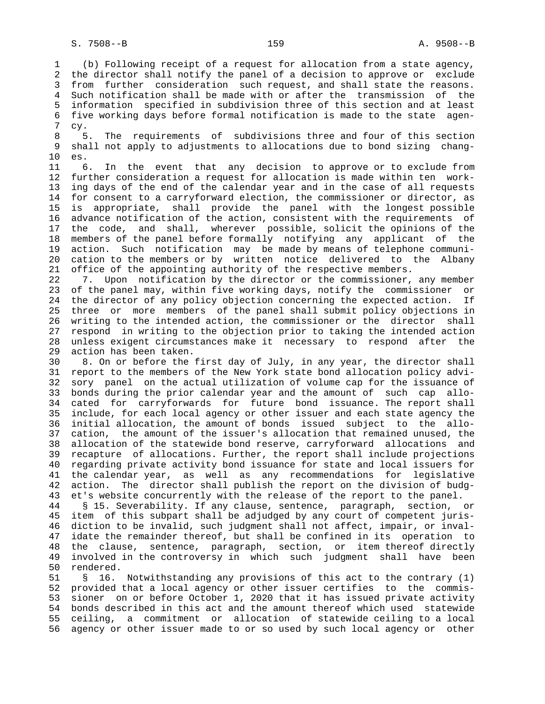1 (b) Following receipt of a request for allocation from a state agency, 2 the director shall notify the panel of a decision to approve or exclude 3 from further consideration such request, and shall state the reasons. 4 Such notification shall be made with or after the transmission of the 5 information specified in subdivision three of this section and at least 6 five working days before formal notification is made to the state agen- 7 cy. 8 5. The requirements of subdivisions three and four of this section<br>9 shall not apply to adjustments to allocations due to bond sizing changshall not apply to adjustments to allocations due to bond sizing chang- 10 es. 11 6. In the event that any decision to approve or to exclude from 12 further consideration a request for allocation is made within ten work- 13 ing days of the end of the calendar year and in the case of all requests 14 for consent to a carryforward election, the commissioner or director, as 15 is appropriate, shall provide the panel with the longest possible 16 advance notification of the action, consistent with the requirements of 17 the code, and shall, wherever possible, solicit the opinions of the 18 members of the panel before formally notifying any applicant of the 19 action. Such notification may be made by means of telephone communi- 20 cation to the members or by written notice delivered to the Albany 21 office of the appointing authority of the respective members. 22 7. Upon notification by the director or the commissioner, any member 23 of the panel may, within five working days, notify the commissioner or 24 the director of any policy objection concerning the expected action. If 25 three or more members of the panel shall submit policy objections in 26 writing to the intended action, the commissioner or the director shall 27 respond in writing to the objection prior to taking the intended action 28 unless exigent circumstances make it necessary to respond after the 29 action has been taken. 30 8. On or before the first day of July, in any year, the director shall 31 report to the members of the New York state bond allocation policy advi- 32 sory panel on the actual utilization of volume cap for the issuance of 33 bonds during the prior calendar year and the amount of such cap allo- 34 cated for carryforwards for future bond issuance. The report shall 35 include, for each local agency or other issuer and each state agency the 36 initial allocation, the amount of bonds issued subject to the allo- 37 cation, the amount of the issuer's allocation that remained unused, the 38 allocation of the statewide bond reserve, carryforward allocations and 39 recapture of allocations. Further, the report shall include projections 40 regarding private activity bond issuance for state and local issuers for 41 the calendar year, as well as any recommendations for legislative 42 action. The director shall publish the report on the division of budg- 43 et's website concurrently with the release of the report to the panel.

 44 § 15. Severability. If any clause, sentence, paragraph, section, or 45 item of this subpart shall be adjudged by any court of competent juris- 46 diction to be invalid, such judgment shall not affect, impair, or inval- 47 idate the remainder thereof, but shall be confined in its operation to 48 the clause, sentence, paragraph, section, or item thereof directly 49 involved in the controversy in which such judgment shall have been 50 rendered.

 51 § 16. Notwithstanding any provisions of this act to the contrary (1) 52 provided that a local agency or other issuer certifies to the commis- 53 sioner on or before October 1, 2020 that it has issued private activity 54 bonds described in this act and the amount thereof which used statewide 55 ceiling, a commitment or allocation of statewide ceiling to a local 56 agency or other issuer made to or so used by such local agency or other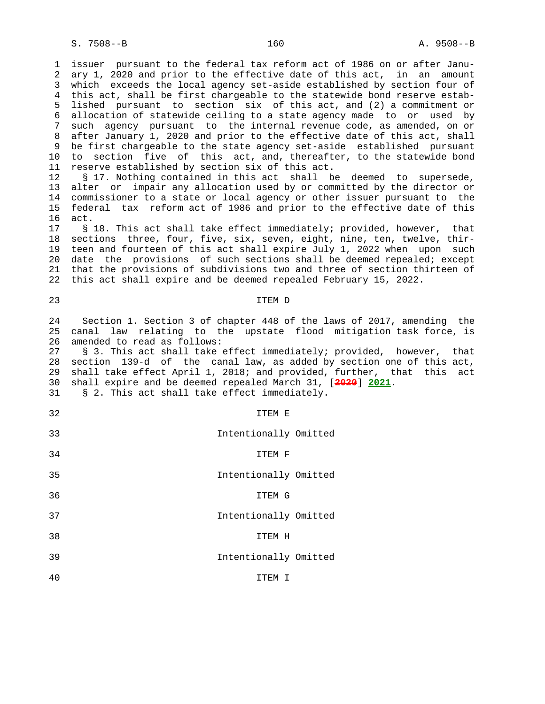S. 7508--B 160 A. 9508--B

 1 issuer pursuant to the federal tax reform act of 1986 on or after Janu- 2 ary 1, 2020 and prior to the effective date of this act, in an amount 3 which exceeds the local agency set-aside established by section four of 4 this act, shall be first chargeable to the statewide bond reserve estab- 5 lished pursuant to section six of this act, and (2) a commitment or 6 allocation of statewide ceiling to a state agency made to or used by 7 such agency pursuant to the internal revenue code, as amended, on or 8 after January 1, 2020 and prior to the effective date of this act, shall 9 be first chargeable to the state agency set-aside established pursuant 10 to section five of this act, and, thereafter, to the statewide bond 11 reserve established by section six of this act.

 12 § 17. Nothing contained in this act shall be deemed to supersede, 13 alter or impair any allocation used by or committed by the director or 14 commissioner to a state or local agency or other issuer pursuant to the 15 federal tax reform act of 1986 and prior to the effective date of this 16 act.

 17 § 18. This act shall take effect immediately; provided, however, that 18 sections three, four, five, six, seven, eight, nine, ten, twelve, thir- 19 teen and fourteen of this act shall expire July 1, 2022 when upon such 20 date the provisions of such sections shall be deemed repealed; except 21 that the provisions of subdivisions two and three of section thirteen of 22 this act shall expire and be deemed repealed February 15, 2022.

# 23 **ITEM D**

 24 Section 1. Section 3 of chapter 448 of the laws of 2017, amending the 25 canal law relating to the upstate flood mitigation task force, is 26 amended to read as follows:

 27 § 3. This act shall take effect immediately; provided, however, that 28 section 139-d of the canal law, as added by section one of this act, 29 shall take effect April 1, 2018; and provided, further, that this act 30 shall expire and be deemed repealed March 31, [**2020**] **2021**. 31 § 2. This act shall take effect immediately.

 32 ITEM E 33 Intentionally Omitted 34 ITEM F 35 Intentionally Omitted 36 ITEM G 37 Intentionally Omitted 38 ITEM H 39 Intentionally Omitted 40 ITEM I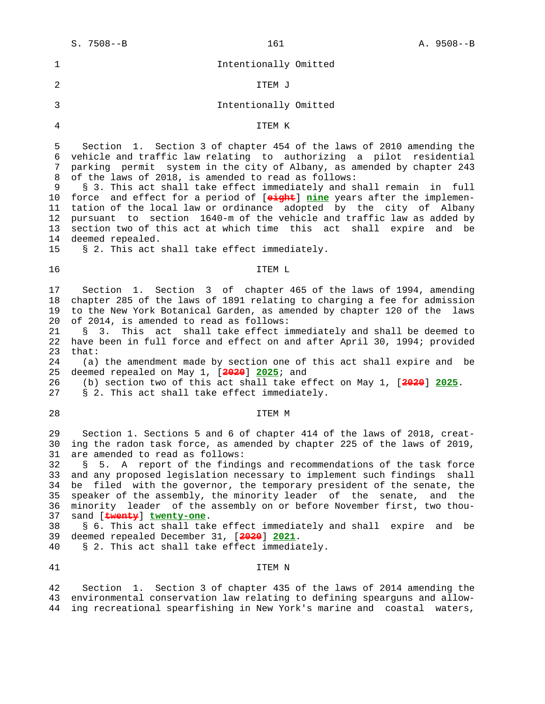| $\mathbf 1$                                                          | Intentionally Omitted                                                                                                                                                                                                                                                                                                                                                                                                                                                                                                                                                                                                                                                                                                                                                     |
|----------------------------------------------------------------------|---------------------------------------------------------------------------------------------------------------------------------------------------------------------------------------------------------------------------------------------------------------------------------------------------------------------------------------------------------------------------------------------------------------------------------------------------------------------------------------------------------------------------------------------------------------------------------------------------------------------------------------------------------------------------------------------------------------------------------------------------------------------------|
| 2                                                                    | ITEM J                                                                                                                                                                                                                                                                                                                                                                                                                                                                                                                                                                                                                                                                                                                                                                    |
| 3                                                                    | Intentionally Omitted                                                                                                                                                                                                                                                                                                                                                                                                                                                                                                                                                                                                                                                                                                                                                     |
| 4                                                                    | ITEM K                                                                                                                                                                                                                                                                                                                                                                                                                                                                                                                                                                                                                                                                                                                                                                    |
| 5<br>6<br>7<br>8<br>9<br>10<br>11<br>12<br>13<br>14<br>15            | Section 1. Section 3 of chapter 454 of the laws of 2010 amending the<br>vehicle and traffic law relating to authorizing a pilot residential<br>parking permit system in the city of Albany, as amended by chapter 243<br>of the laws of 2018, is amended to read as follows:<br>§ 3. This act shall take effect immediately and shall remain in full<br>force and effect for a period of [ <b>eight</b> ] nine years after the implemen-<br>tation of the local law or ordinance adopted by the city of Albany<br>pursuant to section 1640-m of the vehicle and traffic law as added by<br>section two of this act at which time this act<br>shall expire<br>and be<br>deemed repealed.<br>§ 2. This act shall take effect immediately.                                   |
| 16                                                                   | ITEM L                                                                                                                                                                                                                                                                                                                                                                                                                                                                                                                                                                                                                                                                                                                                                                    |
| 17<br>18<br>19<br>20<br>21<br>22<br>23<br>24<br>25<br>26<br>27       | Section 1. Section 3 of chapter 465 of the laws of 1994, amending<br>chapter 285 of the laws of 1891 relating to charging a fee for admission<br>to the New York Botanical Garden, as amended by chapter 120 of the laws<br>of 2014, is amended to read as follows:<br>This act shall take effect immediately and shall be deemed to<br>S.<br>3.<br>have been in full force and effect on and after April 30, 1994; provided<br>that:<br>(a) the amendment made by section one of this act shall expire and be<br>deemed repealed on May 1, [2020] 2025; and<br>(b) section two of this act shall take effect on May 1, [2020] 2025.<br>§ 2. This act shall take effect immediately.                                                                                      |
| 28                                                                   | ITEM M                                                                                                                                                                                                                                                                                                                                                                                                                                                                                                                                                                                                                                                                                                                                                                    |
| 29<br>30<br>31<br>32<br>33<br>34<br>35<br>36<br>37<br>38<br>39<br>40 | Section 1. Sections 5 and 6 of chapter 414 of the laws of 2018, creat-<br>ing the radon task force, as amended by chapter 225 of the laws of 2019,<br>are amended to read as follows:<br>§ 5. A report of the findings and recommendations of the task force<br>and any proposed legislation necessary to implement such findings<br>shall<br>be filed with the governor, the temporary president of the senate, the<br>speaker of the assembly, the minority leader of the senate,<br>and the<br>minority leader of the assembly on or before November first, two thou-<br>sand [twenty] twenty-one.<br>§ 6. This act shall take effect immediately and shall expire and be<br>deemed repealed December 31, [2020] 2021.<br>§ 2. This act shall take effect immediately. |
| 41                                                                   | ITEM N                                                                                                                                                                                                                                                                                                                                                                                                                                                                                                                                                                                                                                                                                                                                                                    |
| 42<br>43                                                             | Section 1. Section 3 of chapter 435 of the laws of 2014 amending the<br>environmental conservation law relating to defining spearguns and allow-                                                                                                                                                                                                                                                                                                                                                                                                                                                                                                                                                                                                                          |

44 ing recreational spearfishing in New York's marine and coastal waters,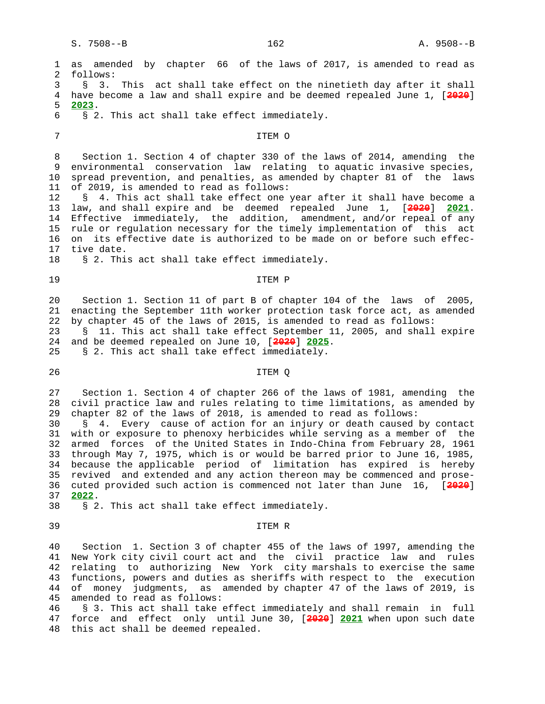1 as amended by chapter 66 of the laws of 2017, is amended to read as

 2 follows: 3 § 3. This act shall take effect on the ninetieth day after it shall 4 have become a law and shall expire and be deemed repealed June 1, [**2020**] 5 **2023**. 6 § 2. This act shall take effect immediately. 7 ITEM O 8 Section 1. Section 4 of chapter 330 of the laws of 2014, amending the 9 environmental conservation law relating to aquatic invasive species, 10 spread prevention, and penalties, as amended by chapter 81 of the laws 11 of 2019, is amended to read as follows: 12 § 4. This act shall take effect one year after it shall have become a 13 law, and shall expire and be deemed repealed June 1, [**2020**] **2021**. 14 Effective immediately, the addition, amendment, and/or repeal of any 15 rule or regulation necessary for the timely implementation of this act 16 on its effective date is authorized to be made on or before such effec- 17 tive date. 18 § 2. This act shall take effect immediately. 19 ITEM P 20 Section 1. Section 11 of part B of chapter 104 of the laws of 2005, 21 enacting the September 11th worker protection task force act, as amended 22 by chapter 45 of the laws of 2015, is amended to read as follows: 23 § 11. This act shall take effect September 11, 2005, and shall expire 24 and be deemed repealed on June 10, [**2020**] **2025**. 25 § 2. This act shall take effect immediately. 26 ITEM Q 27 Section 1. Section 4 of chapter 266 of the laws of 1981, amending the 28 civil practice law and rules relating to time limitations, as amended by 29 chapter 82 of the laws of 2018, is amended to read as follows: 30 § 4. Every cause of action for an injury or death caused by contact 31 with or exposure to phenoxy herbicides while serving as a member of the 32 armed forces of the United States in Indo-China from February 28, 1961 33 through May 7, 1975, which is or would be barred prior to June 16, 1985, 34 because the applicable period of limitation has expired is hereby 35 revived and extended and any action thereon may be commenced and prose- 36 cuted provided such action is commenced not later than June 16, [**2020**] 37 **2022**. 38 § 2. This act shall take effect immediately. 39 ITEM R 40 Section 1. Section 3 of chapter 455 of the laws of 1997, amending the 41 New York city civil court act and the civil practice law and rules 42 relating to authorizing New York city marshals to exercise the same 43 functions, powers and duties as sheriffs with respect to the execution 44 of money judgments, as amended by chapter 47 of the laws of 2019, is 45 amended to read as follows: 46 § 3. This act shall take effect immediately and shall remain in full 47 force and effect only until June 30, [**2020**] **2021** when upon such date 48 this act shall be deemed repealed.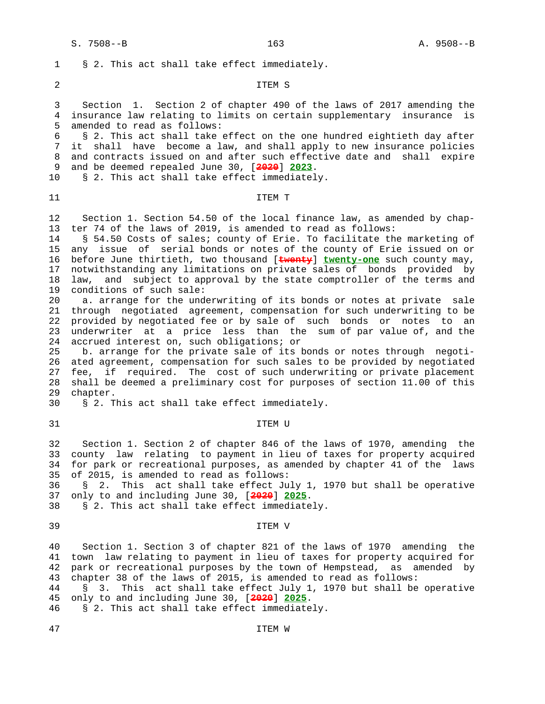### 2 **ITEM S**

 3 Section 1. Section 2 of chapter 490 of the laws of 2017 amending the 4 insurance law relating to limits on certain supplementary insurance is 5 amended to read as follows:

 $\frac{1}{2}$  S 2. This act shall take effect on the one hundred eightieth day after<br>7 it shall have become a law, and shall apply to new insurance policies it shall have become a law, and shall apply to new insurance policies 8 and contracts issued on and after such effective date and shall expire 9 and be deemed repealed June 30, [**2020**] **2023**.

10 § 2. This act shall take effect immediately.

1 § 2. This act shall take effect immediately.

# 11 **ITEM T**

 12 Section 1. Section 54.50 of the local finance law, as amended by chap- 13 ter 74 of the laws of 2019, is amended to read as follows:

 14 § 54.50 Costs of sales; county of Erie. To facilitate the marketing of 15 any issue of serial bonds or notes of the county of Erie issued on or 16 before June thirtieth, two thousand [**twenty**] **twenty-one** such county may, 17 notwithstanding any limitations on private sales of bonds provided by 18 law, and subject to approval by the state comptroller of the terms and 19 conditions of such sale:

 20 a. arrange for the underwriting of its bonds or notes at private sale 21 through negotiated agreement, compensation for such underwriting to be 22 provided by negotiated fee or by sale of such bonds or notes to an 23 underwriter at a price less than the sum of par value of, and the 24 accrued interest on, such obligations; or

 25 b. arrange for the private sale of its bonds or notes through negoti- 26 ated agreement, compensation for such sales to be provided by negotiated 27 fee, if required. The cost of such underwriting or private placement 28 shall be deemed a preliminary cost for purposes of section 11.00 of this 29 chapter.

30 § 2. This act shall take effect immediately.

31 ITEM U

 32 Section 1. Section 2 of chapter 846 of the laws of 1970, amending the 33 county law relating to payment in lieu of taxes for property acquired 34 for park or recreational purposes, as amended by chapter 41 of the laws 35 of 2015, is amended to read as follows:

 36 § 2. This act shall take effect July 1, 1970 but shall be operative 37 only to and including June 30, [**2020**] **2025**.

38 § 2. This act shall take effect immediately.

## 39 ITEM V

 40 Section 1. Section 3 of chapter 821 of the laws of 1970 amending the 41 town law relating to payment in lieu of taxes for property acquired for 42 park or recreational purposes by the town of Hempstead, as amended by 43 chapter 38 of the laws of 2015, is amended to read as follows:

 44 § 3. This act shall take effect July 1, 1970 but shall be operative 45 only to and including June 30, [**2020**] **2025**.

46 § 2. This act shall take effect immediately.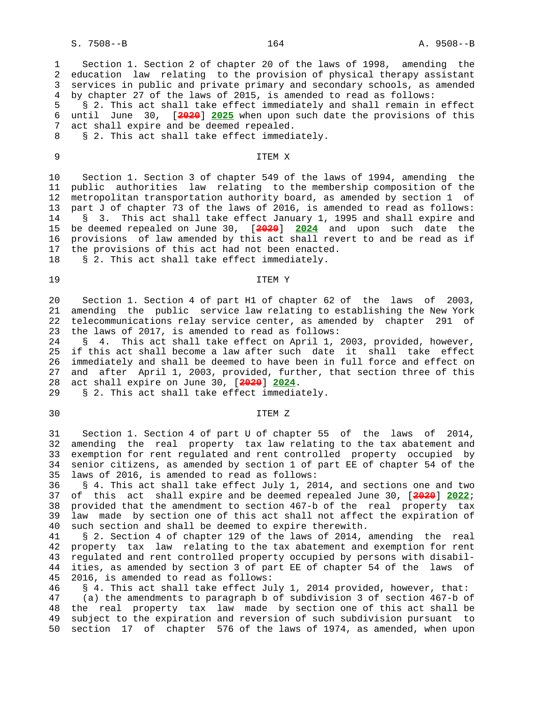S. 7508--B 164 A. 9508--B

 1 Section 1. Section 2 of chapter 20 of the laws of 1998, amending the 2 education law relating to the provision of physical therapy assistant 3 services in public and private primary and secondary schools, as amended 4 by chapter 27 of the laws of 2015, is amended to read as follows: 5 § 2. This act shall take effect immediately and shall remain in effect 6 until June 30, [**2020**] **2025** when upon such date the provisions of this 7 act shall expire and be deemed repealed. 8 § 2. This act shall take effect immediately. 9 ITEM X 10 Section 1. Section 3 of chapter 549 of the laws of 1994, amending the

 11 public authorities law relating to the membership composition of the 12 metropolitan transportation authority board, as amended by section 1 of 13 part J of chapter 73 of the laws of 2016, is amended to read as follows: 14 § 3. This act shall take effect January 1, 1995 and shall expire and 15 be deemed repealed on June 30, [**2020**] **2024** and upon such date the 16 provisions of law amended by this act shall revert to and be read as if 17 the provisions of this act had not been enacted.

18 § 2. This act shall take effect immediately.

19 ITEM Y

 20 Section 1. Section 4 of part H1 of chapter 62 of the laws of 2003, 21 amending the public service law relating to establishing the New York 22 telecommunications relay service center, as amended by chapter 291 of 23 the laws of 2017, is amended to read as follows:

 24 § 4. This act shall take effect on April 1, 2003, provided, however, 25 if this act shall become a law after such date it shall take effect 26 immediately and shall be deemed to have been in full force and effect on 27 and after April 1, 2003, provided, further, that section three of this 28 act shall expire on June 30, [**2020**] **2024**.

29 § 2. This act shall take effect immediately.

# 30 **ITEM Z**

 31 Section 1. Section 4 of part U of chapter 55 of the laws of 2014, 32 amending the real property tax law relating to the tax abatement and 33 exemption for rent regulated and rent controlled property occupied by 34 senior citizens, as amended by section 1 of part EE of chapter 54 of the 35 laws of 2016, is amended to read as follows:

 36 § 4. This act shall take effect July 1, 2014, and sections one and two 37 of this act shall expire and be deemed repealed June 30, [**2020**] **2022**; 38 provided that the amendment to section 467-b of the real property tax 39 law made by section one of this act shall not affect the expiration of 40 such section and shall be deemed to expire therewith.

 41 § 2. Section 4 of chapter 129 of the laws of 2014, amending the real 42 property tax law relating to the tax abatement and exemption for rent 43 regulated and rent controlled property occupied by persons with disabil- 44 ities, as amended by section 3 of part EE of chapter 54 of the laws of 45 2016, is amended to read as follows:

 46 § 4. This act shall take effect July 1, 2014 provided, however, that: 47 (a) the amendments to paragraph b of subdivision 3 of section 467-b of 48 the real property tax law made by section one of this act shall be 49 subject to the expiration and reversion of such subdivision pursuant to 50 section 17 of chapter 576 of the laws of 1974, as amended, when upon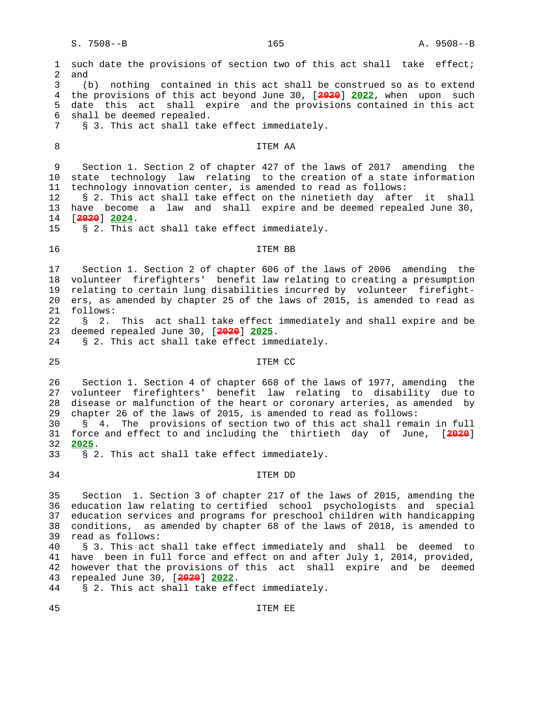1 such date the provisions of section two of this act shall take effect; 2 and 3 (b) nothing contained in this act shall be construed so as to extend 4 the provisions of this act beyond June 30, [**2020**] **2022**, when upon such 5 date this act shall expire and the provisions contained in this act 6 shall be deemed repealed. 7 § 3. This act shall take effect immediately. 8 ITEM AA 9 Section 1. Section 2 of chapter 427 of the laws of 2017 amending the 10 state technology law relating to the creation of a state information 11 technology innovation center, is amended to read as follows: 12 § 2. This act shall take effect on the ninetieth day after it shall 13 have become a law and shall expire and be deemed repealed June 30, 14 [**2020**] **2024**. 15 § 2. This act shall take effect immediately. 16 ITEM BB 17 Section 1. Section 2 of chapter 606 of the laws of 2006 amending the 18 volunteer firefighters' benefit law relating to creating a presumption 19 relating to certain lung disabilities incurred by volunteer firefight- 20 ers, as amended by chapter 25 of the laws of 2015, is amended to read as 21 follows: 22 § 2. This act shall take effect immediately and shall expire and be 23 deemed repealed June 30, [**2020**] **2025**. 24 § 2. This act shall take effect immediately. 25 ITEM CC 26 Section 1. Section 4 of chapter 668 of the laws of 1977, amending the 27 volunteer firefighters' benefit law relating to disability due to 28 disease or malfunction of the heart or coronary arteries, as amended by 29 chapter 26 of the laws of 2015, is amended to read as follows: 30 § 4. The provisions of section two of this act shall remain in full 31 force and effect to and including the thirtieth day of June, [**2020**] 32 **2025**. 33 § 2. This act shall take effect immediately. 34 ITEM DD 35 Section 1. Section 3 of chapter 217 of the laws of 2015, amending the 36 education law relating to certified school psychologists and special 37 education services and programs for preschool children with handicapping 38 conditions, as amended by chapter 68 of the laws of 2018, is amended to 39 read as follows: 40 § 3. This act shall take effect immediately and shall be deemed to 41 have been in full force and effect on and after July 1, 2014, provided, 42 however that the provisions of this act shall expire and be deemed 43 repealed June 30, [**2020**] **2022**. 44 § 2. This act shall take effect immediately. 45 ITEM EE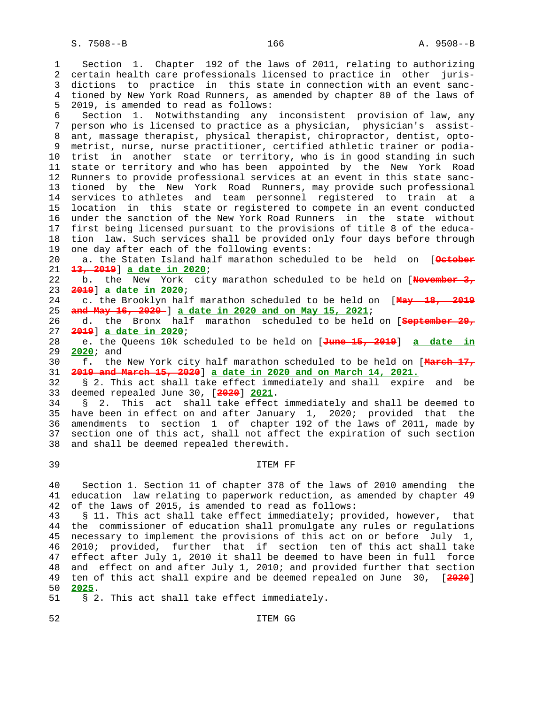1 Section 1. Chapter 192 of the laws of 2011, relating to authorizing 2 certain health care professionals licensed to practice in other juris- 3 dictions to practice in this state in connection with an event sanc- 4 tioned by New York Road Runners, as amended by chapter 80 of the laws of 5 2019, is amended to read as follows:

 6 Section 1. Notwithstanding any inconsistent provision of law, any 7 person who is licensed to practice as a physician, physician's assist- 8 ant, massage therapist, physical therapist, chiropractor, dentist, opto- 9 metrist, nurse, nurse practitioner, certified athletic trainer or podia- 10 trist in another state or territory, who is in good standing in such 11 state or territory and who has been appointed by the New York Road 12 Runners to provide professional services at an event in this state sanc- 13 tioned by the New York Road Runners, may provide such professional 14 services to athletes and team personnel registered to train at a 15 location in this state or registered to compete in an event conducted 16 under the sanction of the New York Road Runners in the state without 17 first being licensed pursuant to the provisions of title 8 of the educa- 18 tion law. Such services shall be provided only four days before through 19 one day after each of the following events:

 20 a. the Staten Island half marathon scheduled to be held on [**October** 21 **13, 2019**] **a date in 2020**;

 22 b. the New York city marathon scheduled to be held on [**November 3,** 23 **2019**] **a date in 2020**;

 24 c. the Brooklyn half marathon scheduled to be held on [**May 18, 2019** 25 **and May 16, 2020** ] **a date in 2020 and on May 15, 2021**;

 26 d. the Bronx half marathon scheduled to be held on [**September 29,** 27 **2019**] **a date in 2020**;

 28 e. the Queens 10k scheduled to be held on [**June 15, 2019**] **a date in** 29 **2020**; and

 30 f. the New York city half marathon scheduled to be held on [**March 17,** 31 **2019 and March 15, 2020**] **a date in 2020 and on March 14, 2021.**

 32 § 2. This act shall take effect immediately and shall expire and be 33 deemed repealed June 30, [**2020**] **2021**.

 34 § 2. This act shall take effect immediately and shall be deemed to 35 have been in effect on and after January 1, 2020; provided that the 36 amendments to section 1 of chapter 192 of the laws of 2011, made by 37 section one of this act, shall not affect the expiration of such section 38 and shall be deemed repealed therewith.

## 39 ITEM FF

 40 Section 1. Section 11 of chapter 378 of the laws of 2010 amending the 41 education law relating to paperwork reduction, as amended by chapter 49 42 of the laws of 2015, is amended to read as follows:

 43 § 11. This act shall take effect immediately; provided, however, that 44 the commissioner of education shall promulgate any rules or regulations 45 necessary to implement the provisions of this act on or before July 1, 46 2010; provided, further that if section ten of this act shall take 47 effect after July 1, 2010 it shall be deemed to have been in full force 48 and effect on and after July 1, 2010; and provided further that section 49 ten of this act shall expire and be deemed repealed on June 30, [**2020**] 50 **2025**.

51 § 2. This act shall take effect immediately.

52 ITEM GG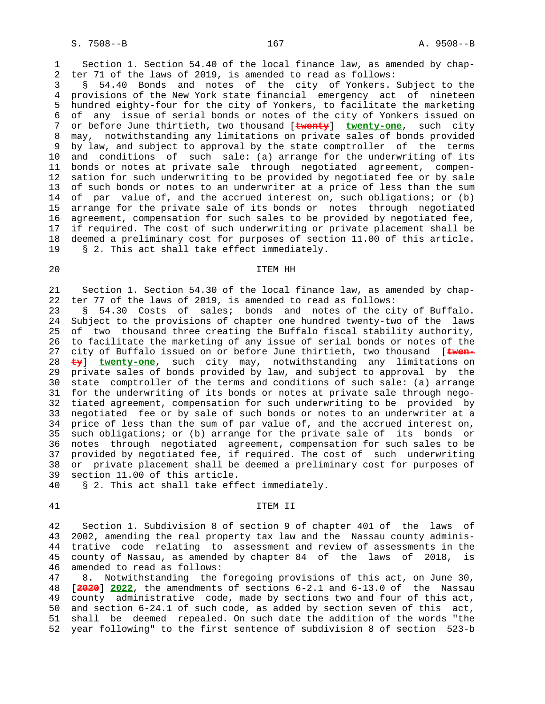1 Section 1. Section 54.40 of the local finance law, as amended by chap- 2 ter 71 of the laws of 2019, is amended to read as follows:

 3 § 54.40 Bonds and notes of the city of Yonkers. Subject to the 4 provisions of the New York state financial emergency act of nineteen 5 hundred eighty-four for the city of Yonkers, to facilitate the marketing 6 of any issue of serial bonds or notes of the city of Yonkers issued on 7 or before June thirtieth, two thousand [**twenty**] **twenty-one**, such city 8 may, notwithstanding any limitations on private sales of bonds provided<br>9 by law, and subject to approval by the state comptroller of the terms by law, and subject to approval by the state comptroller of the terms 10 and conditions of such sale: (a) arrange for the underwriting of its 11 bonds or notes at private sale through negotiated agreement, compen- 12 sation for such underwriting to be provided by negotiated fee or by sale 13 of such bonds or notes to an underwriter at a price of less than the sum 14 of par value of, and the accrued interest on, such obligations; or (b) 15 arrange for the private sale of its bonds or notes through negotiated 16 agreement, compensation for such sales to be provided by negotiated fee, 17 if required. The cost of such underwriting or private placement shall be 18 deemed a preliminary cost for purposes of section 11.00 of this article. 19 § 2. This act shall take effect immediately.

## 20 ITEM HH

 21 Section 1. Section 54.30 of the local finance law, as amended by chap- 22 ter 77 of the laws of 2019, is amended to read as follows:

 23 § 54.30 Costs of sales; bonds and notes of the city of Buffalo. 24 Subject to the provisions of chapter one hundred twenty-two of the laws 25 of two thousand three creating the Buffalo fiscal stability authority, 26 to facilitate the marketing of any issue of serial bonds or notes of the 27 city of Buffalo issued on or before June thirtieth, two thousand [**twen-** 28 **ty**] **twenty-one**, such city may, notwithstanding any limitations on 29 private sales of bonds provided by law, and subject to approval by the 30 state comptroller of the terms and conditions of such sale: (a) arrange 31 for the underwriting of its bonds or notes at private sale through nego- 32 tiated agreement, compensation for such underwriting to be provided by 33 negotiated fee or by sale of such bonds or notes to an underwriter at a 34 price of less than the sum of par value of, and the accrued interest on, 35 such obligations; or (b) arrange for the private sale of its bonds or 36 notes through negotiated agreement, compensation for such sales to be 37 provided by negotiated fee, if required. The cost of such underwriting 38 or private placement shall be deemed a preliminary cost for purposes of 39 section 11.00 of this article.

40 § 2. This act shall take effect immediately.

## 41 ITEM II

 42 Section 1. Subdivision 8 of section 9 of chapter 401 of the laws of 43 2002, amending the real property tax law and the Nassau county adminis- 44 trative code relating to assessment and review of assessments in the 45 county of Nassau, as amended by chapter 84 of the laws of 2018, is 46 amended to read as follows:

 47 8. Notwithstanding the foregoing provisions of this act, on June 30, 48 [**2020**] **2022**, the amendments of sections 6-2.1 and 6-13.0 of the Nassau 49 county administrative code, made by sections two and four of this act, 50 and section 6-24.1 of such code, as added by section seven of this act, 51 shall be deemed repealed. On such date the addition of the words "the 52 year following" to the first sentence of subdivision 8 of section 523-b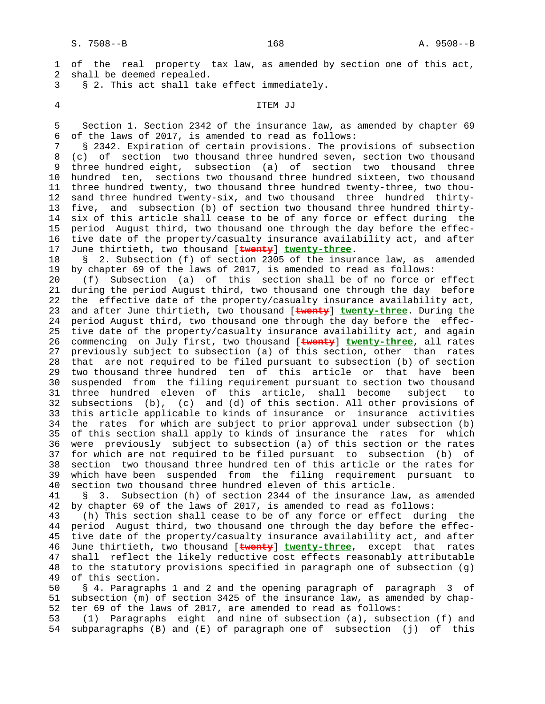1 of the real property tax law, as amended by section one of this act, 2 shall be deemed repealed.

3 § 2. This act shall take effect immediately.

4 ITEM JJ

 5 Section 1. Section 2342 of the insurance law, as amended by chapter 69 6 of the laws of 2017, is amended to read as follows:

§ 2342. Expiration of certain provisions. The provisions of subsection 8 (c) of section two thousand three hundred seven, section two thousand 9 three hundred eight, subsection (a) of section two thousand three 10 hundred ten, sections two thousand three hundred sixteen, two thousand 11 three hundred twenty, two thousand three hundred twenty-three, two thou- 12 sand three hundred twenty-six, and two thousand three hundred thirty- 13 five, and subsection (b) of section two thousand three hundred thirty- 14 six of this article shall cease to be of any force or effect during the 15 period August third, two thousand one through the day before the effec- 16 tive date of the property/casualty insurance availability act, and after 17 June thirtieth, two thousand [**twenty**] **twenty-three**.

 18 § 2. Subsection (f) of section 2305 of the insurance law, as amended 19 by chapter 69 of the laws of 2017, is amended to read as follows:

 20 (f) Subsection (a) of this section shall be of no force or effect 21 during the period August third, two thousand one through the day before 22 the effective date of the property/casualty insurance availability act, 23 and after June thirtieth, two thousand [**twenty**] **twenty-three**. During the 24 period August third, two thousand one through the day before the effec- 25 tive date of the property/casualty insurance availability act, and again 26 commencing on July first, two thousand [**twenty**] **twenty-three**, all rates 27 previously subject to subsection (a) of this section, other than rates 28 that are not required to be filed pursuant to subsection (b) of section 29 two thousand three hundred ten of this article or that have been 30 suspended from the filing requirement pursuant to section two thousand 31 three hundred eleven of this article, shall become subject to 32 subsections (b), (c) and (d) of this section. All other provisions of 33 this article applicable to kinds of insurance or insurance activities 34 the rates for which are subject to prior approval under subsection (b) 35 of this section shall apply to kinds of insurance the rates for which 36 were previously subject to subsection (a) of this section or the rates 37 for which are not required to be filed pursuant to subsection (b) of 38 section two thousand three hundred ten of this article or the rates for 39 which have been suspended from the filing requirement pursuant to 40 section two thousand three hundred eleven of this article.

 41 § 3. Subsection (h) of section 2344 of the insurance law, as amended 42 by chapter 69 of the laws of 2017, is amended to read as follows:

 43 (h) This section shall cease to be of any force or effect during the 44 period August third, two thousand one through the day before the effec- 45 tive date of the property/casualty insurance availability act, and after 46 June thirtieth, two thousand [**twenty**] **twenty-three**, except that rates 47 shall reflect the likely reductive cost effects reasonably attributable 48 to the statutory provisions specified in paragraph one of subsection (g) 49 of this section.

 50 § 4. Paragraphs 1 and 2 and the opening paragraph of paragraph 3 of 51 subsection (m) of section 3425 of the insurance law, as amended by chap- 52 ter 69 of the laws of 2017, are amended to read as follows:

 53 (1) Paragraphs eight and nine of subsection (a), subsection (f) and 54 subparagraphs (B) and (E) of paragraph one of subsection (j) of this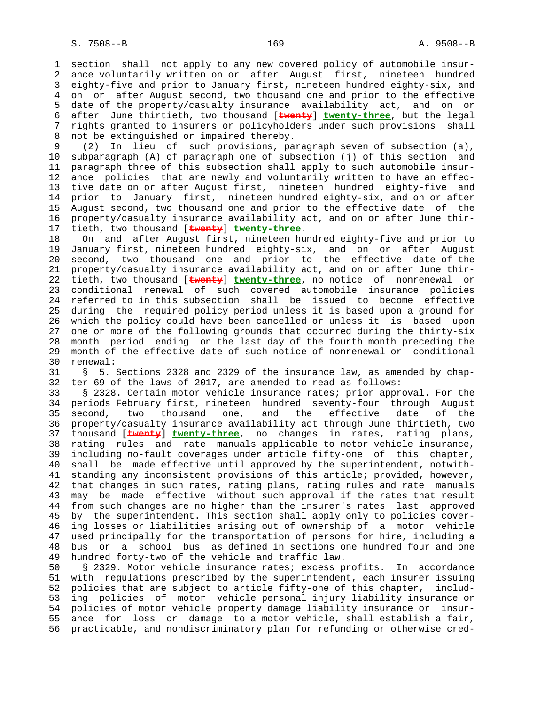1 section shall not apply to any new covered policy of automobile insur- 2 ance voluntarily written on or after August first, nineteen hundred 3 eighty-five and prior to January first, nineteen hundred eighty-six, and 4 on or after August second, two thousand one and prior to the effective 5 date of the property/casualty insurance availability act, and on or 6 after June thirtieth, two thousand [**twenty**] **twenty-three**, but the legal 7 rights granted to insurers or policyholders under such provisions shall 8 not be extinguished or impaired thereby.<br>9 (2) In lieu of such provisions, pa

 9 (2) In lieu of such provisions, paragraph seven of subsection (a), 10 subparagraph (A) of paragraph one of subsection (j) of this section and 11 paragraph three of this subsection shall apply to such automobile insur- 12 ance policies that are newly and voluntarily written to have an effec- 13 tive date on or after August first, nineteen hundred eighty-five and 14 prior to January first, nineteen hundred eighty-six, and on or after 15 August second, two thousand one and prior to the effective date of the 16 property/casualty insurance availability act, and on or after June thir- 17 tieth, two thousand [**twenty**] **twenty-three**.

 18 On and after August first, nineteen hundred eighty-five and prior to 19 January first, nineteen hundred eighty-six, and on or after August 20 second, two thousand one and prior to the effective date of the 21 property/casualty insurance availability act, and on or after June thir- 22 tieth, two thousand [**twenty**] **twenty-three**, no notice of nonrenewal or 23 conditional renewal of such covered automobile insurance policies 24 referred to in this subsection shall be issued to become effective 25 during the required policy period unless it is based upon a ground for 26 which the policy could have been cancelled or unless it is based upon 27 one or more of the following grounds that occurred during the thirty-six 28 month period ending on the last day of the fourth month preceding the 29 month of the effective date of such notice of nonrenewal or conditional 30 renewal:

 31 § 5. Sections 2328 and 2329 of the insurance law, as amended by chap- 32 ter 69 of the laws of 2017, are amended to read as follows:

 33 § 2328. Certain motor vehicle insurance rates; prior approval. For the 34 periods February first, nineteen hundred seventy-four through August 35 second, two thousand one, and the effective date of the 36 property/casualty insurance availability act through June thirtieth, two 37 thousand [**twenty**] **twenty-three**, no changes in rates, rating plans, 38 rating rules and rate manuals applicable to motor vehicle insurance, 39 including no-fault coverages under article fifty-one of this chapter, 40 shall be made effective until approved by the superintendent, notwith- 41 standing any inconsistent provisions of this article; provided, however, 42 that changes in such rates, rating plans, rating rules and rate manuals 43 may be made effective without such approval if the rates that result 44 from such changes are no higher than the insurer's rates last approved 45 by the superintendent. This section shall apply only to policies cover- 46 ing losses or liabilities arising out of ownership of a motor vehicle 47 used principally for the transportation of persons for hire, including a 48 bus or a school bus as defined in sections one hundred four and one 49 hundred forty-two of the vehicle and traffic law.

 50 § 2329. Motor vehicle insurance rates; excess profits. In accordance 51 with regulations prescribed by the superintendent, each insurer issuing 52 policies that are subject to article fifty-one of this chapter, includ- 53 ing policies of motor vehicle personal injury liability insurance or 54 policies of motor vehicle property damage liability insurance or insur- 55 ance for loss or damage to a motor vehicle, shall establish a fair, 56 practicable, and nondiscriminatory plan for refunding or otherwise cred-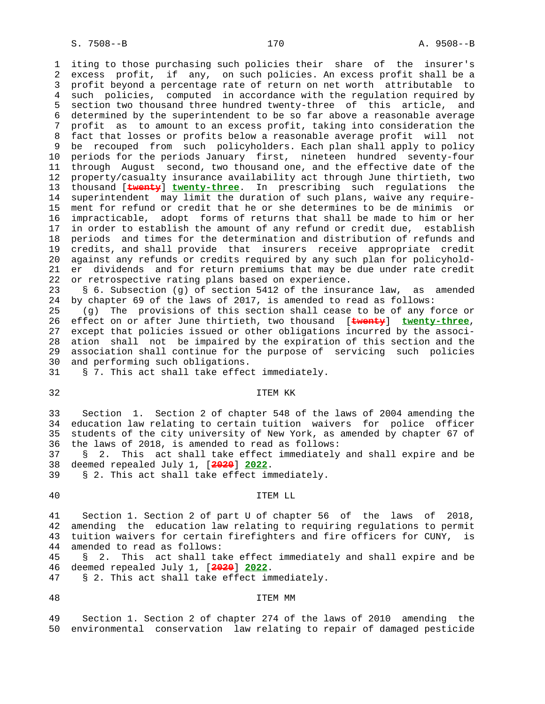1 iting to those purchasing such policies their share of the insurer's 2 excess profit, if any, on such policies. An excess profit shall be a 3 profit beyond a percentage rate of return on net worth attributable to 4 such policies, computed in accordance with the regulation required by 5 section two thousand three hundred twenty-three of this article, and 6 determined by the superintendent to be so far above a reasonable average 7 profit as to amount to an excess profit, taking into consideration the 8 fact that losses or profits below a reasonable average profit will not 9 be recouped from such policyholders. Each plan shall apply to policy 10 periods for the periods January first, nineteen hundred seventy-four 11 through August second, two thousand one, and the effective date of the 12 property/casualty insurance availability act through June thirtieth, two 13 thousand [**twenty**] **twenty-three**. In prescribing such regulations the 14 superintendent may limit the duration of such plans, waive any require- 15 ment for refund or credit that he or she determines to be de minimis or 16 impracticable, adopt forms of returns that shall be made to him or her 17 in order to establish the amount of any refund or credit due, establish 18 periods and times for the determination and distribution of refunds and 19 credits, and shall provide that insurers receive appropriate credit 20 against any refunds or credits required by any such plan for policyhold- 21 er dividends and for return premiums that may be due under rate credit 22 or retrospective rating plans based on experience.

 23 § 6. Subsection (g) of section 5412 of the insurance law, as amended 24 by chapter 69 of the laws of 2017, is amended to read as follows:

 25 (g) The provisions of this section shall cease to be of any force or 26 effect on or after June thirtieth, two thousand [**twenty**] **twenty-three**, 27 except that policies issued or other obligations incurred by the associ- 28 ation shall not be impaired by the expiration of this section and the 29 association shall continue for the purpose of servicing such policies 30 and performing such obligations.

31 § 7. This act shall take effect immediately.

## 32 ITEM KK

 33 Section 1. Section 2 of chapter 548 of the laws of 2004 amending the 34 education law relating to certain tuition waivers for police officer 35 students of the city university of New York, as amended by chapter 67 of 36 the laws of 2018, is amended to read as follows:

 37 § 2. This act shall take effect immediately and shall expire and be 38 deemed repealed July 1, [**2020**] **2022**.

39 § 2. This act shall take effect immediately.

40 ITEM LL

 41 Section 1. Section 2 of part U of chapter 56 of the laws of 2018, 42 amending the education law relating to requiring regulations to permit 43 tuition waivers for certain firefighters and fire officers for CUNY, is 44 amended to read as follows:

 45 § 2. This act shall take effect immediately and shall expire and be 46 deemed repealed July 1, [**2020**] **2022**.

47 § 2. This act shall take effect immediately.

## 48 ITEM MM

 49 Section 1. Section 2 of chapter 274 of the laws of 2010 amending the 50 environmental conservation law relating to repair of damaged pesticide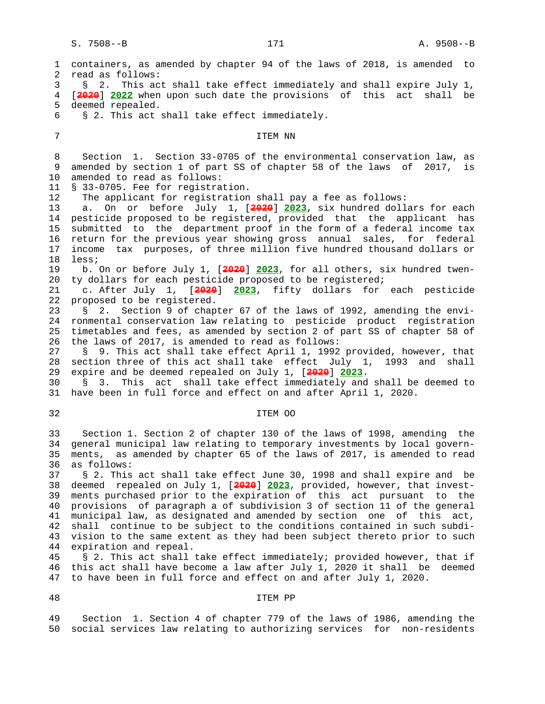1 containers, as amended by chapter 94 of the laws of 2018, is amended to 2 read as follows: 3 § 2. This act shall take effect immediately and shall expire July 1, 4 [**2020**] **2022** when upon such date the provisions of this act shall be 5 deemed repealed. 6 § 2. This act shall take effect immediately. 7 ITEM NN 8 Section 1. Section 33-0705 of the environmental conservation law, as 9 amended by section 1 of part SS of chapter 58 of the laws of 2017, is 10 amended to read as follows: 11 § 33-0705. Fee for registration. 12 The applicant for registration shall pay a fee as follows: 13 a. On or before July 1, [**2020**] **2023**, six hundred dollars for each 14 pesticide proposed to be registered, provided that the applicant has 15 submitted to the department proof in the form of a federal income tax 16 return for the previous year showing gross annual sales, for federal 17 income tax purposes, of three million five hundred thousand dollars or 18 less; 19 b. On or before July 1, [**2020**] **2023**, for all others, six hundred twen- 20 ty dollars for each pesticide proposed to be registered; 21 c. After July 1, [**2020**] **2023**, fifty dollars for each pesticide 22 proposed to be registered. 23 § 2. Section 9 of chapter 67 of the laws of 1992, amending the envi- 24 ronmental conservation law relating to pesticide product registration 25 timetables and fees, as amended by section 2 of part SS of chapter 58 of 26 the laws of 2017, is amended to read as follows: 27 § 9. This act shall take effect April 1, 1992 provided, however, that 28 section three of this act shall take effect July 1, 1993 and shall 29 expire and be deemed repealed on July 1, [**2020**] **2023**. 30 § 3. This act shall take effect immediately and shall be deemed to 31 have been in full force and effect on and after April 1, 2020. 32 ITEM OO 33 Section 1. Section 2 of chapter 130 of the laws of 1998, amending the 34 general municipal law relating to temporary investments by local govern- 35 ments, as amended by chapter 65 of the laws of 2017, is amended to read 36 as follows: 37 § 2. This act shall take effect June 30, 1998 and shall expire and be 38 deemed repealed on July 1, [**2020**] **2023**, provided, however, that invest- 39 ments purchased prior to the expiration of this act pursuant to the 40 provisions of paragraph a of subdivision 3 of section 11 of the general 41 municipal law, as designated and amended by section one of this act, 42 shall continue to be subject to the conditions contained in such subdi- 43 vision to the same extent as they had been subject thereto prior to such 44 expiration and repeal. 45 § 2. This act shall take effect immediately; provided however, that if 46 this act shall have become a law after July 1, 2020 it shall be deemed 47 to have been in full force and effect on and after July 1, 2020. 48 ITEM PP 49 Section 1. Section 4 of chapter 779 of the laws of 1986, amending the 50 social services law relating to authorizing services for non-residents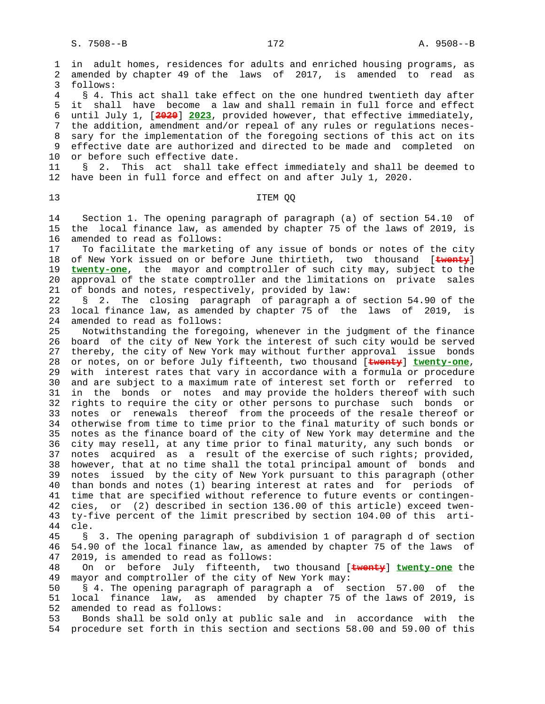1 in adult homes, residences for adults and enriched housing programs, as 2 amended by chapter 49 of the laws of 2017, is amended to read as 3 follows:

 4 § 4. This act shall take effect on the one hundred twentieth day after 5 it shall have become a law and shall remain in full force and effect 6 until July 1, [**2020**] **2023**, provided however, that effective immediately, 7 the addition, amendment and/or repeal of any rules or regulations neces- 8 sary for the implementation of the foregoing sections of this act on its<br>9 effective date are authorized and directed to be made and completed on 9 effective date are authorized and directed to be made and completed on 10 or before such effective date.

 11 § 2. This act shall take effect immediately and shall be deemed to 12 have been in full force and effect on and after July 1, 2020.

# 13 ITEM QQ

 14 Section 1. The opening paragraph of paragraph (a) of section 54.10 of 15 the local finance law, as amended by chapter 75 of the laws of 2019, is 16 amended to read as follows:

 17 To facilitate the marketing of any issue of bonds or notes of the city 18 of New York issued on or before June thirtieth, two thousand [**twenty**] 19 **twenty-one**, the mayor and comptroller of such city may, subject to the 20 approval of the state comptroller and the limitations on private sales 21 of bonds and notes, respectively, provided by law:

 22 § 2. The closing paragraph of paragraph a of section 54.90 of the 23 local finance law, as amended by chapter 75 of the laws of 2019, is 24 amended to read as follows:

 25 Notwithstanding the foregoing, whenever in the judgment of the finance 26 board of the city of New York the interest of such city would be served 27 thereby, the city of New York may without further approval issue bonds 28 or notes, on or before July fifteenth, two thousand [**twenty**] **twenty-one**, 29 with interest rates that vary in accordance with a formula or procedure 30 and are subject to a maximum rate of interest set forth or referred to 31 in the bonds or notes and may provide the holders thereof with such 32 rights to require the city or other persons to purchase such bonds or 33 notes or renewals thereof from the proceeds of the resale thereof or 34 otherwise from time to time prior to the final maturity of such bonds or 35 notes as the finance board of the city of New York may determine and the 36 city may resell, at any time prior to final maturity, any such bonds or 37 notes acquired as a result of the exercise of such rights; provided, 38 however, that at no time shall the total principal amount of bonds and 39 notes issued by the city of New York pursuant to this paragraph (other 40 than bonds and notes (1) bearing interest at rates and for periods of 41 time that are specified without reference to future events or contingen- 42 cies, or (2) described in section 136.00 of this article) exceed twen- 43 ty-five percent of the limit prescribed by section 104.00 of this arti- 44 cle.

 45 § 3. The opening paragraph of subdivision 1 of paragraph d of section 46 54.90 of the local finance law, as amended by chapter 75 of the laws of 47 2019, is amended to read as follows:

 48 On or before July fifteenth, two thousand [**twenty**] **twenty-one** the 49 mayor and comptroller of the city of New York may:

 50 § 4. The opening paragraph of paragraph a of section 57.00 of the 51 local finance law, as amended by chapter 75 of the laws of 2019, is 52 amended to read as follows:

 53 Bonds shall be sold only at public sale and in accordance with the 54 procedure set forth in this section and sections 58.00 and 59.00 of this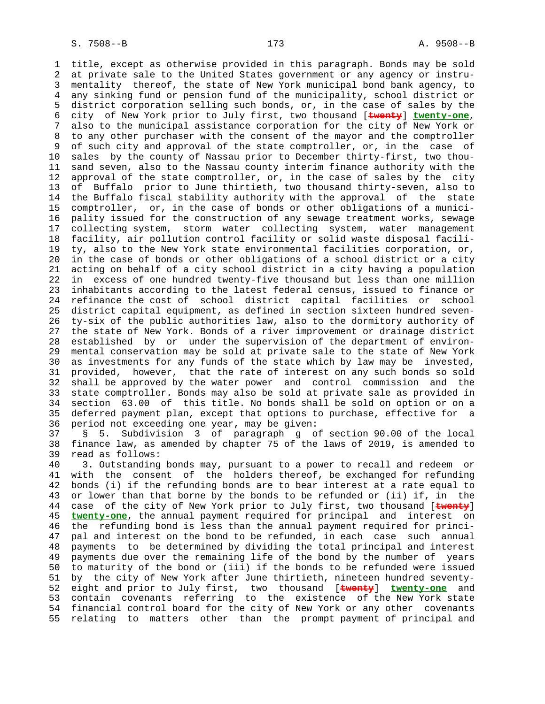1 title, except as otherwise provided in this paragraph. Bonds may be sold 2 at private sale to the United States government or any agency or instru- 3 mentality thereof, the state of New York municipal bond bank agency, to 4 any sinking fund or pension fund of the municipality, school district or 5 district corporation selling such bonds, or, in the case of sales by the 6 city of New York prior to July first, two thousand [**twenty**] **twenty-one**, 7 also to the municipal assistance corporation for the city of New York or 8 to any other purchaser with the consent of the mayor and the comptroller<br>9 of such city and approval of the state comptroller, or, in the case of 9 of such city and approval of the state comptroller, or, in the case of 10 sales by the county of Nassau prior to December thirty-first, two thou- 11 sand seven, also to the Nassau county interim finance authority with the 12 approval of the state comptroller, or, in the case of sales by the city 13 of Buffalo prior to June thirtieth, two thousand thirty-seven, also to 14 the Buffalo fiscal stability authority with the approval of the state 15 comptroller, or, in the case of bonds or other obligations of a munici- 16 pality issued for the construction of any sewage treatment works, sewage 17 collecting system, storm water collecting system, water management 18 facility, air pollution control facility or solid waste disposal facili- 19 ty, also to the New York state environmental facilities corporation, or, 20 in the case of bonds or other obligations of a school district or a city 21 acting on behalf of a city school district in a city having a population 22 in excess of one hundred twenty-five thousand but less than one million 23 inhabitants according to the latest federal census, issued to finance or 24 refinance the cost of school district capital facilities or school 25 district capital equipment, as defined in section sixteen hundred seven- 26 ty-six of the public authorities law, also to the dormitory authority of 27 the state of New York. Bonds of a river improvement or drainage district 28 established by or under the supervision of the department of environ- 29 mental conservation may be sold at private sale to the state of New York 30 as investments for any funds of the state which by law may be invested, 31 provided, however, that the rate of interest on any such bonds so sold 32 shall be approved by the water power and control commission and the 33 state comptroller. Bonds may also be sold at private sale as provided in 34 section 63.00 of this title. No bonds shall be sold on option or on a 35 deferred payment plan, except that options to purchase, effective for a 36 period not exceeding one year, may be given:

 37 § 5. Subdivision 3 of paragraph g of section 90.00 of the local 38 finance law, as amended by chapter 75 of the laws of 2019, is amended to 39 read as follows:

 40 3. Outstanding bonds may, pursuant to a power to recall and redeem or 41 with the consent of the holders thereof, be exchanged for refunding 42 bonds (i) if the refunding bonds are to bear interest at a rate equal to 43 or lower than that borne by the bonds to be refunded or (ii) if, in the 44 case of the city of New York prior to July first, two thousand [**twenty**] 45 **twenty-one**, the annual payment required for principal and interest on 46 the refunding bond is less than the annual payment required for princi- 47 pal and interest on the bond to be refunded, in each case such annual 48 payments to be determined by dividing the total principal and interest 49 payments due over the remaining life of the bond by the number of years 50 to maturity of the bond or (iii) if the bonds to be refunded were issued 51 by the city of New York after June thirtieth, nineteen hundred seventy- 52 eight and prior to July first, two thousand [**twenty**] **twenty-one** and 53 contain covenants referring to the existence of the New York state 54 financial control board for the city of New York or any other covenants 55 relating to matters other than the prompt payment of principal and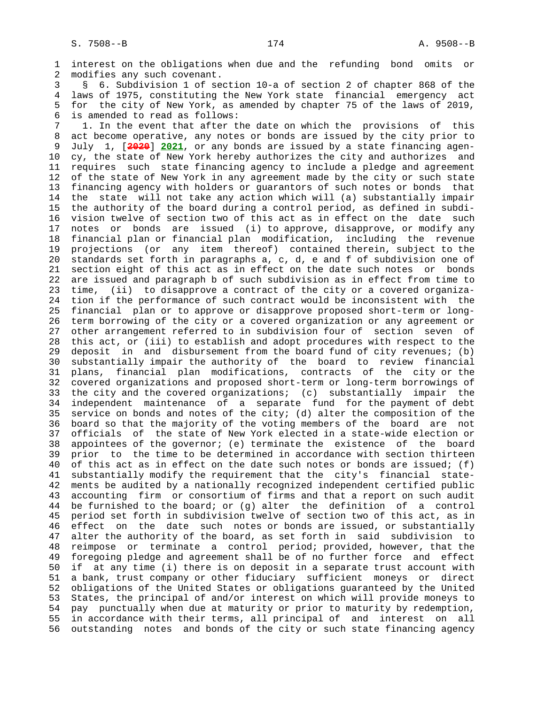1 interest on the obligations when due and the refunding bond omits or 2 modifies any such covenant.

 3 § 6. Subdivision 1 of section 10-a of section 2 of chapter 868 of the 4 laws of 1975, constituting the New York state financial emergency act 5 for the city of New York, as amended by chapter 75 of the laws of 2019, 6 is amended to read as follows:

 7 1. In the event that after the date on which the provisions of this 8 act become operative, any notes or bonds are issued by the city prior to<br>9 July 1, [2020] 2021, or any bonds are issued by a state financing agen- 9 July 1, [**2020**] **2021**, or any bonds are issued by a state financing agen- 10 cy, the state of New York hereby authorizes the city and authorizes and 11 requires such state financing agency to include a pledge and agreement 12 of the state of New York in any agreement made by the city or such state 13 financing agency with holders or guarantors of such notes or bonds that 14 the state will not take any action which will (a) substantially impair 15 the authority of the board during a control period, as defined in subdi- 16 vision twelve of section two of this act as in effect on the date such 17 notes or bonds are issued (i) to approve, disapprove, or modify any 18 financial plan or financial plan modification, including the revenue 19 projections (or any item thereof) contained therein, subject to the 20 standards set forth in paragraphs a, c, d, e and f of subdivision one of 21 section eight of this act as in effect on the date such notes or bonds 22 are issued and paragraph b of such subdivision as in effect from time to 23 time, (ii) to disapprove a contract of the city or a covered organiza- 24 tion if the performance of such contract would be inconsistent with the 25 financial plan or to approve or disapprove proposed short-term or long- 26 term borrowing of the city or a covered organization or any agreement or 27 other arrangement referred to in subdivision four of section seven of 28 this act, or (iii) to establish and adopt procedures with respect to the 29 deposit in and disbursement from the board fund of city revenues; (b) 30 substantially impair the authority of the board to review financial 31 plans, financial plan modifications, contracts of the city or the 32 covered organizations and proposed short-term or long-term borrowings of 33 the city and the covered organizations; (c) substantially impair the 34 independent maintenance of a separate fund for the payment of debt 35 service on bonds and notes of the city; (d) alter the composition of the 36 board so that the majority of the voting members of the board are not 37 officials of the state of New York elected in a state-wide election or 38 appointees of the governor; (e) terminate the existence of the board 39 prior to the time to be determined in accordance with section thirteen 40 of this act as in effect on the date such notes or bonds are issued; (f) 41 substantially modify the requirement that the city's financial state- 42 ments be audited by a nationally recognized independent certified public 43 accounting firm or consortium of firms and that a report on such audit 44 be furnished to the board; or (g) alter the definition of a control 45 period set forth in subdivision twelve of section two of this act, as in 46 effect on the date such notes or bonds are issued, or substantially 47 alter the authority of the board, as set forth in said subdivision to 48 reimpose or terminate a control period; provided, however, that the 49 foregoing pledge and agreement shall be of no further force and effect 50 if at any time (i) there is on deposit in a separate trust account with 51 a bank, trust company or other fiduciary sufficient moneys or direct 52 obligations of the United States or obligations guaranteed by the United 53 States, the principal of and/or interest on which will provide moneys to 54 pay punctually when due at maturity or prior to maturity by redemption, 55 in accordance with their terms, all principal of and interest on all 56 outstanding notes and bonds of the city or such state financing agency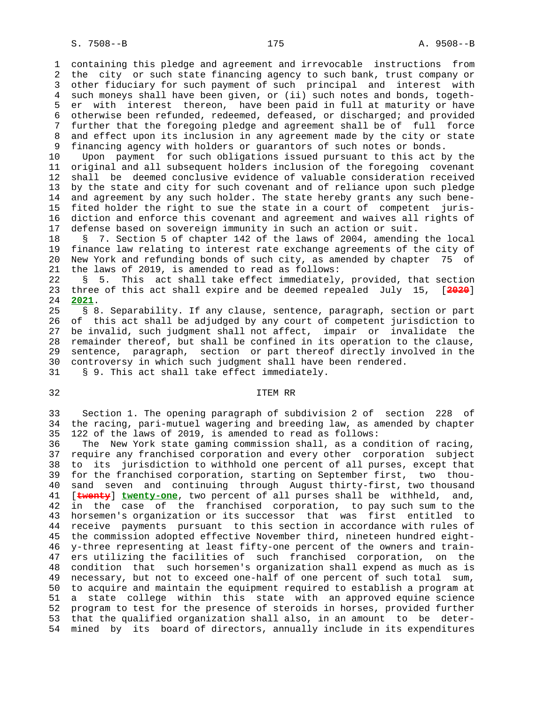1 containing this pledge and agreement and irrevocable instructions from 2 the city or such state financing agency to such bank, trust company or 3 other fiduciary for such payment of such principal and interest with 4 such moneys shall have been given, or (ii) such notes and bonds, togeth- 5 er with interest thereon, have been paid in full at maturity or have 6 otherwise been refunded, redeemed, defeased, or discharged; and provided 7 further that the foregoing pledge and agreement shall be of full force 8 and effect upon its inclusion in any agreement made by the city or state<br>9 financing agency with holders or guarantors of such notes or bonds. financing agency with holders or guarantors of such notes or bonds.

 10 Upon payment for such obligations issued pursuant to this act by the 11 original and all subsequent holders inclusion of the foregoing covenant 12 shall be deemed conclusive evidence of valuable consideration received 13 by the state and city for such covenant and of reliance upon such pledge 14 and agreement by any such holder. The state hereby grants any such bene- 15 fited holder the right to sue the state in a court of competent juris- 16 diction and enforce this covenant and agreement and waives all rights of 17 defense based on sovereign immunity in such an action or suit.

 18 § 7. Section 5 of chapter 142 of the laws of 2004, amending the local 19 finance law relating to interest rate exchange agreements of the city of 20 New York and refunding bonds of such city, as amended by chapter 75 of 21 the laws of 2019, is amended to read as follows:

 22 § 5. This act shall take effect immediately, provided, that section 23 three of this act shall expire and be deemed repealed July 15, [**2020**] 24 **2021**.

 25 § 8. Separability. If any clause, sentence, paragraph, section or part 26 of this act shall be adjudged by any court of competent jurisdiction to 27 be invalid, such judgment shall not affect, impair or invalidate the 28 remainder thereof, but shall be confined in its operation to the clause, 29 sentence, paragraph, section or part thereof directly involved in the 30 controversy in which such judgment shall have been rendered.

31 § 9. This act shall take effect immediately.

# 32 ITEM RR

 33 Section 1. The opening paragraph of subdivision 2 of section 228 of 34 the racing, pari-mutuel wagering and breeding law, as amended by chapter 35 122 of the laws of 2019, is amended to read as follows:

 36 The New York state gaming commission shall, as a condition of racing, 37 require any franchised corporation and every other corporation subject 38 to its jurisdiction to withhold one percent of all purses, except that 39 for the franchised corporation, starting on September first, two thou- 40 sand seven and continuing through August thirty-first, two thousand 41 [**twenty**] **twenty-one**, two percent of all purses shall be withheld, and, 42 in the case of the franchised corporation, to pay such sum to the 43 horsemen's organization or its successor that was first entitled to 44 receive payments pursuant to this section in accordance with rules of 45 the commission adopted effective November third, nineteen hundred eight- 46 y-three representing at least fifty-one percent of the owners and train- 47 ers utilizing the facilities of such franchised corporation, on the 48 condition that such horsemen's organization shall expend as much as is 49 necessary, but not to exceed one-half of one percent of such total sum, 50 to acquire and maintain the equipment required to establish a program at 51 a state college within this state with an approved equine science 52 program to test for the presence of steroids in horses, provided further 53 that the qualified organization shall also, in an amount to be deter- 54 mined by its board of directors, annually include in its expenditures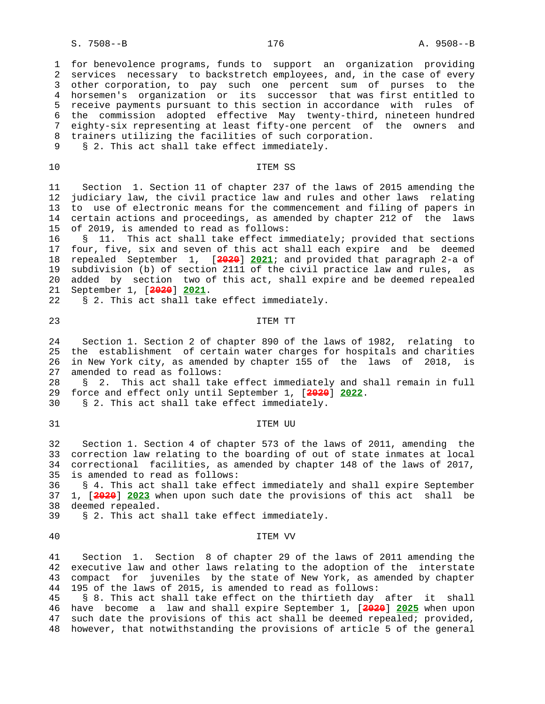1 for benevolence programs, funds to support an organization providing 2 services necessary to backstretch employees, and, in the case of every 3 other corporation, to pay such one percent sum of purses to the 4 horsemen's organization or its successor that was first entitled to 5 receive payments pursuant to this section in accordance with rules of 6 the commission adopted effective May twenty-third, nineteen hundred 7 eighty-six representing at least fifty-one percent of the owners and 8 trainers utilizing the facilities of such corporation.

9 § 2. This act shall take effect immediately.

10 ITEM SS

 11 Section 1. Section 11 of chapter 237 of the laws of 2015 amending the 12 judiciary law, the civil practice law and rules and other laws relating 13 to use of electronic means for the commencement and filing of papers in 14 certain actions and proceedings, as amended by chapter 212 of the laws 15 of 2019, is amended to read as follows:

 16 § 11. This act shall take effect immediately; provided that sections 17 four, five, six and seven of this act shall each expire and be deemed 18 repealed September 1, [**2020**] **2021**; and provided that paragraph 2-a of 19 subdivision (b) of section 2111 of the civil practice law and rules, as 20 added by section two of this act, shall expire and be deemed repealed 21 September 1, [**2020**] **2021**.

22 § 2. This act shall take effect immediately.

## 23 ITEM TT

 24 Section 1. Section 2 of chapter 890 of the laws of 1982, relating to 25 the establishment of certain water charges for hospitals and charities 26 in New York city, as amended by chapter 155 of the laws of 2018, is 27 amended to read as follows:

 28 § 2. This act shall take effect immediately and shall remain in full 29 force and effect only until September 1, [**2020**] **2022**.

30 § 2. This act shall take effect immediately.

### 31 ITEM UU

 32 Section 1. Section 4 of chapter 573 of the laws of 2011, amending the 33 correction law relating to the boarding of out of state inmates at local 34 correctional facilities, as amended by chapter 148 of the laws of 2017, 35 is amended to read as follows:

 36 § 4. This act shall take effect immediately and shall expire September 37 1, [**2020**] **2023** when upon such date the provisions of this act shall be 38 deemed repealed.

39 § 2. This act shall take effect immediately.

### 40 ITEM VV

 41 Section 1. Section 8 of chapter 29 of the laws of 2011 amending the 42 executive law and other laws relating to the adoption of the interstate 43 compact for juveniles by the state of New York, as amended by chapter 44 195 of the laws of 2015, is amended to read as follows:

 45 § 8. This act shall take effect on the thirtieth day after it shall 46 have become a law and shall expire September 1, [**2020**] **2025** when upon 47 such date the provisions of this act shall be deemed repealed; provided, 48 however, that notwithstanding the provisions of article 5 of the general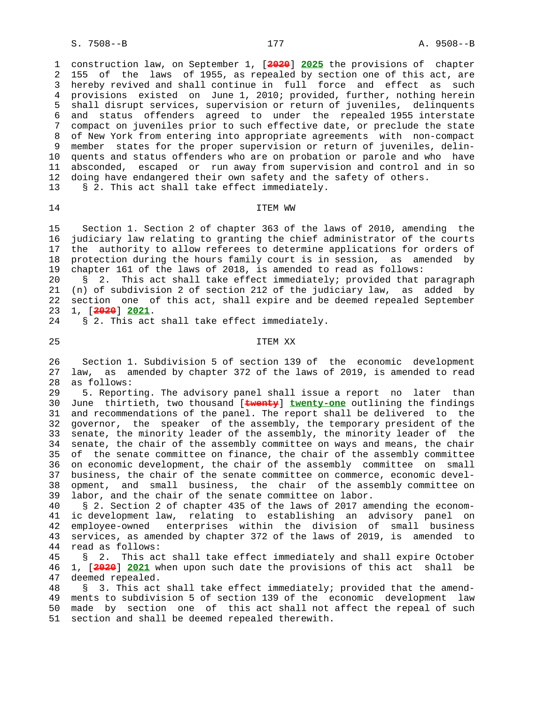1 construction law, on September 1, [**2020**] **2025** the provisions of chapter 2 155 of the laws of 1955, as repealed by section one of this act, are 3 hereby revived and shall continue in full force and effect as such 4 provisions existed on June 1, 2010; provided, further, nothing herein 5 shall disrupt services, supervision or return of juveniles, delinquents 6 and status offenders agreed to under the repealed 1955 interstate 7 compact on juveniles prior to such effective date, or preclude the state 8 of New York from entering into appropriate agreements with non-compact 9 member states for the proper supervision or return of juveniles, delin- 10 quents and status offenders who are on probation or parole and who have 11 absconded, escaped or run away from supervision and control and in so 12 doing have endangered their own safety and the safety of others. 13 § 2. This act shall take effect immediately.

## 14 ITEM WW

 15 Section 1. Section 2 of chapter 363 of the laws of 2010, amending the 16 judiciary law relating to granting the chief administrator of the courts 17 the authority to allow referees to determine applications for orders of 18 protection during the hours family court is in session, as amended by 19 chapter 161 of the laws of 2018, is amended to read as follows:

 20 § 2. This act shall take effect immediately; provided that paragraph 21 (n) of subdivision 2 of section 212 of the judiciary law, as added by 22 section one of this act, shall expire and be deemed repealed September 23 1, [**2020**] **2021**.

24 § 2. This act shall take effect immediately.

# 25 ITEM XX

 26 Section 1. Subdivision 5 of section 139 of the economic development 27 law, as amended by chapter 372 of the laws of 2019, is amended to read 28 as follows:

 29 5. Reporting. The advisory panel shall issue a report no later than 30 June thirtieth, two thousand [**twenty**] **twenty-one** outlining the findings 31 and recommendations of the panel. The report shall be delivered to the 32 governor, the speaker of the assembly, the temporary president of the 33 senate, the minority leader of the assembly, the minority leader of the 34 senate, the chair of the assembly committee on ways and means, the chair 35 of the senate committee on finance, the chair of the assembly committee 36 on economic development, the chair of the assembly committee on small 37 business, the chair of the senate committee on commerce, economic devel- 38 opment, and small business, the chair of the assembly committee on 39 labor, and the chair of the senate committee on labor.

 40 § 2. Section 2 of chapter 435 of the laws of 2017 amending the econom- 41 ic development law, relating to establishing an advisory panel on 42 employee-owned enterprises within the division of small business 43 services, as amended by chapter 372 of the laws of 2019, is amended to 44 read as follows:

 45 § 2. This act shall take effect immediately and shall expire October 46 1, [**2020**] **2021** when upon such date the provisions of this act shall be 47 deemed repealed.

 48 § 3. This act shall take effect immediately; provided that the amend- 49 ments to subdivision 5 of section 139 of the economic development law 50 made by section one of this act shall not affect the repeal of such 51 section and shall be deemed repealed therewith.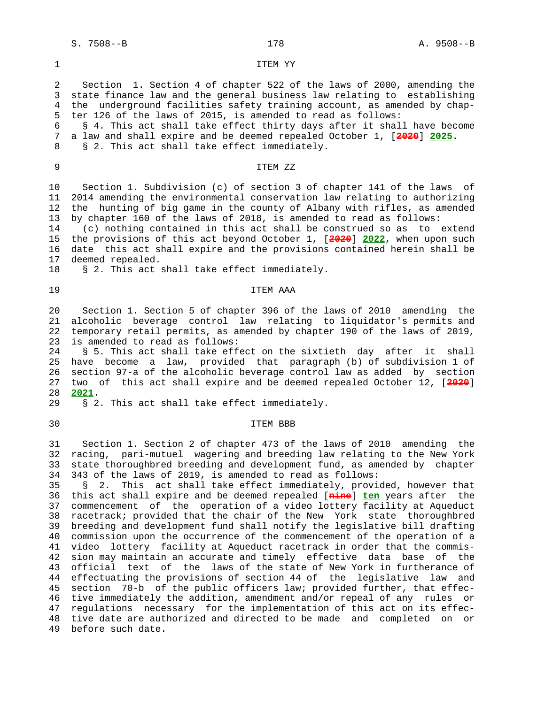# 1 ITEM YY

 2 Section 1. Section 4 of chapter 522 of the laws of 2000, amending the 3 state finance law and the general business law relating to establishing 4 the underground facilities safety training account, as amended by chap- 5 ter 126 of the laws of 2015, is amended to read as follows: 6 § 4. This act shall take effect thirty days after it shall have become

7 a law and shall expire and be deemed repealed October 1, [**2020**] **2025**.

§ 2. This act shall take effect immediately.

9 ITEM ZZ

 10 Section 1. Subdivision (c) of section 3 of chapter 141 of the laws of 11 2014 amending the environmental conservation law relating to authorizing 12 the hunting of big game in the county of Albany with rifles, as amended 13 by chapter 160 of the laws of 2018, is amended to read as follows:

 14 (c) nothing contained in this act shall be construed so as to extend 15 the provisions of this act beyond October 1, [**2020**] **2022**, when upon such 16 date this act shall expire and the provisions contained herein shall be 17 deemed repealed.

18 § 2. This act shall take effect immediately.

## 19 ITEM AAA

 20 Section 1. Section 5 of chapter 396 of the laws of 2010 amending the 21 alcoholic beverage control law relating to liquidator's permits and 22 temporary retail permits, as amended by chapter 190 of the laws of 2019, 23 is amended to read as follows:

 24 § 5. This act shall take effect on the sixtieth day after it shall 25 have become a law, provided that paragraph (b) of subdivision 1 of 26 section 97-a of the alcoholic beverage control law as added by section 27 two of this act shall expire and be deemed repealed October 12, [**2020**] 28 **2021**.

29 § 2. This act shall take effect immediately.

# 30 ITEM BBB

 31 Section 1. Section 2 of chapter 473 of the laws of 2010 amending the 32 racing, pari-mutuel wagering and breeding law relating to the New York 33 state thoroughbred breeding and development fund, as amended by chapter 34 343 of the laws of 2019, is amended to read as follows:

 35 § 2. This act shall take effect immediately, provided, however that 36 this act shall expire and be deemed repealed [**nine**] **ten** years after the 37 commencement of the operation of a video lottery facility at Aqueduct 38 racetrack; provided that the chair of the New York state thoroughbred 39 breeding and development fund shall notify the legislative bill drafting 40 commission upon the occurrence of the commencement of the operation of a 41 video lottery facility at Aqueduct racetrack in order that the commis- 42 sion may maintain an accurate and timely effective data base of the 43 official text of the laws of the state of New York in furtherance of 44 effectuating the provisions of section 44 of the legislative law and 45 section 70-b of the public officers law; provided further, that effec- 46 tive immediately the addition, amendment and/or repeal of any rules or 47 regulations necessary for the implementation of this act on its effec- 48 tive date are authorized and directed to be made and completed on or 49 before such date.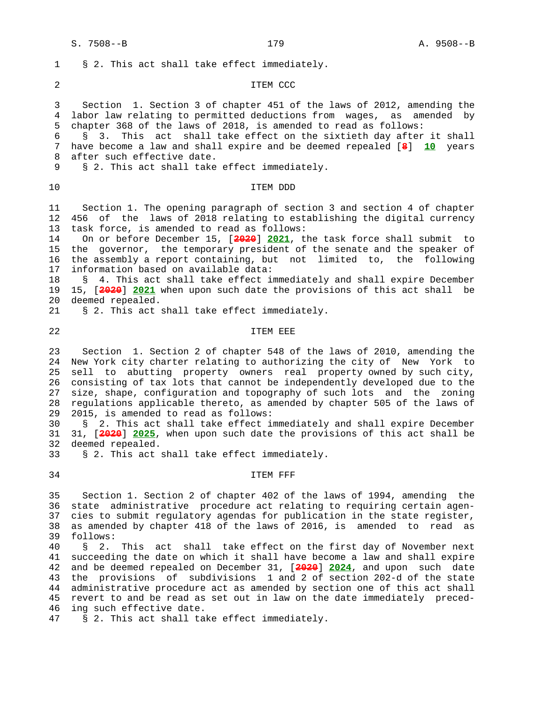1 § 2. This act shall take effect immediately.

## 2 ITEM CCC

 3 Section 1. Section 3 of chapter 451 of the laws of 2012, amending the 4 labor law relating to permitted deductions from wages, as amended by 5 chapter 368 of the laws of 2018, is amended to read as follows:

 $6$  § 3. This act shall take effect on the sixtieth day after it shall  $7$  have become a law and shall expire and be deemed repealed  $[8]$  10 years 7 have become a law and shall expire and be deemed repealed [**8**] **10** years 8 after such effective date.

9 § 2. This act shall take effect immediately.

# 10 ITEM DDD

 11 Section 1. The opening paragraph of section 3 and section 4 of chapter 12 456 of the laws of 2018 relating to establishing the digital currency 13 task force, is amended to read as follows:

 14 On or before December 15, [**2020**] **2021**, the task force shall submit to 15 the governor, the temporary president of the senate and the speaker of 16 the assembly a report containing, but not limited to, the following 17 information based on available data:

 18 § 4. This act shall take effect immediately and shall expire December 19 15, [**2020**] **2021** when upon such date the provisions of this act shall be 20 deemed repealed.

21 § 2. This act shall take effect immediately.

## 22 ITEM EEE

 23 Section 1. Section 2 of chapter 548 of the laws of 2010, amending the 24 New York city charter relating to authorizing the city of New York to 25 sell to abutting property owners real property owned by such city, 26 consisting of tax lots that cannot be independently developed due to the 27 size, shape, configuration and topography of such lots and the zoning 28 regulations applicable thereto, as amended by chapter 505 of the laws of 29 2015, is amended to read as follows:

 30 § 2. This act shall take effect immediately and shall expire December 31 31, [**2020**] **2025**, when upon such date the provisions of this act shall be 32 deemed repealed.

33 § 2. This act shall take effect immediately.

## 34 ITEM FFF

 35 Section 1. Section 2 of chapter 402 of the laws of 1994, amending the 36 state administrative procedure act relating to requiring certain agen- 37 cies to submit regulatory agendas for publication in the state register, 38 as amended by chapter 418 of the laws of 2016, is amended to read as 39 follows:

 40 § 2. This act shall take effect on the first day of November next 41 succeeding the date on which it shall have become a law and shall expire 42 and be deemed repealed on December 31, [**2020**] **2024**, and upon such date 43 the provisions of subdivisions 1 and 2 of section 202-d of the state 44 administrative procedure act as amended by section one of this act shall 45 revert to and be read as set out in law on the date immediately preced- 46 ing such effective date.

47 § 2. This act shall take effect immediately.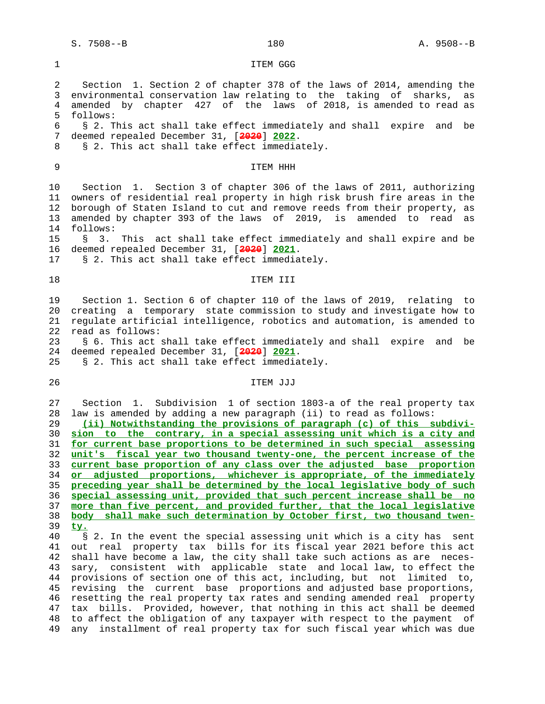1 ITEM GGG 2 Section 1. Section 2 of chapter 378 of the laws of 2014, amending the 3 environmental conservation law relating to the taking of sharks, as 4 amended by chapter 427 of the laws of 2018, is amended to read as 5 follows: 6 § 2. This act shall take effect immediately and shall expire and be 7 deemed repealed December 31, [**2020**] **2022**. § 2. This act shall take effect immediately. 9 ITEM HHH 10 Section 1. Section 3 of chapter 306 of the laws of 2011, authorizing 11 owners of residential real property in high risk brush fire areas in the 12 borough of Staten Island to cut and remove reeds from their property, as 13 amended by chapter 393 of the laws of 2019, is amended to read as 14 follows: 15 § 3. This act shall take effect immediately and shall expire and be 16 deemed repealed December 31, [**2020**] **2021**. 17 § 2. This act shall take effect immediately. 18 ITEM III 19 Section 1. Section 6 of chapter 110 of the laws of 2019, relating to 20 creating a temporary state commission to study and investigate how to 21 regulate artificial intelligence, robotics and automation, is amended to 22 read as follows: 23 § 6. This act shall take effect immediately and shall expire and be 24 deemed repealed December 31, [**2020**] **2021**. 25 § 2. This act shall take effect immediately. 26 ITEM JJJ 27 Section 1. Subdivision 1 of section 1803-a of the real property tax 28 law is amended by adding a new paragraph (ii) to read as follows: 29 **(ii) Notwithstanding the provisions of paragraph (c) of this subdivi-** 30 **sion to the contrary, in a special assessing unit which is a city and** 31 **for current base proportions to be determined in such special assessing** 32 **unit's fiscal year two thousand twenty-one, the percent increase of the** 33 **current base proportion of any class over the adjusted base proportion** 34 **or adjusted proportions, whichever is appropriate, of the immediately** 35 **preceding year shall be determined by the local legislative body of such** 36 **special assessing unit, provided that such percent increase shall be no** 37 **more than five percent, and provided further, that the local legislative** 38 **body shall make such determination by October first, two thousand twen-** 39 **ty.** 40 § 2. In the event the special assessing unit which is a city has sent 41 out real property tax bills for its fiscal year 2021 before this act 42 shall have become a law, the city shall take such actions as are neces- 43 sary, consistent with applicable state and local law, to effect the 44 provisions of section one of this act, including, but not limited to, 45 revising the current base proportions and adjusted base proportions, 46 resetting the real property tax rates and sending amended real property 47 tax bills. Provided, however, that nothing in this act shall be deemed 48 to affect the obligation of any taxpayer with respect to the payment of 49 any installment of real property tax for such fiscal year which was due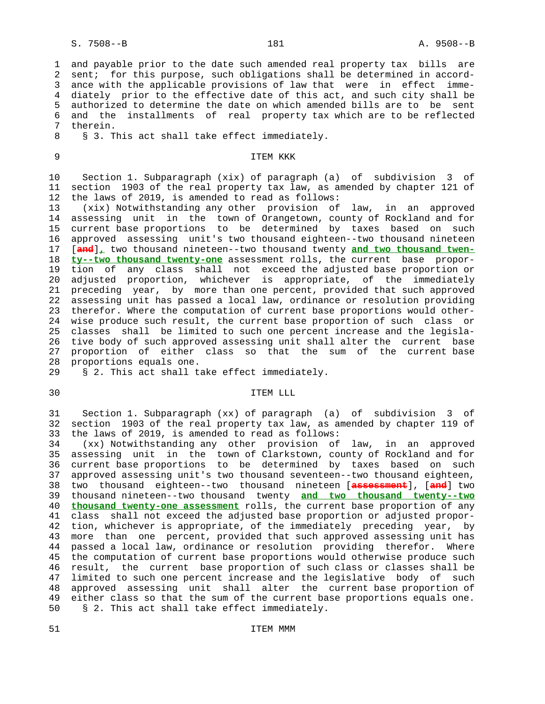1 and payable prior to the date such amended real property tax bills are 2 sent; for this purpose, such obligations shall be determined in accord- 3 ance with the applicable provisions of law that were in effect imme- 4 diately prior to the effective date of this act, and such city shall be 5 authorized to determine the date on which amended bills are to be sent 6 and the installments of real property tax which are to be reflected 7 therein.

8 § 3. This act shall take effect immediately.

## 9 ITEM KKK

 10 Section 1. Subparagraph (xix) of paragraph (a) of subdivision 3 of 11 section 1903 of the real property tax law, as amended by chapter 121 of 12 the laws of 2019, is amended to read as follows:

 13 (xix) Notwithstanding any other provision of law, in an approved 14 assessing unit in the town of Orangetown, county of Rockland and for 15 current base proportions to be determined by taxes based on such 16 approved assessing unit's two thousand eighteen--two thousand nineteen 17 [**and**]**,** two thousand nineteen--two thousand twenty **and two thousand twen-** 18 **ty--two thousand twenty-one** assessment rolls, the current base propor- 19 tion of any class shall not exceed the adjusted base proportion or 20 adjusted proportion, whichever is appropriate, of the immediately 21 preceding year, by more than one percent, provided that such approved 22 assessing unit has passed a local law, ordinance or resolution providing 23 therefor. Where the computation of current base proportions would other- 24 wise produce such result, the current base proportion of such class or 25 classes shall be limited to such one percent increase and the legisla- 26 tive body of such approved assessing unit shall alter the current base 27 proportion of either class so that the sum of the current base 28 proportions equals one.

29 § 2. This act shall take effect immediately.

## 30 ITEM LLL

 31 Section 1. Subparagraph (xx) of paragraph (a) of subdivision 3 of 32 section 1903 of the real property tax law, as amended by chapter 119 of 33 the laws of 2019, is amended to read as follows:

 34 (xx) Notwithstanding any other provision of law, in an approved 35 assessing unit in the town of Clarkstown, county of Rockland and for 36 current base proportions to be determined by taxes based on such 37 approved assessing unit's two thousand seventeen--two thousand eighteen, 38 two thousand eighteen--two thousand nineteen [**assessment**], [**and**] two 39 thousand nineteen--two thousand twenty **and two thousand twenty--two** 40 **thousand twenty-one assessment** rolls, the current base proportion of any 41 class shall not exceed the adjusted base proportion or adjusted propor- 42 tion, whichever is appropriate, of the immediately preceding year, by 43 more than one percent, provided that such approved assessing unit has 44 passed a local law, ordinance or resolution providing therefor. Where 45 the computation of current base proportions would otherwise produce such 46 result, the current base proportion of such class or classes shall be 47 limited to such one percent increase and the legislative body of such 48 approved assessing unit shall alter the current base proportion of 49 either class so that the sum of the current base proportions equals one. 50 § 2. This act shall take effect immediately.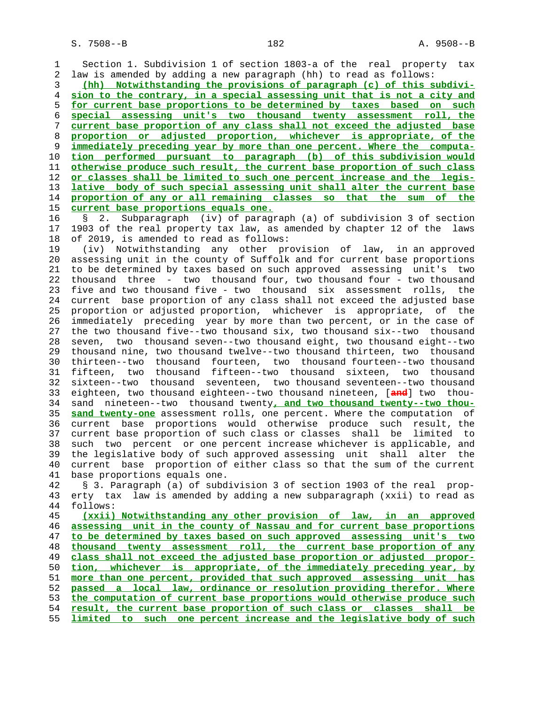1 Section 1. Subdivision 1 of section 1803-a of the real property tax 2 law is amended by adding a new paragraph (hh) to read as follows: 3 **(hh) Notwithstanding the provisions of paragraph (c) of this subdivi-** 4 **sion to the contrary, in a special assessing unit that is not a city and** 5 **for current base proportions to be determined by taxes based on such** 6 **special assessing unit's two thousand twenty assessment roll, the** 7 **current base proportion of any class shall not exceed the adjusted base** 8 **proportion or adjusted proportion, whichever is appropriate, of the** immediately preceding year by more than one percent. Where the computa- 10 **tion performed pursuant to paragraph (b) of this subdivision would** 11 **otherwise produce such result, the current base proportion of such class** 12 **or classes shall be limited to such one percent increase and the legis-** 13 **lative body of such special assessing unit shall alter the current base** 14 **proportion of any or all remaining classes so that the sum of the** 15 **current base proportions equals one.** 16 § 2. Subparagraph (iv) of paragraph (a) of subdivision 3 of section 17 1903 of the real property tax law, as amended by chapter 12 of the laws 18 of 2019, is amended to read as follows: 19 (iv) Notwithstanding any other provision of law, in an approved 20 assessing unit in the county of Suffolk and for current base proportions 21 to be determined by taxes based on such approved assessing unit's two 22 thousand three - two thousand four, two thousand four - two thousand 23 five and two thousand five - two thousand six assessment rolls, the 24 current base proportion of any class shall not exceed the adjusted base 25 proportion or adjusted proportion, whichever is appropriate, of the 26 immediately preceding year by more than two percent, or in the case of 27 the two thousand five--two thousand six, two thousand six--two thousand 28 seven, two thousand seven--two thousand eight, two thousand eight--two 29 thousand nine, two thousand twelve--two thousand thirteen, two thousand 30 thirteen--two thousand fourteen, two thousand fourteen--two thousand 31 fifteen, two thousand fifteen--two thousand sixteen, two thousand 32 sixteen--two thousand seventeen, two thousand seventeen--two thousand 33 eighteen, two thousand eighteen--two thousand nineteen, [**and**] two thou- 34 sand nineteen--two thousand twenty**, and two thousand twenty--two thou-** 35 **sand twenty-one** assessment rolls, one percent. Where the computation of 36 current base proportions would otherwise produce such result, the 37 current base proportion of such class or classes shall be limited to 38 such two percent or one percent increase whichever is applicable, and 39 the legislative body of such approved assessing unit shall alter the 40 current base proportion of either class so that the sum of the current 41 base proportions equals one. 42 § 3. Paragraph (a) of subdivision 3 of section 1903 of the real prop- 43 erty tax law is amended by adding a new subparagraph (xxii) to read as 44 follows: 45 **(xxii) Notwithstanding any other provision of law, in an approved** 46 **assessing unit in the county of Nassau and for current base proportions** 47 **to be determined by taxes based on such approved assessing unit's two** 48 **thousand twenty assessment roll, the current base proportion of any** 49 **class shall not exceed the adjusted base proportion or adjusted propor-** 50 **tion, whichever is appropriate, of the immediately preceding year, by** 51 **more than one percent, provided that such approved assessing unit has** 52 **passed a local law, ordinance or resolution providing therefor. Where** 53 **the computation of current base proportions would otherwise produce such** 54 **result, the current base proportion of such class or classes shall be** 55 **limited to such one percent increase and the legislative body of such**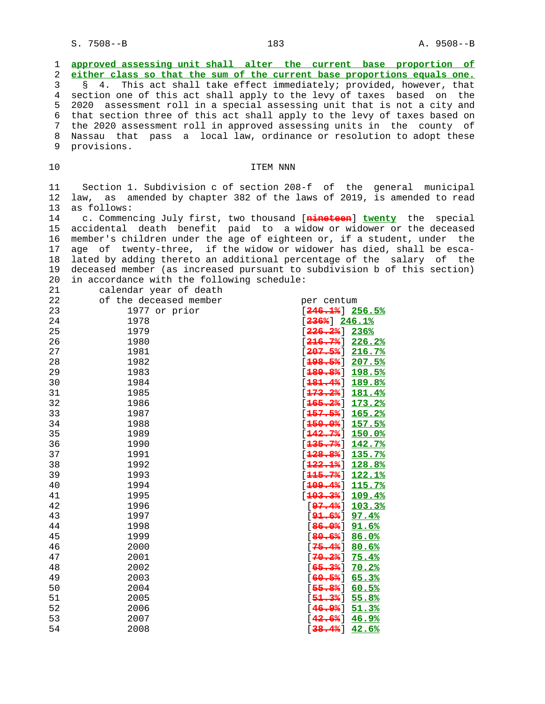S. 7508--B 183 A. 9508--B

| 1  |                                            | approved assessing unit shall alter the current base proportion of       |
|----|--------------------------------------------|--------------------------------------------------------------------------|
| 2  |                                            | either class so that the sum of the current base proportions equals one. |
| 3  |                                            | § 4. This act shall take effect immediately; provided, however, that     |
| 4  |                                            | section one of this act shall apply to the levy of taxes based on the    |
| 5  | 2020                                       | assessment roll in a special assessing unit that is not a city and       |
| 6  |                                            | that section three of this act shall apply to the levy of taxes based on |
| 7  |                                            | the 2020 assessment roll in approved assessing units in the county of    |
| 8  |                                            | Nassau that pass a local law, ordinance or resolution to adopt these     |
| 9  | provisions.                                |                                                                          |
|    |                                            |                                                                          |
| 10 |                                            | ITEM NNN                                                                 |
| 11 |                                            | Section 1. Subdivision c of section 208-f of the general municipal       |
| 12 |                                            | law, as amended by chapter 382 of the laws of 2019, is amended to read   |
| 13 | as follows:                                |                                                                          |
| 14 |                                            | c. Commencing July first, two thousand [nineteen] twenty the special     |
| 15 |                                            | accidental death benefit paid to a widow or widower or the deceased      |
| 16 |                                            | member's children under the age of eighteen or, if a student, under the  |
| 17 |                                            | age of twenty-three, if the widow or widower has died, shall be esca-    |
| 18 |                                            | lated by adding thereto an additional percentage of the salary of the    |
| 19 |                                            | deceased member (as increased pursuant to subdivision b of this section) |
| 20 | in accordance with the following schedule: |                                                                          |
| 21 | calendar year of death                     |                                                                          |
| 22 | of the deceased member                     | per centum                                                               |
| 23 | 1977 or prior                              | $[246.1%]$ 256.5%                                                        |
| 24 | 1978                                       | [ <del>236%</del> ] 246.1%                                               |
| 25 | 1979                                       | [226.2%] 236%                                                            |
| 26 | 1980                                       | [216.7%] 226.2%                                                          |
| 27 | 1981                                       | $[207.5%]$ 216.7%                                                        |
| 28 | 1982                                       | [198.5%] 207.5%                                                          |
| 29 | 1983                                       | [ <del>189.8%</del> ] <u>198.5%</u>                                      |
| 30 | 1984                                       | [181.4%] 189.8%                                                          |
| 31 | 1985                                       | [173.2%] 181.4%                                                          |
| 32 | 1986                                       | [165.2%] 173.2%                                                          |
| 33 | 1987                                       | [157.5%] 165.2%                                                          |
| 34 | 1988                                       | [ <del>150.0%</del> ] <u>157.5%</u>                                      |
| 35 | 1989                                       | $[442.7%]$ 150.0%                                                        |
| 36 | 1990                                       | $135.7%$ ] 142.7%                                                        |
| 37 | 1991                                       | [128.8%] 135.7%                                                          |
| 38 | 1992                                       | $[122.18]$ 128.8%                                                        |
| 39 | 1993                                       | [115.7%] 122.1%                                                          |
| 40 | 1994                                       | [109.4%] 115.7%                                                          |
| 41 | 1995                                       | [103.3%] 109.4%                                                          |
| 42 | 1996                                       | $[97.4%]$ 103.3%                                                         |
| 43 | 1997                                       | $[91.6%]$ 97.4%                                                          |
| 44 | 1998                                       | $[86.0%]$ 91.6%                                                          |
| 45 | 1999                                       | [80.6%] 86.0%                                                            |
| 46 | 2000                                       | [75.4%]80.6%                                                             |
| 47 | 2001                                       | $[70.28]$ 75.4%                                                          |
| 48 | 2002                                       | $[65.3%]$ 70.2%                                                          |
| 49 | 2003                                       | [60.5%] 65.3%                                                            |
| 50 | 2004                                       | [55.8%] 60.5%                                                            |
| 51 | 2005                                       | [51.3%] 55.8%                                                            |
| 52 | 2006                                       | $[46.9%]$ 51.3%                                                          |
| 53 | 2007                                       | $[42.6%]$ $46.9%$                                                        |
|    | 2008                                       | $[38.4%]$ $42.6%$                                                        |
| 54 |                                            |                                                                          |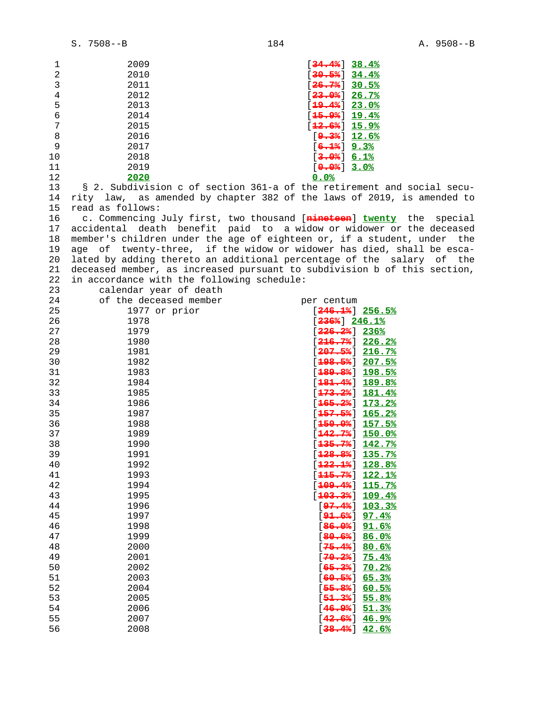|    | 2009 | $[34.4%]$ 38.4%                                            |
|----|------|------------------------------------------------------------|
| 2  | 2010 | $[30.5%]$ 34.4%                                            |
| 3  | 2011 | [26.7%] 30.5%                                              |
| 4  | 2012 | [23.0%] 26.7%                                              |
| 5  | 2013 | [ <del>19.4%</del> ] 23.0%                                 |
| б  | 2014 | $[15.98]$ 19.4%                                            |
| 7  | 2015 | [12.6%] 15.9%                                              |
| 8  | 2016 | $[9 - 38] 12.68$                                           |
| 9  | 2017 | $[6.1%]$ 9.3%                                              |
| 10 | 2018 | [3.08] 6.18                                                |
| 11 | 2019 | $[ \frac{0.08}{0.08} ]$ 3.0%                               |
| 12 | 2020 | 0.0%                                                       |
|    | .    | $\sim$ $\sim$<br>$\sim$ $\sim$ $\sim$ $\sim$ $\sim$ $\sim$ |

 13 § 2. Subdivision c of section 361-a of the retirement and social secu- 14 rity law, as amended by chapter 382 of the laws of 2019, is amended to 15 read as follows:

 16 c. Commencing July first, two thousand [**nineteen**] **twenty** the special 17 accidental death benefit paid to a widow or widower or the deceased 18 member's children under the age of eighteen or, if a student, under the 19 age of twenty-three, if the widow or widower has died, shall be esca- 20 lated by adding thereto an additional percentage of the salary of the 21 deceased member, as increased pursuant to subdivision b of this section, 22 in accordance with the following schedule: 23 calendar year of death

| 24 | of the deceased member | per centum                          |
|----|------------------------|-------------------------------------|
| 25 | 1977 or prior          | $[246.1%]$ 256.5%                   |
| 26 | 1978                   | [236%] 246.1%                       |
| 27 | 1979                   | [226.2%] 236%                       |
| 28 | 1980                   | $[216.7%]$ 226.2%                   |
| 29 | 1981                   | [ <del>207.5%</del> ] <u>216.7%</u> |
| 30 | 1982                   | 198.5%<br>207.5%                    |
| 31 | 1983                   | 189.8%<br>198.5%                    |
| 32 | 1984                   | 1.81.4%<br>189.8%                   |
| 33 | 1985                   | 1.73.2%<br>181.4%                   |
| 34 | 1986                   | 165.2%<br>173.2%                    |
| 35 | 1987                   | i <del>157.5%</del> i<br>165.2%     |
| 36 | 1988                   | 157.5%<br>1 <del>150.0%</del> ]     |
| 37 | 1989                   | 142.7%<br>150.0%                    |
| 38 | 1990                   | 1 <del>135.7%</del> 1<br>142.7%     |
| 39 | 1991                   | 1.28.8<br>135.7%                    |
| 40 | 1992                   | [ <del>122.1%</del> ]<br>128.8%     |
| 41 | 1993                   | [115.7%] 122.1%                     |
| 42 | 1994                   | [ <del>109.4%</del> ]<br>115.7%     |
| 43 | 1995                   | 1 <del>103.3%</del> 1<br>109.4%     |
| 44 | 1996                   | [97.4%] 103.3%                      |
| 45 | 1997                   | $[91.6%]$ 97.4%                     |
| 46 | 1998                   | 186.0%<br>91.6%                     |
| 47 | 1999                   | [80.6%] 86.0%                       |
| 48 | 2000                   | $[75.4%]$ 80.6%                     |
| 49 | 2001                   | $[70.2%]$ 75.4%                     |
| 50 | 2002                   | [65.3%]<br>70.2%                    |
| 51 | 2003                   | [60.5%]<br>65.3%                    |
| 52 | 2004                   | [55.8%] 60.5%                       |
| 53 | 2005                   | [51.3%] 55.8%                       |
| 54 | 2006                   | 146.9%<br>51.3%                     |
| 55 | 2007                   | 142.6%<br>46.9%                     |
| 56 | 2008                   | $[38, 48]$ $42.6%$                  |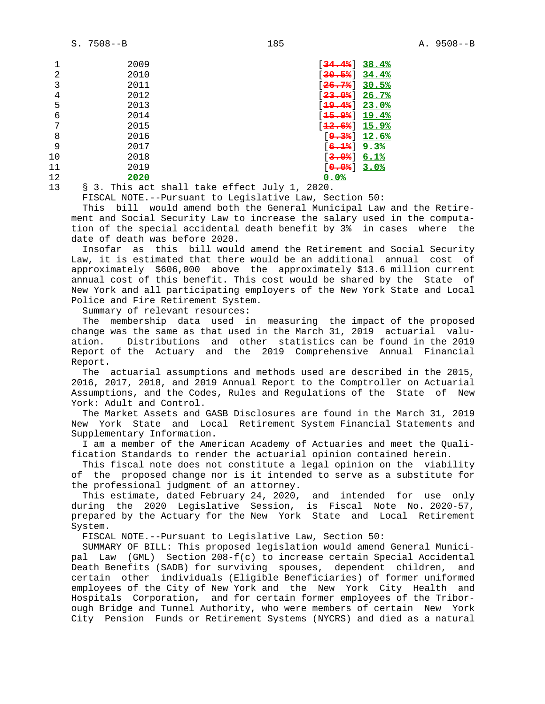|    | 2009 | $[34.4%]$ 38.4%            |
|----|------|----------------------------|
| 2  | 2010 | [ <del>30.5%</del> ] 34.4% |
| 3  | 2011 | $[26.7%]$ 30.5%            |
| 4  | 2012 | [23.0%] 26.7%              |
| 5  | 2013 | $[19.4%]$ 23.0%            |
| 6  | 2014 | $15.98$ $19.4%$            |
| 7  | 2015 | $[12.68]$ 15.9%            |
| 8  | 2016 | $[9 - 32] 12.68$           |
| 9  | 2017 | $[6.1%]$ 9.3%              |
| 10 | 2018 | $[3-0%] 6.1%$              |
| 11 | 2019 | [ <del>0.0%</del> ] 3.0%   |
| 12 | 2020 | 0.0%                       |

13 § 3. This act shall take effect July 1, 2020.

FISCAL NOTE.--Pursuant to Legislative Law, Section 50:

 This bill would amend both the General Municipal Law and the Retire ment and Social Security Law to increase the salary used in the computa tion of the special accidental death benefit by 3% in cases where the date of death was before 2020.

 Insofar as this bill would amend the Retirement and Social Security Law, it is estimated that there would be an additional annual cost of approximately \$606,000 above the approximately \$13.6 million current annual cost of this benefit. This cost would be shared by the State of New York and all participating employers of the New York State and Local Police and Fire Retirement System.

Summary of relevant resources:

 The membership data used in measuring the impact of the proposed change was the same as that used in the March 31, 2019 actuarial valu ation. Distributions and other statistics can be found in the 2019 Report of the Actuary and the 2019 Comprehensive Annual Financial Report.

 The actuarial assumptions and methods used are described in the 2015, 2016, 2017, 2018, and 2019 Annual Report to the Comptroller on Actuarial Assumptions, and the Codes, Rules and Regulations of the State of New York: Adult and Control.

 The Market Assets and GASB Disclosures are found in the March 31, 2019 New York State and Local Retirement System Financial Statements and Supplementary Information.

 I am a member of the American Academy of Actuaries and meet the Quali fication Standards to render the actuarial opinion contained herein.

 This fiscal note does not constitute a legal opinion on the viability of the proposed change nor is it intended to serve as a substitute for the professional judgment of an attorney.

 This estimate, dated February 24, 2020, and intended for use only during the 2020 Legislative Session, is Fiscal Note No. 2020-57, prepared by the Actuary for the New York State and Local Retirement System.

FISCAL NOTE.--Pursuant to Legislative Law, Section 50:

 SUMMARY OF BILL: This proposed legislation would amend General Munici pal Law (GML) Section 208-f(c) to increase certain Special Accidental Death Benefits (SADB) for surviving spouses, dependent children, and certain other individuals (Eligible Beneficiaries) of former uniformed employees of the City of New York and the New York City Health and Hospitals Corporation, and for certain former employees of the Tribor ough Bridge and Tunnel Authority, who were members of certain New York City Pension Funds or Retirement Systems (NYCRS) and died as a natural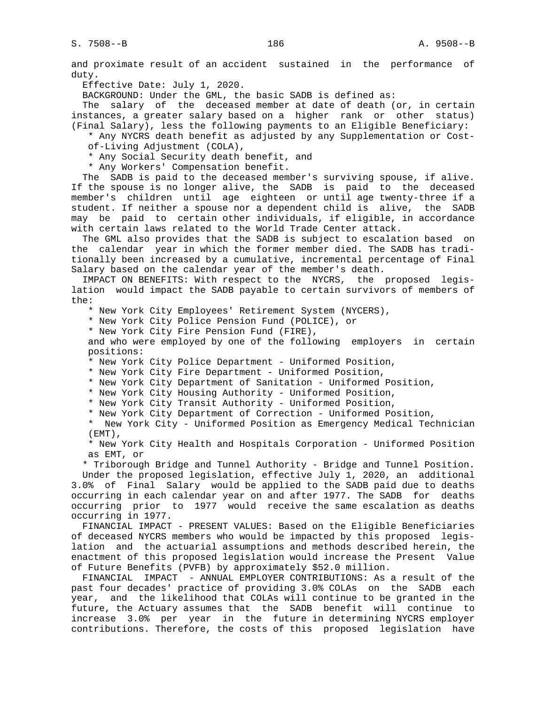and proximate result of an accident sustained in the performance of duty.

Effective Date: July 1, 2020.

BACKGROUND: Under the GML, the basic SADB is defined as:

 The salary of the deceased member at date of death (or, in certain instances, a greater salary based on a higher rank or other status) (Final Salary), less the following payments to an Eligible Beneficiary:

 \* Any NYCRS death benefit as adjusted by any Supplementation or Cost of-Living Adjustment (COLA),

\* Any Social Security death benefit, and

\* Any Workers' Compensation benefit.

 The SADB is paid to the deceased member's surviving spouse, if alive. If the spouse is no longer alive, the SADB is paid to the deceased member's children until age eighteen or until age twenty-three if a student. If neither a spouse nor a dependent child is alive, the SADB may be paid to certain other individuals, if eligible, in accordance with certain laws related to the World Trade Center attack.

 The GML also provides that the SADB is subject to escalation based on the calendar year in which the former member died. The SADB has tradi tionally been increased by a cumulative, incremental percentage of Final Salary based on the calendar year of the member's death.

 IMPACT ON BENEFITS: With respect to the NYCRS, the proposed legis lation would impact the SADB payable to certain survivors of members of the:

\* New York City Employees' Retirement System (NYCERS),

\* New York City Police Pension Fund (POLICE), or

\* New York City Fire Pension Fund (FIRE),

 and who were employed by one of the following employers in certain positions:

\* New York City Police Department - Uniformed Position,

\* New York City Fire Department - Uniformed Position,

\* New York City Department of Sanitation - Uniformed Position,

\* New York City Housing Authority - Uniformed Position,

\* New York City Transit Authority - Uniformed Position,

\* New York City Department of Correction - Uniformed Position,

 \* New York City - Uniformed Position as Emergency Medical Technician (EMT),

 \* New York City Health and Hospitals Corporation - Uniformed Position as EMT, or

 \* Triborough Bridge and Tunnel Authority - Bridge and Tunnel Position. Under the proposed legislation, effective July 1, 2020, an additional 3.0% of Final Salary would be applied to the SADB paid due to deaths occurring in each calendar year on and after 1977. The SADB for deaths occurring prior to 1977 would receive the same escalation as deaths occurring in 1977.

 FINANCIAL IMPACT - PRESENT VALUES: Based on the Eligible Beneficiaries of deceased NYCRS members who would be impacted by this proposed legis lation and the actuarial assumptions and methods described herein, the enactment of this proposed legislation would increase the Present Value of Future Benefits (PVFB) by approximately \$52.0 million.

 FINANCIAL IMPACT - ANNUAL EMPLOYER CONTRIBUTIONS: As a result of the past four decades' practice of providing 3.0% COLAs on the SADB each year, and the likelihood that COLAs will continue to be granted in the future, the Actuary assumes that the SADB benefit will continue to increase 3.0% per year in the future in determining NYCRS employer contributions. Therefore, the costs of this proposed legislation have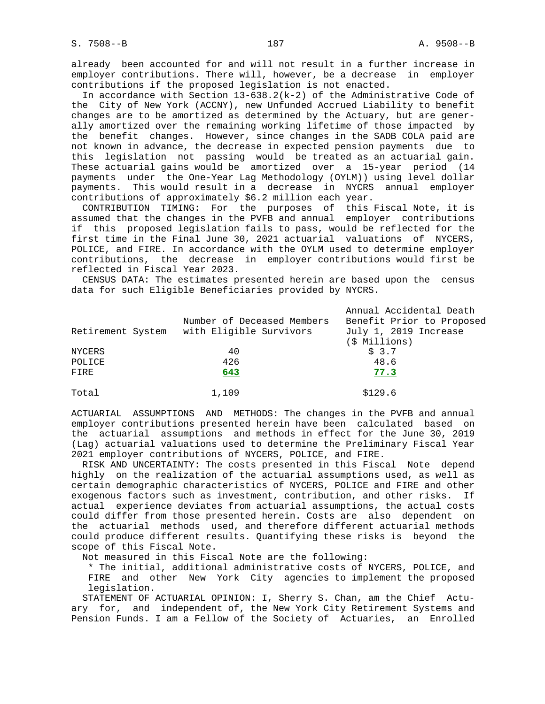already been accounted for and will not result in a further increase in employer contributions. There will, however, be a decrease in employer contributions if the proposed legislation is not enacted.

 In accordance with Section 13-638.2(k-2) of the Administrative Code of the City of New York (ACCNY), new Unfunded Accrued Liability to benefit changes are to be amortized as determined by the Actuary, but are gener ally amortized over the remaining working lifetime of those impacted by the benefit changes. However, since changes in the SADB COLA paid are not known in advance, the decrease in expected pension payments due to this legislation not passing would be treated as an actuarial gain. These actuarial gains would be amortized over a 15-year period (14 payments under the One-Year Lag Methodology (OYLM)) using level dollar payments. This would result in a decrease in NYCRS annual employer contributions of approximately \$6.2 million each year.

 CONTRIBUTION TIMING: For the purposes of this Fiscal Note, it is assumed that the changes in the PVFB and annual employer contributions if this proposed legislation fails to pass, would be reflected for the first time in the Final June 30, 2021 actuarial valuations of NYCERS, POLICE, and FIRE. In accordance with the OYLM used to determine employer contributions, the decrease in employer contributions would first be reflected in Fiscal Year 2023.

 CENSUS DATA: The estimates presented herein are based upon the census data for such Eligible Beneficiaries provided by NYCRS.

|                   |                            | Annual Accidental Death   |
|-------------------|----------------------------|---------------------------|
|                   | Number of Deceased Members | Benefit Prior to Proposed |
| Retirement System | with Eligible Survivors    | July 1, 2019 Increase     |
|                   |                            | (\$ Millions)             |
| NYCERS            | 40                         | \$3.7                     |
| POLICE            | 426                        | 48.6                      |
| FIRE              | 643                        | 77.3                      |
|                   |                            |                           |
| Total             | 1,109                      | \$129.6                   |
|                   |                            |                           |

 ACTUARIAL ASSUMPTIONS AND METHODS: The changes in the PVFB and annual employer contributions presented herein have been calculated based on the actuarial assumptions and methods in effect for the June 30, 2019 (Lag) actuarial valuations used to determine the Preliminary Fiscal Year 2021 employer contributions of NYCERS, POLICE, and FIRE.

 RISK AND UNCERTAINTY: The costs presented in this Fiscal Note depend highly on the realization of the actuarial assumptions used, as well as certain demographic characteristics of NYCERS, POLICE and FIRE and other exogenous factors such as investment, contribution, and other risks. If actual experience deviates from actuarial assumptions, the actual costs could differ from those presented herein. Costs are also dependent on the actuarial methods used, and therefore different actuarial methods could produce different results. Quantifying these risks is beyond the scope of this Fiscal Note.

Not measured in this Fiscal Note are the following:

 \* The initial, additional administrative costs of NYCERS, POLICE, and FIRE and other New York City agencies to implement the proposed legislation.

 STATEMENT OF ACTUARIAL OPINION: I, Sherry S. Chan, am the Chief Actu ary for, and independent of, the New York City Retirement Systems and Pension Funds. I am a Fellow of the Society of Actuaries, an Enrolled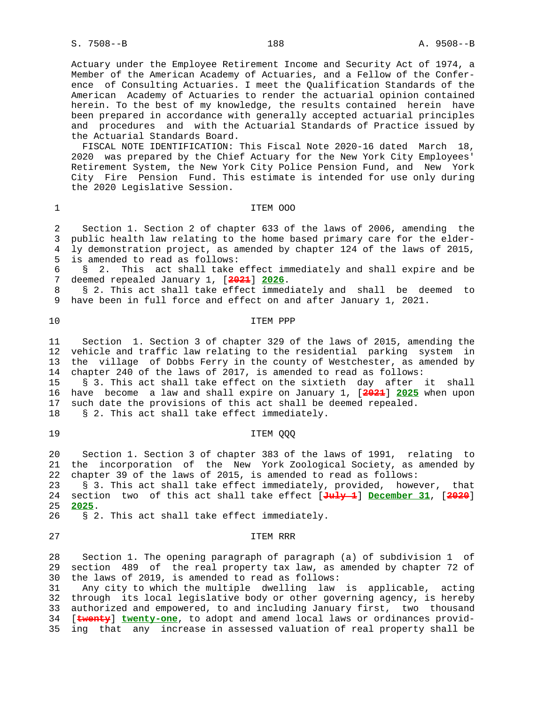Actuary under the Employee Retirement Income and Security Act of 1974, a Member of the American Academy of Actuaries, and a Fellow of the Confer ence of Consulting Actuaries. I meet the Qualification Standards of the American Academy of Actuaries to render the actuarial opinion contained herein. To the best of my knowledge, the results contained herein have been prepared in accordance with generally accepted actuarial principles and procedures and with the Actuarial Standards of Practice issued by the Actuarial Standards Board.

 FISCAL NOTE IDENTIFICATION: This Fiscal Note 2020-16 dated March 18, 2020 was prepared by the Chief Actuary for the New York City Employees' Retirement System, the New York City Police Pension Fund, and New York City Fire Pension Fund. This estimate is intended for use only during the 2020 Legislative Session.

## 1 ITEM 000

 2 Section 1. Section 2 of chapter 633 of the laws of 2006, amending the 3 public health law relating to the home based primary care for the elder- 4 ly demonstration project, as amended by chapter 124 of the laws of 2015, 5 is amended to read as follows:

 6 § 2. This act shall take effect immediately and shall expire and be 7 deemed repealed January 1, [**2021**] **2026**.

 8 § 2. This act shall take effect immediately and shall be deemed to 9 have been in full force and effect on and after January 1, 2021.

## 10 ITEM PPP

 11 Section 1. Section 3 of chapter 329 of the laws of 2015, amending the 12 vehicle and traffic law relating to the residential parking system in 13 the village of Dobbs Ferry in the county of Westchester, as amended by 14 chapter 240 of the laws of 2017, is amended to read as follows:

 15 § 3. This act shall take effect on the sixtieth day after it shall 16 have become a law and shall expire on January 1, [**2021**] **2025** when upon 17 such date the provisions of this act shall be deemed repealed.

18 § 2. This act shall take effect immediately.

## 19 ITEM QQQ

 20 Section 1. Section 3 of chapter 383 of the laws of 1991, relating to 21 the incorporation of the New York Zoological Society, as amended by 22 chapter 39 of the laws of 2015, is amended to read as follows:

 23 § 3. This act shall take effect immediately, provided, however, that 24 section two of this act shall take effect [**July 1**] **December 31**, [**2020**] 25 **2025**.

26 § 2. This act shall take effect immediately.

### 27 **ITEM RRR**

 28 Section 1. The opening paragraph of paragraph (a) of subdivision 1 of 29 section 489 of the real property tax law, as amended by chapter 72 of 30 the laws of 2019, is amended to read as follows:

 31 Any city to which the multiple dwelling law is applicable, acting 32 through its local legislative body or other governing agency, is hereby 33 authorized and empowered, to and including January first, two thousand 34 [**twenty**] **twenty-one**, to adopt and amend local laws or ordinances provid- 35 ing that any increase in assessed valuation of real property shall be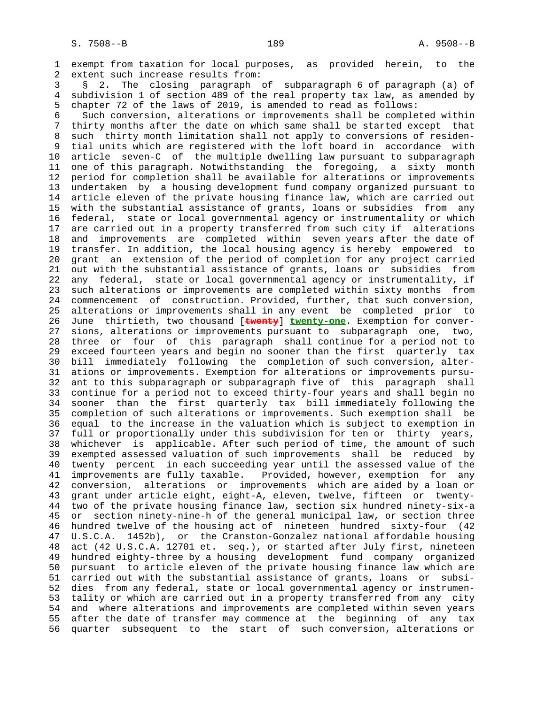1 exempt from taxation for local purposes, as provided herein, to the 2 extent such increase results from:

 3 § 2. The closing paragraph of subparagraph 6 of paragraph (a) of 4 subdivision 1 of section 489 of the real property tax law, as amended by 5 chapter 72 of the laws of 2019, is amended to read as follows:

 6 Such conversion, alterations or improvements shall be completed within 7 thirty months after the date on which same shall be started except that 8 such thirty month limitation shall not apply to conversions of residen tial units which are registered with the loft board in accordance with 10 article seven-C of the multiple dwelling law pursuant to subparagraph 11 one of this paragraph. Notwithstanding the foregoing, a sixty month 12 period for completion shall be available for alterations or improvements 13 undertaken by a housing development fund company organized pursuant to 14 article eleven of the private housing finance law, which are carried out 15 with the substantial assistance of grants, loans or subsidies from any 16 federal, state or local governmental agency or instrumentality or which 17 are carried out in a property transferred from such city if alterations 18 and improvements are completed within seven years after the date of 19 transfer. In addition, the local housing agency is hereby empowered to 20 grant an extension of the period of completion for any project carried 21 out with the substantial assistance of grants, loans or subsidies from 22 any federal, state or local governmental agency or instrumentality, if 23 such alterations or improvements are completed within sixty months from 24 commencement of construction. Provided, further, that such conversion, 25 alterations or improvements shall in any event be completed prior to 26 June thirtieth, two thousand [**twenty**] **twenty-one**. Exemption for conver- 27 sions, alterations or improvements pursuant to subparagraph one, two, 28 three or four of this paragraph shall continue for a period not to 29 exceed fourteen years and begin no sooner than the first quarterly tax 30 bill immediately following the completion of such conversion, alter- 31 ations or improvements. Exemption for alterations or improvements pursu- 32 ant to this subparagraph or subparagraph five of this paragraph shall 33 continue for a period not to exceed thirty-four years and shall begin no 34 sooner than the first quarterly tax bill immediately following the 35 completion of such alterations or improvements. Such exemption shall be 36 equal to the increase in the valuation which is subject to exemption in 37 full or proportionally under this subdivision for ten or thirty years, 38 whichever is applicable. After such period of time, the amount of such 39 exempted assessed valuation of such improvements shall be reduced by 40 twenty percent in each succeeding year until the assessed value of the 41 improvements are fully taxable. Provided, however, exemption for any 42 conversion, alterations or improvements which are aided by a loan or 43 grant under article eight, eight-A, eleven, twelve, fifteen or twenty- 44 two of the private housing finance law, section six hundred ninety-six-a 45 or section ninety-nine-h of the general municipal law, or section three 46 hundred twelve of the housing act of nineteen hundred sixty-four (42 47 U.S.C.A. 1452b), or the Cranston-Gonzalez national affordable housing 48 act (42 U.S.C.A. 12701 et. seq.), or started after July first, nineteen 49 hundred eighty-three by a housing development fund company organized 50 pursuant to article eleven of the private housing finance law which are 51 carried out with the substantial assistance of grants, loans or subsi- 52 dies from any federal, state or local governmental agency or instrumen- 53 tality or which are carried out in a property transferred from any city 54 and where alterations and improvements are completed within seven years 55 after the date of transfer may commence at the beginning of any tax 56 quarter subsequent to the start of such conversion, alterations or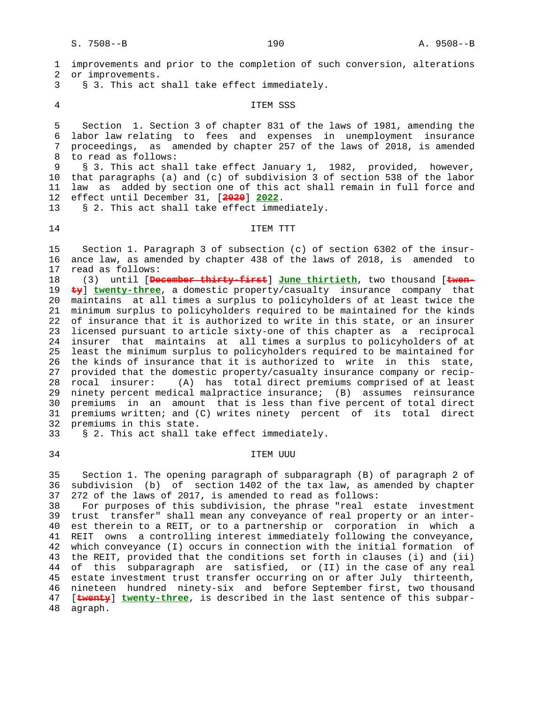| 1<br>$\overline{2}$<br>3 | improvements and prior to the completion of such conversion, alterations<br>or improvements.<br>§ 3. This act shall take effect immediately.   |
|--------------------------|------------------------------------------------------------------------------------------------------------------------------------------------|
| 4                        | ITEM SSS                                                                                                                                       |
| 5                        | Section 1. Section 3 of chapter 831 of the laws of 1981, amending the                                                                          |
| 6                        | labor law relating to fees and expenses in unemployment insurance                                                                              |
| 7                        | proceedings, as amended by chapter 257 of the laws of 2018, is amended                                                                         |
| 8                        | to read as follows:                                                                                                                            |
| 9                        | § 3. This act shall take effect January 1, 1982, provided, however,                                                                            |
| 10                       | that paragraphs (a) and (c) of subdivision 3 of section 538 of the labor                                                                       |
| 11                       | added by section one of this act shall remain in full force and<br>law as                                                                      |
| 12                       | effect until December 31, [2020] 2022.                                                                                                         |
| 13                       | § 2. This act shall take effect immediately.                                                                                                   |
| 14                       | ITEM TTT                                                                                                                                       |
| 15                       | Section 1. Paragraph 3 of subsection (c) of section 6302 of the insur-                                                                         |
| 16                       | ance law, as amended by chapter 438 of the laws of 2018, is amended to                                                                         |
| 17                       | read as follows:                                                                                                                               |
| 18                       | (3) until [December thirty-first] June thirtieth, two thousand [twen-                                                                          |
| 19                       | <b>+y</b> ] twenty-three, a domestic property/casualty insurance company that                                                                  |
| 20                       | maintains at all times a surplus to policyholders of at least twice the                                                                        |
| 21                       | minimum surplus to policyholders required to be maintained for the kinds                                                                       |
| 22                       | of insurance that it is authorized to write in this state, or an insurer                                                                       |
| 23<br>24                 | licensed pursuant to article sixty-one of this chapter as a reciprocal<br>insurer that maintains at all times a surplus to policyholders of at |
| 25                       | least the minimum surplus to policyholders required to be maintained for                                                                       |
| 26                       | the kinds of insurance that it is authorized to write in this<br>state,                                                                        |
| 27                       | provided that the domestic property/casualty insurance company or recip-                                                                       |
| 28                       | has total direct premiums comprised of at least<br>rocal<br>insurer:<br>(A)                                                                    |
| 29                       | ninety percent medical malpractice insurance; (B) assumes reinsurance                                                                          |
| 30                       | premiums in an amount that is less than five percent of total direct                                                                           |
| 31                       | premiums written; and (C) writes ninety percent of its total direct                                                                            |
| 32                       | premiums in this state.                                                                                                                        |
| 33                       | § 2. This act shall take effect immediately.                                                                                                   |
| 34                       | ITEM UUU                                                                                                                                       |
| つに                       | The epening parameter of subparameters $(D)$ of parameters $2$ of<br>$C_{\Omega}$ $+$ $\frac{1}{2}$                                            |

 35 Section 1. The opening paragraph of subparagraph (B) of paragraph 2 of 36 subdivision (b) of section 1402 of the tax law, as amended by chapter 37 272 of the laws of 2017, is amended to read as follows:

 38 For purposes of this subdivision, the phrase "real estate investment 39 trust transfer" shall mean any conveyance of real property or an inter- 40 est therein to a REIT, or to a partnership or corporation in which a 41 REIT owns a controlling interest immediately following the conveyance, 42 which conveyance (I) occurs in connection with the initial formation of 43 the REIT, provided that the conditions set forth in clauses (i) and (ii) 44 of this subparagraph are satisfied, or (II) in the case of any real 45 estate investment trust transfer occurring on or after July thirteenth, 46 nineteen hundred ninety-six and before September first, two thousand 47 [**twenty**] **twenty-three**, is described in the last sentence of this subpar- 48 agraph.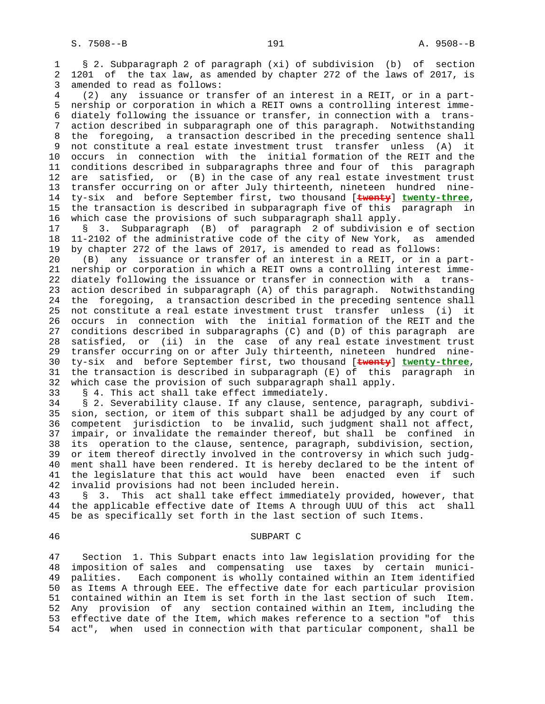1 § 2. Subparagraph 2 of paragraph (xi) of subdivision (b) of section 2 1201 of the tax law, as amended by chapter 272 of the laws of 2017, is 3 amended to read as follows:

 4 (2) any issuance or transfer of an interest in a REIT, or in a part- 5 nership or corporation in which a REIT owns a controlling interest imme- 6 diately following the issuance or transfer, in connection with a trans- 7 action described in subparagraph one of this paragraph. Notwithstanding 8 the foregoing, a transaction described in the preceding sentence shall<br>9 not constitute a real estate investment trust transfer unless (A) it 9 not constitute a real estate investment trust transfer unless (A) it 10 occurs in connection with the initial formation of the REIT and the 11 conditions described in subparagraphs three and four of this paragraph 12 are satisfied, or (B) in the case of any real estate investment trust 13 transfer occurring on or after July thirteenth, nineteen hundred nine- 14 ty-six and before September first, two thousand [**twenty**] **twenty-three**, 15 the transaction is described in subparagraph five of this paragraph in 16 which case the provisions of such subparagraph shall apply.

 17 § 3. Subparagraph (B) of paragraph 2 of subdivision e of section 18 11-2102 of the administrative code of the city of New York, as amended 19 by chapter 272 of the laws of 2017, is amended to read as follows:

 20 (B) any issuance or transfer of an interest in a REIT, or in a part- 21 nership or corporation in which a REIT owns a controlling interest imme- 22 diately following the issuance or transfer in connection with a trans- 23 action described in subparagraph (A) of this paragraph. Notwithstanding 24 the foregoing, a transaction described in the preceding sentence shall 25 not constitute a real estate investment trust transfer unless (i) it 26 occurs in connection with the initial formation of the REIT and the 27 conditions described in subparagraphs (C) and (D) of this paragraph are 28 satisfied, or (ii) in the case of any real estate investment trust 29 transfer occurring on or after July thirteenth, nineteen hundred nine- 30 ty-six and before September first, two thousand [**twenty**] **twenty-three**, 31 the transaction is described in subparagraph (E) of this paragraph in 32 which case the provision of such subparagraph shall apply.

33 § 4. This act shall take effect immediately.

 34 § 2. Severability clause. If any clause, sentence, paragraph, subdivi- 35 sion, section, or item of this subpart shall be adjudged by any court of 36 competent jurisdiction to be invalid, such judgment shall not affect, 37 impair, or invalidate the remainder thereof, but shall be confined in 38 its operation to the clause, sentence, paragraph, subdivision, section, 39 or item thereof directly involved in the controversy in which such judg- 40 ment shall have been rendered. It is hereby declared to be the intent of 41 the legislature that this act would have been enacted even if such 42 invalid provisions had not been included herein.

 43 § 3. This act shall take effect immediately provided, however, that 44 the applicable effective date of Items A through UUU of this act shall 45 be as specifically set forth in the last section of such Items.

## 46 SUBPART C

 47 Section 1. This Subpart enacts into law legislation providing for the 48 imposition of sales and compensating use taxes by certain munici- 49 palities. Each component is wholly contained within an Item identified 50 as Items A through EEE. The effective date for each particular provision 51 contained within an Item is set forth in the last section of such Item. 52 Any provision of any section contained within an Item, including the 53 effective date of the Item, which makes reference to a section "of this 54 act", when used in connection with that particular component, shall be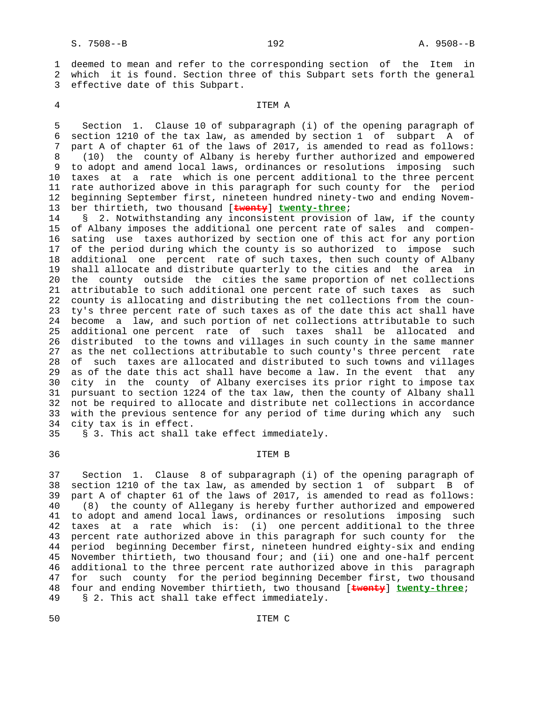1 deemed to mean and refer to the corresponding section of the Item in 2 which it is found. Section three of this Subpart sets forth the general 3 effective date of this Subpart.

## 4 **ITEM** A

 5 Section 1. Clause 10 of subparagraph (i) of the opening paragraph of 6 section 1210 of the tax law, as amended by section 1 of subpart A of part A of chapter 61 of the laws of 2017, is amended to read as follows: 8 (10) the county of Albany is hereby further authorized and empowered 9 to adopt and amend local laws, ordinances or resolutions imposing such 10 taxes at a rate which is one percent additional to the three percent 11 rate authorized above in this paragraph for such county for the period 12 beginning September first, nineteen hundred ninety-two and ending Novem- 13 ber thirtieth, two thousand [**twenty**] **twenty-three**;

 14 § 2. Notwithstanding any inconsistent provision of law, if the county 15 of Albany imposes the additional one percent rate of sales and compen- 16 sating use taxes authorized by section one of this act for any portion 17 of the period during which the county is so authorized to impose such 18 additional one percent rate of such taxes, then such county of Albany 19 shall allocate and distribute quarterly to the cities and the area in 20 the county outside the cities the same proportion of net collections 21 attributable to such additional one percent rate of such taxes as such 22 county is allocating and distributing the net collections from the coun- 23 ty's three percent rate of such taxes as of the date this act shall have 24 become a law, and such portion of net collections attributable to such 25 additional one percent rate of such taxes shall be allocated and 26 distributed to the towns and villages in such county in the same manner 27 as the net collections attributable to such county's three percent rate<br>28 of such taxes are allocated and distributed to such towns and villages 28 of such taxes are allocated and distributed to such towns and villages 29 as of the date this act shall have become a law. In the event that any 30 city in the county of Albany exercises its prior right to impose tax 31 pursuant to section 1224 of the tax law, then the county of Albany shall 32 not be required to allocate and distribute net collections in accordance 33 with the previous sentence for any period of time during which any such 34 city tax is in effect.

35 § 3. This act shall take effect immediately.

## 36 ITEM B

 37 Section 1. Clause 8 of subparagraph (i) of the opening paragraph of 38 section 1210 of the tax law, as amended by section 1 of subpart B of 39 part A of chapter 61 of the laws of 2017, is amended to read as follows: 40 (8) the county of Allegany is hereby further authorized and empowered 41 to adopt and amend local laws, ordinances or resolutions imposing such 42 taxes at a rate which is: (i) one percent additional to the three 43 percent rate authorized above in this paragraph for such county for the 44 period beginning December first, nineteen hundred eighty-six and ending 45 November thirtieth, two thousand four; and (ii) one and one-half percent 46 additional to the three percent rate authorized above in this paragraph 47 for such county for the period beginning December first, two thousand 48 four and ending November thirtieth, two thousand [**twenty**] **twenty-three**; 49 § 2. This act shall take effect immediately.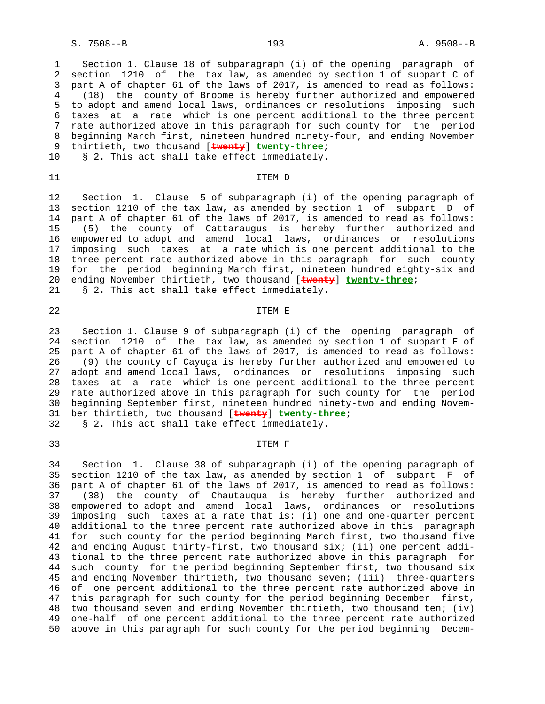S. 7508--B 193 A. 9508--B

 1 Section 1. Clause 18 of subparagraph (i) of the opening paragraph of 2 section 1210 of the tax law, as amended by section 1 of subpart C of 3 part A of chapter 61 of the laws of 2017, is amended to read as follows: 4 (18) the county of Broome is hereby further authorized and empowered 5 to adopt and amend local laws, ordinances or resolutions imposing such 6 taxes at a rate which is one percent additional to the three percent 7 rate authorized above in this paragraph for such county for the period 8 beginning March first, nineteen hundred ninety-four, and ending November 9 thirtieth, two thousand [**twenty**] **twenty-three**;

10 § 2. This act shall take effect immediately.

11 ITEM D

 12 Section 1. Clause 5 of subparagraph (i) of the opening paragraph of 13 section 1210 of the tax law, as amended by section 1 of subpart D of 14 part A of chapter 61 of the laws of 2017, is amended to read as follows: 15 (5) the county of Cattaraugus is hereby further authorized and 16 empowered to adopt and amend local laws, ordinances or resolutions 17 imposing such taxes at a rate which is one percent additional to the 18 three percent rate authorized above in this paragraph for such county 19 for the period beginning March first, nineteen hundred eighty-six and 20 ending November thirtieth, two thousand [**twenty**] **twenty-three**; 21 § 2. This act shall take effect immediately.

# 22 **ITEM E**

 23 Section 1. Clause 9 of subparagraph (i) of the opening paragraph of 24 section 1210 of the tax law, as amended by section 1 of subpart E of 25 part A of chapter 61 of the laws of 2017, is amended to read as follows: 26 (9) the county of Cayuga is hereby further authorized and empowered to 27 adopt and amend local laws, ordinances or resolutions imposing such 28 taxes at a rate which is one percent additional to the three percent 29 rate authorized above in this paragraph for such county for the period 30 beginning September first, nineteen hundred ninety-two and ending Novem- 31 ber thirtieth, two thousand [**twenty**] **twenty-three**;

32 § 2. This act shall take effect immediately.

## 33 ITEM F

 34 Section 1. Clause 38 of subparagraph (i) of the opening paragraph of 35 section 1210 of the tax law, as amended by section 1 of subpart F of 36 part A of chapter 61 of the laws of 2017, is amended to read as follows: 37 (38) the county of Chautauqua is hereby further authorized and 38 empowered to adopt and amend local laws, ordinances or resolutions 39 imposing such taxes at a rate that is: (i) one and one-quarter percent 40 additional to the three percent rate authorized above in this paragraph 41 for such county for the period beginning March first, two thousand five 42 and ending August thirty-first, two thousand six; (ii) one percent addi- 43 tional to the three percent rate authorized above in this paragraph for 44 such county for the period beginning September first, two thousand six 45 and ending November thirtieth, two thousand seven; (iii) three-quarters 46 of one percent additional to the three percent rate authorized above in 47 this paragraph for such county for the period beginning December first, 48 two thousand seven and ending November thirtieth, two thousand ten; (iv) 49 one-half of one percent additional to the three percent rate authorized 50 above in this paragraph for such county for the period beginning Decem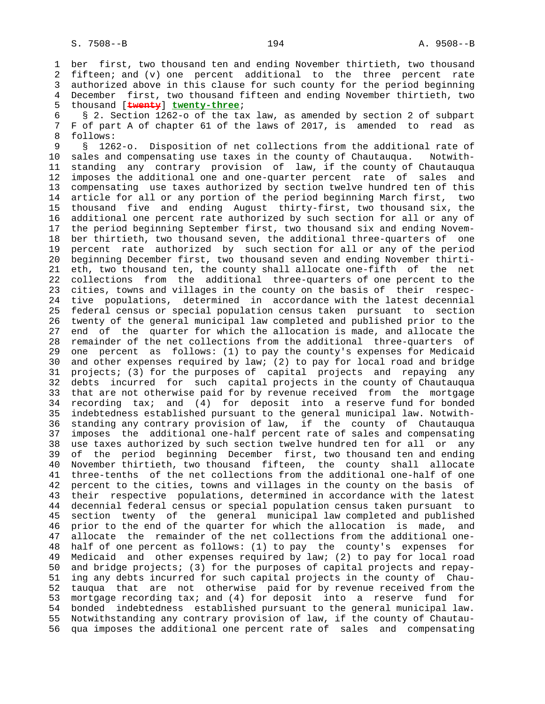1 ber first, two thousand ten and ending November thirtieth, two thousand 2 fifteen; and (v) one percent additional to the three percent rate 3 authorized above in this clause for such county for the period beginning 4 December first, two thousand fifteen and ending November thirtieth, two 5 thousand [**twenty**] **twenty-three**;

 6 § 2. Section 1262-o of the tax law, as amended by section 2 of subpart 7 F of part A of chapter 61 of the laws of 2017, is amended to read as 8 follows:<br>9 § 126

§ 1262-o. Disposition of net collections from the additional rate of 10 sales and compensating use taxes in the county of Chautauqua. Notwith- 11 standing any contrary provision of law, if the county of Chautauqua 12 imposes the additional one and one-quarter percent rate of sales and 13 compensating use taxes authorized by section twelve hundred ten of this 14 article for all or any portion of the period beginning March first, two 15 thousand five and ending August thirty-first, two thousand six, the 16 additional one percent rate authorized by such section for all or any of 17 the period beginning September first, two thousand six and ending Novem- 18 ber thirtieth, two thousand seven, the additional three-quarters of one 19 percent rate authorized by such section for all or any of the period 20 beginning December first, two thousand seven and ending November thirti- 21 eth, two thousand ten, the county shall allocate one-fifth of the net 22 collections from the additional three-quarters of one percent to the 23 cities, towns and villages in the county on the basis of their respec- 24 tive populations, determined in accordance with the latest decennial 25 federal census or special population census taken pursuant to section 26 twenty of the general municipal law completed and published prior to the 27 end of the quarter for which the allocation is made, and allocate the 28 remainder of the net collections from the additional three-quarters of 29 one percent as follows: (1) to pay the county's expenses for Medicaid 30 and other expenses required by law; (2) to pay for local road and bridge 31 projects; (3) for the purposes of capital projects and repaying any 32 debts incurred for such capital projects in the county of Chautauqua 33 that are not otherwise paid for by revenue received from the mortgage 34 recording tax; and (4) for deposit into a reserve fund for bonded 35 indebtedness established pursuant to the general municipal law. Notwith- 36 standing any contrary provision of law, if the county of Chautauqua 37 imposes the additional one-half percent rate of sales and compensating 38 use taxes authorized by such section twelve hundred ten for all or any 39 of the period beginning December first, two thousand ten and ending 40 November thirtieth, two thousand fifteen, the county shall allocate 41 three-tenths of the net collections from the additional one-half of one 42 percent to the cities, towns and villages in the county on the basis of 43 their respective populations, determined in accordance with the latest 44 decennial federal census or special population census taken pursuant to 45 section twenty of the general municipal law completed and published 46 prior to the end of the quarter for which the allocation is made, and 47 allocate the remainder of the net collections from the additional one- 48 half of one percent as follows: (1) to pay the county's expenses for 49 Medicaid and other expenses required by law; (2) to pay for local road 50 and bridge projects; (3) for the purposes of capital projects and repay- 51 ing any debts incurred for such capital projects in the county of Chau- 52 tauqua that are not otherwise paid for by revenue received from the 53 mortgage recording tax; and (4) for deposit into a reserve fund for 54 bonded indebtedness established pursuant to the general municipal law. 55 Notwithstanding any contrary provision of law, if the county of Chautau- 56 qua imposes the additional one percent rate of sales and compensating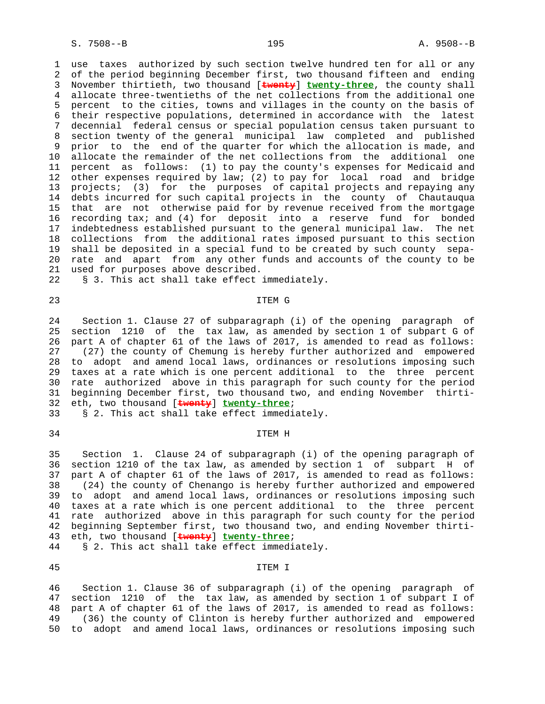1 use taxes authorized by such section twelve hundred ten for all or any 2 of the period beginning December first, two thousand fifteen and ending 3 November thirtieth, two thousand [**twenty**] **twenty-three**, the county shall 4 allocate three-twentieths of the net collections from the additional one 5 percent to the cities, towns and villages in the county on the basis of 6 their respective populations, determined in accordance with the latest 7 decennial federal census or special population census taken pursuant to 8 section twenty of the general municipal law completed and published 9 prior to the end of the quarter for which the allocation is made, and 10 allocate the remainder of the net collections from the additional one 11 percent as follows: (1) to pay the county's expenses for Medicaid and 12 other expenses required by law; (2) to pay for local road and bridge 13 projects; (3) for the purposes of capital projects and repaying any 14 debts incurred for such capital projects in the county of Chautauqua 15 that are not otherwise paid for by revenue received from the mortgage 16 recording tax; and (4) for deposit into a reserve fund for bonded 17 indebtedness established pursuant to the general municipal law. The net 18 collections from the additional rates imposed pursuant to this section 19 shall be deposited in a special fund to be created by such county sepa- 20 rate and apart from any other funds and accounts of the county to be 21 used for purposes above described.

22 § 3. This act shall take effect immediately.

## 23 **ITEM G**

 24 Section 1. Clause 27 of subparagraph (i) of the opening paragraph of 25 section 1210 of the tax law, as amended by section 1 of subpart G of 26 part A of chapter 61 of the laws of 2017, is amended to read as follows: 27 (27) the county of Chemung is hereby further authorized and empowered 28 to adopt and amend local laws, ordinances or resolutions imposing such 29 taxes at a rate which is one percent additional to the three percent 30 rate authorized above in this paragraph for such county for the period 31 beginning December first, two thousand two, and ending November thirti- 32 eth, two thousand [**twenty**] **twenty-three**;

33 § 2. This act shall take effect immediately.

## 34 ITEM H

 35 Section 1. Clause 24 of subparagraph (i) of the opening paragraph of 36 section 1210 of the tax law, as amended by section 1 of subpart H of 37 part A of chapter 61 of the laws of 2017, is amended to read as follows: 38 (24) the county of Chenango is hereby further authorized and empowered 39 to adopt and amend local laws, ordinances or resolutions imposing such 40 taxes at a rate which is one percent additional to the three percent 41 rate authorized above in this paragraph for such county for the period 42 beginning September first, two thousand two, and ending November thirti- 43 eth, two thousand [**twenty**] **twenty-three**;

44 § 2. This act shall take effect immediately.

## 45 ITEM I

 46 Section 1. Clause 36 of subparagraph (i) of the opening paragraph of 47 section 1210 of the tax law, as amended by section 1 of subpart I of 48 part A of chapter 61 of the laws of 2017, is amended to read as follows: 49 (36) the county of Clinton is hereby further authorized and empowered 50 to adopt and amend local laws, ordinances or resolutions imposing such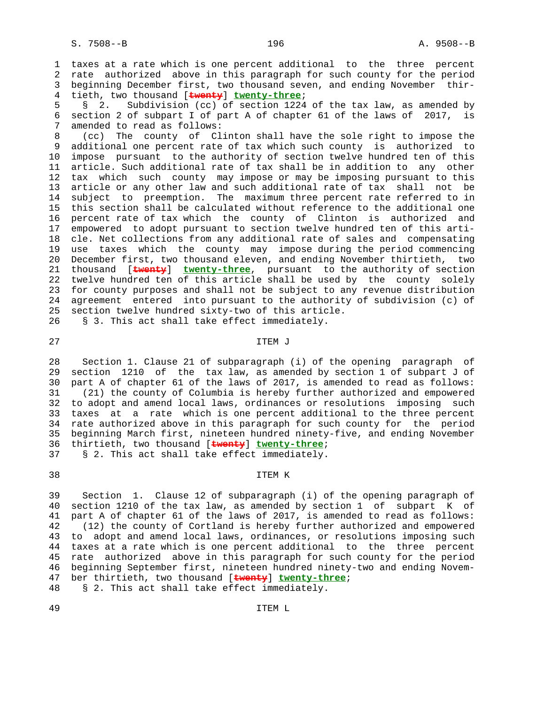1 taxes at a rate which is one percent additional to the three percent 2 rate authorized above in this paragraph for such county for the period 3 beginning December first, two thousand seven, and ending November thir- 4 tieth, two thousand [**twenty**] **twenty-three**;

 5 § 2. Subdivision (cc) of section 1224 of the tax law, as amended by 6 section 2 of subpart I of part A of chapter 61 of the laws of 2017, is 7 amended to read as follows:

8 (cc) The county of Clinton shall have the sole right to impose the<br>9 additional one percent rate of tax which such county is authorized to additional one percent rate of tax which such county is authorized to 10 impose pursuant to the authority of section twelve hundred ten of this 11 article. Such additional rate of tax shall be in addition to any other 12 tax which such county may impose or may be imposing pursuant to this 13 article or any other law and such additional rate of tax shall not be 14 subject to preemption. The maximum three percent rate referred to in 15 this section shall be calculated without reference to the additional one 16 percent rate of tax which the county of Clinton is authorized and 17 empowered to adopt pursuant to section twelve hundred ten of this arti- 18 cle. Net collections from any additional rate of sales and compensating 19 use taxes which the county may impose during the period commencing 20 December first, two thousand eleven, and ending November thirtieth, two 21 thousand [**twenty**] **twenty-three**, pursuant to the authority of section 22 twelve hundred ten of this article shall be used by the county solely 23 for county purposes and shall not be subject to any revenue distribution 24 agreement entered into pursuant to the authority of subdivision (c) of<br>25 section twelve hundred sixty-two of this article. section twelve hundred sixty-two of this article.

26 § 3. This act shall take effect immediately.

## 27 **ITEM J**

 28 Section 1. Clause 21 of subparagraph (i) of the opening paragraph of 29 section 1210 of the tax law, as amended by section 1 of subpart J of 30 part A of chapter 61 of the laws of 2017, is amended to read as follows: 31 (21) the county of Columbia is hereby further authorized and empowered 32 to adopt and amend local laws, ordinances or resolutions imposing such 33 taxes at a rate which is one percent additional to the three percent 34 rate authorized above in this paragraph for such county for the period 35 beginning March first, nineteen hundred ninety-five, and ending November 36 thirtieth, two thousand [**twenty**] **twenty-three**;

§ 2. This act shall take effect immediately.

## 38 ITEM K

 39 Section 1. Clause 12 of subparagraph (i) of the opening paragraph of 40 section 1210 of the tax law, as amended by section 1 of subpart K of 41 part A of chapter 61 of the laws of 2017, is amended to read as follows: 42 (12) the county of Cortland is hereby further authorized and empowered 43 to adopt and amend local laws, ordinances, or resolutions imposing such 44 taxes at a rate which is one percent additional to the three percent 45 rate authorized above in this paragraph for such county for the period 46 beginning September first, nineteen hundred ninety-two and ending Novem- 47 ber thirtieth, two thousand [**twenty**] **twenty-three**;

48 § 2. This act shall take effect immediately.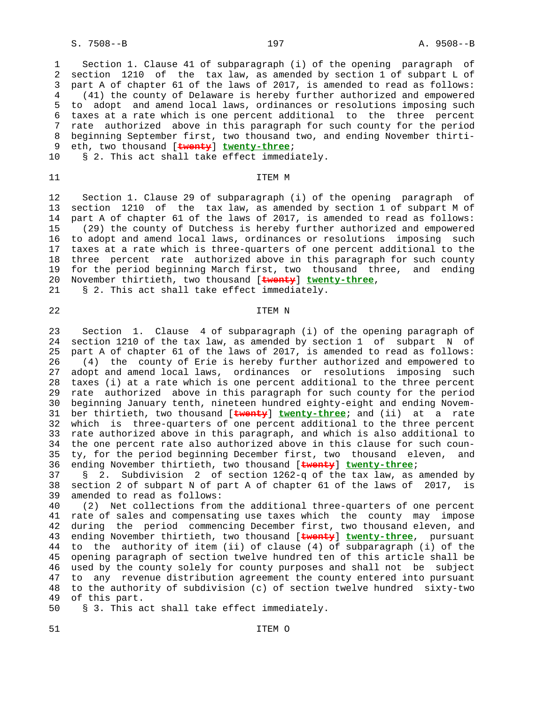S. 7508--B 197 A. 9508--B

 1 Section 1. Clause 41 of subparagraph (i) of the opening paragraph of 2 section 1210 of the tax law, as amended by section 1 of subpart L of 3 part A of chapter 61 of the laws of 2017, is amended to read as follows: 4 (41) the county of Delaware is hereby further authorized and empowered 5 to adopt and amend local laws, ordinances or resolutions imposing such 6 taxes at a rate which is one percent additional to the three percent 7 rate authorized above in this paragraph for such county for the period 8 beginning September first, two thousand two, and ending November thirti- 9 eth, two thousand [**twenty**] **twenty-three**;

10 § 2. This act shall take effect immediately.

## 11 **ITEM M**

 12 Section 1. Clause 29 of subparagraph (i) of the opening paragraph of 13 section 1210 of the tax law, as amended by section 1 of subpart M of 14 part A of chapter 61 of the laws of 2017, is amended to read as follows: 15 (29) the county of Dutchess is hereby further authorized and empowered 16 to adopt and amend local laws, ordinances or resolutions imposing such 17 taxes at a rate which is three-quarters of one percent additional to the 18 three percent rate authorized above in this paragraph for such county 19 for the period beginning March first, two thousand three, and ending 20 November thirtieth, two thousand [**twenty**] **twenty-three**,

21 § 2. This act shall take effect immediately.

# 22 **ITEM N**

 23 Section 1. Clause 4 of subparagraph (i) of the opening paragraph of 24 section 1210 of the tax law, as amended by section 1 of subpart N of 25 part A of chapter 61 of the laws of 2017, is amended to read as follows: 26 (4) the county of Erie is hereby further authorized and empowered to 27 adopt and amend local laws, ordinances or resolutions imposing such 28 taxes (i) at a rate which is one percent additional to the three percent 29 rate authorized above in this paragraph for such county for the period 30 beginning January tenth, nineteen hundred eighty-eight and ending Novem- 31 ber thirtieth, two thousand [**twenty**] **twenty-three**; and (ii) at a rate 32 which is three-quarters of one percent additional to the three percent 33 rate authorized above in this paragraph, and which is also additional to 34 the one percent rate also authorized above in this clause for such coun- 35 ty, for the period beginning December first, two thousand eleven, and 36 ending November thirtieth, two thousand [**twenty**] **twenty-three**;

 37 § 2. Subdivision 2 of section 1262-q of the tax law, as amended by 38 section 2 of subpart N of part A of chapter 61 of the laws of 2017, is 39 amended to read as follows:

 40 (2) Net collections from the additional three-quarters of one percent 41 rate of sales and compensating use taxes which the county may impose 42 during the period commencing December first, two thousand eleven, and 43 ending November thirtieth, two thousand [**twenty**] **twenty-three**, pursuant 44 to the authority of item (ii) of clause (4) of subparagraph (i) of the 45 opening paragraph of section twelve hundred ten of this article shall be 46 used by the county solely for county purposes and shall not be subject 47 to any revenue distribution agreement the county entered into pursuant 48 to the authority of subdivision (c) of section twelve hundred sixty-two 49 of this part.

50 § 3. This act shall take effect immediately.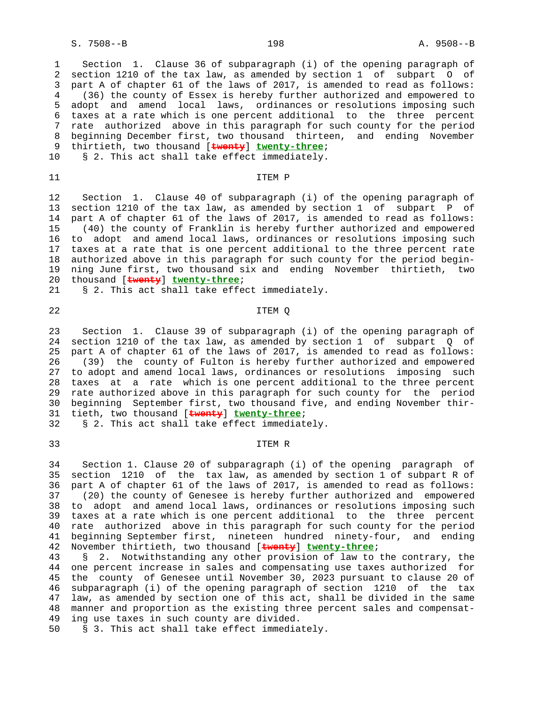S. 7508--B 198 A. 9508--B

 1 Section 1. Clause 36 of subparagraph (i) of the opening paragraph of 2 section 1210 of the tax law, as amended by section 1 of subpart O of 3 part A of chapter 61 of the laws of 2017, is amended to read as follows: 4 (36) the county of Essex is hereby further authorized and empowered to 5 adopt and amend local laws, ordinances or resolutions imposing such 6 taxes at a rate which is one percent additional to the three percent 7 rate authorized above in this paragraph for such county for the period 8 beginning December first, two thousand thirteen, and ending November 9 thirtieth, two thousand [**twenty**] **twenty-three**;

10 § 2. This act shall take effect immediately.

11 TTEM P

 12 Section 1. Clause 40 of subparagraph (i) of the opening paragraph of 13 section 1210 of the tax law, as amended by section 1 of subpart P of 14 part A of chapter 61 of the laws of 2017, is amended to read as follows: 15 (40) the county of Franklin is hereby further authorized and empowered 16 to adopt and amend local laws, ordinances or resolutions imposing such 17 taxes at a rate that is one percent additional to the three percent rate 18 authorized above in this paragraph for such county for the period begin- 19 ning June first, two thousand six and ending November thirtieth, two 20 thousand [**twenty**] **twenty-three**;

21 § 2. This act shall take effect immediately.

## 22 ITEM Q

 23 Section 1. Clause 39 of subparagraph (i) of the opening paragraph of 24 section 1210 of the tax law, as amended by section 1 of subpart Q of 25 part A of chapter 61 of the laws of 2017, is amended to read as follows: 26 (39) the county of Fulton is hereby further authorized and empowered 27 to adopt and amend local laws, ordinances or resolutions imposing such 28 taxes at a rate which is one percent additional to the three percent 29 rate authorized above in this paragraph for such county for the period 30 beginning September first, two thousand five, and ending November thir- 31 tieth, two thousand [**twenty**] **twenty-three**;

32 § 2. This act shall take effect immediately.

## 33 ITEM R

 34 Section 1. Clause 20 of subparagraph (i) of the opening paragraph of 35 section 1210 of the tax law, as amended by section 1 of subpart R of 36 part A of chapter 61 of the laws of 2017, is amended to read as follows: 37 (20) the county of Genesee is hereby further authorized and empowered 38 to adopt and amend local laws, ordinances or resolutions imposing such 39 taxes at a rate which is one percent additional to the three percent 40 rate authorized above in this paragraph for such county for the period 41 beginning September first, nineteen hundred ninety-four, and ending 42 November thirtieth, two thousand [**twenty**] **twenty-three**;

 43 § 2. Notwithstanding any other provision of law to the contrary, the 44 one percent increase in sales and compensating use taxes authorized for 45 the county of Genesee until November 30, 2023 pursuant to clause 20 of 46 subparagraph (i) of the opening paragraph of section 1210 of the tax 47 law, as amended by section one of this act, shall be divided in the same 48 manner and proportion as the existing three percent sales and compensat- 49 ing use taxes in such county are divided.

50 § 3. This act shall take effect immediately.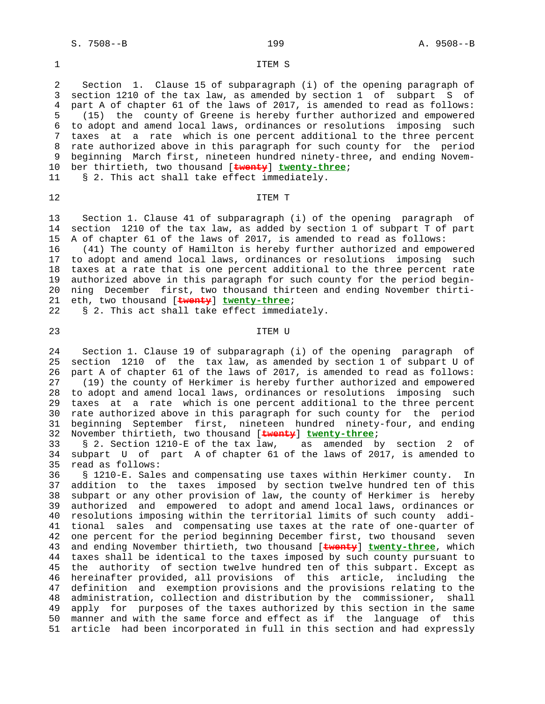## 1 ITEM S

 2 Section 1. Clause 15 of subparagraph (i) of the opening paragraph of 3 section 1210 of the tax law, as amended by section 1 of subpart S of 4 part A of chapter 61 of the laws of 2017, is amended to read as follows: 5 (15) the county of Greene is hereby further authorized and empowered 6 to adopt and amend local laws, ordinances or resolutions imposing such 7 taxes at a rate which is one percent additional to the three percent 8 rate authorized above in this paragraph for such county for the period 9 beginning March first, nineteen hundred ninety-three, and ending Novem- 10 ber thirtieth, two thousand [**twenty**] **twenty-three**;

11 § 2. This act shall take effect immediately.

# 12 **ITEM T**

 13 Section 1. Clause 41 of subparagraph (i) of the opening paragraph of 14 section 1210 of the tax law, as added by section 1 of subpart T of part 15 A of chapter 61 of the laws of 2017, is amended to read as follows: 16 (41) The county of Hamilton is hereby further authorized and empowered 17 to adopt and amend local laws, ordinances or resolutions imposing such 18 taxes at a rate that is one percent additional to the three percent rate 19 authorized above in this paragraph for such county for the period begin-

 20 ning December first, two thousand thirteen and ending November thirti- 21 eth, two thousand [**twenty**] **twenty-three**;

22 § 2. This act shall take effect immediately.

## 23 **ITEM U**

 24 Section 1. Clause 19 of subparagraph (i) of the opening paragraph of 25 section 1210 of the tax law, as amended by section 1 of subpart U of 26 part A of chapter 61 of the laws of 2017, is amended to read as follows: 27 (19) the county of Herkimer is hereby further authorized and empowered 28 to adopt and amend local laws, ordinances or resolutions imposing such 29 taxes at a rate which is one percent additional to the three percent 30 rate authorized above in this paragraph for such county for the period 31 beginning September first, nineteen hundred ninety-four, and ending 32 November thirtieth, two thousand [**twenty**] **twenty-three**;

 33 § 2. Section 1210-E of the tax law, as amended by section 2 of 34 subpart U of part A of chapter 61 of the laws of 2017, is amended to 35 read as follows:

 36 § 1210-E. Sales and compensating use taxes within Herkimer county. In 37 addition to the taxes imposed by section twelve hundred ten of this 38 subpart or any other provision of law, the county of Herkimer is hereby 39 authorized and empowered to adopt and amend local laws, ordinances or 40 resolutions imposing within the territorial limits of such county addi- 41 tional sales and compensating use taxes at the rate of one-quarter of 42 one percent for the period beginning December first, two thousand seven 43 and ending November thirtieth, two thousand [**twenty**] **twenty-three**, which 44 taxes shall be identical to the taxes imposed by such county pursuant to 45 the authority of section twelve hundred ten of this subpart. Except as 46 hereinafter provided, all provisions of this article, including the 47 definition and exemption provisions and the provisions relating to the 48 administration, collection and distribution by the commissioner, shall 49 apply for purposes of the taxes authorized by this section in the same 50 manner and with the same force and effect as if the language of this 51 article had been incorporated in full in this section and had expressly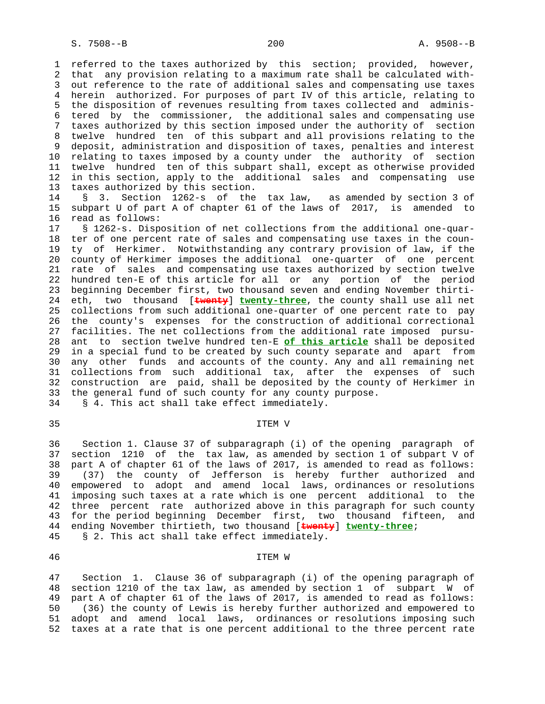1 referred to the taxes authorized by this section; provided, however, 2 that any provision relating to a maximum rate shall be calculated with- 3 out reference to the rate of additional sales and compensating use taxes 4 herein authorized. For purposes of part IV of this article, relating to 5 the disposition of revenues resulting from taxes collected and adminis- 6 tered by the commissioner, the additional sales and compensating use 7 taxes authorized by this section imposed under the authority of section 8 twelve hundred ten of this subpart and all provisions relating to the 9 deposit, administration and disposition of taxes, penalties and interest 10 relating to taxes imposed by a county under the authority of section 11 twelve hundred ten of this subpart shall, except as otherwise provided 12 in this section, apply to the additional sales and compensating use 13 taxes authorized by this section.

 14 § 3. Section 1262-s of the tax law, as amended by section 3 of 15 subpart U of part A of chapter 61 of the laws of 2017, is amended to 16 read as follows:

 17 § 1262-s. Disposition of net collections from the additional one-quar- 18 ter of one percent rate of sales and compensating use taxes in the coun- 19 ty of Herkimer. Notwithstanding any contrary provision of law, if the 20 county of Herkimer imposes the additional one-quarter of one percent 21 rate of sales and compensating use taxes authorized by section twelve 22 hundred ten-E of this article for all or any portion of the period 23 beginning December first, two thousand seven and ending November thirti- 24 eth, two thousand [**twenty**] **twenty-three**, the county shall use all net 25 collections from such additional one-quarter of one percent rate to pay 26 the county's expenses for the construction of additional correctional 27 facilities. The net collections from the additional rate imposed pursu- 28 ant to section twelve hundred ten-E **of this article** shall be deposited 29 in a special fund to be created by such county separate and apart from 30 any other funds and accounts of the county. Any and all remaining net 31 collections from such additional tax, after the expenses of such 32 construction are paid, shall be deposited by the county of Herkimer in 33 the general fund of such county for any county purpose. 34 § 4. This act shall take effect immediately.

### 35 ITEM V

 36 Section 1. Clause 37 of subparagraph (i) of the opening paragraph of 37 section 1210 of the tax law, as amended by section 1 of subpart V of 38 part A of chapter 61 of the laws of 2017, is amended to read as follows: 39 (37) the county of Jefferson is hereby further authorized and 40 empowered to adopt and amend local laws, ordinances or resolutions 41 imposing such taxes at a rate which is one percent additional to the 42 three percent rate authorized above in this paragraph for such county 43 for the period beginning December first, two thousand fifteen, and 44 ending November thirtieth, two thousand [**twenty**] **twenty-three**; 45 § 2. This act shall take effect immediately.

### 46 ITEM W

 47 Section 1. Clause 36 of subparagraph (i) of the opening paragraph of 48 section 1210 of the tax law, as amended by section 1 of subpart W of 49 part A of chapter 61 of the laws of 2017, is amended to read as follows: 50 (36) the county of Lewis is hereby further authorized and empowered to 51 adopt and amend local laws, ordinances or resolutions imposing such 52 taxes at a rate that is one percent additional to the three percent rate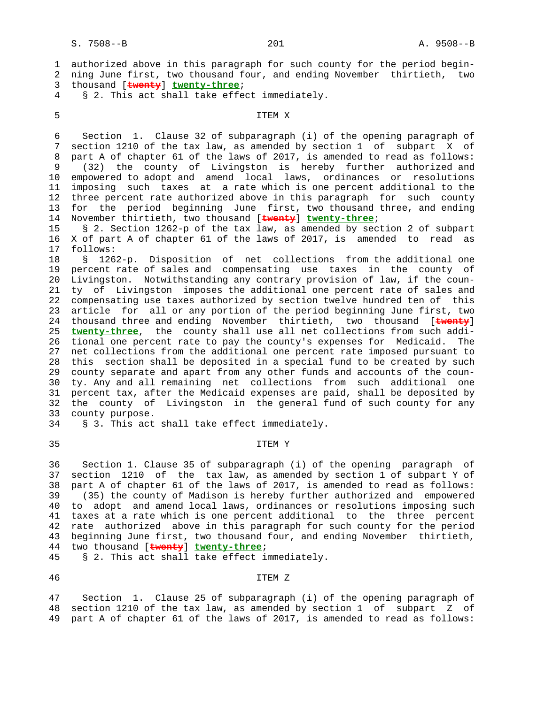1 authorized above in this paragraph for such county for the period begin- 2 ning June first, two thousand four, and ending November thirtieth, two 3 thousand [**twenty**] **twenty-three**; 4 § 2. This act shall take effect immediately. 5 ITEM X 6 Section 1. Clause 32 of subparagraph (i) of the opening paragraph of<br>7 section 1210 of the tax law, as amended by section 1 of subpart X of 7 section 1210 of the tax law, as amended by section 1 of subpart X of 8 part A of chapter 61 of the laws of 2017, is amended to read as follows: 9 (32) the county of Livingston is hereby further authorized and 10 empowered to adopt and amend local laws, ordinances or resolutions 11 imposing such taxes at a rate which is one percent additional to the 12 three percent rate authorized above in this paragraph for such county 13 for the period beginning June first, two thousand three, and ending 14 November thirtieth, two thousand [**twenty**] **twenty-three**; 15 § 2. Section 1262-p of the tax law, as amended by section 2 of subpart 16 X of part A of chapter 61 of the laws of 2017, is amended to read as 17 follows: 18 § 1262-p. Disposition of net collections from the additional one 19 percent rate of sales and compensating use taxes in the county of 20 Livingston. Notwithstanding any contrary provision of law, if the coun- 21 ty of Livingston imposes the additional one percent rate of sales and 22 compensating use taxes authorized by section twelve hundred ten of this 23 article for all or any portion of the period beginning June first, two 24 thousand three and ending November thirtieth, two thousand [**twenty**] 25 **twenty-three**, the county shall use all net collections from such addi- 26 tional one percent rate to pay the county's expenses for Medicaid. The 27 net collections from the additional one percent rate imposed pursuant to 28 this section shall be deposited in a special fund to be created by such 29 county separate and apart from any other funds and accounts of the coun- 30 ty. Any and all remaining net collections from such additional one 31 percent tax, after the Medicaid expenses are paid, shall be deposited by 32 the county of Livingston in the general fund of such county for any 33 county purpose. 34 § 3. This act shall take effect immediately.

## 35 ITEM Y

 36 Section 1. Clause 35 of subparagraph (i) of the opening paragraph of 37 section 1210 of the tax law, as amended by section 1 of subpart Y of 38 part A of chapter 61 of the laws of 2017, is amended to read as follows: 39 (35) the county of Madison is hereby further authorized and empowered 40 to adopt and amend local laws, ordinances or resolutions imposing such 41 taxes at a rate which is one percent additional to the three percent 42 rate authorized above in this paragraph for such county for the period 43 beginning June first, two thousand four, and ending November thirtieth, 44 two thousand [**twenty**] **twenty-three**;

45 § 2. This act shall take effect immediately.

### 46 ITEM Z

 47 Section 1. Clause 25 of subparagraph (i) of the opening paragraph of 48 section 1210 of the tax law, as amended by section 1 of subpart Z of 49 part A of chapter 61 of the laws of 2017, is amended to read as follows: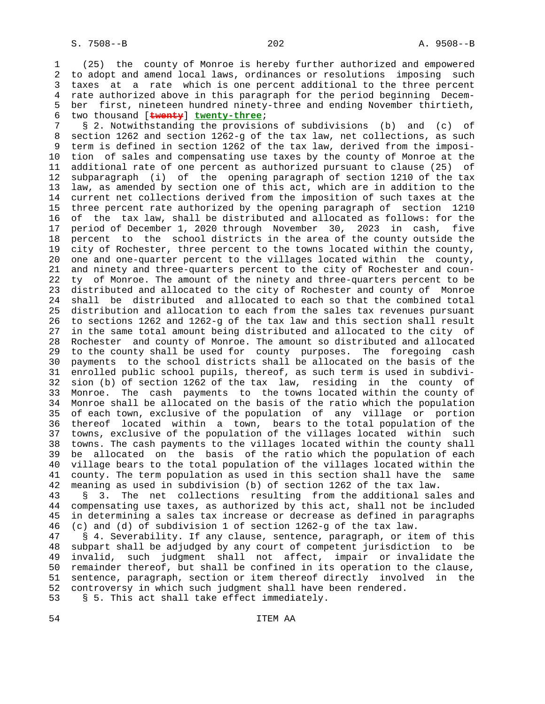1 (25) the county of Monroe is hereby further authorized and empowered 2 to adopt and amend local laws, ordinances or resolutions imposing such 3 taxes at a rate which is one percent additional to the three percent 4 rate authorized above in this paragraph for the period beginning Decem- 5 ber first, nineteen hundred ninety-three and ending November thirtieth, 6 two thousand [**twenty**] **twenty-three**;

 7 § 2. Notwithstanding the provisions of subdivisions (b) and (c) of 8 section 1262 and section 1262-g of the tax law, net collections, as such 9 term is defined in section 1262 of the tax law, derived from the imposi- 10 tion of sales and compensating use taxes by the county of Monroe at the 11 additional rate of one percent as authorized pursuant to clause (25) of 12 subparagraph (i) of the opening paragraph of section 1210 of the tax 13 law, as amended by section one of this act, which are in addition to the 14 current net collections derived from the imposition of such taxes at the 15 three percent rate authorized by the opening paragraph of section 1210 16 of the tax law, shall be distributed and allocated as follows: for the 17 period of December 1, 2020 through November 30, 2023 in cash, five 18 percent to the school districts in the area of the county outside the 19 city of Rochester, three percent to the towns located within the county, 20 one and one-quarter percent to the villages located within the county, 21 and ninety and three-quarters percent to the city of Rochester and coun- 22 ty of Monroe. The amount of the ninety and three-quarters percent to be 23 distributed and allocated to the city of Rochester and county of Monroe 24 shall be distributed and allocated to each so that the combined total 25 distribution and allocation to each from the sales tax revenues pursuant 26 to sections 1262 and 1262-g of the tax law and this section shall result 27 in the same total amount being distributed and allocated to the city of 28 Rochester and county of Monroe. The amount so distributed and allocated 29 to the county shall be used for county purposes. The foregoing cash 30 payments to the school districts shall be allocated on the basis of the 31 enrolled public school pupils, thereof, as such term is used in subdivi- 32 sion (b) of section 1262 of the tax law, residing in the county of 33 Monroe. The cash payments to the towns located within the county of 34 Monroe shall be allocated on the basis of the ratio which the population 35 of each town, exclusive of the population of any village or portion 36 thereof located within a town, bears to the total population of the 37 towns, exclusive of the population of the villages located within such 38 towns. The cash payments to the villages located within the county shall 39 be allocated on the basis of the ratio which the population of each 40 village bears to the total population of the villages located within the 41 county. The term population as used in this section shall have the same 42 meaning as used in subdivision (b) of section 1262 of the tax law.

 43 § 3. The net collections resulting from the additional sales and 44 compensating use taxes, as authorized by this act, shall not be included 45 in determining a sales tax increase or decrease as defined in paragraphs 46 (c) and (d) of subdivision 1 of section 1262-g of the tax law.

 47 § 4. Severability. If any clause, sentence, paragraph, or item of this 48 subpart shall be adjudged by any court of competent jurisdiction to be 49 invalid, such judgment shall not affect, impair or invalidate the 50 remainder thereof, but shall be confined in its operation to the clause, 51 sentence, paragraph, section or item thereof directly involved in the 52 controversy in which such judgment shall have been rendered.

53 § 5. This act shall take effect immediately.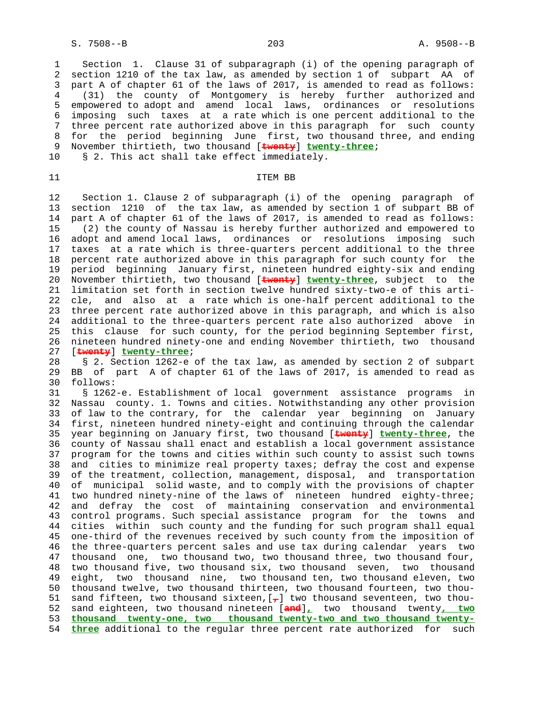S. 7508--B 203 A. 9508--B

 1 Section 1. Clause 31 of subparagraph (i) of the opening paragraph of 2 section 1210 of the tax law, as amended by section 1 of subpart AA of 3 part A of chapter 61 of the laws of 2017, is amended to read as follows: 4 (31) the county of Montgomery is hereby further authorized and 5 empowered to adopt and amend local laws, ordinances or resolutions 6 imposing such taxes at a rate which is one percent additional to the 7 three percent rate authorized above in this paragraph for such county 8 for the period beginning June first, two thousand three, and ending 9 November thirtieth, two thousand [**twenty**] **twenty-three**;

- 10 § 2. This act shall take effect immediately.
- 

# 11 **ITEM BB**

 12 Section 1. Clause 2 of subparagraph (i) of the opening paragraph of 13 section 1210 of the tax law, as amended by section 1 of subpart BB of 14 part A of chapter 61 of the laws of 2017, is amended to read as follows: 15 (2) the county of Nassau is hereby further authorized and empowered to 16 adopt and amend local laws, ordinances or resolutions imposing such 17 taxes at a rate which is three-quarters percent additional to the three 18 percent rate authorized above in this paragraph for such county for the 19 period beginning January first, nineteen hundred eighty-six and ending 20 November thirtieth, two thousand [**twenty**] **twenty-three**, subject to the 21 limitation set forth in section twelve hundred sixty-two-e of this arti- 22 cle, and also at a rate which is one-half percent additional to the 23 three percent rate authorized above in this paragraph, and which is also 24 additional to the three-quarters percent rate also authorized above in 25 this clause for such county, for the period beginning September first, 26 nineteen hundred ninety-one and ending November thirtieth, two thousand 27 [**twenty**] **twenty-three**;

 28 § 2. Section 1262-e of the tax law, as amended by section 2 of subpart 29 BB of part A of chapter 61 of the laws of 2017, is amended to read as 30 follows:

 31 § 1262-e. Establishment of local government assistance programs in 32 Nassau county. 1. Towns and cities. Notwithstanding any other provision 33 of law to the contrary, for the calendar year beginning on January 34 first, nineteen hundred ninety-eight and continuing through the calendar 35 year beginning on January first, two thousand [**twenty**] **twenty-three**, the 36 county of Nassau shall enact and establish a local government assistance 37 program for the towns and cities within such county to assist such towns 38 and cities to minimize real property taxes; defray the cost and expense 39 of the treatment, collection, management, disposal, and transportation 40 of municipal solid waste, and to comply with the provisions of chapter 41 two hundred ninety-nine of the laws of nineteen hundred eighty-three; 42 and defray the cost of maintaining conservation and environmental 43 control programs. Such special assistance program for the towns and 44 cities within such county and the funding for such program shall equal 45 one-third of the revenues received by such county from the imposition of 46 the three-quarters percent sales and use tax during calendar years two 47 thousand one, two thousand two, two thousand three, two thousand four, 48 two thousand five, two thousand six, two thousand seven, two thousand 49 eight, two thousand nine, two thousand ten, two thousand eleven, two 50 thousand twelve, two thousand thirteen, two thousand fourteen, two thou- 51 sand fifteen, two thousand sixteen,[**,**] two thousand seventeen, two thou- 52 sand eighteen, two thousand nineteen [**and**]**,** two thousand twenty**, two** 53 **thousand twenty-one, two thousand twenty-two and two thousand twenty-** 54 **three** additional to the regular three percent rate authorized for such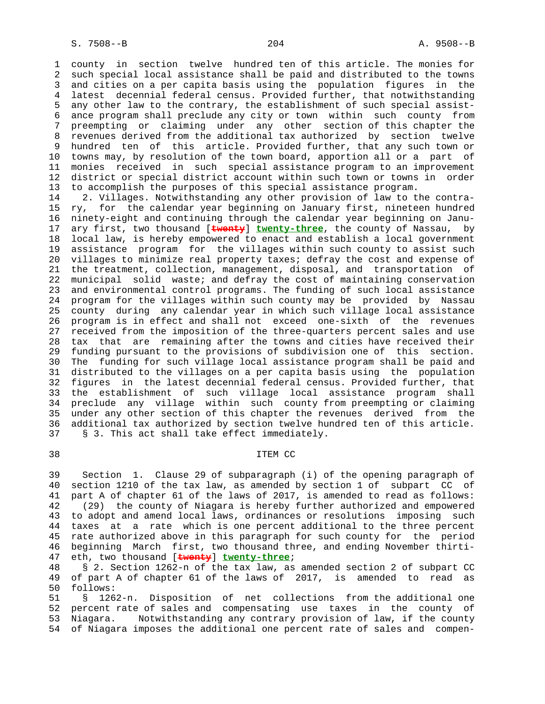1 county in section twelve hundred ten of this article. The monies for 2 such special local assistance shall be paid and distributed to the towns 3 and cities on a per capita basis using the population figures in the 4 latest decennial federal census. Provided further, that notwithstanding 5 any other law to the contrary, the establishment of such special assist- 6 ance program shall preclude any city or town within such county from 7 preempting or claiming under any other section of this chapter the 8 revenues derived from the additional tax authorized by section twelve<br>9 hundred ten of this article. Provided further, that any such town or hundred ten of this article. Provided further, that any such town or 10 towns may, by resolution of the town board, apportion all or a part of 11 monies received in such special assistance program to an improvement 12 district or special district account within such town or towns in order 13 to accomplish the purposes of this special assistance program.

 14 2. Villages. Notwithstanding any other provision of law to the contra- 15 ry, for the calendar year beginning on January first, nineteen hundred 16 ninety-eight and continuing through the calendar year beginning on Janu- 17 ary first, two thousand [**twenty**] **twenty-three**, the county of Nassau, by 18 local law, is hereby empowered to enact and establish a local government 19 assistance program for the villages within such county to assist such 20 villages to minimize real property taxes; defray the cost and expense of 21 the treatment, collection, management, disposal, and transportation of 22 municipal solid waste; and defray the cost of maintaining conservation 23 and environmental control programs. The funding of such local assistance 24 program for the villages within such county may be provided by Nassau 25 county during any calendar year in which such village local assistance 26 program is in effect and shall not exceed one-sixth of the revenues 27 received from the imposition of the three-quarters percent sales and use 28 tax that are remaining after the towns and cities have received their 29 funding pursuant to the provisions of subdivision one of this section. 30 The funding for such village local assistance program shall be paid and 31 distributed to the villages on a per capita basis using the population 32 figures in the latest decennial federal census. Provided further, that 33 the establishment of such village local assistance program shall 34 preclude any village within such county from preempting or claiming 35 under any other section of this chapter the revenues derived from the 36 additional tax authorized by section twelve hundred ten of this article. 37 § 3. This act shall take effect immediately.

### 38 ITEM CC

 39 Section 1. Clause 29 of subparagraph (i) of the opening paragraph of 40 section 1210 of the tax law, as amended by section 1 of subpart CC of 41 part A of chapter 61 of the laws of 2017, is amended to read as follows: 42 (29) the county of Niagara is hereby further authorized and empowered 43 to adopt and amend local laws, ordinances or resolutions imposing such 44 taxes at a rate which is one percent additional to the three percent 45 rate authorized above in this paragraph for such county for the period 46 beginning March first, two thousand three, and ending November thirti- 47 eth, two thousand [**twenty**] **twenty-three**;

 48 § 2. Section 1262-n of the tax law, as amended section 2 of subpart CC 49 of part A of chapter 61 of the laws of 2017, is amended to read as 50 follows:

 51 § 1262-n. Disposition of net collections from the additional one 52 percent rate of sales and compensating use taxes in the county of 53 Niagara. Notwithstanding any contrary provision of law, if the county 54 of Niagara imposes the additional one percent rate of sales and compen-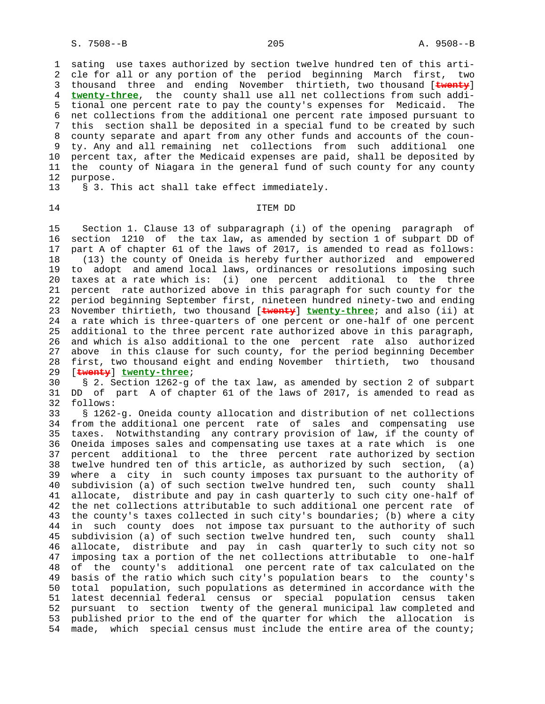1 sating use taxes authorized by section twelve hundred ten of this arti- 2 cle for all or any portion of the period beginning March first, two 3 thousand three and ending November thirtieth, two thousand [**twenty**] 4 **twenty-three**, the county shall use all net collections from such addi- 5 tional one percent rate to pay the county's expenses for Medicaid. The 6 net collections from the additional one percent rate imposed pursuant to 7 this section shall be deposited in a special fund to be created by such 8 county separate and apart from any other funds and accounts of the coun- 9 ty. Any and all remaining net collections from such additional one 10 percent tax, after the Medicaid expenses are paid, shall be deposited by 11 the county of Niagara in the general fund of such county for any county 12 purpose. 13 § 3. This act shall take effect immediately.

## 14 ITEM DD

 15 Section 1. Clause 13 of subparagraph (i) of the opening paragraph of 16 section 1210 of the tax law, as amended by section 1 of subpart DD of 17 part A of chapter 61 of the laws of 2017, is amended to read as follows: 18 (13) the county of Oneida is hereby further authorized and empowered 19 to adopt and amend local laws, ordinances or resolutions imposing such 20 taxes at a rate which is: (i) one percent additional to the three 21 percent rate authorized above in this paragraph for such county for the 22 period beginning September first, nineteen hundred ninety-two and ending 23 November thirtieth, two thousand [**twenty**] **twenty-three**; and also (ii) at 24 a rate which is three-quarters of one percent or one-half of one percent 25 additional to the three percent rate authorized above in this paragraph, 26 and which is also additional to the one percent rate also authorized 27 above in this clause for such county, for the period beginning December 28 first, two thousand eight and ending November thirtieth, two thousand 29 [**twenty**] **twenty-three**;

 30 § 2. Section 1262-g of the tax law, as amended by section 2 of subpart 31 DD of part A of chapter 61 of the laws of 2017, is amended to read as 32 follows:

 33 § 1262-g. Oneida county allocation and distribution of net collections 34 from the additional one percent rate of sales and compensating use 35 taxes. Notwithstanding any contrary provision of law, if the county of 36 Oneida imposes sales and compensating use taxes at a rate which is one 37 percent additional to the three percent rate authorized by section 38 twelve hundred ten of this article, as authorized by such section, (a) 39 where a city in such county imposes tax pursuant to the authority of 40 subdivision (a) of such section twelve hundred ten, such county shall 41 allocate, distribute and pay in cash quarterly to such city one-half of 42 the net collections attributable to such additional one percent rate of 43 the county's taxes collected in such city's boundaries; (b) where a city 44 in such county does not impose tax pursuant to the authority of such 45 subdivision (a) of such section twelve hundred ten, such county shall 46 allocate, distribute and pay in cash quarterly to such city not so 47 imposing tax a portion of the net collections attributable to one-half 48 of the county's additional one percent rate of tax calculated on the 49 basis of the ratio which such city's population bears to the county's 50 total population, such populations as determined in accordance with the 51 latest decennial federal census or special population census taken 52 pursuant to section twenty of the general municipal law completed and 53 published prior to the end of the quarter for which the allocation is 54 made, which special census must include the entire area of the county;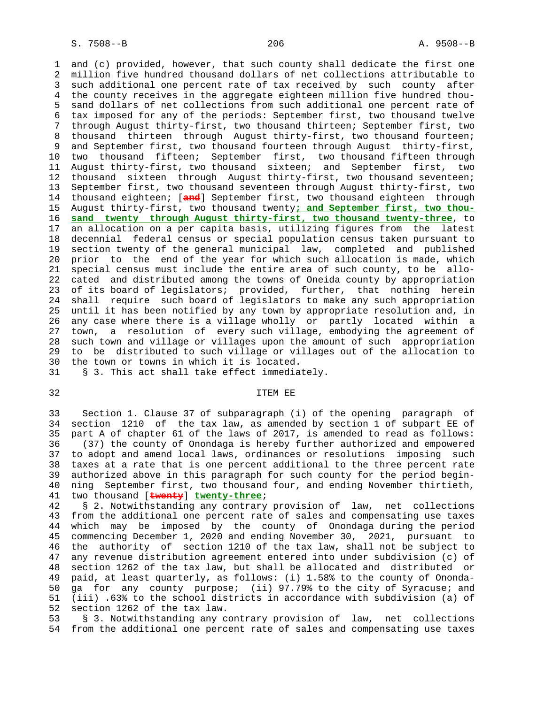1 and (c) provided, however, that such county shall dedicate the first one 2 million five hundred thousand dollars of net collections attributable to 3 such additional one percent rate of tax received by such county after 4 the county receives in the aggregate eighteen million five hundred thou- 5 sand dollars of net collections from such additional one percent rate of 6 tax imposed for any of the periods: September first, two thousand twelve 7 through August thirty-first, two thousand thirteen; September first, two 8 thousand thirteen through August thirty-first, two thousand fourteen;<br>9 and September first, two thousand fourteen through August thirty-first, and September first, two thousand fourteen through August thirty-first, 10 two thousand fifteen; September first, two thousand fifteen through 11 August thirty-first, two thousand sixteen; and September first, two 12 thousand sixteen through August thirty-first, two thousand seventeen; 13 September first, two thousand seventeen through August thirty-first, two 14 thousand eighteen; [**and**] September first, two thousand eighteen through 15 August thirty-first, two thousand twenty**; and September first, two thou-** 16 **sand twenty through August thirty-first, two thousand twenty-three**, to 17 an allocation on a per capita basis, utilizing figures from the latest 18 decennial federal census or special population census taken pursuant to 19 section twenty of the general municipal law, completed and published 20 prior to the end of the year for which such allocation is made, which 21 special census must include the entire area of such county, to be allo- 22 cated and distributed among the towns of Oneida county by appropriation 23 of its board of legislators; provided, further, that nothing herein 24 shall require such board of legislators to make any such appropriation 25 until it has been notified by any town by appropriate resolution and, in 26 any case where there is a village wholly or partly located within a 27 town, a resolution of every such village, embodying the agreement of 28 such town and village or villages upon the amount of such appropriation 29 to be distributed to such village or villages out of the allocation to 30 the town or towns in which it is located.

31 § 3. This act shall take effect immediately.

## 32 ITEM EE

 33 Section 1. Clause 37 of subparagraph (i) of the opening paragraph of 34 section 1210 of the tax law, as amended by section 1 of subpart EE of 35 part A of chapter 61 of the laws of 2017, is amended to read as follows: 36 (37) the county of Onondaga is hereby further authorized and empowered 37 to adopt and amend local laws, ordinances or resolutions imposing such 38 taxes at a rate that is one percent additional to the three percent rate 39 authorized above in this paragraph for such county for the period begin- 40 ning September first, two thousand four, and ending November thirtieth, 41 two thousand [**twenty**] **twenty-three**;

 42 § 2. Notwithstanding any contrary provision of law, net collections 43 from the additional one percent rate of sales and compensating use taxes 44 which may be imposed by the county of Onondaga during the period 45 commencing December 1, 2020 and ending November 30, 2021, pursuant to 46 the authority of section 1210 of the tax law, shall not be subject to 47 any revenue distribution agreement entered into under subdivision (c) of 48 section 1262 of the tax law, but shall be allocated and distributed or 49 paid, at least quarterly, as follows: (i) 1.58% to the county of Ononda- 50 ga for any county purpose; (ii) 97.79% to the city of Syracuse; and 51 (iii) .63% to the school districts in accordance with subdivision (a) of 52 section 1262 of the tax law.

 53 § 3. Notwithstanding any contrary provision of law, net collections 54 from the additional one percent rate of sales and compensating use taxes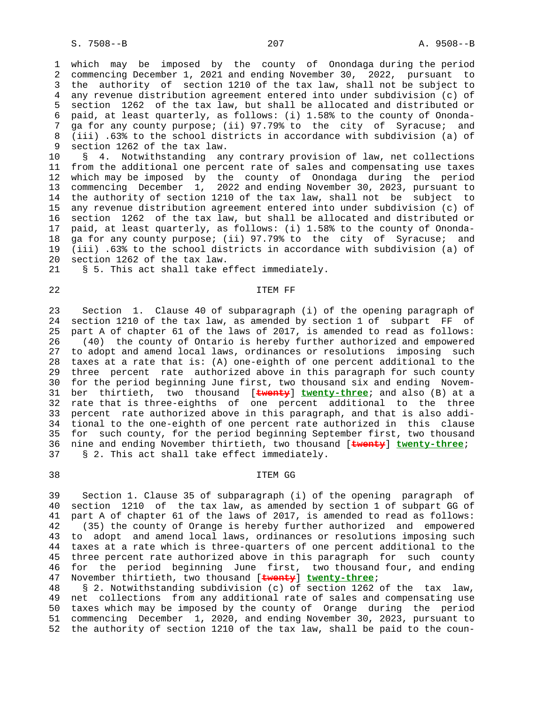1 which may be imposed by the county of Onondaga during the period 2 commencing December 1, 2021 and ending November 30, 2022, pursuant to 3 the authority of section 1210 of the tax law, shall not be subject to 4 any revenue distribution agreement entered into under subdivision (c) of 5 section 1262 of the tax law, but shall be allocated and distributed or 6 paid, at least quarterly, as follows: (i) 1.58% to the county of Ononda- 7 ga for any county purpose; (ii) 97.79% to the city of Syracuse; and 8 (iii) .63% to the school districts in accordance with subdivision (a) of section 1262 of the tax law. section 1262 of the tax law.

 10 § 4. Notwithstanding any contrary provision of law, net collections 11 from the additional one percent rate of sales and compensating use taxes 12 which may be imposed by the county of Onondaga during the period 13 commencing December 1, 2022 and ending November 30, 2023, pursuant to 14 the authority of section 1210 of the tax law, shall not be subject to 15 any revenue distribution agreement entered into under subdivision (c) of 16 section 1262 of the tax law, but shall be allocated and distributed or 17 paid, at least quarterly, as follows: (i) 1.58% to the county of Ononda- 18 ga for any county purpose; (ii) 97.79% to the city of Syracuse; and 19 (iii) .63% to the school districts in accordance with subdivision (a) of 20 section 1262 of the tax law.

21 § 5. This act shall take effect immediately.

### 22 **ITEM FF**

 23 Section 1. Clause 40 of subparagraph (i) of the opening paragraph of 24 section 1210 of the tax law, as amended by section 1 of subpart FF of 25 part A of chapter 61 of the laws of 2017, is amended to read as follows: 26 (40) the county of Ontario is hereby further authorized and empowered 27 to adopt and amend local laws, ordinances or resolutions imposing such 28 taxes at a rate that is: (A) one-eighth of one percent additional to the 29 three percent rate authorized above in this paragraph for such county 30 for the period beginning June first, two thousand six and ending Novem- 31 ber thirtieth, two thousand [**twenty**] **twenty-three**; and also (B) at a 32 rate that is three-eighths of one percent additional to the three 33 percent rate authorized above in this paragraph, and that is also addi- 34 tional to the one-eighth of one percent rate authorized in this clause 35 for such county, for the period beginning September first, two thousand 36 nine and ending November thirtieth, two thousand [**twenty**] **twenty-three**; 37 § 2. This act shall take effect immediately.

## 38 ITEM GG

 39 Section 1. Clause 35 of subparagraph (i) of the opening paragraph of 40 section 1210 of the tax law, as amended by section 1 of subpart GG of 41 part A of chapter 61 of the laws of 2017, is amended to read as follows: 42 (35) the county of Orange is hereby further authorized and empowered 43 to adopt and amend local laws, ordinances or resolutions imposing such 44 taxes at a rate which is three-quarters of one percent additional to the 45 three percent rate authorized above in this paragraph for such county 46 for the period beginning June first, two thousand four, and ending 47 November thirtieth, two thousand [**twenty**] **twenty-three**;

 48 § 2. Notwithstanding subdivision (c) of section 1262 of the tax law, 49 net collections from any additional rate of sales and compensating use 50 taxes which may be imposed by the county of Orange during the period 51 commencing December 1, 2020, and ending November 30, 2023, pursuant to 52 the authority of section 1210 of the tax law, shall be paid to the coun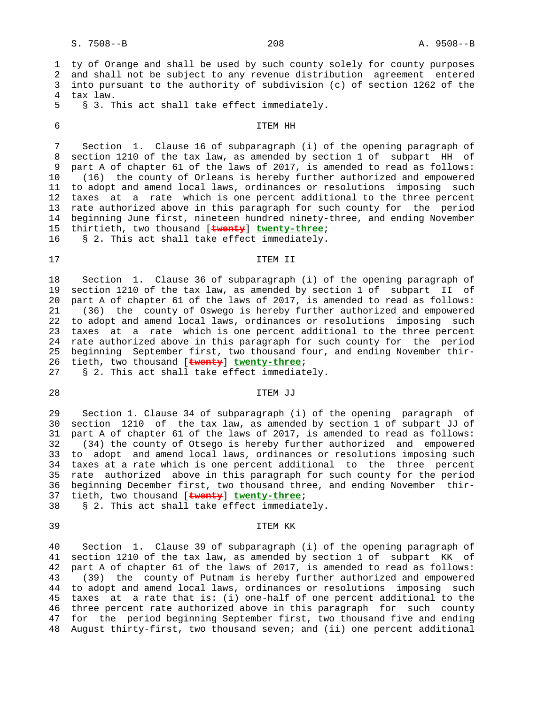1 ty of Orange and shall be used by such county solely for county purposes 2 and shall not be subject to any revenue distribution agreement entered 3 into pursuant to the authority of subdivision (c) of section 1262 of the 4 tax law.

5 § 3. This act shall take effect immediately.

## 6 ITEM HH

 7 Section 1. Clause 16 of subparagraph (i) of the opening paragraph of 8 section 1210 of the tax law, as amended by section 1 of subpart HH of 9 part A of chapter 61 of the laws of 2017, is amended to read as follows: 10 (16) the county of Orleans is hereby further authorized and empowered 11 to adopt and amend local laws, ordinances or resolutions imposing such 12 taxes at a rate which is one percent additional to the three percent 13 rate authorized above in this paragraph for such county for the period 14 beginning June first, nineteen hundred ninety-three, and ending November 15 thirtieth, two thousand [**twenty**] **twenty-three**;

16 § 2. This act shall take effect immediately.

# 17 ITEM II

 18 Section 1. Clause 36 of subparagraph (i) of the opening paragraph of 19 section 1210 of the tax law, as amended by section 1 of subpart II of 20 part A of chapter 61 of the laws of 2017, is amended to read as follows: 21 (36) the county of Oswego is hereby further authorized and empowered 22 to adopt and amend local laws, ordinances or resolutions imposing such 23 taxes at a rate which is one percent additional to the three percent 24 rate authorized above in this paragraph for such county for the period 25 beginning September first, two thousand four, and ending November thir- 26 tieth, two thousand [**twenty**] **twenty-three**;

27 § 2. This act shall take effect immediately.

# 28 ITEM JJ

 29 Section 1. Clause 34 of subparagraph (i) of the opening paragraph of 30 section 1210 of the tax law, as amended by section 1 of subpart JJ of 31 part A of chapter 61 of the laws of 2017, is amended to read as follows: 32 (34) the county of Otsego is hereby further authorized and empowered 33 to adopt and amend local laws, ordinances or resolutions imposing such 34 taxes at a rate which is one percent additional to the three percent 35 rate authorized above in this paragraph for such county for the period 36 beginning December first, two thousand three, and ending November thir- 37 tieth, two thousand [**twenty**] **twenty-three**;

38 § 2. This act shall take effect immediately.

### 39 ITEM KK

 40 Section 1. Clause 39 of subparagraph (i) of the opening paragraph of 41 section 1210 of the tax law, as amended by section 1 of subpart KK of 42 part A of chapter 61 of the laws of 2017, is amended to read as follows: 43 (39) the county of Putnam is hereby further authorized and empowered 44 to adopt and amend local laws, ordinances or resolutions imposing such 45 taxes at a rate that is: (i) one-half of one percent additional to the 46 three percent rate authorized above in this paragraph for such county 47 for the period beginning September first, two thousand five and ending 48 August thirty-first, two thousand seven; and (ii) one percent additional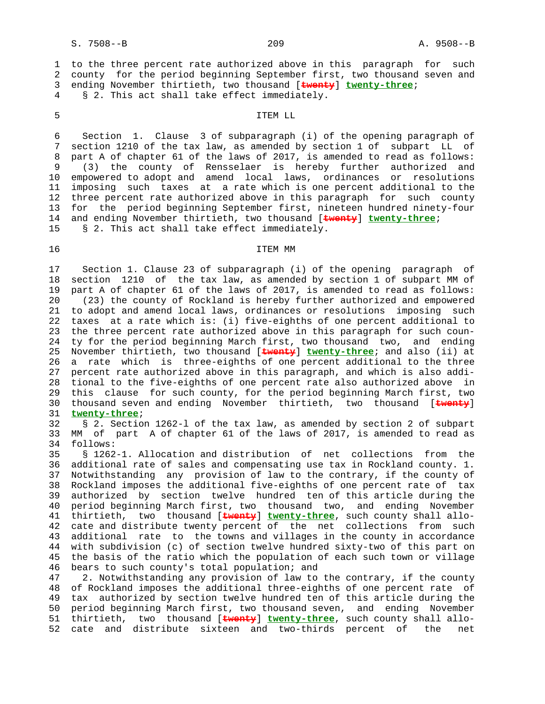1 to the three percent rate authorized above in this paragraph for such 2 county for the period beginning September first, two thousand seven and 3 ending November thirtieth, two thousand [**twenty**] **twenty-three**; 4 § 2. This act shall take effect immediately.

### 5 ITEM LL

6 Section 1. Clause 3 of subparagraph (i) of the opening paragraph of<br>7 section 1210 of the tax law, as amended by section 1 of subpart LL of section 1210 of the tax law, as amended by section 1 of subpart LL of 8 part A of chapter 61 of the laws of 2017, is amended to read as follows: 9 (3) the county of Rensselaer is hereby further authorized and 10 empowered to adopt and amend local laws, ordinances or resolutions 11 imposing such taxes at a rate which is one percent additional to the 12 three percent rate authorized above in this paragraph for such county 13 for the period beginning September first, nineteen hundred ninety-four 14 and ending November thirtieth, two thousand [**twenty**] **twenty-three**; 15 § 2. This act shall take effect immediately.

## 16 ITEM MM

 17 Section 1. Clause 23 of subparagraph (i) of the opening paragraph of 18 section 1210 of the tax law, as amended by section 1 of subpart MM of 19 part A of chapter 61 of the laws of 2017, is amended to read as follows: 20 (23) the county of Rockland is hereby further authorized and empowered 21 to adopt and amend local laws, ordinances or resolutions imposing such 22 taxes at a rate which is: (i) five-eighths of one percent additional to 23 the three percent rate authorized above in this paragraph for such coun- 24 ty for the period beginning March first, two thousand two, and ending 25 November thirtieth, two thousand [**twenty**] **twenty-three**; and also (ii) at 26 a rate which is three-eighths of one percent additional to the three 27 percent rate authorized above in this paragraph, and which is also addi- 28 tional to the five-eighths of one percent rate also authorized above in 29 this clause for such county, for the period beginning March first, two 30 thousand seven and ending November thirtieth, two thousand [**twenty**]

# 31 **twenty-three**;

 32 § 2. Section 1262-l of the tax law, as amended by section 2 of subpart 33 MM of part A of chapter 61 of the laws of 2017, is amended to read as 34 follows:

 35 § 1262-1. Allocation and distribution of net collections from the 36 additional rate of sales and compensating use tax in Rockland county. 1. 37 Notwithstanding any provision of law to the contrary, if the county of 38 Rockland imposes the additional five-eighths of one percent rate of tax 39 authorized by section twelve hundred ten of this article during the 40 period beginning March first, two thousand two, and ending November 41 thirtieth, two thousand [**twenty**] **twenty-three**, such county shall allo- 42 cate and distribute twenty percent of the net collections from such 43 additional rate to the towns and villages in the county in accordance 44 with subdivision (c) of section twelve hundred sixty-two of this part on 45 the basis of the ratio which the population of each such town or village 46 bears to such county's total population; and

 47 2. Notwithstanding any provision of law to the contrary, if the county 48 of Rockland imposes the additional three-eighths of one percent rate of 49 tax authorized by section twelve hundred ten of this article during the 50 period beginning March first, two thousand seven, and ending November 51 thirtieth, two thousand [**twenty**] **twenty-three**, such county shall allo- 52 cate and distribute sixteen and two-thirds percent of the net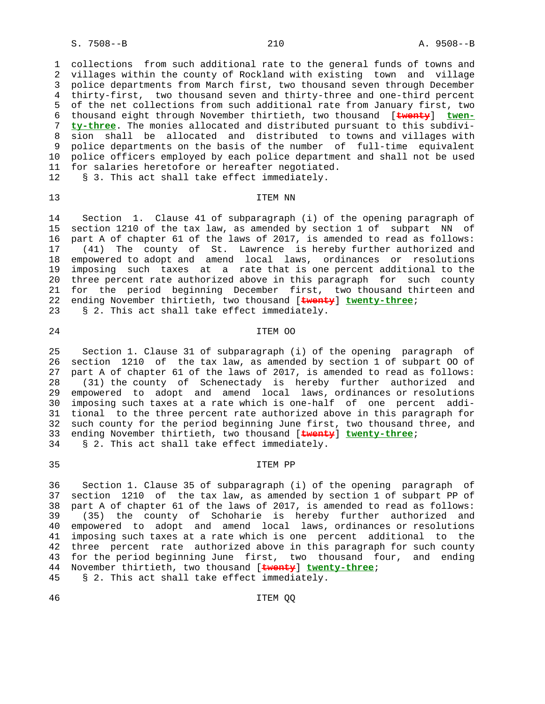1 collections from such additional rate to the general funds of towns and 2 villages within the county of Rockland with existing town and village 3 police departments from March first, two thousand seven through December 4 thirty-first, two thousand seven and thirty-three and one-third percent 5 of the net collections from such additional rate from January first, two 6 thousand eight through November thirtieth, two thousand [**twenty**] **twen-** 7 **ty-three**. The monies allocated and distributed pursuant to this subdivi- 8 sion shall be allocated and distributed to towns and villages with<br>9 police departments on the basis of the number of full-time equivalent 9 police departments on the basis of the number of full-time equivalent 10 police officers employed by each police department and shall not be used 11 for salaries heretofore or hereafter negotiated.

12 § 3. This act shall take effect immediately.

# 13 ITEM NN

 14 Section 1. Clause 41 of subparagraph (i) of the opening paragraph of 15 section 1210 of the tax law, as amended by section 1 of subpart NN of 16 part A of chapter 61 of the laws of 2017, is amended to read as follows: 17 (41) The county of St. Lawrence is hereby further authorized and 18 empowered to adopt and amend local laws, ordinances or resolutions 19 imposing such taxes at a rate that is one percent additional to the 20 three percent rate authorized above in this paragraph for such county 21 for the period beginning December first, two thousand thirteen and 22 ending November thirtieth, two thousand [**twenty**] **twenty-three**; 23 § 2. This act shall take effect immediately.

### 24 ITEM OO

 25 Section 1. Clause 31 of subparagraph (i) of the opening paragraph of 26 section 1210 of the tax law, as amended by section 1 of subpart OO of 27 part A of chapter 61 of the laws of 2017, is amended to read as follows: 28 (31) the county of Schenectady is hereby further authorized and 29 empowered to adopt and amend local laws, ordinances or resolutions 30 imposing such taxes at a rate which is one-half of one percent addi- 31 tional to the three percent rate authorized above in this paragraph for 32 such county for the period beginning June first, two thousand three, and 33 ending November thirtieth, two thousand [**twenty**] **twenty-three**; 34 § 2. This act shall take effect immediately.

## 35 ITEM PP

 36 Section 1. Clause 35 of subparagraph (i) of the opening paragraph of 37 section 1210 of the tax law, as amended by section 1 of subpart PP of 38 part A of chapter 61 of the laws of 2017, is amended to read as follows: 39 (35) the county of Schoharie is hereby further authorized and 40 empowered to adopt and amend local laws, ordinances or resolutions 41 imposing such taxes at a rate which is one percent additional to the 42 three percent rate authorized above in this paragraph for such county 43 for the period beginning June first, two thousand four, and ending 44 November thirtieth, two thousand [**twenty**] **twenty-three**;

45 § 2. This act shall take effect immediately.

46 ITEM QQ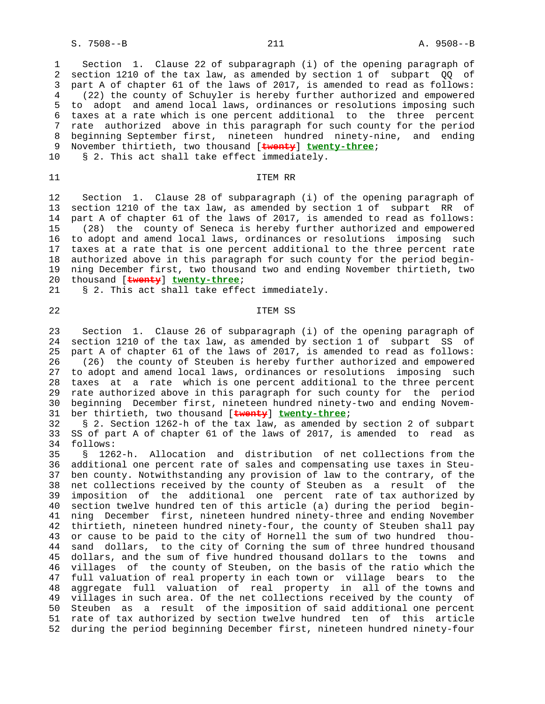S. 7508--B 211 A. 9508--B

 1 Section 1. Clause 22 of subparagraph (i) of the opening paragraph of 2 section 1210 of the tax law, as amended by section 1 of subpart QQ of 3 part A of chapter 61 of the laws of 2017, is amended to read as follows: 4 (22) the county of Schuyler is hereby further authorized and empowered 5 to adopt and amend local laws, ordinances or resolutions imposing such 6 taxes at a rate which is one percent additional to the three percent 7 rate authorized above in this paragraph for such county for the period 8 beginning September first, nineteen hundred ninety-nine, and ending 9 November thirtieth, two thousand [**twenty**] **twenty-three**; 10 § 2. This act shall take effect immediately.

## 11 **ITEM RR**

 12 Section 1. Clause 28 of subparagraph (i) of the opening paragraph of 13 section 1210 of the tax law, as amended by section 1 of subpart RR of 14 part A of chapter 61 of the laws of 2017, is amended to read as follows: 15 (28) the county of Seneca is hereby further authorized and empowered 16 to adopt and amend local laws, ordinances or resolutions imposing such 17 taxes at a rate that is one percent additional to the three percent rate 18 authorized above in this paragraph for such county for the period begin- 19 ning December first, two thousand two and ending November thirtieth, two 20 thousand [**twenty**] **twenty-three**;

21 § 2. This act shall take effect immediately.

## 22 ITEM SS

 23 Section 1. Clause 26 of subparagraph (i) of the opening paragraph of 24 section 1210 of the tax law, as amended by section 1 of subpart SS of 25 part A of chapter 61 of the laws of 2017, is amended to read as follows: 26 (26) the county of Steuben is hereby further authorized and empowered 27 to adopt and amend local laws, ordinances or resolutions imposing such 28 taxes at a rate which is one percent additional to the three percent 29 rate authorized above in this paragraph for such county for the period 30 beginning December first, nineteen hundred ninety-two and ending Novem- 31 ber thirtieth, two thousand [**twenty**] **twenty-three**;

 32 § 2. Section 1262-h of the tax law, as amended by section 2 of subpart 33 SS of part A of chapter 61 of the laws of 2017, is amended to read as 34 follows:

 35 § 1262-h. Allocation and distribution of net collections from the 36 additional one percent rate of sales and compensating use taxes in Steu- 37 ben county. Notwithstanding any provision of law to the contrary, of the 38 net collections received by the county of Steuben as a result of the 39 imposition of the additional one percent rate of tax authorized by 40 section twelve hundred ten of this article (a) during the period begin- 41 ning December first, nineteen hundred ninety-three and ending November 42 thirtieth, nineteen hundred ninety-four, the county of Steuben shall pay 43 or cause to be paid to the city of Hornell the sum of two hundred thou- 44 sand dollars, to the city of Corning the sum of three hundred thousand 45 dollars, and the sum of five hundred thousand dollars to the towns and 46 villages of the county of Steuben, on the basis of the ratio which the 47 full valuation of real property in each town or village bears to the 48 aggregate full valuation of real property in all of the towns and 49 villages in such area. Of the net collections received by the county of 50 Steuben as a result of the imposition of said additional one percent 51 rate of tax authorized by section twelve hundred ten of this article 52 during the period beginning December first, nineteen hundred ninety-four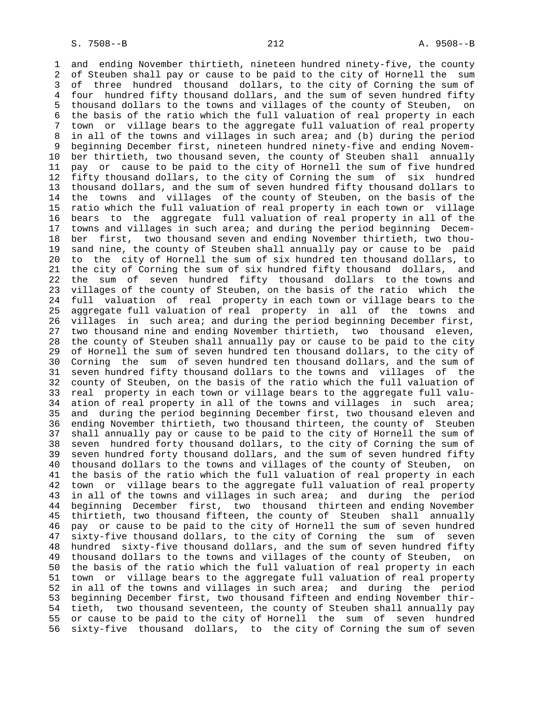1 and ending November thirtieth, nineteen hundred ninety-five, the county 2 of Steuben shall pay or cause to be paid to the city of Hornell the sum 3 of three hundred thousand dollars, to the city of Corning the sum of 4 four hundred fifty thousand dollars, and the sum of seven hundred fifty 5 thousand dollars to the towns and villages of the county of Steuben, on 6 the basis of the ratio which the full valuation of real property in each 7 town or village bears to the aggregate full valuation of real property 8 in all of the towns and villages in such area; and (b) during the period 9 beginning December first, nineteen hundred ninety-five and ending Novem- 10 ber thirtieth, two thousand seven, the county of Steuben shall annually 11 pay or cause to be paid to the city of Hornell the sum of five hundred 12 fifty thousand dollars, to the city of Corning the sum of six hundred 13 thousand dollars, and the sum of seven hundred fifty thousand dollars to 14 the towns and villages of the county of Steuben, on the basis of the 15 ratio which the full valuation of real property in each town or village 16 bears to the aggregate full valuation of real property in all of the 17 towns and villages in such area; and during the period beginning Decem- 18 ber first, two thousand seven and ending November thirtieth, two thou- 19 sand nine, the county of Steuben shall annually pay or cause to be paid 20 to the city of Hornell the sum of six hundred ten thousand dollars, to 21 the city of Corning the sum of six hundred fifty thousand dollars, and 22 the sum of seven hundred fifty thousand dollars to the towns and 23 villages of the county of Steuben, on the basis of the ratio which the 24 full valuation of real property in each town or village bears to the 25 aggregate full valuation of real property in all of the towns and 26 villages in such area; and during the period beginning December first, 27 two thousand nine and ending November thirtieth, two thousand eleven, 28 the county of Steuben shall annually pay or cause to be paid to the city 29 of Hornell the sum of seven hundred ten thousand dollars, to the city of 30 Corning the sum of seven hundred ten thousand dollars, and the sum of 31 seven hundred fifty thousand dollars to the towns and villages of the 32 county of Steuben, on the basis of the ratio which the full valuation of 33 real property in each town or village bears to the aggregate full valu- 34 ation of real property in all of the towns and villages in such area; 35 and during the period beginning December first, two thousand eleven and 36 ending November thirtieth, two thousand thirteen, the county of Steuben 37 shall annually pay or cause to be paid to the city of Hornell the sum of 38 seven hundred forty thousand dollars, to the city of Corning the sum of 39 seven hundred forty thousand dollars, and the sum of seven hundred fifty 40 thousand dollars to the towns and villages of the county of Steuben, on 41 the basis of the ratio which the full valuation of real property in each 42 town or village bears to the aggregate full valuation of real property 43 in all of the towns and villages in such area; and during the period 44 beginning December first, two thousand thirteen and ending November 45 thirtieth, two thousand fifteen, the county of Steuben shall annually 46 pay or cause to be paid to the city of Hornell the sum of seven hundred 47 sixty-five thousand dollars, to the city of Corning the sum of seven 48 hundred sixty-five thousand dollars, and the sum of seven hundred fifty 49 thousand dollars to the towns and villages of the county of Steuben, on 50 the basis of the ratio which the full valuation of real property in each 51 town or village bears to the aggregate full valuation of real property 52 in all of the towns and villages in such area; and during the period 53 beginning December first, two thousand fifteen and ending November thir- 54 tieth, two thousand seventeen, the county of Steuben shall annually pay 55 or cause to be paid to the city of Hornell the sum of seven hundred 56 sixty-five thousand dollars, to the city of Corning the sum of seven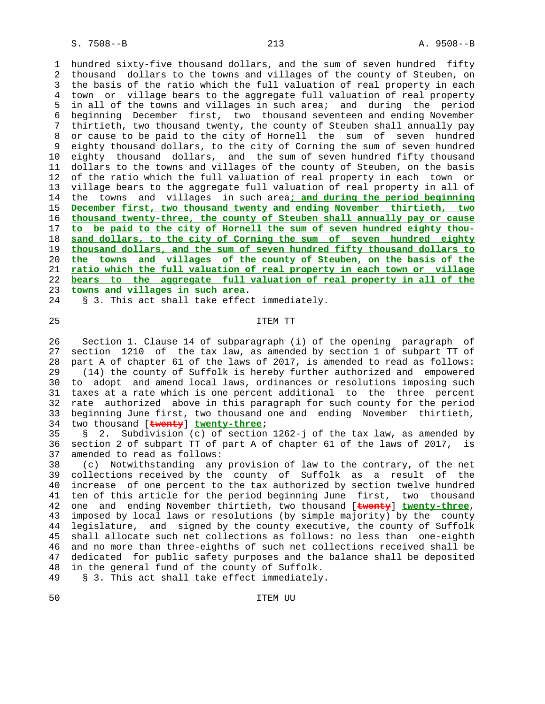1 hundred sixty-five thousand dollars, and the sum of seven hundred fifty 2 thousand dollars to the towns and villages of the county of Steuben, on 3 the basis of the ratio which the full valuation of real property in each 4 town or village bears to the aggregate full valuation of real property 5 in all of the towns and villages in such area; and during the period 6 beginning December first, two thousand seventeen and ending November 7 thirtieth, two thousand twenty, the county of Steuben shall annually pay 8 or cause to be paid to the city of Hornell the sum of seven hundred 9 eighty thousand dollars, to the city of Corning the sum of seven hundred 10 eighty thousand dollars, and the sum of seven hundred fifty thousand 11 dollars to the towns and villages of the county of Steuben, on the basis 12 of the ratio which the full valuation of real property in each town or 13 village bears to the aggregate full valuation of real property in all of 14 the towns and villages in such area**; and during the period beginning** 15 **December first, two thousand twenty and ending November thirtieth, two** 16 **thousand twenty-three, the county of Steuben shall annually pay or cause** 17 **to be paid to the city of Hornell the sum of seven hundred eighty thou-** 18 **sand dollars, to the city of Corning the sum of seven hundred eighty** 19 **thousand dollars, and the sum of seven hundred fifty thousand dollars to** 20 **the towns and villages of the county of Steuben, on the basis of the** 21 **ratio which the full valuation of real property in each town or village** 22 **bears to the aggregate full valuation of real property in all of the** 23 **towns and villages in such area**.

## 25 ITEM TT

 26 Section 1. Clause 14 of subparagraph (i) of the opening paragraph of 27 section 1210 of the tax law, as amended by section 1 of subpart TT of 28 part A of chapter 61 of the laws of 2017, is amended to read as follows: 29 (14) the county of Suffolk is hereby further authorized and empowered 30 to adopt and amend local laws, ordinances or resolutions imposing such 31 taxes at a rate which is one percent additional to the three percent 32 rate authorized above in this paragraph for such county for the period 33 beginning June first, two thousand one and ending November thirtieth, 34 two thousand [**twenty**] **twenty-three**;

 35 § 2. Subdivision (c) of section 1262-j of the tax law, as amended by 36 section 2 of subpart TT of part A of chapter 61 of the laws of 2017, is 37 amended to read as follows:

 38 (c) Notwithstanding any provision of law to the contrary, of the net 39 collections received by the county of Suffolk as a result of the 40 increase of one percent to the tax authorized by section twelve hundred 41 ten of this article for the period beginning June first, two thousand 42 one and ending November thirtieth, two thousand [**twenty**] **twenty-three**, 43 imposed by local laws or resolutions (by simple majority) by the county 44 legislature, and signed by the county executive, the county of Suffolk 45 shall allocate such net collections as follows: no less than one-eighth 46 and no more than three-eighths of such net collections received shall be 47 dedicated for public safety purposes and the balance shall be deposited 48 in the general fund of the county of Suffolk.

49 § 3. This act shall take effect immediately.

24 § 3. This act shall take effect immediately.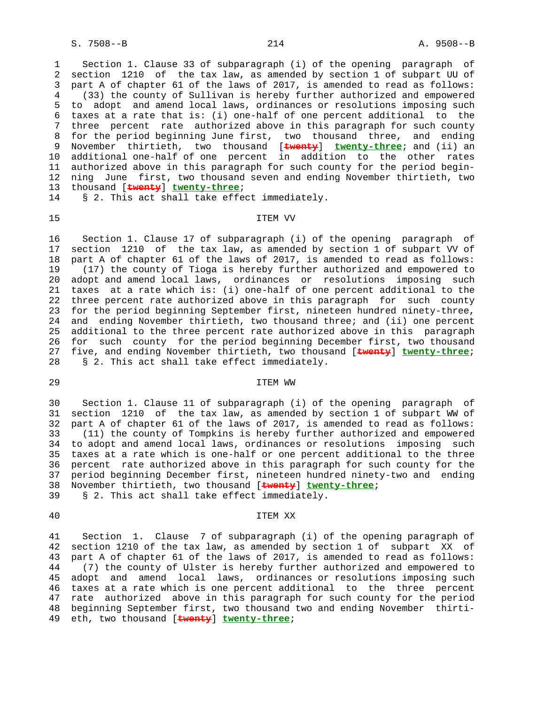S. 7508--B 214 A. 9508--B

 1 Section 1. Clause 33 of subparagraph (i) of the opening paragraph of 2 section 1210 of the tax law, as amended by section 1 of subpart UU of 3 part A of chapter 61 of the laws of 2017, is amended to read as follows: 4 (33) the county of Sullivan is hereby further authorized and empowered 5 to adopt and amend local laws, ordinances or resolutions imposing such 6 taxes at a rate that is: (i) one-half of one percent additional to the 7 three percent rate authorized above in this paragraph for such county 8 for the period beginning June first, two thousand three, and ending 9 November thirtieth, two thousand [**twenty**] **twenty-three**; and (ii) an 10 additional one-half of one percent in addition to the other rates 11 authorized above in this paragraph for such county for the period begin- 12 ning June first, two thousand seven and ending November thirtieth, two 13 thousand [**twenty**] **twenty-three**;

14 § 2. This act shall take effect immediately.

## 15 ITEM VV

 16 Section 1. Clause 17 of subparagraph (i) of the opening paragraph of 17 section 1210 of the tax law, as amended by section 1 of subpart VV of 18 part A of chapter 61 of the laws of 2017, is amended to read as follows: 19 (17) the county of Tioga is hereby further authorized and empowered to 20 adopt and amend local laws, ordinances or resolutions imposing such 21 taxes at a rate which is: (i) one-half of one percent additional to the 22 three percent rate authorized above in this paragraph for such county 23 for the period beginning September first, nineteen hundred ninety-three, 24 and ending November thirtieth, two thousand three; and (ii) one percent 25 additional to the three percent rate authorized above in this paragraph 26 for such county for the period beginning December first, two thousand 27 five, and ending November thirtieth, two thousand [**twenty**] **twenty-three**; 28 § 2. This act shall take effect immediately.

## 29 ITEM WW

 30 Section 1. Clause 11 of subparagraph (i) of the opening paragraph of 31 section 1210 of the tax law, as amended by section 1 of subpart WW of 32 part A of chapter 61 of the laws of 2017, is amended to read as follows: 33 (11) the county of Tompkins is hereby further authorized and empowered 34 to adopt and amend local laws, ordinances or resolutions imposing such 35 taxes at a rate which is one-half or one percent additional to the three 36 percent rate authorized above in this paragraph for such county for the 37 period beginning December first, nineteen hundred ninety-two and ending 38 November thirtieth, two thousand [**twenty**] **twenty-three**;

39 § 2. This act shall take effect immediately.

## 40 ITEM XX

 41 Section 1. Clause 7 of subparagraph (i) of the opening paragraph of 42 section 1210 of the tax law, as amended by section 1 of subpart XX of 43 part A of chapter 61 of the laws of 2017, is amended to read as follows: 44 (7) the county of Ulster is hereby further authorized and empowered to 45 adopt and amend local laws, ordinances or resolutions imposing such 46 taxes at a rate which is one percent additional to the three percent 47 rate authorized above in this paragraph for such county for the period 48 beginning September first, two thousand two and ending November thirti- 49 eth, two thousand [**twenty**] **twenty-three**;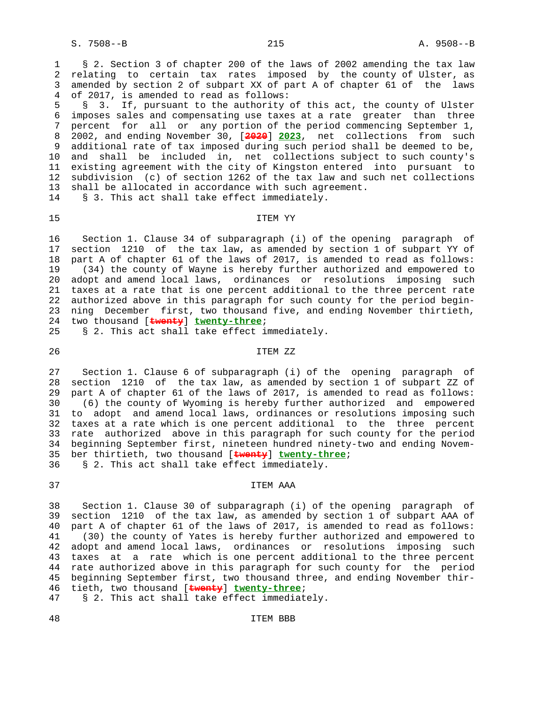1 § 2. Section 3 of chapter 200 of the laws of 2002 amending the tax law 2 relating to certain tax rates imposed by the county of Ulster, as 3 amended by section 2 of subpart XX of part A of chapter 61 of the laws 4 of 2017, is amended to read as follows:

 5 § 3. If, pursuant to the authority of this act, the county of Ulster 6 imposes sales and compensating use taxes at a rate greater than three 7 percent for all or any portion of the period commencing September 1, 8 2002, and ending November 30, [**2020**] **2023**, net collections from such 9 additional rate of tax imposed during such period shall be deemed to be, 10 and shall be included in, net collections subject to such county's 11 existing agreement with the city of Kingston entered into pursuant to 12 subdivision (c) of section 1262 of the tax law and such net collections 13 shall be allocated in accordance with such agreement. 14 § 3. This act shall take effect immediately.

## 15 ITEM YY

 16 Section 1. Clause 34 of subparagraph (i) of the opening paragraph of 17 section 1210 of the tax law, as amended by section 1 of subpart YY of 18 part A of chapter 61 of the laws of 2017, is amended to read as follows: 19 (34) the county of Wayne is hereby further authorized and empowered to 20 adopt and amend local laws, ordinances or resolutions imposing such 21 taxes at a rate that is one percent additional to the three percent rate 22 authorized above in this paragraph for such county for the period begin- 23 ning December first, two thousand five, and ending November thirtieth, 24 two thousand [**twenty**] **twenty-three**;

25 § 2. This act shall take effect immediately.

### 26 ITEM ZZ

 27 Section 1. Clause 6 of subparagraph (i) of the opening paragraph of 28 section 1210 of the tax law, as amended by section 1 of subpart ZZ of 29 part A of chapter 61 of the laws of 2017, is amended to read as follows: 30 (6) the county of Wyoming is hereby further authorized and empowered 31 to adopt and amend local laws, ordinances or resolutions imposing such 32 taxes at a rate which is one percent additional to the three percent 33 rate authorized above in this paragraph for such county for the period 34 beginning September first, nineteen hundred ninety-two and ending Novem- 35 ber thirtieth, two thousand [**twenty**] **twenty-three**;

36 § 2. This act shall take effect immediately.

### 37 ITEM AAA

 38 Section 1. Clause 30 of subparagraph (i) of the opening paragraph of 39 section 1210 of the tax law, as amended by section 1 of subpart AAA of 40 part A of chapter 61 of the laws of 2017, is amended to read as follows: 41 (30) the county of Yates is hereby further authorized and empowered to 42 adopt and amend local laws, ordinances or resolutions imposing such 43 taxes at a rate which is one percent additional to the three percent 44 rate authorized above in this paragraph for such county for the period 45 beginning September first, two thousand three, and ending November thir- 46 tieth, two thousand [**twenty**] **twenty-three**;

47 § 2. This act shall take effect immediately.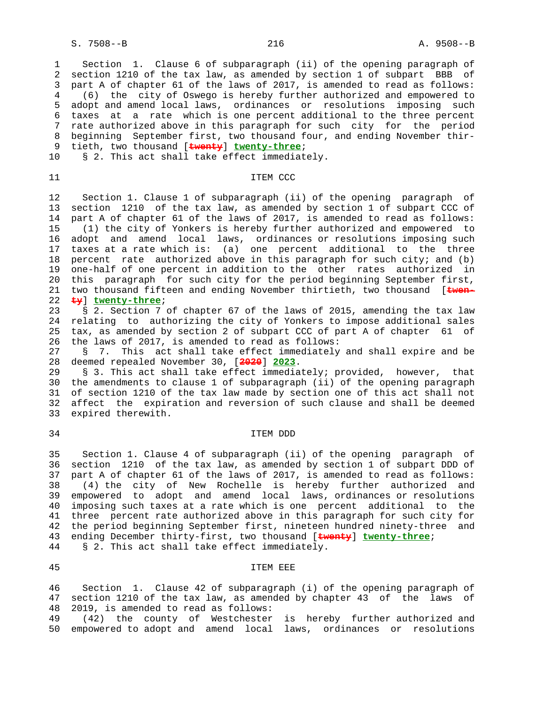1 Section 1. Clause 6 of subparagraph (ii) of the opening paragraph of 2 section 1210 of the tax law, as amended by section 1 of subpart BBB of 3 part A of chapter 61 of the laws of 2017, is amended to read as follows: 4 (6) the city of Oswego is hereby further authorized and empowered to

 5 adopt and amend local laws, ordinances or resolutions imposing such 6 taxes at a rate which is one percent additional to the three percent 7 rate authorized above in this paragraph for such city for the period 8 beginning September first, two thousand four, and ending November thir- 9 tieth, two thousand [**twenty**] **twenty-three**;

10 § 2. This act shall take effect immediately.

11 TEM CCC

 12 Section 1. Clause 1 of subparagraph (ii) of the opening paragraph of 13 section 1210 of the tax law, as amended by section 1 of subpart CCC of 14 part A of chapter 61 of the laws of 2017, is amended to read as follows: 15 (1) the city of Yonkers is hereby further authorized and empowered to 16 adopt and amend local laws, ordinances or resolutions imposing such 17 taxes at a rate which is: (a) one percent additional to the three 18 percent rate authorized above in this paragraph for such city; and (b) 19 one-half of one percent in addition to the other rates authorized in 20 this paragraph for such city for the period beginning September first, 21 two thousand fifteen and ending November thirtieth, two thousand [**twen-** 22 **ty**] **twenty-three**;

 23 § 2. Section 7 of chapter 67 of the laws of 2015, amending the tax law 24 relating to authorizing the city of Yonkers to impose additional sales 25 tax, as amended by section 2 of subpart CCC of part A of chapter 61 of 26 the laws of 2017, is amended to read as follows:

 27 § 7. This act shall take effect immediately and shall expire and be 28 deemed repealed November 30, [**2020**] **2023**.

 29 § 3. This act shall take effect immediately; provided, however, that 30 the amendments to clause 1 of subparagraph (ii) of the opening paragraph 31 of section 1210 of the tax law made by section one of this act shall not 32 affect the expiration and reversion of such clause and shall be deemed 33 expired therewith.

## 34 ITEM DDD

 35 Section 1. Clause 4 of subparagraph (ii) of the opening paragraph of 36 section 1210 of the tax law, as amended by section 1 of subpart DDD of 37 part A of chapter 61 of the laws of 2017, is amended to read as follows: 38 (4) the city of New Rochelle is hereby further authorized and 39 empowered to adopt and amend local laws, ordinances or resolutions 40 imposing such taxes at a rate which is one percent additional to the 41 three percent rate authorized above in this paragraph for such city for 42 the period beginning September first, nineteen hundred ninety-three and 43 ending December thirty-first, two thousand [**twenty**] **twenty-three**; 44 § 2. This act shall take effect immediately.

## 45 ITEM EEE

 46 Section 1. Clause 42 of subparagraph (i) of the opening paragraph of 47 section 1210 of the tax law, as amended by chapter 43 of the laws of 48 2019, is amended to read as follows:

 49 (42) the county of Westchester is hereby further authorized and 50 empowered to adopt and amend local laws, ordinances or resolutions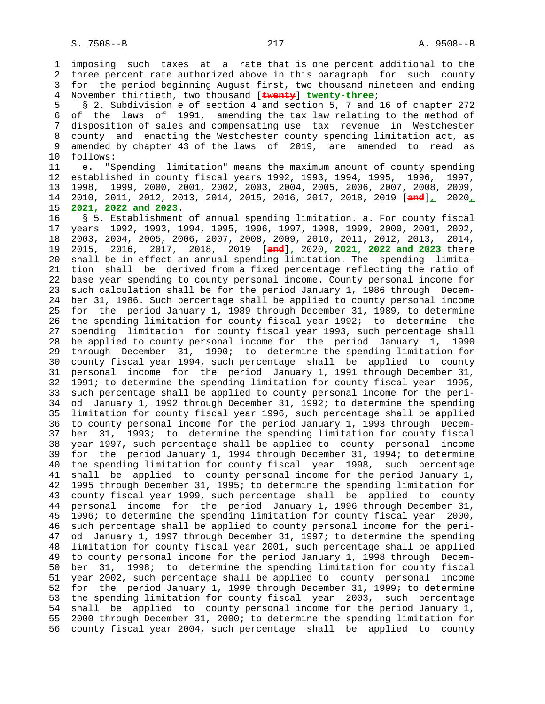1 imposing such taxes at a rate that is one percent additional to the 2 three percent rate authorized above in this paragraph for such county 3 for the period beginning August first, two thousand nineteen and ending 4 November thirtieth, two thousand [**twenty**] **twenty-three**;

 5 § 2. Subdivision e of section 4 and section 5, 7 and 16 of chapter 272 6 of the laws of 1991, amending the tax law relating to the method of 7 disposition of sales and compensating use tax revenue in Westchester 8 county and enacting the Westchester county spending limitation act, as amended by chapter 43 of the laws of 2019, are amended to read as 10 follows:

 11 e. "Spending limitation" means the maximum amount of county spending 12 established in county fiscal years 1992, 1993, 1994, 1995, 1996, 1997, 13 1998, 1999, 2000, 2001, 2002, 2003, 2004, 2005, 2006, 2007, 2008, 2009, 14 2010, 2011, 2012, 2013, 2014, 2015, 2016, 2017, 2018, 2019 [**and**]**,** 2020**,** 15 **2021, 2022 and 2023**.

 16 § 5. Establishment of annual spending limitation. a. For county fiscal 17 years 1992, 1993, 1994, 1995, 1996, 1997, 1998, 1999, 2000, 2001, 2002, 18 2003, 2004, 2005, 2006, 2007, 2008, 2009, 2010, 2011, 2012, 2013, 2014, 19 2015, 2016, 2017, 2018, 2019 [**and**]**,** 2020**, 2021, 2022 and 2023** there 20 shall be in effect an annual spending limitation. The spending limita- 21 tion shall be derived from a fixed percentage reflecting the ratio of 22 base year spending to county personal income. County personal income for 23 such calculation shall be for the period January 1, 1986 through Decem- 24 ber 31, 1986. Such percentage shall be applied to county personal income 25 for the period January 1, 1989 through December 31, 1989, to determine 26 the spending limitation for county fiscal year 1992; to determine the 27 spending limitation for county fiscal year 1993, such percentage shall 28 be applied to county personal income for the period January 1, 1990 29 through December 31, 1990; to determine the spending limitation for 30 county fiscal year 1994, such percentage shall be applied to county 31 personal income for the period January 1, 1991 through December 31, 32 1991; to determine the spending limitation for county fiscal year 1995, 33 such percentage shall be applied to county personal income for the peri- 34 od January 1, 1992 through December 31, 1992; to determine the spending 35 limitation for county fiscal year 1996, such percentage shall be applied 36 to county personal income for the period January 1, 1993 through Decem- 37 ber 31, 1993; to determine the spending limitation for county fiscal 38 year 1997, such percentage shall be applied to county personal income 39 for the period January 1, 1994 through December 31, 1994; to determine 40 the spending limitation for county fiscal year 1998, such percentage 41 shall be applied to county personal income for the period January 1, 42 1995 through December 31, 1995; to determine the spending limitation for 43 county fiscal year 1999, such percentage shall be applied to county 44 personal income for the period January 1, 1996 through December 31, 45 1996; to determine the spending limitation for county fiscal year 2000, 46 such percentage shall be applied to county personal income for the peri- 47 od January 1, 1997 through December 31, 1997; to determine the spending 48 limitation for county fiscal year 2001, such percentage shall be applied 49 to county personal income for the period January 1, 1998 through Decem- 50 ber 31, 1998; to determine the spending limitation for county fiscal 51 year 2002, such percentage shall be applied to county personal income 52 for the period January 1, 1999 through December 31, 1999; to determine 53 the spending limitation for county fiscal year 2003, such percentage 54 shall be applied to county personal income for the period January 1, 55 2000 through December 31, 2000; to determine the spending limitation for 56 county fiscal year 2004, such percentage shall be applied to county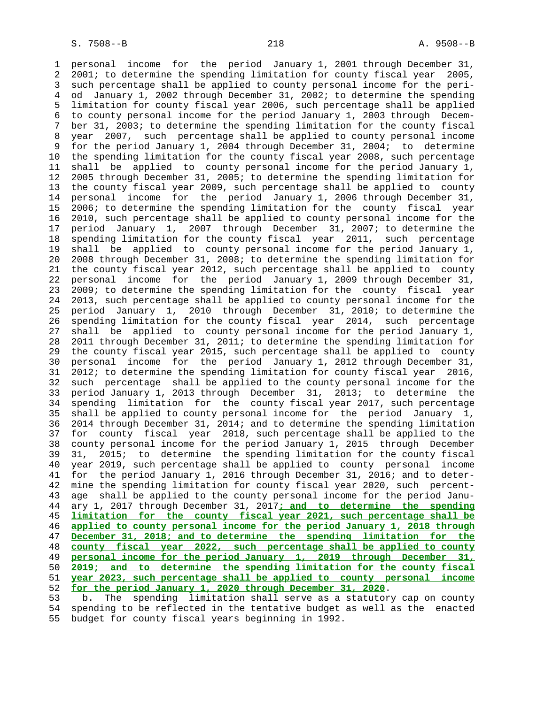1 personal income for the period January 1, 2001 through December 31, 2 2001; to determine the spending limitation for county fiscal year 2005, 3 such percentage shall be applied to county personal income for the peri- 4 od January 1, 2002 through December 31, 2002; to determine the spending 5 limitation for county fiscal year 2006, such percentage shall be applied 6 to county personal income for the period January 1, 2003 through Decem- 7 ber 31, 2003; to determine the spending limitation for the county fiscal 8 year 2007, such percentage shall be applied to county personal income<br>9 for the period January 1, 2004 through December 31, 2004; to determine 9 for the period January 1, 2004 through December 31, 2004; to determine 10 the spending limitation for the county fiscal year 2008, such percentage 11 shall be applied to county personal income for the period January 1, 12 2005 through December 31, 2005; to determine the spending limitation for 13 the county fiscal year 2009, such percentage shall be applied to county 14 personal income for the period January 1, 2006 through December 31, 15 2006; to determine the spending limitation for the county fiscal year 16 2010, such percentage shall be applied to county personal income for the 17 period January 1, 2007 through December 31, 2007; to determine the 18 spending limitation for the county fiscal year 2011, such percentage 19 shall be applied to county personal income for the period January 1, 20 2008 through December 31, 2008; to determine the spending limitation for 21 the county fiscal year 2012, such percentage shall be applied to county 22 personal income for the period January 1, 2009 through December 31, 23 2009; to determine the spending limitation for the county fiscal year 24 2013, such percentage shall be applied to county personal income for the 25 period January 1, 2010 through December 31, 2010; to determine the 26 spending limitation for the county fiscal year 2014, such percentage 27 shall be applied to county personal income for the period January 1, 28 2011 through December 31, 2011; to determine the spending limitation for 29 the county fiscal year 2015, such percentage shall be applied to county 30 personal income for the period January 1, 2012 through December 31, 31 2012; to determine the spending limitation for county fiscal year 2016, 32 such percentage shall be applied to the county personal income for the 33 period January 1, 2013 through December 31, 2013; to determine the 34 spending limitation for the county fiscal year 2017, such percentage 35 shall be applied to county personal income for the period January 1, 36 2014 through December 31, 2014; and to determine the spending limitation 37 for county fiscal year 2018, such percentage shall be applied to the 38 county personal income for the period January 1, 2015 through December 39 31, 2015; to determine the spending limitation for the county fiscal 40 year 2019, such percentage shall be applied to county personal income 41 for the period January 1, 2016 through December 31, 2016; and to deter- 42 mine the spending limitation for county fiscal year 2020, such percent- 43 age shall be applied to the county personal income for the period Janu- 44 ary 1, 2017 through December 31, 2017**; and to determine the spending** 45 **limitation for the county fiscal year 2021, such percentage shall be** 46 **applied to county personal income for the period January 1, 2018 through** 47 **December 31, 2018; and to determine the spending limitation for the** 48 **county fiscal year 2022, such percentage shall be applied to county** 49 **personal income for the period January 1, 2019 through December 31,** 50 **2019; and to determine the spending limitation for the county fiscal** 51 **year 2023, such percentage shall be applied to county personal income** 52 **for the period January 1, 2020 through December 31, 2020**.

 53 b. The spending limitation shall serve as a statutory cap on county 54 spending to be reflected in the tentative budget as well as the enacted 55 budget for county fiscal years beginning in 1992.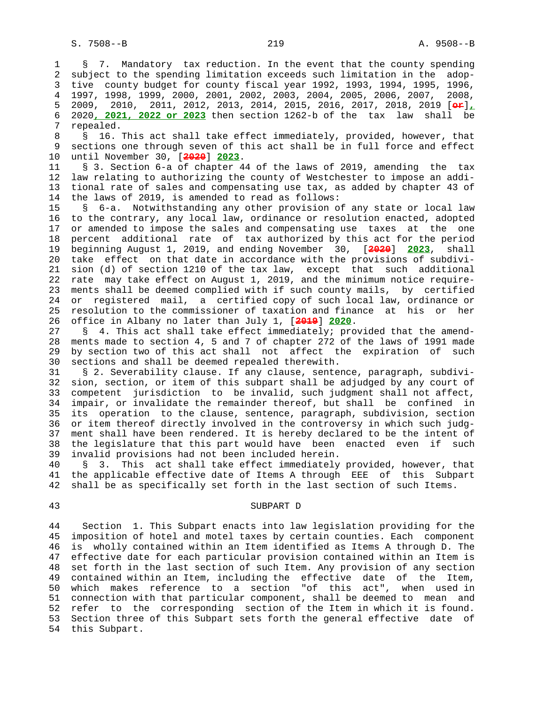1 § 7. Mandatory tax reduction. In the event that the county spending 2 subject to the spending limitation exceeds such limitation in the adop- 3 tive county budget for county fiscal year 1992, 1993, 1994, 1995, 1996, 4 1997, 1998, 1999, 2000, 2001, 2002, 2003, 2004, 2005, 2006, 2007, 2008, 5 2009, 2010, 2011, 2012, 2013, 2014, 2015, 2016, 2017, 2018, 2019 [**or**]**,** 6 2020**, 2021, 2022 or 2023** then section 1262-b of the tax law shall be 7 repealed.

8 § 16. This act shall take effect immediately, provided, however, that<br>9 sections one through seven of this act shall be in full force and effect sections one through seven of this act shall be in full force and effect 10 until November 30, [**2020**] **2023**.

 11 § 3. Section 6-a of chapter 44 of the laws of 2019, amending the tax 12 law relating to authorizing the county of Westchester to impose an addi- 13 tional rate of sales and compensating use tax, as added by chapter 43 of 14 the laws of 2019, is amended to read as follows:

 15 § 6-a. Notwithstanding any other provision of any state or local law 16 to the contrary, any local law, ordinance or resolution enacted, adopted 17 or amended to impose the sales and compensating use taxes at the one 18 percent additional rate of tax authorized by this act for the period 19 beginning August 1, 2019, and ending November 30, [**2020**] **2023**, shall 20 take effect on that date in accordance with the provisions of subdivi- 21 sion (d) of section 1210 of the tax law, except that such additional 22 rate may take effect on August 1, 2019, and the minimum notice require- 23 ments shall be deemed complied with if such county mails, by certified 24 or registered mail, a certified copy of such local law, ordinance or 25 resolution to the commissioner of taxation and finance at his or her 26 office in Albany no later than July 1, [**2019**] **2020**.

 27 § 4. This act shall take effect immediately; provided that the amend- 28 ments made to section 4, 5 and 7 of chapter 272 of the laws of 1991 made 29 by section two of this act shall not affect the expiration of such 30 sections and shall be deemed repealed therewith.

 31 § 2. Severability clause. If any clause, sentence, paragraph, subdivi- 32 sion, section, or item of this subpart shall be adjudged by any court of 33 competent jurisdiction to be invalid, such judgment shall not affect, 34 impair, or invalidate the remainder thereof, but shall be confined in 35 its operation to the clause, sentence, paragraph, subdivision, section 36 or item thereof directly involved in the controversy in which such judg- 37 ment shall have been rendered. It is hereby declared to be the intent of 38 the legislature that this part would have been enacted even if such 39 invalid provisions had not been included herein.

 40 § 3. This act shall take effect immediately provided, however, that 41 the applicable effective date of Items A through EEE of this Subpart 42 shall be as specifically set forth in the last section of such Items.

## 43 SUBPART D

 44 Section 1. This Subpart enacts into law legislation providing for the 45 imposition of hotel and motel taxes by certain counties. Each component 46 is wholly contained within an Item identified as Items A through D. The 47 effective date for each particular provision contained within an Item is 48 set forth in the last section of such Item. Any provision of any section 49 contained within an Item, including the effective date of the Item, 50 which makes reference to a section "of this act", when used in 51 connection with that particular component, shall be deemed to mean and 52 refer to the corresponding section of the Item in which it is found. 53 Section three of this Subpart sets forth the general effective date of 54 this Subpart.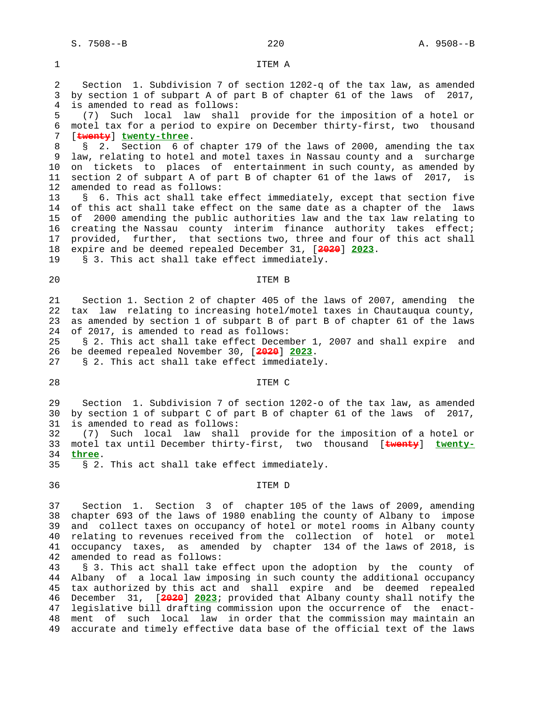1 ITEM A 2 Section 1. Subdivision 7 of section 1202-q of the tax law, as amended 3 by section 1 of subpart A of part B of chapter 61 of the laws of 2017, 4 is amended to read as follows: 5 (7) Such local law shall provide for the imposition of a hotel or 6 motel tax for a period to expire on December thirty-first, two thousand 7 [**twenty**] **twenty-three**. 8 § 2. Section 6 of chapter 179 of the laws of 2000, amending the tax 9 law, relating to hotel and motel taxes in Nassau county and a surcharge 10 on tickets to places of entertainment in such county, as amended by 11 section 2 of subpart A of part B of chapter 61 of the laws of 2017, is 12 amended to read as follows: 13 § 6. This act shall take effect immediately, except that section five 14 of this act shall take effect on the same date as a chapter of the laws 15 of 2000 amending the public authorities law and the tax law relating to 16 creating the Nassau county interim finance authority takes effect; 17 provided, further, that sections two, three and four of this act shall 18 expire and be deemed repealed December 31, [**2020**] **2023**. 19 § 3. This act shall take effect immediately. 20 ITEM B 21 Section 1. Section 2 of chapter 405 of the laws of 2007, amending the 22 tax law relating to increasing hotel/motel taxes in Chautauqua county, 23 as amended by section 1 of subpart B of part B of chapter 61 of the laws 24 of 2017, is amended to read as follows: 25 § 2. This act shall take effect December 1, 2007 and shall expire and 26 be deemed repealed November 30, [**2020**] **2023**. 27 § 2. This act shall take effect immediately. 28 ITEM C 29 Section 1. Subdivision 7 of section 1202-o of the tax law, as amended 30 by section 1 of subpart C of part B of chapter 61 of the laws of 2017, 31 is amended to read as follows: 32 (7) Such local law shall provide for the imposition of a hotel or 33 motel tax until December thirty-first, two thousand [**twenty**] **twenty-** 34 **three**. 35 § 2. This act shall take effect immediately. 36 ITEM D 37 Section 1. Section 3 of chapter 105 of the laws of 2009, amending 38 chapter 693 of the laws of 1980 enabling the county of Albany to impose 39 and collect taxes on occupancy of hotel or motel rooms in Albany county 40 relating to revenues received from the collection of hotel or motel 41 occupancy taxes, as amended by chapter 134 of the laws of 2018, is 42 amended to read as follows: 43 § 3. This act shall take effect upon the adoption by the county of 44 Albany of a local law imposing in such county the additional occupancy 45 tax authorized by this act and shall expire and be deemed repealed 46 December 31, [**2020**] **2023**; provided that Albany county shall notify the

 47 legislative bill drafting commission upon the occurrence of the enact- 48 ment of such local law in order that the commission may maintain an 49 accurate and timely effective data base of the official text of the laws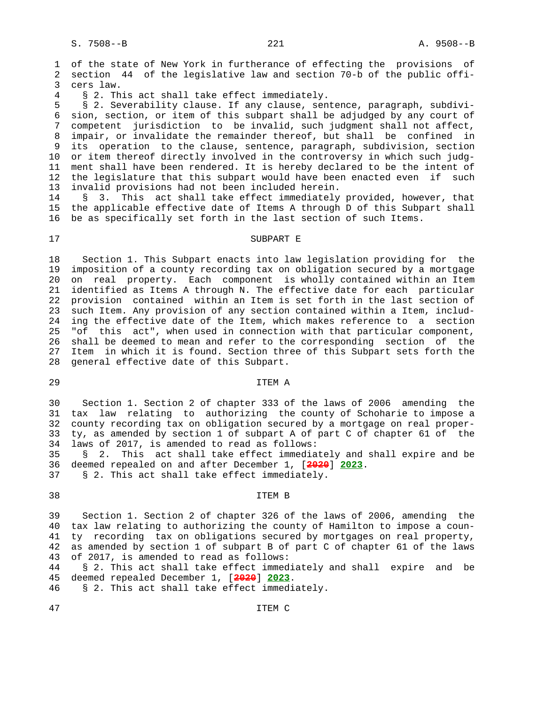1 of the state of New York in furtherance of effecting the provisions of 2 section 44 of the legislative law and section 70-b of the public offi- 3 cers law.

4 § 2. This act shall take effect immediately.

 5 § 2. Severability clause. If any clause, sentence, paragraph, subdivi- 6 sion, section, or item of this subpart shall be adjudged by any court of 7 competent jurisdiction to be invalid, such judgment shall not affect, 8 impair, or invalidate the remainder thereof, but shall be confined in 9 its operation to the clause, sentence, paragraph, subdivision, section 10 or item thereof directly involved in the controversy in which such judg- 11 ment shall have been rendered. It is hereby declared to be the intent of 12 the legislature that this subpart would have been enacted even if such 13 invalid provisions had not been included herein.

 14 § 3. This act shall take effect immediately provided, however, that 15 the applicable effective date of Items A through D of this Subpart shall 16 be as specifically set forth in the last section of such Items.

### 17 SUBPART E

 18 Section 1. This Subpart enacts into law legislation providing for the 19 imposition of a county recording tax on obligation secured by a mortgage 20 on real property. Each component is wholly contained within an Item 21 identified as Items A through N. The effective date for each particular 22 provision contained within an Item is set forth in the last section of 23 such Item. Any provision of any section contained within a Item, includ- 24 ing the effective date of the Item, which makes reference to a section 25 "of this act", when used in connection with that particular component, 26 shall be deemed to mean and refer to the corresponding section of the 27 Item in which it is found. Section three of this Subpart sets forth the 28 general effective date of this Subpart.

# 29 ITEM A

 30 Section 1. Section 2 of chapter 333 of the laws of 2006 amending the 31 tax law relating to authorizing the county of Schoharie to impose a 32 county recording tax on obligation secured by a mortgage on real proper- 33 ty, as amended by section 1 of subpart A of part C of chapter 61 of the 34 laws of 2017, is amended to read as follows:

 35 § 2. This act shall take effect immediately and shall expire and be 36 deemed repealed on and after December 1, [**2020**] **2023**.

37 § 2. This act shall take effect immediately.

## 38 ITEM B

 39 Section 1. Section 2 of chapter 326 of the laws of 2006, amending the 40 tax law relating to authorizing the county of Hamilton to impose a coun- 41 ty recording tax on obligations secured by mortgages on real property, 42 as amended by section 1 of subpart B of part C of chapter 61 of the laws 43 of 2017, is amended to read as follows:

 44 § 2. This act shall take effect immediately and shall expire and be 45 deemed repealed December 1, [**2020**] **2023**.

46 § 2. This act shall take effect immediately.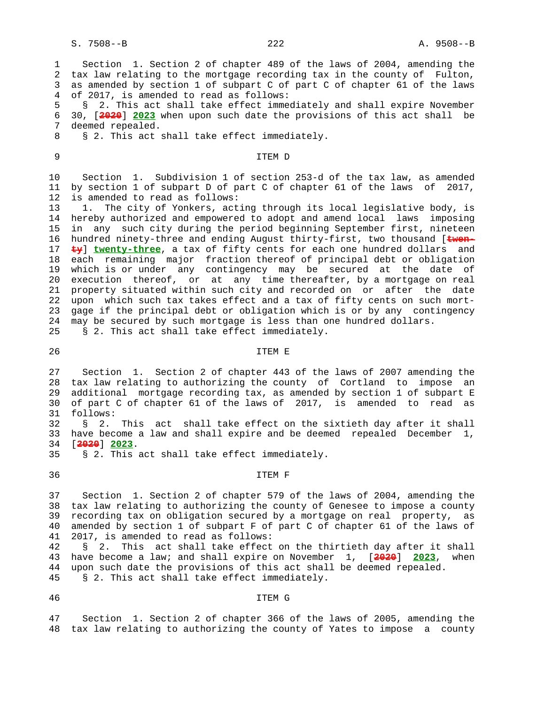1 Section 1. Section 2 of chapter 489 of the laws of 2004, amending the 2 tax law relating to the mortgage recording tax in the county of Fulton, 3 as amended by section 1 of subpart C of part C of chapter 61 of the laws 4 of 2017, is amended to read as follows: 5 § 2. This act shall take effect immediately and shall expire November 6 30, [**2020**] **2023** when upon such date the provisions of this act shall be 7 deemed repealed. 8 § 2. This act shall take effect immediately. 9 ITEM D 10 Section 1. Subdivision 1 of section 253-d of the tax law, as amended 11 by section 1 of subpart D of part C of chapter 61 of the laws of 2017, 12 is amended to read as follows: 13 1. The city of Yonkers, acting through its local legislative body, is 14 hereby authorized and empowered to adopt and amend local laws imposing 15 in any such city during the period beginning September first, nineteen 16 hundred ninety-three and ending August thirty-first, two thousand [**twen-** 17 **ty**] **twenty-three**, a tax of fifty cents for each one hundred dollars and 18 each remaining major fraction thereof of principal debt or obligation 19 which is or under any contingency may be secured at the date of 20 execution thereof, or at any time thereafter, by a mortgage on real 21 property situated within such city and recorded on or after the date 22 upon which such tax takes effect and a tax of fifty cents on such mort- 23 gage if the principal debt or obligation which is or by any contingency 24 may be secured by such mortgage is less than one hundred dollars. 25 § 2. This act shall take effect immediately. 26 ITEM E 27 Section 1. Section 2 of chapter 443 of the laws of 2007 amending the 28 tax law relating to authorizing the county of Cortland to impose an 29 additional mortgage recording tax, as amended by section 1 of subpart E 30 of part C of chapter 61 of the laws of 2017, is amended to read as 31 follows: 32 § 2. This act shall take effect on the sixtieth day after it shall 33 have become a law and shall expire and be deemed repealed December 1, 34 [**2020**] **2023**. 35 § 2. This act shall take effect immediately. 36 ITEM F

 37 Section 1. Section 2 of chapter 579 of the laws of 2004, amending the 38 tax law relating to authorizing the county of Genesee to impose a county 39 recording tax on obligation secured by a mortgage on real property, as 40 amended by section 1 of subpart F of part C of chapter 61 of the laws of 41 2017, is amended to read as follows:

 42 § 2. This act shall take effect on the thirtieth day after it shall 43 have become a law; and shall expire on November 1, [**2020**] **2023**, when 44 upon such date the provisions of this act shall be deemed repealed. 45 § 2. This act shall take effect immediately.

# 46 **ITEM G**

 47 Section 1. Section 2 of chapter 366 of the laws of 2005, amending the 48 tax law relating to authorizing the county of Yates to impose a county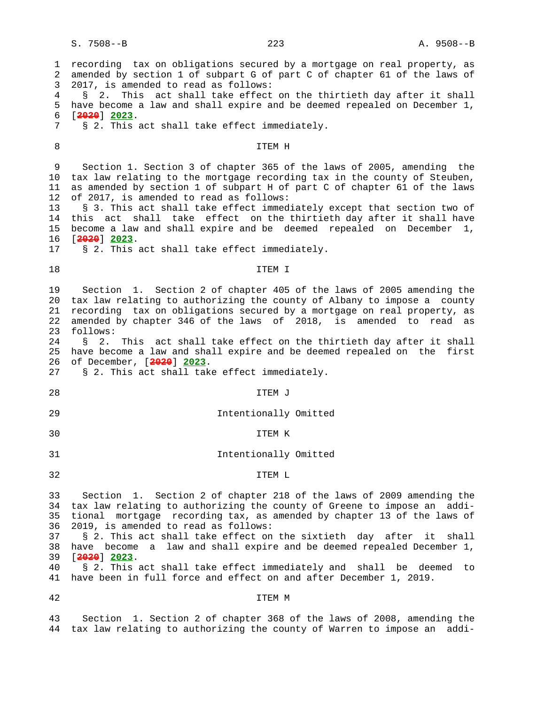| 1<br>$\overline{a}$<br>3<br>4<br>5<br>6<br>7       | recording tax on obligations secured by a mortgage on real property, as<br>amended by section 1 of subpart G of part C of chapter 61 of the laws of<br>2017, is amended to read as follows:<br>This act shall take effect on the thirtieth day after it shall<br>2.<br>S.<br>have become a law and shall expire and be deemed repealed on December 1,<br>$[2020] 2023$ .<br>§ 2. This act shall take effect immediately.                                                                                                                                                          |
|----------------------------------------------------|-----------------------------------------------------------------------------------------------------------------------------------------------------------------------------------------------------------------------------------------------------------------------------------------------------------------------------------------------------------------------------------------------------------------------------------------------------------------------------------------------------------------------------------------------------------------------------------|
| 8                                                  | ITEM H                                                                                                                                                                                                                                                                                                                                                                                                                                                                                                                                                                            |
| 9<br>10<br>11<br>12<br>13<br>14<br>15<br>16<br>17  | Section 1. Section 3 of chapter 365 of the laws of 2005, amending the<br>tax law relating to the mortgage recording tax in the county of Steuben,<br>as amended by section 1 of subpart H of part C of chapter 61 of the laws<br>of 2017, is amended to read as follows:<br>§ 3. This act shall take effect immediately except that section two of<br>this act shall take effect on the thirtieth day after it shall have<br>become a law and shall expire and be deemed repealed on December 1,<br>$[2020] 2023$ .<br>§ 2. This act shall take effect immediately.               |
|                                                    | ITEM I                                                                                                                                                                                                                                                                                                                                                                                                                                                                                                                                                                            |
| 18                                                 |                                                                                                                                                                                                                                                                                                                                                                                                                                                                                                                                                                                   |
| 19<br>20<br>21<br>22<br>23<br>24<br>25<br>26       | Section 1. Section 2 of chapter 405 of the laws of 2005 amending the<br>tax law relating to authorizing the county of Albany to impose a county<br>recording tax on obligations secured by a mortgage on real property, as<br>amended by chapter 346 of the laws of 2018, is amended to read as<br>follows:<br>This act shall take effect on the thirtieth day after it shall<br>2.<br>Ş.<br>have become a law and shall expire and be deemed repealed on the first<br>of December, [2020] 2023.                                                                                  |
| 27                                                 | § 2. This act shall take effect immediately.                                                                                                                                                                                                                                                                                                                                                                                                                                                                                                                                      |
| 28                                                 | ITEM J                                                                                                                                                                                                                                                                                                                                                                                                                                                                                                                                                                            |
| 29                                                 | Intentionally Omitted                                                                                                                                                                                                                                                                                                                                                                                                                                                                                                                                                             |
| 30                                                 | ITEM K                                                                                                                                                                                                                                                                                                                                                                                                                                                                                                                                                                            |
| 31                                                 | Intentionally Omitted                                                                                                                                                                                                                                                                                                                                                                                                                                                                                                                                                             |
| 32                                                 | ITEM L                                                                                                                                                                                                                                                                                                                                                                                                                                                                                                                                                                            |
| 33<br>34<br>35<br>36<br>37<br>38<br>39<br>40<br>41 | Section 1. Section 2 of chapter 218 of the laws of 2009 amending the<br>tax law relating to authorizing the county of Greene to impose an addi-<br>tional mortgage recording tax, as amended by chapter 13 of the laws of<br>2019, is amended to read as follows:<br>§ 2. This act shall take effect on the sixtieth day after it shall<br>have become a law and shall expire and be deemed repealed December 1,<br>$[2020] 2023$ .<br>§ 2. This act shall take effect immediately and shall be deemed<br>to<br>have been in full force and effect on and after December 1, 2019. |
| 42                                                 | ITEM M                                                                                                                                                                                                                                                                                                                                                                                                                                                                                                                                                                            |
|                                                    |                                                                                                                                                                                                                                                                                                                                                                                                                                                                                                                                                                                   |
| 43<br>44                                           | Section 1. Section 2 of chapter 368 of the laws of 2008, amending the<br>tax law relating to authorizing the county of Warren to impose an addi-                                                                                                                                                                                                                                                                                                                                                                                                                                  |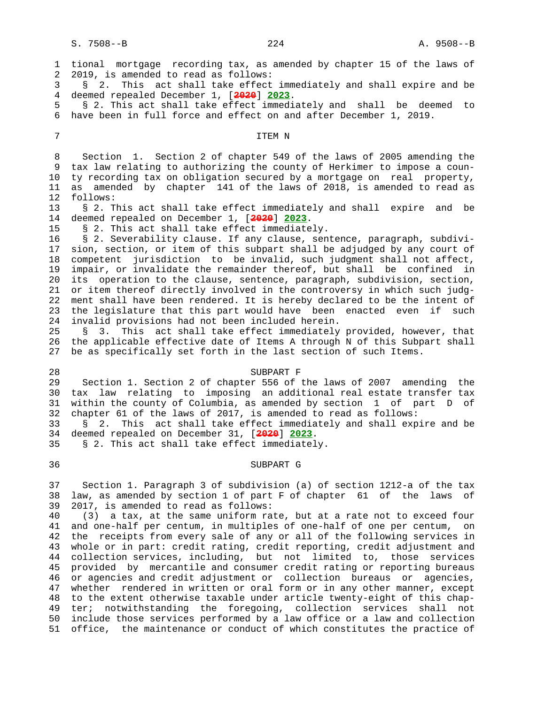1 tional mortgage recording tax, as amended by chapter 15 of the laws of 2 2019, is amended to read as follows: 3 § 2. This act shall take effect immediately and shall expire and be 4 deemed repealed December 1, [**2020**] **2023**. 5 § 2. This act shall take effect immediately and shall be deemed to 6 have been in full force and effect on and after December 1, 2019. 7 ITEM N 8 Section 1. Section 2 of chapter 549 of the laws of 2005 amending the 9 tax law relating to authorizing the county of Herkimer to impose a coun- 10 ty recording tax on obligation secured by a mortgage on real property, 11 as amended by chapter 141 of the laws of 2018, is amended to read as 12 follows: 13 § 2. This act shall take effect immediately and shall expire and be 14 deemed repealed on December 1, [**2020**] **2023**. 15 § 2. This act shall take effect immediately. 16 § 2. Severability clause. If any clause, sentence, paragraph, subdivi- 17 sion, section, or item of this subpart shall be adjudged by any court of 18 competent jurisdiction to be invalid, such judgment shall not affect, 19 impair, or invalidate the remainder thereof, but shall be confined in 20 its operation to the clause, sentence, paragraph, subdivision, section, 21 or item thereof directly involved in the controversy in which such judg- 22 ment shall have been rendered. It is hereby declared to be the intent of 23 the legislature that this part would have been enacted even if such 24 invalid provisions had not been included herein. 25 § 3. This act shall take effect immediately provided, however, that 26 the applicable effective date of Items A through N of this Subpart shall 27 be as specifically set forth in the last section of such Items. 28 SUBPART F 29 Section 1. Section 2 of chapter 556 of the laws of 2007 amending the 30 tax law relating to imposing an additional real estate transfer tax 31 within the county of Columbia, as amended by section 1 of part D of 32 chapter 61 of the laws of 2017, is amended to read as follows: 33 § 2. This act shall take effect immediately and shall expire and be 34 deemed repealed on December 31, [**2020**] **2023**. 35 § 2. This act shall take effect immediately. 36 SUBPART G 37 Section 1. Paragraph 3 of subdivision (a) of section 1212-a of the tax 38 law, as amended by section 1 of part F of chapter 61 of the laws of 39 2017, is amended to read as follows: 40 (3) a tax, at the same uniform rate, but at a rate not to exceed four 41 and one-half per centum, in multiples of one-half of one per centum, on 42 the receipts from every sale of any or all of the following services in 43 whole or in part: credit rating, credit reporting, credit adjustment and 44 collection services, including, but not limited to, those services 45 provided by mercantile and consumer credit rating or reporting bureaus 46 or agencies and credit adjustment or collection bureaus or agencies, 47 whether rendered in written or oral form or in any other manner, except 48 to the extent otherwise taxable under article twenty-eight of this chap- 49 ter; notwithstanding the foregoing, collection services shall not

 50 include those services performed by a law office or a law and collection 51 office, the maintenance or conduct of which constitutes the practice of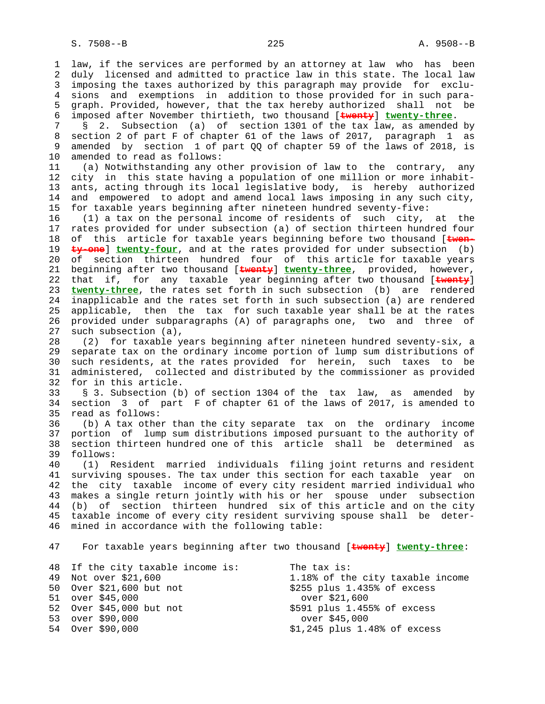1 law, if the services are performed by an attorney at law who has been 2 duly licensed and admitted to practice law in this state. The local law 3 imposing the taxes authorized by this paragraph may provide for exclu- 4 sions and exemptions in addition to those provided for in such para- 5 graph. Provided, however, that the tax hereby authorized shall not be 6 imposed after November thirtieth, two thousand [**twenty**] **twenty-three**. 7 § 2. Subsection (a) of section 1301 of the tax law, as amended by 8 section 2 of part F of chapter 61 of the laws of 2017, paragraph 1 as amended by section 1 of part  $QQ$  of chapter 59 of the laws of 2018, is 10 amended to read as follows: 11 (a) Notwithstanding any other provision of law to the contrary, any 12 city in this state having a population of one million or more inhabit- 13 ants, acting through its local legislative body, is hereby authorized 14 and empowered to adopt and amend local laws imposing in any such city, 15 for taxable years beginning after nineteen hundred seventy-five: 16 (1) a tax on the personal income of residents of such city, at the 17 rates provided for under subsection (a) of section thirteen hundred four 18 of this article for taxable years beginning before two thousand [**twen-** 19 **ty-one**] **twenty-four**, and at the rates provided for under subsection (b) 20 of section thirteen hundred four of this article for taxable years 21 beginning after two thousand [**twenty**] **twenty-three**, provided, however, 22 that if, for any taxable year beginning after two thousand [**twenty**] 23 **twenty-three**, the rates set forth in such subsection (b) are rendered 24 inapplicable and the rates set forth in such subsection (a) are rendered 25 applicable, then the tax for such taxable year shall be at the rates 26 provided under subparagraphs (A) of paragraphs one, two and three of 27 such subsection (a), 28 (2) for taxable years beginning after nineteen hundred seventy-six, a 29 separate tax on the ordinary income portion of lump sum distributions of 30 such residents, at the rates provided for herein, such taxes to be 31 administered, collected and distributed by the commissioner as provided 32 for in this article. 33 § 3. Subsection (b) of section 1304 of the tax law, as amended by 34 section 3 of part F of chapter 61 of the laws of 2017, is amended to 35 read as follows: 36 (b) A tax other than the city separate tax on the ordinary income 37 portion of lump sum distributions imposed pursuant to the authority of 38 section thirteen hundred one of this article shall be determined as 39 follows: 40 (1) Resident married individuals filing joint returns and resident 41 surviving spouses. The tax under this section for each taxable year on 42 the city taxable income of every city resident married individual who 43 makes a single return jointly with his or her spouse under subsection 44 (b) of section thirteen hundred six of this article and on the city 45 taxable income of every city resident surviving spouse shall be deter- 46 mined in accordance with the following table: 47 For taxable years beginning after two thousand [**twenty**] **twenty-three**: 48 If the city taxable income is: The tax is: 49 Not over \$21,600 1.18% of the city taxable income 50 Over \$21,600 but not \$255 plus 1.435% of excess 51 over \$45,000 over \$21,600 52 Over \$45,000 but not \$591 plus 1.455% of excess 53 over \$90,000 over \$45,000

54 Over \$90,000 \$1,245 plus 1.48% of excess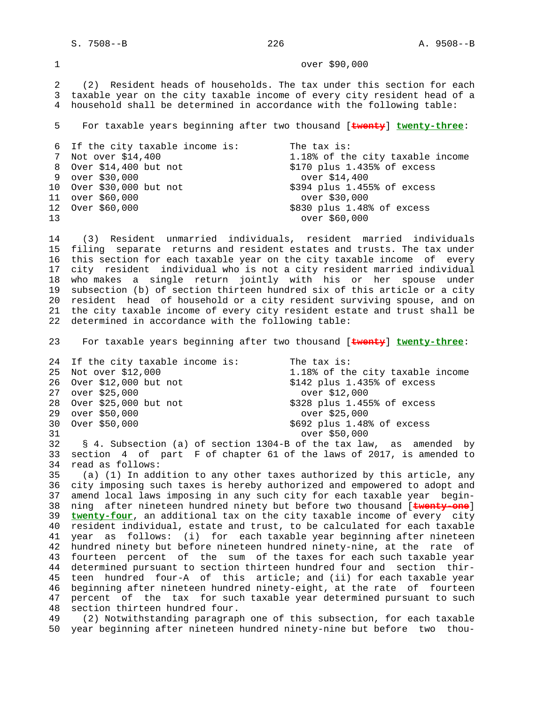|  |  | 7508-<br>R |
|--|--|------------|
|--|--|------------|

1 over \$90,000

 2 (2) Resident heads of households. The tax under this section for each 3 taxable year on the city taxable income of every city resident head of a 4 household shall be determined in accordance with the following table:

5 For taxable years beginning after two thousand [**twenty**] **twenty-three**:

|    | 6 If the city taxable income is: | The tax is:                      |
|----|----------------------------------|----------------------------------|
|    | 7 Not over \$14,400              | 1.18% of the city taxable income |
|    | 8 Over \$14,400 but not          | \$170 plus 1.435% of excess      |
|    | 9 over \$30,000                  | over \$14,400                    |
|    | 10 Over \$30,000 but not         | \$394 plus 1.455% of excess      |
|    | 11 over \$60,000                 | over \$30,000                    |
|    | 12 Over \$60,000                 | \$830 plus 1.48% of excess       |
| 13 |                                  | over \$60,000                    |
|    |                                  |                                  |

 14 (3) Resident unmarried individuals, resident married individuals 15 filing separate returns and resident estates and trusts. The tax under 16 this section for each taxable year on the city taxable income of every 17 city resident individual who is not a city resident married individual 18 who makes a single return jointly with his or her spouse under 19 subsection (b) of section thirteen hundred six of this article or a city 20 resident head of household or a city resident surviving spouse, and on 21 the city taxable income of every city resident estate and trust shall be 22 determined in accordance with the following table:

23 For taxable years beginning after two thousand [**twenty**] **twenty-three**:

|    | 24 If the city taxable income is: | The tax is:                      |
|----|-----------------------------------|----------------------------------|
|    | 25 Not over \$12,000              | 1.18% of the city taxable income |
|    | 26 Over \$12,000 but not          | $$142$ plus $1.435$ ° of excess  |
|    | 27 over \$25,000                  | over \$12,000                    |
|    | 28 Over \$25,000 but not          | \$328 plus 1.455% of excess      |
|    | 29 over \$50,000                  | over \$25,000                    |
|    | 30 Over \$50,000                  | \$692 plus 1.48% of excess       |
| 31 |                                   | over \$50,000                    |
|    |                                   |                                  |

 32 § 4. Subsection (a) of section 1304-B of the tax law, as amended by 33 section 4 of part F of chapter 61 of the laws of 2017, is amended to 34 read as follows:

 35 (a) (1) In addition to any other taxes authorized by this article, any 36 city imposing such taxes is hereby authorized and empowered to adopt and 37 amend local laws imposing in any such city for each taxable year begin- 38 ning after nineteen hundred ninety but before two thousand [**twenty-one**] 39 **twenty-four**, an additional tax on the city taxable income of every city 40 resident individual, estate and trust, to be calculated for each taxable 41 year as follows: (i) for each taxable year beginning after nineteen 42 hundred ninety but before nineteen hundred ninety-nine, at the rate of 43 fourteen percent of the sum of the taxes for each such taxable year 44 determined pursuant to section thirteen hundred four and section thir- 45 teen hundred four-A of this article; and (ii) for each taxable year 46 beginning after nineteen hundred ninety-eight, at the rate of fourteen 47 percent of the tax for such taxable year determined pursuant to such 48 section thirteen hundred four.

 49 (2) Notwithstanding paragraph one of this subsection, for each taxable 50 year beginning after nineteen hundred ninety-nine but before two thou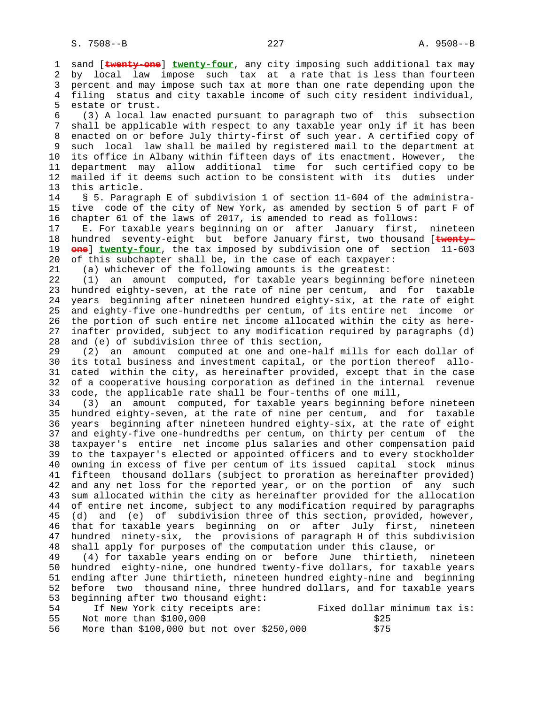1 sand [**twenty-one**] **twenty-four**, any city imposing such additional tax may 2 by local law impose such tax at a rate that is less than fourteen 3 percent and may impose such tax at more than one rate depending upon the 4 filing status and city taxable income of such city resident individual, 5 estate or trust.

 6 (3) A local law enacted pursuant to paragraph two of this subsection 7 shall be applicable with respect to any taxable year only if it has been 8 enacted on or before July thirty-first of such year. A certified copy of 9 such local law shall be mailed by registered mail to the department at 10 its office in Albany within fifteen days of its enactment. However, the 11 department may allow additional time for such certified copy to be 12 mailed if it deems such action to be consistent with its duties under 13 this article.

 14 § 5. Paragraph E of subdivision 1 of section 11-604 of the administra- 15 tive code of the city of New York, as amended by section 5 of part F of 16 chapter 61 of the laws of 2017, is amended to read as follows:

 17 E. For taxable years beginning on or after January first, nineteen 18 hundred seventy-eight but before January first, two thousand [**twenty-** 19 **one**] **twenty-four**, the tax imposed by subdivision one of section 11-603 20 of this subchapter shall be, in the case of each taxpayer:

21 (a) whichever of the following amounts is the greatest:

 22 (1) an amount computed, for taxable years beginning before nineteen 23 hundred eighty-seven, at the rate of nine per centum, and for taxable 24 years beginning after nineteen hundred eighty-six, at the rate of eight 25 and eighty-five one-hundredths per centum, of its entire net income or 26 the portion of such entire net income allocated within the city as here- 27 inafter provided, subject to any modification required by paragraphs (d) 28 and (e) of subdivision three of this section,

 29 (2) an amount computed at one and one-half mills for each dollar of 30 its total business and investment capital, or the portion thereof allo- 31 cated within the city, as hereinafter provided, except that in the case 32 of a cooperative housing corporation as defined in the internal revenue 33 code, the applicable rate shall be four-tenths of one mill,

 34 (3) an amount computed, for taxable years beginning before nineteen 35 hundred eighty-seven, at the rate of nine per centum, and for taxable 36 years beginning after nineteen hundred eighty-six, at the rate of eight 37 and eighty-five one-hundredths per centum, on thirty per centum of the 38 taxpayer's entire net income plus salaries and other compensation paid 39 to the taxpayer's elected or appointed officers and to every stockholder 40 owning in excess of five per centum of its issued capital stock minus 41 fifteen thousand dollars (subject to proration as hereinafter provided) 42 and any net loss for the reported year, or on the portion of any such 43 sum allocated within the city as hereinafter provided for the allocation 44 of entire net income, subject to any modification required by paragraphs 45 (d) and (e) of subdivision three of this section, provided, however, 46 that for taxable years beginning on or after July first, nineteen 47 hundred ninety-six, the provisions of paragraph H of this subdivision 48 shall apply for purposes of the computation under this clause, or

 49 (4) for taxable years ending on or before June thirtieth, nineteen 50 hundred eighty-nine, one hundred twenty-five dollars, for taxable years 51 ending after June thirtieth, nineteen hundred eighty-nine and beginning 52 before two thousand nine, three hundred dollars, and for taxable years 53 beginning after two thousand eight:

| 54 | If New York city receipts are:             | Fixed dollar minimum tax is: |  |
|----|--------------------------------------------|------------------------------|--|
| 55 | Not more than \$100,000                    | \$25                         |  |
|    | More than \$100,000 but not over \$250,000 | S75                          |  |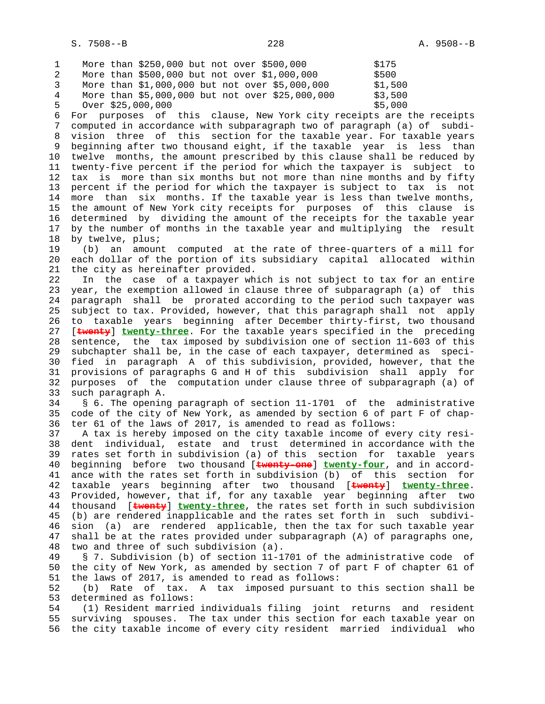1 More than \$250,000 but not over \$500,000 \$175 2 More than \$500,000 but not over \$1,000,000 \$500 3 More than \$1,000,000 but not over \$5,000,000 \$1,500 4 More than \$5,000,000 but not over \$25,000,000 \$3,500 5 Over \$25,000,000 \$5,000 \$5,000 6 For purposes of this clause, New York city receipts are the receipts 7 computed in accordance with subparagraph two of paragraph (a) of subdi- 8 vision three of this section for the taxable year. For taxable years 9 beginning after two thousand eight, if the taxable year is less than 10 twelve months, the amount prescribed by this clause shall be reduced by 11 twenty-five percent if the period for which the taxpayer is subject to 12 tax is more than six months but not more than nine months and by fifty 13 percent if the period for which the taxpayer is subject to tax is not 14 more than six months. If the taxable year is less than twelve months, 15 the amount of New York city receipts for purposes of this clause is 16 determined by dividing the amount of the receipts for the taxable year 17 by the number of months in the taxable year and multiplying the result 18 by twelve, plus; 19 (b) an amount computed at the rate of three-quarters of a mill for 20 each dollar of the portion of its subsidiary capital allocated within 21 the city as hereinafter provided. 22 In the case of a taxpayer which is not subject to tax for an entire 23 year, the exemption allowed in clause three of subparagraph (a) of this 24 paragraph shall be prorated according to the period such taxpayer was 25 subject to tax. Provided, however, that this paragraph shall not apply 26 to taxable years beginning after December thirty-first, two thousand 27 [**twenty**] **twenty-three**. For the taxable years specified in the preceding 28 sentence, the tax imposed by subdivision one of section 11-603 of this 29 subchapter shall be, in the case of each taxpayer, determined as speci- 30 fied in paragraph A of this subdivision, provided, however, that the 31 provisions of paragraphs G and H of this subdivision shall apply for 32 purposes of the computation under clause three of subparagraph (a) of 33 such paragraph A. 34 § 6. The opening paragraph of section 11-1701 of the administrative 35 code of the city of New York, as amended by section 6 of part F of chap- 36 ter 61 of the laws of 2017, is amended to read as follows: 37 A tax is hereby imposed on the city taxable income of every city resi- 38 dent individual, estate and trust determined in accordance with the 39 rates set forth in subdivision (a) of this section for taxable years 40 beginning before two thousand [**twenty-one**] **twenty-four**, and in accord- 41 ance with the rates set forth in subdivision (b) of this section for 42 taxable years beginning after two thousand [**twenty**] **twenty-three**. 43 Provided, however, that if, for any taxable year beginning after two 44 thousand [**twenty**] **twenty-three**, the rates set forth in such subdivision 45 (b) are rendered inapplicable and the rates set forth in such subdivi- 46 sion (a) are rendered applicable, then the tax for such taxable year 47 shall be at the rates provided under subparagraph (A) of paragraphs one, 48 two and three of such subdivision (a). 49 § 7. Subdivision (b) of section 11-1701 of the administrative code of 50 the city of New York, as amended by section 7 of part F of chapter 61 of 51 the laws of 2017, is amended to read as follows: 52 (b) Rate of tax. A tax imposed pursuant to this section shall be 53 determined as follows: 54 (1) Resident married individuals filing joint returns and resident

 55 surviving spouses. The tax under this section for each taxable year on 56 the city taxable income of every city resident married individual who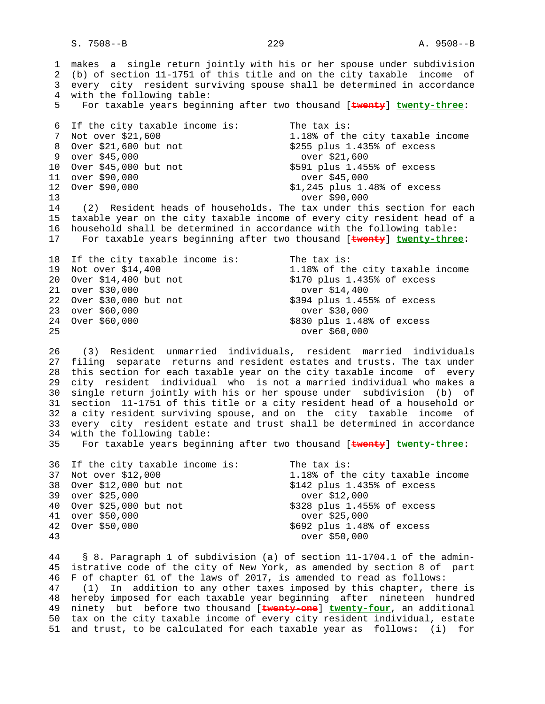1 makes a single return jointly with his or her spouse under subdivision 2 (b) of section 11-1751 of this title and on the city taxable income of 3 every city resident surviving spouse shall be determined in accordance 4 with the following table: 5 For taxable years beginning after two thousand [**twenty**] **twenty-three**: 6 If the city taxable income is: The tax is: 7 Not over \$21,600<br>8 Over \$21,600 but not <br>\$255 plus 1.435% of excess  $8$  Over  $$21,600$  but not 9 over \$45,000 over \$21,600 10 Over \$45,000 but not \$591 plus 1.455% of excess 11 over \$90,000 over \$45,000 12 Over \$90,000 \$1,245 plus 1.48% of excess 13 over \$90,000 14 (2) Resident heads of households. The tax under this section for each 15 taxable year on the city taxable income of every city resident head of a 16 household shall be determined in accordance with the following table: 17 For taxable years beginning after two thousand [**twenty**] **twenty-three**: 18 If the city taxable income is: The tax is: 19 Not over \$14,400 1.18% of the city taxable income 20 Over \$14,400 but not \$170 plus 1.435% of excess 21 over \$30,000 over \$14,400 22 Over \$30,000 but not \$394 plus 1.455% of excess 23 over \$60,000 over \$30,000 24 Over \$60,000 600 600 600 600 600 600 600 600 600 \$830 plus 1.48% of excess 25 over \$60,000 26 (3) Resident unmarried individuals, resident married individuals 27 filing separate returns and resident estates and trusts. The tax under 28 this section for each taxable year on the city taxable income of every 29 city resident individual who is not a married individual who makes a 30 single return jointly with his or her spouse under subdivision (b) of 31 section 11-1751 of this title or a city resident head of a household or 32 a city resident surviving spouse, and on the city taxable income of 33 every city resident estate and trust shall be determined in accordance 34 with the following table: 35 For taxable years beginning after two thousand [**twenty**] **twenty-three**: 36 If the city taxable income is: The tax is: 37 Not over \$12,000 1.18% of the city taxable income 38 Over \$12,000 but not \$142 plus 1.435% of excess 39 over \$25,000 over \$12,000 40 Over \$25,000 but not \$328 plus 1.455% of excess 41 over \$50,000 over \$25,000 42 Over \$50,000 \$692 plus 1.48% of excess 43 over \$50,000 44 § 8. Paragraph 1 of subdivision (a) of section 11-1704.1 of the admin- 45 istrative code of the city of New York, as amended by section 8 of part 46 F of chapter 61 of the laws of 2017, is amended to read as follows: 47 (1) In addition to any other taxes imposed by this chapter, there is 48 hereby imposed for each taxable year beginning after nineteen hundred 49 ninety but before two thousand [**twenty-one**] **twenty-four**, an additional 50 tax on the city taxable income of every city resident individual, estate 51 and trust, to be calculated for each taxable year as follows: (i) for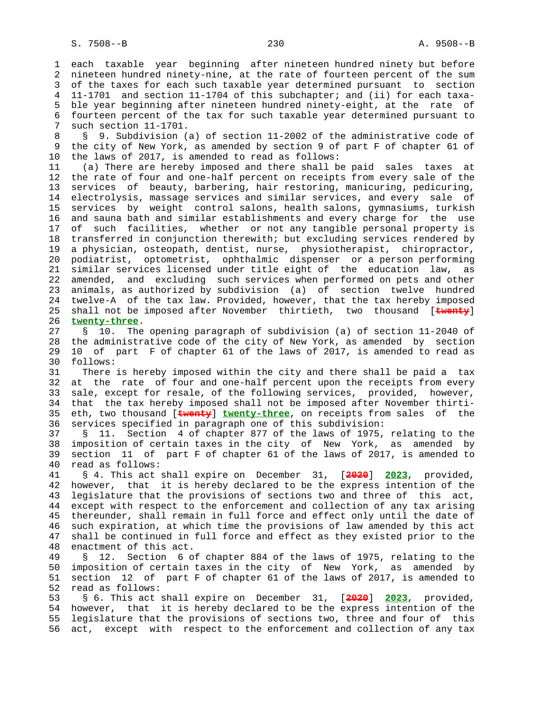1 each taxable year beginning after nineteen hundred ninety but before 2 nineteen hundred ninety-nine, at the rate of fourteen percent of the sum 3 of the taxes for each such taxable year determined pursuant to section 4 11-1701 and section 11-1704 of this subchapter; and (ii) for each taxa- 5 ble year beginning after nineteen hundred ninety-eight, at the rate of 6 fourteen percent of the tax for such taxable year determined pursuant to 7 such section 11-1701.

8 § 9. Subdivision (a) of section 11-2002 of the administrative code of<br>9 the city of New York, as amended by section 9 of part F of chapter 61 of the city of New York, as amended by section 9 of part F of chapter 61 of 10 the laws of 2017, is amended to read as follows:

 11 (a) There are hereby imposed and there shall be paid sales taxes at 12 the rate of four and one-half percent on receipts from every sale of the 13 services of beauty, barbering, hair restoring, manicuring, pedicuring, 14 electrolysis, massage services and similar services, and every sale of 15 services by weight control salons, health salons, gymnasiums, turkish 16 and sauna bath and similar establishments and every charge for the use 17 of such facilities, whether or not any tangible personal property is 18 transferred in conjunction therewith; but excluding services rendered by 19 a physician, osteopath, dentist, nurse, physiotherapist, chiropractor, 20 podiatrist, optometrist, ophthalmic dispenser or a person performing 21 similar services licensed under title eight of the education law, as 22 amended, and excluding such services when performed on pets and other 23 animals, as authorized by subdivision (a) of section twelve hundred 24 twelve-A of the tax law. Provided, however, that the tax hereby imposed 25 shall not be imposed after November thirtieth, two thousand [**twenty**] 26 **twenty-three**.

 27 § 10. The opening paragraph of subdivision (a) of section 11-2040 of 28 the administrative code of the city of New York, as amended by section 29 10 of part F of chapter 61 of the laws of 2017, is amended to read as 30 follows:

 31 There is hereby imposed within the city and there shall be paid a tax 32 at the rate of four and one-half percent upon the receipts from every 33 sale, except for resale, of the following services, provided, however, 34 that the tax hereby imposed shall not be imposed after November thirti- 35 eth, two thousand [**twenty**] **twenty-three**, on receipts from sales of the 36 services specified in paragraph one of this subdivision:

 37 § 11. Section 4 of chapter 877 of the laws of 1975, relating to the 38 imposition of certain taxes in the city of New York, as amended by 39 section 11 of part F of chapter 61 of the laws of 2017, is amended to 40 read as follows:

 41 § 4. This act shall expire on December 31, [**2020**] **2023**, provided, 42 however, that it is hereby declared to be the express intention of the 43 legislature that the provisions of sections two and three of this act, 44 except with respect to the enforcement and collection of any tax arising 45 thereunder, shall remain in full force and effect only until the date of 46 such expiration, at which time the provisions of law amended by this act 47 shall be continued in full force and effect as they existed prior to the 48 enactment of this act.

 49 § 12. Section 6 of chapter 884 of the laws of 1975, relating to the 50 imposition of certain taxes in the city of New York, as amended by 51 section 12 of part F of chapter 61 of the laws of 2017, is amended to 52 read as follows:

 53 § 6. This act shall expire on December 31, [**2020**] **2023**, provided, 54 however, that it is hereby declared to be the express intention of the 55 legislature that the provisions of sections two, three and four of this 56 act, except with respect to the enforcement and collection of any tax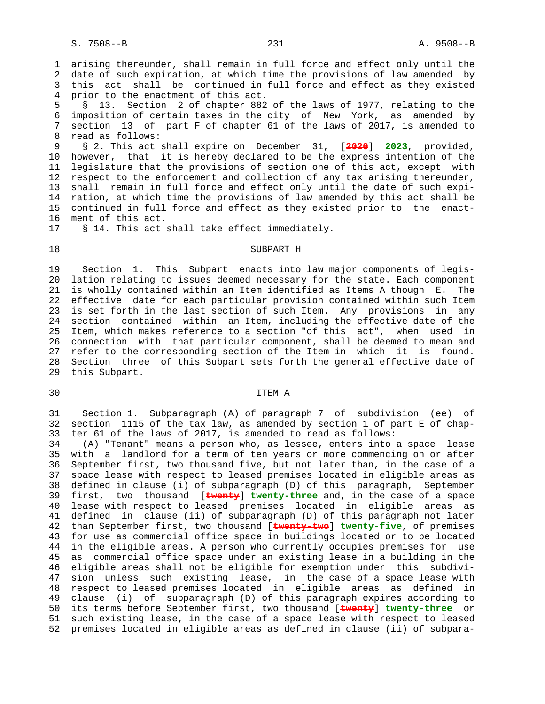1 arising thereunder, shall remain in full force and effect only until the 2 date of such expiration, at which time the provisions of law amended by 3 this act shall be continued in full force and effect as they existed 4 prior to the enactment of this act.

 5 § 13. Section 2 of chapter 882 of the laws of 1977, relating to the 6 imposition of certain taxes in the city of New York, as amended by 7 section 13 of part F of chapter 61 of the laws of 2017, is amended to 8 read as follows:<br>9 8 2. This act

 9 § 2. This act shall expire on December 31, [**2020**] **2023**, provided, 10 however, that it is hereby declared to be the express intention of the 11 legislature that the provisions of section one of this act, except with 12 respect to the enforcement and collection of any tax arising thereunder, 13 shall remain in full force and effect only until the date of such expi- 14 ration, at which time the provisions of law amended by this act shall be 15 continued in full force and effect as they existed prior to the enact- 16 ment of this act.

17 § 14. This act shall take effect immediately.

## 18 SUBPART H

 19 Section 1. This Subpart enacts into law major components of legis- 20 lation relating to issues deemed necessary for the state. Each component 21 is wholly contained within an Item identified as Items A though E. The 22 effective date for each particular provision contained within such Item 23 is set forth in the last section of such Item. Any provisions in any 24 section contained within an Item, including the effective date of the 25 Item, which makes reference to a section "of this act", when used in 26 connection with that particular component, shall be deemed to mean and 27 refer to the corresponding section of the Item in which it is found. 28 Section three of this Subpart sets forth the general effective date of 29 this Subpart.

### 30 ITEM A

 31 Section 1. Subparagraph (A) of paragraph 7 of subdivision (ee) of 32 section 1115 of the tax law, as amended by section 1 of part E of chap- 33 ter 61 of the laws of 2017, is amended to read as follows:

 34 (A) "Tenant" means a person who, as lessee, enters into a space lease 35 with a landlord for a term of ten years or more commencing on or after 36 September first, two thousand five, but not later than, in the case of a 37 space lease with respect to leased premises located in eligible areas as 38 defined in clause (i) of subparagraph (D) of this paragraph, September 39 first, two thousand [**twenty**] **twenty-three** and, in the case of a space 40 lease with respect to leased premises located in eligible areas as 41 defined in clause (ii) of subparagraph (D) of this paragraph not later 42 than September first, two thousand [**twenty-two**] **twenty-five**, of premises 43 for use as commercial office space in buildings located or to be located 44 in the eligible areas. A person who currently occupies premises for use 45 as commercial office space under an existing lease in a building in the 46 eligible areas shall not be eligible for exemption under this subdivi- 47 sion unless such existing lease, in the case of a space lease with 48 respect to leased premises located in eligible areas as defined in 49 clause (i) of subparagraph (D) of this paragraph expires according to 50 its terms before September first, two thousand [**twenty**] **twenty-three** or 51 such existing lease, in the case of a space lease with respect to leased 52 premises located in eligible areas as defined in clause (ii) of subpara-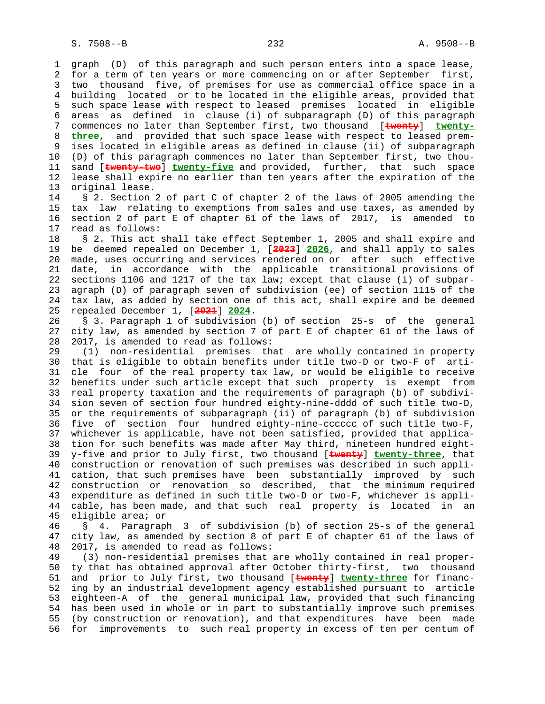1 graph (D) of this paragraph and such person enters into a space lease, 2 for a term of ten years or more commencing on or after September first, 3 two thousand five, of premises for use as commercial office space in a 4 building located or to be located in the eligible areas, provided that 5 such space lease with respect to leased premises located in eligible 6 areas as defined in clause (i) of subparagraph (D) of this paragraph 7 commences no later than September first, two thousand [**twenty**] **twenty-** 8 **three**, and provided that such space lease with respect to leased prem- 9 ises located in eligible areas as defined in clause (ii) of subparagraph 10 (D) of this paragraph commences no later than September first, two thou- 11 sand [**twenty-two**] **twenty-five** and provided, further, that such space 12 lease shall expire no earlier than ten years after the expiration of the 13 original lease.

 14 § 2. Section 2 of part C of chapter 2 of the laws of 2005 amending the 15 tax law relating to exemptions from sales and use taxes, as amended by 16 section 2 of part E of chapter 61 of the laws of 2017, is amended to 17 read as follows:

 18 § 2. This act shall take effect September 1, 2005 and shall expire and 19 be deemed repealed on December 1, [**2023**] **2026**, and shall apply to sales 20 made, uses occurring and services rendered on or after such effective 21 date, in accordance with the applicable transitional provisions of 22 sections 1106 and 1217 of the tax law; except that clause (i) of subpar- 23 agraph (D) of paragraph seven of subdivision (ee) of section 1115 of the 24 tax law, as added by section one of this act, shall expire and be deemed 25 repealed December 1, [**2021**] **2024**.

 26 § 3. Paragraph 1 of subdivision (b) of section 25-s of the general 27 city law, as amended by section 7 of part E of chapter 61 of the laws of 28 2017, is amended to read as follows:

 29 (1) non-residential premises that are wholly contained in property 30 that is eligible to obtain benefits under title two-D or two-F of arti- 31 cle four of the real property tax law, or would be eligible to receive 32 benefits under such article except that such property is exempt from 33 real property taxation and the requirements of paragraph (b) of subdivi- 34 sion seven of section four hundred eighty-nine-dddd of such title two-D, 35 or the requirements of subparagraph (ii) of paragraph (b) of subdivision 36 five of section four hundred eighty-nine-cccccc of such title two-F, 37 whichever is applicable, have not been satisfied, provided that applica- 38 tion for such benefits was made after May third, nineteen hundred eight- 39 y-five and prior to July first, two thousand [**twenty**] **twenty-three**, that 40 construction or renovation of such premises was described in such appli- 41 cation, that such premises have been substantially improved by such 42 construction or renovation so described, that the minimum required 43 expenditure as defined in such title two-D or two-F, whichever is appli- 44 cable, has been made, and that such real property is located in an 45 eligible area; or

 46 § 4. Paragraph 3 of subdivision (b) of section 25-s of the general 47 city law, as amended by section 8 of part E of chapter 61 of the laws of 48 2017, is amended to read as follows:

 49 (3) non-residential premises that are wholly contained in real proper- 50 ty that has obtained approval after October thirty-first, two thousand 51 and prior to July first, two thousand [**twenty**] **twenty-three** for financ- 52 ing by an industrial development agency established pursuant to article 53 eighteen-A of the general municipal law, provided that such financing 54 has been used in whole or in part to substantially improve such premises 55 (by construction or renovation), and that expenditures have been made 56 for improvements to such real property in excess of ten per centum of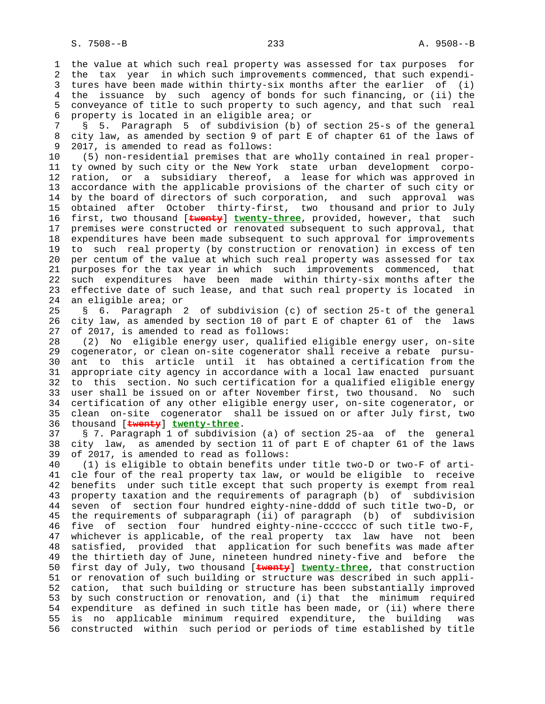1 the value at which such real property was assessed for tax purposes for 2 the tax year in which such improvements commenced, that such expendi- 3 tures have been made within thirty-six months after the earlier of (i) 4 the issuance by such agency of bonds for such financing, or (ii) the 5 conveyance of title to such property to such agency, and that such real 6 property is located in an eligible area; or

 7 § 5. Paragraph 5 of subdivision (b) of section 25-s of the general 8 city law, as amended by section 9 of part E of chapter 61 of the laws of 9 2017, is amended to read as follows: 2017, is amended to read as follows:

 10 (5) non-residential premises that are wholly contained in real proper- 11 ty owned by such city or the New York state urban development corpo- 12 ration, or a subsidiary thereof, a lease for which was approved in 13 accordance with the applicable provisions of the charter of such city or 14 by the board of directors of such corporation, and such approval was 15 obtained after October thirty-first, two thousand and prior to July 16 first, two thousand [**twenty**] **twenty-three**, provided, however, that such 17 premises were constructed or renovated subsequent to such approval, that 18 expenditures have been made subsequent to such approval for improvements 19 to such real property (by construction or renovation) in excess of ten 20 per centum of the value at which such real property was assessed for tax 21 purposes for the tax year in which such improvements commenced, that 22 such expenditures have been made within thirty-six months after the 23 effective date of such lease, and that such real property is located in 24 an eligible area; or

 25 § 6. Paragraph 2 of subdivision (c) of section 25-t of the general 26 city law, as amended by section 10 of part E of chapter 61 of the laws 27 of 2017, is amended to read as follows:

 28 (2) No eligible energy user, qualified eligible energy user, on-site 29 cogenerator, or clean on-site cogenerator shall receive a rebate pursu- 30 ant to this article until it has obtained a certification from the 31 appropriate city agency in accordance with a local law enacted pursuant 32 to this section. No such certification for a qualified eligible energy 33 user shall be issued on or after November first, two thousand. No such 34 certification of any other eligible energy user, on-site cogenerator, or clean on-site cogenerator shall be issued on or after July first, two 36 thousand [**twenty**] **twenty-three**.

 37 § 7. Paragraph 1 of subdivision (a) of section 25-aa of the general 38 city law, as amended by section 11 of part E of chapter 61 of the laws 39 of 2017, is amended to read as follows:

 40 (1) is eligible to obtain benefits under title two-D or two-F of arti- 41 cle four of the real property tax law, or would be eligible to receive 42 benefits under such title except that such property is exempt from real 43 property taxation and the requirements of paragraph (b) of subdivision 44 seven of section four hundred eighty-nine-dddd of such title two-D, or 45 the requirements of subparagraph (ii) of paragraph (b) of subdivision 46 five of section four hundred eighty-nine-cccccc of such title two-F, 47 whichever is applicable, of the real property tax law have not been 48 satisfied, provided that application for such benefits was made after 49 the thirtieth day of June, nineteen hundred ninety-five and before the 50 first day of July, two thousand [**twenty**] **twenty-three**, that construction 51 or renovation of such building or structure was described in such appli- 52 cation, that such building or structure has been substantially improved 53 by such construction or renovation, and (i) that the minimum required 54 expenditure as defined in such title has been made, or (ii) where there 55 is no applicable minimum required expenditure, the building was 56 constructed within such period or periods of time established by title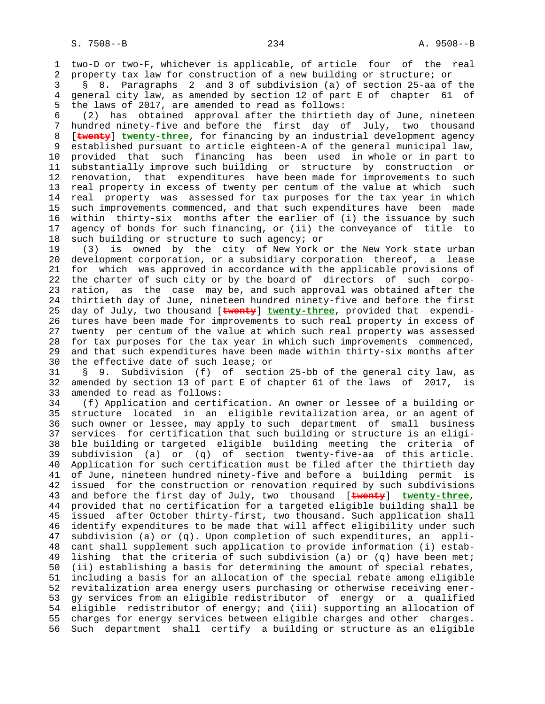1 two-D or two-F, whichever is applicable, of article four of the real 2 property tax law for construction of a new building or structure; or

 3 § 8. Paragraphs 2 and 3 of subdivision (a) of section 25-aa of the 4 general city law, as amended by section 12 of part E of chapter 61 of 5 the laws of 2017, are amended to read as follows:

 6 (2) has obtained approval after the thirtieth day of June, nineteen 7 hundred ninety-five and before the first day of July, two thousand 8 [**twenty**] **twenty-three**, for financing by an industrial development agency established pursuant to article eighteen-A of the general municipal law, 10 provided that such financing has been used in whole or in part to 11 substantially improve such building or structure by construction or 12 renovation, that expenditures have been made for improvements to such 13 real property in excess of twenty per centum of the value at which such 14 real property was assessed for tax purposes for the tax year in which 15 such improvements commenced, and that such expenditures have been made 16 within thirty-six months after the earlier of (i) the issuance by such 17 agency of bonds for such financing, or (ii) the conveyance of title to 18 such building or structure to such agency; or

 19 (3) is owned by the city of New York or the New York state urban 20 development corporation, or a subsidiary corporation thereof, a lease 21 for which was approved in accordance with the applicable provisions of 22 the charter of such city or by the board of directors of such corpo- 23 ration, as the case may be, and such approval was obtained after the 24 thirtieth day of June, nineteen hundred ninety-five and before the first 25 day of July, two thousand [**twenty**] **twenty-three**, provided that expendi- 26 tures have been made for improvements to such real property in excess of 27 twenty per centum of the value at which such real property was assessed 28 for tax purposes for the tax year in which such improvements commenced, 29 and that such expenditures have been made within thirty-six months after 30 the effective date of such lease; or

 31 § 9. Subdivision (f) of section 25-bb of the general city law, as 32 amended by section 13 of part E of chapter 61 of the laws of 2017, is 33 amended to read as follows:

 34 (f) Application and certification. An owner or lessee of a building or 35 structure located in an eligible revitalization area, or an agent of 36 such owner or lessee, may apply to such department of small business 37 services for certification that such building or structure is an eligi- 38 ble building or targeted eligible building meeting the criteria of 39 subdivision (a) or (q) of section twenty-five-aa of this article. 40 Application for such certification must be filed after the thirtieth day 41 of June, nineteen hundred ninety-five and before a building permit is 42 issued for the construction or renovation required by such subdivisions 43 and before the first day of July, two thousand [**twenty**] **twenty-three**, 44 provided that no certification for a targeted eligible building shall be 45 issued after October thirty-first, two thousand. Such application shall 46 identify expenditures to be made that will affect eligibility under such 47 subdivision (a) or (q). Upon completion of such expenditures, an appli- 48 cant shall supplement such application to provide information (i) estab- 49 lishing that the criteria of such subdivision (a) or (q) have been met; 50 (ii) establishing a basis for determining the amount of special rebates, 51 including a basis for an allocation of the special rebate among eligible 52 revitalization area energy users purchasing or otherwise receiving ener- 53 gy services from an eligible redistributor of energy or a qualified 54 eligible redistributor of energy; and (iii) supporting an allocation of 55 charges for energy services between eligible charges and other charges. 56 Such department shall certify a building or structure as an eligible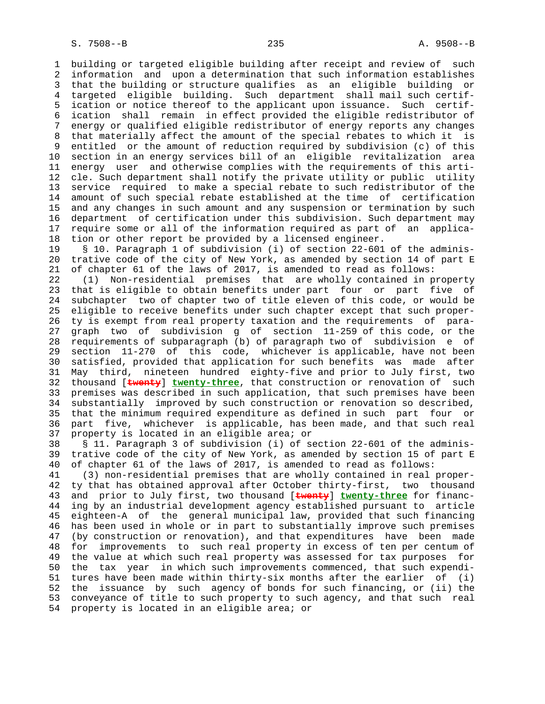1 building or targeted eligible building after receipt and review of such 2 information and upon a determination that such information establishes 3 that the building or structure qualifies as an eligible building or 4 targeted eligible building. Such department shall mail such certif- 5 ication or notice thereof to the applicant upon issuance. Such certif- 6 ication shall remain in effect provided the eligible redistributor of 7 energy or qualified eligible redistributor of energy reports any changes 8 that materially affect the amount of the special rebates to which it is<br>9 entitled or the amount of reduction required by subdivision (c) of this entitled or the amount of reduction required by subdivision (c) of this 10 section in an energy services bill of an eligible revitalization area 11 energy user and otherwise complies with the requirements of this arti- 12 cle. Such department shall notify the private utility or public utility 13 service required to make a special rebate to such redistributor of the 14 amount of such special rebate established at the time of certification 15 and any changes in such amount and any suspension or termination by such 16 department of certification under this subdivision. Such department may 17 require some or all of the information required as part of an applica- 18 tion or other report be provided by a licensed engineer.

 19 § 10. Paragraph 1 of subdivision (i) of section 22-601 of the adminis- 20 trative code of the city of New York, as amended by section 14 of part E 21 of chapter 61 of the laws of 2017, is amended to read as follows:

 22 (1) Non-residential premises that are wholly contained in property 23 that is eligible to obtain benefits under part four or part five of 24 subchapter two of chapter two of title eleven of this code, or would be 25 eligible to receive benefits under such chapter except that such proper- 26 ty is exempt from real property taxation and the requirements of para- 27 graph two of subdivision g of section 11-259 of this code, or the 28 requirements of subparagraph (b) of paragraph two of subdivision e of 29 section 11-270 of this code, whichever is applicable, have not been 30 satisfied, provided that application for such benefits was made after 31 May third, nineteen hundred eighty-five and prior to July first, two 32 thousand [**twenty**] **twenty-three**, that construction or renovation of such 33 premises was described in such application, that such premises have been 34 substantially improved by such construction or renovation so described, 35 that the minimum required expenditure as defined in such part four or 36 part five, whichever is applicable, has been made, and that such real 37 property is located in an eligible area; or

 38 § 11. Paragraph 3 of subdivision (i) of section 22-601 of the adminis- 39 trative code of the city of New York, as amended by section 15 of part E 40 of chapter 61 of the laws of 2017, is amended to read as follows:

 41 (3) non-residential premises that are wholly contained in real proper- 42 ty that has obtained approval after October thirty-first, two thousand 43 and prior to July first, two thousand [**twenty**] **twenty-three** for financ- 44 ing by an industrial development agency established pursuant to article 45 eighteen-A of the general municipal law, provided that such financing 46 has been used in whole or in part to substantially improve such premises 47 (by construction or renovation), and that expenditures have been made 48 for improvements to such real property in excess of ten per centum of 49 the value at which such real property was assessed for tax purposes for 50 the tax year in which such improvements commenced, that such expendi- 51 tures have been made within thirty-six months after the earlier of (i) 52 the issuance by such agency of bonds for such financing, or (ii) the 53 conveyance of title to such property to such agency, and that such real 54 property is located in an eligible area; or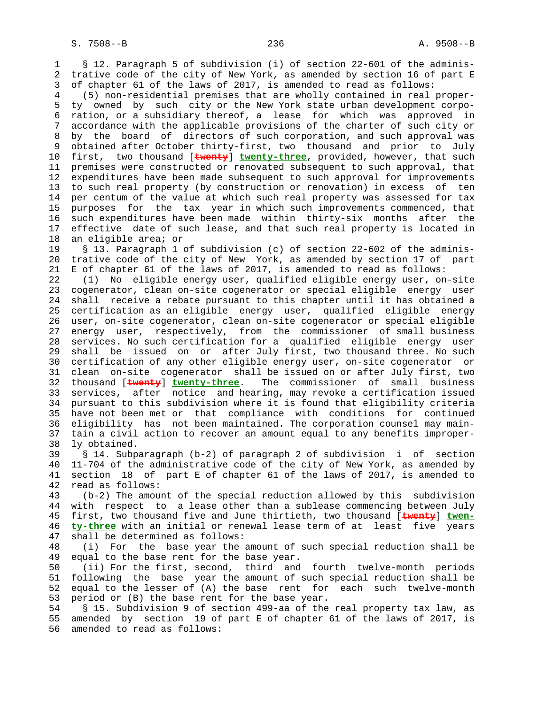1 § 12. Paragraph 5 of subdivision (i) of section 22-601 of the adminis- 2 trative code of the city of New York, as amended by section 16 of part E 3 of chapter 61 of the laws of 2017, is amended to read as follows:

 4 (5) non-residential premises that are wholly contained in real proper- 5 ty owned by such city or the New York state urban development corpo- 6 ration, or a subsidiary thereof, a lease for which was approved in 7 accordance with the applicable provisions of the charter of such city or 8 by the board of directors of such corporation, and such approval was 9 obtained after October thirty-first, two thousand and prior to July 10 first, two thousand [**twenty**] **twenty-three**, provided, however, that such 11 premises were constructed or renovated subsequent to such approval, that 12 expenditures have been made subsequent to such approval for improvements 13 to such real property (by construction or renovation) in excess of ten 14 per centum of the value at which such real property was assessed for tax 15 purposes for the tax year in which such improvements commenced, that 16 such expenditures have been made within thirty-six months after the 17 effective date of such lease, and that such real property is located in 18 an eligible area; or

 19 § 13. Paragraph 1 of subdivision (c) of section 22-602 of the adminis- 20 trative code of the city of New York, as amended by section 17 of part 21 E of chapter 61 of the laws of 2017, is amended to read as follows:

 22 (1) No eligible energy user, qualified eligible energy user, on-site 23 cogenerator, clean on-site cogenerator or special eligible energy user 24 shall receive a rebate pursuant to this chapter until it has obtained a 25 certification as an eligible energy user, qualified eligible energy 26 user, on-site cogenerator, clean on-site cogenerator or special eligible 27 energy user, respectively, from the commissioner of small business 28 services. No such certification for a qualified eligible energy user 29 shall be issued on or after July first, two thousand three. No such 30 certification of any other eligible energy user, on-site cogenerator or 31 clean on-site cogenerator shall be issued on or after July first, two 32 thousand [**twenty**] **twenty-three**. The commissioner of small business 33 services, after notice and hearing, may revoke a certification issued 34 pursuant to this subdivision where it is found that eligibility criteria 35 have not been met or that compliance with conditions for continued 36 eligibility has not been maintained. The corporation counsel may main- 37 tain a civil action to recover an amount equal to any benefits improper- 38 ly obtained.

 39 § 14. Subparagraph (b-2) of paragraph 2 of subdivision i of section 40 11-704 of the administrative code of the city of New York, as amended by 41 section 18 of part E of chapter 61 of the laws of 2017, is amended to 42 read as follows:

 43 (b-2) The amount of the special reduction allowed by this subdivision 44 with respect to a lease other than a sublease commencing between July 45 first, two thousand five and June thirtieth, two thousand [**twenty**] **twen-** 46 **ty-three** with an initial or renewal lease term of at least five years 47 shall be determined as follows:

 48 (i) For the base year the amount of such special reduction shall be 49 equal to the base rent for the base year.

 50 (ii) For the first, second, third and fourth twelve-month periods 51 following the base year the amount of such special reduction shall be 52 equal to the lesser of (A) the base rent for each such twelve-month 53 period or (B) the base rent for the base year.

 54 § 15. Subdivision 9 of section 499-aa of the real property tax law, as 55 amended by section 19 of part E of chapter 61 of the laws of 2017, is 56 amended to read as follows: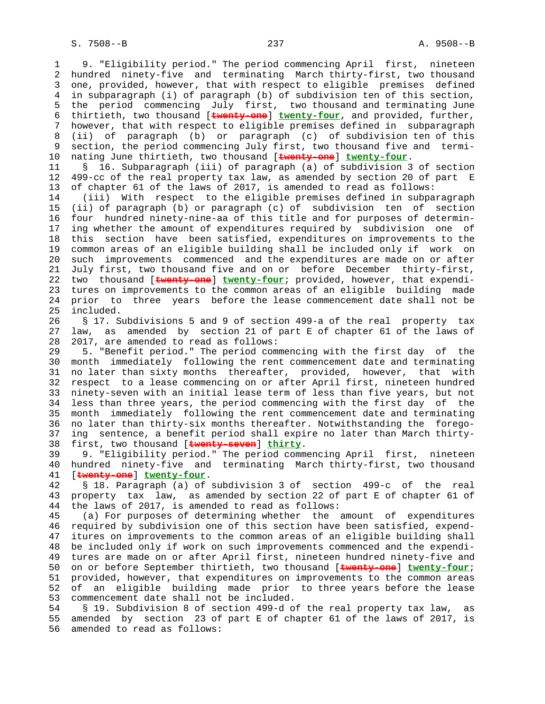1 9. "Eligibility period." The period commencing April first, nineteen 2 hundred ninety-five and terminating March thirty-first, two thousand 3 one, provided, however, that with respect to eligible premises defined 4 in subparagraph (i) of paragraph (b) of subdivision ten of this section, 5 the period commencing July first, two thousand and terminating June 6 thirtieth, two thousand [**twenty-one**] **twenty-four**, and provided, further, 7 however, that with respect to eligible premises defined in subparagraph 8 (ii) of paragraph (b) or paragraph (c) of subdivision ten of this section, the period commencing July first, two thousand five and termi- 10 nating June thirtieth, two thousand [**twenty-one**] **twenty-four**. 11 § 16. Subparagraph (iii) of paragraph (a) of subdivision 3 of section 12 499-cc of the real property tax law, as amended by section 20 of part E 13 of chapter 61 of the laws of 2017, is amended to read as follows: 14 (iii) With respect to the eligible premises defined in subparagraph 15 (ii) of paragraph (b) or paragraph (c) of subdivision ten of section 16 four hundred ninety-nine-aa of this title and for purposes of determin- 17 ing whether the amount of expenditures required by subdivision one of 18 this section have been satisfied, expenditures on improvements to the 19 common areas of an eligible building shall be included only if work on 20 such improvements commenced and the expenditures are made on or after 21 July first, two thousand five and on or before December thirty-first, 22 two thousand [**twenty-one**] **twenty-four**; provided, however, that expendi- 23 tures on improvements to the common areas of an eligible building made 24 prior to three years before the lease commencement date shall not be 25 included. 26 § 17. Subdivisions 5 and 9 of section 499-a of the real property tax 27 law, as amended by section 21 of part E of chapter 61 of the laws of 28 2017, are amended to read as follows: 29 5. "Benefit period." The period commencing with the first day of the 30 month immediately following the rent commencement date and terminating 31 no later than sixty months thereafter, provided, however, that with 32 respect to a lease commencing on or after April first, nineteen hundred 33 ninety-seven with an initial lease term of less than five years, but not 34 less than three years, the period commencing with the first day of the 35 month immediately following the rent commencement date and terminating 36 no later than thirty-six months thereafter. Notwithstanding the forego- 37 ing sentence, a benefit period shall expire no later than March thirty- 38 first, two thousand [**twenty-seven**] **thirty**. 39 9. "Eligibility period." The period commencing April first, nineteen 40 hundred ninety-five and terminating March thirty-first, two thousand 41 [**twenty-one**] **twenty-four**. 42 § 18. Paragraph (a) of subdivision 3 of section 499-c of the real 43 property tax law, as amended by section 22 of part E of chapter 61 of 44 the laws of 2017, is amended to read as follows: 45 (a) For purposes of determining whether the amount of expenditures 46 required by subdivision one of this section have been satisfied, expend- 47 itures on improvements to the common areas of an eligible building shall 48 be included only if work on such improvements commenced and the expendi- 49 tures are made on or after April first, nineteen hundred ninety-five and 50 on or before September thirtieth, two thousand [**twenty-one**] **twenty-four**; 51 provided, however, that expenditures on improvements to the common areas 52 of an eligible building made prior to three years before the lease 53 commencement date shall not be included. 54 § 19. Subdivision 8 of section 499-d of the real property tax law, as 55 amended by section 23 of part E of chapter 61 of the laws of 2017, is 56 amended to read as follows: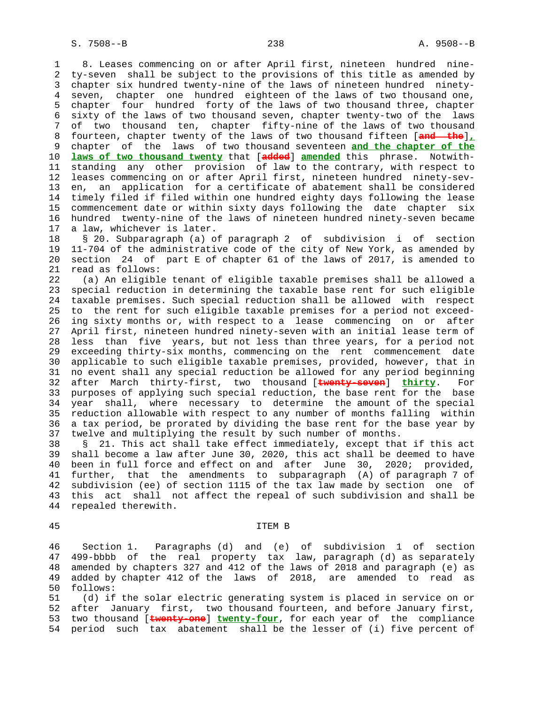1 8. Leases commencing on or after April first, nineteen hundred nine- 2 ty-seven shall be subject to the provisions of this title as amended by 3 chapter six hundred twenty-nine of the laws of nineteen hundred ninety- 4 seven, chapter one hundred eighteen of the laws of two thousand one, 5 chapter four hundred forty of the laws of two thousand three, chapter 6 sixty of the laws of two thousand seven, chapter twenty-two of the laws 7 of two thousand ten, chapter fifty-nine of the laws of two thousand 8 fourteen, chapter twenty of the laws of two thousand fifteen [**and the**]**,** 9 chapter of the laws of two thousand seventeen **and the chapter of the** 10 **laws of two thousand twenty** that [**added**] **amended** this phrase. Notwith- 11 standing any other provision of law to the contrary, with respect to 12 leases commencing on or after April first, nineteen hundred ninety-sev- 13 en, an application for a certificate of abatement shall be considered 14 timely filed if filed within one hundred eighty days following the lease 15 commencement date or within sixty days following the date chapter six 16 hundred twenty-nine of the laws of nineteen hundred ninety-seven became 17 a law, whichever is later.

 18 § 20. Subparagraph (a) of paragraph 2 of subdivision i of section 19 11-704 of the administrative code of the city of New York, as amended by 20 section 24 of part E of chapter 61 of the laws of 2017, is amended to 21 read as follows:

 22 (a) An eligible tenant of eligible taxable premises shall be allowed a 23 special reduction in determining the taxable base rent for such eligible 24 taxable premises. Such special reduction shall be allowed with respect 25 to the rent for such eligible taxable premises for a period not exceed- 26 ing sixty months or, with respect to a lease commencing on or after 27 April first, nineteen hundred ninety-seven with an initial lease term of 28 less than five years, but not less than three years, for a period not 29 exceeding thirty-six months, commencing on the rent commencement date 30 applicable to such eligible taxable premises, provided, however, that in 31 no event shall any special reduction be allowed for any period beginning 32 after March thirty-first, two thousand [**twenty-seven**] **thirty**. For 33 purposes of applying such special reduction, the base rent for the base 34 year shall, where necessary to determine the amount of the special 35 reduction allowable with respect to any number of months falling within 36 a tax period, be prorated by dividing the base rent for the base year by 37 twelve and multiplying the result by such number of months.

 38 § 21. This act shall take effect immediately, except that if this act 39 shall become a law after June 30, 2020, this act shall be deemed to have 40 been in full force and effect on and after June 30, 2020; provided, 41 further, that the amendments to subparagraph (A) of paragraph 7 of 42 subdivision (ee) of section 1115 of the tax law made by section one of 43 this act shall not affect the repeal of such subdivision and shall be 44 repealed therewith.

45 ITEM B

 46 Section 1. Paragraphs (d) and (e) of subdivision 1 of section 47 499-bbbb of the real property tax law, paragraph (d) as separately 48 amended by chapters 327 and 412 of the laws of 2018 and paragraph (e) as 49 added by chapter 412 of the laws of 2018, are amended to read as 50 follows:

 51 (d) if the solar electric generating system is placed in service on or 52 after January first, two thousand fourteen, and before January first, 53 two thousand [**twenty-one**] **twenty-four**, for each year of the compliance 54 period such tax abatement shall be the lesser of (i) five percent of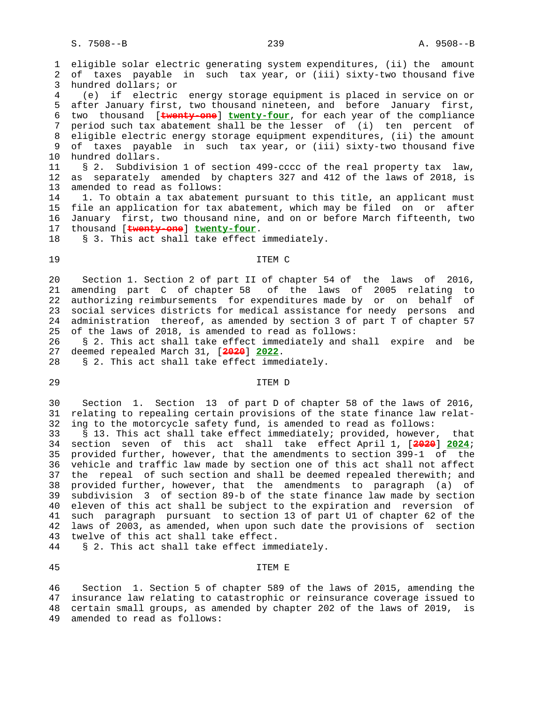S. 7508--B 239 A. 9508--B

 1 eligible solar electric generating system expenditures, (ii) the amount 2 of taxes payable in such tax year, or (iii) sixty-two thousand five 3 hundred dollars; or 4 (e) if electric energy storage equipment is placed in service on or 5 after January first, two thousand nineteen, and before January first, 6 two thousand [**twenty-one**] **twenty-four**, for each year of the compliance 7 period such tax abatement shall be the lesser of (i) ten percent of 8 eligible electric energy storage equipment expenditures, (ii) the amount<br>9 of taxes payable in such tax year, or (iii) sixty-two thousand five 9 of taxes payable in such tax year, or (iii) sixty-two thousand five 10 hundred dollars. 11 § 2. Subdivision 1 of section 499-cccc of the real property tax law, 12 as separately amended by chapters 327 and 412 of the laws of 2018, is

 14 1. To obtain a tax abatement pursuant to this title, an applicant must 15 file an application for tax abatement, which may be filed on or after 16 January first, two thousand nine, and on or before March fifteenth, two 17 thousand [**twenty-one**] **twenty-four**.

18 § 3. This act shall take effect immediately.

13 amended to read as follows:

19 ITEM C

 20 Section 1. Section 2 of part II of chapter 54 of the laws of 2016, 21 amending part C of chapter 58 of the laws of 2005 relating to 22 authorizing reimbursements for expenditures made by or on behalf of 23 social services districts for medical assistance for needy persons and 24 administration thereof, as amended by section 3 of part T of chapter 57 25 of the laws of 2018, is amended to read as follows:

 26 § 2. This act shall take effect immediately and shall expire and be 27 deemed repealed March 31, [**2020**] **2022**.

28 § 2. This act shall take effect immediately.

29 ITEM D

 30 Section 1. Section 13 of part D of chapter 58 of the laws of 2016, 31 relating to repealing certain provisions of the state finance law relat- 32 ing to the motorcycle safety fund, is amended to read as follows:

 33 § 13. This act shall take effect immediately; provided, however, that 34 section seven of this act shall take effect April 1, [**2020**] **2024**; 35 provided further, however, that the amendments to section 399-1 of the 36 vehicle and traffic law made by section one of this act shall not affect 37 the repeal of such section and shall be deemed repealed therewith; and 38 provided further, however, that the amendments to paragraph (a) of 39 subdivision 3 of section 89-b of the state finance law made by section 40 eleven of this act shall be subject to the expiration and reversion of 41 such paragraph pursuant to section 13 of part U1 of chapter 62 of the 42 laws of 2003, as amended, when upon such date the provisions of section 43 twelve of this act shall take effect.

44 § 2. This act shall take effect immediately.

## 45 ITEM E

 46 Section 1. Section 5 of chapter 589 of the laws of 2015, amending the 47 insurance law relating to catastrophic or reinsurance coverage issued to 48 certain small groups, as amended by chapter 202 of the laws of 2019, is 49 amended to read as follows: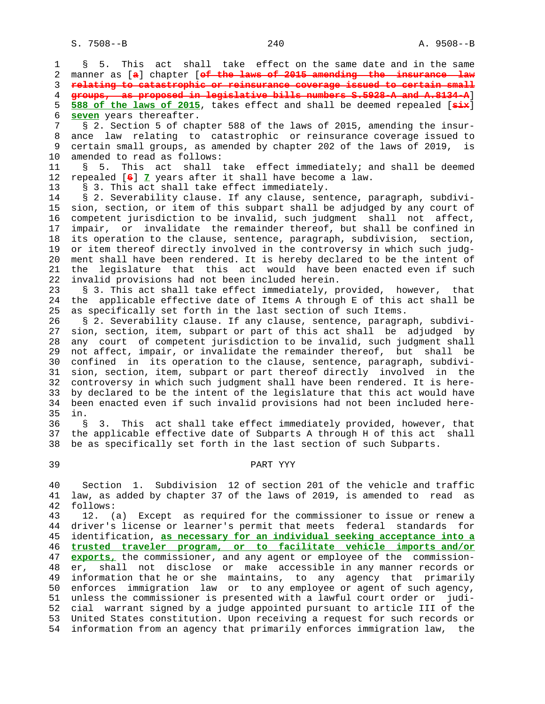1 § 5. This act shall take effect on the same date and in the same 2 manner as [**a**] chapter [**of the laws of 2015 amending the insurance law** 3 **relating to catastrophic or reinsurance coverage issued to certain small** 4 **groups, as proposed in legislative bills numbers S.5928-A and A.8134-A**] 5 **588 of the laws of 2015**, takes effect and shall be deemed repealed [**six**] 6 **seven** years thereafter. 7 § 2. Section 5 of chapter 588 of the laws of 2015, amending the insur- 8 ance law relating to catastrophic or reinsurance coverage issued to<br>9 certain small groups, as amended by chapter 202 of the laws of 2019, is certain small groups, as amended by chapter 202 of the laws of 2019, is 10 amended to read as follows: 11 § 5. This act shall take effect immediately; and shall be deemed 12 repealed [**6**] **7** years after it shall have become a law. 13 § 3. This act shall take effect immediately. 14 § 2. Severability clause. If any clause, sentence, paragraph, subdivi- 15 sion, section, or item of this subpart shall be adjudged by any court of 16 competent jurisdiction to be invalid, such judgment shall not affect, 17 impair, or invalidate the remainder thereof, but shall be confined in 18 its operation to the clause, sentence, paragraph, subdivision, section, 19 or item thereof directly involved in the controversy in which such judg- 20 ment shall have been rendered. It is hereby declared to be the intent of 21 the legislature that this act would have been enacted even if such 22 invalid provisions had not been included herein. 23 § 3. This act shall take effect immediately, provided, however, that 24 the applicable effective date of Items A through E of this act shall be 25 as specifically set forth in the last section of such Items. 26 § 2. Severability clause. If any clause, sentence, paragraph, subdivi- 27 sion, section, item, subpart or part of this act shall be adjudged by 28 any court of competent jurisdiction to be invalid, such judgment shall 29 not affect, impair, or invalidate the remainder thereof, but shall be 30 confined in its operation to the clause, sentence, paragraph, subdivi- 31 sion, section, item, subpart or part thereof directly involved in the 32 controversy in which such judgment shall have been rendered. It is here- 33 by declared to be the intent of the legislature that this act would have 34 been enacted even if such invalid provisions had not been included here- 35 in. 36 § 3. This act shall take effect immediately provided, however, that 37 the applicable effective date of Subparts A through H of this act shall 38 be as specifically set forth in the last section of such Subparts. 39 PART YYY 40 Section 1. Subdivision 12 of section 201 of the vehicle and traffic 41 law, as added by chapter 37 of the laws of 2019, is amended to read as 42 follows: 43 12. (a) Except as required for the commissioner to issue or renew a 44 driver's license or learner's permit that meets federal standards for 45 identification, **as necessary for an individual seeking acceptance into a** 46 **trusted traveler program, or to facilitate vehicle imports and/or** 47 **exports,** the commissioner, and any agent or employee of the commission- 48 er, shall not disclose or make accessible in any manner records or 49 information that he or she maintains, to any agency that primarily 50 enforces immigration law or to any employee or agent of such agency, 51 unless the commissioner is presented with a lawful court order or judi- 52 cial warrant signed by a judge appointed pursuant to article III of the 53 United States constitution. Upon receiving a request for such records or 54 information from an agency that primarily enforces immigration law, the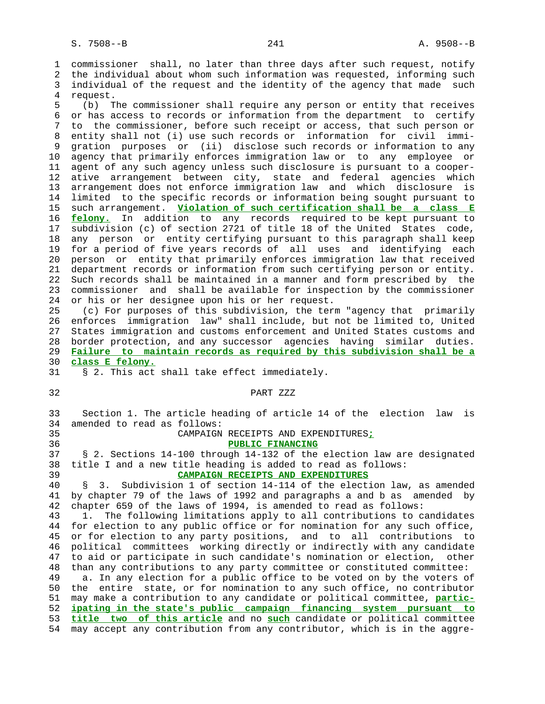1 commissioner shall, no later than three days after such request, notify 2 the individual about whom such information was requested, informing such 3 individual of the request and the identity of the agency that made such 4 request.

 5 (b) The commissioner shall require any person or entity that receives 6 or has access to records or information from the department to certify 7 to the commissioner, before such receipt or access, that such person or 8 entity shall not (i) use such records or information for civil immi-<br>9 gration purposes or (ii) disclose such records or information to any 9 gration purposes or (ii) disclose such records or information to any 10 agency that primarily enforces immigration law or to any employee or 11 agent of any such agency unless such disclosure is pursuant to a cooper- 12 ative arrangement between city, state and federal agencies which 13 arrangement does not enforce immigration law and which disclosure is 14 limited to the specific records or information being sought pursuant to 15 such arrangement. **Violation of such certification shall be a class E** 16 **felony.** In addition to any records required to be kept pursuant to 17 subdivision (c) of section 2721 of title 18 of the United States code, 18 any person or entity certifying pursuant to this paragraph shall keep 19 for a period of five years records of all uses and identifying each 20 person or entity that primarily enforces immigration law that received 21 department records or information from such certifying person or entity. 22 Such records shall be maintained in a manner and form prescribed by the 23 commissioner and shall be available for inspection by the commissioner 24 or his or her designee upon his or her request.

 25 (c) For purposes of this subdivision, the term "agency that primarily 26 enforces immigration law" shall include, but not be limited to, United 27 States immigration and customs enforcement and United States customs and 28 border protection, and any successor agencies having similar duties. 29 **Failure to maintain records as required by this subdivision shall be a** 30 **class E felony.**

31 § 2. This act shall take effect immediately.

## 32 PART ZZZ

 33 Section 1. The article heading of article 14 of the election law is 34 amended to read as follows: 35 CAMPAIGN RECEIPTS AND EXPENDITURES**;** 36 **PUBLIC FINANCING** 37 § 2. Sections 14-100 through 14-132 of the election law are designated 38 title I and a new title heading is added to read as follows: 39 **CAMPAIGN RECEIPTS AND EXPENDITURES** 40 § 3. Subdivision 1 of section 14-114 of the election law, as amended 41 by chapter 79 of the laws of 1992 and paragraphs a and b as amended by 42 chapter 659 of the laws of 1994, is amended to read as follows: 43 1. The following limitations apply to all contributions to candidates 44 for election to any public office or for nomination for any such office, 45 or for election to any party positions, and to all contributions to 46 political committees working directly or indirectly with any candidate 47 to aid or participate in such candidate's nomination or election, other 48 than any contributions to any party committee or constituted committee: 49 a. In any election for a public office to be voted on by the voters of 50 the entire state, or for nomination to any such office, no contributor 51 may make a contribution to any candidate or political committee, **partic-** 52 **ipating in the state's public campaign financing system pursuant to** 53 **title two of this article** and no **such** candidate or political committee 54 may accept any contribution from any contributor, which is in the aggre-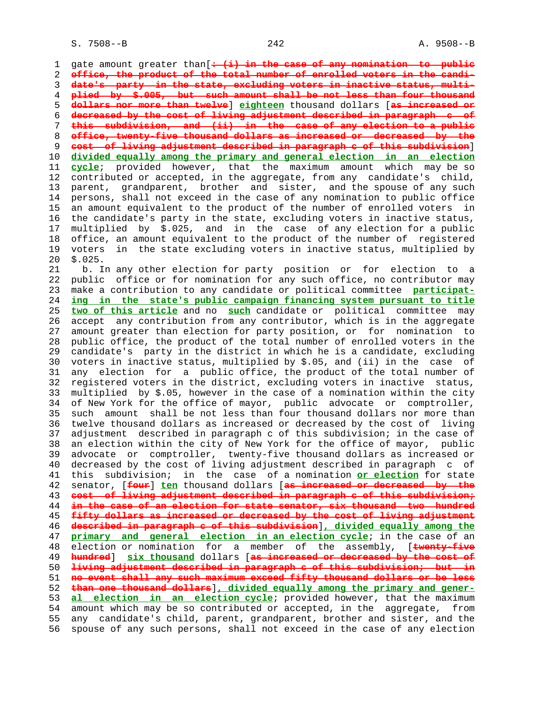1 gate amount greater than[**: (i) in the case of any nomination to public** 2 **office, the product of the total number of enrolled voters in the candi-** 3 **date's party in the state, excluding voters in inactive status, multi-** 4 **plied by \$.005, but such amount shall be not less than four thousand** 5 **dollars nor more than twelve**] **eighteen** thousand dollars [**as increased or** 6 **decreased by the cost of living adjustment described in paragraph c of** 7 **this subdivision, and (ii) in the case of any election to a public** 8 **office, twenty-five thousand dollars as increased or decreased by the** 9 **cost of living adjustment described in paragraph c of this subdivision**] 10 **divided equally among the primary and general election in an election** 11 **cycle**; provided however, that the maximum amount which may be so 12 contributed or accepted, in the aggregate, from any candidate's child, 13 parent, grandparent, brother and sister, and the spouse of any such 14 persons, shall not exceed in the case of any nomination to public office 15 an amount equivalent to the product of the number of enrolled voters in 16 the candidate's party in the state, excluding voters in inactive status, 17 multiplied by \$.025, and in the case of any election for a public 18 office, an amount equivalent to the product of the number of registered 19 voters in the state excluding voters in inactive status, multiplied by 20 \$.025.

 21 b. In any other election for party position or for election to a 22 public office or for nomination for any such office, no contributor may 23 make a contribution to any candidate or political committee **participat-** 24 **ing in the state's public campaign financing system pursuant to title** 25 **two of this article** and no **such** candidate or political committee may 26 accept any contribution from any contributor, which is in the aggregate 27 amount greater than election for party position, or for nomination to 28 public office, the product of the total number of enrolled voters in the 29 candidate's party in the district in which he is a candidate, excluding 30 voters in inactive status, multiplied by \$.05, and (ii) in the case of 31 any election for a public office, the product of the total number of 32 registered voters in the district, excluding voters in inactive status, 33 multiplied by \$.05, however in the case of a nomination within the city 34 of New York for the office of mayor, public advocate or comptroller, 35 such amount shall be not less than four thousand dollars nor more than 36 twelve thousand dollars as increased or decreased by the cost of living 37 adjustment described in paragraph c of this subdivision; in the case of 38 an election within the city of New York for the office of mayor, public 39 advocate or comptroller, twenty-five thousand dollars as increased or 40 decreased by the cost of living adjustment described in paragraph c of 41 this subdivision; in the case of a nomination **or election** for state 42 senator, [**four**] **ten** thousand dollars [**as increased or decreased by the** 43 **cost of living adjustment described in paragraph c of this subdivision;** 44 **in the case of an election for state senator, six thousand two hundred** 45 **fifty dollars as increased or decreased by the cost of living adjustment** 46 **described in paragraph c of this subdivision**]**, divided equally among the** 47 **primary and general election in an election cycle**; in the case of an 48 election or nomination for a member of the assembly, [**twenty-five** 49 **hundred**] **six thousand** dollars [**as increased or decreased by the cost of** 50 **living adjustment described in paragraph c of this subdivision; but in** 51 **no event shall any such maximum exceed fifty thousand dollars or be less** 52 **than one thousand dollars**]**, divided equally among the primary and gener-** 53 **al election in an election cycle**; provided however, that the maximum 54 amount which may be so contributed or accepted, in the aggregate, from 55 any candidate's child, parent, grandparent, brother and sister, and the 56 spouse of any such persons, shall not exceed in the case of any election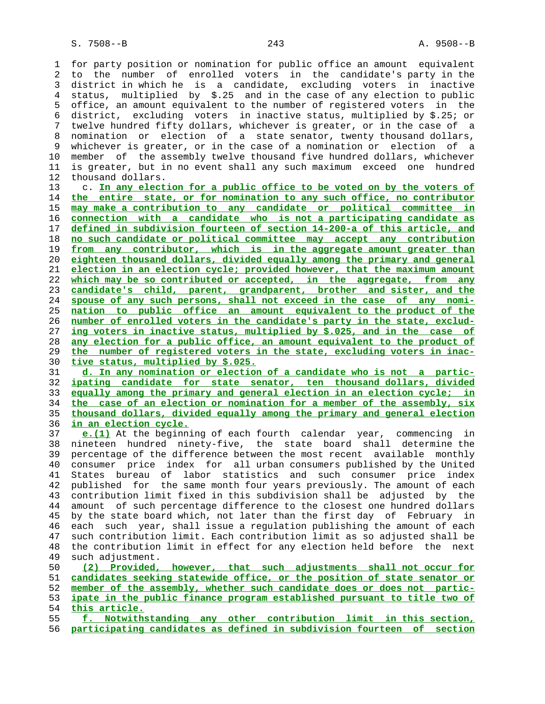1 for party position or nomination for public office an amount equivalent 2 to the number of enrolled voters in the candidate's party in the 3 district in which he is a candidate, excluding voters in inactive 4 status, multiplied by \$.25 and in the case of any election to public 5 office, an amount equivalent to the number of registered voters in the 6 district, excluding voters in inactive status, multiplied by \$.25; or 7 twelve hundred fifty dollars, whichever is greater, or in the case of a 8 nomination or election of a state senator, twenty thousand dollars, 9 whichever is greater, or in the case of a nomination or election of a 10 member of the assembly twelve thousand five hundred dollars, whichever 11 is greater, but in no event shall any such maximum exceed one hundred 12 thousand dollars.

 13 c. **In any election for a public office to be voted on by the voters of the entire state, or for nomination to any such office, no contributor may make a contribution to any candidate or political committee in connection with a candidate who is not a participating candidate as defined in subdivision fourteen of section 14-200-a of this article, and no such candidate or political committee may accept any contribution from any contributor, which is in the aggregate amount greater than eighteen thousand dollars, divided equally among the primary and general election in an election cycle; provided however, that the maximum amount which may be so contributed or accepted, in the aggregate, from any candidate's child, parent, grandparent, brother and sister, and the spouse of any such persons, shall not exceed in the case of any nomi- nation to public office an amount equivalent to the product of the number of enrolled voters in the candidate's party in the state, exclud- ing voters in inactive status, multiplied by \$.025, and in the case of any election for a public office, an amount equivalent to the product of the number of registered voters in the state, excluding voters in inac- tive status, multiplied by \$.025.**

**d. In any nomination or election of a candidate who is not a partic- ipating candidate for state senator, ten thousand dollars, divided equally among the primary and general election in an election cycle; in the case of an election or nomination for a member of the assembly, six thousand dollars, divided equally among the primary and general election in an election cycle.**

 37 **e.(1)** At the beginning of each fourth calendar year, commencing in 38 nineteen hundred ninety-five, the state board shall determine the 39 percentage of the difference between the most recent available monthly 40 consumer price index for all urban consumers published by the United 41 States bureau of labor statistics and such consumer price index 42 published for the same month four years previously. The amount of each 43 contribution limit fixed in this subdivision shall be adjusted by the 44 amount of such percentage difference to the closest one hundred dollars 45 by the state board which, not later than the first day of February in 46 each such year, shall issue a regulation publishing the amount of each 47 such contribution limit. Each contribution limit as so adjusted shall be 48 the contribution limit in effect for any election held before the next<br>49 such adjustment. such adjustment.

**(2) Provided, however, that such adjustments shall not occur for candidates seeking statewide office, or the position of state senator or member of the assembly, whether such candidate does or does not partic- ipate in the public finance program established pursuant to title two of this article. f. Notwithstanding any other contribution limit in this section,**

56 **participating candidates as defined in subdivision fourteen of section**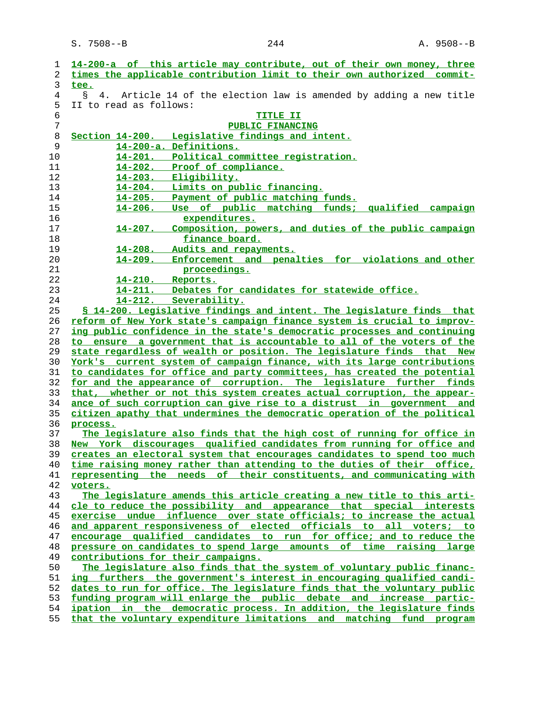| ı          | 14-200-a of this article may contribute, out of their own money, three      |
|------------|-----------------------------------------------------------------------------|
| 2          | times the applicable contribution limit to their own authorized commit-     |
| 3          | tee.                                                                        |
| 4          | § 4. Article 14 of the election law is amended by adding a new title        |
| 5          | II to read as follows:                                                      |
| $\epsilon$ | <b>TITLE II</b>                                                             |
| 7          | PUBLIC FINANCING                                                            |
| 8          | Section 14-200. Legislative findings and intent.                            |
| 9          |                                                                             |
|            | 14-200-a. Definitions.                                                      |
| 10         | Political committee registration.<br>$14 - 201.$                            |
| 11         | Proof of compliance.<br>$14 - 202.$                                         |
| 12         | Eligibility.<br>$14 - 203.$                                                 |
| 13         | Limits on public financing.<br>$14 - 204.$                                  |
| 14         | Payment of public matching funds.<br>$14 - 205.$                            |
| 15         | Use of public matching funds; qualified campaign<br>$14 - 206.$             |
| 16         | expenditures.                                                               |
| 17         | Composition, powers, and duties of the public campaign<br><u> 14–207.  </u> |
| 18         | finance board.                                                              |
| 19         | Audits and repayments.                                                      |
| 20         | Enforcement and penalties for violations and other<br>$14 - 209.$           |
| 21         | proceedings.                                                                |
| 22         | $14 - 210$ . Reports.                                                       |
| 23         | 14-211. Debates for candidates for statewide office.                        |
| 24         | 14-212. Severability.                                                       |
| 25         | § 14-200. Legislative findings and intent. The legislature finds that       |
| 26         | reform of New York state's campaign finance system is crucial to improv-    |
| 27         | ing public confidence in the state's democratic processes and continuing    |
| 28         | to ensure a government that is accountable to all of the voters of the      |
| 29         | state regardless of wealth or position. The legislature finds that New      |
|            |                                                                             |
| 30         | York's current system of campaign finance, with its large contributions     |
| 31         | to candidates for office and party committees, has created the potential    |
| 32         | for and the appearance of corruption. The legislature further finds         |
| 33         | that, whether or not this system creates actual corruption, the appear-     |
| 34         | ance of such corruption can give rise to a distrust in government and       |
| 35         | citizen apathy that undermines the democratic operation of the political    |
| 36         | process.                                                                    |
| 37         | The legislature also finds that the high cost of running for office in      |
| 38         | New York discourages qualified candidates from running for office and       |
| 39         | creates an electoral system that encourages candidates to spend too much    |
| 40         | time raising money rather than attending to the duties of their office,     |
| 41         | representing the needs of their constituents, and communicating with        |
| 42         | voters.                                                                     |
| 43         | The legislature amends this article creating a new title to this arti-      |
| 44         | cle to reduce the possibility and appearance that special interests         |
| 45         | exercise undue influence over state officials; to increase the actual       |
| 46         | and apparent responsiveness of elected officials to all voters; to          |
| 47         | encourage qualified candidates to run for office; and to reduce the         |
| 48         | pressure on candidates to spend large amounts of time raising large         |
| 49         | contributions for their campaigns.                                          |
| 50         | The legislature also finds that the system of voluntary public financ-      |
| 51         | ing furthers the government's interest in encouraging qualified candi-      |
| 52         | dates to run for office. The legislature finds that the voluntary public    |
| 53         | funding program will enlarge the public debate and increase partic-         |
| 54         | ipation in the democratic process. In addition, the legislature finds       |
|            | that the voluntary expenditure limitations and matching fund program        |
| 55         |                                                                             |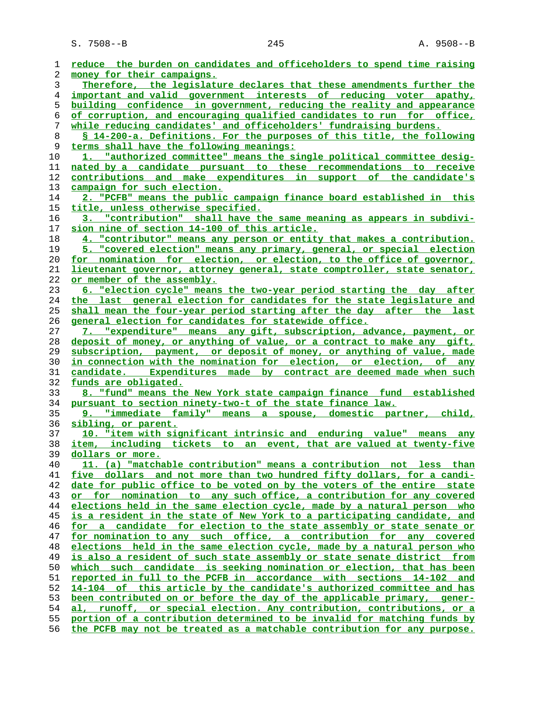S. 7508--B 245 245 A. 9508--B

| 1              | reduce the burden on candidates and officeholders to spend time raising  |
|----------------|--------------------------------------------------------------------------|
| 2              | money for their campaigns.                                               |
| 3              | Therefore, the legislature declares that these amendments further the    |
| $\overline{4}$ | important and valid government interests of reducing voter apathy,       |
| 5              | building confidence in government, reducing the reality and appearance   |
| 6              | of corruption, and encouraging qualified candidates to run for office,   |
| 7              | while reducing candidates' and officeholders' fundraising burdens.       |
| 8              | § 14-200-a. Definitions. For the purposes of this title, the following   |
|                |                                                                          |
| 9              | terms shall have the following meanings:                                 |
| 10             | 1. "authorized committee" means the single political committee desig-    |
| 11             | nated by a candidate pursuant to these recommendations to receive        |
| 12             | contributions and make expenditures in support of the candidate's        |
| 13             | campaign for such election.                                              |
| 14             | 2. "PCFB" means the public campaign finance board established in this    |
| 15             | title, unless otherwise specified.                                       |
| 16             | "contribution" shall have the same meaning as appears in subdivi-        |
| 17             | sion nine of section 14-100 of this article.                             |
| 18             | 4. "contributor" means any person or entity that makes a contribution.   |
| 19             | 5. "covered election" means any primary, general, or special election    |
| 20             | for nomination for election, or election, to the office of governor,     |
| 21             | lieutenant governor, attorney general, state comptroller, state senator, |
| 22             | or member of the assembly.                                               |
| 23             | 6. "election cycle" means the two-year period starting the day after     |
| 24             | the last general election for candidates for the state legislature and   |
| 25             | shall mean the four-year period starting after the day after the last    |
| 26             | general election for candidates for statewide office.                    |
| 27             | 7. "expenditure" means any gift, subscription, advance, payment, or      |
| 28             | deposit of money, or anything of value, or a contract to make any gift,  |
| 29             | subscription, payment, or deposit of money, or anything of value, made   |
| 30             | in connection with the nomination for election, or election, of any      |
|                |                                                                          |
| 31             | candidate. Expenditures made by contract are deemed made when such       |
| 32             | funds are obligated.                                                     |
| 33             | 8. "fund" means the New York state campaign finance fund established     |
| 34             | pursuant to section ninety-two-t of the state finance law.               |
| 35             | 9. "immediate family" means a spouse, domestic partner, child,           |
| 36             | sibling, or parent.                                                      |
| 37             | 10. "item with significant intrinsic and enduring value" means<br>any    |
| 38             | item, including tickets to an event, that are valued at twenty-five      |
| 39             | dollars or more.                                                         |
| 40             | 11. (a) "matchable contribution" means a contribution not less than      |
| 41             | five dollars and not more than two hundred fifty dollars, for a candi-   |
| 42             | date for public office to be voted on by the voters of the entire state  |
| 43             | or for nomination to any such office, a contribution for any covered     |
| 44             | elections held in the same election cycle, made by a natural person who  |
| 45             | is a resident in the state of New York to a participating candidate, and |
| 46             | for a candidate for election to the state assembly or state senate or    |
| 47             | for nomination to any such office, a contribution for any covered        |
| 48             | elections held in the same election cycle, made by a natural person who  |
| 49             | is also a resident of such state assembly or state senate district from  |
| 50             | which such candidate is seeking nomination or election, that has been    |
| 51             | reported in full to the PCFB in accordance with sections 14-102 and      |
| 52             | 14-104 of this article by the candidate's authorized committee and has   |
| 53             | been contributed on or before the day of the applicable primary, gener-  |
| 54             | al, runoff, or special election. Any contribution, contributions, or a   |
| 55             | portion of a contribution determined to be invalid for matching funds by |
| 56             | the PCFB may not be treated as a matchable contribution for any purpose. |
|                |                                                                          |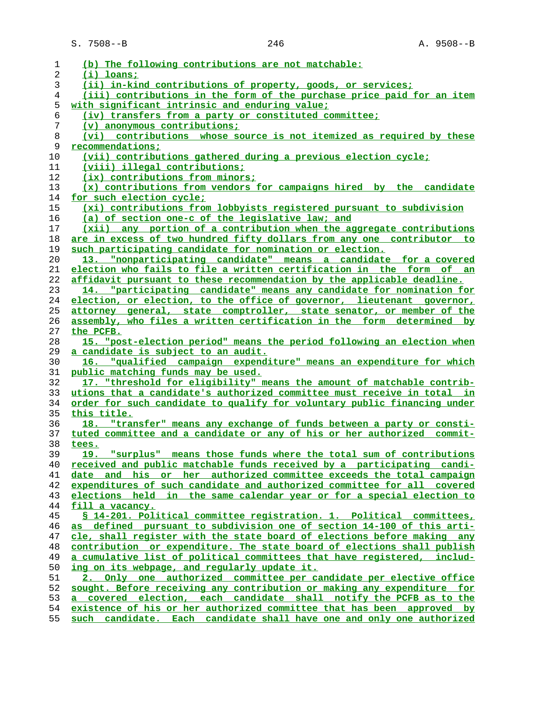| 1              | (b) The following contributions are not matchable:                                         |
|----------------|--------------------------------------------------------------------------------------------|
| $\overline{c}$ | $(i)$ loans;                                                                               |
| 3              | (ii) in-kind contributions of property, goods, or services;                                |
| $\overline{4}$ | (iii) contributions in the form of the purchase price paid for an item                     |
| 5              | with significant intrinsic and enduring value;                                             |
| 6              | (iv) transfers from a party or constituted committee;                                      |
| 7              | (v) anonymous contributions;                                                               |
| 8              | (vi) contributions whose source is not itemized as required by these                       |
| 9              | recommendations;                                                                           |
| 10             | (vii) contributions gathered during a previous election cycle;                             |
| 11             | (viii) illegal contributions;                                                              |
| 12             | (ix) contributions from minors;                                                            |
| 13             | (x) contributions from vendors for campaigns hired by the candidate                        |
| 14             | for such election cycle;                                                                   |
| 15             | (xi) contributions from lobbyists registered pursuant to subdivision                       |
| 16             | (a) of section one-c of the legislative law; and                                           |
| 17             | (xii) any portion of a contribution when the aggregate contributions                       |
| 18             | are in excess of two hundred fifty dollars from any one contributor to                     |
| 19             | such participating candidate for nomination or election.                                   |
| 20             | 13. "nonparticipating candidate" means a candidate for a covered                           |
| 21             | election who fails to file a written certification in the form of an                       |
| 22             | affidavit pursuant to these recommendation by the applicable deadline.                     |
| 23             | 14. "participating candidate" means any candidate for nomination for                       |
| 24             | election, or election, to the office of governor, lieutenant governor,                     |
| 25             | attorney general, state comptroller, state senator, or member of the                       |
| 26             | assembly, who files a written certification in the form determined by                      |
| 27             | the PCFB.                                                                                  |
| 28             | 15. "post-election period" means the period following an election when                     |
| 29             | <u>a candidate is subject to an audit.</u>                                                 |
| 30             | 16. "qualified campaign expenditure" means an expenditure for which                        |
| 31             | public matching funds may be used.                                                         |
| 32             | 17. "threshold for eligibility" means the amount of matchable contrib-                     |
| 33             | utions that a candidate's authorized committee must receive in total in                    |
| 34             | order for such candidate to qualify for voluntary public financing under                   |
| 35             | this title.                                                                                |
| 36             | 18. "transfer" means any exchange of funds between a party or consti-                      |
| 37             | tuted committee and a candidate or any of his or her authorized commit-                    |
| 38             | tees.                                                                                      |
| 39             | <u>"surplus"</u><br>means those funds where the total sum of contributions<br><u> 19. </u> |
| 40             | received and public matchable funds received by a participating candi-                     |
| 41             | date and his or her authorized committee exceeds the total campaign                        |
| 42             | expenditures of such candidate and authorized committee for all covered                    |
| 43             | elections held in the same calendar year or for a special election to                      |
| 44             | fill a vacancy.                                                                            |
| 45             | \$ 14-201. Political committee registration. 1. Political committees,                      |
| 46             | as defined pursuant to subdivision one of section 14-100 of this arti-                     |
| 47             | cle, shall register with the state board of elections before making any                    |
| 48             | contribution or expenditure. The state board of elections shall publish                    |
| 49             | a cumulative list of political committees that have registered, includ-                    |
| 50             | ing on its webpage, and regularly update it.                                               |
| 51             | 2. Only one authorized committee per candidate per elective office                         |
| 52             | sought. Before receiving any contribution or making any expenditure for                    |
| 53             | a covered election, each candidate shall notify the PCFB as to the                         |
| 54             | existence of his or her authorized committee that has been approved by                     |
|                |                                                                                            |

**such candidate. Each candidate shall have one and only one authorized**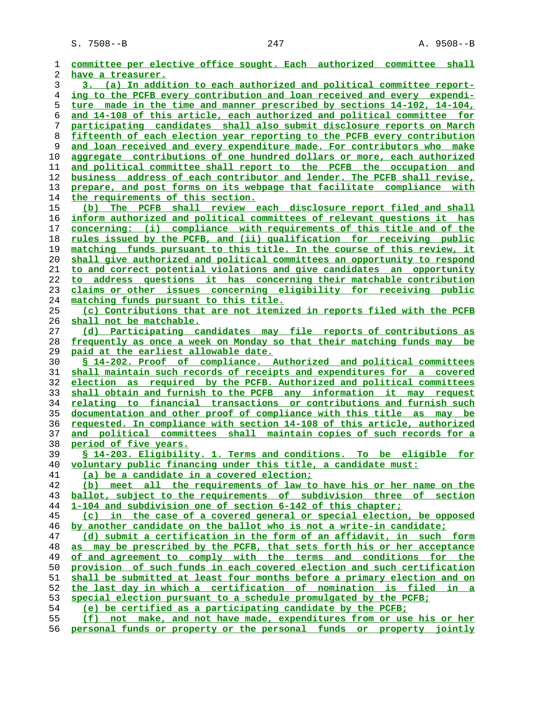S. 7508--B 247 A. 9508--B

| 1        | committee per elective office sought. Each authorized committee shall                                                                              |
|----------|----------------------------------------------------------------------------------------------------------------------------------------------------|
| 2        | have a treasurer.                                                                                                                                  |
| 3        | 3. (a) In addition to each authorized and political committee report-                                                                              |
| 4        | ing to the PCFB every contribution and loan received and every expendi-                                                                            |
| 5        | ture made in the time and manner prescribed by sections 14-102, 14-104,                                                                            |
| 6        | and 14-108 of this article, each authorized and political committee for                                                                            |
| 7        | participating candidates shall also submit disclosure reports on March                                                                             |
| 8        | fifteenth of each election year reporting to the PCFB every contribution                                                                           |
| 9        | and loan received and every expenditure made. For contributors who make                                                                            |
| 10       | aggregate contributions of one hundred dollars or more, each authorized                                                                            |
| 11       | and political committee shall report to the PCFB the occupation and                                                                                |
| 12       | business address of each contributor and lender. The PCFB shall revise,                                                                            |
| 13       | prepare, and post forms on its webpage that facilitate compliance with                                                                             |
| 14       | <u>the requirements of this section.</u>                                                                                                           |
| 15       | (b) The PCFB shall review each disclosure report filed and shall                                                                                   |
| 16       | inform authorized and political committees of relevant questions it has                                                                            |
| 17       | concerning: (i) compliance with requirements of this title and of the                                                                              |
| 18       | rules issued by the PCFB, and (ii) qualification for receiving public                                                                              |
| 19       | matching funds pursuant to this title. In the course of this review, it                                                                            |
| 20       | shall give authorized and political committees an opportunity to respond                                                                           |
| 21       | to and correct potential violations and give candidates an opportunity                                                                             |
| 22       | to address questions it has concerning their matchable contribution                                                                                |
| 23       | claims or other issues concerning eligibility for receiving public                                                                                 |
| 24       | <u>matching funds pursuant to this title.</u>                                                                                                      |
| 25       | (c) Contributions that are not itemized in reports filed with the PCFB                                                                             |
| 26       | shall not be matchable.                                                                                                                            |
| 27       | (d) Participating candidates may file reports of contributions as                                                                                  |
| 28       | frequently as once a week on Monday so that their matching funds may be                                                                            |
| 29       | <u>paid at the earliest allowable date.</u>                                                                                                        |
| 30       | \$ 14-202. Proof of compliance. Authorized and political committees                                                                                |
| 31       | shall maintain such records of receipts and expenditures for a covered                                                                             |
| 32       | election as required by the PCFB. Authorized and political committees                                                                              |
| 33<br>34 | shall obtain and furnish to the PCFB any information it may request<br><u>relating to financial transactions or contributions and furnish such</u> |
| 35       | documentation and other proof of compliance with this title as may be                                                                              |
| 36       | <u>requested. In compliance with section 14-108 of this article, authorized</u>                                                                    |
| 37       | <u>and political committees shall maintain copies of such records for a</u>                                                                        |
| 38       | period of five years.                                                                                                                              |
| 39       | 14-203. Eligibility. 1. Terms and conditions. To be eligible for                                                                                   |
| 40       | voluntary public financing under this title, a candidate must:                                                                                     |
| 41       | (a) be a candidate in a covered election;                                                                                                          |
| 42       | (b) meet all the requirements of law to have his or her name on the                                                                                |
| 43       | ballot, subject to the requirements of subdivision three of section                                                                                |
| 44       | 1-104 and subdivision one of section 6-142 of this chapter;                                                                                        |
| 45       | (c) in the case of a covered general or special election, be opposed                                                                               |
| 46       | by another candidate on the ballot who is not a write-in candidate;                                                                                |
| 47       | (d) submit a certification in the form of an affidavit, in such form                                                                               |
| 48       | as may be prescribed by the PCFB, that sets forth his or her acceptance                                                                            |
| 49       | of and agreement to comply with the terms and conditions for the                                                                                   |
| 50       | provision of such funds in each covered election and such certification                                                                            |
| 51       | shall be submitted at least four months before a primary election and on                                                                           |
| 52       | the last day in which a certification of nomination is filed in a                                                                                  |
| 53       | special election pursuant to a schedule promulgated by the PCFB;                                                                                   |
| 54       | (e) be certified as a participating candidate by the PCFB;                                                                                         |
| 55       | (f) not make, and not have made, expenditures from or use his or her                                                                               |
| 56       | personal funds or property or the personal funds or property jointly                                                                               |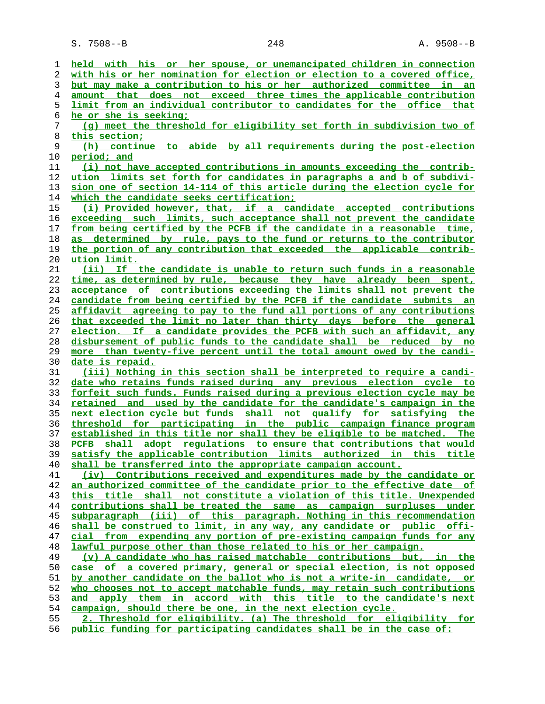S. 7508--B 248 A. 9508--B

**held with his or her spouse, or unemancipated children in connection with his or her nomination for election or election to a covered office, but may make a contribution to his or her authorized committee in an amount that does not exceed three times the applicable contribution limit from an individual contributor to candidates for the office that he or she is seeking; (g) meet the threshold for eligibility set forth in subdivision two of this section; (h) continue to abide by all requirements during the post-election period; and (i) not have accepted contributions in amounts exceeding the contrib- ution limits set forth for candidates in paragraphs a and b of subdivi- sion one of section 14-114 of this article during the election cycle for which the candidate seeks certification; (i) Provided however, that, if a candidate accepted contributions exceeding such limits, such acceptance shall not prevent the candidate from being certified by the PCFB if the candidate in a reasonable time, as determined by rule, pays to the fund or returns to the contributor the portion of any contribution that exceeded the applicable contrib- ution limit. (ii) If the candidate is unable to return such funds in a reasonable time, as determined by rule, because they have already been spent, acceptance of contributions exceeding the limits shall not prevent the candidate from being certified by the PCFB if the candidate submits an affidavit agreeing to pay to the fund all portions of any contributions that exceeded the limit no later than thirty days before the general election. If a candidate provides the PCFB with such an affidavit, any disbursement of public funds to the candidate shall be reduced by no more than twenty-five percent until the total amount owed by the candi- date is repaid. (iii) Nothing in this section shall be interpreted to require a candi- date who retains funds raised during any previous election cycle to forfeit such funds. Funds raised during a previous election cycle may be retained and used by the candidate for the candidate's campaign in the next election cycle but funds shall not qualify for satisfying the threshold for participating in the public campaign finance program established in this title nor shall they be eligible to be matched. The PCFB shall adopt regulations to ensure that contributions that would satisfy the applicable contribution limits authorized in this title shall be transferred into the appropriate campaign account. (iv) Contributions received and expenditures made by the candidate or an authorized committee of the candidate prior to the effective date of this title shall not constitute a violation of this title. Unexpended contributions shall be treated the same as campaign surpluses under subparagraph (iii) of this paragraph. Nothing in this recommendation shall be construed to limit, in any way, any candidate or public offi- cial from expending any portion of pre-existing campaign funds for any lawful purpose other than those related to his or her campaign. (v) A candidate who has raised matchable contributions but, in the case of a covered primary, general or special election, is not opposed by another candidate on the ballot who is not a write-in candidate, or who chooses not to accept matchable funds, may retain such contributions and apply them in accord with this title to the candidate's next campaign, should there be one, in the next election cycle. 2. Threshold for eligibility. (a) The threshold for eligibility for public funding for participating candidates shall be in the case of:**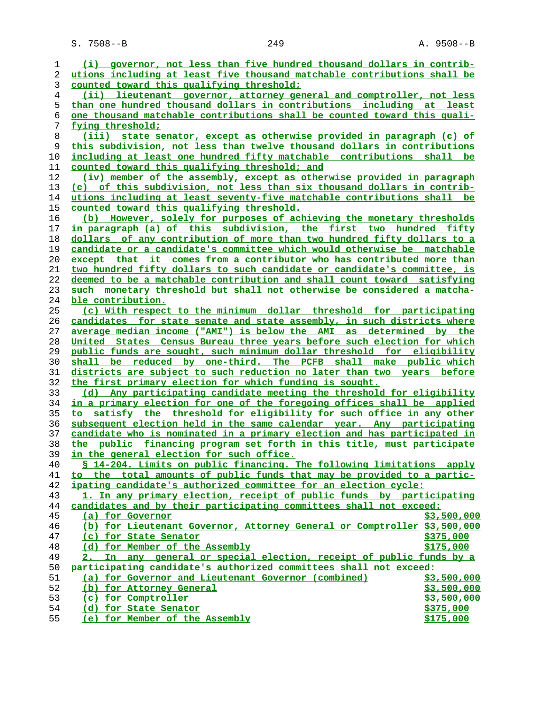S. 7508--B 249 A. 9508--B

| 1  | (i) governor, not less than five hundred thousand dollars in contrib-                            |             |
|----|--------------------------------------------------------------------------------------------------|-------------|
| 2  | utions including at least five thousand matchable contributions shall be                         |             |
| 3  | counted toward this qualifying threshold;                                                        |             |
| 4  | (ii) lieutenant governor, attorney general and comptroller, not less                             |             |
| 5  | than one hundred thousand dollars in contributions including at least                            |             |
| 6  | one thousand matchable contributions shall be counted toward this quali-                         |             |
| 7  | fying threshold;                                                                                 |             |
| 8  | state senator, except as otherwise provided in paragraph (c) of<br>(iii)                         |             |
| 9  | this subdivision, not less than twelve thousand dollars in contributions                         |             |
| 10 | including at least one hundred fifty matchable contributions shall be                            |             |
| 11 | counted toward this qualifying threshold; and                                                    |             |
| 12 | (iv) member of the assembly, except as otherwise provided in paragraph                           |             |
| 13 | of this subdivision, not less than six thousand dollars in contrib-<br>$\left( \text{c} \right)$ |             |
| 14 | utions including at least seventy-five matchable contributions shall be                          |             |
| 15 | counted toward this qualifying threshold.                                                        |             |
| 16 | (b) However, solely for purposes of achieving the monetary thresholds                            |             |
| 17 | in paragraph (a) of this subdivision, the first two hundred fifty                                |             |
| 18 | dollars of any contribution of more than two hundred fifty dollars to a                          |             |
| 19 | candidate or a candidate's committee which would otherwise be matchable                          |             |
| 20 | except that it comes from a contributor who has contributed more than                            |             |
| 21 | two hundred fifty dollars to such candidate or candidate's committee, is                         |             |
| 22 | deemed to be a matchable contribution and shall count toward satisfying                          |             |
| 23 | such monetary threshold but shall not otherwise be considered a matcha-                          |             |
| 24 | <u>ble contribution.</u>                                                                         |             |
| 25 | (c) With respect to the minimum dollar threshold for participating                               |             |
| 26 | candidates for state senate and state assembly, in such districts where                          |             |
| 27 | average median income ("AMI") is below the AMI as determined by the                              |             |
| 28 | States Census Bureau three years before such election for which<br>United                        |             |
| 29 | public funds are sought, such minimum dollar threshold for eligibility                           |             |
| 30 | shall be reduced by one-third. The PCFB shall make public which                                  |             |
| 31 | districts are subject to such reduction no later than two years before                           |             |
| 32 | the first primary election for which funding is sought.                                          |             |
| 33 | Any participating candidate meeting the threshold for eligibility<br>(d)                         |             |
| 34 | in a primary election for one of the foregoing offices shall be applied                          |             |
| 35 | to satisfy the threshold for eligibility for such office in any other                            |             |
| 36 | subsequent election held in the same calendar year. Any participating                            |             |
| 37 | candidate who is nominated in a primary election and has participated in                         |             |
| 38 | the public financing program set forth in this title, must participate                           |             |
| 39 | in the general election for such office.                                                         |             |
| 40 | § 14-204. Limits on public financing. The following limitations apply                            |             |
| 41 | to the total amounts of public funds that may be provided to a partic-                           |             |
| 42 | ipating candidate's authorized committee for an election cycle:                                  |             |
| 43 | 1. In any primary election, receipt of public funds by participating                             |             |
| 44 | candidates and by their participating committees shall not exceed:                               |             |
| 45 | (a) for Governor                                                                                 | \$3,500,000 |
| 46 | (b) for Lieutenant Governor, Attorney General or Comptroller \$3,500,000                         |             |
| 47 | (c) for State Senator                                                                            | \$375,000   |
| 48 | (d) for Member of the Assembly                                                                   | \$175,000   |
| 49 | 2. In any general or special election, receipt of public funds by a                              |             |
| 50 | participating candidate's authorized committees shall not exceed:                                |             |
| 51 | (a) for Governor and Lieutenant Governor (combined)                                              | \$3,500,000 |
| 52 | (b) for Attorney General                                                                         | \$3,500,000 |
| 53 | (c) for Comptroller                                                                              | \$3,500,000 |
| 54 | (d) for State Senator                                                                            | \$375,000   |
| 55 | (e) for Member of the Assembly                                                                   | \$175,000   |
|    |                                                                                                  |             |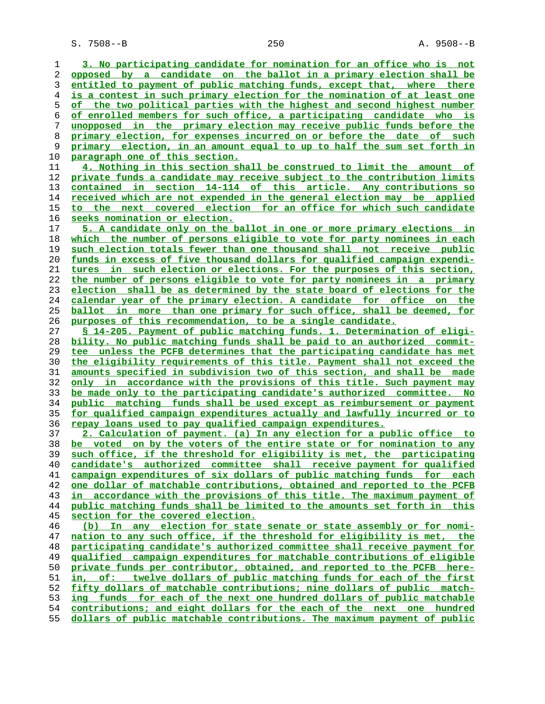S. 7508--B 250 A. 9508--B

**3. No participating candidate for nomination for an office who is not opposed by a candidate on the ballot in a primary election shall be entitled to payment of public matching funds, except that, where there is a contest in such primary election for the nomination of at least one of the two political parties with the highest and second highest number of enrolled members for such office, a participating candidate who is unopposed in the primary election may receive public funds before the primary election, for expenses incurred on or before the date of such primary election, in an amount equal to up to half the sum set forth in paragraph one of this section. 4. Nothing in this section shall be construed to limit the amount of private funds a candidate may receive subject to the contribution limits contained in section 14-114 of this article. Any contributions so received which are not expended in the general election may be applied to the next covered election for an office for which such candidate seeks nomination or election. 5. A candidate only on the ballot in one or more primary elections in which the number of persons eligible to vote for party nominees in each such election totals fewer than one thousand shall not receive public funds in excess of five thousand dollars for qualified campaign expendi- tures in such election or elections. For the purposes of this section, the number of persons eligible to vote for party nominees in a primary election shall be as determined by the state board of elections for the calendar year of the primary election. A candidate for office on the ballot in more than one primary for such office, shall be deemed, for purposes of this recommendation, to be a single candidate. § 14-205. Payment of public matching funds. 1. Determination of eligi- bility. No public matching funds shall be paid to an authorized commit- tee unless the PCFB determines that the participating candidate has met the eligibility requirements of this title. Payment shall not exceed the amounts specified in subdivision two of this section, and shall be made only in accordance with the provisions of this title. Such payment may be made only to the participating candidate's authorized committee. No public matching funds shall be used except as reimbursement or payment for qualified campaign expenditures actually and lawfully incurred or to repay loans used to pay qualified campaign expenditures. 2. Calculation of payment. (a) In any election for a public office to be voted on by the voters of the entire state or for nomination to any such office, if the threshold for eligibility is met, the participating candidate's authorized committee shall receive payment for qualified campaign expenditures of six dollars of public matching funds for each one dollar of matchable contributions, obtained and reported to the PCFB in accordance with the provisions of this title. The maximum payment of public matching funds shall be limited to the amounts set forth in this section for the covered election. (b) In any election for state senate or state assembly or for nomi- nation to any such office, if the threshold for eligibility is met, the participating candidate's authorized committee shall receive payment for qualified campaign expenditures for matchable contributions of eligible private funds per contributor, obtained, and reported to the PCFB here- in, of: twelve dollars of public matching funds for each of the first fifty dollars of matchable contributions; nine dollars of public match- ing funds for each of the next one hundred dollars of public matchable contributions; and eight dollars for the each of the next one hundred dollars of public matchable contributions. The maximum payment of public**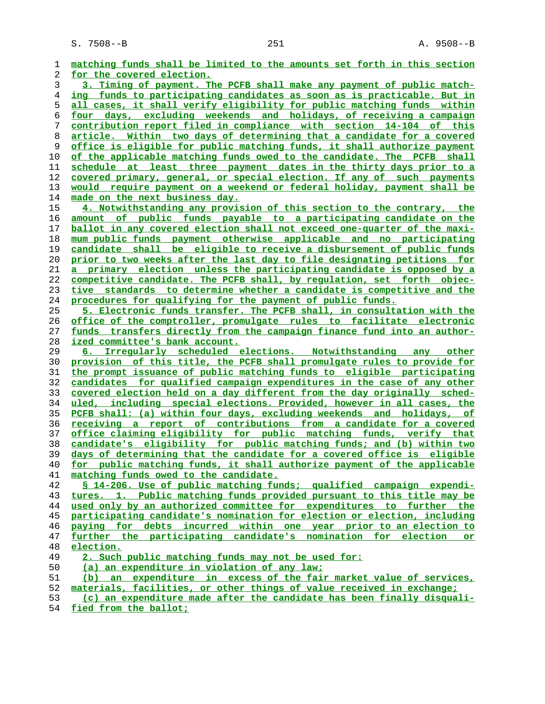S. 7508--B 251 A. 9508--B

**matching funds shall be limited to the amounts set forth in this section for the covered election. 3. Timing of payment. The PCFB shall make any payment of public match- ing funds to participating candidates as soon as is practicable. But in all cases, it shall verify eligibility for public matching funds within four days, excluding weekends and holidays, of receiving a campaign contribution report filed in compliance with section 14-104 of this article. Within two days of determining that a candidate for a covered office is eligible for public matching funds, it shall authorize payment of the applicable matching funds owed to the candidate. The PCFB shall schedule at least three payment dates in the thirty days prior to a covered primary, general, or special election. If any of such payments would require payment on a weekend or federal holiday, payment shall be made on the next business day. 4. Notwithstanding any provision of this section to the contrary, the amount of public funds payable to a participating candidate on the ballot in any covered election shall not exceed one-quarter of the maxi- mum public funds payment otherwise applicable and no participating candidate shall be eligible to receive a disbursement of public funds prior to two weeks after the last day to file designating petitions for a primary election unless the participating candidate is opposed by a competitive candidate. The PCFB shall, by regulation, set forth objec- tive standards to determine whether a candidate is competitive and the procedures for qualifying for the payment of public funds. 5. Electronic funds transfer. The PCFB shall, in consultation with the office of the comptroller, promulgate rules to facilitate electronic funds transfers directly from the campaign finance fund into an author- ized committee's bank account. 6. Irregularly scheduled elections. Notwithstanding any other provision of this title, the PCFB shall promulgate rules to provide for the prompt issuance of public matching funds to eligible participating candidates for qualified campaign expenditures in the case of any other covered election held on a day different from the day originally sched- uled, including special elections. Provided, however in all cases, the PCFB shall: (a) within four days, excluding weekends and holidays, of receiving a report of contributions from a candidate for a covered office claiming eligibility for public matching funds, verify that candidate's eligibility for public matching funds; and (b) within two days of determining that the candidate for a covered office is eligible for public matching funds, it shall authorize payment of the applicable matching funds owed to the candidate. § 14-206. Use of public matching funds; qualified campaign expendi- tures. 1. Public matching funds provided pursuant to this title may be used only by an authorized committee for expenditures to further the participating candidate's nomination for election or election, including paying for debts incurred within one year prior to an election to further the participating candidate's nomination for election or election.** 2. Such public matching funds may not be used for: **(a) an expenditure in violation of any law; (b) an expenditure in excess of the fair market value of services, materials, facilities, or other things of value received in exchange; (c) an expenditure made after the candidate has been finally disquali-**

**fied from the ballot;**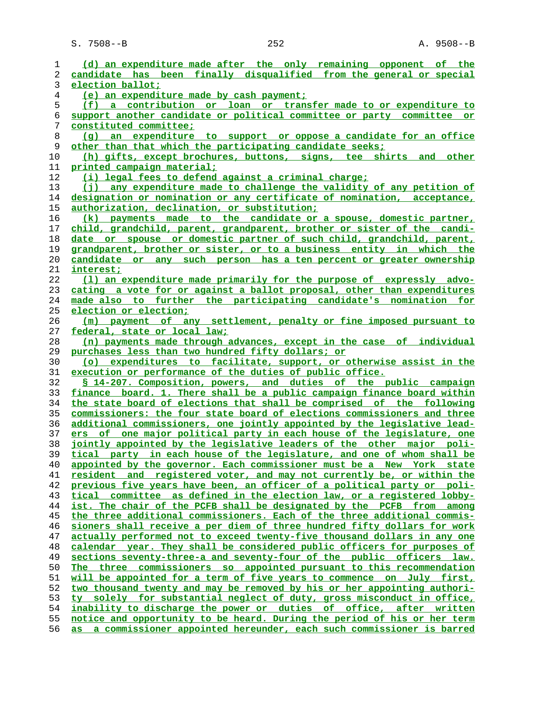**(d) an expenditure made after the only remaining opponent of the candidate has been finally disqualified from the general or special election ballot; (e) an expenditure made by cash payment; (f) a contribution or loan or transfer made to or expenditure to support another candidate or political committee or party committee or constituted committee; (g) an expenditure to support or oppose a candidate for an office other than that which the participating candidate seeks; (h) gifts, except brochures, buttons, signs, tee shirts and other printed campaign material; (i) legal fees to defend against a criminal charge; (j) any expenditure made to challenge the validity of any petition of designation or nomination or any certificate of nomination, acceptance, authorization, declination, or substitution; (k) payments made to the candidate or a spouse, domestic partner, child, grandchild, parent, grandparent, brother or sister of the candi- date or spouse or domestic partner of such child, grandchild, parent, grandparent, brother or sister, or to a business entity in which the candidate or any such person has a ten percent or greater ownership interest; (l) an expenditure made primarily for the purpose of expressly advo- cating a vote for or against a ballot proposal, other than expenditures made also to further the participating candidate's nomination for election or election; (m) payment of any settlement, penalty or fine imposed pursuant to federal, state or local law; (n) payments made through advances, except in the case of individual purchases less than two hundred fifty dollars; or (o) expenditures to facilitate, support, or otherwise assist in the execution or performance of the duties of public office. § 14-207. Composition, powers, and duties of the public campaign finance board. 1. There shall be a public campaign finance board within the state board of elections that shall be comprised of the following commissioners: the four state board of elections commissioners and three additional commissioners, one jointly appointed by the legislative lead- ers of one major political party in each house of the legislature, one jointly appointed by the legislative leaders of the other major poli- tical party in each house of the legislature, and one of whom shall be appointed by the governor. Each commissioner must be a New York state resident and registered voter, and may not currently be, or within the previous five years have been, an officer of a political party or poli- tical committee as defined in the election law, or a registered lobby- ist. The chair of the PCFB shall be designated by the PCFB from among the three additional commissioners. Each of the three additional commis- sioners shall receive a per diem of three hundred fifty dollars for work actually performed not to exceed twenty-five thousand dollars in any one calendar year. They shall be considered public officers for purposes of sections seventy-three-a and seventy-four of the public officers law. The three commissioners so appointed pursuant to this recommendation will be appointed for a term of five years to commence on July first, two thousand twenty and may be removed by his or her appointing authori- ty solely for substantial neglect of duty, gross misconduct in office, inability to discharge the power or duties of office, after written notice and opportunity to be heard. During the period of his or her term as a commissioner appointed hereunder, each such commissioner is barred**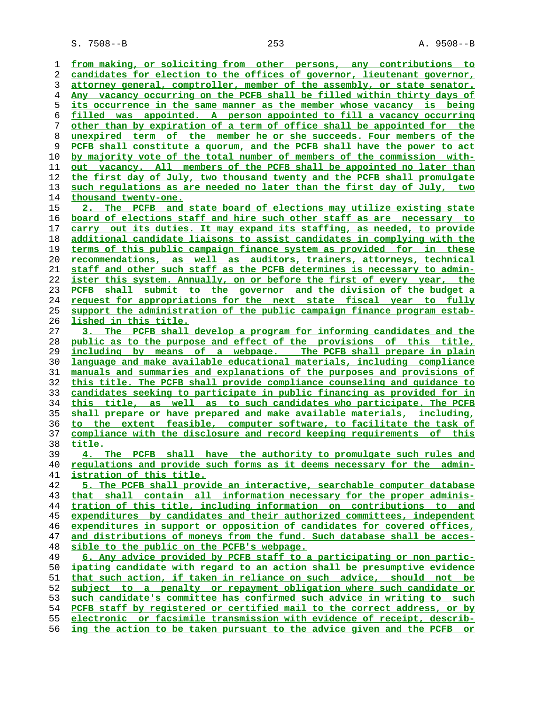S. 7508--B 253 A. 9508--B

**from making, or soliciting from other persons, any contributions to candidates for election to the offices of governor, lieutenant governor, attorney general, comptroller, member of the assembly, or state senator. Any vacancy occurring on the PCFB shall be filled within thirty days of its occurrence in the same manner as the member whose vacancy is being filled was appointed. A person appointed to fill a vacancy occurring other than by expiration of a term of office shall be appointed for the unexpired term of the member he or she succeeds. Four members of the PCFB shall constitute a quorum, and the PCFB shall have the power to act by majority vote of the total number of members of the commission with- out vacancy. All members of the PCFB shall be appointed no later than the first day of July, two thousand twenty and the PCFB shall promulgate such regulations as are needed no later than the first day of July, two** thousand twenty-one. **2. The PCFB and state board of elections may utilize existing state board of elections staff and hire such other staff as are necessary to carry out its duties. It may expand its staffing, as needed, to provide additional candidate liaisons to assist candidates in complying with the terms of this public campaign finance system as provided for in these recommendations, as well as auditors, trainers, attorneys, technical staff and other such staff as the PCFB determines is necessary to admin- ister this system. Annually, on or before the first of every year, the PCFB shall submit to the governor and the division of the budget a request for appropriations for the next state fiscal year to fully support the administration of the public campaign finance program estab- lished in this title. 3. The PCFB shall develop a program for informing candidates and the public as to the purpose and effect of the provisions of this title, including by means of a webpage. The PCFB shall prepare in plain language and make available educational materials, including compliance manuals and summaries and explanations of the purposes and provisions of this title. The PCFB shall provide compliance counseling and guidance to candidates seeking to participate in public financing as provided for in this title, as well as to such candidates who participate. The PCFB shall prepare or have prepared and make available materials, including, to the extent feasible, computer software, to facilitate the task of compliance with the disclosure and record keeping requirements of this title. 4. The PCFB shall have the authority to promulgate such rules and regulations and provide such forms as it deems necessary for the admin- istration of this title. 5. The PCFB shall provide an interactive, searchable computer database that shall contain all information necessary for the proper adminis- tration of this title, including information on contributions to and expenditures by candidates and their authorized committees, independent expenditures in support or opposition of candidates for covered offices, and distributions of moneys from the fund. Such database shall be acces- sible to the public on the PCFB's webpage. 6. Any advice provided by PCFB staff to a participating or non partic- ipating candidate with regard to an action shall be presumptive evidence that such action, if taken in reliance on such advice, should not be subject to a penalty or repayment obligation where such candidate or such candidate's committee has confirmed such advice in writing to such PCFB staff by registered or certified mail to the correct address, or by electronic or facsimile transmission with evidence of receipt, describ- ing the action to be taken pursuant to the advice given and the PCFB or**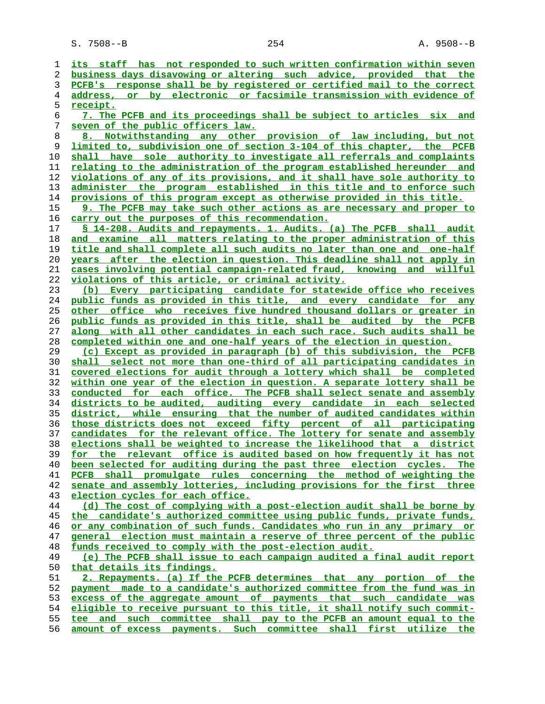S. 7508--B 254 254 A. 9508--B

| 1  | its staff has not responded to such written confirmation within seven         |
|----|-------------------------------------------------------------------------------|
| 2  | business days disavowing or altering such advice, provided that the           |
| 3  | PCFB's response shall be by registered or certified mail to the correct       |
| 4  | address, or by electronic or facsimile transmission with evidence of          |
| 5  | <u>receipt.</u>                                                               |
| 6  | 7. The PCFB and its proceedings shall be subject to articles six and          |
| 7  | seven of the public officers law.                                             |
| 8  | 8. Notwithstanding any other provision of law including, but not              |
| 9  | <u>limited to, subdivision one of section 3-104 of this chapter, the PCFB</u> |
| 10 | shall have sole authority to investigate all referrals and complaints         |
| 11 | relating to the administration of the program established hereunder and       |
| 12 | violations of any of its provisions, and it shall have sole authority to      |
| 13 | administer the program established in this title and to enforce such          |
| 14 | <u>provisions of this program except as otherwise provided in this title.</u> |
| 15 | 9. The PCFB may take such other actions as are necessary and proper to        |
| 16 |                                                                               |
|    | carry out the purposes of this recommendation.                                |
| 17 | S 14-208. Audits and repayments. 1. Audits. (a) The PCFB shall audit          |
| 18 | and examine all matters relating to the proper administration of this         |
| 19 | title and shall complete all such audits no later than one and one-half       |
| 20 | years after the election in question. This deadline shall not apply in        |
| 21 | cases involving potential campaign-related fraud, knowing and willful         |
| 22 | violations of this article, or criminal activity.                             |
| 23 | (b) Every participating candidate for statewide office who receives           |
| 24 | public funds as provided in this title, and every candidate for any           |
| 25 | other office who receives five hundred thousand dollars or greater in         |
| 26 | public funds as provided in this title, shall be audited by the PCFB          |
| 27 | along with all other candidates in each such race. Such audits shall be       |
| 28 | completed within one and one-half years of the election in question.          |
| 29 | (c) Except as provided in paragraph (b) of this subdivision, the PCFB         |
| 30 | shall select not more than one-third of all participating candidates in       |
| 31 | covered elections for audit through a lottery which shall be completed        |
| 32 | within one year of the election in question. A separate lottery shall be      |
| 33 | conducted for each office. The PCFB shall select senate and assembly          |
| 34 | districts to be audited, auditing every candidate in each selected            |
| 35 | district, while ensuring that the number of audited candidates within         |
| 36 | those districts does not exceed fifty percent of all participating            |
| 37 | candidates for the relevant office. The lottery for senate and assembly       |
| 38 | elections shall be weighted to increase the likelihood that a district        |
| 39 | for the relevant office is audited based on how frequently it has not         |
| 40 | been selected for auditing during the past three election cycles. The         |
| 41 | PCFB shall promulgate rules concerning the method of weighting the            |
| 42 | senate and assembly lotteries, including provisions for the first three       |
| 43 | election cycles for each office.                                              |
| 44 | (d) The cost of complying with a post-election audit shall be borne by        |
| 45 | the candidate's authorized committee using public funds, private funds,       |
| 46 | or any combination of such funds. Candidates who run in any primary or        |
| 47 | general election must maintain a reserve of three percent of the public       |
| 48 | funds received to comply with the post-election audit.                        |
| 49 | (e) The PCFB shall issue to each campaign audited a final audit report        |
| 50 | that details its findings.                                                    |
| 51 | 2. Repayments. (a) If the PCFB determines that any portion of the             |
| 52 | payment made to a candidate's authorized committee from the fund was in       |
| 53 | excess of the aggregate amount of payments that such candidate was            |
| 54 | eligible to receive pursuant to this title, it shall notify such commit-      |
|    |                                                                               |
| 55 | tee and such committee shall pay to the PCFB an amount equal to the           |
| 56 | amount of excess payments. Such committee shall first utilize the             |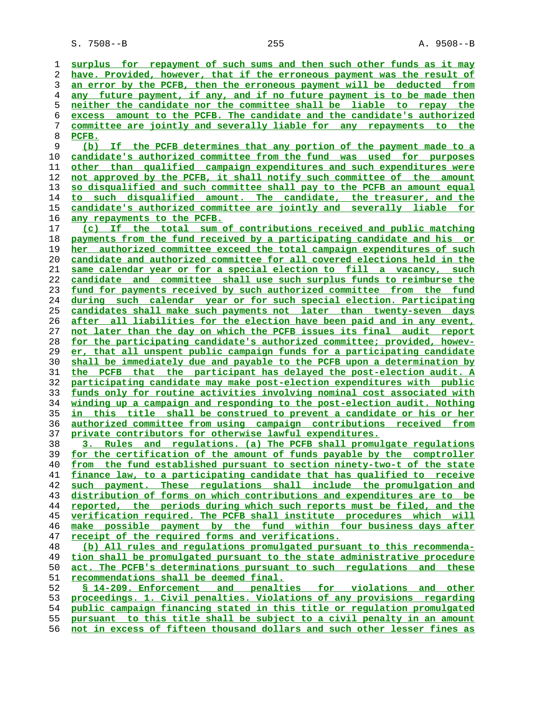S. 7508--B 255 A. 9508--B

**surplus for repayment of such sums and then such other funds as it may have. Provided, however, that if the erroneous payment was the result of an error by the PCFB, then the erroneous payment will be deducted from any future payment, if any, and if no future payment is to be made then neither the candidate nor the committee shall be liable to repay the excess amount to the PCFB. The candidate and the candidate's authorized committee are jointly and severally liable for any repayments to the PCFB.**<br>9 (**b**) **(b) If the PCFB determines that any portion of the payment made to a candidate's authorized committee from the fund was used for purposes other than qualified campaign expenditures and such expenditures were not approved by the PCFB, it shall notify such committee of the amount so disqualified and such committee shall pay to the PCFB an amount equal to such disqualified amount. The candidate, the treasurer, and the candidate's authorized committee are jointly and severally liable for any repayments to the PCFB. (c) If the total sum of contributions received and public matching payments from the fund received by a participating candidate and his or her authorized committee exceed the total campaign expenditures of such candidate and authorized committee for all covered elections held in the same calendar year or for a special election to fill a vacancy, such candidate and committee shall use such surplus funds to reimburse the fund for payments received by such authorized committee from the fund during such calendar year or for such special election. Participating candidates shall make such payments not later than twenty-seven days after all liabilities for the election have been paid and in any event, not later than the day on which the PCFB issues its final audit report for the participating candidate's authorized committee; provided, howev- er, that all unspent public campaign funds for a participating candidate shall be immediately due and payable to the PCFB upon a determination by the PCFB that the participant has delayed the post-election audit. A participating candidate may make post-election expenditures with public funds only for routine activities involving nominal cost associated with winding up a campaign and responding to the post-election audit. Nothing in this title shall be construed to prevent a candidate or his or her authorized committee from using campaign contributions received from private contributors for otherwise lawful expenditures. 3. Rules and regulations. (a) The PCFB shall promulgate regulations for the certification of the amount of funds payable by the comptroller from the fund established pursuant to section ninety-two-t of the state finance law, to a participating candidate that has qualified to receive such payment. These regulations shall include the promulgation and distribution of forms on which contributions and expenditures are to be reported, the periods during which such reports must be filed, and the verification required. The PCFB shall institute procedures which will make possible payment by the fund within four business days after receipt of the required forms and verifications. (b) All rules and regulations promulgated pursuant to this recommenda- tion shall be promulgated pursuant to the state administrative procedure act. The PCFB's determinations pursuant to such regulations and these recommendations shall be deemed final. § 14-209. Enforcement and penalties for violations and other proceedings. 1. Civil penalties. Violations of any provisions regarding public campaign financing stated in this title or regulation promulgated pursuant to this title shall be subject to a civil penalty in an amount not in excess of fifteen thousand dollars and such other lesser fines as**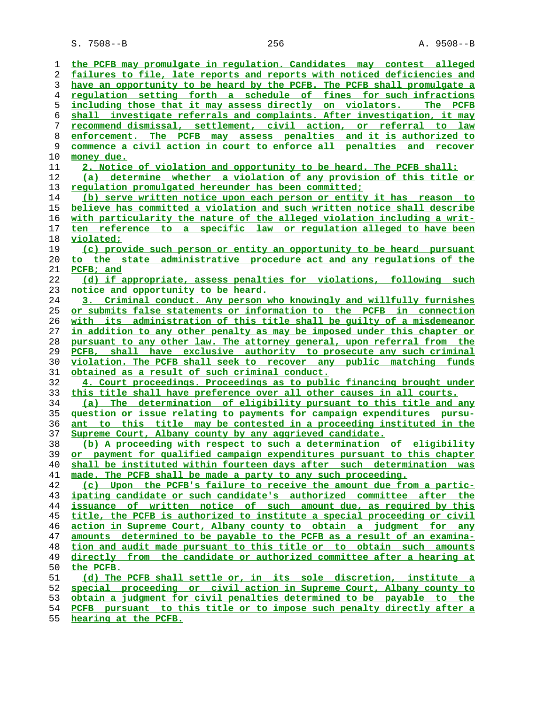**the PCFB may promulgate in regulation. Candidates may contest alleged failures to file, late reports and reports with noticed deficiencies and have an opportunity to be heard by the PCFB. The PCFB shall promulgate a regulation setting forth a schedule of fines for such infractions including those that it may assess directly on violators. The PCFB shall investigate referrals and complaints. After investigation, it may recommend dismissal, settlement, civil action, or referral to law enforcement. The PCFB may assess penalties and it is authorized to commence a civil action in court to enforce all penalties and recover money due. 2. Notice of violation and opportunity to be heard. The PCFB shall: (a) determine whether a violation of any provision of this title or regulation promulgated hereunder has been committed; (b) serve written notice upon each person or entity it has reason to believe has committed a violation and such written notice shall describe with particularity the nature of the alleged violation including a writ- ten reference to a specific law or regulation alleged to have been violated; (c) provide such person or entity an opportunity to be heard pursuant to the state administrative procedure act and any regulations of the PCFB; and (d) if appropriate, assess penalties for violations, following such notice and opportunity to be heard. 3. Criminal conduct. Any person who knowingly and willfully furnishes or submits false statements or information to the PCFB in connection with its administration of this title shall be guilty of a misdemeanor in addition to any other penalty as may be imposed under this chapter or pursuant to any other law. The attorney general, upon referral from the PCFB, shall have exclusive authority to prosecute any such criminal violation. The PCFB shall seek to recover any public matching funds obtained as a result of such criminal conduct. 4. Court proceedings. Proceedings as to public financing brought under this title shall have preference over all other causes in all courts. (a) The determination of eligibility pursuant to this title and any question or issue relating to payments for campaign expenditures pursu- ant to this title may be contested in a proceeding instituted in the Supreme Court, Albany county by any aggrieved candidate. (b) A proceeding with respect to such a determination of eligibility or payment for qualified campaign expenditures pursuant to this chapter shall be instituted within fourteen days after such determination was made. The PCFB shall be made a party to any such proceeding. (c) Upon the PCFB's failure to receive the amount due from a partic- ipating candidate or such candidate's authorized committee after the issuance of written notice of such amount due, as required by this title, the PCFB is authorized to institute a special proceeding or civil action in Supreme Court, Albany county to obtain a judgment for any amounts determined to be payable to the PCFB as a result of an examina- tion and audit made pursuant to this title or to obtain such amounts directly from the candidate or authorized committee after a hearing at the PCFB. (d) The PCFB shall settle or, in its sole discretion, institute a special proceeding or civil action in Supreme Court, Albany county to obtain a judgment for civil penalties determined to be payable to the PCFB pursuant to this title or to impose such penalty directly after a**

**hearing at the PCFB.**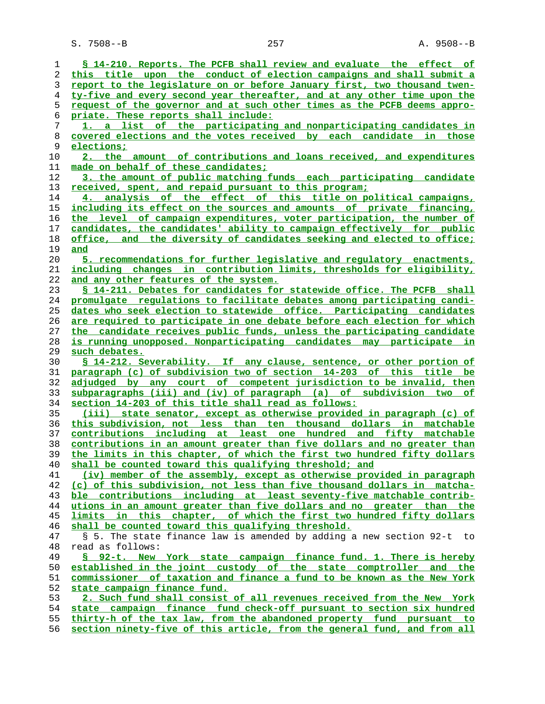S. 7508--B 257 257 A. 9508--B

| 1  | \$ 14-210. Reports. The PCFB shall review and evaluate the effect of     |
|----|--------------------------------------------------------------------------|
| 2  | this title upon the conduct of election campaigns and shall submit a     |
| 3  | report to the legislature on or before January first, two thousand twen- |
| 4  | ty-five and every second year thereafter, and at any other time upon the |
| 5  | request of the governor and at such other times as the PCFB deems appro- |
| 6  | priate. These reports shall include:                                     |
| 7  | 1. a list of the participating and nonparticipating candidates in        |
| 8  | covered elections and the votes received by each candidate in those      |
| 9  | elections;                                                               |
|    |                                                                          |
| 10 | 2. the amount of contributions and loans received, and expenditures      |
| 11 | made on behalf of these candidates;                                      |
| 12 | 3. the amount of public matching funds each participating candidate      |
| 13 | received, spent, and repaid pursuant to this program;                    |
| 14 | 4. analysis of the effect of this title on political campaigns,          |
| 15 | including its effect on the sources and amounts of private financing,    |
| 16 | the level of campaign expenditures, voter participation, the number of   |
| 17 | candidates, the candidates' ability to campaign effectively for public   |
| 18 | office, and the diversity of candidates seeking and elected to office;   |
| 19 | <u>and</u>                                                               |
| 20 | 5. recommendations for further legislative and regulatory enactments,    |
| 21 | including changes in contribution limits, thresholds for eligibility,    |
| 22 | and any other features of the system.                                    |
| 23 | § 14-211. Debates for candidates for statewide office. The PCFB shall    |
| 24 | promulgate regulations to facilitate debates among participating candi-  |
| 25 | dates who seek election to statewide office. Participating candidates    |
| 26 | are required to participate in one debate before each election for which |
| 27 | the candidate receives public funds, unless the participating candidate  |
| 28 | is running unopposed. Nonparticipating candidates may participate in     |
| 29 | such debates.                                                            |
| 30 | \$ 14-212. Severability. If any clause, sentence, or other portion of    |
| 31 | paragraph (c) of subdivision two of section 14-203 of this title be      |
| 32 | adjudged by any court of competent jurisdiction to be invalid, then      |
| 33 | subparagraphs (iii) and (iv) of paragraph (a) of subdivision two of      |
|    | section 14-203 of this title shall read as follows:                      |
| 34 |                                                                          |
| 35 | (iii) state senator, except as otherwise provided in paragraph (c) of    |
| 36 | this subdivision, not less than ten thousand dollars in matchable        |
| 37 | contributions including at least one hundred and fifty matchable         |
| 38 | contributions in an amount greater than five dollars and no greater than |
| 39 | the limits in this chapter, of which the first two hundred fifty dollars |
| 40 | shall be counted toward this qualifying threshold; and                   |
| 41 | (iv) member of the assembly, except as otherwise provided in paragraph   |
| 42 | (c) of this subdivision, not less than five thousand dollars in matcha-  |
| 43 | ble contributions including at least seventy-five matchable contrib-     |
| 44 | utions in an amount greater than five dollars and no greater than the    |
| 45 | limits in this chapter, of which the first two hundred fifty dollars     |
| 46 | shall be counted toward this qualifying threshold.                       |
| 47 | § 5. The state finance law is amended by adding a new section 92-t<br>to |
| 48 | read as follows:                                                         |
| 49 | S 92-t. New York state campaign finance fund. 1. There is hereby         |
| 50 | established in the joint custody of the state comptroller and the        |
| 51 | commissioner of taxation and finance a fund to be known as the New York  |
| 52 | state campaign finance fund.                                             |
| 53 | 2. Such fund shall consist of all revenues received from the New York    |
| 54 | state campaign finance fund check-off pursuant to section six hundred    |
| 55 | thirty-h of the tax law, from the abandoned property fund pursuant to    |
|    |                                                                          |

**section ninety-five of this article, from the general fund, and from all**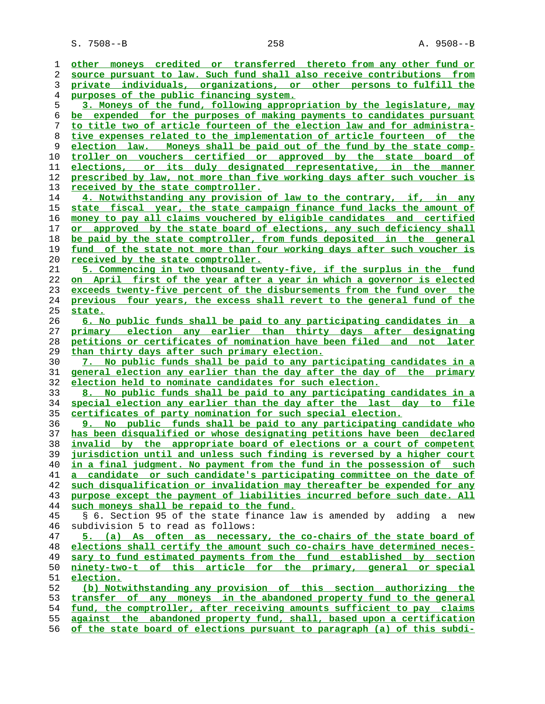S. 7508--B 258 258 A. 9508--B

| 1  | other moneys credited or transferred thereto from any other fund or           |
|----|-------------------------------------------------------------------------------|
| 2  | source pursuant to law. Such fund shall also receive contributions from       |
| 3  | private individuals, organizations, or other persons to fulfill the           |
| 4  | purposes of the public financing system.                                      |
| 5  | 3. Moneys of the fund, following appropriation by the legislature, may        |
|    | be expended for the purposes of making payments to candidates pursuant        |
| 6  |                                                                               |
| 7  | to title two of article fourteen of the election law and for administra-      |
| 8  | tive expenses related to the implementation of article fourteen of the        |
| 9  | election law. Moneys shall be paid out of the fund by the state comp-         |
| 10 | troller on vouchers certified or approved by the state board of               |
| 11 | elections, or its duly designated representative, in the manner               |
| 12 | prescribed by law, not more than five working days after such voucher is      |
| 13 | received by the state comptroller.                                            |
| 14 | 4. Notwithstanding any provision of law to the contrary, if, in any           |
| 15 | state fiscal year, the state campaign finance fund lacks the amount of        |
| 16 | money to pay all claims vouchered by eligible candidates and certified        |
| 17 | or approved by the state board of elections, any such deficiency shall        |
| 18 | be paid by the state comptroller, from funds deposited in the general         |
| 19 | fund of the state not more than four working days after such voucher is       |
| 20 | <u>received by the state comptroller.</u>                                     |
| 21 | 5. Commencing in two thousand twenty-five, if the surplus in the fund         |
| 22 | <u>on April first of the year after a year in which a governor is elected</u> |
| 23 | exceeds twenty-five percent of the disbursements from the fund over the       |
| 24 | previous four years, the excess shall revert to the general fund of the       |
|    |                                                                               |
| 25 | state.                                                                        |
| 26 | 6. No public funds shall be paid to any participating candidates in a         |
| 27 | primary election any earlier than thirty days after designating               |
| 28 | petitions or certificates of nomination have been filed and not later         |
| 29 | than thirty days after such primary election.                                 |
| 30 | 7. No public funds shall be paid to any participating candidates in a         |
| 31 | general election any earlier than the day after the day of the primary        |
| 32 | <u>election held to nominate candidates for such election.</u>                |
| 33 | 8. No public funds shall be paid to any participating candidates in a         |
| 34 | special election any earlier than the day after the last day to file          |
| 35 | <u>certificates of party nomination for such special election.</u>            |
| 36 | 9. No public funds shall be paid to any participating candidate who           |
| 37 | has been disqualified or whose designating petitions have been declared       |
| 38 | invalid by the appropriate board of elections or a court of competent         |
| 39 | jurisdiction until and unless such finding is reversed by a higher court      |
| 40 | in a final judgment. No payment from the fund in the possession of such       |
| 41 | a candidate or such candidate's participating committee on the date of        |
| 42 | such disqualification or invalidation may thereafter be expended for any      |
| 43 | purpose except the payment of liabilities incurred before such date. All      |
| 44 | such moneys shall be repaid to the fund.                                      |
| 45 | § 6. Section 95 of the state finance law is amended by adding<br>a<br>new     |
| 46 | subdivision 5 to read as follows:                                             |
| 47 | 5. (a) As often as necessary, the co-chairs of the state board of             |
| 48 | elections shall certify the amount such co-chairs have determined neces-      |
| 49 | sary to fund estimated payments from the fund established by section          |
|    |                                                                               |
| 50 | ninety-two-t of this article for the primary, general or special              |
| 51 | election.                                                                     |
| 52 | (b) Notwithstanding any provision of this section authorizing the             |
| 53 | transfer of any moneys in the abandoned property fund to the general          |
| 54 | fund, the comptroller, after receiving amounts sufficient to pay claims       |
| 55 | against the abandoned property fund, shall, based upon a certification        |
| 56 | of the state board of elections pursuant to paragraph (a) of this subdi-      |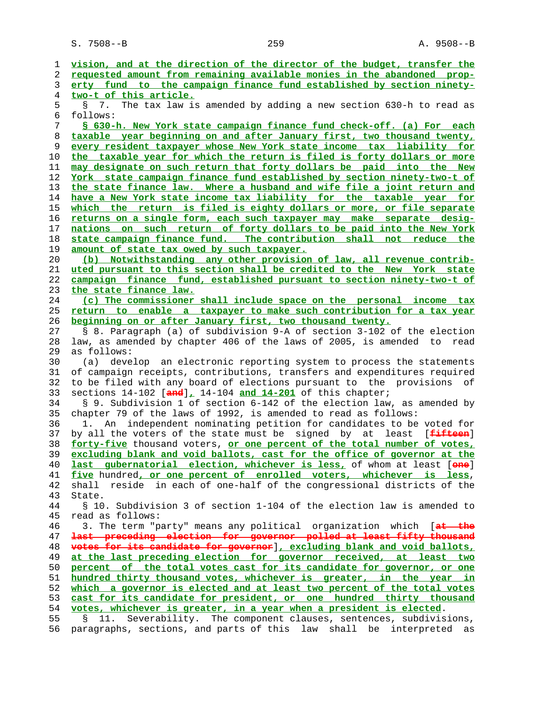S. 7508--B 259 A. 9508--B

**vision, and at the direction of the director of the budget, transfer the requested amount from remaining available monies in the abandoned prop- erty fund to the campaign finance fund established by section ninety- two-t of this article.** 5 § 7. The tax law is amended by adding a new section 630-h to read as 6 follows: **§ 630-h. New York state campaign finance fund check-off. (a) For each taxable year beginning on and after January first, two thousand twenty, every resident taxpayer whose New York state income tax liability for the taxable year for which the return is filed is forty dollars or more may designate on such return that forty dollars be paid into the New York state campaign finance fund established by section ninety-two-t of the state finance law. Where a husband and wife file a joint return and have a New York state income tax liability for the taxable year for which the return is filed is eighty dollars or more, or file separate returns on a single form, each such taxpayer may make separate desig- nations on such return of forty dollars to be paid into the New York state campaign finance fund. The contribution shall not reduce the amount of state tax owed by such taxpayer. (b) Notwithstanding any other provision of law, all revenue contrib- uted pursuant to this section shall be credited to the New York state campaign finance fund, established pursuant to section ninety-two-t of the state finance law. (c) The commissioner shall include space on the personal income tax return to enable a taxpayer to make such contribution for a tax year beginning on or after January first, two thousand twenty.** 27 § 8. Paragraph (a) of subdivision 9-A of section 3-102 of the election 28 law, as amended by chapter 406 of the laws of 2005, is amended to read 29 as follows: 30 (a) develop an electronic reporting system to process the statements 31 of campaign receipts, contributions, transfers and expenditures required 32 to be filed with any board of elections pursuant to the provisions of 33 sections 14-102 [**and**]**,** 14-104 **and 14-201** of this chapter; 34 § 9. Subdivision 1 of section 6-142 of the election law, as amended by 35 chapter 79 of the laws of 1992, is amended to read as follows: 36 1. An independent nominating petition for candidates to be voted for 37 by all the voters of the state must be signed by at least [**fifteen**] **forty-five** thousand voters, **or one percent of the total number of votes, excluding blank and void ballots, cast for the office of governor at the last gubernatorial election, whichever is less,** of whom at least [**one**] **five** hundred**, or one percent of enrolled voters, whichever is less**, 42 shall reside in each of one-half of the congressional districts of the 43 State. 44 § 10. Subdivision 3 of section 1-104 of the election law is amended to 45 read as follows: 46 3. The term "party" means any political organization which [**at the last preceding election for governor polled at least fifty thousand votes for its candidate for governor**]**, excluding blank and void ballots, at the last preceding election for governor received, at least two percent of the total votes cast for its candidate for governor, or one hundred thirty thousand votes, whichever is greater, in the year in which a governor is elected and at least two percent of the total votes cast for its candidate for president, or one hundred thirty thousand votes, whichever is greater, in a year when a president is elected**. 55 § 11. Severability. The component clauses, sentences, subdivisions, 56 paragraphs, sections, and parts of this law shall be interpreted as